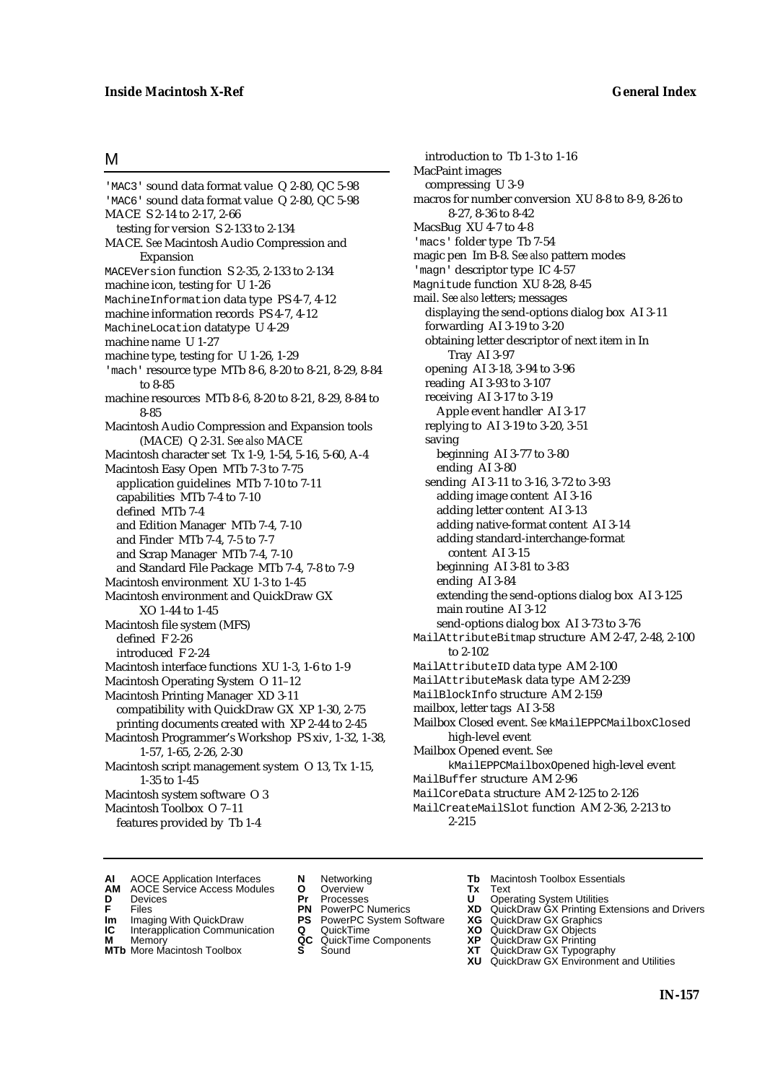### M

'MAC3' sound data format value Q 2-80, QC 5-98 'MAC6' sound data format value Q 2-80, QC 5-98 MACE S 2-14 to 2-17, 2-66 testing for version S 2-133 to 2-134 MACE. *See* Macintosh Audio Compression and Expansion MACEVersion function S 2-35, 2-133 to 2-134 machine icon, testing for U 1-26 MachineInformation data type PS 4-7, 4-12 machine information records PS 4-7, 4-12 MachineLocation datatype U 4-29 machine name U 1-27 machine type, testing for U 1-26, 1-29 'mach' resource type MTb 8-6, 8-20 to 8-21, 8-29, 8-84 to 8-85 machine resources MTb 8-6, 8-20 to 8-21, 8-29, 8-84 to 8-85 Macintosh Audio Compression and Expansion tools (MACE) Q 2-31. *See also* MACE Macintosh character set Tx 1-9, 1-54, 5-16, 5-60, A-4 Macintosh Easy Open MTb 7-3 to 7-75 application guidelines MTb 7-10 to 7-11 capabilities MTb 7-4 to 7-10 defined MTb 7-4 and Edition Manager MTb 7-4, 7-10 and Finder MTb 7-4, 7-5 to 7-7 and Scrap Manager MTb 7-4, 7-10 and Standard File Package MTb 7-4, 7-8 to 7-9 Macintosh environment XU 1-3 to 1-45 Macintosh environment and QuickDraw GX XO 1-44 to 1-45 Macintosh file system (MFS) defined F 2-26 introduced F 2-24 Macintosh interface functions XU 1-3, 1-6 to 1-9 Macintosh Operating System O 11–12 Macintosh Printing Manager XD 3-11 compatibility with QuickDraw GX XP 1-30, 2-75 printing documents created with XP 2-44 to 2-45 Macintosh Programmer's Workshop PS xiv, 1-32, 1-38, 1-57, 1-65, 2-26, 2-30 Macintosh script management system O 13, Tx 1-15, 1-35 to 1-45 Macintosh system software O 3 Macintosh Toolbox O 7–11 features provided by Tb 1-4

introduction to Tb 1-3 to 1-16 MacPaint images compressing U 3-9 macros for number conversion XU 8-8 to 8-9, 8-26 to 8-27, 8-36 to 8-42 MacsBug XU 4-7 to 4-8 'macs' folder type Tb 7-54 magic pen Im B-8. *See also* pattern modes 'magn' descriptor type IC 4-57 Magnitude function XU 8-28, 8-45 mail. *See also* letters; messages displaying the send-options dialog box AI 3-11 forwarding AI 3-19 to 3-20 obtaining letter descriptor of next item in In Tray AI 3-97 opening AI 3-18, 3-94 to 3-96 reading AI 3-93 to 3-107 receiving AI 3-17 to 3-19 Apple event handler AI 3-17 replying to AI 3-19 to 3-20, 3-51 saving beginning AI 3-77 to 3-80 ending AI 3-80 sending AI 3-11 to 3-16, 3-72 to 3-93 adding image content AI 3-16 adding letter content AI 3-13 adding native-format content AI 3-14 adding standard-interchange-format content AI 3-15 beginning AI 3-81 to 3-83 ending AI 3-84 extending the send-options dialog box AI 3-125 main routine AI 3-12 send-options dialog box AI 3-73 to 3-76 MailAttributeBitmap structure AM 2-47, 2-48, 2-100 to 2-102 MailAttributeID data type AM 2-100 MailAttributeMask data type AM 2-239 MailBlockInfo structure AM 2-159 mailbox, letter tags AI 3-58 Mailbox Closed event. *See* kMailEPPCMailboxClosed high-level event Mailbox Opened event. *See* kMailEPPCMailboxOpened high-level event MailBuffer structure AM 2-96 MailCoreData structure AM 2-125 to 2-126 MailCreateMailSlot function AM 2-36, 2-213 to 2-215

- **AI** AOCE Application Interfaces **N** Networking **The Macintosh Toolbox Essentials**<br> **AM** AOCE Service Access Modules **O** Overview **Tx** Text<br> **D** Devices **Pr** Processes **U** Operating System Utilities
	- AOCE Service Access Modules **O** Overview **Tx** Text<br>Devices **Devices Devices Devices**
	-
- 
- **IM** FILES<br> **Im** Imaging With QuickDraw **PS** PowerPC System Software **XG**<br> **IC** Interapplication Communication **Q** QuickTime **XO**
- **IC** Interapplication Communication **Q** QuickTime **XO M** Memory **XO QC** QuickTime Components **XP M** Memory **QC** QuickTime Components **XP**<br>**MTb** More Macintosh Toolbox **S** Sound **XT**
- 
- 
- **D** Devices **Pr** Processes **U** Operating System Utilities
	-
	-
	-
	-
- 
- 
- **F** Files **PN** PowerPC Numerics **XD** QuickDraw GX Printing Extensions and Drivers
	-
	-
	-
- **MTb** More Macintosh Toolbox **S** Sound **XT** QuickDraw GX Typography
	- **XU** QuickDraw GX Environment and Utilities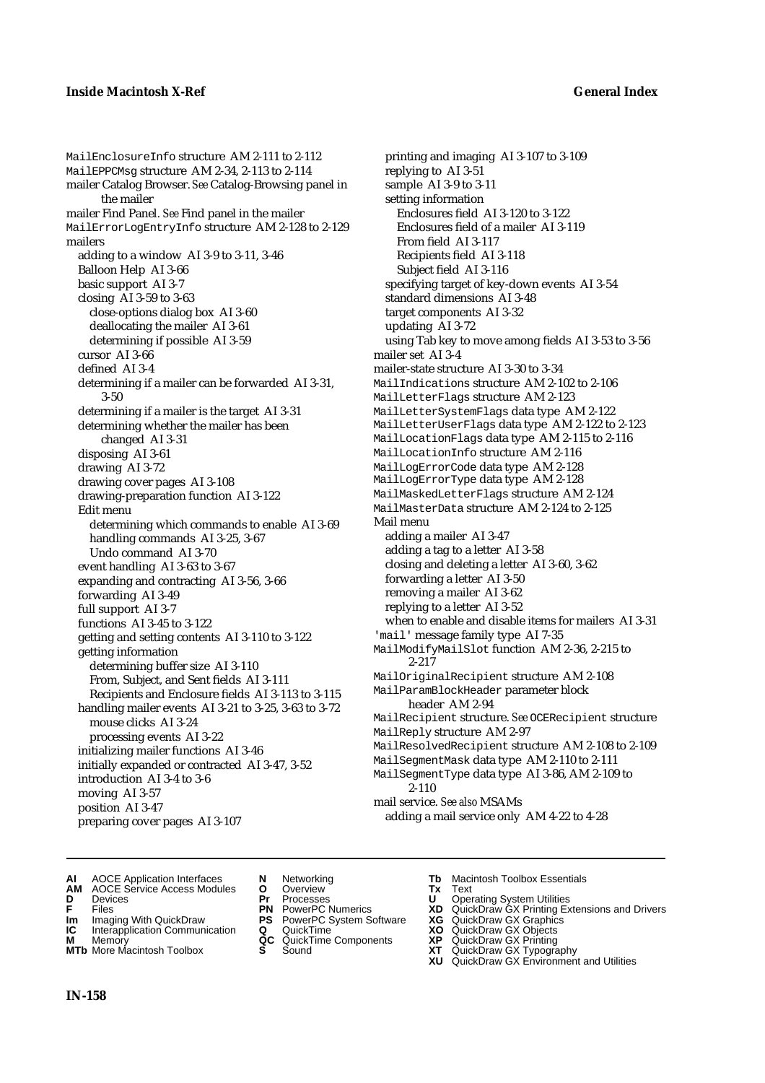## **Inside Macintosh X-Ref General Index**

MailEnclosureInfo structure AM 2-111 to 2-112 MailEPPCMsg structure AM 2-34, 2-113 to 2-114 mailer Catalog Browser. *See* Catalog-Browsing panel in the mailer mailer Find Panel. *See* Find panel in the mailer MailErrorLogEntryInfo structure AM 2-128 to 2-129 mailers adding to a window AI 3-9 to 3-11, 3-46 Balloon Help AI 3-66 basic support AI 3-7 closing AI 3-59 to 3-63 close-options dialog box AI 3-60 deallocating the mailer AI 3-61 determining if possible AI 3-59 cursor AI 3-66 defined AI 3-4 determining if a mailer can be forwarded AI 3-31, 3-50 determining if a mailer is the target AI 3-31 determining whether the mailer has been changed AI 3-31 disposing AI 3-61 drawing AI 3-72 drawing cover pages AI 3-108 drawing-preparation function AI 3-122 Edit menu determining which commands to enable AI 3-69 handling commands AI 3-25, 3-67 Undo command AI 3-70 event handling AI 3-63 to 3-67 expanding and contracting AI 3-56, 3-66 forwarding AI 3-49 full support AI 3-7 functions AI 3-45 to 3-122 getting and setting contents AI 3-110 to 3-122 getting information determining buffer size AI 3-110 From, Subject, and Sent fields AI 3-111 Recipients and Enclosure fields AI 3-113 to 3-115 handling mailer events AI 3-21 to 3-25, 3-63 to 3-72 mouse clicks AI 3-24 processing events AI 3-22 initializing mailer functions AI 3-46 initially expanded or contracted AI 3-47, 3-52 introduction AI 3-4 to 3-6 moving AI 3-57 position AI 3-47 preparing cover pages AI 3-107

printing and imaging AI 3-107 to 3-109 replying to AI 3-51 sample AI 3-9 to 3-11 setting information Enclosures field AI 3-120 to 3-122 Enclosures field of a mailer AI 3-119 From field AI 3-117 Recipients field AI 3-118 Subject field AI 3-116 specifying target of key-down events AI 3-54 standard dimensions AI 3-48 target components AI 3-32 updating AI 3-72 using Tab key to move among fields AI 3-53 to 3-56 mailer set AI 3-4 mailer-state structure AI 3-30 to 3-34 MailIndications structure AM 2-102 to 2-106 MailLetterFlags structure AM 2-123 MailLetterSystemFlags data type AM 2-122 MailLetterUserFlags data type AM 2-122 to 2-123 MailLocationFlags data type AM 2-115 to 2-116 MailLocationInfo structure AM 2-116 MailLogErrorCode data type AM 2-128 MailLogErrorType data type AM 2-128 MailMaskedLetterFlags structure AM 2-124 MailMasterData structure AM 2-124 to 2-125 Mail menu adding a mailer AI 3-47 adding a tag to a letter AI 3-58 closing and deleting a letter AI 3-60, 3-62 forwarding a letter AI 3-50 removing a mailer AI 3-62 replying to a letter AI 3-52 when to enable and disable items for mailers AI 3-31 'mail' message family type AI 7-35 MailModifyMailSlot function AM 2-36, 2-215 to 2-217 MailOriginalRecipient structure AM 2-108 MailParamBlockHeader parameter block header AM 2-94 MailRecipient structure. *See* OCERecipient structure MailReply structure AM 2-97 MailResolvedRecipient structure AM 2-108 to 2-109 MailSegmentMask data type AM 2-110 to 2-111 MailSegmentType data type AI 3-86, AM 2-109 to 2-110 mail service. *See also* MSAMs adding a mail service only AM 4-22 to 4-28

- **AI** AOCE Application Interfaces **N** Networking **Tb** Macintosh Toolbox Essentials<br> **AM** AOCE Service Access Modules **O** Overview **Tx** Text<br> **D** Devices **Pr** Processes **U** Operating System Utilities
- **AM** AOCE Service Access Modules **O** Overview **Tx** Text
- 
- 
- **IM** Files<br> **Im** Imaging With QuickDraw **PS** PowerPC System Software **XG**<br> **IC** Interapplication Communication **Q** QuickTime **XO**
- **Interapplication Communication <b>Q** QuickTime **XO** Memory **XO** Objects **XP** OC QuickTime Components **XP**
- **M** Memory **District Acc** QuickTime Components **XP**<br> **MTb** More Macintosh Toolbox **S** Sound **XT MTb** More Macintosh Toolbox **S** Sound **XT** QuickDraw GX Typography
- 
- **D** Devices **Pr** Processes **U** Operating System Utilities
	-
	-
	-
	-
	-
- 
- 
- **F** Files **PN** PowerPC Numerics **XD** QuickDraw GX Printing Extensions and Drivers
	-
	-
	-
	-
	- **XU** QuickDraw GX Environment and Utilities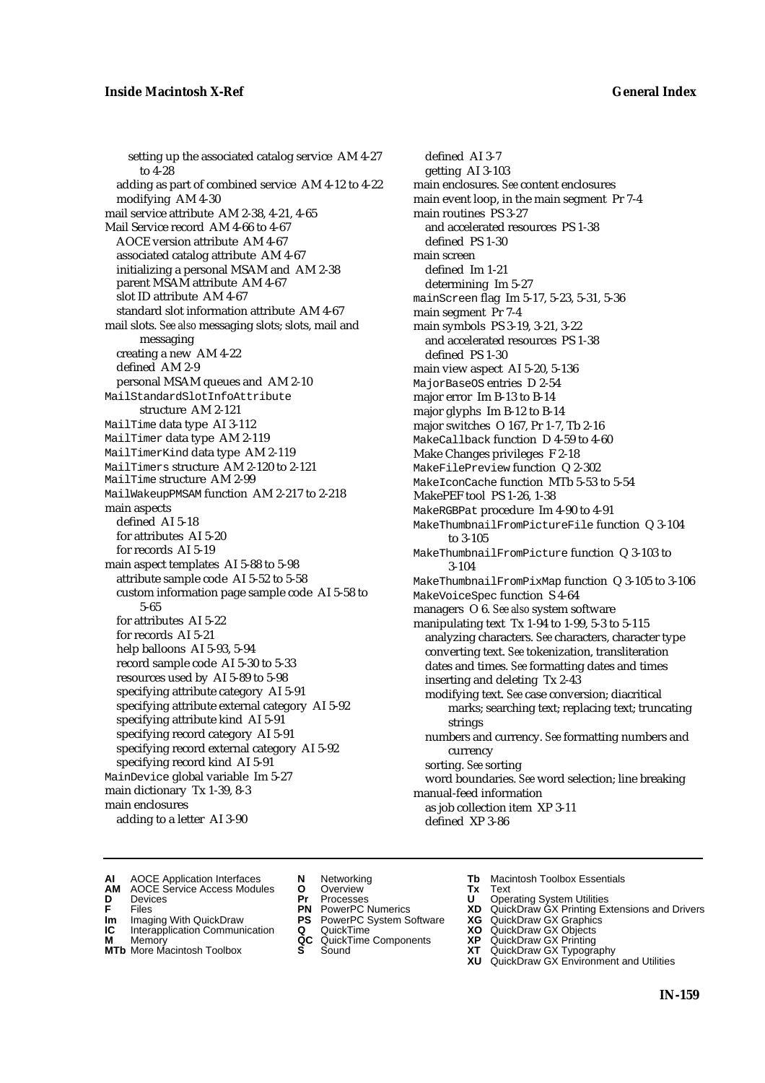setting up the associated catalog service AM 4-27 to 4-28 adding as part of combined service AM 4-12 to 4-22 modifying AM 4-30 mail service attribute AM 2-38, 4-21, 4-65 Mail Service record AM 4-66 to 4-67 AOCE version attribute AM 4-67 associated catalog attribute AM 4-67 initializing a personal MSAM and AM 2-38 parent MSAM attribute AM 4-67 slot ID attribute AM 4-67 standard slot information attribute AM 4-67 mail slots. *See also* messaging slots; slots, mail and messaging creating a new AM 4-22 defined AM 2-9 personal MSAM queues and AM 2-10 MailStandardSlotInfoAttribute structure AM 2-121 MailTime data type AI 3-112 MailTimer data type AM 2-119 MailTimerKind data type AM 2-119 MailTimers structure AM 2-120 to 2-121 MailTime structure AM 2-99 MailWakeupPMSAM function AM 2-217 to 2-218 main aspects defined AI 5-18 for attributes AI 5-20 for records AI 5-19 main aspect templates AI 5-88 to 5-98 attribute sample code AI 5-52 to 5-58 custom information page sample code AI 5-58 to 5-65 for attributes AI 5-22 for records AI 5-21 help balloons AI 5-93, 5-94 record sample code AI 5-30 to 5-33 resources used by AI 5-89 to 5-98 specifying attribute category AI 5-91 specifying attribute external category AI 5-92 specifying attribute kind AI 5-91 specifying record category AI 5-91 specifying record external category AI 5-92 specifying record kind AI 5-91 MainDevice global variable Im 5-27 main dictionary Tx 1-39, 8-3 main enclosures

adding to a letter AI 3-90

main enclosures. *See* content enclosures main event loop, in the main segment Pr 7-4 main routines PS 3-27 and accelerated resources PS 1-38 defined PS 1-30 main screen defined Im 1-21 determining Im 5-27 mainScreen flag Im 5-17, 5-23, 5-31, 5-36 main segment Pr 7-4 main symbols PS 3-19, 3-21, 3-22 and accelerated resources PS 1-38 defined PS 1-30 main view aspect AI 5-20, 5-136 MajorBaseOS entries D 2-54 major error Im B-13 to B-14 major glyphs Im B-12 to B-14 major switches O 167, Pr 1-7, Tb 2-16 MakeCallback function D 4-59 to 4-60 Make Changes privileges F 2-18 MakeFilePreview function Q 2-302 MakeIconCache function MTb 5-53 to 5-54 MakePEF tool PS 1-26, 1-38 MakeRGBPat procedure Im 4-90 to 4-91 MakeThumbnailFromPictureFile function Q 3-104 to 3-105 MakeThumbnailFromPicture function Q 3-103 to 3-104 MakeThumbnailFromPixMap function Q 3-105 to 3-106 MakeVoiceSpec function S 4-64 managers O 6. *See also* system software manipulating text Tx 1-94 to 1-99, 5-3 to 5-115 analyzing characters. *See* characters, character type converting text. *See* tokenization, transliteration dates and times. *See* formatting dates and times inserting and deleting Tx 2-43 modifying text. *See* case conversion; diacritical marks; searching text; replacing text; truncating strings numbers and currency. *See* formatting numbers and currency sorting. *See* sorting word boundaries. *See* word selection; line breaking manual-feed information as job collection item XP 3-11

defined AI 3-7 getting AI 3-103

- 
- **AI** AOCE Application Interfaces **N** Networking **Tb** Macintosh Toolbox Essentials<br> **AM** AOCE Service Access Modules **O** Overview **Tx** Text<br> **D** Devices **Pr** Processes **U** Operating System Utilities AOCE Service Access Modules **O** Overview **Tx** Text<br>Devices **Devices Devices Devices**
- 
- 
- **IM** FILES<br> **Im** Imaging With QuickDraw **PS** PowerPC System Software **XG**<br> **IC** Interapplication Communication **Q** QuickTime **XO**
- **IC** Interapplication Communication **Q** QuickTime **XO M** Memory **XP QC** QuickTime Components **XP M** Memory **CONSISTENT MEMORY AND MEMORY MEMORY AND MEMORY AND MEMORY AND <b>CONSISTENT CONSISTENT** WAS A VIOLENCE CONSISTENT OF A VIOLENCE CONSISTENT OF A VIOLENCE CONSISTENT OF A VIOLENCE CONSISTENT OF A VIOLENCE CONSISTEN
- 
- 
- **D** Devices **Pr** Processes **U** Operating System Utilities
	-
	-
	-
	-
- 
- 

defined XP 3-86

- **F** Files **PN** PowerPC Numerics **XD** QuickDraw GX Printing Extensions and Drivers
	-
	-
	-
- **MTb** More Macintosh Toolbox **S** Sound **XT** QuickDraw GX Typography
	- **XU** QuickDraw GX Environment and Utilities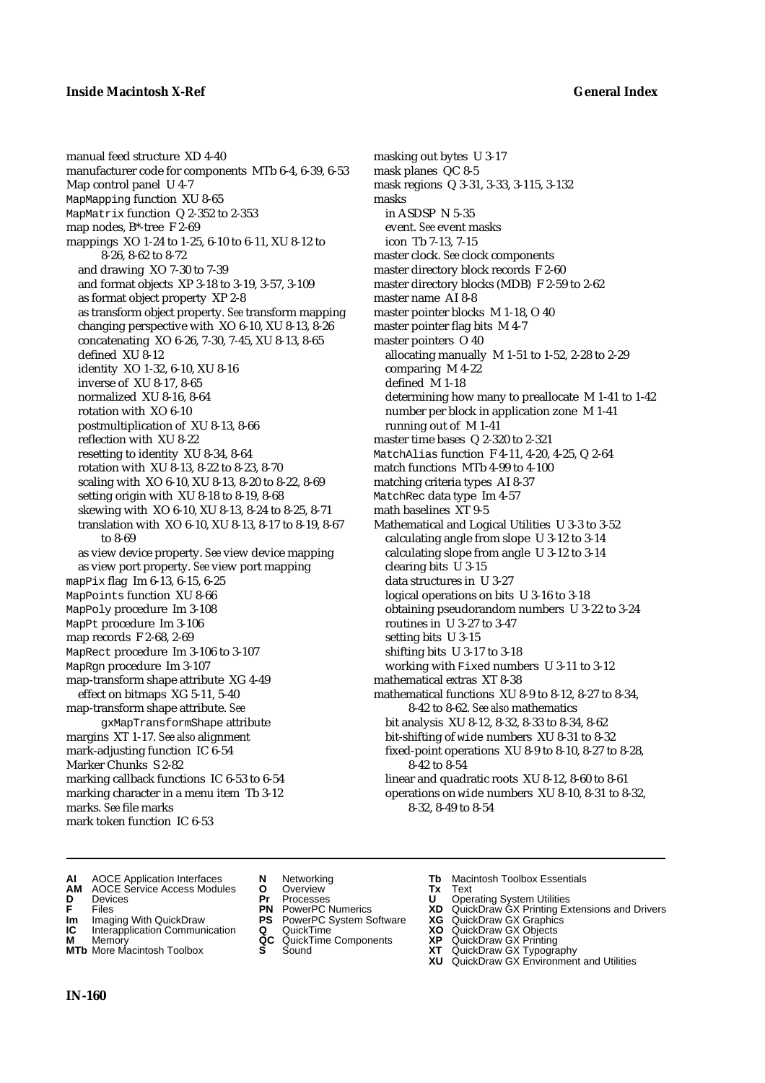manual feed structure XD 4-40 manufacturer code for components MTb 6-4, 6-39, 6-53 Map control panel U 4-7 MapMapping function XU 8-65 MapMatrix function Q 2-352 to 2-353 map nodes, B\*-tree F 2-69 mappings XO 1-24 to 1-25, 6-10 to 6-11, XU 8-12 to 8-26, 8-62 to 8-72 and drawing XO 7-30 to 7-39 and format objects XP 3-18 to 3-19, 3-57, 3-109 as format object property XP 2-8 as transform object property. *See* transform mapping changing perspective with XO 6-10, XU 8-13, 8-26 concatenating XO 6-26, 7-30, 7-45, XU 8-13, 8-65 defined XU 8-12 identity XO 1-32, 6-10, XU 8-16 inverse of XU 8-17, 8-65 normalized XU 8-16, 8-64 rotation with XO 6-10 postmultiplication of XU 8-13, 8-66 reflection with XU 8-22 resetting to identity XU 8-34, 8-64 rotation with XU 8-13, 8-22 to 8-23, 8-70 scaling with XO 6-10, XU 8-13, 8-20 to 8-22, 8-69 setting origin with XU 8-18 to 8-19, 8-68 skewing with XO 6-10, XU 8-13, 8-24 to 8-25, 8-71 translation with XO 6-10, XU 8-13, 8-17 to 8-19, 8-67 to 8-69 as view device property. *See* view device mapping as view port property. *See* view port mapping mapPix flag Im 6-13, 6-15, 6-25 MapPoints function XU 8-66 MapPoly procedure Im 3-108 MapPt procedure Im 3-106 map records F 2-68, 2-69 MapRect procedure Im 3-106 to 3-107 MapRgn procedure Im 3-107 map-transform shape attribute XG 4-49 effect on bitmaps XG 5-11, 5-40 map-transform shape attribute. *See* gxMapTransformShape attribute margins XT 1-17. *See also* alignment mark-adjusting function IC 6-54 Marker Chunks S 2-82 marking callback functions IC 6-53 to 6-54 marking character in a menu item Tb 3-12 marks. *See* file marks mark token function IC 6-53

masking out bytes U 3-17 mask planes QC 8-5 mask regions Q 3-31, 3-33, 3-115, 3-132 masks in ASDSP N 5-35 event. *See* event masks icon Tb 7-13, 7-15 master clock. *See* clock components master directory block records F 2-60 master directory blocks (MDB) F 2-59 to 2-62 master name AI 8-8 master pointer blocks M 1-18, O 40 master pointer flag bits M 4-7 master pointers O 40 allocating manually M 1-51 to 1-52, 2-28 to 2-29 comparing M 4-22 defined M 1-18 determining how many to preallocate M 1-41 to 1-42 number per block in application zone M 1-41 running out of M 1-41 master time bases Q 2-320 to 2-321 MatchAlias function F 4-11, 4-20, 4-25, Q 2-64 match functions MTb 4-99 to 4-100 matching criteria types AI 8-37 MatchRec data type Im 4-57 math baselines XT 9-5 Mathematical and Logical Utilities U 3-3 to 3-52 calculating angle from slope U 3-12 to 3-14 calculating slope from angle U 3-12 to 3-14 clearing bits U 3-15 data structures in U 3-27 logical operations on bits U 3-16 to 3-18 obtaining pseudorandom numbers U 3-22 to 3-24 routines in U 3-27 to 3-47 setting bits U 3-15 shifting bits U 3-17 to 3-18 working with Fixed numbers U 3-11 to 3-12 mathematical extras XT 8-38 mathematical functions XU 8-9 to 8-12, 8-27 to 8-34, 8-42 to 8-62. *See also* mathematics bit analysis XU 8-12, 8-32, 8-33 to 8-34, 8-62 bit-shifting of wide numbers XU 8-31 to 8-32 fixed-point operations XU 8-9 to 8-10, 8-27 to 8-28, 8-42 to 8-54 linear and quadratic roots XU 8-12, 8-60 to 8-61 operations on wide numbers XU 8-10, 8-31 to 8-32, 8-32, 8-49 to 8-54

- **AI** AOCE Application Interfaces **N** Networking **Tb** Macintosh Toolbox Essentials<br> **AM** AOCE Service Access Modules **O** Overview **Tx** Text<br> **D** Devices **Pr** Processes **U** Operating System Utilities
- **AM** AOCE Service Access Modules **O** Overview **Tx** Text
- 
- 
- **Im** Imaging With QuickDraw **PS** PowerPC System Software **XG IC** Interapplication Communication **Q** QuickTime **COVIC**
- **IC** Interapplication Communication **Q** QuickTime **XO M** Memory **XP C** QuickTime Components **XP M** Memory **CC** QuickTime Components **XP**<br> **MTb** More Macintosh Toolbox **S** Sound **XT**
- **MTb** More Macintosh Toolbox **S** Sound **XT** QuickDraw GX Typography
- 
- 
- 
- 
- 
- 
- 
- 
- 
- 
- 
- **D** Devices **Pr** Processes **U** Operating System Utilities
- **FRICAG CONSISTS IN THE PROCESSES CONSISTS AND CONSIST CONSISTENT CONSISTS CONSISTS PRINTIPLE PROCESSES CONSISTS CON<br>
<b>F**FRICES **PN** POWERPC Numerics **XD** QuickDraw GX Printing Extensions and Drivers<br> **Im** Imaging With Qui
	-
	-
	-
	-
	- **XU** QuickDraw GX Environment and Utilities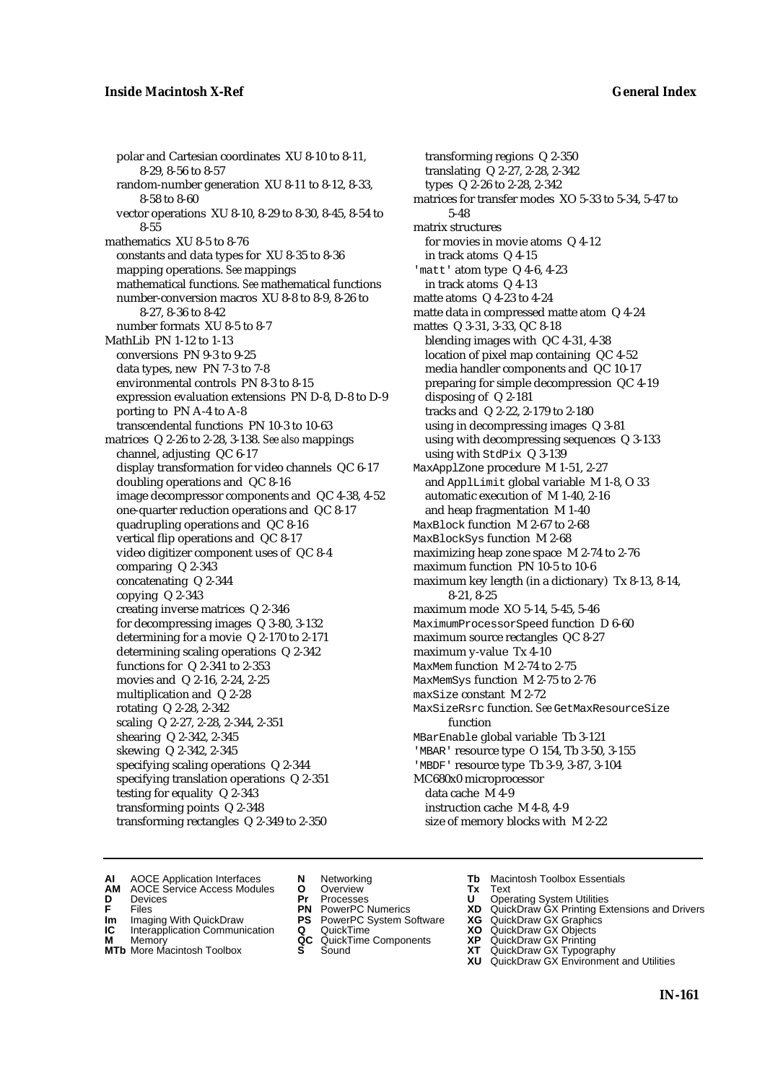polar and Cartesian coordinates XU 8-10 to 8-11, 8-29, 8-56 to 8-57 random-number generation XU 8-11 to 8-12, 8-33, 8-58 to 8-60 vector operations XU 8-10, 8-29 to 8-30, 8-45, 8-54 to 8-55 mathematics XU 8-5 to 8-76 constants and data types for XU 8-35 to 8-36 mapping operations. *See* mappings mathematical functions. *See* mathematical functions number-conversion macros XU 8-8 to 8-9, 8-26 to 8-27, 8-36 to 8-42 number formats XU 8-5 to 8-7 MathLib PN 1-12 to 1-13 conversions PN 9-3 to 9-25 data types, new PN 7-3 to 7-8 environmental controls PN 8-3 to 8-15 expression evaluation extensions PN D-8, D-8 to D-9 porting to PN A-4 to A-8 transcendental functions PN 10-3 to 10-63 matrices Q 2-26 to 2-28, 3-138. *See also* mappings channel, adjusting QC 6-17 display transformation for video channels QC 6-17 doubling operations and QC 8-16 image decompressor components and QC 4-38, 4-52 one-quarter reduction operations and QC 8-17 quadrupling operations and QC 8-16 vertical flip operations and QC 8-17 video digitizer component uses of QC 8-4 comparing Q 2-343 concatenating Q 2-344 copying Q 2-343 creating inverse matrices Q 2-346 for decompressing images Q 3-80, 3-132 determining for a movie Q 2-170 to 2-171 determining scaling operations Q 2-342 functions for Q 2-341 to 2-353 movies and Q 2-16, 2-24, 2-25 multiplication and Q 2-28 rotating Q 2-28, 2-342 scaling Q 2-27, 2-28, 2-344, 2-351 shearing Q 2-342, 2-345 skewing Q 2-342, 2-345 specifying scaling operations Q 2-344 specifying translation operations Q 2-351 testing for equality Q 2-343 transforming points Q 2-348 transforming rectangles Q 2-349 to 2-350

transforming regions Q 2-350 translating Q 2-27, 2-28, 2-342 types Q 2-26 to 2-28, 2-342 matrices for transfer modes XO 5-33 to 5-34, 5-47 to 5-48 matrix structures for movies in movie atoms Q 4-12 in track atoms Q 4-15 'matt' atom type Q 4-6, 4-23 in track atoms Q 4-13 matte atoms Q 4-23 to 4-24 matte data in compressed matte atom Q 4-24 mattes Q 3-31, 3-33, QC 8-18 blending images with QC 4-31, 4-38 location of pixel map containing QC 4-52 media handler components and QC 10-17 preparing for simple decompression QC 4-19 disposing of Q 2-181 tracks and Q 2-22, 2-179 to 2-180 using in decompressing images Q 3-81 using with decompressing sequences Q 3-133 using with StdPix Q 3-139 MaxApplZone procedure M 1-51, 2-27 and ApplLimit global variable M 1-8, O 33 automatic execution of M 1-40, 2-16 and heap fragmentation M 1-40 MaxBlock function M 2-67 to 2-68 MaxBlockSys function M 2-68 maximizing heap zone space M 2-74 to 2-76 maximum function PN 10-5 to 10-6 maximum key length (in a dictionary) Tx 8-13, 8-14, 8-21, 8-25 maximum mode XO 5-14, 5-45, 5-46 MaximumProcessorSpeed function D 6-60 maximum source rectangles QC 8-27 maximum y-value Tx 4-10 MaxMem function M 2-74 to 2-75 MaxMemSys function M 2-75 to 2-76 maxSize constant M 2-72 MaxSizeRsrc function. *See* GetMaxResourceSize function MBarEnable global variable Tb 3-121 'MBAR' resource type O 154, Tb 3-50, 3-155 'MBDF' resource type Tb 3-9, 3-87, 3-104 MC680x0 microprocessor data cache M 4-9 instruction cache M 4-8, 4-9 size of memory blocks with M 2-22

- **AI** AOCE Application Interfaces **N** Networking **Tb** Macintosh Toolbox Essentials
- **AM** AOCE Service Access Modules **O** Overview **Tx** Text
- 
- 
- **Im** Files<br> **Im** Imaging With QuickDraw **PS** PowerPC System Software **XG**<br> **IC** Interapplication Communication **Q** QuickTime **XO**
- **IC** Interapplication Communication **Q** QuickTime **XO M** Memory **XO QC** QuickTime Components **XP M** Memory **District Acc** QuickTime Components **XP**<br> **MTb** More Macintosh Toolbox **S** Sound **XT**
- **MTb** More Macintosh Toolbox **S** Sound **XT** QuickDraw GX Typography
- 
- **D** Devices **Pr** Processes **U** Operating System Utilities
	-
	-
	-
	-
- 
- 
- **F** Files **PN** PowerPC Numerics **XD** QuickDraw GX Printing Extensions and Drivers
	-
	-
	-
	- **XU** QuickDraw GX Environment and Utilities
		- **IN-161**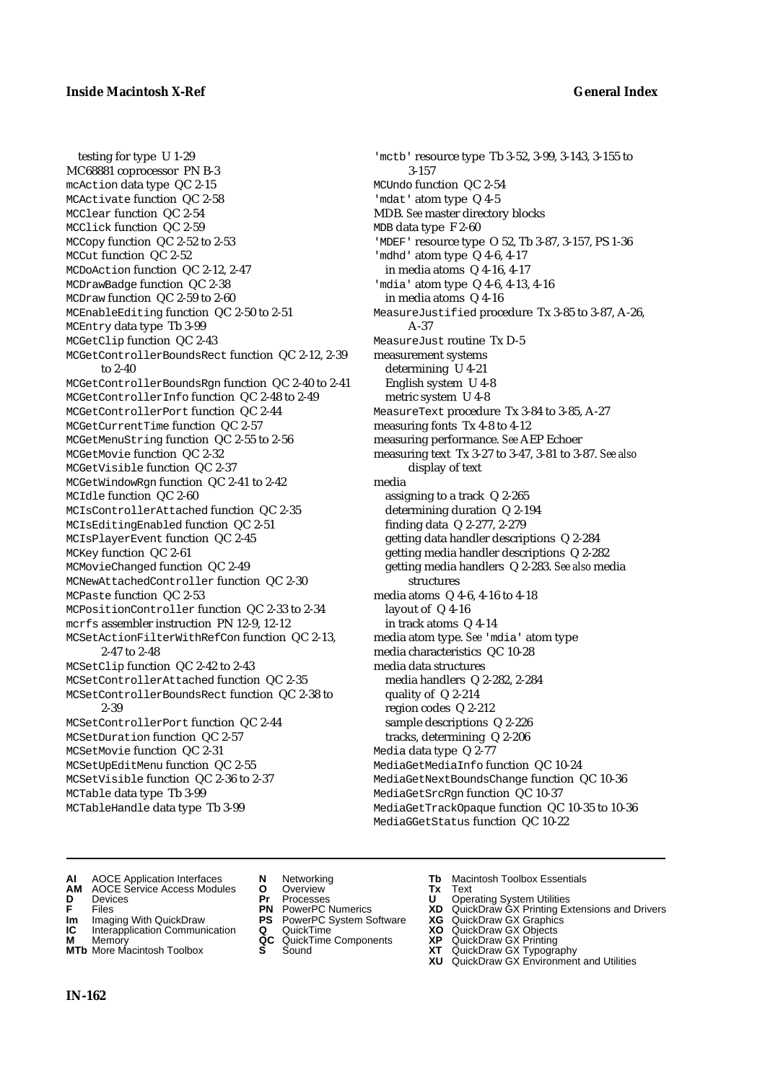testing for type U 1-29 MC68881 coprocessor PN B-3 mcAction data type QC 2-15 MCActivate function QC 2-58 MCClear function QC 2-54 MCClick function QC 2-59 MCCopy function QC 2-52 to 2-53 MCCut function QC 2-52 MCDoAction function QC 2-12, 2-47 MCDrawBadge function QC 2-38 MCDraw function QC 2-59 to 2-60 MCEnableEditing function QC 2-50 to 2-51 MCEntry data type Tb 3-99 MCGetClip function QC 2-43 MCGetControllerBoundsRect function QC 2-12, 2-39 to 2-40 MCGetControllerBoundsRgn function QC 2-40 to 2-41 MCGetControllerInfo function QC 2-48 to 2-49 MCGetControllerPort function QC 2-44 MCGetCurrentTime function QC 2-57 MCGetMenuString function QC 2-55 to 2-56 MCGetMovie function QC 2-32 MCGetVisible function QC 2-37 MCGetWindowRgn function QC 2-41 to 2-42 MCIdle function QC 2-60 MCIsControllerAttached function QC 2-35 MCIsEditingEnabled function QC 2-51 MCIsPlayerEvent function QC 2-45 MCKey function QC 2-61 MCMovieChanged function QC 2-49 MCNewAttachedController function QC 2-30 MCPaste function QC 2-53 MCPositionController function QC 2-33 to 2-34 mcrfs assembler instruction PN 12-9, 12-12 MCSetActionFilterWithRefCon function QC 2-13, 2-47 to 2-48 MCSetClip function QC 2-42 to 2-43 MCSetControllerAttached function QC 2-35 MCSetControllerBoundsRect function QC 2-38 to 2-39 MCSetControllerPort function QC 2-44 MCSetDuration function QC 2-57 MCSetMovie function QC 2-31 MCSetUpEditMenu function QC 2-55 MCSetVisible function QC 2-36 to 2-37 MCTable data type Tb 3-99 MCTableHandle data type Tb 3-99

'mctb' resource type Tb 3-52, 3-99, 3-143, 3-155 to 3-157 MCUndo function QC 2-54 'mdat' atom type Q 4-5 MDB. *See* master directory blocks MDB data type F 2-60 'MDEF' resource type O 52, Tb 3-87, 3-157, PS 1-36 'mdhd' atom type Q 4-6, 4-17 in media atoms Q 4-16, 4-17 'mdia' atom type Q 4-6, 4-13, 4-16 in media atoms Q 4-16 MeasureJustified procedure Tx 3-85 to 3-87, A-26, A-37 MeasureJust routine Tx D-5 measurement systems determining U 4-21 English system U 4-8 metric system U 4-8 MeasureText procedure Tx 3-84 to 3-85, A-27 measuring fonts Tx 4-8 to 4-12 measuring performance. *See* AEP Echoer measuring text Tx 3-27 to 3-47, 3-81 to 3-87. *See also* display of text media assigning to a track Q 2-265 determining duration Q 2-194 finding data Q 2-277, 2-279 getting data handler descriptions Q 2-284 getting media handler descriptions Q 2-282 getting media handlers Q 2-283. *See also* media structures media atoms Q 4-6, 4-16 to 4-18 layout of Q 4-16 in track atoms Q 4-14 media atom type. *See* 'mdia' atom type media characteristics QC 10-28 media data structures media handlers Q 2-282, 2-284 quality of Q 2-214 region codes Q 2-212 sample descriptions Q 2-226 tracks, determining Q 2-206 Media data type Q 2-77 MediaGetMediaInfo function QC 10-24 MediaGetNextBoundsChange function QC 10-36 MediaGetSrcRgn function QC 10-37 MediaGetTrackOpaque function QC 10-35 to 10-36 MediaGGetStatus function QC 10-22

- **AI** AOCE Application Interfaces **N** Networking **Tb** Macintosh Toolbox Essentials
- **AM** AOCE Service Access Modules **O** Overview **Tx** Text
- 
- 
- **IM IMAGE CONSTRANT PRESENT PRESENT PRESENT PRESENT PRESENT PRESENT PRESENT PRESENT PRESENT PRESENT PRESENT PRESEN<br>
<b>IM** Imaging With QuickDraw **PS** PowerPC System Software **XG**<br> **IC** Interapplication Communication **Q** Qui
- **Interapplication Communication <b>Q** QuickTime **XO** Memory **XO** Memory **XP QC** QuickTime Components **XP**
- **M** Memory **District Acc** QuickTime Components **XP**<br> **MTb** More Macintosh Toolbox **S** Sound **XT MTb** More Macintosh Toolbox **S** Sound **XT** QuickDraw GX Typography
- 
- **D** Devices **Pr** Processes **U** Operating System Utilities
	-
	-
	-
	-
- 
- 
- **F** Files **PN** PowerPC Numerics **XD** QuickDraw GX Printing Extensions and Drivers
	-
	-
	-
	-
	- **XU** QuickDraw GX Environment and Utilities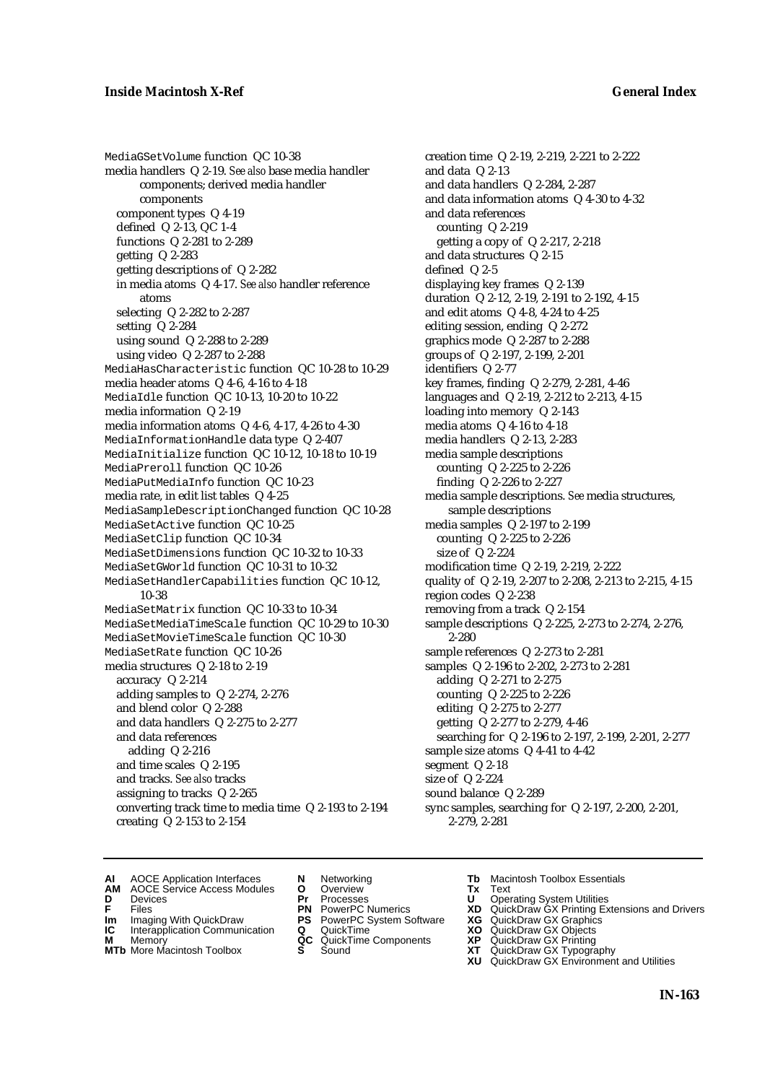MediaGSetVolume function QC 10-38 media handlers Q 2-19. *See also* base media handler components; derived media handler components component types Q 4-19 defined Q 2-13, QC 1-4 functions Q 2-281 to 2-289 getting Q 2-283 getting descriptions of Q 2-282 in media atoms Q 4-17. *See also* handler reference atoms selecting Q 2-282 to 2-287 setting Q 2-284 using sound Q 2-288 to 2-289 using video Q 2-287 to 2-288 MediaHasCharacteristic function QC 10-28 to 10-29 media header atoms Q 4-6, 4-16 to 4-18 MediaIdle function QC 10-13, 10-20 to 10-22 media information Q 2-19 media information atoms Q 4-6, 4-17, 4-26 to 4-30 MediaInformationHandle data type Q 2-407 MediaInitialize function QC 10-12, 10-18 to 10-19 MediaPreroll function QC 10-26 MediaPutMediaInfo function QC 10-23 media rate, in edit list tables Q 4-25 MediaSampleDescriptionChanged function QC 10-28 MediaSetActive function QC 10-25 MediaSetClip function QC 10-34 MediaSetDimensions function QC 10-32 to 10-33 MediaSetGWorld function QC 10-31 to 10-32 MediaSetHandlerCapabilities function QC 10-12, 10-38 MediaSetMatrix function QC 10-33 to 10-34 MediaSetMediaTimeScale function QC 10-29 to 10-30 MediaSetMovieTimeScale function QC 10-30 MediaSetRate function QC 10-26 media structures Q 2-18 to 2-19 accuracy Q 2-214 adding samples to Q 2-274, 2-276 and blend color Q 2-288 and data handlers Q 2-275 to 2-277 and data references adding Q 2-216 and time scales Q 2-195 and tracks. *See also* tracks assigning to tracks Q 2-265 converting track time to media time Q 2-193 to 2-194 creating Q 2-153 to 2-154

creation time Q 2-19, 2-219, 2-221 to 2-222 and data Q 2-13 and data handlers Q 2-284, 2-287 and data information atoms Q 4-30 to 4-32 and data references counting Q 2-219 getting a copy of Q 2-217, 2-218 and data structures Q 2-15 defined Q 2-5 displaying key frames Q 2-139 duration Q 2-12, 2-19, 2-191 to 2-192, 4-15 and edit atoms Q 4-8, 4-24 to 4-25 editing session, ending Q 2-272 graphics mode Q 2-287 to 2-288 groups of Q 2-197, 2-199, 2-201 identifiers Q 2-77 key frames, finding Q 2-279, 2-281, 4-46 languages and Q 2-19, 2-212 to 2-213, 4-15 loading into memory Q 2-143 media atoms Q 4-16 to 4-18 media handlers Q 2-13, 2-283 media sample descriptions counting Q 2-225 to 2-226 finding Q 2-226 to 2-227 media sample descriptions. *See* media structures, sample descriptions media samples Q 2-197 to 2-199 counting Q 2-225 to 2-226 size of Q 2-224 modification time Q 2-19, 2-219, 2-222 quality of Q 2-19, 2-207 to 2-208, 2-213 to 2-215, 4-15 region codes Q 2-238 removing from a track Q 2-154 sample descriptions Q 2-225, 2-273 to 2-274, 2-276, 2-280 sample references Q 2-273 to 2-281 samples Q 2-196 to 2-202, 2-273 to 2-281 adding Q 2-271 to 2-275 counting Q 2-225 to 2-226 editing Q 2-275 to 2-277 getting Q 2-277 to 2-279, 4-46 searching for Q 2-196 to 2-197, 2-199, 2-201, 2-277 sample size atoms Q 4-41 to 4-42 segment Q 2-18 size of Q 2-224 sound balance Q 2-289 sync samples, searching for Q 2-197, 2-200, 2-201, 2-279, 2-281

- **AI** AOCE Application Interfaces **N** Networking **Tb** Macintosh Toolbox Essentials<br> **AM** AOCE Service Access Modules **O** Overview **Tx** Text<br> **D** Devices **Pr** Processes **U** Operating System Utilities
- AOCE Service Access Modules **O** Overview **Tx** Text<br>Devices **Devices Devices Devices**
- 
- 
- 
- **IM** FILES<br> **Im** Imaging With QuickDraw **PS** PowerPC System Software **XG**<br> **IC** Interapplication Communication **Q** QuickTime **XO IC** Interapplication Communication **Q** QuickTime **XO M** Memory **XO QC** QuickTime Components **XP**
- **M** Memory **District Acc** QuickTime Components **XP**<br> **MTb** More Macintosh Toolbox **S** Sound **XT**
- **MTb** More Macintosh Toolbox **S** Sound **XT** QuickDraw GX Typography
- 
- **D** Devices **Pr** Processes **U** Operating System Utilities
	-
	-
	-
	-
- 
- 
- **F** Files **PN** PowerPC Numerics **XD** QuickDraw GX Printing Extensions and Drivers
	-
	-
	-
	- **XU** QuickDraw GX Environment and Utilities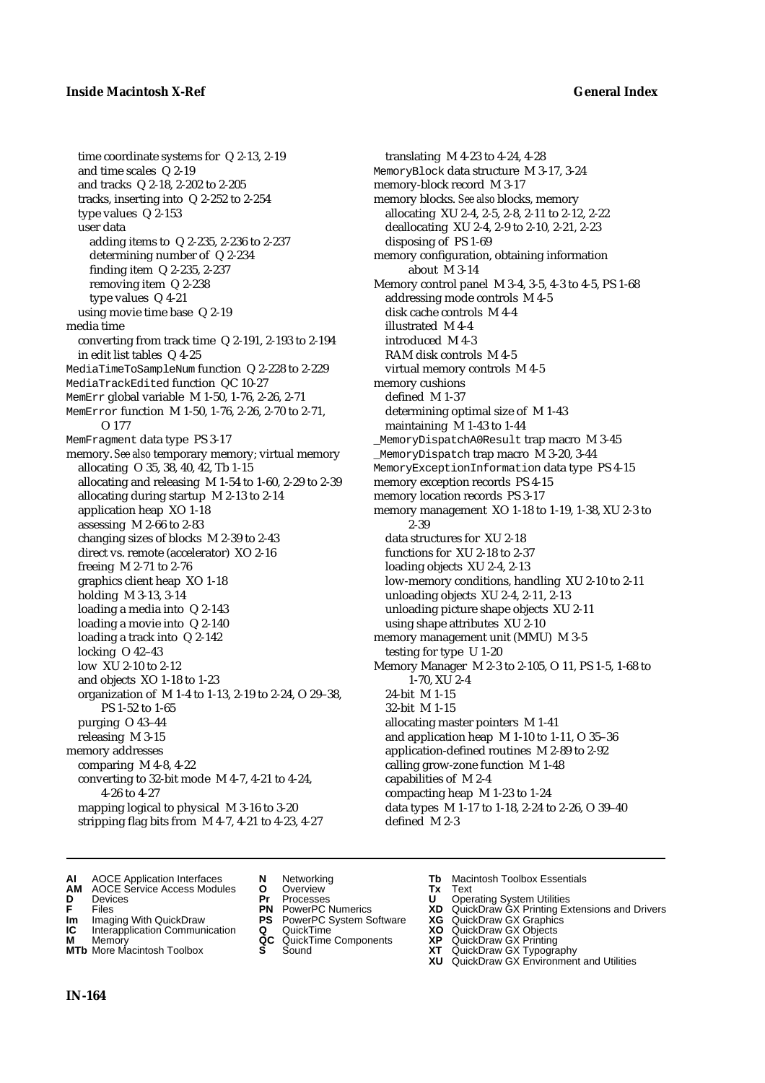time coordinate systems for Q 2-13, 2-19 and time scales Q 2-19 and tracks Q 2-18, 2-202 to 2-205 tracks, inserting into Q 2-252 to 2-254 type values Q 2-153 user data adding items to Q 2-235, 2-236 to 2-237 determining number of Q 2-234 finding item Q 2-235, 2-237 removing item Q 2-238 type values Q 4-21 using movie time base Q 2-19 media time converting from track time Q 2-191, 2-193 to 2-194 in edit list tables Q 4-25 MediaTimeToSampleNum function Q 2-228 to 2-229 MediaTrackEdited function QC 10-27 MemErr global variable M 1-50, 1-76, 2-26, 2-71 MemError function M 1-50, 1-76, 2-26, 2-70 to 2-71, O 177 MemFragment data type PS 3-17 memory. *See also* temporary memory; virtual memory allocating O 35, 38, 40, 42, Tb 1-15 allocating and releasing M 1-54 to 1-60, 2-29 to 2-39 allocating during startup M 2-13 to 2-14 application heap XO 1-18 assessing M 2-66 to 2-83 changing sizes of blocks M 2-39 to 2-43 direct vs. remote (accelerator) XO 2-16 freeing M 2-71 to 2-76 graphics client heap XO 1-18 holding M 3-13, 3-14 loading a media into Q 2-143 loading a movie into Q 2-140 loading a track into Q 2-142 locking O 42–43 low XU 2-10 to 2-12 and objects XO 1-18 to 1-23 organization of M 1-4 to 1-13, 2-19 to 2-24, O 29–38, PS 1-52 to 1-65 purging O 43–44 releasing M 3-15 memory addresses comparing M 4-8, 4-22 converting to 32-bit mode M 4-7, 4-21 to 4-24, 4-26 to 4-27 mapping logical to physical M 3-16 to 3-20 stripping flag bits from M 4-7, 4-21 to 4-23, 4-27

translating M 4-23 to 4-24, 4-28 MemoryBlock data structure M 3-17, 3-24 memory-block record M 3-17 memory blocks. *See also* blocks, memory allocating XU 2-4, 2-5, 2-8, 2-11 to 2-12, 2-22 deallocating XU 2-4, 2-9 to 2-10, 2-21, 2-23 disposing of PS 1-69 memory configuration, obtaining information about M 3-14 Memory control panel M 3-4, 3-5, 4-3 to 4-5, PS 1-68 addressing mode controls M 4-5 disk cache controls M 4-4 illustrated M 4-4 introduced M 4-3 RAM disk controls M 4-5 virtual memory controls M 4-5 memory cushions defined M 1-37 determining optimal size of M 1-43 maintaining M 1-43 to 1-44 \_MemoryDispatchA0Result trap macro M 3-45 \_MemoryDispatch trap macro M 3-20, 3-44 MemoryExceptionInformation data type PS 4-15 memory exception records PS 4-15 memory location records PS 3-17 memory management XO 1-18 to 1-19, 1-38, XU 2-3 to 2-39 data structures for XU 2-18 functions for XU 2-18 to 2-37 loading objects XU 2-4, 2-13 low-memory conditions, handling XU 2-10 to 2-11 unloading objects XU 2-4, 2-11, 2-13 unloading picture shape objects XU 2-11 using shape attributes XU 2-10 memory management unit (MMU) M 3-5 testing for type U 1-20 Memory Manager M 2-3 to 2-105, O 11, PS 1-5, 1-68 to 1-70, XU 2-4 24-bit M 1-15 32-bit M 1-15 allocating master pointers M 1-41 and application heap M 1-10 to 1-11, O 35–36 application-defined routines M 2-89 to 2-92 calling grow-zone function M 1-48 capabilities of M 2-4 compacting heap M 1-23 to 1-24 data types M 1-17 to 1-18, 2-24 to 2-26, O 39–40 defined M 2-3

- **AI** AOCE Application Interfaces **N** Networking **Tb** Macintosh Toolbox Essentials<br> **AM** AOCE Service Access Modules **O** Overview **Tx** Text<br> **D** Devices **Pr** Processes **U** Operating System Utilities
- **AM** AOCE Service Access Modules **O** Overview **Tx** Text
- 
- 
- 
- **Interapplication Communication <b>Q** QuickTime **XO** Memory **XO** Memory **XP QC** QuickTime Components **XP**
- **M** Memory **District Acc** QuickTime Components **XP**<br> **MTb** More Macintosh Toolbox **S** Sound **XT**
- 
- **D** Devices **Pr** Processes **U** Operating System Utilities
	-
- **Im** Imaging With QuickDraw **PS** PowerPC System Software **XG IC** Interapplication Communication **Q** QuickTime **COVIC** 
	-
	-
	-
- 
- 
- **FRICAG CONSISTS IN THE PROCESSES CONSISTS AND CONSIST CONSISTENT CONSISTS CONSISTS PRINTIPLE PROCESSES CONSISTS CON<br>
<b>F**FRICES **PN** POWERPC Numerics **XD** QuickDraw GX Printing Extensions and Drivers<br> **Im** Imaging With Qui
	-
	-
	-
- **MTb** More Macintosh Toolbox **S** Sound **XT** QuickDraw GX Typography
	- **XU** QuickDraw GX Environment and Utilities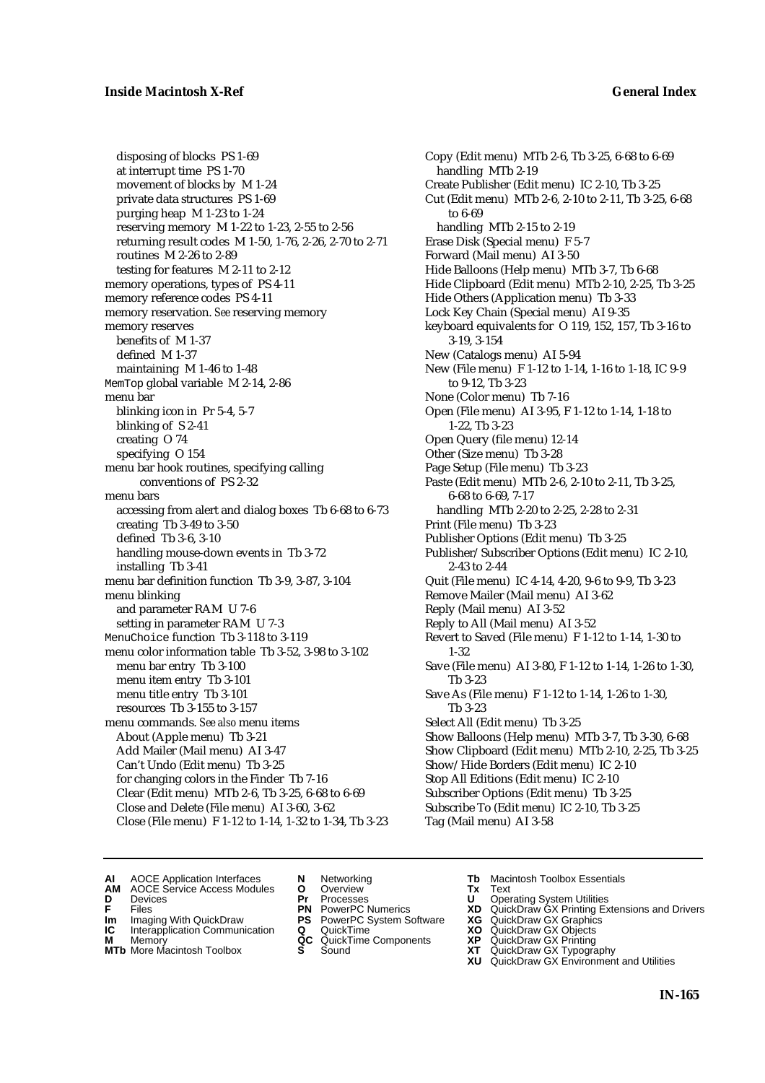disposing of blocks PS 1-69 at interrupt time PS 1-70 movement of blocks by M 1-24 private data structures PS 1-69 purging heap M 1-23 to 1-24 reserving memory M 1-22 to 1-23, 2-55 to 2-56 returning result codes M 1-50, 1-76, 2-26, 2-70 to 2-71 routines M 2-26 to 2-89 testing for features M 2-11 to 2-12 memory operations, types of PS 4-11 memory reference codes PS 4-11 memory reservation. *See* reserving memory memory reserves benefits of M 1-37 defined M 1-37 maintaining M 1-46 to 1-48 MemTop global variable M 2-14, 2-86 menu bar blinking icon in Pr 5-4, 5-7 blinking of S 2-41 creating O 74 specifying O 154 menu bar hook routines, specifying calling conventions of PS 2-32 menu bars accessing from alert and dialog boxes Tb 6-68 to 6-73 creating Tb 3-49 to 3-50 defined Tb 3-6, 3-10 handling mouse-down events in Tb 3-72 installing Tb 3-41 menu bar definition function Tb 3-9, 3-87, 3-104 menu blinking and parameter RAM U 7-6 setting in parameter RAM U 7-3 MenuChoice function Tb 3-118 to 3-119 menu color information table Tb 3-52, 3-98 to 3-102 menu bar entry Tb 3-100 menu item entry Tb 3-101 menu title entry Tb 3-101 resources Tb 3-155 to 3-157 menu commands. *See also* menu items About (Apple menu) Tb 3-21 Add Mailer (Mail menu) AI 3-47 Can't Undo (Edit menu) Tb 3-25 for changing colors in the Finder Tb 7-16 Clear (Edit menu) MTb 2-6, Tb 3-25, 6-68 to 6-69 Close and Delete (File menu) AI 3-60, 3-62 Close (File menu) F 1-12 to 1-14, 1-32 to 1-34, Tb 3-23

Copy (Edit menu) MTb 2-6, Tb 3-25, 6-68 to 6-69 handling MTb 2-19 Create Publisher (Edit menu) IC 2-10, Tb 3-25 Cut (Edit menu) MTb 2-6, 2-10 to 2-11, Tb 3-25, 6-68 to 6-69 handling MTb 2-15 to 2-19 Erase Disk (Special menu) F 5-7 Forward (Mail menu) AI 3-50 Hide Balloons (Help menu) MTb 3-7, Tb 6-68 Hide Clipboard (Edit menu) MTb 2-10, 2-25, Tb 3-25 Hide Others (Application menu) Tb 3-33 Lock Key Chain (Special menu) AI 9-35 keyboard equivalents for O 119, 152, 157, Tb 3-16 to 3-19, 3-154 New (Catalogs menu) AI 5-94 New (File menu) F 1-12 to 1-14, 1-16 to 1-18, IC 9-9 to 9-12, Tb 3-23 None (Color menu) Tb 7-16 Open (File menu) AI 3-95, F 1-12 to 1-14, 1-18 to 1-22, Tb 3-23 Open Query (file menu) 12-14 Other (Size menu) Tb 3-28 Page Setup (File menu) Tb 3-23 Paste (Edit menu) MTb 2-6, 2-10 to 2-11, Tb 3-25, 6-68 to 6-69, 7-17 handling MTb 2-20 to 2-25, 2-28 to 2-31 Print (File menu) Tb 3-23 Publisher Options (Edit menu) Tb 3-25 Publisher/Subscriber Options (Edit menu) IC 2-10, 2-43 to 2-44 Quit (File menu) IC 4-14, 4-20, 9-6 to 9-9, Tb 3-23 Remove Mailer (Mail menu) AI 3-62 Reply (Mail menu) AI 3-52 Reply to All (Mail menu) AI 3-52 Revert to Saved (File menu) F 1-12 to 1-14, 1-30 to 1-32 Save (File menu) AI 3-80, F 1-12 to 1-14, 1-26 to 1-30, Tb 3-23 Save As (File menu) F 1-12 to 1-14, 1-26 to 1-30, Tb 3-23 Select All (Edit menu) Tb 3-25 Show Balloons (Help menu) MTb 3-7, Tb 3-30, 6-68 Show Clipboard (Edit menu) MTb 2-10, 2-25, Tb 3-25 Show/Hide Borders (Edit menu) IC 2-10 Stop All Editions (Edit menu) IC 2-10 Subscriber Options (Edit menu) Tb 3-25 Subscribe To (Edit menu) IC 2-10, Tb 3-25 Tag (Mail menu) AI 3-58

**AI** AOCE Application Interfaces **N** Networking **The Macintosh Toolbox Essentials**<br> **AM** AOCE Service Access Modules **O** Overview **Tx** Text<br> **D** Devices **Pr** Processes **U** Operating System Utilities

- **D** Devices **Pr** Processes **U** Operating System Utilities
- 
- **IM** FILES<br> **Im** Imaging With QuickDraw **PS** PowerPC System Software **XG**<br> **IC** Interapplication Communication **Q** QuickTime **XO**
- **IC** Interapplication Communication **Q** QuickTime **XO M** Memory **XO QC** QuickTime Components **XP**
- **M** Memory **QC** QuickTime Components **XP**<br>**MTb** More Macintosh Toolbox **S** Sound **XT**
- AOCE Service Access Modules **O** Overview **Tx** Text<br>Devices **Devices Devices Devices** 
	- -
		-
		-
		-
- 
- 
- **F** Files **PN** PowerPC Numerics **XD** QuickDraw GX Printing Extensions and Drivers
	-
	-
	-
- **MTb** More Macintosh Toolbox **S** Sound **XT** QuickDraw GX Typography **XU** QuickDraw GX Environment and Utilities
	- **IN-165**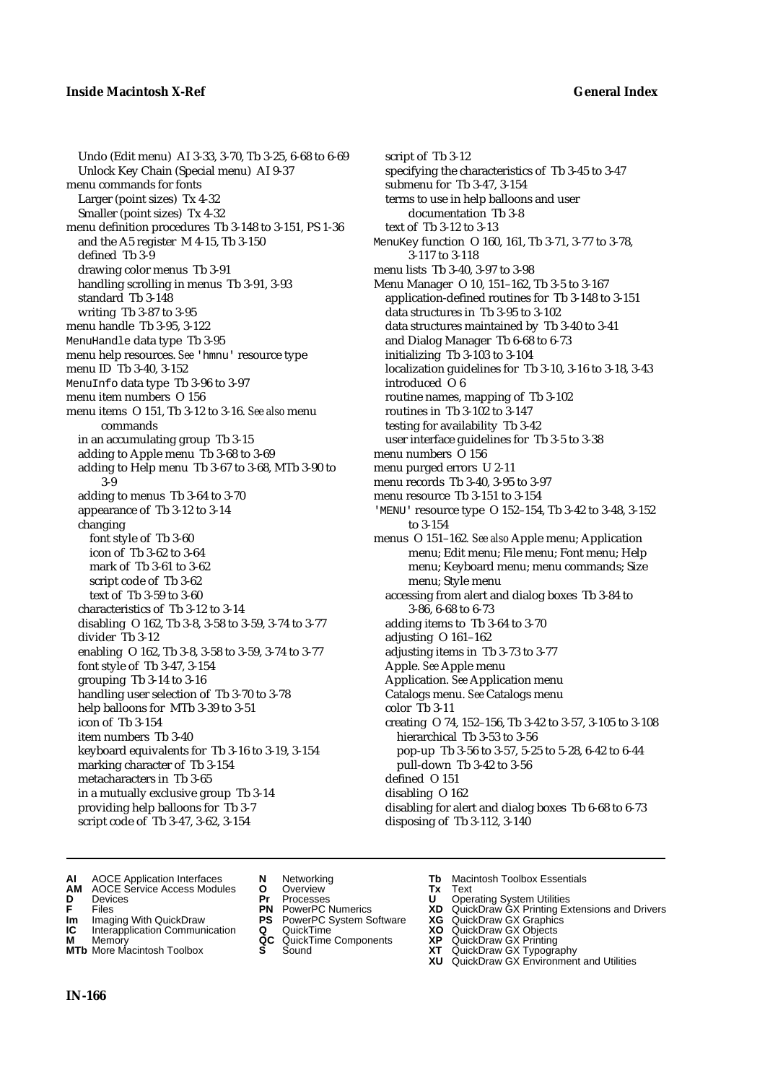Undo (Edit menu) AI 3-33, 3-70, Tb 3-25, 6-68 to 6-69 Unlock Key Chain (Special menu) AI 9-37 menu commands for fonts Larger (point sizes) Tx 4-32 Smaller (point sizes) Tx 4-32 menu definition procedures Tb 3-148 to 3-151, PS 1-36 and the A5 register M 4-15, Tb 3-150 defined Tb 3-9 drawing color menus Tb 3-91 handling scrolling in menus Tb 3-91, 3-93 standard Tb 3-148 writing Tb 3-87 to 3-95 menu handle Tb 3-95, 3-122 MenuHandle data type Tb 3-95 menu help resources. *See* 'hmnu' resource type menu ID Tb 3-40, 3-152 MenuInfo data type Tb 3-96 to 3-97 menu item numbers O 156 menu items O 151, Tb 3-12 to 3-16. *See also* menu commands in an accumulating group Tb 3-15 adding to Apple menu Tb 3-68 to 3-69 adding to Help menu Tb 3-67 to 3-68, MTb 3-90 to 3-9 adding to menus Tb 3-64 to 3-70 appearance of Tb 3-12 to 3-14 changing font style of Tb 3-60 icon of Tb 3-62 to 3-64 mark of Tb 3-61 to 3-62 script code of Tb 3-62 text of Tb 3-59 to 3-60 characteristics of Tb 3-12 to 3-14 disabling O 162, Tb 3-8, 3-58 to 3-59, 3-74 to 3-77 divider Tb 3-12 enabling O 162, Tb 3-8, 3-58 to 3-59, 3-74 to 3-77 font style of Tb 3-47, 3-154 grouping Tb 3-14 to 3-16 handling user selection of Tb 3-70 to 3-78 help balloons for MTb 3-39 to 3-51 icon of Tb 3-154 item numbers Tb 3-40 keyboard equivalents for Tb 3-16 to 3-19, 3-154 marking character of Tb 3-154 metacharacters in Tb 3-65 in a mutually exclusive group Tb 3-14 providing help balloons for Tb 3-7 script code of Tb 3-47, 3-62, 3-154

script of Tb 3-12 specifying the characteristics of Tb 3-45 to 3-47 submenu for Tb 3-47, 3-154 terms to use in help balloons and user documentation Tb 3-8 text of Tb 3-12 to 3-13 MenuKey function O 160, 161, Tb 3-71, 3-77 to 3-78, 3-117 to 3-118 menu lists Tb 3-40, 3-97 to 3-98 Menu Manager O 10, 151–162, Tb 3-5 to 3-167 application-defined routines for Tb 3-148 to 3-151 data structures in Tb 3-95 to 3-102 data structures maintained by Tb 3-40 to 3-41 and Dialog Manager Tb 6-68 to 6-73 initializing Tb 3-103 to 3-104 localization guidelines for Tb 3-10, 3-16 to 3-18, 3-43 introduced O 6 routine names, mapping of Tb 3-102 routines in Tb 3-102 to 3-147 testing for availability Tb 3-42 user interface guidelines for Tb 3-5 to 3-38 menu numbers O 156 menu purged errors U 2-11 menu records Tb 3-40, 3-95 to 3-97 menu resource Tb 3-151 to 3-154 'MENU' resource type O 152–154, Tb 3-42 to 3-48, 3-152 to 3-154 menus O 151–162*. See also* Apple menu; Application menu; Edit menu; File menu; Font menu; Help menu; Keyboard menu; menu commands; Size menu; Style menu accessing from alert and dialog boxes Tb 3-84 to 3-86, 6-68 to 6-73 adding items to Tb 3-64 to 3-70 adjusting O 161–162 adjusting items in Tb 3-73 to 3-77 Apple. *See* Apple menu Application. *See* Application menu Catalogs menu. *See* Catalogs menu color Tb 3-11 creating O 74, 152–156, Tb 3-42 to 3-57, 3-105 to 3-108 hierarchical Tb 3-53 to 3-56 pop-up Tb 3-56 to 3-57, 5-25 to 5-28, 6-42 to 6-44 pull-down Tb 3-42 to 3-56 defined O 151 disabling O 162 disabling for alert and dialog boxes Tb 6-68 to 6-73 disposing of Tb 3-112, 3-140

- **AI** AOCE Application Interfaces **N** Networking **Tb** Macintosh Toolbox Essentials<br> **AM** AOCE Service Access Modules **O** Overview **Tx** Text<br> **D** Devices **Pr** Processes **U** Operating System Utilities
- **AM** AOCE Service Access Modules **O** Overview **Tx** Text
- 
- 
- **Im** Imaging With QuickDraw **PS** PowerPC System Software **XG IC** Interapplication Communication **Q** QuickTime **COVIC**
- **Interapplication Communication <b>Q** QuickTime **X XO** Memory **XO XP XP QC** QuickTime Components **XP M** Memory **QC** QuickTime Components **XP** QuickDraw GX Printing
- **MTb** More Macintosh Toolbox **S** Sound **XT** QuickDraw GX Typography
- 
- 
- 
- 
- 
- 
- 
- **D** Devices **Pr** Processes **U** Operating System Utilities
- **F** Files **PN** PowerPC Numerics **XD** QuickDraw GX Printing Extensions and Drivers
	-
	-
	-
	-
	- **XU** QuickDraw GX Environment and Utilities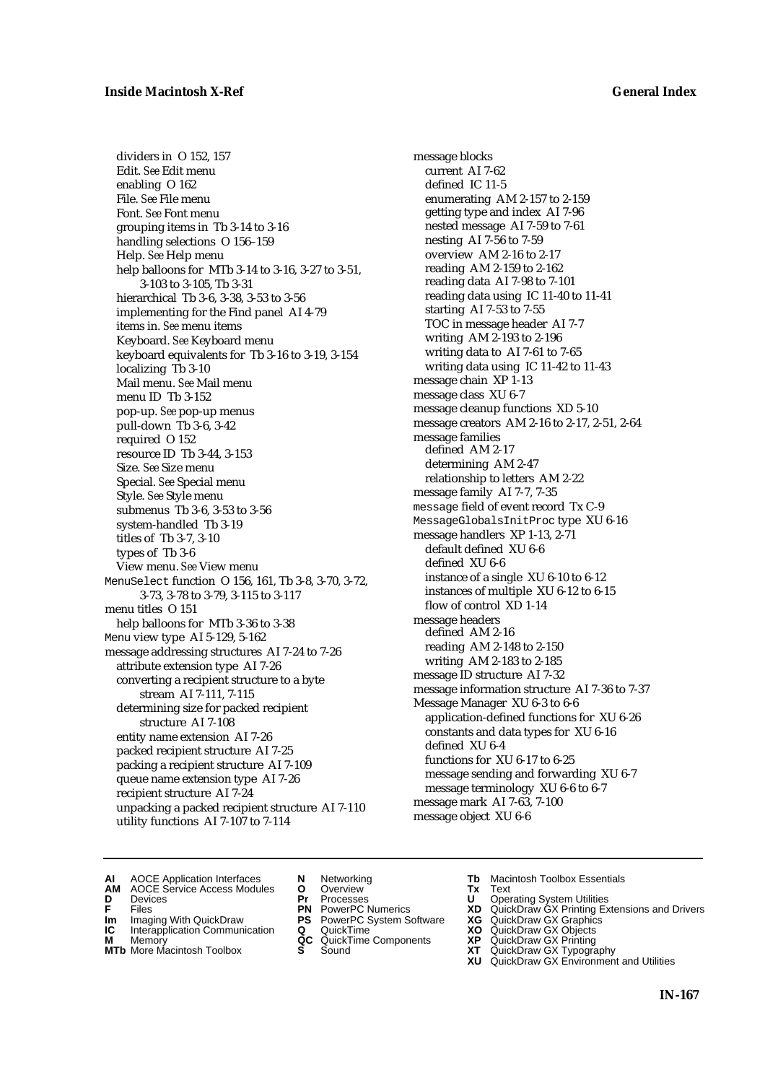dividers in O 152, 157 Edit. *See* Edit menu enabling O 162 File. *See* File menu Font. *See* Font menu grouping items in Tb 3-14 to 3-16 handling selections O 156–159 Help. *See* Help menu help balloons for MTb 3-14 to 3-16, 3-27 to 3-51, 3-103 to 3-105, Tb 3-31 hierarchical Tb 3-6, 3-38, 3-53 to 3-56 implementing for the Find panel AI 4-79 items in. *See* menu items Keyboard. *See* Keyboard menu keyboard equivalents for Tb 3-16 to 3-19, 3-154 localizing Tb 3-10 Mail menu. *See* Mail menu menu ID Tb 3-152 pop-up. *See* pop-up menus pull-down Tb 3-6, 3-42 required O 152 resource ID Tb 3-44, 3-153 Size. *See* Size menu Special. *See* Special menu Style. *See* Style menu submenus Tb 3-6, 3-53 to 3-56 system-handled Tb 3-19 titles of Tb 3-7, 3-10 types of Tb 3-6 View menu. *See* View menu MenuSelect function O 156, 161, Tb 3-8, 3-70, 3-72, 3-73, 3-78 to 3-79, 3-115 to 3-117 menu titles O 151 help balloons for MTb 3-36 to 3-38 Menu view type AI 5-129, 5-162 message addressing structures AI 7-24 to 7-26 attribute extension type AI 7-26 converting a recipient structure to a byte stream AI 7-111, 7-115 determining size for packed recipient structure AI 7-108 entity name extension AI 7-26 packed recipient structure AI 7-25 packing a recipient structure AI 7-109 queue name extension type AI 7-26 recipient structure AI 7-24 unpacking a packed recipient structure AI 7-110 utility functions AI 7-107 to 7-114

message blocks current AI 7-62 defined IC 11-5 enumerating AM 2-157 to 2-159 getting type and index AI 7-96 nested message AI 7-59 to 7-61 nesting AI 7-56 to 7-59 overview AM 2-16 to 2-17 reading AM 2-159 to 2-162 reading data AI 7-98 to 7-101 reading data using IC 11-40 to 11-41 starting AI 7-53 to 7-55 TOC in message header AI 7-7 writing AM 2-193 to 2-196 writing data to AI 7-61 to 7-65 writing data using IC 11-42 to 11-43 message chain XP 1-13 message class XU 6-7 message cleanup functions XD 5-10 message creators AM 2-16 to 2-17, 2-51, 2-64 message families defined AM 2-17 determining AM 2-47 relationship to letters AM 2-22 message family AI 7-7, 7-35 message field of event record Tx C-9 MessageGlobalsInitProc type XU 6-16 message handlers XP 1-13, 2-71 default defined XU 6-6 defined XU 6-6 instance of a single XU 6-10 to 6-12 instances of multiple XU 6-12 to 6-15 flow of control XD 1-14 message headers defined AM 2-16 reading AM 2-148 to 2-150 writing AM 2-183 to 2-185 message ID structure AI 7-32 message information structure AI 7-36 to 7-37 Message Manager XU 6-3 to 6-6 application-defined functions for XU 6-26 constants and data types for XU 6-16 defined XU 6-4 functions for XU 6-17 to 6-25 message sending and forwarding XU 6-7 message terminology XU 6-6 to 6-7 message mark AI 7-63, 7-100 message object XU 6-6

- **AI** AOCE Application Interfaces **N** Networking **Tb** Macintosh Toolbox Essentials
- **AM** AOCE Service Access Modules **O** Overview **Tx** Text
- 
- 
- **Im** Imaging With QuickDraw **PS** PowerPC System Software **XG IC** Interapplication Communication **Q** QuickTime **XO**
- **IC** Interapplication Communication **Q** QuickTime **XO M** Memory **XP QC** QuickTime Components **XP M** Memory **CONSISTENT CONSISTENT QC** QuickTime Components **XP**<br> **MTb** More Macintosh Toolbox **S** Sound **XT**
- **MTb** More Macintosh Toolbox **S** Sound **XT** QuickDraw GX Typography
- 
- **D** Devices **Pr** Processes **U** Operating System Utilities
	-
	-
	-
	-
- 
- 
- **F** Files **PN** PowerPC Numerics **XD** QuickDraw GX Printing Extensions and Drivers
	-
	-
	-
	-
	- **XU** QuickDraw GX Environment and Utilities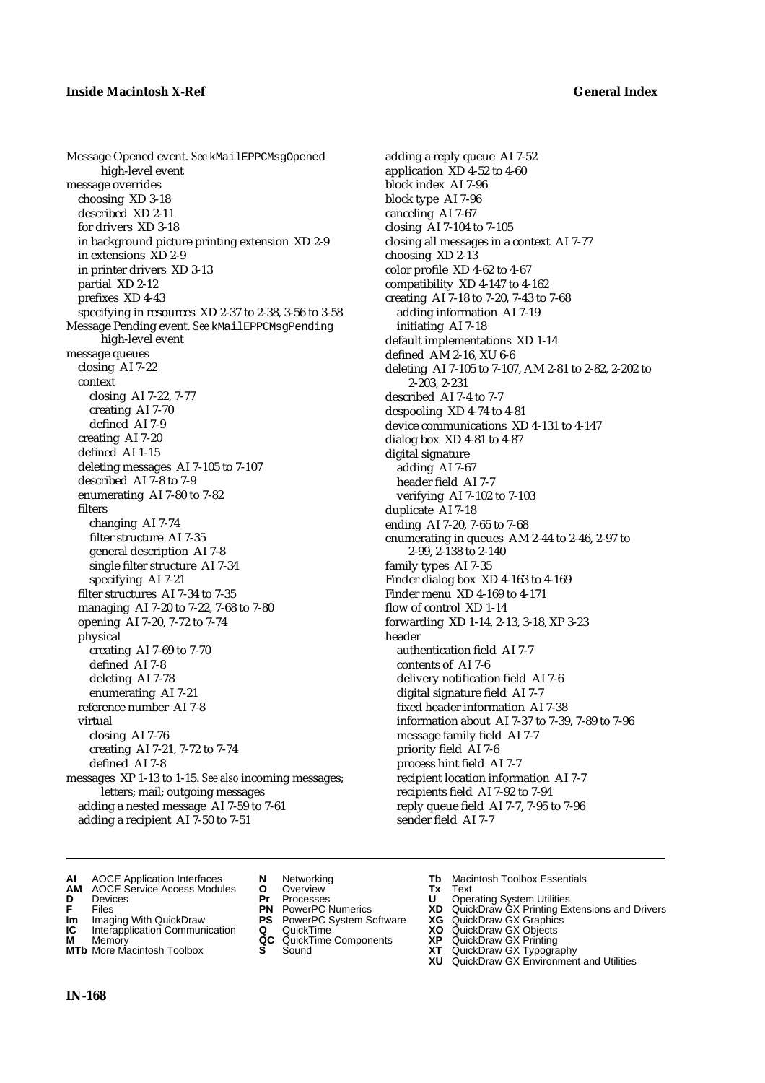Message Opened event. *See* kMailEPPCMsgOpened high-level event message overrides choosing XD 3-18 described XD 2-11 for drivers XD 3-18 in background picture printing extension XD 2-9 in extensions XD 2-9 in printer drivers XD 3-13 partial XD 2-12 prefixes XD 4-43 specifying in resources XD 2-37 to 2-38, 3-56 to 3-58 Message Pending event. *See* kMailEPPCMsgPending high-level event message queues closing AI 7-22 context closing AI 7-22, 7-77 creating AI 7-70 defined AI 7-9 creating AI 7-20 defined AI 1-15 deleting messages AI 7-105 to 7-107 described AI 7-8 to 7-9 enumerating AI 7-80 to 7-82 filters changing AI 7-74 filter structure AI 7-35 general description AI 7-8 single filter structure AI 7-34 specifying AI 7-21 filter structures AI 7-34 to 7-35 managing AI 7-20 to 7-22, 7-68 to 7-80 opening AI 7-20, 7-72 to 7-74 physical creating AI 7-69 to 7-70 defined AI 7-8 deleting AI 7-78 enumerating AI 7-21 reference number AI 7-8 virtual closing AI 7-76 creating AI 7-21, 7-72 to 7-74 defined AI 7-8 messages XP 1-13 to 1-15. *See also* incoming messages; letters; mail; outgoing messages adding a nested message AI 7-59 to 7-61 adding a recipient AI 7-50 to 7-51

adding a reply queue AI 7-52 application XD 4-52 to 4-60 block index AI 7-96 block type AI 7-96 canceling AI 7-67 closing AI 7-104 to 7-105 closing all messages in a context AI 7-77 choosing XD 2-13 color profile XD 4-62 to 4-67 compatibility XD 4-147 to 4-162 creating AI 7-18 to 7-20, 7-43 to 7-68 adding information AI 7-19 initiating AI 7-18 default implementations XD 1-14 defined AM 2-16, XU 6-6 deleting AI 7-105 to 7-107, AM 2-81 to 2-82, 2-202 to 2-203, 2-231 described AI 7-4 to 7-7 despooling XD 4-74 to 4-81 device communications XD 4-131 to 4-147 dialog box XD 4-81 to 4-87 digital signature adding AI 7-67 header field AI 7-7 verifying AI 7-102 to 7-103 duplicate AI 7-18 ending AI 7-20, 7-65 to 7-68 enumerating in queues AM 2-44 to 2-46, 2-97 to 2-99, 2-138 to 2-140 family types AI 7-35 Finder dialog box XD 4-163 to 4-169 Finder menu XD 4-169 to 4-171 flow of control XD 1-14 forwarding XD 1-14, 2-13, 3-18, XP 3-23 header authentication field AI 7-7 contents of AI 7-6 delivery notification field AI 7-6 digital signature field AI 7-7 fixed header information AI 7-38 information about AI 7-37 to 7-39, 7-89 to 7-96 message family field AI 7-7 priority field AI 7-6 process hint field AI 7-7 recipient location information AI 7-7 recipients field AI 7-92 to 7-94 reply queue field AI 7-7, 7-95 to 7-96 sender field AI 7-7

- 
- **AI** AOCE Application Interfaces **N** Networking **Tb** Macintosh Toolbox Essentials<br> **AM** AOCE Service Access Modules **O** Overview **Tx** Text<br> **D** Devices **Pr** Processes **U** Operating System Utilities **AM** AOCE Service Access Modules **O** Overview **Tx** Text
- 
- 
- **Im** Imaging With QuickDraw **PS** PowerPC System Software **XG IC** Interapplication Communication **Q** QuickTime **COVIC**
- **Interapplication Communication <b>Q** QuickTime **XO** Memory **XO** Objects **XP QC** QuickTime Components **XP**
- **MTb** More Macintosh Toolbox **S** Sound **XT** QuickDraw GX Typography
- 
- **D** Devices **Pr** Processes **U** Operating System Utilities
	-
	-
	-
	-
- 
- 
- **F** Files **PN** PowerPC Numerics **XD** QuickDraw GX Printing Extensions and Drivers
	-
	-
- **M** Memory **QC** QuickTime Components **XP** QuickDraw GX Printing
	-
	- **XU** QuickDraw GX Environment and Utilities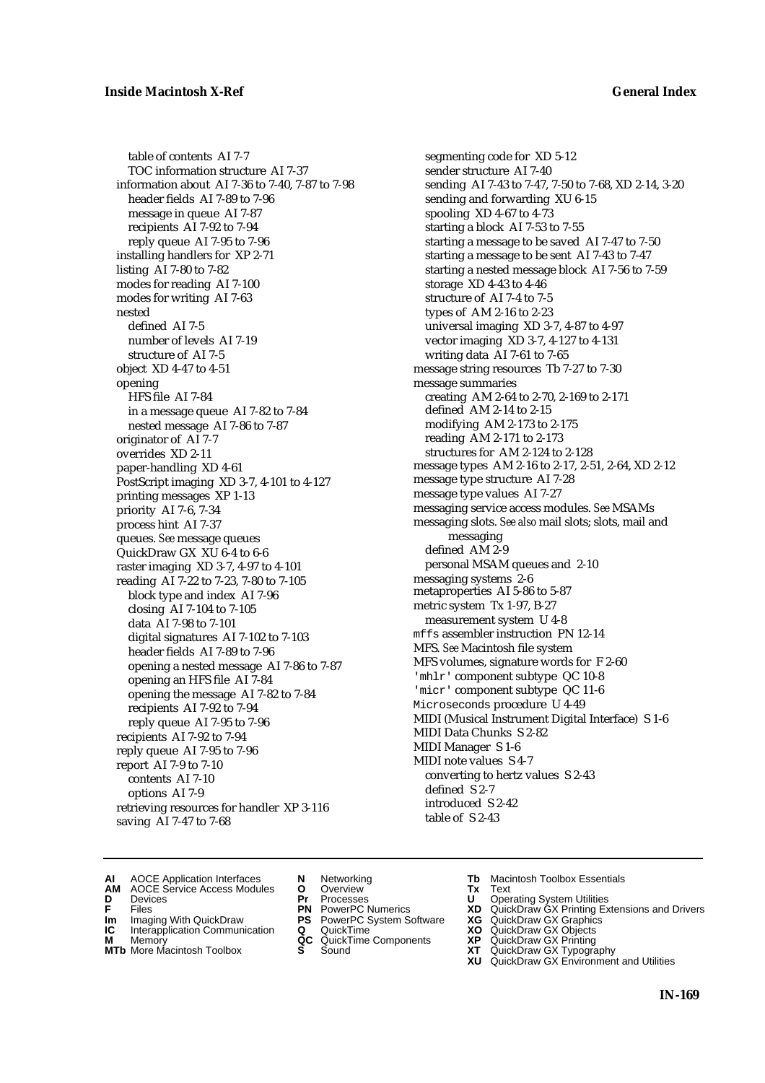table of contents AI 7-7 TOC information structure AI 7-37 information about AI 7-36 to 7-40, 7-87 to 7-98 header fields AI 7-89 to 7-96 message in queue AI 7-87 recipients AI 7-92 to 7-94 reply queue AI 7-95 to 7-96 installing handlers for XP 2-71 listing AI 7-80 to 7-82 modes for reading AI 7-100 modes for writing AI 7-63 nested defined AI 7-5 number of levels AI 7-19 structure of AI 7-5 object XD 4-47 to 4-51 opening HFS file AI 7-84 in a message queue AI 7-82 to 7-84 nested message AI 7-86 to 7-87 originator of AI 7-7 overrides XD 2-11 paper-handling XD 4-61 PostScript imaging XD 3-7, 4-101 to 4-127 printing messages XP 1-13 priority AI 7-6, 7-34 process hint AI 7-37 queues. *See* message queues QuickDraw GX XU 6-4 to 6-6 raster imaging XD 3-7, 4-97 to 4-101 reading AI 7-22 to 7-23, 7-80 to 7-105 block type and index AI 7-96 closing AI 7-104 to 7-105 data AI 7-98 to 7-101 digital signatures AI 7-102 to 7-103 header fields AI 7-89 to 7-96 opening a nested message AI 7-86 to 7-87 opening an HFS file AI 7-84 opening the message AI 7-82 to 7-84 recipients AI 7-92 to 7-94 reply queue AI 7-95 to 7-96 recipients AI 7-92 to 7-94 reply queue AI 7-95 to 7-96 report AI 7-9 to 7-10 contents AI 7-10 options AI 7-9 retrieving resources for handler XP 3-116 saving AI 7-47 to 7-68

segmenting code for XD 5-12 sender structure AI 7-40 sending AI 7-43 to 7-47, 7-50 to 7-68, XD 2-14, 3-20 sending and forwarding XU 6-15 spooling XD 4-67 to 4-73 starting a block AI 7-53 to 7-55 starting a message to be saved AI 7-47 to 7-50 starting a message to be sent AI 7-43 to 7-47 starting a nested message block AI 7-56 to 7-59 storage XD 4-43 to 4-46 structure of AI 7-4 to 7-5 types of AM 2-16 to 2-23 universal imaging XD 3-7, 4-87 to 4-97 vector imaging XD 3-7, 4-127 to 4-131 writing data AI 7-61 to 7-65 message string resources Tb 7-27 to 7-30 message summaries creating AM 2-64 to 2-70, 2-169 to 2-171 defined AM 2-14 to 2-15 modifying AM 2-173 to 2-175 reading AM 2-171 to 2-173 structures for AM 2-124 to 2-128 message types AM 2-16 to 2-17, 2-51, 2-64, XD 2-12 message type structure AI 7-28 message type values AI 7-27 messaging service access modules. *See* MSAMs messaging slots. *See also* mail slots; slots, mail and messaging defined AM 2-9 personal MSAM queues and 2-10 messaging systems 2-6 metaproperties AI 5-86 to 5-87 metric system Tx 1-97, B-27 measurement system U 4-8 mffs assembler instruction PN 12-14 MFS. *See* Macintosh file system MFS volumes, signature words for F 2-60 'mhlr' component subtype QC 10-8 'micr' component subtype QC 11-6 Microseconds procedure U 4-49 MIDI (Musical Instrument Digital Interface) S 1-6 MIDI Data Chunks S 2-82 MIDI Manager S 1-6 MIDI note values S 4-7 converting to hertz values S 2-43 defined S 2-7 introduced S 2-42 table of S 2-43

- **AI** AOCE Application Interfaces **N** Networking **Tb** Macintosh Toolbox Essentials
- **AM** AOCE Service Access Modules **O** Overview **Tx** Text
- 
- **Im** Imaging With QuickDraw **PS** PowerPC System Software **XG IC** Interapplication Communication **Q** QuickTime **XO**
- **IC** Interapplication Communication **Q** QuickTime **XO M** Memory **XP QC** QuickTime Components **XP**
- **M** Memory **CONSISTENT CONSISTENT QC** QuickTime Components **XP**<br> **MTb** More Macintosh Toolbox **S** Sound **XT**
- **MTb** More Macintosh Toolbox **S** Sound **XT** QuickDraw GX Typography
- 
- **D** Devices **Pr** Processes **U** Operating System Utilities
	-
	-
	-
	-
	-
- 
- 
- **F** Files **PN** PowerPC Numerics **XD** QuickDraw GX Printing Extensions and Drivers
	-
	-
	-
	-
	- **XU** QuickDraw GX Environment and Utilities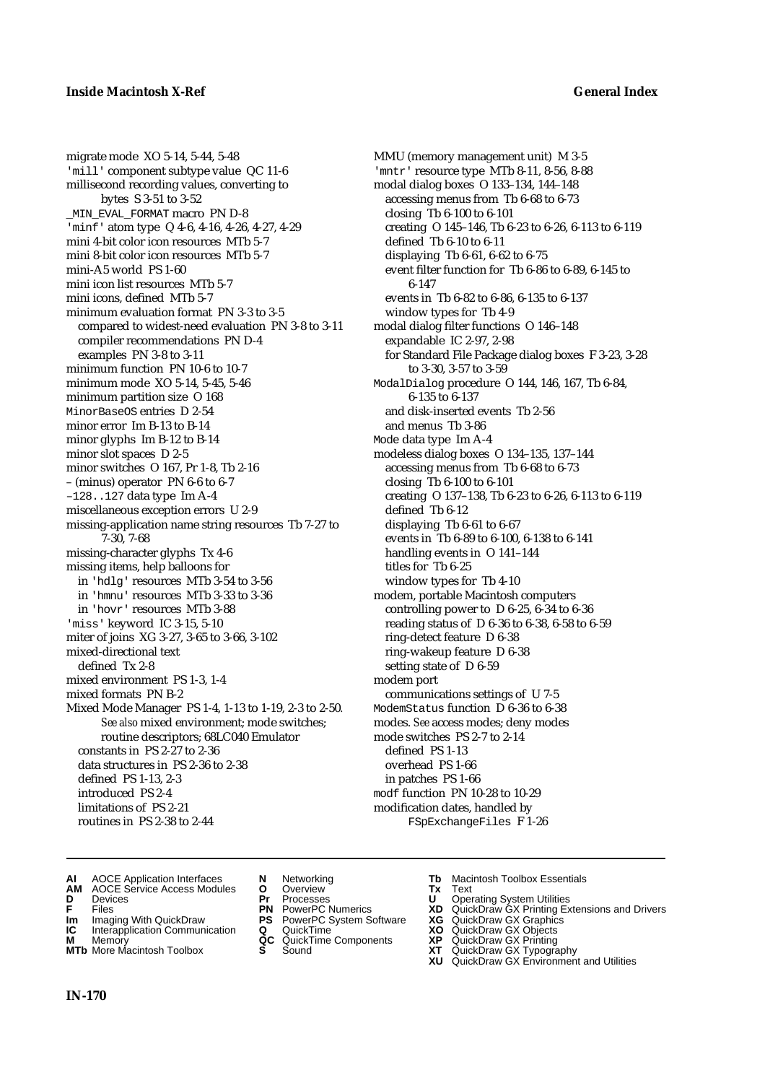migrate mode XO 5-14, 5-44, 5-48 'mill' component subtype value QC 11-6 millisecond recording values, converting to bytes S 3-51 to 3-52 MIN\_EVAL\_FORMAT macro PN D-8 'minf' atom type Q 4-6, 4-16, 4-26, 4-27, 4-29 mini 4-bit color icon resources MTb 5-7 mini 8-bit color icon resources MTb 5-7 mini-A5 world PS 1-60 mini icon list resources MTb 5-7 mini icons, defined MTb 5-7 minimum evaluation format PN 3-3 to 3-5 compared to widest-need evaluation PN 3-8 to 3-11 compiler recommendations PN D-4 examples PN 3-8 to 3-11 minimum function PN 10-6 to 10-7 minimum mode XO 5-14, 5-45, 5-46 minimum partition size O 168 MinorBaseOS entries D 2-54 minor error Im B-13 to B-14 minor glyphs Im B-12 to B-14 minor slot spaces D 2-5 minor switches O 167, Pr 1-8, Tb 2-16 – (minus) operator PN 6-6 to 6-7 –128..127 data type Im A-4 miscellaneous exception errors U 2-9 missing-application name string resources Tb 7-27 to 7-30, 7-68 missing-character glyphs Tx 4-6 missing items, help balloons for in 'hdlg' resources MTb 3-54 to 3-56 in 'hmnu' resources MTb 3-33 to 3-36 in 'hovr' resources MTb 3-88 'miss' keyword IC 3-15, 5-10 miter of joins XG 3-27, 3-65 to 3-66, 3-102 mixed-directional text defined Tx 2-8 mixed environment PS 1-3, 1-4 mixed formats PN B-2 Mixed Mode Manager PS 1-4, 1-13 to 1-19, 2-3 to 2-50*. See also* mixed environment; mode switches; routine descriptors; 68LC040 Emulator constants in PS 2-27 to 2-36 data structures in PS 2-36 to 2-38 defined PS 1-13, 2-3 introduced PS 2-4 limitations of PS 2-21 routines in PS 2-38 to 2-44

MMU (memory management unit) M 3-5 'mntr' resource type MTb 8-11, 8-56, 8-88 modal dialog boxes O 133–134, 144–148 accessing menus from Tb 6-68 to 6-73 closing Tb 6-100 to 6-101 creating O 145–146, Tb 6-23 to 6-26, 6-113 to 6-119 defined Tb 6-10 to 6-11 displaying Tb 6-61, 6-62 to 6-75 event filter function for Tb 6-86 to 6-89, 6-145 to 6-147 events in Tb 6-82 to 6-86, 6-135 to 6-137 window types for Tb 4-9 modal dialog filter functions O 146–148 expandable IC 2-97, 2-98 for Standard File Package dialog boxes F 3-23, 3-28 to 3-30, 3-57 to 3-59 ModalDialog procedure O 144, 146, 167, Tb 6-84, 6-135 to 6-137 and disk-inserted events Tb 2-56 and menus Tb 3-86 Mode data type Im A-4 modeless dialog boxes O 134–135, 137–144 accessing menus from Tb 6-68 to 6-73 closing Tb 6-100 to 6-101 creating O 137–138, Tb 6-23 to 6-26, 6-113 to 6-119 defined Tb 6-12 displaying Tb 6-61 to 6-67 events in Tb 6-89 to 6-100, 6-138 to 6-141 handling events in O 141–144 titles for Tb 6-25 window types for Tb 4-10 modem, portable Macintosh computers controlling power to D 6-25, 6-34 to 6-36 reading status of D 6-36 to 6-38, 6-58 to 6-59 ring-detect feature D 6-38 ring-wakeup feature D 6-38 setting state of D 6-59 modem port communications settings of U 7-5 ModemStatus function D 6-36 to 6-38 modes. *See* access modes; deny modes mode switches PS 2-7 to 2-14 defined PS 1-13 overhead PS 1-66 in patches PS 1-66 modf function PN 10-28 to 10-29 modification dates, handled by FSpExchangeFiles F 1-26

- **AI** AOCE Application Interfaces **N** Networking **Tb** Macintosh Toolbox Essentials
- **AM** AOCE Service Access Modules **O** Overview **Tx** Text
- 
- 
- **IM** Files<br> **Im** Imaging With QuickDraw **PS** PowerPC System Software **XG**<br> **IC** Interapplication Communication **Q** QuickTime **XO XO**
- **Interapplication Communication <b>Q** QuickTime **XO** Memory **XO** Memory **XP QC** QuickTime Components **XP**
- **M** Memory **CONSISTENT CONSIDER**<br> **MTb** More Macintosh Toolbox **S** Sound **S S** State **XP MTb** More Macintosh Toolbox **S** Sound **XT** QuickDraw GX Typography
- 
- **D** Devices **Pr** Processes **U** Operating System Utilities
	-
	-
	-
	-
- 
- 
- **F** Files **PN** PowerPC Numerics **XD** QuickDraw GX Printing Extensions and Drivers
	-
	-
	-
	-
	- **XU** QuickDraw GX Environment and Utilities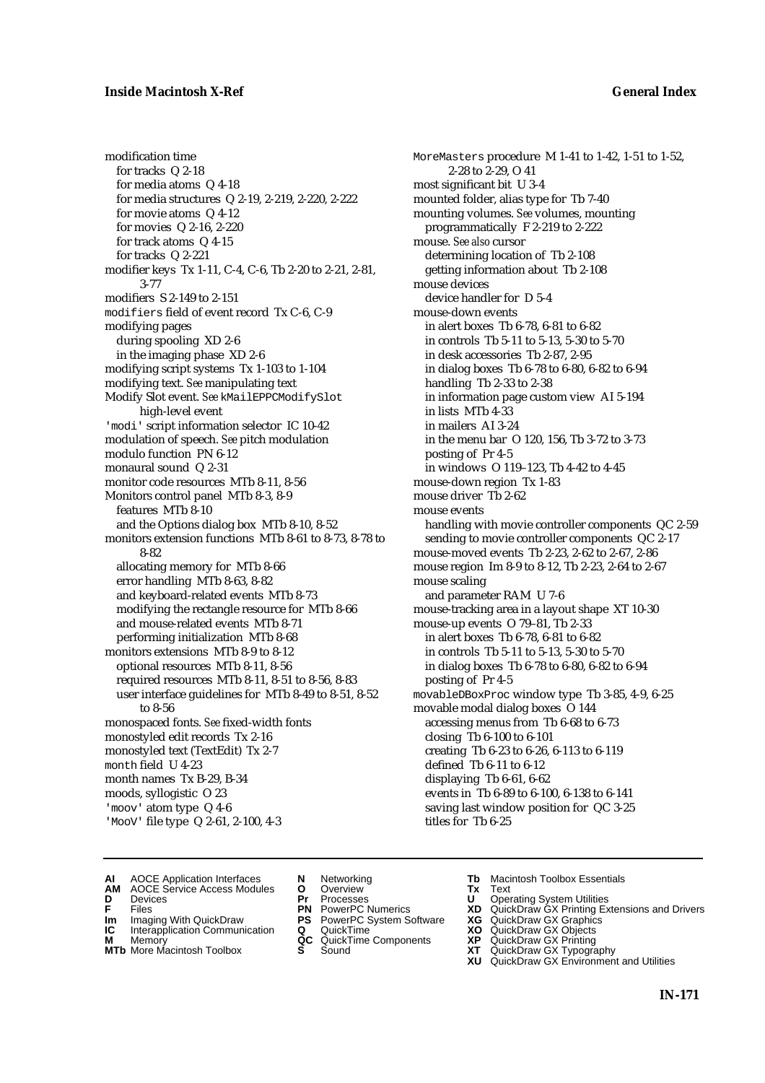## **Inside Macintosh X-Ref General Index**

modification time for tracks Q 2-18 for media atoms Q 4-18 for media structures Q 2-19, 2-219, 2-220, 2-222 for movie atoms Q 4-12 for movies Q 2-16, 2-220 for track atoms Q 4-15 for tracks Q 2-221 modifier keys Tx 1-11, C-4, C-6, Tb 2-20 to 2-21, 2-81, 3-77 modifiers S 2-149 to 2-151 modifiers field of event record Tx C-6, C-9 modifying pages during spooling XD 2-6 in the imaging phase XD 2-6 modifying script systems Tx 1-103 to 1-104 modifying text. *See* manipulating text Modify Slot event. *See* kMailEPPCModifySlot high-level event 'modi' script information selector IC 10-42 modulation of speech. *See* pitch modulation modulo function PN 6-12 monaural sound Q 2-31 monitor code resources MTb 8-11, 8-56 Monitors control panel MTb 8-3, 8-9 features MTb 8-10 and the Options dialog box MTb 8-10, 8-52 monitors extension functions MTb 8-61 to 8-73, 8-78 to 8-82 allocating memory for MTb 8-66 error handling MTb 8-63, 8-82 and keyboard-related events MTb 8-73 modifying the rectangle resource for MTb 8-66 and mouse-related events MTb 8-71 performing initialization MTb 8-68 monitors extensions MTb 8-9 to 8-12 optional resources MTb 8-11, 8-56 required resources MTb 8-11, 8-51 to 8-56, 8-83 user interface guidelines for MTb 8-49 to 8-51, 8-52 to 8-56 monospaced fonts. *See* fixed-width fonts monostyled edit records Tx 2-16 monostyled text (TextEdit) Tx 2-7 month field U 4-23 month names Tx B-29, B-34 moods, syllogistic O 23 'moov' atom type Q 4-6 'MooV' file type Q 2-61, 2-100, 4-3

MoreMasters procedure M 1-41 to 1-42, 1-51 to 1-52, 2-28 to 2-29, O 41 most significant bit U 3-4 mounted folder, alias type for Tb 7-40 mounting volumes. *See* volumes, mounting programmatically F 2-219 to 2-222 mouse. *See also* cursor determining location of Tb 2-108 getting information about Tb 2-108 mouse devices device handler for D 5-4 mouse-down events in alert boxes Tb 6-78, 6-81 to 6-82 in controls Tb 5-11 to 5-13, 5-30 to 5-70 in desk accessories Tb 2-87, 2-95 in dialog boxes Tb 6-78 to 6-80, 6-82 to 6-94 handling Tb 2-33 to 2-38 in information page custom view AI 5-194 in lists MTb 4-33 in mailers AI 3-24 in the menu bar O 120, 156, Tb 3-72 to 3-73 posting of Pr 4-5 in windows O 119–123, Tb 4-42 to 4-45 mouse-down region Tx 1-83 mouse driver Tb 2-62 mouse events handling with movie controller components QC 2-59 sending to movie controller components QC 2-17 mouse-moved events Tb 2-23, 2-62 to 2-67, 2-86 mouse region Im 8-9 to 8-12, Tb 2-23, 2-64 to 2-67 mouse scaling and parameter RAM U 7-6 mouse-tracking area in a layout shape XT 10-30 mouse-up events O 79–81, Tb 2-33 in alert boxes Tb 6-78, 6-81 to 6-82 in controls Tb 5-11 to 5-13, 5-30 to 5-70 in dialog boxes Tb 6-78 to 6-80, 6-82 to 6-94 posting of Pr 4-5 movableDBoxProc window type Tb 3-85, 4-9, 6-25 movable modal dialog boxes O 144 accessing menus from Tb 6-68 to 6-73 closing Tb 6-100 to 6-101 creating Tb 6-23 to 6-26, 6-113 to 6-119 defined Tb 6-11 to 6-12 displaying Tb 6-61, 6-62 events in Tb 6-89 to 6-100, 6-138 to 6-141 saving last window position for QC 3-25 titles for Tb 6-25

- **AI** AOCE Application Interfaces **N** Networking **The Macintosh Toolbox Essentials**<br> **AM** AOCE Service Access Modules **O** Overview **Tx** Text<br> **D** Devices **Pr** Processes **U** Operating System Utilities
	- AOCE Service Access Modules **O** Overview **Tx** Text<br>Devices **Devices Devices Devices**
- 
- 
- **Im** Files<br> **Im** Imaging With QuickDraw **PS** PowerPC System Software **XG**<br> **IC** Interapplication Communication **Q** QuickTime **XO**
- **IC** Interapplication Communication **Q** QuickTime **XO M** Memory **XP QC** QuickTime Components **XP M** Memory **QC** QuickTime Components **XP**<br>**MTb** More Macintosh Toolbox **S** Sound **XT**
- **MTb** More Macintosh Toolbox **S** Sound **XT** QuickDraw GX Typography
- 
- **D** Devices **Pr** Processes **U** Operating System Utilities
	-
	-
	-
	-
- 
- 
- **F** Files **PN** PowerPC Numerics **XD** QuickDraw GX Printing Extensions and Drivers
	-
	-
	-
	-
	- **XU** QuickDraw GX Environment and Utilities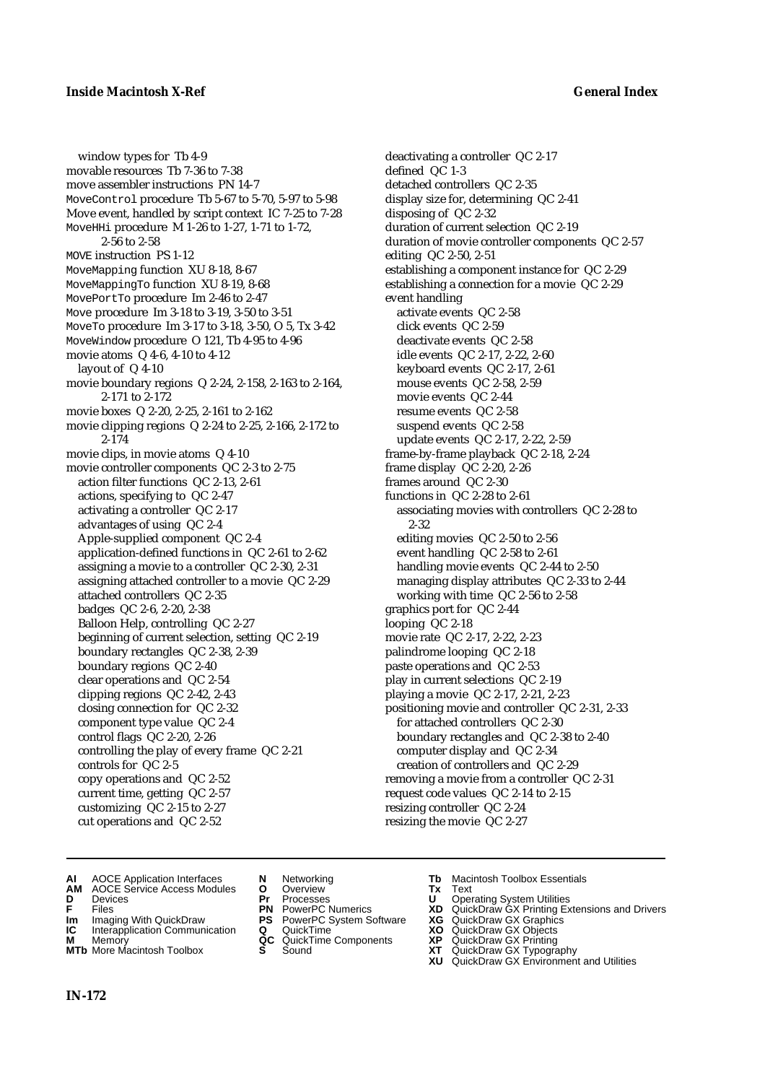### **Inside Macintosh X-Ref General Index**

window types for Tb 4-9 movable resources Tb 7-36 to 7-38 move assembler instructions PN 14-7 MoveControl procedure Tb 5-67 to 5-70, 5-97 to 5-98 Move event, handled by script context IC 7-25 to 7-28 MoveHHi procedure M 1-26 to 1-27, 1-71 to 1-72, 2-56 to 2-58 MOVE instruction PS 1-12 MoveMapping function XU 8-18, 8-67 MoveMappingTo function XU 8-19, 8-68 MovePortTo procedure Im 2-46 to 2-47 Move procedure Im 3-18 to 3-19, 3-50 to 3-51 MoveTo procedure Im 3-17 to 3-18, 3-50, O 5, Tx 3-42 MoveWindow procedure O 121, Tb 4-95 to 4-96 movie atoms Q 4-6, 4-10 to 4-12 layout of Q 4-10 movie boundary regions Q 2-24, 2-158, 2-163 to 2-164, 2-171 to 2-172 movie boxes Q 2-20, 2-25, 2-161 to 2-162 movie clipping regions Q 2-24 to 2-25, 2-166, 2-172 to 2-174 movie clips, in movie atoms Q 4-10 movie controller components QC 2-3 to 2-75 action filter functions QC 2-13, 2-61 actions, specifying to QC 2-47 activating a controller QC 2-17 advantages of using QC 2-4 Apple-supplied component QC 2-4 application-defined functions in QC 2-61 to 2-62 assigning a movie to a controller QC 2-30, 2-31 assigning attached controller to a movie QC 2-29 attached controllers QC 2-35 badges QC 2-6, 2-20, 2-38 Balloon Help, controlling QC 2-27 beginning of current selection, setting QC 2-19 boundary rectangles QC 2-38, 2-39 boundary regions QC 2-40 clear operations and QC 2-54 clipping regions QC 2-42, 2-43 closing connection for QC 2-32 component type value QC 2-4 control flags QC 2-20, 2-26 controlling the play of every frame QC 2-21 controls for QC 2-5 copy operations and QC 2-52 current time, getting QC 2-57 customizing QC 2-15 to 2-27 cut operations and QC 2-52

deactivating a controller QC 2-17 defined QC 1-3 detached controllers QC 2-35 display size for, determining QC 2-41 disposing of QC 2-32 duration of current selection QC 2-19 duration of movie controller components QC 2-57 editing QC 2-50, 2-51 establishing a component instance for QC 2-29 establishing a connection for a movie QC 2-29 event handling activate events QC 2-58 click events QC 2-59 deactivate events QC 2-58 idle events QC 2-17, 2-22, 2-60 keyboard events QC 2-17, 2-61 mouse events QC 2-58, 2-59 movie events QC 2-44 resume events QC 2-58 suspend events QC 2-58 update events QC 2-17, 2-22, 2-59 frame-by-frame playback QC 2-18, 2-24 frame display QC 2-20, 2-26 frames around QC 2-30 functions in QC 2-28 to 2-61 associating movies with controllers QC 2-28 to 2-32 editing movies QC 2-50 to 2-56 event handling QC 2-58 to 2-61 handling movie events QC 2-44 to 2-50 managing display attributes QC 2-33 to 2-44 working with time QC 2-56 to 2-58 graphics port for QC 2-44 looping QC 2-18 movie rate QC 2-17, 2-22, 2-23 palindrome looping QC 2-18 paste operations and QC 2-53 play in current selections QC 2-19 playing a movie QC 2-17, 2-21, 2-23 positioning movie and controller QC 2-31, 2-33 for attached controllers QC 2-30 boundary rectangles and QC 2-38 to 2-40 computer display and QC 2-34 creation of controllers and QC 2-29 removing a movie from a controller QC 2-31 request code values QC 2-14 to 2-15 resizing controller QC 2-24 resizing the movie QC 2-27

- **AI** AOCE Application Interfaces **N** Networking **Tb** Macintosh Toolbox Essentials
- **AM** AOCE Service Access Modules **O** Overview **Tx** Text
- 
- 
- **Im** Imaging With QuickDraw **PS** PowerPC System Software **XG IC** Interapplication Communication **Q** QuickTime **COVIC**
- **Interapplication Communication <b>Q** QuickTime **XO** Memory **XO** Memory **XP XP QC** QuickTime Components **XP**
- **M** Memory **DRITIC CONTENTIER MANUS AND MEMORY MEMORY AND MEMORY AND <b>ALC** QuickTime Components **XP XT MTb** More Macintosh Toolbox **S** Sound **XT** QuickDraw GX Typography
- 
- **D** Devices **Pr** Processes **U** Operating System Utilities
	-
	-
	-
	-
- 
- 
- **FRICAG CONSISTS IN THE PROCESSES CONSISTS AND CONSIST CONSISTENT CONSISTS CONSISTS PRINTIPLE PROCESSES CONSISTS CON<br>
<b>F**FRICES **PN** POWERPC Numerics **XD** QuickDraw GX Printing Extensions and Drivers<br> **Im** Imaging With Qui
	-
	-
	-
	-
	- **XU** QuickDraw GX Environment and Utilities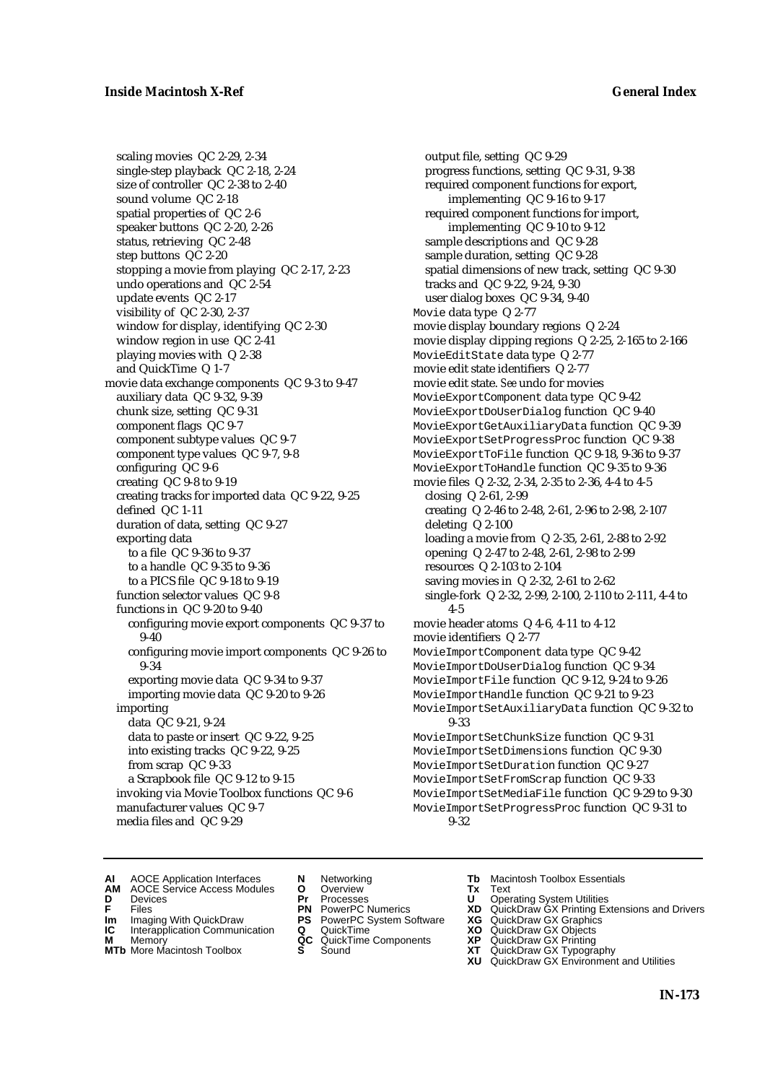scaling movies QC 2-29, 2-34 single-step playback QC 2-18, 2-24 size of controller QC 2-38 to 2-40 sound volume QC 2-18 spatial properties of QC 2-6 speaker buttons QC 2-20, 2-26 status, retrieving QC 2-48 step buttons QC 2-20 stopping a movie from playing QC 2-17, 2-23 undo operations and QC 2-54 update events QC 2-17 visibility of QC 2-30, 2-37 window for display, identifying QC 2-30 window region in use QC 2-41 playing movies with Q 2-38 and QuickTime Q 1-7 movie data exchange components QC 9-3 to 9-47 auxiliary data QC 9-32, 9-39 chunk size, setting QC 9-31 component flags QC 9-7 component subtype values QC 9-7 component type values QC 9-7, 9-8 configuring QC 9-6 creating QC 9-8 to 9-19 creating tracks for imported data QC 9-22, 9-25 defined QC 1-11 duration of data, setting QC 9-27 exporting data to a file QC 9-36 to 9-37 to a handle QC 9-35 to 9-36 to a PICS file QC 9-18 to 9-19 function selector values QC 9-8 functions in QC 9-20 to 9-40 configuring movie export components QC 9-37 to 9-40 configuring movie import components QC 9-26 to 9-34 exporting movie data QC 9-34 to 9-37 importing movie data QC 9-20 to 9-26 importing data QC 9-21, 9-24 data to paste or insert QC 9-22, 9-25 into existing tracks QC 9-22, 9-25 from scrap QC 9-33 a Scrapbook file QC 9-12 to 9-15 invoking via Movie Toolbox functions QC 9-6 manufacturer values QC 9-7 media files and QC 9-29

output file, setting QC 9-29 progress functions, setting QC 9-31, 9-38 required component functions for export, implementing QC 9-16 to 9-17 required component functions for import, implementing QC 9-10 to 9-12 sample descriptions and QC 9-28 sample duration, setting QC 9-28 spatial dimensions of new track, setting QC 9-30 tracks and QC 9-22, 9-24, 9-30 user dialog boxes QC 9-34, 9-40 Movie data type Q 2-77 movie display boundary regions Q 2-24 movie display clipping regions Q 2-25, 2-165 to 2-166 MovieEditState data type Q 2-77 movie edit state identifiers Q 2-77 movie edit state. *See* undo for movies MovieExportComponent data type QC 9-42 MovieExportDoUserDialog function QC 9-40 MovieExportGetAuxiliaryData function QC 9-39 MovieExportSetProgressProc function QC 9-38 MovieExportToFile function QC 9-18, 9-36 to 9-37 MovieExportToHandle function QC 9-35 to 9-36 movie files Q 2-32, 2-34, 2-35 to 2-36, 4-4 to 4-5 closing Q 2-61, 2-99 creating Q 2-46 to 2-48, 2-61, 2-96 to 2-98, 2-107 deleting Q 2-100 loading a movie from Q 2-35, 2-61, 2-88 to 2-92 opening Q 2-47 to 2-48, 2-61, 2-98 to 2-99 resources Q 2-103 to 2-104 saving movies in Q 2-32, 2-61 to 2-62 single-fork Q 2-32, 2-99, 2-100, 2-110 to 2-111, 4-4 to 4-5 movie header atoms Q 4-6, 4-11 to 4-12 movie identifiers Q 2-77 MovieImportComponent data type QC 9-42 MovieImportDoUserDialog function QC 9-34 MovieImportFile function QC 9-12, 9-24 to 9-26 MovieImportHandle function QC 9-21 to 9-23 MovieImportSetAuxiliaryData function QC 9-32 to 9-33 MovieImportSetChunkSize function QC 9-31 MovieImportSetDimensions function QC 9-30 MovieImportSetDuration function QC 9-27 MovieImportSetFromScrap function QC 9-33 MovieImportSetMediaFile function QC 9-29 to 9-30 MovieImportSetProgressProc function QC 9-31 to 9-32

- **AI** AOCE Application Interfaces **N** Networking **Tb** Macintosh Toolbox Essentials<br> **AM** AOCE Service Access Modules **O** Overview **Tx** Text<br> **D** Devices **Pr** Processes **U** Operating System Utilities
- AOCE Service Access Modules **O** Overview **Tx** Text<br>Devices **Devices Devices Devices**
- -
- **IM** FILES<br> **Im** Imaging With QuickDraw **PS** PowerPC System Software **XG**<br> **IC** Interapplication Communication **Q** QuickTime **XO**
- **IC** Interapplication Communication **Q** QuickTime **XO M** Memory **XO QC** QuickTime Components **XP M** Memory **QC** QuickTime Components **XP**<br>**MTb** More Macintosh Toolbox **S** Sound **XT**
- **MTb** More Macintosh Toolbox **S** Sound **XT** QuickDraw GX Typography
- 
- **D** Devices **Pr** Processes **U** Operating System Utilities
	-
	-
	-
	-
- 
- 
- **F** Files **PN** PowerPC Numerics **XD** QuickDraw GX Printing Extensions and Drivers
	-
	-
	-
	-
	- **XU** QuickDraw GX Environment and Utilities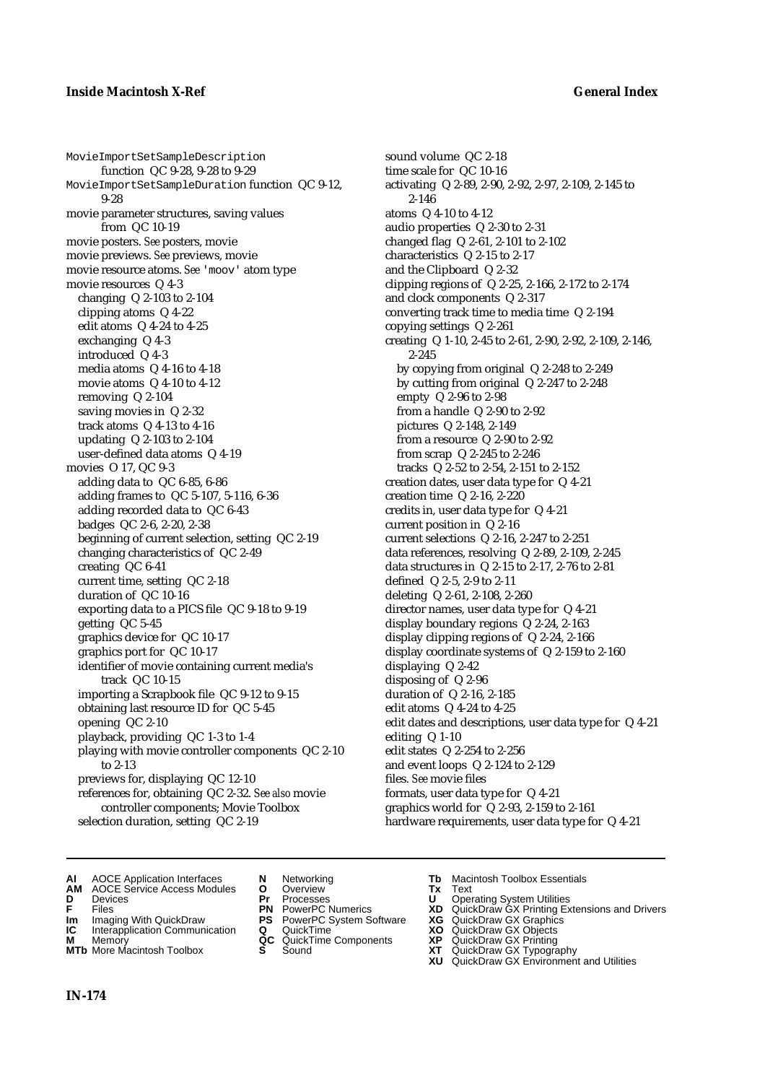MovieImportSetSampleDescription function QC 9-28, 9-28 to 9-29 MovieImportSetSampleDuration function QC 9-12, 9-28 movie parameter structures, saving values from QC 10-19 movie posters. *See* posters, movie movie previews. *See* previews, movie movie resource atoms. *See* 'moov' atom type movie resources Q 4-3 changing Q 2-103 to 2-104 clipping atoms Q 4-22 edit atoms Q 4-24 to 4-25 exchanging Q 4-3 introduced Q 4-3 media atoms Q 4-16 to 4-18 movie atoms Q 4-10 to 4-12 removing Q 2-104 saving movies in Q 2-32 track atoms Q 4-13 to 4-16 updating Q 2-103 to 2-104 user-defined data atoms Q 4-19 movies O 17, QC 9-3 adding data to QC 6-85, 6-86 adding frames to QC 5-107, 5-116, 6-36 adding recorded data to QC 6-43 badges QC 2-6, 2-20, 2-38 beginning of current selection, setting QC 2-19 changing characteristics of QC 2-49 creating QC 6-41 current time, setting QC 2-18 duration of QC 10-16 exporting data to a PICS file QC 9-18 to 9-19 getting QC 5-45 graphics device for QC 10-17 graphics port for QC 10-17 identifier of movie containing current media's track QC 10-15 importing a Scrapbook file QC 9-12 to 9-15 obtaining last resource ID for QC 5-45 opening QC 2-10 playback, providing QC 1-3 to 1-4 playing with movie controller components QC 2-10 to 2-13 previews for, displaying QC 12-10 references for, obtaining QC 2-32. *See also* movie controller components; Movie Toolbox selection duration, setting QC 2-19

sound volume QC 2-18 time scale for QC 10-16 activating Q 2-89, 2-90, 2-92, 2-97, 2-109, 2-145 to 2-146 atoms Q 4-10 to 4-12 audio properties Q 2-30 to 2-31 changed flag Q 2-61, 2-101 to 2-102 characteristics Q 2-15 to 2-17 and the Clipboard Q 2-32 clipping regions of Q 2-25, 2-166, 2-172 to 2-174 and clock components Q 2-317 converting track time to media time Q 2-194 copying settings Q 2-261 creating Q 1-10, 2-45 to 2-61, 2-90, 2-92, 2-109, 2-146, 2-245 by copying from original Q 2-248 to 2-249 by cutting from original Q 2-247 to 2-248 empty Q 2-96 to 2-98 from a handle Q 2-90 to 2-92 pictures Q 2-148, 2-149 from a resource Q 2-90 to 2-92 from scrap Q 2-245 to 2-246 tracks Q 2-52 to 2-54, 2-151 to 2-152 creation dates, user data type for Q 4-21 creation time Q 2-16, 2-220 credits in, user data type for Q 4-21 current position in Q 2-16 current selections Q 2-16, 2-247 to 2-251 data references, resolving Q 2-89, 2-109, 2-245 data structures in Q 2-15 to 2-17, 2-76 to 2-81 defined Q 2-5, 2-9 to 2-11 deleting Q 2-61, 2-108, 2-260 director names, user data type for Q 4-21 display boundary regions Q 2-24, 2-163 display clipping regions of Q 2-24, 2-166 display coordinate systems of Q 2-159 to 2-160 displaying Q 2-42 disposing of Q 2-96 duration of Q 2-16, 2-185 edit atoms Q 4-24 to 4-25 edit dates and descriptions, user data type for Q 4-21 editing Q 1-10 edit states Q 2-254 to 2-256 and event loops Q 2-124 to 2-129 files. *See* movie files formats, user data type for Q 4-21 graphics world for Q 2-93, 2-159 to 2-161 hardware requirements, user data type for Q 4-21

- **AI** AOCE Application Interfaces **N** Networking **Tb** Macintosh Toolbox Essentials<br> **AM** AOCE Service Access Modules **O** Overview **Tx** Text<br> **D** Devices **Pr** Processes **U** Operating System Utilities
- **AM** AOCE Service Access Modules **O** Overview **Tx** Text
- 
- 
- **Im** Imaging With QuickDraw **PS** PowerPC System Software **XG IC** Interapplication Communication **Q** QuickTime **COVIC**
- **Interapplication Communication <b>Q** QuickTime **XO** Memory **XO** Memory **XP XP QC** QuickTime Components **XP**
- **M** Memory **DRITIC CONTENTIER MANUS AND MEMORY MEMORY AND MEMORY AND <b>ALC** QuickTime Components **XP XT MTb** More Macintosh Toolbox **S** Sound **XT** QuickDraw GX Typography
- 
- 
- 
- 
- -
	-
- 
- **D** Devices **Pr** Processes **U** Operating System Utilities
- **FRICAG CONSISTS IN THE PROCESSES CONSISTS AND CONSIST CONSISTENT CONSISTS CONSISTS PRINTIPLE PROCESSES CONSISTS CON<br>
<b>F**FRICES **PN** POWERPC Numerics **XD** QuickDraw GX Printing Extensions and Drivers<br> **Im** Imaging With Qui
	-
	-
	-
	-
	- **XU** QuickDraw GX Environment and Utilities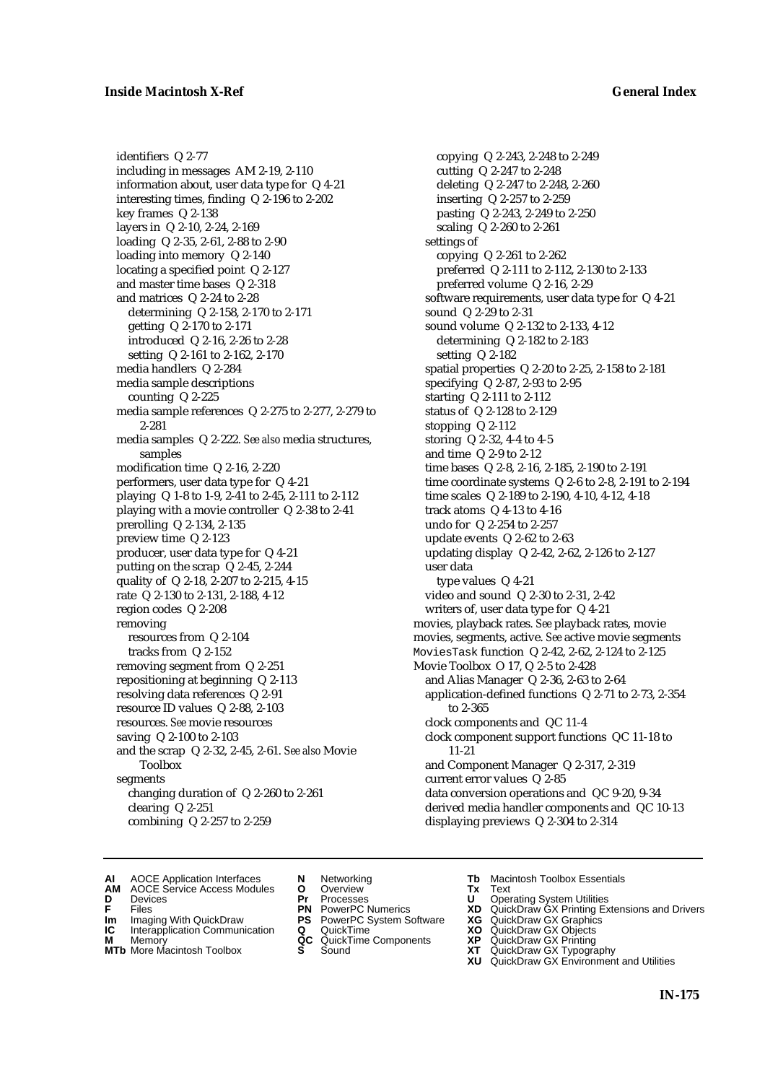identifiers Q 2-77 including in messages AM 2-19, 2-110 information about, user data type for Q 4-21 interesting times, finding Q 2-196 to 2-202 key frames Q 2-138 layers in Q 2-10, 2-24, 2-169 loading Q 2-35, 2-61, 2-88 to 2-90 loading into memory Q 2-140 locating a specified point Q 2-127 and master time bases Q 2-318 and matrices Q 2-24 to 2-28 determining Q 2-158, 2-170 to 2-171 getting Q 2-170 to 2-171 introduced Q 2-16, 2-26 to 2-28 setting Q 2-161 to 2-162, 2-170 media handlers Q 2-284 media sample descriptions counting Q 2-225 media sample references Q 2-275 to 2-277, 2-279 to 2-281 media samples Q 2-222. *See also* media structures, samples modification time Q 2-16, 2-220 performers, user data type for Q 4-21 playing Q 1-8 to 1-9, 2-41 to 2-45, 2-111 to 2-112 playing with a movie controller Q 2-38 to 2-41 prerolling Q 2-134, 2-135 preview time Q 2-123 producer, user data type for Q 4-21 putting on the scrap Q 2-45, 2-244 quality of Q 2-18, 2-207 to 2-215, 4-15 rate Q 2-130 to 2-131, 2-188, 4-12 region codes Q 2-208 removing resources from Q 2-104 tracks from Q 2-152 removing segment from Q 2-251 repositioning at beginning Q 2-113 resolving data references Q 2-91 resource ID values Q 2-88, 2-103 resources. *See* movie resources saving Q 2-100 to 2-103 and the scrap Q 2-32, 2-45, 2-61. *See also* Movie Toolbox segments changing duration of Q 2-260 to 2-261 clearing Q 2-251 combining Q 2-257 to 2-259

copying Q 2-243, 2-248 to 2-249 cutting Q 2-247 to 2-248 deleting Q 2-247 to 2-248, 2-260 inserting Q 2-257 to 2-259 pasting Q 2-243, 2-249 to 2-250 scaling Q 2-260 to 2-261 settings of copying Q 2-261 to 2-262 preferred Q 2-111 to 2-112, 2-130 to 2-133 preferred volume Q 2-16, 2-29 software requirements, user data type for Q 4-21 sound Q 2-29 to 2-31 sound volume Q 2-132 to 2-133, 4-12 determining Q 2-182 to 2-183 setting Q 2-182 spatial properties Q 2-20 to 2-25, 2-158 to 2-181 specifying Q 2-87, 2-93 to 2-95 starting Q 2-111 to 2-112 status of Q 2-128 to 2-129 stopping Q 2-112 storing Q 2-32, 4-4 to 4-5 and time Q 2-9 to 2-12 time bases Q 2-8, 2-16, 2-185, 2-190 to 2-191 time coordinate systems Q 2-6 to 2-8, 2-191 to 2-194 time scales Q 2-189 to 2-190, 4-10, 4-12, 4-18 track atoms Q 4-13 to 4-16 undo for Q 2-254 to 2-257 update events Q 2-62 to 2-63 updating display Q 2-42, 2-62, 2-126 to 2-127 user data type values Q 4-21 video and sound Q 2-30 to 2-31, 2-42 writers of, user data type for Q 4-21 movies, playback rates. *See* playback rates, movie movies, segments, active. *See* active movie segments MoviesTask function Q 2-42, 2-62, 2-124 to 2-125 Movie Toolbox O 17, Q 2-5 to 2-428 and Alias Manager Q 2-36, 2-63 to 2-64 application-defined functions Q 2-71 to 2-73, 2-354 to 2-365 clock components and QC 11-4 clock component support functions QC 11-18 to 11-21 and Component Manager Q 2-317, 2-319 current error values Q 2-85 data conversion operations and QC 9-20, 9-34 derived media handler components and QC 10-13 displaying previews Q 2-304 to 2-314

- **AI** AOCE Application Interfaces **N** Networking **Tb** Macintosh Toolbox Essentials<br> **AM** AOCE Service Access Modules **O** Overview **Tx** Text<br> **D** Devices **Pr** Processes **U** Operating System Utilities
	- AOCE Service Access Modules **O** Overview **Tx** Text<br>Devices **Devices Devices Devices**
- 
- 
- **IM** FILES<br> **Im** Imaging With QuickDraw **PS** PowerPC System Software **XG**<br> **IC** Interapplication Communication **Q** QuickTime **XO**
- **IC** Interapplication Communication **Q** QuickTime **XO M** Memory **XO QC** QuickTime Components **XP**
- **M** Memory **District Acc** QuickTime Components **XP**<br> **MTb** More Macintosh Toolbox **S** Sound **XT**
- 
- **D** Devices **Pr** Processes **U** Operating System Utilities
	-
	-
	-
	-
- 
- 
- **F** Files **PN** PowerPC Numerics **XD** QuickDraw GX Printing Extensions and Drivers
	-
	-
	-
- **MTb** More Macintosh Toolbox **S** Sound **XT** QuickDraw GX Typography
	- **XU** QuickDraw GX Environment and Utilities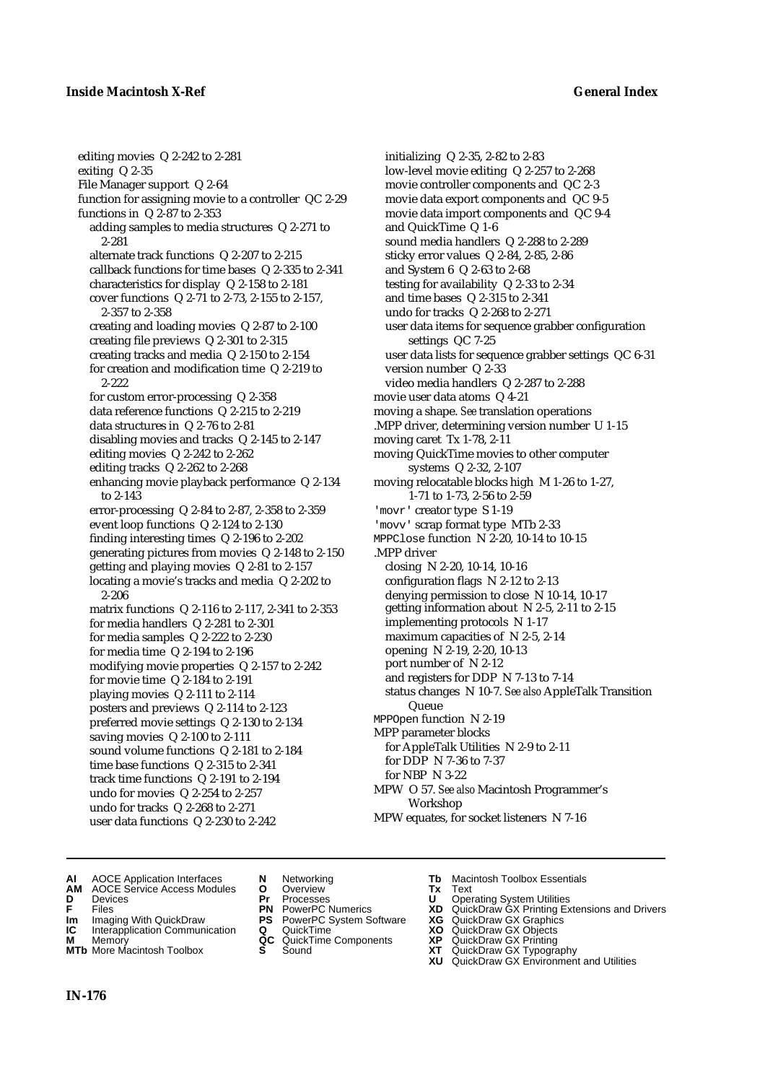### **Inside Macintosh X-Ref General Index**

editing movies Q 2-242 to 2-281 exiting Q 2-35 File Manager support Q 2-64 function for assigning movie to a controller QC 2-29 functions in Q 2-87 to 2-353 adding samples to media structures Q 2-271 to 2-281 alternate track functions Q 2-207 to 2-215 callback functions for time bases Q 2-335 to 2-341 characteristics for display Q 2-158 to 2-181 cover functions Q 2-71 to 2-73, 2-155 to 2-157, 2-357 to 2-358 creating and loading movies Q 2-87 to 2-100 creating file previews Q 2-301 to 2-315 creating tracks and media Q 2-150 to 2-154 for creation and modification time Q 2-219 to 2-222 for custom error-processing Q 2-358 data reference functions Q 2-215 to 2-219 data structures in Q 2-76 to 2-81 disabling movies and tracks Q 2-145 to 2-147 editing movies Q 2-242 to 2-262 editing tracks Q 2-262 to 2-268 enhancing movie playback performance Q 2-134 to 2-143 error-processing Q 2-84 to 2-87, 2-358 to 2-359 event loop functions Q 2-124 to 2-130 finding interesting times Q 2-196 to 2-202 generating pictures from movies Q 2-148 to 2-150 getting and playing movies Q 2-81 to 2-157 locating a movie's tracks and media Q 2-202 to 2-206 matrix functions Q 2-116 to 2-117, 2-341 to 2-353 for media handlers Q 2-281 to 2-301 for media samples Q 2-222 to 2-230 for media time Q 2-194 to 2-196 modifying movie properties Q 2-157 to 2-242 for movie time Q 2-184 to 2-191 playing movies Q 2-111 to 2-114 posters and previews Q 2-114 to 2-123 preferred movie settings Q 2-130 to 2-134 saving movies Q 2-100 to 2-111 sound volume functions Q 2-181 to 2-184 time base functions Q 2-315 to 2-341 track time functions Q 2-191 to 2-194 undo for movies Q 2-254 to 2-257 undo for tracks Q 2-268 to 2-271 user data functions Q 2-230 to 2-242

initializing Q 2-35, 2-82 to 2-83 low-level movie editing Q 2-257 to 2-268 movie controller components and QC 2-3 movie data export components and QC 9-5 movie data import components and QC 9-4 and QuickTime Q 1-6 sound media handlers Q 2-288 to 2-289 sticky error values Q 2-84, 2-85, 2-86 and System 6 Q 2-63 to 2-68 testing for availability Q 2-33 to 2-34 and time bases Q 2-315 to 2-341 undo for tracks Q 2-268 to 2-271 user data items for sequence grabber configuration settings QC 7-25 user data lists for sequence grabber settings QC 6-31 version number Q 2-33 video media handlers Q 2-287 to 2-288 movie user data atoms Q 4-21 moving a shape. *See* translation operations .MPP driver, determining version number U 1-15 moving caret Tx 1-78, 2-11 moving QuickTime movies to other computer systems Q 2-32, 2-107 moving relocatable blocks high M 1-26 to 1-27, 1-71 to 1-73, 2-56 to 2-59 'movr' creator type S 1-19 'movv' scrap format type MTb 2-33 MPPClose function N 2-20, 10-14 to 10-15 .MPP driver closing N 2-20, 10-14, 10-16 configuration flags N 2-12 to 2-13 denying permission to close N 10-14, 10-17 getting information about N 2-5, 2-11 to 2-15 implementing protocols N 1-17 maximum capacities of N 2-5, 2-14 opening N 2-19, 2-20, 10-13 port number of N 2-12 and registers for DDP N 7-13 to 7-14 status changes N 10-7. *See also* AppleTalk Transition Queue MPPOpen function N 2-19 MPP parameter blocks for AppleTalk Utilities N 2-9 to 2-11 for DDP N 7-36 to 7-37 for NBP N 3-22 MPW O 57. *See also* Macintosh Programmer's Workshop MPW equates, for socket listeners N 7-16

- **AI** AOCE Application Interfaces **N** Networking **Tb** Macintosh Toolbox Essentials<br> **AM** AOCE Service Access Modules **O** Overview **Tx** Text<br> **D** Devices **Pr** Processes **U** Operating System Utilities
- **AM** AOCE Service Access Modules **O** Overview **Tx** Text
- 
- 
- **Im** Imaging With QuickDraw **PS** PowerPC System Software **XG IC** Interapplication Communication **Q** QuickTime **COVIC**
- **Interapplication Communication <b>Q** QuickTime **XO** Memory **XO** Memory **XP XP QC** QuickTime Components **XP M** Memory **DRITIC CONTENTIER MANUS AND MEMORY MEMORY AND MEMORY AND <b>ALC** QuickTime Components **XP XT**
- **MTb** More Macintosh Toolbox **S** Sound **XT** QuickDraw GX Typography
- 
- 
- 
- 
- 
- -
- 
- **D** Devices **Pr** Processes **U** Operating System Utilities
- **FRICAG CONSISTS IN THE PROCESSES CONSISTS AND CONSIST CONSISTENT CONSISTS CONSISTS PRINTIPLE PROCESSES CONSISTS CON<br>
<b>F**FRICES **PN** POWERPC Numerics **XD** QuickDraw GX Printing Extensions and Drivers<br> **Im** Imaging With Qui
	-
	-
	-
	-
	- **XU** QuickDraw GX Environment and Utilities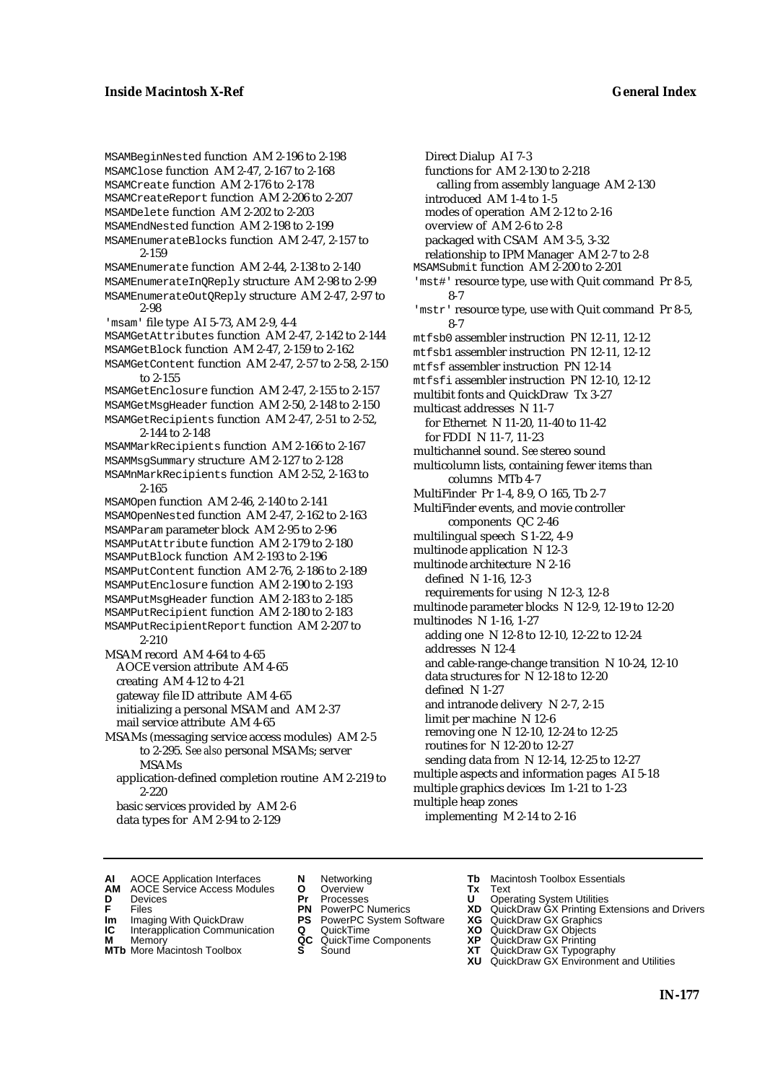MSAMBeginNested function AM 2-196 to 2-198 MSAMClose function AM 2-47, 2-167 to 2-168 MSAMCreate function AM 2-176 to 2-178 MSAMCreateReport function AM 2-206 to 2-207 MSAMDelete function AM 2-202 to 2-203 MSAMEndNested function AM 2-198 to 2-199 MSAMEnumerateBlocks function AM 2-47, 2-157 to 2-159 MSAMEnumerate function AM 2-44, 2-138 to 2-140 MSAMEnumerateInQReply structure AM 2-98 to 2-99 MSAMEnumerateOutQReply structure AM 2-47, 2-97 to 2-98 'msam' file type AI 5-73, AM 2-9, 4-4 MSAMGetAttributes function AM 2-47, 2-142 to 2-144 MSAMGetBlock function AM 2-47, 2-159 to 2-162 MSAMGetContent function AM 2-47, 2-57 to 2-58, 2-150 to 2-155 MSAMGetEnclosure function AM 2-47, 2-155 to 2-157 MSAMGetMsgHeader function AM 2-50, 2-148 to 2-150 MSAMGetRecipients function AM 2-47, 2-51 to 2-52, 2-144 to 2-148 MSAMMarkRecipients function AM 2-166 to 2-167 MSAMMsgSummary structure AM 2-127 to 2-128 MSAMnMarkRecipients function AM 2-52, 2-163 to 2-165 MSAMOpen function AM 2-46, 2-140 to 2-141 MSAMOpenNested function AM 2-47, 2-162 to 2-163 MSAMParam parameter block AM 2-95 to 2-96 MSAMPutAttribute function AM 2-179 to 2-180 MSAMPutBlock function AM 2-193 to 2-196 MSAMPutContent function AM 2-76, 2-186 to 2-189 MSAMPutEnclosure function AM 2-190 to 2-193 MSAMPutMsgHeader function AM 2-183 to 2-185 MSAMPutRecipient function AM 2-180 to 2-183 MSAMPutRecipientReport function AM 2-207 to 2-210 MSAM record AM 4-64 to 4-65 AOCE version attribute AM 4-65 creating AM 4-12 to 4-21 gateway file ID attribute AM 4-65 initializing a personal MSAM and AM 2-37 mail service attribute AM 4-65 MSAMs (messaging service access modules) AM 2-5 to 2-295. *See also* personal MSAMs; server MSAMs application-defined completion routine AM 2-219 to 2-220 basic services provided by AM 2-6 data types for AM 2-94 to 2-129

Direct Dialup AI 7-3 functions for AM 2-130 to 2-218 calling from assembly language AM 2-130 introduced AM 1-4 to 1-5 modes of operation AM 2-12 to 2-16 overview of AM 2-6 to 2-8 packaged with CSAM AM 3-5, 3-32 relationship to IPM Manager AM 2-7 to 2-8 MSAMSubmit function AM 2-200 to 2-201 'mst#' resource type, use with Quit command Pr 8-5, 8-7 'mstr' resource type, use with Quit command Pr 8-5, 8-7 mtfsb0 assembler instruction PN 12-11, 12-12 mtfsb1 assembler instruction PN 12-11, 12-12 mtfsf assembler instruction PN 12-14 mtfsfi assembler instruction PN 12-10, 12-12 multibit fonts and QuickDraw Tx 3-27 multicast addresses N 11-7 for Ethernet N 11-20, 11-40 to 11-42 for FDDI N 11-7, 11-23 multichannel sound. *See* stereo sound multicolumn lists, containing fewer items than columns MTb 4-7 MultiFinder Pr 1-4, 8-9, O 165, Tb 2-7 MultiFinder events, and movie controller components QC 2-46 multilingual speech S 1-22, 4-9 multinode application N 12-3 multinode architecture N 2-16 defined N 1-16, 12-3 requirements for using N 12-3, 12-8 multinode parameter blocks N 12-9, 12-19 to 12-20 multinodes N 1-16, 1-27 adding one N 12-8 to 12-10, 12-22 to 12-24 addresses N 12-4 and cable-range-change transition N 10-24, 12-10 data structures for N 12-18 to 12-20 defined N 1-27 and intranode delivery N 2-7, 2-15 limit per machine N 12-6 removing one N 12-10, 12-24 to 12-25 routines for N 12-20 to 12-27 sending data from N 12-14, 12-25 to 12-27 multiple aspects and information pages AI 5-18 multiple graphics devices Im 1-21 to 1-23 multiple heap zones implementing M 2-14 to 2-16

- **AI** AOCE Application Interfaces **N** Networking **Tb** Macintosh Toolbox Essentials<br> **AM** AOCE Service Access Modules **O** Overview **Tx** Text<br> **D** Devices **Pr** Processes **U** Operating System Utilities
- AOCE Service Access Modules **O** Overview **Tx** Text<br>Devices **Devices Devices Devices**
- 
- 
- **IM** FILES<br> **Im** Imaging With QuickDraw **PS** PowerPC System Software **XG**<br> **IC** Interapplication Communication **Q** QuickTime **XO IC** Interapplication Communication **Q** QuickTime **XO M** Memory **XO QC** QuickTime Components **XP**
- **M** Memory **QC** QuickTime Components **XP**<br>**MTb** More Macintosh Toolbox **S** Sound **XT**
- **MTb** More Macintosh Toolbox **S** Sound **XT** QuickDraw GX Typography
- 
- **D** Devices **Pr** Processes **U** Operating System Utilities
	-
	-
	-
	-
- 
- 
- **F** Files **PN** PowerPC Numerics **XD** QuickDraw GX Printing Extensions and Drivers
	-
	-
	-
	-
	- **XU** QuickDraw GX Environment and Utilities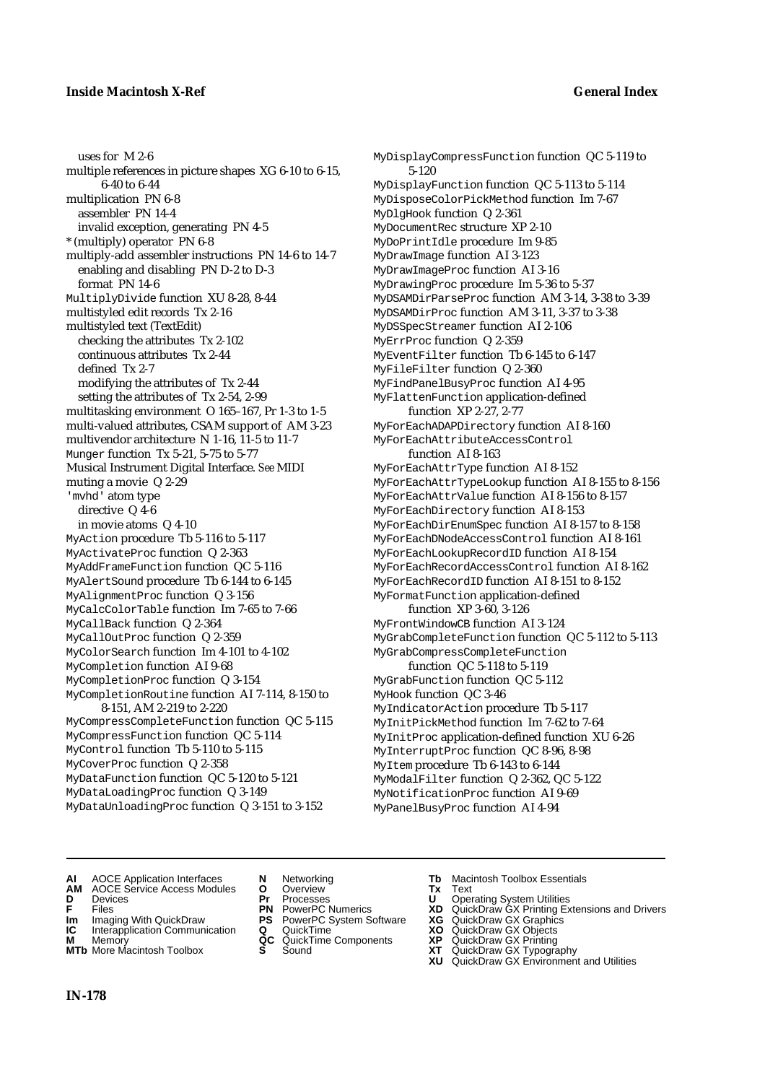uses for M 2-6 multiple references in picture shapes XG 6-10 to 6-15, 6-40 to 6-44 multiplication PN 6-8 assembler PN 14-4 invalid exception, generating PN 4-5 \* (multiply) operator PN 6-8 multiply-add assembler instructions PN 14-6 to 14-7 enabling and disabling PN D-2 to D-3 format PN 14-6 MultiplyDivide function XU 8-28, 8-44 multistyled edit records Tx 2-16 multistyled text (TextEdit) checking the attributes Tx 2-102 continuous attributes Tx 2-44 defined Tx 2-7 modifying the attributes of Tx 2-44 setting the attributes of Tx 2-54, 2-99 multitasking environment O 165–167, Pr 1-3 to 1-5 multi-valued attributes, CSAM support of AM 3-23 multivendor architecture N 1-16, 11-5 to 11-7 Munger function Tx 5-21, 5-75 to 5-77 Musical Instrument Digital Interface. *See* MIDI muting a movie Q 2-29 'mvhd' atom type directive Q 4-6 in movie atoms Q 4-10 MyAction procedure Tb 5-116 to 5-117 MyActivateProc function Q 2-363 MyAddFrameFunction function QC 5-116 MyAlertSound procedure Tb 6-144 to 6-145 MyAlignmentProc function Q 3-156 MyCalcColorTable function Im 7-65 to 7-66 MyCallBack function Q 2-364 MyCallOutProc function Q 2-359 MyColorSearch function Im 4-101 to 4-102 MyCompletion function AI 9-68 MyCompletionProc function Q 3-154 MyCompletionRoutine function AI 7-114, 8-150 to 8-151, AM 2-219 to 2-220 MyCompressCompleteFunction function QC 5-115 MyCompressFunction function QC 5-114 MyControl function Tb 5-110 to 5-115 MyCoverProc function Q 2-358 MyDataFunction function QC 5-120 to 5-121 MyDataLoadingProc function Q 3-149 MyDataUnloadingProc function Q 3-151 to 3-152

MyDisplayCompressFunction function QC 5-119 to 5-120 MyDisplayFunction function QC 5-113 to 5-114 MyDisposeColorPickMethod function Im 7-67 MyDlgHook function Q 2-361 MyDocumentRec structure XP 2-10 MyDoPrintIdle procedure Im 9-85 MyDrawImage function AI 3-123 MyDrawImageProc function AI 3-16 MyDrawingProc procedure Im 5-36 to 5-37 MyDSAMDirParseProc function AM 3-14, 3-38 to 3-39 MyDSAMDirProc function AM 3-11, 3-37 to 3-38 MyDSSpecStreamer function AI 2-106 MyErrProc function Q 2-359 MyEventFilter function Tb 6-145 to 6-147 MyFileFilter function Q 2-360 MyFindPanelBusyProc function AI 4-95 MyFlattenFunction application-defined function XP 2-27, 2-77 MyForEachADAPDirectory function AI 8-160 MyForEachAttributeAccessControl function AI 8-163 MyForEachAttrType function AI 8-152 MyForEachAttrTypeLookup function AI 8-155 to 8-156 MyForEachAttrValue function AI 8-156 to 8-157 MyForEachDirectory function AI 8-153 MyForEachDirEnumSpec function AI 8-157 to 8-158 MyForEachDNodeAccessControl function AI 8-161 MyForEachLookupRecordID function AI 8-154 MyForEachRecordAccessControl function AI 8-162 MyForEachRecordID function AI 8-151 to 8-152 MyFormatFunction application-defined function XP 3-60, 3-126 MyFrontWindowCB function AI 3-124 MyGrabCompleteFunction function QC 5-112 to 5-113 MyGrabCompressCompleteFunction function QC 5-118 to 5-119 MyGrabFunction function QC 5-112 MyHook function QC 3-46 MyIndicatorAction procedure Tb 5-117 MyInitPickMethod function Im 7-62 to 7-64 MyInitProc application-defined function XU 6-26 MyInterruptProc function QC 8-96, 8-98 MyItem procedure Tb 6-143 to 6-144 MyModalFilter function Q 2-362, QC 5-122 MyNotificationProc function AI 9-69 MyPanelBusyProc function AI 4-94

- -
- **AI** AOCE Application Interfaces **N** Networking **Tb** Macintosh Toolbox Essentials<br> **AM** AOCE Service Access Modules **O** Overview **Tx** Text<br> **D** Devices **Pr** Processes **U** Operating System Utilities
- AOCE Service Access Modules **O** Overview **Tx** Text<br> **Devices Devices D** Oper **D** Devices **Pr** Processes **U** Operating System Utilities
- 
- 
- **IM IMAGE CONSTRANT PRESENT PRESENT PRESENT PRESENT PRESENT PRESENT PRESENT PRESENT PRESENT PRESENT PRESENT PRESEN<br>
<b>IM** Imaging With QuickDraw **PS** PowerPC System Software **XG**<br> **IC** Interapplication Communication **Q** Qui **IC** Interapplication Communication **Q** QuickTime **XO M** Memory **XO QC** QuickTime Components **XP**
- **M** Memory **CC** QuickTime Components **XP**<br>**MTb** More Macintosh Toolbox **S** Sound **COX AT**
- 
- 
- 
- 
- 
- 
- 
- 
- 
- **F** Files **PN** PowerPC Numerics **XD** QuickDraw GX Printing Extensions and Drivers
	-
	-
	-
- **MTb** More Macintosh Toolbox **S** Sound **XT** QuickDraw GX Typography
	- **XU** QuickDraw GX Environment and Utilities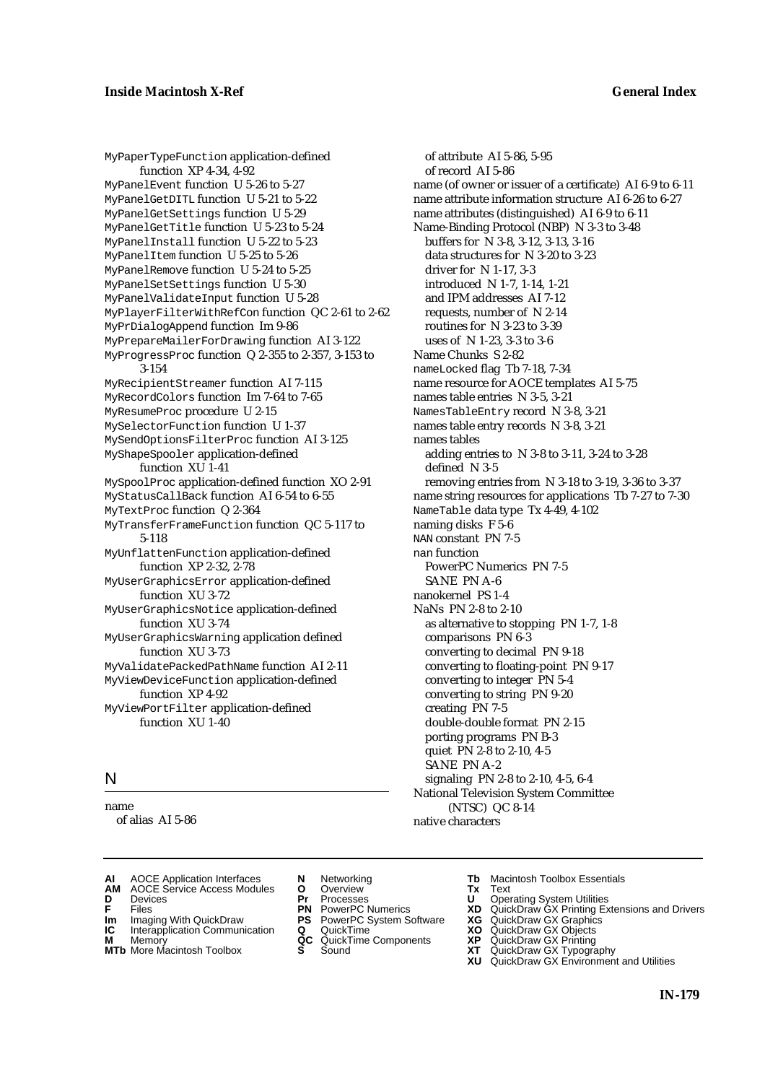MyPaperTypeFunction application-defined function XP 4-34, 4-92 MyPanelEvent function U 5-26 to 5-27 MyPanelGetDITL function U 5-21 to 5-22 MyPanelGetSettings function U 5-29 MyPanelGetTitle function U 5-23 to 5-24 MyPanelInstall function U 5-22 to 5-23 MyPanelItem function U 5-25 to 5-26 MyPanelRemove function U 5-24 to 5-25 MyPanelSetSettings function U 5-30 MyPanelValidateInput function U 5-28 MyPlayerFilterWithRefCon function QC 2-61 to 2-62 MyPrDialogAppend function Im 9-86 MyPrepareMailerForDrawing function AI 3-122 MyProgressProc function Q 2-355 to 2-357, 3-153 to 3-154 MyRecipientStreamer function AI 7-115 MyRecordColors function Im 7-64 to 7-65 MyResumeProc procedure U 2-15 MySelectorFunction function U 1-37 MySendOptionsFilterProc function AI 3-125 MyShapeSpooler application-defined function XU 1-41 MySpoolProc application-defined function XO 2-91 MyStatusCallBack function AI 6-54 to 6-55 MyTextProc function Q 2-364 MyTransferFrameFunction function QC 5-117 to 5-118 MyUnflattenFunction application-defined function XP 2-32, 2-78 MyUserGraphicsError application-defined function XU 3-72 MyUserGraphicsNotice application-defined function XU 3-74 MyUserGraphicsWarning application defined function XU 3-73 MyValidatePackedPathName function AI 2-11 MyViewDeviceFunction application-defined function XP 4-92 MyViewPortFilter application-defined function XU 1-40

## N

name of alias AI 5-86

of attribute AI 5-86, 5-95 of record AI 5-86 name (of owner or issuer of a certificate) AI 6-9 to 6-11 name attribute information structure AI 6-26 to 6-27 name attributes (distinguished) AI 6-9 to 6-11 Name-Binding Protocol (NBP) N 3-3 to 3-48 buffers for N 3-8, 3-12, 3-13, 3-16 data structures for N 3-20 to 3-23 driver for N 1-17, 3-3 introduced N 1-7, 1-14, 1-21 and IPM addresses AI 7-12 requests, number of N 2-14 routines for N 3-23 to 3-39 uses of N 1-23, 3-3 to 3-6 Name Chunks S 2-82 nameLocked flag Tb 7-18, 7-34 name resource for AOCE templates AI 5-75 names table entries N 3-5, 3-21 NamesTableEntry record N 3-8, 3-21 names table entry records N 3-8, 3-21 names tables adding entries to N 3-8 to 3-11, 3-24 to 3-28 defined N 3-5 removing entries from N 3-18 to 3-19, 3-36 to 3-37 name string resources for applications Tb 7-27 to 7-30 NameTable data type Tx 4-49, 4-102 naming disks F 5-6 NAN constant PN 7-5 nan function PowerPC Numerics PN 7-5 SANE PN A-6 nanokernel PS 1-4 NaNs PN 2-8 to 2-10 as alternative to stopping PN 1-7, 1-8 comparisons PN 6-3 converting to decimal PN 9-18 converting to floating-point PN 9-17 converting to integer PN 5-4 converting to string PN 9-20 creating PN 7-5 double-double format PN 2-15 porting programs PN B-3 quiet PN 2-8 to 2-10, 4-5 SANE PN A-2 signaling PN 2-8 to 2-10, 4-5, 6-4 National Television System Committee (NTSC) QC 8-14 native characters

- **AI** AOCE Application Interfaces **N** Networking **Tb** Macintosh Toolbox Essentials<br> **AM** AOCE Service Access Modules **O** Overview **Tx** Text<br> **D** Devices **Pr** Processes **U** Operating System Utilities
- 
- 
- **IM** FILES<br> **Im** Imaging With QuickDraw **PS** PowerPC System Software **XG**<br> **IC** Interapplication Communication **Q** QuickTime **XO**
- **IC** Interapplication Communication **Q** QuickTime **XO M** Memory **XO QC** QuickTime Components **XP**
- **M** Memory **QC** QuickTime Components **XP**<br>**MTb** More Macintosh Toolbox **S** Sound **XT**
- AOCE Service Access Modules **O** Overview **Tx** Text<br>Devices **Devices Devices Devices**
- **D** Devices **Pr** Processes **U** Operating System Utilities
	-
	-
	-
	-
- 
- 
- **F** Files **PN** PowerPC Numerics **XD** QuickDraw GX Printing Extensions and Drivers
	-
	-
	-
- **MTb** More Macintosh Toolbox **S** Sound **XT** QuickDraw GX Typography
	- **XU** QuickDraw GX Environment and Utilities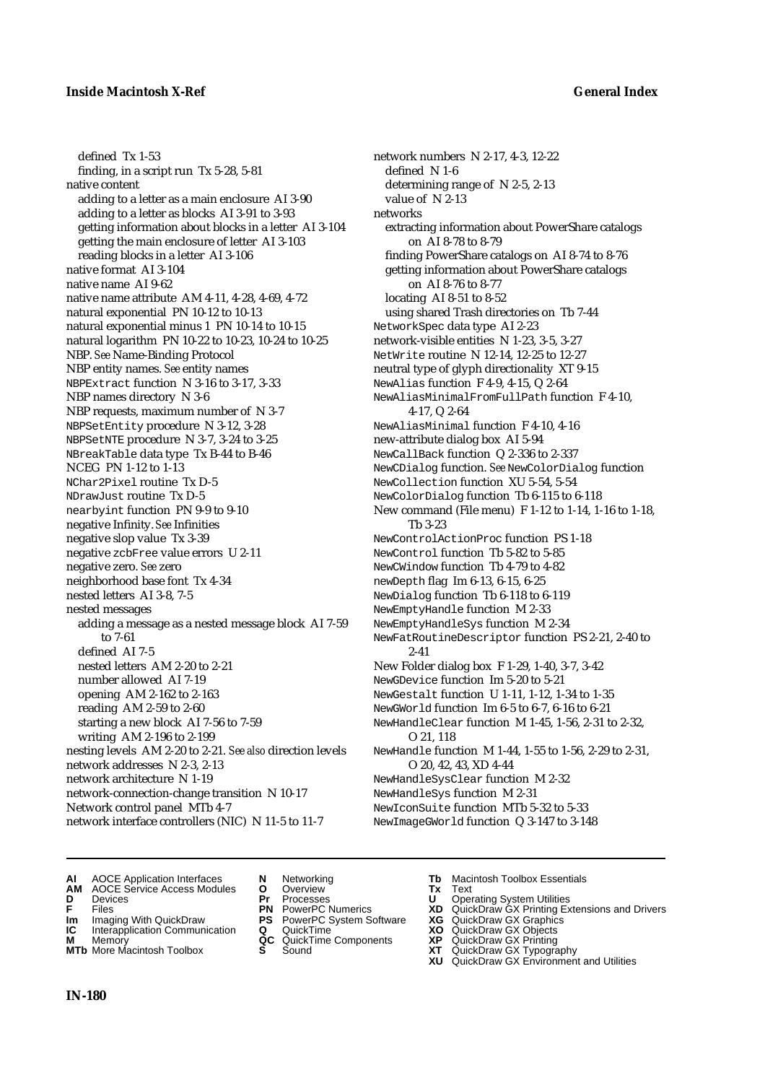defined Tx 1-53 finding, in a script run Tx 5-28, 5-81 native content adding to a letter as a main enclosure AI 3-90 adding to a letter as blocks AI 3-91 to 3-93 getting information about blocks in a letter AI 3-104 getting the main enclosure of letter AI 3-103 reading blocks in a letter AI 3-106 native format AI 3-104 native name AI 9-62 native name attribute AM 4-11, 4-28, 4-69, 4-72 natural exponential PN 10-12 to 10-13 natural exponential minus 1 PN 10-14 to 10-15 natural logarithm PN 10-22 to 10-23, 10-24 to 10-25 NBP. *See* Name-Binding Protocol NBP entity names. *See* entity names NBPExtract function N 3-16 to 3-17, 3-33 NBP names directory N 3-6 NBP requests, maximum number of N 3-7 NBPSetEntity procedure N 3-12, 3-28 NBPSetNTE procedure N 3-7, 3-24 to 3-25 NBreakTable data type Tx B-44 to B-46 NCEG PN 1-12 to 1-13 NChar2Pixel routine Tx D-5 NDrawJust routine Tx D-5 nearbyint function PN 9-9 to 9-10 negative Infinity. *See* Infinities negative slop value Tx 3-39 negative zcbFree value errors U 2-11 negative zero. *See* zero neighborhood base font Tx 4-34 nested letters AI 3-8, 7-5 nested messages adding a message as a nested message block AI 7-59 to 7-61 defined AI 7-5 nested letters AM 2-20 to 2-21 number allowed AI 7-19 opening AM 2-162 to 2-163 reading AM 2-59 to 2-60 starting a new block AI 7-56 to 7-59 writing AM 2-196 to 2-199 nesting levels AM 2-20 to 2-21. *See also* direction levels network addresses N 2-3, 2-13 network architecture N 1-19 network-connection-change transition N 10-17 Network control panel MTb 4-7 network interface controllers (NIC) N 11-5 to 11-7

network numbers N 2-17, 4-3, 12-22 defined N 1-6 determining range of N 2-5, 2-13 value of N 2-13 networks extracting information about PowerShare catalogs on AI 8-78 to 8-79 finding PowerShare catalogs on AI 8-74 to 8-76 getting information about PowerShare catalogs on AI 8-76 to 8-77 locating AI 8-51 to 8-52 using shared Trash directories on Tb 7-44 NetworkSpec data type AI 2-23 network-visible entities N 1-23, 3-5, 3-27 NetWrite routine N 12-14, 12-25 to 12-27 neutral type of glyph directionality XT 9-15 NewAlias function F 4-9, 4-15, Q 2-64 NewAliasMinimalFromFullPath function F 4-10, 4-17, Q 2-64 NewAliasMinimal function F 4-10, 4-16 new-attribute dialog box AI 5-94 NewCallBack function Q 2-336 to 2-337 NewCDialog function. *See* NewColorDialog function NewCollection function XU 5-54, 5-54 NewColorDialog function Tb 6-115 to 6-118 New command (File menu) F 1-12 to 1-14, 1-16 to 1-18, Tb 3-23 NewControlActionProc function PS 1-18 NewControl function Tb 5-82 to 5-85 NewCWindow function Tb 4-79 to 4-82 newDepth flag Im 6-13, 6-15, 6-25 NewDialog function Tb 6-118 to 6-119 NewEmptyHandle function M 2-33 NewEmptyHandleSys function M 2-34 NewFatRoutineDescriptor function PS 2-21, 2-40 to 2-41 New Folder dialog box F 1-29, 1-40, 3-7, 3-42 NewGDevice function Im 5-20 to 5-21 NewGestalt function U 1-11, 1-12, 1-34 to 1-35 NewGWorld function Im 6-5 to 6-7, 6-16 to 6-21 NewHandleClear function M 1-45, 1-56, 2-31 to 2-32, O 21, 118 NewHandle function M 1-44, 1-55 to 1-56, 2-29 to 2-31, O 20, 42, 43, XD 4-44 NewHandleSysClear function M 2-32 NewHandleSys function M 2-31 NewIconSuite function MTb 5-32 to 5-33 NewImageGWorld function Q 3-147 to 3-148

- **AI** AOCE Application Interfaces **N** Networking **Tb** Macintosh Toolbox Essentials
- **AM** AOCE Service Access Modules **O** Overview **Tx** Text
- 
- 
- **Im** Imaging With QuickDraw **PS** PowerPC System Software **XG IC** Interapplication Communication **Q** QuickTime **COVIC**
- **IC** Interapplication Communication **Q** QuickTime **XO M** Memory **XP C** QuickTime Components **XP**
- **M** Memory **District Acc** QuickTime Components **XP**<br> **MTb** More Macintosh Toolbox **S** Sound **XT MTb** More Macintosh Toolbox **S** Sound **XT** QuickDraw GX Typography
- 
- 
- 
- 
- -
- 
- **D** Devices **Pr** Processes **U** Operating System Utilities
- **FILENCE CONSIGNATION**<br> **F** Files **PN** PowerPC Numerics **XD** QuickDraw GX Printing Extensions and Drivers<br> **F** Files **PN** PowerPC System Software **XG** QuickDraw GX Graphics<br> **Im** Imaging With QuickDraw **PS** PowerPC System
	-
	-
	-
	-
	- **XU** QuickDraw GX Environment and Utilities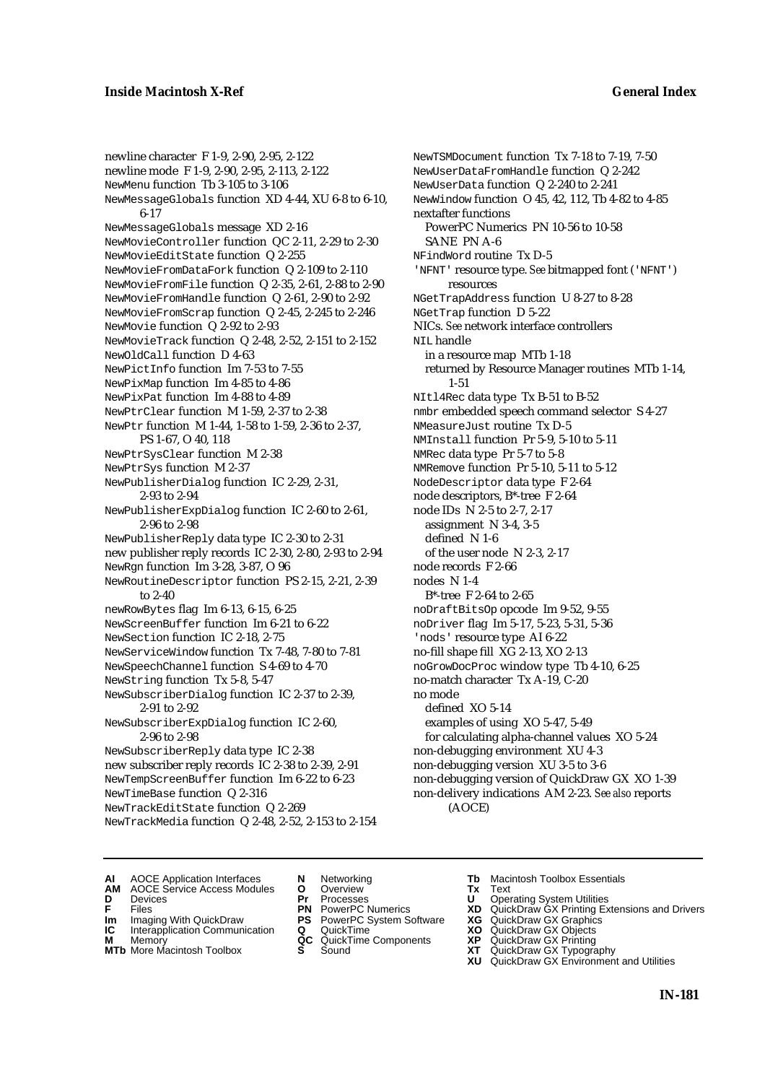newline character F 1-9, 2-90, 2-95, 2-122 newline mode F 1-9, 2-90, 2-95, 2-113, 2-122 NewMenu function Tb 3-105 to 3-106 NewMessageGlobals function XD 4-44, XU 6-8 to 6-10, 6-17 NewMessageGlobals message XD 2-16 NewMovieController function QC 2-11, 2-29 to 2-30 NewMovieEditState function Q 2-255 NewMovieFromDataFork function Q 2-109 to 2-110 NewMovieFromFile function Q 2-35, 2-61, 2-88 to 2-90 NewMovieFromHandle function Q 2-61, 2-90 to 2-92 NewMovieFromScrap function Q 2-45, 2-245 to 2-246 NewMovie function Q 2-92 to 2-93 NewMovieTrack function Q 2-48, 2-52, 2-151 to 2-152 NewOldCall function D 4-63 NewPictInfo function Im 7-53 to 7-55 NewPixMap function Im 4-85 to 4-86 NewPixPat function Im 4-88 to 4-89 NewPtrClear function M 1-59, 2-37 to 2-38 NewPtr function M 1-44, 1-58 to 1-59, 2-36 to 2-37, PS 1-67, O 40, 118 NewPtrSysClear function M 2-38 NewPtrSys function M 2-37 NewPublisherDialog function IC 2-29, 2-31, 2-93 to 2-94 NewPublisherExpDialog function IC 2-60 to 2-61, 2-96 to 2-98 NewPublisherReply data type IC 2-30 to 2-31 new publisher reply records IC 2-30, 2-80, 2-93 to 2-94 NewRgn function Im 3-28, 3-87, O 96 NewRoutineDescriptor function PS 2-15, 2-21, 2-39 to 2-40 newRowBytes flag Im 6-13, 6-15, 6-25 NewScreenBuffer function Im 6-21 to 6-22 NewSection function IC 2-18, 2-75 NewServiceWindow function Tx 7-48, 7-80 to 7-81 NewSpeechChannel function S 4-69 to 4-70 NewString function Tx 5-8, 5-47 NewSubscriberDialog function IC 2-37 to 2-39, 2-91 to 2-92 NewSubscriberExpDialog function IC 2-60, 2-96 to 2-98 NewSubscriberReply data type IC 2-38 new subscriber reply records IC 2-38 to 2-39, 2-91 NewTempScreenBuffer function Im 6-22 to 6-23 NewTimeBase function Q 2-316 NewTrackEditState function Q 2-269 NewTrackMedia function Q 2-48, 2-52, 2-153 to 2-154

NewTSMDocument function Tx 7-18 to 7-19, 7-50 NewUserDataFromHandle function Q 2-242 NewUserData function Q 2-240 to 2-241 NewWindow function O 45, 42, 112, Tb 4-82 to 4-85 nextafter functions PowerPC Numerics PN 10-56 to 10-58 SANE PN A-6 NFindWord routine Tx D-5 'NFNT' resource type. *See* bitmapped font ('NFNT') resources NGetTrapAddress function U 8-27 to 8-28 NGetTrap function D 5-22 NICs. *See* network interface controllers NTL handle in a resource map MTb 1-18 returned by Resource Manager routines MTb 1-14, 1-51 NItl4Rec data type Tx B-51 to B-52 nmbr embedded speech command selector S 4-27 NMeasureJust routine Tx D-5 NMInstall function Pr 5-9, 5-10 to 5-11 NMRec data type Pr 5-7 to 5-8 NMRemove function Pr 5-10, 5-11 to 5-12 NodeDescriptor data type F 2-64 node descriptors, B\*-tree F 2-64 node IDs N 2-5 to 2-7, 2-17 assignment N 3-4, 3-5 defined N 1-6 of the user node N 2-3, 2-17 node records F 2-66 nodes N 1-4 B\*-tree F 2-64 to 2-65 noDraftBitsOp opcode Im 9-52, 9-55 noDriver flag Im 5-17, 5-23, 5-31, 5-36 'nods' resource type AI 6-22 no-fill shape fill XG 2-13, XO 2-13 noGrowDocProc window type Tb 4-10, 6-25 no-match character Tx A-19, C-20 no mode defined XO 5-14 examples of using XO 5-47, 5-49 for calculating alpha-channel values XO 5-24 non-debugging environment XU 4-3 non-debugging version XU 3-5 to 3-6 non-debugging version of QuickDraw GX XO 1-39 non-delivery indications AM 2-23. *See also* reports (AOCE)

- **AI** AOCE Application Interfaces **N** Networking **The Macintosh Toolbox Essentials**<br> **AM** AOCE Service Access Modules **O** Overview **Tx** Text<br> **D** Devices **Pr** Processes **U** Operating System Utilities
	- AOCE Service Access Modules **O** Overview **Tx** Text<br>Devices **Devices Devices Devices**
- 
- 
- **IM** FILES<br> **Im** Imaging With QuickDraw **PS** PowerPC System Software **XG**<br> **IC** Interapplication Communication **Q** QuickTime **XO**
- **IC** Interapplication Communication **Q** QuickTime **XO M** Memory **XO QC** QuickTime Components **XP M** Memory **QC** QuickTime Components **XP**<br>**MTb** More Macintosh Toolbox **S** Sound **XT**
- 
- 
- **D** Devices **Pr** Processes **U** Operating System Utilities
	-
	-
	-
	-
- 
- 
- **F** Files **PN** PowerPC Numerics **XD** QuickDraw GX Printing Extensions and Drivers
	-
	-
	-
- **MTb** More Macintosh Toolbox **S** Sound **XT** QuickDraw GX Typography
	- **XU** QuickDraw GX Environment and Utilities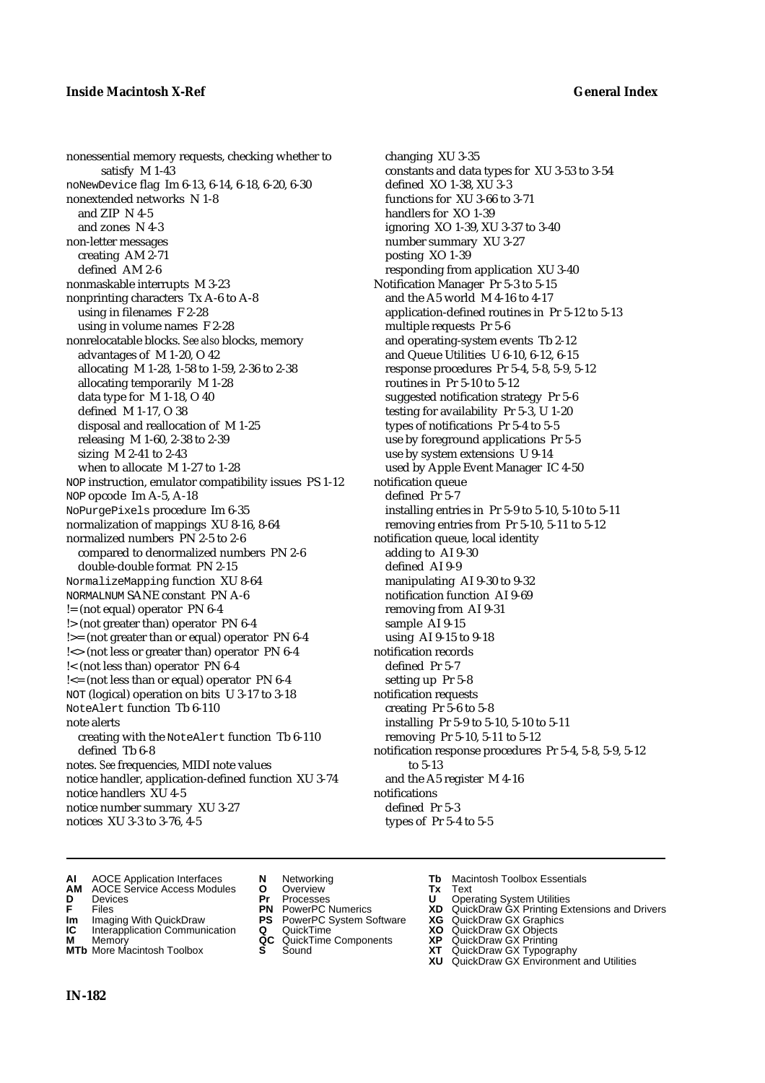nonessential memory requests, checking whether to satisfy M 1-43 noNewDevice flag Im 6-13, 6-14, 6-18, 6-20, 6-30 nonextended networks N 1-8 and ZIP N 4-5 and zones N 4-3 non-letter messages creating AM 2-71 defined AM 2-6 nonmaskable interrupts M 3-23 nonprinting characters Tx A-6 to A-8 using in filenames F 2-28 using in volume names F 2-28 nonrelocatable blocks. *See also* blocks, memory advantages of M 1-20, O 42 allocating M 1-28, 1-58 to 1-59, 2-36 to 2-38 allocating temporarily M 1-28 data type for M 1-18, O 40 defined M 1-17, O 38 disposal and reallocation of M 1-25 releasing M 1-60, 2-38 to 2-39 sizing M 2-41 to 2-43 when to allocate M 1-27 to 1-28 NOP instruction, emulator compatibility issues PS 1-12 NOP opcode Im A-5, A-18 NoPurgePixels procedure Im 6-35 normalization of mappings XU 8-16, 8-64 normalized numbers PN 2-5 to 2-6 compared to denormalized numbers PN 2-6 double-double format PN 2-15 NormalizeMapping function XU 8-64 NORMALNUM SANE constant PN A-6 != (not equal) operator PN 6-4 !> (not greater than) operator PN 6-4 !>= (not greater than or equal) operator PN 6-4 !<> (not less or greater than) operator PN 6-4 !< (not less than) operator PN 6-4 !<= (not less than or equal) operator PN 6-4 NOT (logical) operation on bits U 3-17 to 3-18 NoteAlert function Tb 6-110 note alerts creating with the NoteAlert function Tb 6-110 defined Tb 6-8 notes. *See* frequencies, MIDI note values notice handler, application-defined function XU 3-74 notice handlers XU 4-5 notice number summary XU 3-27 notices XU 3-3 to 3-76, 4-5

changing XU 3-35 constants and data types for XU 3-53 to 3-54 defined XO 1-38, XU 3-3 functions for XU 3-66 to 3-71 handlers for XO 1-39 ignoring XO 1-39, XU 3-37 to 3-40 number summary XU 3-27 posting XO 1-39 responding from application XU 3-40 Notification Manager Pr 5-3 to 5-15 and the A5 world M 4-16 to 4-17 application-defined routines in Pr 5-12 to 5-13 multiple requests Pr 5-6 and operating-system events Tb 2-12 and Queue Utilities U 6-10, 6-12, 6-15 response procedures Pr 5-4, 5-8, 5-9, 5-12 routines in Pr 5-10 to 5-12 suggested notification strategy Pr 5-6 testing for availability Pr 5-3, U 1-20 types of notifications Pr 5-4 to 5-5 use by foreground applications Pr 5-5 use by system extensions U 9-14 used by Apple Event Manager IC 4-50 notification queue defined Pr 5-7 installing entries in Pr 5-9 to 5-10, 5-10 to 5-11 removing entries from Pr 5-10, 5-11 to 5-12 notification queue, local identity adding to AI 9-30 defined AI 9-9 manipulating AI 9-30 to 9-32 notification function AI 9-69 removing from AI 9-31 sample AI 9-15 using AI 9-15 to 9-18 notification records defined Pr 5-7 setting up Pr 5-8 notification requests creating Pr 5-6 to 5-8 installing Pr 5-9 to 5-10, 5-10 to 5-11 removing Pr 5-10, 5-11 to 5-12 notification response procedures Pr 5-4, 5-8, 5-9, 5-12 to 5-13 and the A5 register M 4-16 notifications defined Pr 5-3 types of Pr 5-4 to 5-5

- **AI** AOCE Application Interfaces **N** Networking **Tb** Macintosh Toolbox Essentials
- **AM** AOCE Service Access Modules **O** Overview **Tx** Text
- 
- 
- **Im** Imaging With QuickDraw **PS** PowerPC System Software **XG IC** Interapplication Communication **Q** QuickTime **COVIC**
- **Interapplication Communication <b>Q** QuickTime **XO** Memory **XO** Memory **XP QC** QuickTime Components **XP**
- **M** Memory **CONSISTENT CONSIDER**<br> **MTb** More Macintosh Toolbox **S** Sound **S S** State **XP**
- 
- **D** Devices **Pr** Processes **U** Operating System Utilities
	-
	-
	-
	-
- 
- 
- **F** Files **PN** PowerPC Numerics **XD** QuickDraw GX Printing Extensions and Drivers
	-
	-
	-
- **MTb** More Macintosh Toolbox **S** Sound **XT** QuickDraw GX Typography
	- **XU** QuickDraw GX Environment and Utilities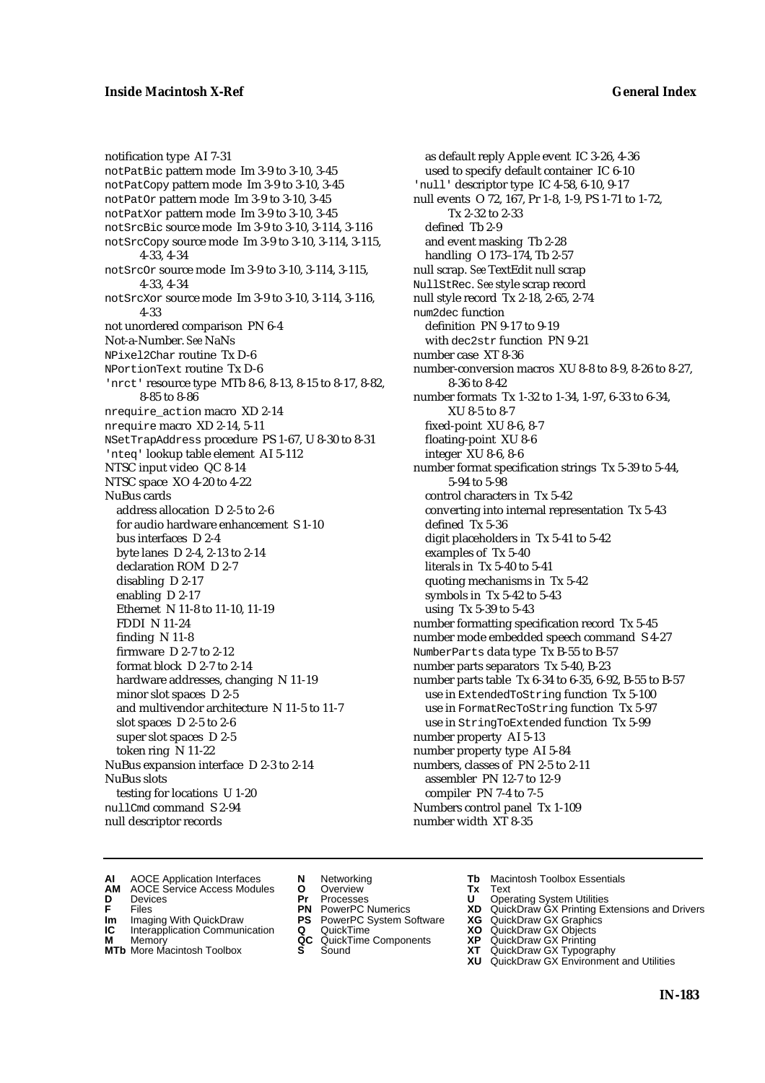notification type AI 7-31 notPatBic pattern mode Im 3-9 to 3-10, 3-45 notPatCopy pattern mode Im 3-9 to 3-10, 3-45 notPatOr pattern mode Im 3-9 to 3-10, 3-45 notPatXor pattern mode Im 3-9 to 3-10, 3-45 notSrcBic source mode Im 3-9 to 3-10, 3-114, 3-116 notSrcCopy source mode Im 3-9 to 3-10, 3-114, 3-115, 4-33, 4-34 notSrcOr source mode Im 3-9 to 3-10, 3-114, 3-115, 4-33, 4-34 notSrcXor source mode Im 3-9 to 3-10, 3-114, 3-116, 4-33 not unordered comparison PN 6-4 Not-a-Number. *See* NaNs NPixel2Char routine Tx D-6 NPortionText routine Tx D-6 'nrct' resource type MTb 8-6, 8-13, 8-15 to 8-17, 8-82, 8-85 to 8-86 nrequire\_action macro XD 2-14 nrequire macro XD 2-14, 5-11 NSetTrapAddress procedure PS 1-67, U 8-30 to 8-31 'nteq' lookup table element AI 5-112 NTSC input video QC 8-14 NTSC space XO 4-20 to 4-22 NuBus cards address allocation D 2-5 to 2-6 for audio hardware enhancement S 1-10 bus interfaces D 2-4 byte lanes D 2-4, 2-13 to 2-14 declaration ROM D 2-7 disabling D 2-17 enabling D 2-17 Ethernet N 11-8 to 11-10, 11-19 FDDI N 11-24 finding N 11-8 firmware D 2-7 to 2-12 format block D 2-7 to 2-14 hardware addresses, changing N 11-19 minor slot spaces D 2-5 and multivendor architecture N 11-5 to 11-7 slot spaces D 2-5 to 2-6 super slot spaces D 2-5 token ring N 11-22 NuBus expansion interface D 2-3 to 2-14 NuBus slots testing for locations U 1-20 nullCmd command S 2-94 null descriptor records

as default reply Apple event IC 3-26, 4-36 used to specify default container IC 6-10 'null' descriptor type IC 4-58, 6-10, 9-17 null events O 72, 167, Pr 1-8, 1-9, PS 1-71 to 1-72, Tx 2-32 to 2-33 defined Tb 2-9 and event masking Tb 2-28 handling O 173–174, Tb 2-57 null scrap. *See* TextEdit null scrap NullStRec. *See* style scrap record null style record Tx 2-18, 2-65, 2-74 num2dec function definition PN 9-17 to 9-19 with dec2str function PN 9-21 number case XT 8-36 number-conversion macros XU 8-8 to 8-9, 8-26 to 8-27, 8-36 to 8-42 number formats Tx 1-32 to 1-34, 1-97, 6-33 to 6-34, XU 8-5 to 8-7 fixed-point XU 8-6, 8-7 floating-point XU 8-6 integer XU 8-6, 8-6 number format specification strings Tx 5-39 to 5-44, 5-94 to 5-98 control characters in Tx 5-42 converting into internal representation Tx 5-43 defined Tx 5-36 digit placeholders in Tx 5-41 to 5-42 examples of Tx 5-40 literals in Tx 5-40 to 5-41 quoting mechanisms in Tx 5-42 symbols in Tx 5-42 to 5-43 using Tx 5-39 to 5-43 number formatting specification record Tx 5-45 number mode embedded speech command S 4-27 NumberParts data type Tx B-55 to B-57 number parts separators Tx 5-40, B-23 number parts table Tx 6-34 to 6-35, 6-92, B-55 to B-57 use in ExtendedToString function Tx 5-100 use in FormatRecToString function Tx 5-97 use in StringToExtended function Tx 5-99 number property AI 5-13 number property type AI 5-84 numbers, classes of PN 2-5 to 2-11 assembler PN 12-7 to 12-9 compiler PN 7-4 to 7-5 Numbers control panel Tx 1-109 number width XT 8-35

- **AI** AOCE Application Interfaces **N** Networking **The Macintosh Toolbox Essentials**<br> **AM** AOCE Service Access Modules **O** Overview **Tx** Text<br> **D** Devices **Pr** Processes **U** Operating System Utilities
- AOCE Service Access Modules **O** Overview **Tx** Text<br>Devices **Devices Devices Devices**
- 
- **IM** FILES<br> **Im** Imaging With QuickDraw **PS** PowerPC System Software **XG**<br> **IC** Interapplication Communication **Q** QuickTime **XO**
- **IC** Interapplication Communication **Q** QuickTime **XO M** Memory **XP QC** QuickTime Components **XP**
- **M** Memory **District Acc** QuickTime Components **XP**<br> **MTb** More Macintosh Toolbox **S** Sound **XT**
- 
- **D** Devices **Pr** Processes **U** Operating System Utilities
	-
	-
	-
- **MTb** More Macintosh Toolbox **S** Sound **XT** QuickDraw GX Typography
- 
- 
- **F** Files **PN** PowerPC Numerics **XD** QuickDraw GX Printing Extensions and Drivers
	-
	-
	-
	- **XU** QuickDraw GX Environment and Utilities
		- **IN-183**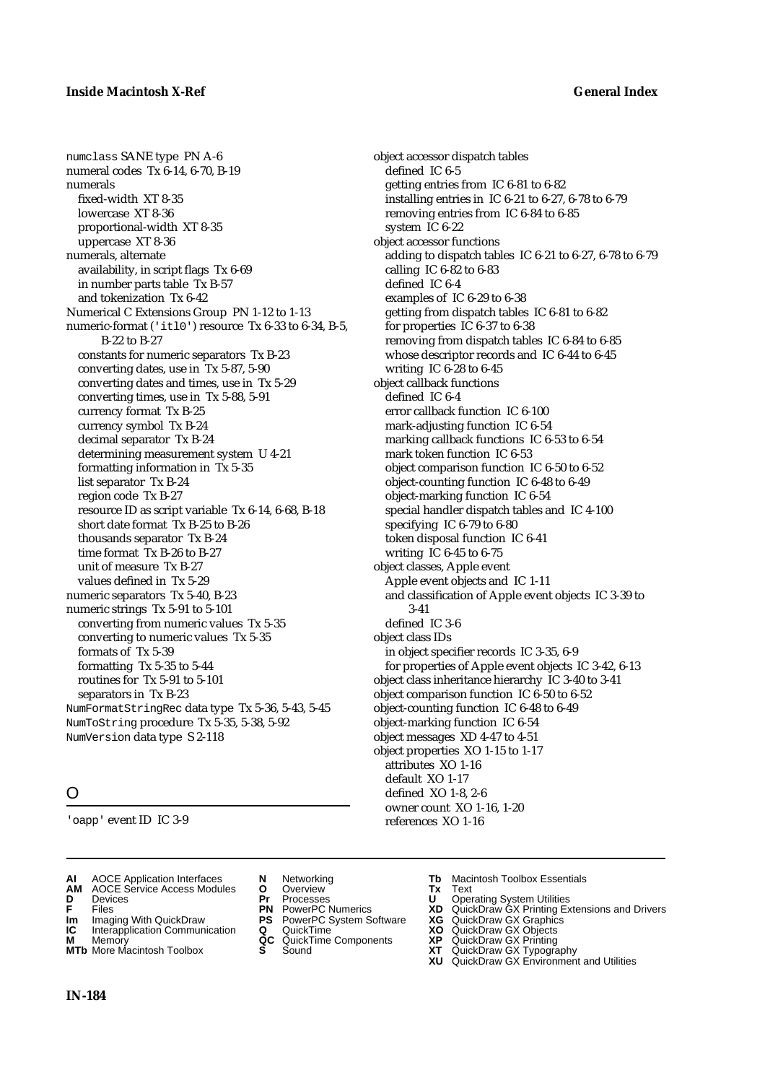numclass SANE type PN A-6 numeral codes Tx 6-14, 6-70, B-19 numerals fixed-width XT 8-35 lowercase XT 8-36 proportional-width XT 8-35 uppercase XT 8-36 numerals, alternate availability, in script flags Tx 6-69 in number parts table Tx B-57 and tokenization Tx 6-42 Numerical C Extensions Group PN 1-12 to 1-13 numeric-format ('itl0') resource Tx 6-33 to 6-34, B-5, B-22 to B-27 constants for numeric separators Tx B-23 converting dates, use in Tx 5-87, 5-90 converting dates and times, use in Tx 5-29 converting times, use in Tx 5-88, 5-91 currency format Tx B-25 currency symbol Tx B-24 decimal separator Tx B-24 determining measurement system U 4-21 formatting information in Tx 5-35 list separator Tx B-24 region code Tx B-27 resource ID as script variable Tx 6-14, 6-68, B-18 short date format Tx B-25 to B-26 thousands separator Tx B-24 time format Tx B-26 to B-27 unit of measure Tx B-27 values defined in Tx 5-29 numeric separators Tx 5-40, B-23 numeric strings Tx 5-91 to 5-101 converting from numeric values Tx 5-35 converting to numeric values Tx 5-35 formats of Tx 5-39 formatting Tx 5-35 to 5-44 routines for Tx 5-91 to 5-101 separators in Tx B-23 NumFormatStringRec data type Tx 5-36, 5-43, 5-45 NumToString procedure Tx 5-35, 5-38, 5-92 NumVersion data type S 2-118

# O

'oapp' event ID IC 3-9

- **AI** AOCE Application Interfaces **N** Networking **Tb** Macintosh Toolbox Essentials<br> **AM** AOCE Service Access Modules **O** Overview **Tx** Text<br> **D** Devices **Pr** Processes **U** Operating System Utilities
- **AM** AOCE Service Access Modules **O** Overview **Tx** Text
- 
- 
- **Im** Imaging With QuickDraw **PS** PowerPC System Software **XG IC** Interapplication Communication **Q** QuickTime **COVIC**
- **Interapplication Communication <b>Q** QuickTime **XO** Memory **XO** Memory **XP QC** QuickTime Components **XP M** Memory **CC** QuickTime Components **XP**<br> **MTb** More Macintosh Toolbox **S** Sound **XT**
- **MTb** More Macintosh Toolbox **S** Sound **XT** QuickDraw GX Typography
- 
- **D** Devices **Pr** Processes **U** Operating System Utilities
	-
	-
	-
	-
- 
- 

object accessor dispatch tables

getting entries from IC 6-81 to 6-82

removing entries from IC 6-84 to 6-85

installing entries in IC 6-21 to 6-27, 6-78 to 6-79

getting from dispatch tables IC 6-81 to 6-82

marking callback functions IC 6-53 to 6-54

object comparison function IC 6-50 to 6-52 object-counting function IC 6-48 to 6-49 object-marking function IC 6-54

special handler dispatch tables and IC 4-100

and classification of Apple event objects IC 3-39 to

for properties of Apple event objects IC 3-42, 6-13 object class inheritance hierarchy IC 3-40 to 3-41 object comparison function IC 6-50 to 6-52 object-counting function IC 6-48 to 6-49 object-marking function IC 6-54 object messages XD 4-47 to 4-51 object properties XO 1-15 to 1-17

removing from dispatch tables IC 6-84 to 6-85 whose descriptor records and IC 6-44 to 6-45

adding to dispatch tables IC 6-21 to 6-27, 6-78 to 6-79

defined IC 6-5

system IC 6-22 object accessor functions

calling IC 6-82 to 6-83 defined IC 6-4

writing IC 6-28 to 6-45 object callback functions defined IC 6-4

examples of IC 6-29 to 6-38

for properties IC 6-37 to 6-38

error callback function IC 6-100 mark-adjusting function IC 6-54

mark token function IC 6-53

specifying IC 6-79 to 6-80 token disposal function IC 6-41

Apple event objects and IC 1-11

in object specifier records IC 3-35, 6-9

writing IC 6-45 to 6-75 object classes, Apple event

3-41 defined IC 3-6 object class IDs

> attributes XO 1-16 default XO 1-17 defined XO 1-8, 2-6 owner count XO 1-16, 1-20 references XO 1-16

- **F** Files **PN** PowerPC Numerics **XD** QuickDraw GX Printing Extensions and Drivers
	-
	-
	-
	- **XU** QuickDraw GX Environment and Utilities

**IN-184**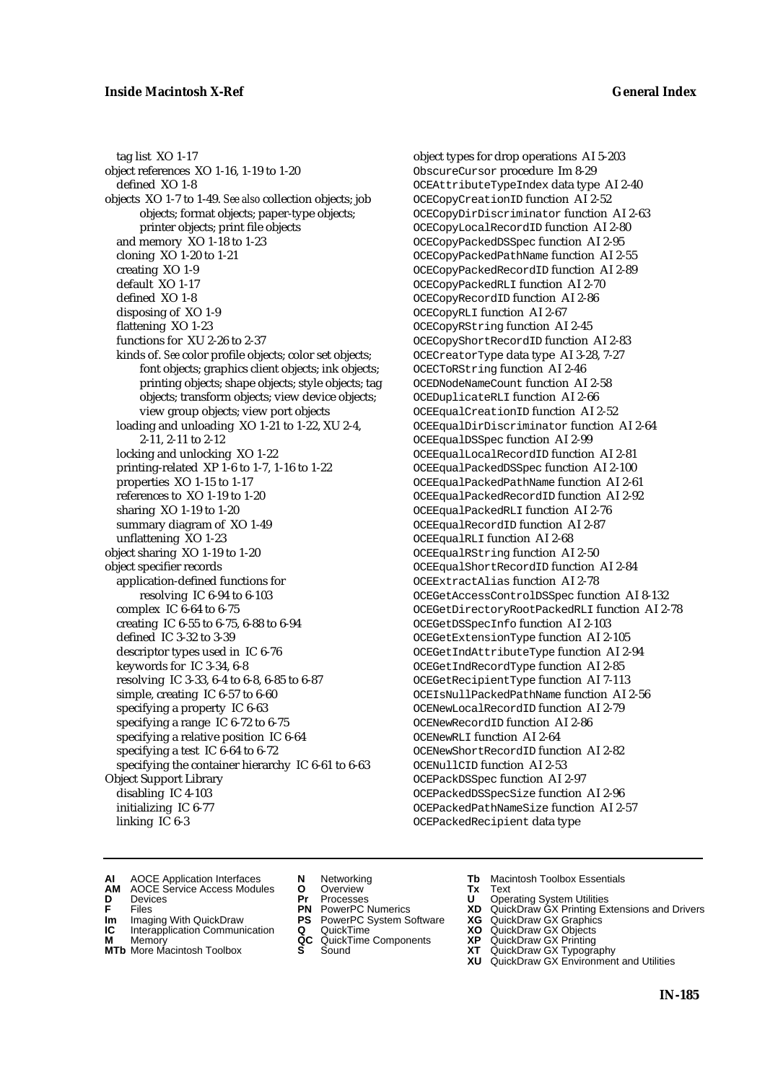tag list XO 1-17 object references XO 1-16, 1-19 to 1-20 defined XO 1-8 objects XO 1-7 to 1-49. *See also* collection objects; job objects; format objects; paper-type objects; printer objects; print file objects and memory XO 1-18 to 1-23 cloning XO 1-20 to 1-21 creating XO 1-9 default XO 1-17 defined XO 1-8 disposing of XO 1-9 flattening XO 1-23 functions for XU 2-26 to 2-37 kinds of. *See* color profile objects; color set objects; font objects; graphics client objects; ink objects; printing objects; shape objects; style objects; tag objects; transform objects; view device objects; view group objects; view port objects loading and unloading XO 1-21 to 1-22, XU 2-4, 2-11, 2-11 to 2-12 locking and unlocking XO 1-22 printing-related XP 1-6 to 1-7, 1-16 to 1-22 properties XO 1-15 to 1-17 references to XO 1-19 to 1-20 sharing XO 1-19 to 1-20 summary diagram of XO 1-49 unflattening XO 1-23 object sharing XO 1-19 to 1-20 object specifier records application-defined functions for resolving IC 6-94 to 6-103 complex IC 6-64 to 6-75 creating IC 6-55 to 6-75, 6-88 to 6-94 defined IC 3-32 to 3-39 descriptor types used in IC 6-76 keywords for IC 3-34, 6-8 resolving IC 3-33, 6-4 to 6-8, 6-85 to 6-87 simple, creating IC 6-57 to 6-60 specifying a property IC 6-63 specifying a range IC 6-72 to 6-75 specifying a relative position IC 6-64 specifying a test IC 6-64 to 6-72 specifying the container hierarchy IC 6-61 to 6-63 Object Support Library disabling IC 4-103 initializing IC 6-77 linking IC 6-3

object types for drop operations AI 5-203 ObscureCursor procedure Im 8-29 OCEAttributeTypeIndex data type AI 2-40 OCECopyCreationID function AI 2-52 OCECopyDirDiscriminator function AI 2-63 OCECopyLocalRecordID function AI 2-80 OCECopyPackedDSSpec function AI 2-95 OCECopyPackedPathName function AI 2-55 OCECopyPackedRecordID function AI 2-89 OCECopyPackedRLI function AI 2-70 OCECopyRecordID function AI 2-86 OCECopyRLI function AI 2-67 OCECopyRString function AI 2-45 OCECopyShortRecordID function AI 2-83 OCECreatorType data type AI 3-28, 7-27 OCECToRString function AI 2-46 OCEDNodeNameCount function AI 2-58 OCEDuplicateRLI function AI 2-66 OCEEqualCreationID function AI 2-52 OCEEqualDirDiscriminator function AI 2-64 OCEEqualDSSpec function AI 2-99 OCEEqualLocalRecordID function AI 2-81 OCEEqualPackedDSSpec function AI 2-100 OCEEqualPackedPathName function AI 2-61 OCEEqualPackedRecordID function AI 2-92 OCEEqualPackedRLI function AI 2-76 OCEEqualRecordID function AI 2-87 OCEEqualRLI function AI 2-68 OCEEqualRString function AI 2-50 OCEEqualShortRecordID function AI 2-84 OCEExtractAlias function AI 2-78 OCEGetAccessControlDSSpec function AI 8-132 OCEGetDirectoryRootPackedRLI function AI 2-78 OCEGetDSSpecInfo function AI 2-103 OCEGetExtensionType function AI 2-105 OCEGetIndAttributeType function AI 2-94 OCEGetIndRecordType function AI 2-85 OCEGetRecipientType function AI 7-113 OCEIsNullPackedPathName function AI 2-56 OCENewLocalRecordID function AI 2-79 OCENewRecordID function AI 2-86 OCENewRLI function AI 2-64 OCENewShortRecordID function AI 2-82 OCENullCID function AI 2-53 OCEPackDSSpec function AI 2-97 OCEPackedDSSpecSize function AI 2-96 OCEPackedPathNameSize function AI 2-57 OCEPackedRecipient data type

- **AI** AOCE Application Interfaces **N** Networking **Tb** Macintosh Toolbox Essentials<br> **AM** AOCE Service Access Modules **O** Overview **Tx** Text<br> **D** Devices **Pr** Processes **U** Operating System Utilities
- AOCE Service Access Modules **O** Overview **Tx** Text<br>Devices **Devices Devices Devices**
- 
- **IM** FILES<br> **Im** Imaging With QuickDraw **PS** PowerPC System Software **XG**<br> **IC** Interapplication Communication **Q** QuickTime **XO**
- **IC** Interapplication Communication **Q** QuickTime **XO M** Memory **XO QC** QuickTime Components **XP**
- **M** Memory **QC** QuickTime Components **XP**<br>**MTb** More Macintosh Toolbox **S** Sound **XT**
- 
- **D** Devices **Pr** Processes **U** Operating System Utilities
	-
	-
	-
	-
- 
- 
- **F** Files **PN** PowerPC Numerics **XD** QuickDraw GX Printing Extensions and Drivers
	-
	-
	-
- **MTb** More Macintosh Toolbox **S** Sound **XT** QuickDraw GX Typography
	- **XU** QuickDraw GX Environment and Utilities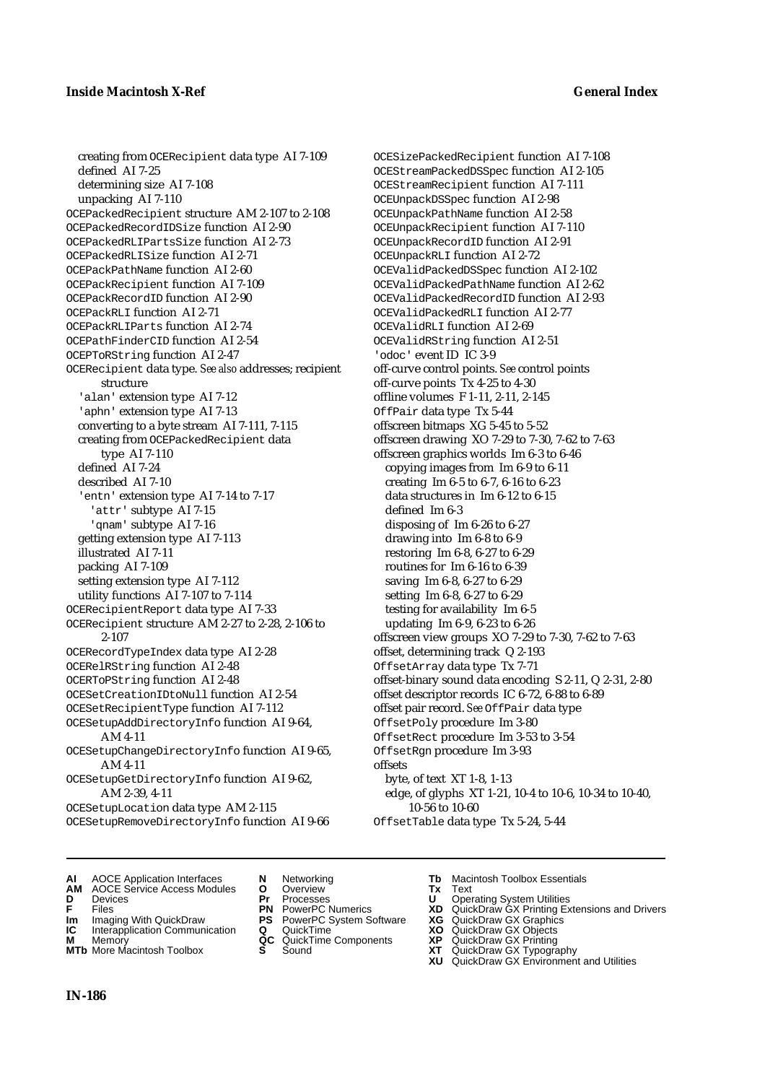creating from OCERecipient data type AI 7-109 defined AI 7-25 determining size AI 7-108 unpacking AI 7-110 OCEPackedRecipient structure AM 2-107 to 2-108 OCEPackedRecordIDSize function AI 2-90 OCEPackedRLIPartsSize function AI 2-73 OCEPackedRLISize function AI 2-71 OCEPackPathName function AI 2-60 OCEPackRecipient function AI 7-109 OCEPackRecordID function AI 2-90 OCEPackRLI function AI 2-71 OCEPackRLIParts function AI 2-74 OCEPathFinderCID function AI 2-54 OCEPToRString function AI 2-47 OCERecipient data type. *See also* addresses; recipient structure 'alan' extension type AI 7-12 'aphn' extension type AI 7-13 converting to a byte stream AI 7-111, 7-115 creating from OCEPackedRecipient data type AI 7-110 defined AI 7-24 described AI 7-10 'entn' extension type AI 7-14 to 7-17 'attr' subtype AI 7-15 'qnam' subtype AI 7-16 getting extension type AI 7-113 illustrated AI 7-11 packing AI 7-109 setting extension type AI 7-112 utility functions AI 7-107 to 7-114 OCERecipientReport data type AI 7-33 OCERecipient structure AM 2-27 to 2-28, 2-106 to 2-107 OCERecordTypeIndex data type AI 2-28 OCERelRString function AI 2-48 OCERToPString function AI 2-48 OCESetCreationIDtoNull function AI 2-54 OCESetRecipientType function AI 7-112 OCESetupAddDirectoryInfo function AI 9-64, AM 4-11 OCESetupChangeDirectoryInfo function AI 9-65, AM 4-11 OCESetupGetDirectoryInfo function AI 9-62, AM 2-39, 4-11 OCESetupLocation data type AM 2-115 OCESetupRemoveDirectoryInfo function AI 9-66

OCESizePackedRecipient function AI 7-108 OCEStreamPackedDSSpec function AI 2-105 OCEStreamRecipient function AI 7-111 OCEUnpackDSSpec function AI 2-98 OCEUnpackPathName function AI 2-58 OCEUnpackRecipient function AI 7-110 OCEUnpackRecordID function AI 2-91 OCEUnpackRLI function AI 2-72 OCEValidPackedDSSpec function AI 2-102 OCEValidPackedPathName function AI 2-62 OCEValidPackedRecordID function AI 2-93 OCEValidPackedRLI function AI 2-77 OCEValidRLI function AI 2-69 OCEValidRString function AI 2-51 'odoc' event ID IC 3-9 off-curve control points. *See* control points off-curve points Tx 4-25 to 4-30 offline volumes F 1-11, 2-11, 2-145 OffPair data type Tx 5-44 offscreen bitmaps XG 5-45 to 5-52 offscreen drawing XO 7-29 to 7-30, 7-62 to 7-63 offscreen graphics worlds Im 6-3 to 6-46 copying images from Im 6-9 to 6-11 creating Im 6-5 to 6-7, 6-16 to 6-23 data structures in Im 6-12 to 6-15 defined Im 6-3 disposing of Im 6-26 to 6-27 drawing into Im 6-8 to 6-9 restoring Im 6-8, 6-27 to 6-29 routines for Im 6-16 to 6-39 saving Im 6-8, 6-27 to 6-29 setting Im 6-8, 6-27 to 6-29 testing for availability Im 6-5 updating Im 6-9, 6-23 to 6-26 offscreen view groups XO 7-29 to 7-30, 7-62 to 7-63 offset, determining track Q 2-193 OffsetArray data type Tx 7-71 offset-binary sound data encoding S 2-11, Q 2-31, 2-80 offset descriptor records IC 6-72, 6-88 to 6-89 offset pair record. *See* OffPair data type OffsetPoly procedure Im 3-80 OffsetRect procedure Im 3-53 to 3-54 OffsetRgn procedure Im 3-93 offsets byte, of text XT 1-8, 1-13 edge, of glyphs XT 1-21, 10-4 to 10-6, 10-34 to 10-40, 10-56 to 10-60 OffsetTable data type Tx 5-24, 5-44

- **AI** AOCE Application Interfaces **N** Networking **Tb** Macintosh Toolbox Essentials
- **AM** AOCE Service Access Modules **O** Overview **Tx** Text
- 
- 
- **IM IMAGE CONSTRANT PRESENT PRESENT PRESENT PRESENT PRESENT PRESENT PRESENT PRESENT PRESENT PRESENT PRESENT PRESEN<br>
<b>IM** Imaging With QuickDraw **PS** PowerPC System Software **XG**<br> **IC** Interapplication Communication **Q** Qui
- **Interapplication Communication <b>Q** QuickTime **XO** Memory **XO** Memory **XP QC** QuickTime Components **XP M** Memory **DRITIC CONTENTIER MANUS AND MEMORY MEMORY AND MEMORY AND <b>ALC** QuickTime Components **XP XT**
- **MTb** More Macintosh Toolbox **S** Sound **XT** QuickDraw GX Typography
- 
- 
- 
- 
- 
- -
- 
- **D** Devices **Pr** Processes **U** Operating System Utilities
- **F** Files **PN** PowerPC Numerics **XD** QuickDraw GX Printing Extensions and Drivers
	-
	-
	-
	-
	- **XU** QuickDraw GX Environment and Utilities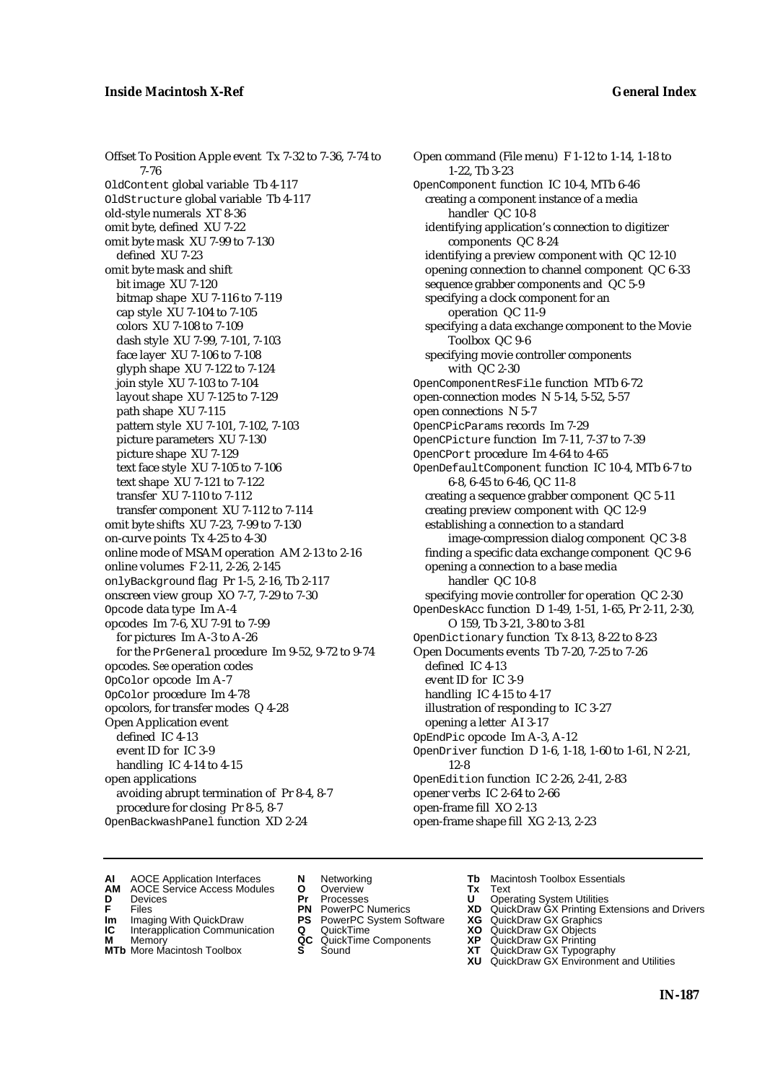Offset To Position Apple event Tx 7-32 to 7-36, 7-74 to 7-76 OldContent global variable Tb 4-117 OldStructure global variable Tb 4-117 old-style numerals XT 8-36 omit byte, defined XU 7-22 omit byte mask XU 7-99 to 7-130 defined XU 7-23 omit byte mask and shift bit image XU 7-120 bitmap shape XU 7-116 to 7-119 cap style XU 7-104 to 7-105 colors XU 7-108 to 7-109 dash style XU 7-99, 7-101, 7-103 face layer XU 7-106 to 7-108 glyph shape XU 7-122 to 7-124 join style XU 7-103 to 7-104 layout shape XU 7-125 to 7-129 path shape XU 7-115 pattern style XU 7-101, 7-102, 7-103 picture parameters XU 7-130 picture shape XU 7-129 text face style XU 7-105 to 7-106 text shape XU 7-121 to 7-122 transfer XU 7-110 to 7-112 transfer component XU 7-112 to 7-114 omit byte shifts XU 7-23, 7-99 to 7-130 on-curve points Tx 4-25 to 4-30 online mode of MSAM operation AM 2-13 to 2-16 online volumes F 2-11, 2-26, 2-145 onlyBackground flag Pr 1-5, 2-16, Tb 2-117 onscreen view group XO 7-7, 7-29 to 7-30 Opcode data type Im A-4 opcodes Im 7-6, XU 7-91 to 7-99 for pictures Im A-3 to A-26 for the PrGeneral procedure Im 9-52, 9-72 to 9-74 opcodes. *See* operation codes OpColor opcode Im A-7 OpColor procedure Im 4-78 opcolors, for transfer modes Q 4-28 Open Application event defined IC 4-13 event ID for IC 3-9 handling IC 4-14 to 4-15 open applications avoiding abrupt termination of Pr 8-4, 8-7 procedure for closing Pr 8-5, 8-7 OpenBackwashPanel function XD 2-24

Open command (File menu) F 1-12 to 1-14, 1-18 to 1-22, Tb 3-23 OpenComponent function IC 10-4, MTb 6-46 creating a component instance of a media handler QC 10-8 identifying application's connection to digitizer components QC 8-24 identifying a preview component with QC 12-10 opening connection to channel component QC 6-33 sequence grabber components and QC 5-9 specifying a clock component for an operation QC 11-9 specifying a data exchange component to the Movie Toolbox QC 9-6 specifying movie controller components with QC 2-30 OpenComponentResFile function MTb 6-72 open-connection modes N 5-14, 5-52, 5-57 open connections N 5-7 OpenCPicParams records Im 7-29 OpenCPicture function Im 7-11, 7-37 to 7-39 OpenCPort procedure Im 4-64 to 4-65 OpenDefaultComponent function IC 10-4, MTb 6-7 to 6-8, 6-45 to 6-46, QC 11-8 creating a sequence grabber component QC 5-11 creating preview component with QC 12-9 establishing a connection to a standard image-compression dialog component QC 3-8 finding a specific data exchange component QC 9-6 opening a connection to a base media handler QC 10-8 specifying movie controller for operation QC 2-30 OpenDeskAcc function D 1-49, 1-51, 1-65, Pr 2-11, 2-30, O 159, Tb 3-21, 3-80 to 3-81 OpenDictionary function Tx 8-13, 8-22 to 8-23 Open Documents events Tb 7-20, 7-25 to 7-26 defined IC 4-13 event ID for IC 3-9 handling IC 4-15 to 4-17 illustration of responding to IC 3-27 opening a letter AI 3-17 OpEndPic opcode Im A-3, A-12 OpenDriver function D 1-6, 1-18, 1-60 to 1-61, N 2-21, 12-8 OpenEdition function IC 2-26, 2-41, 2-83 opener verbs IC 2-64 to 2-66 open-frame fill XO 2-13 open-frame shape fill XG 2-13, 2-23

- **AI** AOCE Application Interfaces **N** Networking **Tb** Macintosh Toolbox Essentials
- **AM** AOCE Service Access Modules **O** Overview **Tx** Text
- -
- **Im** Files<br> **Im** Imaging With QuickDraw **PS** PowerPC System Software **XG**<br> **IC** Interapplication Communication **Q** QuickTime **XO**
- **IC** Interapplication Communication **Q** QuickTime **XO M** Memory **XO QC** QuickTime Components **XP M** Memory **CONSISTENT CONSISTENT QC** QuickTime Components **XP**<br> **MTb** More Macintosh Toolbox **S** Sound **XT**
- **MTb** More Macintosh Toolbox **S** Sound **XT** QuickDraw GX Typography
- 
- **D** Devices **Pr** Processes **U** Operating System Utilities
	-
	-
	-
	-
- 
- 
- **F** Files **PN** PowerPC Numerics **XD** QuickDraw GX Printing Extensions and Drivers
	-
	-
	-
	-
	- **XU** QuickDraw GX Environment and Utilities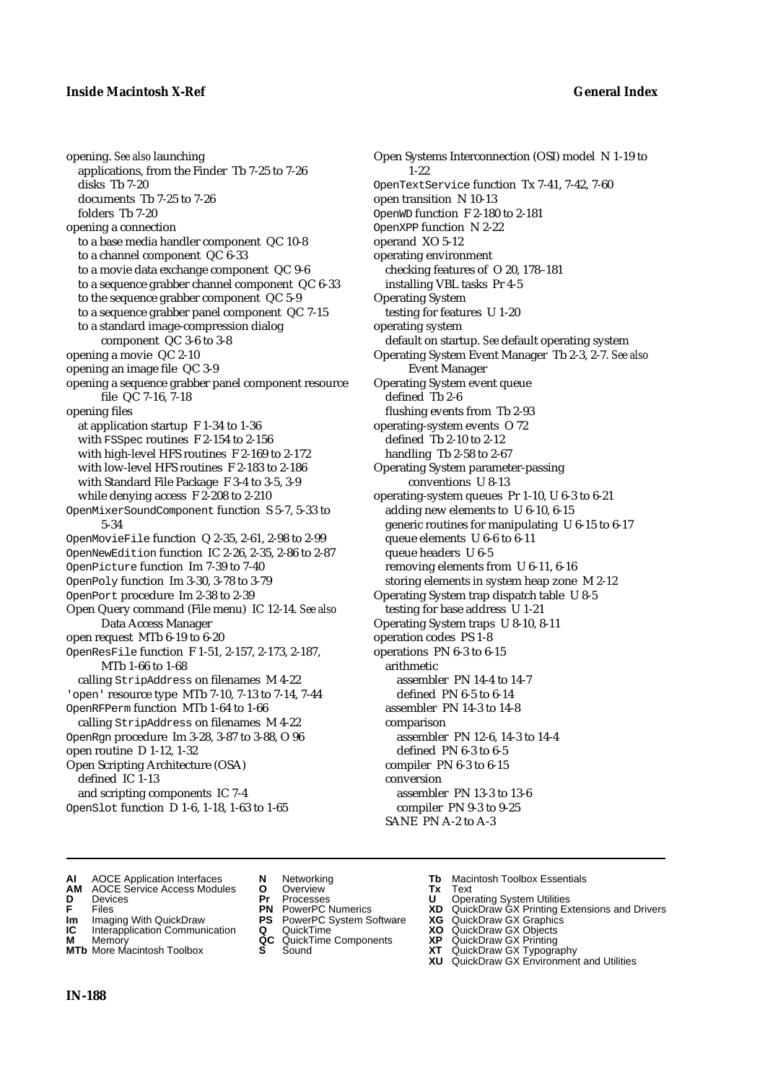opening. *See also* launching applications, from the Finder Tb 7-25 to 7-26 disks Tb 7-20 documents Tb 7-25 to 7-26 folders Tb 7-20 opening a connection to a base media handler component QC 10-8 to a channel component QC 6-33 to a movie data exchange component QC 9-6 to a sequence grabber channel component QC 6-33 to the sequence grabber component QC 5-9 to a sequence grabber panel component QC 7-15 to a standard image-compression dialog component QC 3-6 to 3-8 opening a movie QC 2-10 opening an image file QC 3-9 opening a sequence grabber panel component resource file QC 7-16, 7-18 opening files at application startup F 1-34 to 1-36 with FSSpec routines F 2-154 to 2-156 with high-level HFS routines F 2-169 to 2-172 with low-level HFS routines F 2-183 to 2-186 with Standard File Package F 3-4 to 3-5, 3-9 while denying access F 2-208 to 2-210 OpenMixerSoundComponent function S 5-7, 5-33 to 5-34 OpenMovieFile function Q 2-35, 2-61, 2-98 to 2-99 OpenNewEdition function IC 2-26, 2-35, 2-86 to 2-87 OpenPicture function Im 7-39 to 7-40 OpenPoly function Im 3-30, 3-78 to 3-79 OpenPort procedure Im 2-38 to 2-39 Open Query command (File menu) IC 12-14. *See also* Data Access Manager open request MTb 6-19 to 6-20 OpenResFile function F 1-51, 2-157, 2-173, 2-187, MTb 1-66 to 1-68 calling StripAddress on filenames M 4-22 'open' resource type MTb 7-10, 7-13 to 7-14, 7-44 OpenRFPerm function MTb 1-64 to 1-66 calling StripAddress on filenames M 4-22 OpenRgn procedure Im 3-28, 3-87 to 3-88, O 96 open routine D 1-12, 1-32 Open Scripting Architecture (OSA) defined IC 1-13 and scripting components IC 7-4 OpenSlot function D 1-6, 1-18, 1-63 to 1-65

Open Systems Interconnection (OSI) model N 1-19 to 1-22 OpenTextService function Tx 7-41, 7-42, 7-60 open transition N 10-13 OpenWD function F 2-180 to 2-181 OpenXPP function N 2-22 operand XO 5-12 operating environment checking features of O 20, 178–181 installing VBL tasks Pr 4-5 Operating System testing for features U 1-20 operating system default on startup. *See* default operating system Operating System Event Manager Tb 2-3, 2-7. *See also* Event Manager Operating System event queue defined Tb 2-6 flushing events from Tb 2-93 operating-system events O 72 defined Tb 2-10 to 2-12 handling Tb 2-58 to 2-67 Operating System parameter-passing conventions U 8-13 operating-system queues Pr 1-10, U 6-3 to 6-21 adding new elements to U 6-10, 6-15 generic routines for manipulating U 6-15 to 6-17 queue elements U 6-6 to 6-11 queue headers U 6-5 removing elements from U 6-11, 6-16 storing elements in system heap zone M 2-12 Operating System trap dispatch table U 8-5 testing for base address U 1-21 Operating System traps U 8-10, 8-11 operation codes PS 1-8 operations PN 6-3 to 6-15 arithmetic assembler PN 14-4 to 14-7 defined PN 6-5 to 6-14 assembler PN 14-3 to 14-8 comparison assembler PN 12-6, 14-3 to 14-4 defined PN 6-3 to 6-5 compiler PN 6-3 to 6-15 conversion assembler PN 13-3 to 13-6 compiler PN 9-3 to 9-25 SANE PN A-2 to A-3

- 
- **AI** AOCE Application Interfaces **N** Networking **Tb** Macintosh Toolbox Essentials<br> **AM** AOCE Service Access Modules **O** Overview **Tx** Text<br> **D** Devices **Pr** Processes **U** Operating System Utilities AOCE Service Access Modules **O** Overview **Tx** Text<br> **Devices Devices Pr** Processes **U** Oper
- 
- 
- **IM** Files<br> **Im** Imaging With QuickDraw **PS** PowerPC System Software **XG**<br> **IC** Interapplication Communication **Q** QuickTime **XO**
- **Interapplication Communication <b>Q** QuickTime **XO** Memory **XO** Memory **XP QC** QuickTime Components **XP**
- **M** Memory **CC** QuickTime Components **XP**<br> **MTb** More Macintosh Toolbox **S** Sound **XT MTb** More Macintosh Toolbox **S** Sound **XT** QuickDraw GX Typography
- 
- **D** Devices **Pr** Processes **U** Operating System Utilities
	-
	-
	-
	-
- 
- 
- **F** Files **PN** PowerPC Numerics **XD** QuickDraw GX Printing Extensions and Drivers
	-
	-
	-
	-
	- **XU** QuickDraw GX Environment and Utilities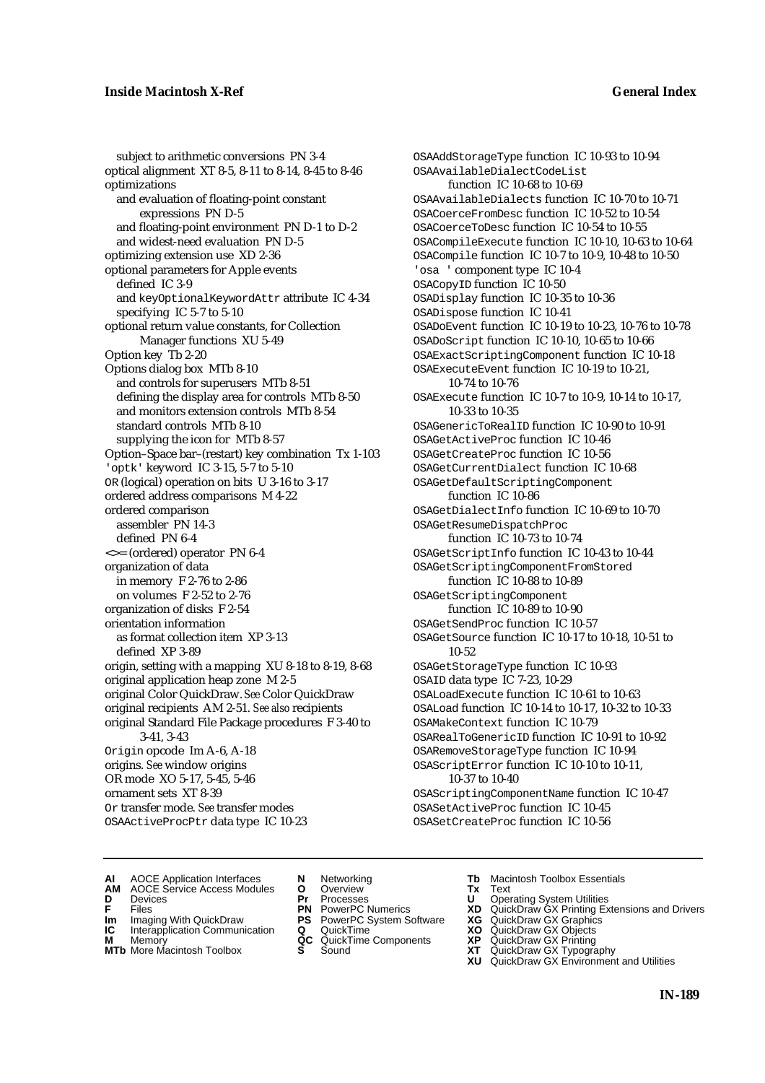subject to arithmetic conversions PN 3-4 optical alignment XT 8-5, 8-11 to 8-14, 8-45 to 8-46 optimizations and evaluation of floating-point constant expressions PN D-5 and floating-point environment PN D-1 to D-2 and widest-need evaluation PN D-5 optimizing extension use XD 2-36 optional parameters for Apple events defined IC 3-9 and keyOptionalKeywordAttr attribute IC 4-34 specifying IC 5-7 to 5-10 optional return value constants, for Collection Manager functions XU 5-49 Option key Tb 2-20 Options dialog box MTb 8-10 and controls for superusers MTb 8-51 defining the display area for controls MTb 8-50 and monitors extension controls MTb 8-54 standard controls MTb 8-10 supplying the icon for MTb 8-57 Option–Space bar–(restart) key combination Tx 1-103 'optk' keyword IC 3-15, 5-7 to 5-10 OR (logical) operation on bits U 3-16 to 3-17 ordered address comparisons M 4-22 ordered comparison assembler PN 14-3 defined PN 6-4 <>= (ordered) operator PN 6-4 organization of data in memory F 2-76 to 2-86 on volumes F 2-52 to 2-76 organization of disks F 2-54 orientation information as format collection item XP 3-13 defined XP 3-89 origin, setting with a mapping XU 8-18 to 8-19, 8-68 original application heap zone M 2-5 original Color QuickDraw. *See* Color QuickDraw original recipients AM 2-51. *See also* recipients original Standard File Package procedures F 3-40 to 3-41, 3-43 Origin opcode Im A-6, A-18 origins. *See* window origins OR mode XO 5-17, 5-45, 5-46 ornament sets XT 8-39 Or transfer mode. *See* transfer modes OSAActiveProcPtr data type IC 10-23

OSAAddStorageType function IC 10-93 to 10-94 OSAAvailableDialectCodeList function IC 10-68 to 10-69 OSAAvailableDialects function IC 10-70 to 10-71 OSACoerceFromDesc function IC 10-52 to 10-54 OSACoerceToDesc function IC 10-54 to 10-55 OSACompileExecute function IC 10-10, 10-63 to 10-64 OSACompile function IC 10-7 to 10-9, 10-48 to 10-50 'osa ' component type IC 10-4 OSACopyID function IC 10-50 OSADisplay function IC 10-35 to 10-36 OSADispose function IC 10-41 OSADoEvent function IC 10-19 to 10-23, 10-76 to 10-78 OSADoScript function IC 10-10, 10-65 to 10-66 OSAExactScriptingComponent function IC 10-18 OSAExecuteEvent function IC 10-19 to 10-21, 10-74 to 10-76 OSAExecute function IC 10-7 to 10-9, 10-14 to 10-17, 10-33 to 10-35 OSAGenericToRealID function IC 10-90 to 10-91 OSAGetActiveProc function IC 10-46 OSAGetCreateProc function IC 10-56 OSAGetCurrentDialect function IC 10-68 OSAGetDefaultScriptingComponent function IC 10-86 OSAGetDialectInfo function IC 10-69 to 10-70 OSAGetResumeDispatchProc function IC 10-73 to 10-74 OSAGetScriptInfo function IC 10-43 to 10-44 OSAGetScriptingComponentFromStored function IC 10-88 to 10-89 OSAGetScriptingComponent function IC 10-89 to 10-90 OSAGetSendProc function IC 10-57 OSAGetSource function IC 10-17 to 10-18, 10-51 to 10-52 OSAGetStorageType function IC 10-93 OSAID data type IC 7-23, 10-29 OSALoadExecute function IC 10-61 to 10-63 OSALoad function IC 10-14 to 10-17, 10-32 to 10-33 OSAMakeContext function IC 10-79 OSARealToGenericID function IC 10-91 to 10-92 OSARemoveStorageType function IC 10-94 OSAScriptError function IC 10-10 to 10-11, 10-37 to 10-40 OSAScriptingComponentName function IC 10-47 OSASetActiveProc function IC 10-45 OSASetCreateProc function IC 10-56

- **AI** AOCE Application Interfaces **N** Networking **The Macintosh Toolbox Essentials**<br> **AM** AOCE Service Access Modules **O** Overview **Tx** Text<br> **D** Devices **Pr** Processes **U** Operating System Utilities
- AOCE Service Access Modules **O** Overview **Tx** Text<br>Devices **Devices Devices Devices**
- 
- 
- **IM** FILES<br> **Im** Imaging With QuickDraw **PS** PowerPC System Software **XG**<br> **IC** Interapplication Communication **Q** QuickTime **XO**
- **IC** Interapplication Communication **Q** QuickTime **XO M** Memory **XO QC** QuickTime Components **XP M** Memory **QC** QuickTime Components **XP**<br>**MTb** More Macintosh Toolbox **S** Sound **XT**
- **MTb** More Macintosh Toolbox **S** Sound **XT** QuickDraw GX Typography
- 
- **D** Devices **Pr** Processes **U** Operating System Utilities
	-
	-
	-
	-
- 
- 
- **F** Files **PN** PowerPC Numerics **XD** QuickDraw GX Printing Extensions and Drivers
	-
	-
	-
	-
	- **XU** QuickDraw GX Environment and Utilities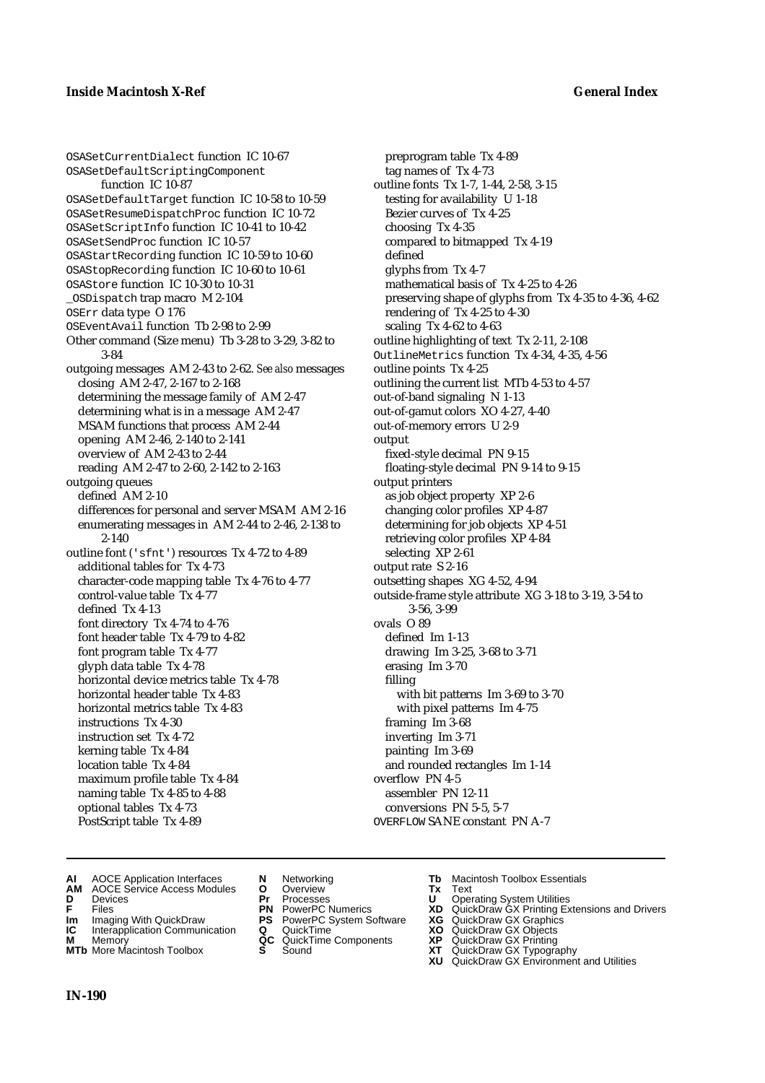OSASetCurrentDialect function IC 10-67 OSASetDefaultScriptingComponent function IC 10-87 OSASetDefaultTarget function IC 10-58 to 10-59 OSASetResumeDispatchProc function IC 10-72 OSASetScriptInfo function IC 10-41 to 10-42 OSASetSendProc function IC 10-57 OSAStartRecording function IC 10-59 to 10-60 OSAStopRecording function IC 10-60 to 10-61 OSAStore function IC 10-30 to 10-31 \_OSDispatch trap macro M 2-104 OSErr data type O 176 OSEventAvail function Tb 2-98 to 2-99 Other command (Size menu) Tb 3-28 to 3-29, 3-82 to 3-84 outgoing messages AM 2-43 to 2-62. *See also* messages closing AM 2-47, 2-167 to 2-168 determining the message family of AM 2-47 determining what is in a message AM 2-47 MSAM functions that process AM 2-44 opening AM 2-46, 2-140 to 2-141 overview of AM 2-43 to 2-44 reading AM 2-47 to 2-60, 2-142 to 2-163 outgoing queues defined AM 2-10 differences for personal and server MSAM AM 2-16 enumerating messages in AM 2-44 to 2-46, 2-138 to 2-140 outline font ('sfnt') resources Tx 4-72 to 4-89 additional tables for Tx 4-73 character-code mapping table Tx 4-76 to 4-77 control-value table Tx 4-77 defined Tx 4-13 font directory Tx 4-74 to 4-76 font header table Tx 4-79 to 4-82 font program table Tx 4-77 glyph data table Tx 4-78 horizontal device metrics table Tx 4-78 horizontal header table Tx 4-83 horizontal metrics table Tx 4-83 instructions Tx 4-30 instruction set Tx 4-72 kerning table Tx 4-84 location table Tx 4-84 maximum profile table Tx 4-84 naming table Tx 4-85 to 4-88 optional tables Tx 4-73 PostScript table Tx 4-89

preprogram table Tx 4-89 tag names of Tx 4-73 outline fonts Tx 1-7, 1-44, 2-58, 3-15 testing for availability U 1-18 Bezier curves of Tx 4-25 choosing Tx 4-35 compared to bitmapped Tx 4-19 defined glyphs from Tx 4-7 mathematical basis of Tx 4-25 to 4-26 preserving shape of glyphs from Tx 4-35 to 4-36, 4-62 rendering of Tx 4-25 to 4-30 scaling Tx 4-62 to 4-63 outline highlighting of text Tx 2-11, 2-108 OutlineMetrics function Tx 4-34, 4-35, 4-56 outline points Tx 4-25 outlining the current list MTb 4-53 to 4-57 out-of-band signaling N 1-13 out-of-gamut colors XO 4-27, 4-40 out-of-memory errors U 2-9 output fixed-style decimal PN 9-15 floating-style decimal PN 9-14 to 9-15 output printers as job object property XP 2-6 changing color profiles XP 4-87 determining for job objects XP 4-51 retrieving color profiles XP 4-84 selecting XP 2-61 output rate S 2-16 outsetting shapes XG 4-52, 4-94 outside-frame style attribute XG 3-18 to 3-19, 3-54 to 3-56, 3-99 ovals O 89 defined Im 1-13 drawing Im 3-25, 3-68 to 3-71 erasing Im 3-70 filling with bit patterns Im 3-69 to 3-70 with pixel patterns Im 4-75 framing Im 3-68 inverting Im 3-71 painting Im 3-69 and rounded rectangles Im 1-14 overflow PN 4-5 assembler PN 12-11 conversions PN 5-5, 5-7 OVERFLOW SANE constant PN A-7

- **AI** AOCE Application Interfaces **N** Networking **Tb** Macintosh Toolbox Essentials
- **AM** AOCE Service Access Modules **O** Overview **Tx** Text
- 
- 
- **Im** Imaging With QuickDraw **PS** PowerPC System Software **XG IC** Interapplication Communication **Q** QuickTime **COVIC**
- **Interapplication Communication <b>Q** QuickTime **XO** Memory **XO** Objects **XP QC** QuickTime Components **XP**
- **MTb** More Macintosh Toolbox **S** Sound **XT** QuickDraw GX Typography
- 
- **D** Devices **Pr** Processes **U** Operating System Utilities
	-
	-
	-
	-
	-
- 
- 
- **F** Files **PN** PowerPC Numerics **XD** QuickDraw GX Printing Extensions and Drivers
	-
	-
- **M** Memory **QC** QuickTime Components **XP** QuickDraw GX Printing
	-
	- **XU** QuickDraw GX Environment and Utilities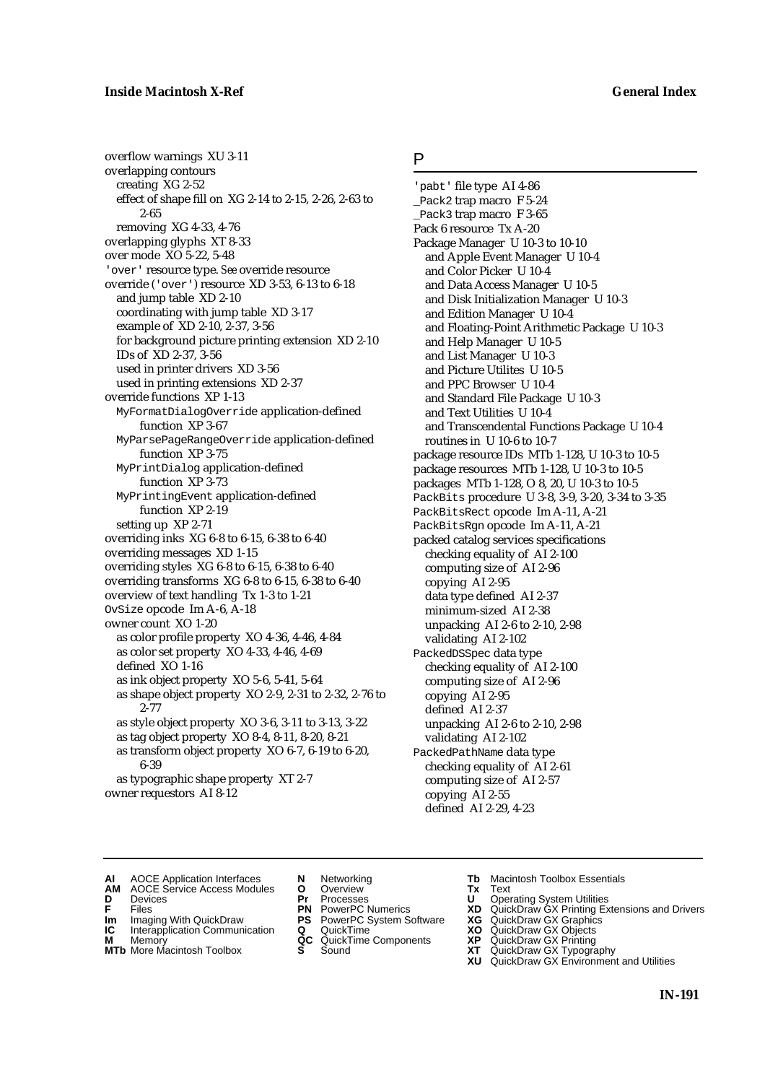overflow warnings XU 3-11 overlapping contours creating XG 2-52 effect of shape fill on XG 2-14 to 2-15, 2-26, 2-63 to 2-65 removing XG 4-33, 4-76 overlapping glyphs XT 8-33 over mode XO 5-22, 5-48 'over' resource type. *See* override resource override ('over') resource XD 3-53, 6-13 to 6-18 and jump table XD 2-10 coordinating with jump table XD 3-17 example of XD 2-10, 2-37, 3-56 for background picture printing extension XD 2-10 IDs of XD 2-37, 3-56 used in printer drivers XD 3-56 used in printing extensions XD 2-37 override functions XP 1-13 MyFormatDialogOverride application-defined function XP 3-67 MyParsePageRangeOverride application-defined function XP 3-75 MyPrintDialog application-defined function XP 3-73 MyPrintingEvent application-defined function XP 2-19 setting up XP 2-71 overriding inks XG 6-8 to 6-15, 6-38 to 6-40 overriding messages XD 1-15 overriding styles XG 6-8 to 6-15, 6-38 to 6-40 overriding transforms XG 6-8 to 6-15, 6-38 to 6-40 overview of text handling Tx 1-3 to 1-21 OvSize opcode Im A-6, A-18 owner count XO 1-20 as color profile property XO 4-36, 4-46, 4-84 as color set property XO 4-33, 4-46, 4-69 defined XO 1-16 as ink object property XO 5-6, 5-41, 5-64 as shape object property XO 2-9, 2-31 to 2-32, 2-76 to 2-77 as style object property XO 3-6, 3-11 to 3-13, 3-22 as tag object property XO 8-4, 8-11, 8-20, 8-21 as transform object property XO 6-7, 6-19 to 6-20, 6-39 as typographic shape property XT 2-7 owner requestors AI 8-12

# P

'pabt' file type AI 4-86 \_Pack2 trap macro F 5-24 \_Pack3 trap macro F 3-65 Pack 6 resource Tx A-20 Package Manager U 10-3 to 10-10 and Apple Event Manager U 10-4 and Color Picker U 10-4 and Data Access Manager U 10-5 and Disk Initialization Manager U 10-3 and Edition Manager U 10-4 and Floating-Point Arithmetic Package U 10-3 and Help Manager U 10-5 and List Manager U 10-3 and Picture Utilites U 10-5 and PPC Browser U 10-4 and Standard File Package U 10-3 and Text Utilities U 10-4 and Transcendental Functions Package U 10-4 routines in U 10-6 to 10-7 package resource IDs MTb 1-128, U 10-3 to 10-5 package resources MTb 1-128, U 10-3 to 10-5 packages MTb 1-128, O 8, 20, U 10-3 to 10-5 PackBits procedure U 3-8, 3-9, 3-20, 3-34 to 3-35 PackBitsRect opcode Im A-11, A-21 PackBitsRgn opcode Im A-11, A-21 packed catalog services specifications checking equality of AI 2-100 computing size of AI 2-96 copying AI 2-95 data type defined AI 2-37 minimum-sized AI 2-38 unpacking AI 2-6 to 2-10, 2-98 validating AI 2-102 PackedDSSpec data type checking equality of AI 2-100 computing size of AI 2-96 copying AI 2-95 defined AI 2-37 unpacking AI 2-6 to 2-10, 2-98 validating AI 2-102 PackedPathName data type checking equality of AI 2-61 computing size of AI 2-57 copying AI 2-55 defined AI 2-29, 4-23

- **AI** AOCE Application Interfaces **N** Networking **Tb** Macintosh Toolbox Essentials<br> **AM** AOCE Service Access Modules **O** Overview **Tx** Text<br> **D** Devices **Pr** Processes **U** Operating System Utilities
- AOCE Service Access Modules **O** Overview **Tx** Text<br>Devices **Devices Devices Devices Dividends Devices**
- 
- 
- **IM** FILES<br> **Im** Imaging With QuickDraw **PS** PowerPC System Software **XG**<br> **IC** Interapplication Communication **Q** QuickTime **XO**
- **M** Memory **QC** QuickTime Components **XP**<br>**MTb** More Macintosh Toolbox **S** Sound **XT**
- **MTb** More Macintosh Toolbox **S** Sound **XT** QuickDraw GX Typography
- 
- **D** Devices **Pr** Processes **U** Operating System Utilities
	-
	-
- **IC** Interapplication Communication **Q** QuickTime **XO M** Memory **XO QC** QuickTime Components **XP** 
	-
- 
- 
- **F** Files **PN** PowerPC Numerics **XD** QuickDraw GX Printing Extensions and Drivers
	-
	-
	-
	-
	- **XU** QuickDraw GX Environment and Utilities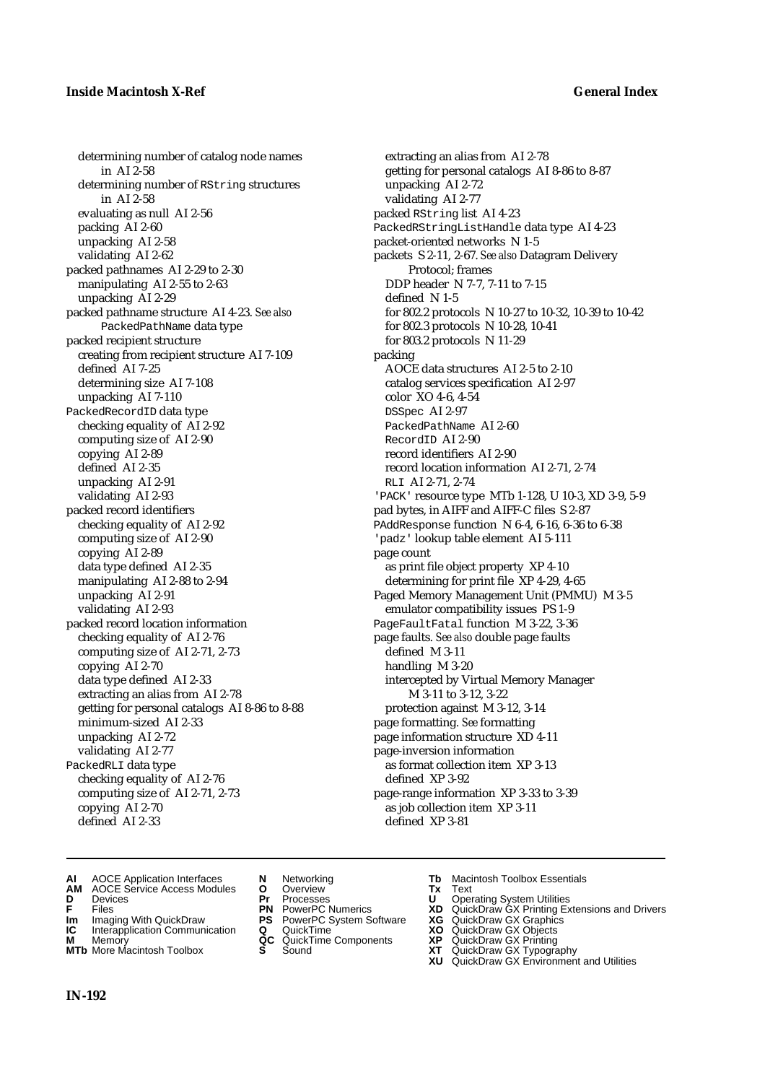determining number of catalog node names in AI 2-58 determining number of RString structures in AI 2-58 evaluating as null AI 2-56 packing AI 2-60 unpacking AI 2-58 validating AI 2-62 packed pathnames AI 2-29 to 2-30 manipulating AI 2-55 to 2-63 unpacking AI 2-29 packed pathname structure AI 4-23. *See also* PackedPathName data type packed recipient structure creating from recipient structure AI 7-109 defined AI 7-25 determining size AI 7-108 unpacking AI 7-110 PackedRecordID data type checking equality of AI 2-92 computing size of AI 2-90 copying AI 2-89 defined AI 2-35 unpacking AI 2-91 validating AI 2-93 packed record identifiers checking equality of AI 2-92 computing size of AI 2-90 copying AI 2-89 data type defined AI 2-35 manipulating AI 2-88 to 2-94 unpacking AI 2-91 validating AI 2-93 packed record location information checking equality of AI 2-76 computing size of AI 2-71, 2-73 copying AI 2-70 data type defined AI 2-33 extracting an alias from AI 2-78 getting for personal catalogs AI 8-86 to 8-88 minimum-sized AI 2-33 unpacking AI 2-72 validating AI 2-77 PackedRLI data type checking equality of AI 2-76 computing size of AI 2-71, 2-73 copying AI 2-70 defined AI 2-33

extracting an alias from AI 2-78 getting for personal catalogs AI 8-86 to 8-87 unpacking AI 2-72 validating AI 2-77 packed RString list AI 4-23 PackedRStringListHandle data type AI 4-23 packet-oriented networks N 1-5 packets S 2-11, 2-67. *See also* Datagram Delivery Protocol; frames DDP header N 7-7, 7-11 to 7-15 defined N 1-5 for 802.2 protocols N 10-27 to 10-32, 10-39 to 10-42 for 802.3 protocols N 10-28, 10-41 for 803.2 protocols N 11-29 packing AOCE data structures AI 2-5 to 2-10 catalog services specification AI 2-97 color XO 4-6, 4-54 DSSpec AI 2-97 PackedPathName AI 2-60 RecordID AI 2-90 record identifiers AI 2-90 record location information AI 2-71, 2-74 RLI AI 2-71, 2-74 'PACK' resource type MTb 1-128, U 10-3, XD 3-9, 5-9 pad bytes, in AIFF and AIFF-C files S 2-87 PAddResponse function N 6-4, 6-16, 6-36 to 6-38 'padz' lookup table element AI 5-111 page count as print file object property XP 4-10 determining for print file XP 4-29, 4-65 Paged Memory Management Unit (PMMU) M 3-5 emulator compatibility issues PS 1-9 PageFaultFatal function M 3-22, 3-36 page faults. *See also* double page faults defined M 3-11 handling M 3-20 intercepted by Virtual Memory Manager M 3-11 to 3-12, 3-22 protection against M 3-12, 3-14 page formatting. *See* formatting page information structure XD 4-11 page-inversion information as format collection item XP 3-13 defined XP 3-92 page-range information XP 3-33 to 3-39 as job collection item XP 3-11 defined XP 3-81

- **AI** AOCE Application Interfaces **N** Networking **Tb** Macintosh Toolbox Essentials<br> **AM** AOCE Service Access Modules **O** Overview **Tx** Text<br> **D** Devices **Pr** Processes **U** Operating System Utilities
- **AM** AOCE Service Access Modules **O** Overview **Tx** Text
- 
- 
- **Im** Imaging With QuickDraw **PS** PowerPC System Software **XG IC** Interapplication Communication **Q** QuickTime **COVIC**
- **Interapplication Communication <b>Q** QuickTime **X XO** Memory **XO XP XP QC** QuickTime Components **XP M** Memory **QC** QuickTime Components **XP** QuickDraw GX Printing
- **MTb** More Macintosh Toolbox **S** Sound **XT** QuickDraw GX Typography
- 
- **D** Devices **Pr** Processes **U** Operating System Utilities
	-
	-
	-
	-
- -
- 
- 
- **F** Files **PN** PowerPC Numerics **XD** QuickDraw GX Printing Extensions and Drivers
	-
	-
	-
	-
	- **XU** QuickDraw GX Environment and Utilities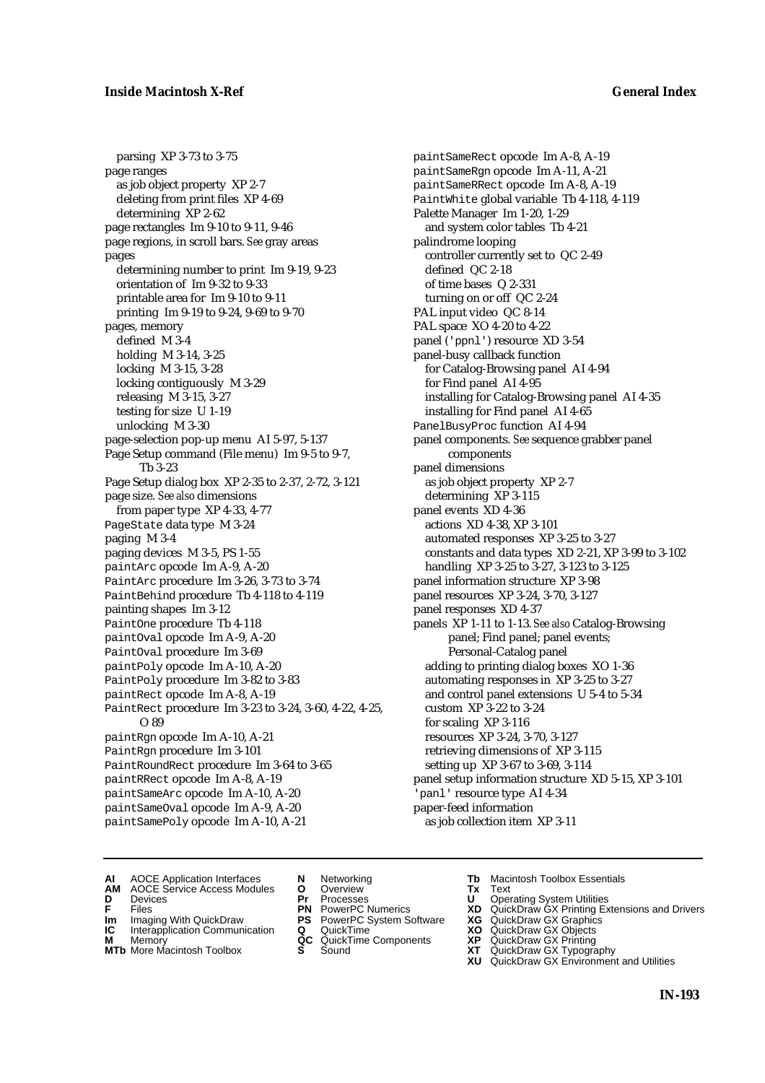# **Inside Macintosh X-Ref General Index**

parsing XP 3-73 to 3-75 page ranges as job object property XP 2-7 deleting from print files XP 4-69 determining XP 2-62 page rectangles Im 9-10 to 9-11, 9-46 page regions, in scroll bars. *See* gray areas pages determining number to print Im 9-19, 9-23 orientation of Im 9-32 to 9-33 printable area for Im 9-10 to 9-11 printing Im 9-19 to 9-24, 9-69 to 9-70 pages, memory defined M 3-4 holding M 3-14, 3-25 locking M 3-15, 3-28 locking contiguously M 3-29 releasing M 3-15, 3-27 testing for size U 1-19 unlocking M 3-30 page-selection pop-up menu AI 5-97, 5-137 Page Setup command (File menu) Im 9-5 to 9-7, Tb 3-23 Page Setup dialog box XP 2-35 to 2-37, 2-72, 3-121 page size. *See also* dimensions from paper type XP 4-33, 4-77 PageState data type M 3-24 paging M 3-4 paging devices M 3-5, PS 1-55 paintArc opcode Im A-9, A-20 PaintArc procedure Im 3-26, 3-73 to 3-74 PaintBehind procedure Tb 4-118 to 4-119 painting shapes Im 3-12 PaintOne procedure Tb 4-118 paintOval opcode Im A-9, A-20 PaintOval procedure Im 3-69 paintPoly opcode Im A-10, A-20 PaintPoly procedure Im 3-82 to 3-83 paintRect opcode Im A-8, A-19 PaintRect procedure Im 3-23 to 3-24, 3-60, 4-22, 4-25, O 89 paintRgn opcode Im A-10, A-21 PaintRgn procedure Im 3-101 PaintRoundRect procedure Im 3-64 to 3-65 paintRRect opcode Im A-8, A-19 paintSameArc opcode Im A-10, A-20 paintSameOval opcode Im A-9, A-20 paintSamePoly opcode Im A-10, A-21

paintSameRect opcode Im A-8, A-19 paintSameRgn opcode Im A-11, A-21 paintSameRRect opcode Im A-8, A-19 PaintWhite global variable Tb 4-118, 4-119 Palette Manager Im 1-20, 1-29 and system color tables Tb 4-21 palindrome looping controller currently set to QC 2-49 defined QC 2-18 of time bases Q 2-331 turning on or off QC 2-24 PAL input video QC 8-14 PAL space XO 4-20 to 4-22 panel ('ppnl') resource XD 3-54 panel-busy callback function for Catalog-Browsing panel AI 4-94 for Find panel AI 4-95 installing for Catalog-Browsing panel AI 4-35 installing for Find panel AI 4-65 PanelBusyProc function AI 4-94 panel components. *See* sequence grabber panel components panel dimensions as job object property XP 2-7 determining XP 3-115 panel events XD 4-36 actions XD 4-38, XP 3-101 automated responses XP 3-25 to 3-27 constants and data types XD 2-21, XP 3-99 to 3-102 handling XP 3-25 to 3-27, 3-123 to 3-125 panel information structure XP 3-98 panel resources XP 3-24, 3-70, 3-127 panel responses XD 4-37 panels XP 1-11 to 1-13. *See also* Catalog-Browsing panel; Find panel; panel events; Personal-Catalog panel adding to printing dialog boxes XO 1-36 automating responses in XP 3-25 to 3-27 and control panel extensions U 5-4 to 5-34 custom XP 3-22 to 3-24 for scaling XP 3-116 resources XP 3-24, 3-70, 3-127 retrieving dimensions of XP 3-115 setting up XP 3-67 to 3-69, 3-114 panel setup information structure XD 5-15, XP 3-101 'panl' resource type AI 4-34 paper-feed information as job collection item XP 3-11

- **AI** AOCE Application Interfaces **N** Networking **The Macintosh Toolbox Essentials**<br> **AM** AOCE Service Access Modules **O** Overview **Tx** Text<br> **D** Devices **Pr** Processes **U** Operating System Utilities
- AOCE Service Access Modules **O** Overview **Tx** Text<br>Devices **Devices Devices Devices**
- 
- 
- **IM** FILES<br> **Im** Imaging With QuickDraw **PS** PowerPC System Software **XG**<br> **IC** Interapplication Communication **Q** QuickTime **XO IC** Interapplication Communication **Q** QuickTime **XO M** Memory **XO QC** QuickTime Components **XP**
- **M** Memory **District Acc** QuickTime Components **XP**<br> **MTb** More Macintosh Toolbox **S** Sound **XT**
- **MTb** More Macintosh Toolbox **S** Sound **XT** QuickDraw GX Typography
- 
- **D** Devices **Pr** Processes **U** Operating System Utilities
	-
	-
	-
	-
- 
- 
- **F** Files **PN** PowerPC Numerics **XD** QuickDraw GX Printing Extensions and Drivers
	-
	-
	-
	-
	- **XU** QuickDraw GX Environment and Utilities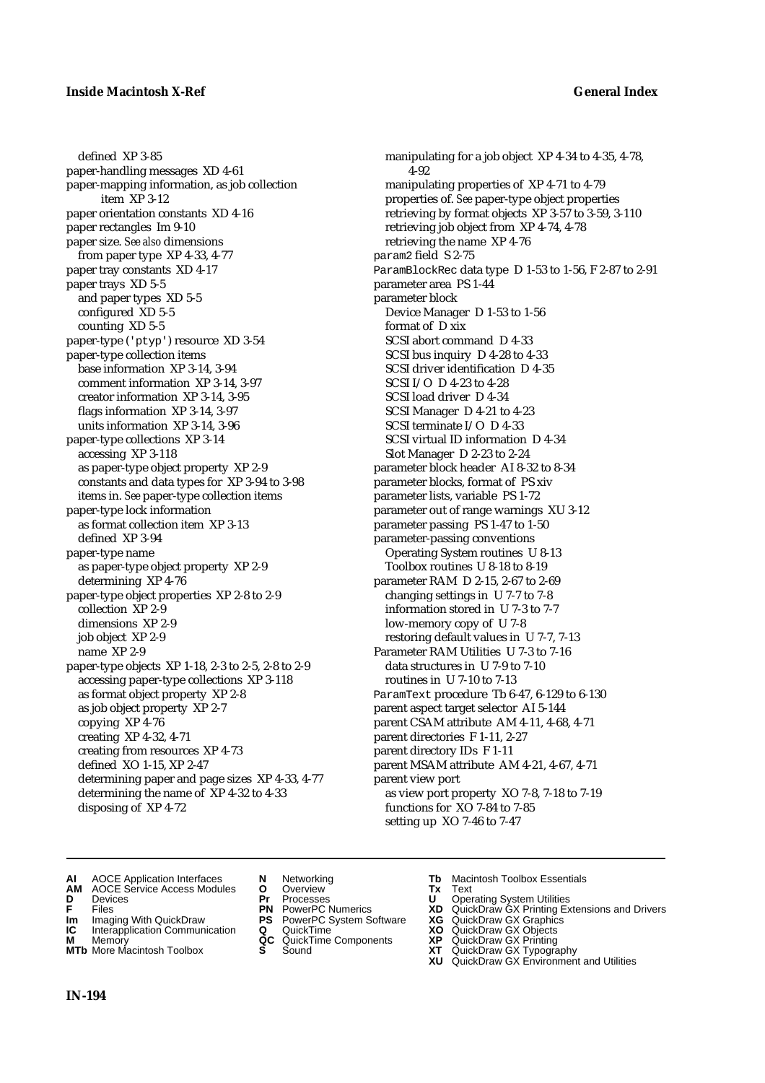defined XP 3-85 paper-handling messages XD 4-61 paper-mapping information, as job collection item XP 3-12 paper orientation constants XD 4-16 paper rectangles Im 9-10 paper size. *See also* dimensions from paper type XP 4-33, 4-77 paper tray constants XD 4-17 paper trays XD 5-5 and paper types XD 5-5 configured XD 5-5 counting XD 5-5 paper-type ('ptyp') resource XD 3-54 paper-type collection items base information XP 3-14, 3-94 comment information XP 3-14, 3-97 creator information XP 3-14, 3-95 flags information XP 3-14, 3-97 units information XP 3-14, 3-96 paper-type collections XP 3-14 accessing XP 3-118 as paper-type object property XP 2-9 constants and data types for XP 3-94 to 3-98 items in. *See* paper-type collection items paper-type lock information as format collection item XP 3-13 defined XP 3-94 paper-type name as paper-type object property XP 2-9 determining XP 4-76 paper-type object properties XP 2-8 to 2-9 collection XP 2-9 dimensions XP 2-9 job object XP 2-9 name XP 2-9 paper-type objects XP 1-18, 2-3 to 2-5, 2-8 to 2-9 accessing paper-type collections XP 3-118 as format object property XP 2-8 as job object property XP 2-7 copying XP 4-76 creating XP 4-32, 4-71 creating from resources XP 4-73 defined XO 1-15, XP 2-47 determining paper and page sizes XP 4-33, 4-77 determining the name of XP 4-32 to 4-33 disposing of XP 4-72

manipulating for a job object XP 4-34 to 4-35, 4-78, 4-92 manipulating properties of XP 4-71 to 4-79 properties of. *See* paper-type object properties retrieving by format objects XP 3-57 to 3-59, 3-110 retrieving job object from XP 4-74, 4-78 retrieving the name XP 4-76 param2 field S 2-75 ParamBlockRec data type D 1-53 to 1-56, F 2-87 to 2-91 parameter area PS 1-44 parameter block Device Manager D 1-53 to 1-56 format of D xix SCSI abort command D 4-33 SCSI bus inquiry D 4-28 to 4-33 SCSI driver identification D 4-35 SCSI I/O D 4-23 to 4-28 SCSI load driver D 4-34 SCSI Manager D 4-21 to 4-23 SCSI terminate I/O D 4-33 SCSI virtual ID information D 4-34 Slot Manager D 2-23 to 2-24 parameter block header AI 8-32 to 8-34 parameter blocks, format of PS xiv parameter lists, variable PS 1-72 parameter out of range warnings XU 3-12 parameter passing PS 1-47 to 1-50 parameter-passing conventions Operating System routines U 8-13 Toolbox routines U 8-18 to 8-19 parameter RAM D 2-15, 2-67 to 2-69 changing settings in U 7-7 to 7-8 information stored in U 7-3 to 7-7 low-memory copy of U 7-8 restoring default values in U 7-7, 7-13 Parameter RAM Utilities U 7-3 to 7-16 data structures in U 7-9 to 7-10 routines in U 7-10 to 7-13 ParamText procedure Tb 6-47, 6-129 to 6-130 parent aspect target selector AI 5-144 parent CSAM attribute AM 4-11, 4-68, 4-71 parent directories F 1-11, 2-27 parent directory IDs F 1-11 parent MSAM attribute AM 4-21, 4-67, 4-71 parent view port as view port property XO 7-8, 7-18 to 7-19 functions for XO 7-84 to 7-85 setting up XO 7-46 to 7-47

- **AI** AOCE Application Interfaces **N** Networking **Tb** Macintosh Toolbox Essentials<br> **AM** AOCE Service Access Modules **O** Overview **Tx** Text<br> **D** Devices **Pr** Processes **U** Operating System Utilities
- AOCE Service Access Modules **O** Overview **Tx** Text<br> **Devices Devices Devices Dividends Pr** Processes **Dividends**
- 
- 
- **IM** Files<br> **Im** Imaging With QuickDraw **PS** PowerPC System Software **XG**<br> **IC** Interapplication Communication **Q** QuickTime **XO XO**
- **Interapplication Communication <b>Q** QuickTime **XO XO** Memory **XO XP XP QC** QuickTime Components **XP**
- 
- 
- **D** Devices **Pr** Processes **U** Operating System Utilities
	-
	-
	-
	- -
- 
- 
- **F** Files **PN** PowerPC Numerics **XD** QuickDraw GX Printing Extensions and Drivers
	-
	-
- **M** Memory **QC** QuickTime Components **XP** QuickDraw GX Printing
- **MTb** More Macintosh Toolbox **S** Sound **XT** QuickDraw GX Typography
- **XG** QuickDraw GX Graphics<br> **XG** QuickDraw GX Objects<br> **XD** QuickDraw GX Objects<br> **XP** QuickDraw GX Printing<br> **XT** QuickDraw GX Typography<br> **XU** QuickDraw GX Environment and Utilities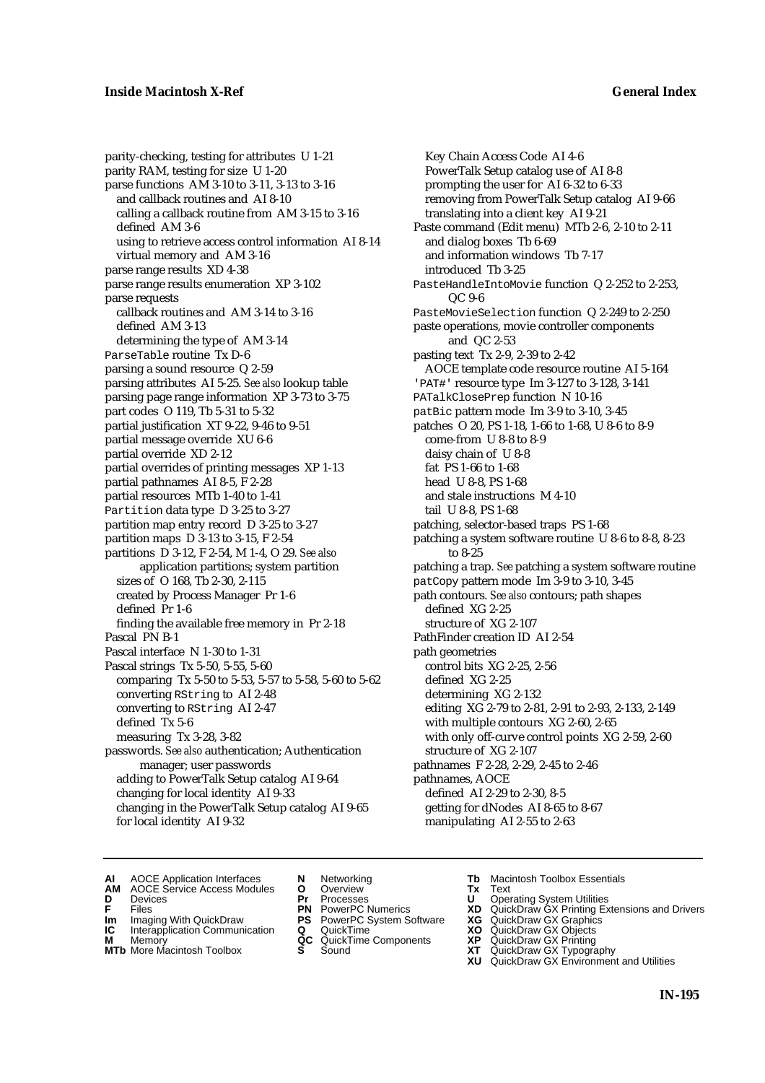parity-checking, testing for attributes U 1-21 parity RAM, testing for size U 1-20 parse functions AM 3-10 to 3-11, 3-13 to 3-16 and callback routines and AI 8-10 calling a callback routine from AM 3-15 to 3-16 defined AM 3-6 using to retrieve access control information AI 8-14 virtual memory and AM 3-16 parse range results XD 4-38 parse range results enumeration XP 3-102 parse requests callback routines and AM 3-14 to 3-16 defined AM 3-13 determining the type of AM 3-14 ParseTable routine Tx D-6 parsing a sound resource Q 2-59 parsing attributes AI 5-25. *See also* lookup table parsing page range information XP 3-73 to 3-75 part codes O 119, Tb 5-31 to 5-32 partial justification XT 9-22, 9-46 to 9-51 partial message override XU 6-6 partial override XD 2-12 partial overrides of printing messages XP 1-13 partial pathnames AI 8-5, F 2-28 partial resources MTb 1-40 to 1-41 Partition data type D 3-25 to 3-27 partition map entry record D 3-25 to 3-27 partition maps D 3-13 to 3-15, F 2-54 partitions D 3-12, F 2-54, M 1-4, O 29. *See also* application partitions; system partition sizes of O 168, Tb 2-30, 2-115 created by Process Manager Pr 1-6 defined Pr 1-6 finding the available free memory in Pr 2-18 Pascal PN B-1 Pascal interface N 1-30 to 1-31 Pascal strings Tx 5-50, 5-55, 5-60 comparing Tx 5-50 to 5-53, 5-57 to 5-58, 5-60 to 5-62 converting RString to AI 2-48 converting to RString AI 2-47 defined Tx 5-6 measuring Tx 3-28, 3-82 passwords. *See also* authentication; Authentication manager; user passwords adding to PowerTalk Setup catalog AI 9-64 changing for local identity AI 9-33 changing in the PowerTalk Setup catalog AI 9-65 for local identity AI 9-32

Key Chain Access Code AI 4-6 PowerTalk Setup catalog use of AI 8-8 prompting the user for AI 6-32 to 6-33 removing from PowerTalk Setup catalog AI 9-66 translating into a client key AI 9-21 Paste command (Edit menu) MTb 2-6, 2-10 to 2-11 and dialog boxes Tb 6-69 and information windows Tb 7-17 introduced Tb 3-25 PasteHandleIntoMovie function Q 2-252 to 2-253, QC 9-6 PasteMovieSelection function Q 2-249 to 2-250 paste operations, movie controller components and QC 2-53 pasting text Tx 2-9, 2-39 to 2-42 AOCE template code resource routine AI 5-164 'PAT#' resource type Im 3-127 to 3-128, 3-141 PATalkClosePrep function N 10-16 patBic pattern mode Im 3-9 to 3-10, 3-45 patches O 20, PS 1-18, 1-66 to 1-68, U 8-6 to 8-9 come-from U 8-8 to 8-9 daisy chain of U 8-8 fat PS 1-66 to 1-68 head U 8-8, PS 1-68 and stale instructions M 4-10 tail U 8-8, PS 1-68 patching, selector-based traps PS 1-68 patching a system software routine U 8-6 to 8-8, 8-23 to 8-25 patching a trap. *See* patching a system software routine patCopy pattern mode Im 3-9 to 3-10, 3-45 path contours. *See also* contours; path shapes defined XG 2-25 structure of XG 2-107 PathFinder creation ID AI 2-54 path geometries control bits XG 2-25, 2-56 defined XG 2-25 determining XG 2-132 editing XG 2-79 to 2-81, 2-91 to 2-93, 2-133, 2-149 with multiple contours XG 2-60, 2-65 with only off-curve control points XG 2-59, 2-60 structure of XG 2-107 pathnames F 2-28, 2-29, 2-45 to 2-46 pathnames, AOCE defined AI 2-29 to 2-30, 8-5 getting for dNodes AI 8-65 to 8-67 manipulating AI 2-55 to 2-63

- **AI** AOCE Application Interfaces **N** Networking **Tb** Macintosh Toolbox Essentials<br> **AM** AOCE Service Access Modules **O** Overview **Tx** Text<br> **D** Devices **Pr** Processes **U** Operating System Utilities
- AOCE Service Access Modules **O** Overview **Tx** Text<br>Devices **Devices Devices Devices**
- -
- **Im** Imaging With QuickDraw **PS** PowerPC System Software **XG IC** Interapplication Communication **Q** QuickTime **XO**
- **IC** Interapplication Communication **Q** QuickTime **XO M** Memory **XO QC** QuickTime Components **XP M** Memory **District Acc** QuickTime Components **XP**<br> **MTb** More Macintosh Toolbox **S** Sound **XT**
- **MTb** More Macintosh Toolbox **S** Sound **XT** QuickDraw GX Typography
- 
- 
- 
- 
- 
- 
- 
- 
- **D** Devices **Pr** Processes **U** Operating System Utilities<br> **PR** PowerPC Numerics **XD** QuickDraw GX Printing Ex<br> **PR** PowerPC Numerics **XD** QuickDraw GX Printing Ex **F** Files<br> **PN** PowerPC Numerics **XD** QuickDraw GX Printing Extensions and Drivers<br> **IC** Interapplication Communication **Q** Quick<u>T</u>ime **XQ** QuickDraw GX Objects<br> **IC** Interapplication Communication **Q** Quick<u>T</u>ime **XQ** Qu
	-
	-
	-
	- **XU** QuickDraw GX Environment and Utilities
		- **IN-195**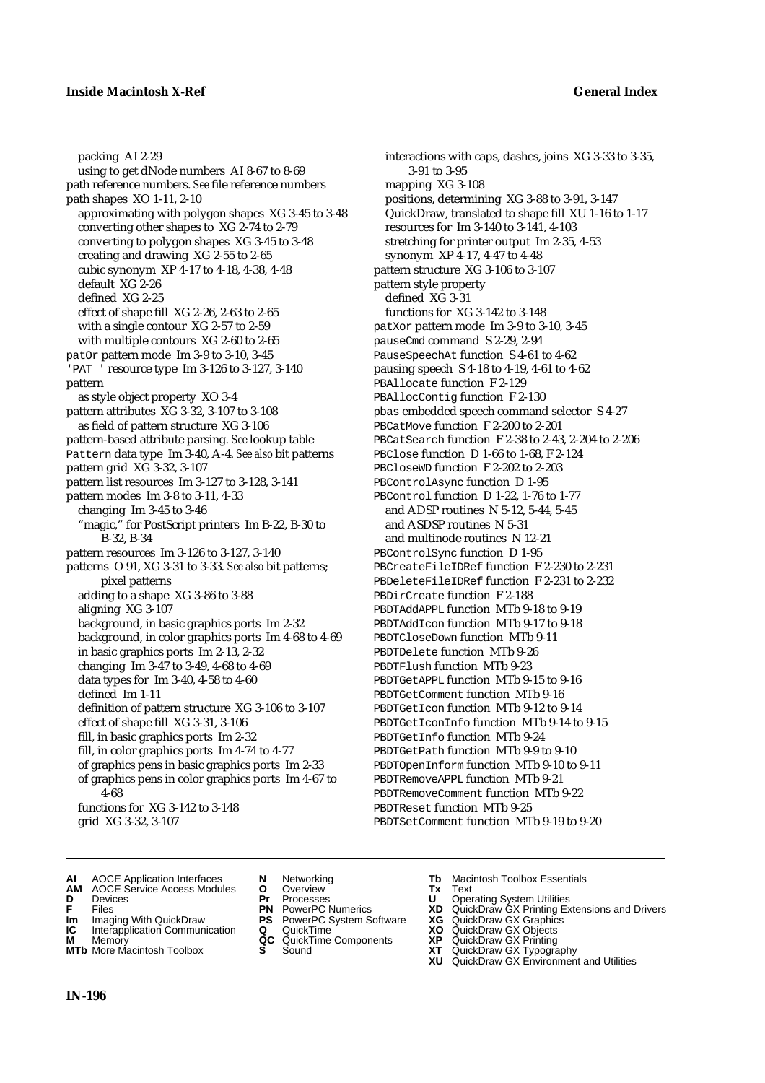## **Inside Macintosh X-Ref General Index**

packing AI 2-29 using to get dNode numbers AI 8-67 to 8-69 path reference numbers. *See* file reference numbers path shapes XO 1-11, 2-10 approximating with polygon shapes XG 3-45 to 3-48 converting other shapes to XG 2-74 to 2-79 converting to polygon shapes XG 3-45 to 3-48 creating and drawing XG 2-55 to 2-65 cubic synonym XP 4-17 to 4-18, 4-38, 4-48 default XG 2-26 defined XG 2-25 effect of shape fill XG 2-26, 2-63 to 2-65 with a single contour XG 2-57 to 2-59 with multiple contours XG 2-60 to 2-65 patOr pattern mode Im 3-9 to 3-10, 3-45 'PAT ' resource type Im 3-126 to 3-127, 3-140 pattern as style object property XO 3-4 pattern attributes XG 3-32, 3-107 to 3-108 as field of pattern structure XG 3-106 pattern-based attribute parsing. *See* lookup table Pattern data type Im 3-40, A-4. *See also* bit patterns pattern grid XG 3-32, 3-107 pattern list resources Im 3-127 to 3-128, 3-141 pattern modes Im 3-8 to 3-11, 4-33 changing Im 3-45 to 3-46 "magic," for PostScript printers Im B-22, B-30 to B-32, B-34 pattern resources Im 3-126 to 3-127, 3-140 patterns O 91, XG 3-31 to 3-33. *See also* bit patterns; pixel patterns adding to a shape XG 3-86 to 3-88 aligning XG 3-107 background, in basic graphics ports Im 2-32 background, in color graphics ports Im 4-68 to 4-69 in basic graphics ports Im 2-13, 2-32 changing Im 3-47 to 3-49, 4-68 to 4-69 data types for Im 3-40, 4-58 to 4-60 defined Im 1-11 definition of pattern structure XG 3-106 to 3-107 effect of shape fill XG 3-31, 3-106 fill, in basic graphics ports Im 2-32 fill, in color graphics ports Im 4-74 to 4-77 of graphics pens in basic graphics ports Im 2-33 of graphics pens in color graphics ports Im 4-67 to 4-68 functions for XG 3-142 to 3-148 grid XG 3-32, 3-107

interactions with caps, dashes, joins XG 3-33 to 3-35, 3-91 to 3-95 mapping XG 3-108 positions, determining XG 3-88 to 3-91, 3-147 QuickDraw, translated to shape fill XU 1-16 to 1-17 resources for Im 3-140 to 3-141, 4-103 stretching for printer output Im 2-35, 4-53 synonym XP 4-17, 4-47 to 4-48 pattern structure XG 3-106 to 3-107 pattern style property defined XG 3-31 functions for XG 3-142 to 3-148 patXor pattern mode Im 3-9 to 3-10, 3-45 pauseCmd command S 2-29, 2-94 PauseSpeechAt function S 4-61 to 4-62 pausing speech S 4-18 to 4-19, 4-61 to 4-62 PBAllocate function F 2-129 PBAllocContig function F 2-130 pbas embedded speech command selector S 4-27 PBCatMove function F 2-200 to 2-201 PBCatSearch function F 2-38 to 2-43, 2-204 to 2-206 PBClose function D 1-66 to 1-68, F 2-124 PBCloseWD function F 2-202 to 2-203 PBControlAsync function D 1-95 PBControl function D 1-22, 1-76 to 1-77 and ADSP routines N 5-12, 5-44, 5-45 and ASDSP routines N 5-31 and multinode routines N 12-21 PBControlSync function D 1-95 PBCreateFileIDRef function F 2-230 to 2-231 PBDeleteFileIDRef function F 2-231 to 2-232 PBDirCreate function F 2-188 PBDTAddAPPL function MTb 9-18 to 9-19 PBDTAddIcon function MTb 9-17 to 9-18 PBDTCloseDown function MTb 9-11 PBDTDelete function MTb 9-26 PBDTFlush function MTb 9-23 PBDTGetAPPL function MTb 9-15 to 9-16 PBDTGetComment function MTb 9-16 PBDTGetIcon function MTb 9-12 to 9-14 PBDTGetIconInfo function MTb 9-14 to 9-15 PBDTGetInfo function MTb 9-24 PBDTGetPath function MTb 9-9 to 9-10 PBDTOpenInform function MTb 9-10 to 9-11 PBDTRemoveAPPL function MTb 9-21 PBDTRemoveComment function MTb 9-22 PBDTReset function MTb 9-25 PBDTSetComment function MTb 9-19 to 9-20

- **AI** AOCE Application Interfaces **N** Networking **Tb** Macintosh Toolbox Essentials<br> **AM** AOCE Service Access Modules **O** Overview **Tx** Text<br> **D** Devices **Pr** Processes **U** Operating System Utilities
- AOCE Service Access Modules **O** Overview **Tx** Text<br> **Devices Devices Devices Dividends Pr** Processes **Dividends**
- 
- 
- **IM IMAGE CONSTRANT PRESENT PRESENT PRESENT PRESENT PRESENT PRESENT PRESENT PRESENT PRESENT PRESENT PRESENT PRESEN<br>
<b>IM** Imaging With QuickDraw **PS** PowerPC System Software **XG**<br> **IC** Interapplication Communication **Q** Qui
- **Interapplication Communication <b>Q** QuickTime **X XO** Memory **X X X C** QuickTime Components **XP M** Memory **CC** QuickTime Components **XP**<br>**MTb** More Macintosh Toolbox **S** Sound **COX AT**
- **MTb** More Macintosh Toolbox **S** Sound **XT** QuickDraw GX Typography
- 
- **D** Devices **Pr** Processes **U** Operating System Utilities
	-
	-
	-
	-
	-
- 
- 
- **F** Files **PN** PowerPC Numerics **XD** QuickDraw GX Printing Extensions and Drivers
	-
	-
	-
	-
	- **XU** QuickDraw GX Environment and Utilities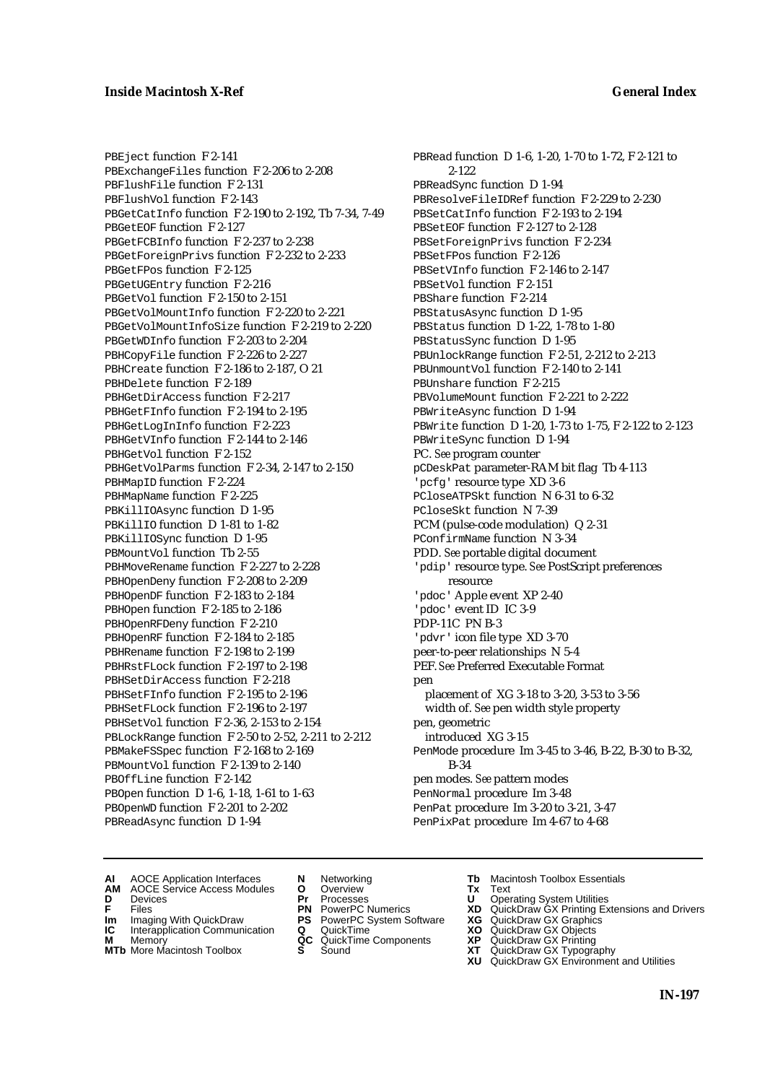PBEject function F 2-141 PBExchangeFiles function F 2-206 to 2-208 PBFlushFile function F 2-131 PBFlushVol function F 2-143 PBGetCatInfo function F 2-190 to 2-192, Tb 7-34, 7-49 PBGetEOF function F 2-127 PBGetFCBInfo function F 2-237 to 2-238 PBGetForeignPrivs function F 2-232 to 2-233 PBGetFPos function F 2-125 PBGetUGEntry function F 2-216 PBGetVol function F 2-150 to 2-151 PBGetVolMountInfo function F 2-220 to 2-221 PBGetVolMountInfoSize function F 2-219 to 2-220 PBGetWDInfo function F 2-203 to 2-204 PBHCopyFile function F 2-226 to 2-227 PBHCreate function F 2-186 to 2-187, O 21 PBHDelete function F 2-189 PBHGetDirAccess function F 2-217 PBHGetFInfo function F 2-194 to 2-195 PBHGetLogInInfo function F 2-223 PBHGetVInfo function F 2-144 to 2-146 PBHGetVol function F 2-152 PBHGetVolParms function F 2-34, 2-147 to 2-150 PBHMapID function F 2-224 PBHMapName function F 2-225 PBKillIOAsync function D 1-95 PBKillIO function D 1-81 to 1-82 PBKillIOSync function D 1-95 PBMountVol function Tb 2-55 PBHMoveRename function F 2-227 to 2-228 PBHOpenDeny function F 2-208 to 2-209 PBHOpenDF function F 2-183 to 2-184 PBHOpen function F 2-185 to 2-186 PBHOpenRFDeny function F 2-210 PBHOpenRF function F 2-184 to 2-185 PBHRename function F 2-198 to 2-199 PBHRstFLock function F 2-197 to 2-198 PBHSetDirAccess function F 2-218 PBHSetFInfo function F 2-195 to 2-196 PBHSetFLock function F 2-196 to 2-197 PBHSetVol function F 2-36, 2-153 to 2-154 PBLockRange function F 2-50 to 2-52, 2-211 to 2-212 PBMakeFSSpec function F 2-168 to 2-169 PBMountVol function F 2-139 to 2-140 PBOffLine function F 2-142 PBOpen function D 1-6, 1-18, 1-61 to 1-63 PBOpenWD function F 2-201 to 2-202 PBReadAsync function D 1-94

PBRead function D 1-6, 1-20, 1-70 to 1-72, F 2-121 to 2-122 PBReadSync function D 1-94 PBResolveFileIDRef function F 2-229 to 2-230 PBSetCatInfo function F 2-193 to 2-194 PBSetEOF function F 2-127 to 2-128 PBSetForeignPrivs function F 2-234 PBSetFPos function F 2-126 PBSetVInfo function F 2-146 to 2-147 PBSetVol function F 2-151 PBShare function F 2-214 PBStatusAsync function D 1-95 PBStatus function D 1-22, 1-78 to 1-80 PBStatusSync function D 1-95 PBUnlockRange function F 2-51, 2-212 to 2-213 PBUnmountVol function F 2-140 to 2-141 PBUnshare function F 2-215 PBVolumeMount function F 2-221 to 2-222 PBWriteAsync function D 1-94 PBWrite function D 1-20, 1-73 to 1-75, F 2-122 to 2-123 PBWriteSync function D 1-94 PC. *See* program counter pCDeskPat parameter-RAM bit flag Tb 4-113 'pcfg' resource type XD 3-6 PCloseATPSkt function N 6-31 to 6-32 PCloseSkt function N 7-39 PCM (pulse-code modulation) Q 2-31 PConfirmName function N 3-34 PDD. *See* portable digital document 'pdip' resource type. *See* PostScript preferences resource 'pdoc' Apple event XP 2-40 'pdoc' event ID IC 3-9 PDP-11C PN B-3 'pdvr' icon file type XD 3-70 peer-to-peer relationships N 5-4 PEF. *See* Preferred Executable Format pen placement of XG 3-18 to 3-20, 3-53 to 3-56 width of. *See* pen width style property pen, geometric introduced XG 3-15 PenMode procedure Im 3-45 to 3-46, B-22, B-30 to B-32, B-34 pen modes. *See* pattern modes PenNormal procedure Im 3-48 PenPat procedure Im 3-20 to 3-21, 3-47 PenPixPat procedure Im 4-67 to 4-68

- **AI** AOCE Application Interfaces **N** Networking **The Macintosh Toolbox Essentials**<br> **AM** AOCE Service Access Modules **O** Overview **Tx** Text<br> **D** Devices **Pr** Processes **U** Operating System Utilities
- AOCE Service Access Modules **O** Overview **Tx** Text<br>Devices **Devices Devices Devices**
- 
- 
- **IC** Interapplication Communication **Q** QuickTime **XO M** Memory **XO QC** QuickTime Components **XP**
- **M** Memory **QC** QuickTime Components **XP**<br>**MTb** More Macintosh Toolbox **S** Sound **XT**
- 
- **D** Devices **Pr** Processes **U** Operating System Utilities
- **IM** FILES<br> **Im** Imaging With QuickDraw **PS** PowerPC System Software **XG**<br> **IC** Interapplication Communication **Q** QuickTime **XG** 
	-
	-
	-
- 
- 
- **F** Files **PN** PowerPC Numerics **XD** QuickDraw GX Printing Extensions and Drivers
	-
	-
	-
- **MTb** More Macintosh Toolbox **S** Sound **XT** QuickDraw GX Typography
	- **XU** QuickDraw GX Environment and Utilities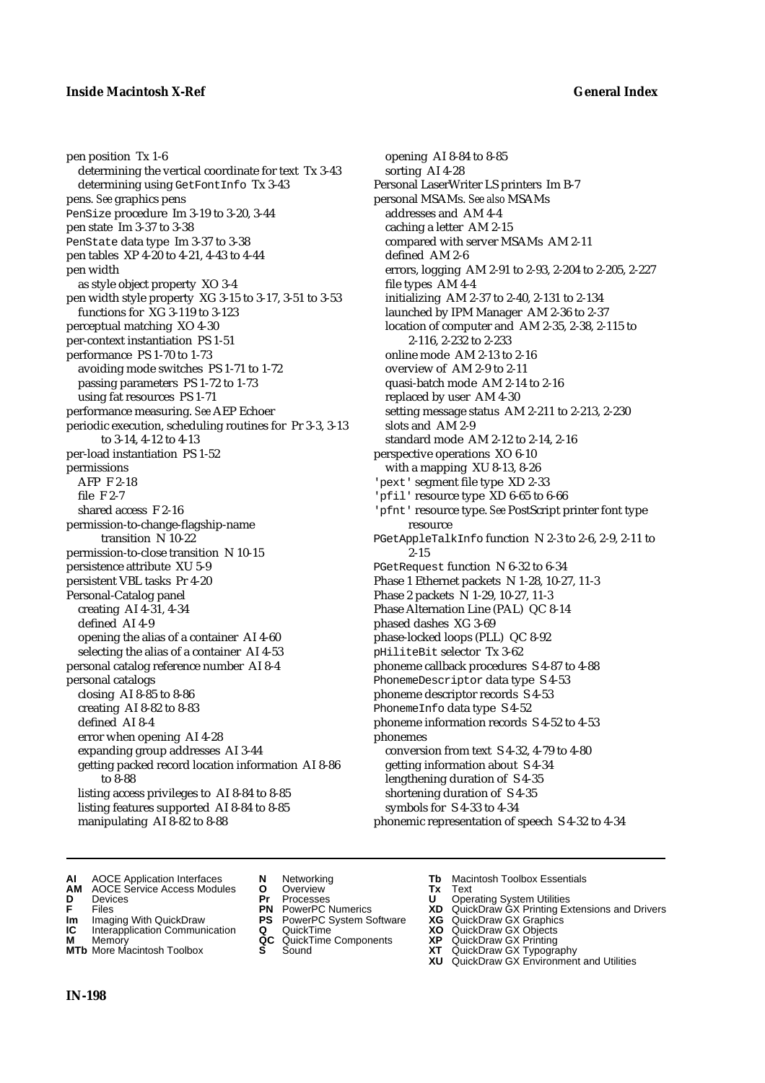pen position Tx 1-6 determining the vertical coordinate for text Tx 3-43 determining using GetFontInfo Tx 3-43 pens. *See* graphics pens PenSize procedure Im 3-19 to 3-20, 3-44 pen state Im 3-37 to 3-38 PenState data type Im 3-37 to 3-38 pen tables XP 4-20 to 4-21, 4-43 to 4-44 pen width as style object property XO 3-4 pen width style property XG 3-15 to 3-17, 3-51 to 3-53 functions for XG 3-119 to 3-123 perceptual matching XO 4-30 per-context instantiation PS 1-51 performance PS 1-70 to 1-73 avoiding mode switches PS 1-71 to 1-72 passing parameters PS 1-72 to 1-73 using fat resources PS 1-71 performance measuring. *See* AEP Echoer periodic execution, scheduling routines for Pr 3-3, 3-13 to 3-14, 4-12 to 4-13 per-load instantiation PS 1-52 permissions AFP F 2-18 file F 2-7 shared access F 2-16 permission-to-change-flagship-name transition N 10-22 permission-to-close transition N 10-15 persistence attribute XU 5-9 persistent VBL tasks Pr 4-20 Personal-Catalog panel creating AI 4-31, 4-34 defined AI 4-9 opening the alias of a container AI 4-60 selecting the alias of a container AI 4-53 personal catalog reference number AI 8-4 personal catalogs closing AI 8-85 to 8-86 creating AI 8-82 to 8-83 defined AI 8-4 error when opening AI 4-28 expanding group addresses AI 3-44 getting packed record location information AI 8-86 to 8-88 listing access privileges to AI 8-84 to 8-85 listing features supported AI 8-84 to 8-85 manipulating AI 8-82 to 8-88

opening AI 8-84 to 8-85 sorting AI 4-28 Personal LaserWriter LS printers Im B-7 personal MSAMs. *See also* MSAMs addresses and AM 4-4 caching a letter AM 2-15 compared with server MSAMs AM 2-11 defined AM 2-6 errors, logging AM 2-91 to 2-93, 2-204 to 2-205, 2-227 file types AM 4-4 initializing AM 2-37 to 2-40, 2-131 to 2-134 launched by IPM Manager AM 2-36 to 2-37 location of computer and AM 2-35, 2-38, 2-115 to 2-116, 2-232 to 2-233 online mode AM 2-13 to 2-16 overview of AM 2-9 to 2-11 quasi-batch mode AM 2-14 to 2-16 replaced by user AM 4-30 setting message status AM 2-211 to 2-213, 2-230 slots and AM 2-9 standard mode AM 2-12 to 2-14, 2-16 perspective operations XO 6-10 with a mapping XU 8-13, 8-26 'pext' segment file type XD 2-33 'pfil' resource type XD 6-65 to 6-66 'pfnt' resource type. *See* PostScript printer font type resource PGetAppleTalkInfo function N 2-3 to 2-6, 2-9, 2-11 to 2-15 PGetRequest function N 6-32 to 6-34 Phase 1 Ethernet packets N 1-28, 10-27, 11-3 Phase 2 packets N 1-29, 10-27, 11-3 Phase Alternation Line (PAL) QC 8-14 phased dashes XG 3-69 phase-locked loops (PLL) QC 8-92 pHiliteBit selector Tx 3-62 phoneme callback procedures S 4-87 to 4-88 PhonemeDescriptor data type S 4-53 phoneme descriptor records S 4-53 PhonemeInfo data type S 4-52 phoneme information records S 4-52 to 4-53 phonemes conversion from text S 4-32, 4-79 to 4-80 getting information about S 4-34 lengthening duration of S 4-35 shortening duration of S 4-35 symbols for S 4-33 to 4-34 phonemic representation of speech S 4-32 to 4-34

- **AI** AOCE Application Interfaces **N** Networking **Tb** Macintosh Toolbox Essentials<br> **AM** AOCE Service Access Modules **O** Overview **Tx** Text<br> **D** Devices **Pr** Processes **U** Operating System Utilities
- **AM** AOCE Service Access Modules **O** Overview **Tx** Text
- 
- 
- **Im** Imaging With QuickDraw **PS** PowerPC System Software **XG IC** Interapplication Communication **Q** QuickTime **COVIC**
- **Interapplication Communication <b>Q** QuickTime **XO** Memory **XO** Memory **XP QC** QuickTime Components **XP**
- **M** Memory **Discussed AC** QuickTime Components **XP**<br> **MTb** More Macintosh Toolbox **S** Sound **XT**
- 
- **D** Devices **Pr** Processes **U** Operating System Utilities
	-
	-
	-
	-
- 
- 
- **FRICAG CONSISTS IN THE PROCESSES CONSISTS AND CONSIST CONSISTENT CONSISTS CONSISTS PRINTIPLE PROCESSES CONSISTS CON<br>
<b>F**FRICES **PN** POWERPC Numerics **XD** QuickDraw GX Printing Extensions and Drivers<br> **Im** Imaging With Qui
	-
	-
	-
- **MTb** More Macintosh Toolbox **S** Sound **XT** QuickDraw GX Typography
	- **XU** QuickDraw GX Environment and Utilities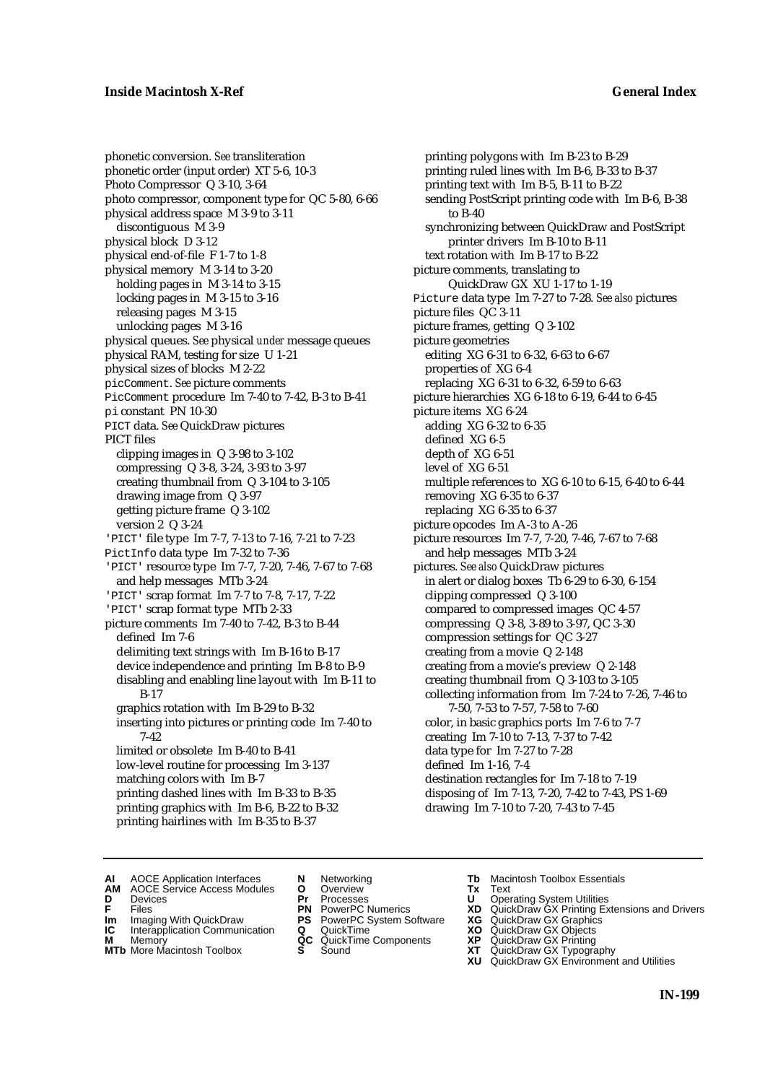phonetic conversion. *See* transliteration phonetic order (input order) XT 5-6, 10-3 Photo Compressor Q 3-10, 3-64 photo compressor, component type for QC 5-80, 6-66 physical address space M 3-9 to 3-11 discontiguous M 3-9 physical block D 3-12 physical end-of-file F 1-7 to 1-8 physical memory M 3-14 to 3-20 holding pages in M 3-14 to 3-15 locking pages in M 3-15 to 3-16 releasing pages M 3-15 unlocking pages M 3-16 physical queues. *See* physical *under* message queues physical RAM, testing for size U 1-21 physical sizes of blocks M 2-22 picComment. *See* picture comments PicComment procedure Im 7-40 to 7-42, B-3 to B-41 pi constant PN 10-30 PICT data. *See* QuickDraw pictures PICT files clipping images in Q 3-98 to 3-102 compressing Q 3-8, 3-24, 3-93 to 3-97 creating thumbnail from Q 3-104 to 3-105 drawing image from Q 3-97 getting picture frame Q 3-102 version 2 Q 3-24 'PICT' file type Im 7-7, 7-13 to 7-16, 7-21 to 7-23 PictInfo data type Im 7-32 to 7-36 'PICT' resource type Im 7-7, 7-20, 7-46, 7-67 to 7-68 and help messages MTb 3-24 'PICT' scrap format Im 7-7 to 7-8, 7-17, 7-22 'PICT' scrap format type MTb 2-33 picture comments Im 7-40 to 7-42, B-3 to B-44 defined Im 7-6 delimiting text strings with Im B-16 to B-17 device independence and printing Im B-8 to B-9 disabling and enabling line layout with Im B-11 to B-17 graphics rotation with Im B-29 to B-32 inserting into pictures or printing code Im 7-40 to 7-42 limited or obsolete Im B-40 to B-41 low-level routine for processing Im 3-137 matching colors with Im B-7 printing dashed lines with Im B-33 to B-35

printing ruled lines with Im B-6, B-33 to B-37 printing text with Im B-5, B-11 to B-22 sending PostScript printing code with Im B-6, B-38 to B-40 synchronizing between QuickDraw and PostScript printer drivers Im B-10 to B-11 text rotation with Im B-17 to B-22 picture comments, translating to QuickDraw GX XU 1-17 to 1-19 Picture data type Im 7-27 to 7-28. *See also* pictures picture files QC 3-11 picture frames, getting Q 3-102 picture geometries editing XG 6-31 to 6-32, 6-63 to 6-67 properties of XG 6-4 replacing XG 6-31 to 6-32, 6-59 to 6-63 picture hierarchies XG 6-18 to 6-19, 6-44 to 6-45 picture items XG 6-24 adding XG 6-32 to 6-35 defined XG 6-5 depth of XG 6-51 level of XG 6-51 multiple references to XG 6-10 to 6-15, 6-40 to 6-44 removing XG 6-35 to 6-37 replacing XG 6-35 to 6-37 picture opcodes Im A-3 to A-26 picture resources Im 7-7, 7-20, 7-46, 7-67 to 7-68 and help messages MTb 3-24 pictures. *See also* QuickDraw pictures in alert or dialog boxes Tb 6-29 to 6-30, 6-154 clipping compressed Q 3-100 compared to compressed images QC 4-57 compressing Q 3-8, 3-89 to 3-97, QC 3-30 compression settings for QC 3-27 creating from a movie Q 2-148 creating from a movie's preview Q 2-148 creating thumbnail from Q 3-103 to 3-105 collecting information from Im 7-24 to 7-26, 7-46 to 7-50, 7-53 to 7-57, 7-58 to 7-60 color, in basic graphics ports Im 7-6 to 7-7 creating Im 7-10 to 7-13, 7-37 to 7-42

printing polygons with Im B-23 to B-29

printing graphics with Im B-6, B-22 to B-32 printing hairlines with Im B-35 to B-37

- data type for Im 7-27 to 7-28 defined Im 1-16, 7-4 destination rectangles for Im 7-18 to 7-19 disposing of Im 7-13, 7-20, 7-42 to 7-43, PS 1-69 drawing Im 7-10 to 7-20, 7-43 to 7-45
- **AI** AOCE Application Interfaces **N** Networking **Tb** Macintosh Toolbox Essentials<br> **AM** AOCE Service Access Modules **O** Overview **Tx** Text<br> **D** Devices **Pr** Processes **U** Operating System Utilities
- AOCE Service Access Modules **O** Overview **Tx** Text<br>Devices **Devices Devices D** Oper
- 
- 
- **Im** Imaging With QuickDraw **PS** PowerPC System Software **XG IC** Interapplication Communication **Q** QuickTime **XO IC** Interapplication Communication **Q** QuickTime **XO M** Memory **XO QC** QuickTime Components **XP**
- **M** Memory **QC** QuickTime Components **XP**<br>**MTb** More Macintosh Toolbox **S** Sound **XT**
- **MTb** More Macintosh Toolbox **S** Sound **XT** QuickDraw GX Typography
- 
- 
- 
- 
- 
- 
- 
- 
- **D** Devices **Pr** Processes **U** Operating System Utilities<br> **PR** PowerPC Numerics **XD** QuickDraw GX Printing Ex<br> **PR** PowerPC Numerics **XD** QuickDraw GX Printing Ex **F** Files **PN** PowerPC Numerics **XD** QuickDraw GX Printing Extensions and Drivers
	-
	-
	-
	- **XU** QuickDraw GX Environment and Utilities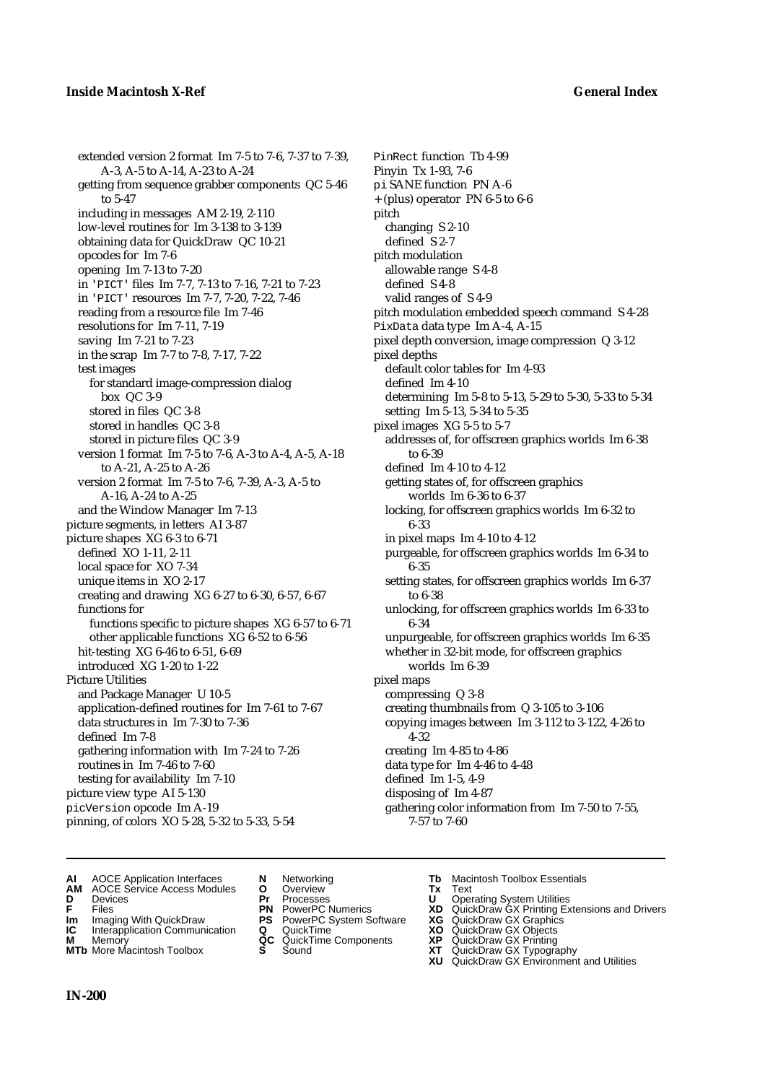extended version 2 format Im 7-5 to 7-6, 7-37 to 7-39, A-3, A-5 to A-14, A-23 to A-24 getting from sequence grabber components QC 5-46 to 5-47 including in messages AM 2-19, 2-110 low-level routines for Im 3-138 to 3-139 obtaining data for QuickDraw QC 10-21 opcodes for Im 7-6 opening Im 7-13 to 7-20 in 'PICT' files Im 7-7, 7-13 to 7-16, 7-21 to 7-23 in 'PICT' resources Im 7-7, 7-20, 7-22, 7-46 reading from a resource file Im 7-46 resolutions for Im 7-11, 7-19 saving Im 7-21 to 7-23 in the scrap Im 7-7 to 7-8, 7-17, 7-22 test images for standard image-compression dialog box QC 3-9 stored in files QC 3-8 stored in handles QC 3-8 stored in picture files QC 3-9 version 1 format Im 7-5 to 7-6, A-3 to A-4, A-5, A-18 to A-21, A-25 to A-26 version 2 format Im 7-5 to 7-6, 7-39, A-3, A-5 to A-16, A-24 to A-25 and the Window Manager Im 7-13 picture segments, in letters AI 3-87 picture shapes XG 6-3 to 6-71 defined XO 1-11, 2-11 local space for XO 7-34 unique items in XO 2-17 creating and drawing XG 6-27 to 6-30, 6-57, 6-67 functions for functions specific to picture shapes XG 6-57 to 6-71 other applicable functions XG 6-52 to 6-56 hit-testing XG 6-46 to 6-51, 6-69 introduced XG 1-20 to 1-22 Picture Utilities and Package Manager U 10-5 application-defined routines for Im 7-61 to 7-67 data structures in Im 7-30 to 7-36 defined Im 7-8 gathering information with Im 7-24 to 7-26 routines in Im 7-46 to 7-60 testing for availability Im 7-10 picture view type AI 5-130 picVersion opcode Im A-19 pinning, of colors XO 5-28, 5-32 to 5-33, 5-54

PinRect function Tb 4-99 Pinyin Tx 1-93, 7-6 pi SANE function PN A-6 + (plus) operator PN 6-5 to 6-6 pitch changing S 2-10 defined S 2-7 pitch modulation allowable range S 4-8 defined S 4-8 valid ranges of S 4-9 pitch modulation embedded speech command S 4-28 PixData data type Im A-4, A-15 pixel depth conversion, image compression Q 3-12 pixel depths default color tables for Im 4-93 defined Im 4-10 determining Im 5-8 to 5-13, 5-29 to 5-30, 5-33 to 5-34 setting Im 5-13, 5-34 to 5-35 pixel images XG 5-5 to 5-7 addresses of, for offscreen graphics worlds Im 6-38 to 6-39 defined Im 4-10 to 4-12 getting states of, for offscreen graphics worlds Im 6-36 to 6-37 locking, for offscreen graphics worlds Im 6-32 to 6-33 in pixel maps Im 4-10 to 4-12 purgeable, for offscreen graphics worlds Im 6-34 to 6-35 setting states, for offscreen graphics worlds Im 6-37 to 6-38 unlocking, for offscreen graphics worlds Im 6-33 to 6-34 unpurgeable, for offscreen graphics worlds Im 6-35 whether in 32-bit mode, for offscreen graphics worlds Im 6-39 pixel maps compressing Q 3-8 creating thumbnails from Q 3-105 to 3-106 copying images between Im 3-112 to 3-122, 4-26 to 4-32 creating Im 4-85 to 4-86 data type for Im 4-46 to 4-48 defined Im 1-5, 4-9 disposing of Im 4-87 gathering color information from Im 7-50 to 7-55, 7-57 to 7-60

- **AI** AOCE Application Interfaces **N** Networking **Tb** Macintosh Toolbox Essentials<br> **AM** AOCE Service Access Modules **O** Overview **Tx** Text<br> **D** Devices **Pr** Processes **U** Operating System Utilities
- AOCE Service Access Modules **O** Overview **Tx** Text<br> **Devices Devices Devices Dividends Pr** Processes **Dividends**
- 
- 
- 
- **Interapplication Communication <b>Q** QuickTime **XO** Memory **XO** Memory **XP QC** QuickTime Components **XP**
- **M** Memory **Discussed AC** QuickTime Components **XP**<br> **MTb** More Macintosh Toolbox **S** Sound **XT MTb** More Macintosh Toolbox **S** Sound **XT** QuickDraw GX Typography
- 
- 
- **IM** Files<br> **Im** Imaging With QuickDraw **PS** PowerPC System Software **XG**<br> **IC** Interapplication Communication **Q** QuickTime **XO** 
	-
	-
	-
	-
- 
- **D** Devices **Pr** Processes **U** Operating System Utilities
- **F** Files **PN** PowerPC Numerics **XD** QuickDraw GX Printing Extensions and Drivers
	-
	-
	-
	-
	- **XU** QuickDraw GX Environment and Utilities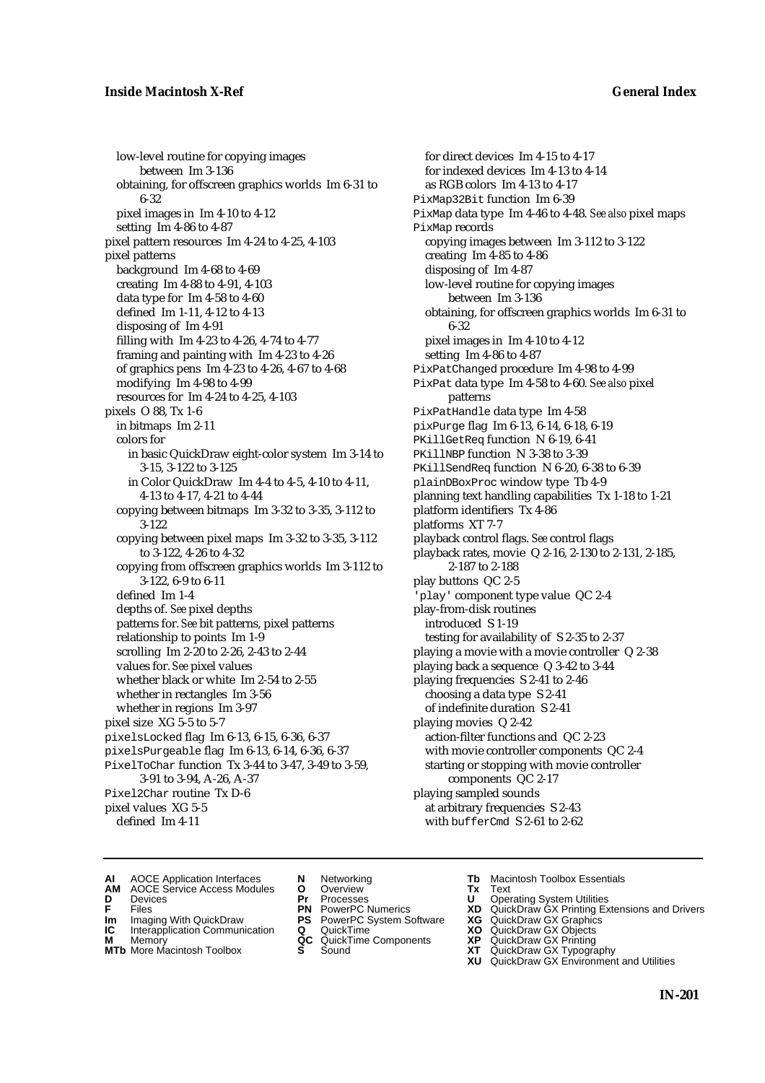low-level routine for copying images between Im 3-136 obtaining, for offscreen graphics worlds Im 6-31 to 6-32 pixel images in Im 4-10 to 4-12 setting Im 4-86 to 4-87 pixel pattern resources Im 4-24 to 4-25, 4-103 pixel patterns background Im 4-68 to 4-69 creating Im 4-88 to 4-91, 4-103 data type for Im 4-58 to 4-60 defined Im 1-11, 4-12 to 4-13 disposing of Im 4-91 filling with Im 4-23 to 4-26, 4-74 to 4-77 framing and painting with Im 4-23 to 4-26 of graphics pens Im 4-23 to 4-26, 4-67 to 4-68 modifying Im 4-98 to 4-99 resources for Im 4-24 to 4-25, 4-103 pixels O 88, Tx 1-6 in bitmaps Im 2-11 colors for in basic QuickDraw eight-color system Im 3-14 to 3-15, 3-122 to 3-125 in Color QuickDraw Im 4-4 to 4-5, 4-10 to 4-11, 4-13 to 4-17, 4-21 to 4-44 copying between bitmaps Im 3-32 to 3-35, 3-112 to 3-122 copying between pixel maps Im 3-32 to 3-35, 3-112 to 3-122, 4-26 to 4-32 copying from offscreen graphics worlds Im 3-112 to 3-122, 6-9 to 6-11 defined Im 1-4 depths of. *See* pixel depths patterns for. *See* bit patterns, pixel patterns relationship to points Im 1-9 scrolling Im 2-20 to 2-26, 2-43 to 2-44 values for. *See* pixel values whether black or white Im 2-54 to 2-55 whether in rectangles Im 3-56 whether in regions Im 3-97 pixel size XG 5-5 to 5-7 pixelsLocked flag Im 6-13, 6-15, 6-36, 6-37 pixelsPurgeable flag Im 6-13, 6-14, 6-36, 6-37 PixelToChar function Tx 3-44 to 3-47, 3-49 to 3-59, 3-91 to 3-94, A-26, A-37 Pixel2Char routine Tx D-6 pixel values XG 5-5 defined Im 4-11

for direct devices Im 4-15 to 4-17 for indexed devices Im 4-13 to 4-14 as RGB colors Im 4-13 to 4-17 PixMap32Bit function Im 6-39 PixMap data type Im 4-46 to 4-48. *See also* pixel maps PixMap records copying images between Im 3-112 to 3-122 creating Im 4-85 to 4-86 disposing of Im 4-87 low-level routine for copying images between Im 3-136 obtaining, for offscreen graphics worlds Im 6-31 to 6-32 pixel images in Im 4-10 to 4-12 setting Im 4-86 to 4-87 PixPatChanged procedure Im 4-98 to 4-99 PixPat data type Im 4-58 to 4-60. *See also* pixel patterns PixPatHandle data type Im 4-58 pixPurge flag Im 6-13, 6-14, 6-18, 6-19 PKillGetReq function N 6-19, 6-41 PKillNBP function N 3-38 to 3-39 PKillSendReq function N 6-20, 6-38 to 6-39 plainDBoxProc window type Tb 4-9 planning text handling capabilities Tx 1-18 to 1-21 platform identifiers Tx 4-86 platforms XT 7-7 playback control flags. *See* control flags playback rates, movie Q 2-16, 2-130 to 2-131, 2-185, 2-187 to 2-188 play buttons QC 2-5 'play' component type value QC 2-4 play-from-disk routines introduced S 1-19 testing for availability of S 2-35 to 2-37 playing a movie with a movie controller Q 2-38 playing back a sequence Q 3-42 to 3-44 playing frequencies S 2-41 to 2-46 choosing a data type S 2-41 of indefinite duration S 2-41 playing movies Q 2-42 action-filter functions and QC 2-23 with movie controller components QC 2-4 starting or stopping with movie controller components QC 2-17 playing sampled sounds at arbitrary frequencies S 2-43 with bufferCmd S 2-61 to 2-62

- **AI** AOCE Application Interfaces **N** Networking **Tb** Macintosh Toolbox Essentials<br> **AM** AOCE Service Access Modules **O** Overview **Tx** Text<br> **D** Devices **Pr** Processes **U** Operating System Utilities
- AOCE Service Access Modules **O** Overview **Tx** Text<br>Devices **Devices Devices Devices D** Devices **Pr** Processes **U** Operating System Utilities
- 
- **IM** FILES<br> **Im** Imaging With QuickDraw **PS** PowerPC System Software **XG**<br> **IC** Interapplication Communication **Q** QuickTime **XO**
- **IC** Interapplication Communication **Q** QuickTime **XO M** Memory **XO QC** QuickTime Components **XP**
- **M** Memory **District Acc** QuickTime Components **XP**<br> **MTb** More Macintosh Toolbox **S** Sound **XT**
- 
- 
- 
- 
- -
- 
- 
- **F** Files **PN** PowerPC Numerics **XD** QuickDraw GX Printing Extensions and Drivers
	-
	-
	-
- **MTb** More Macintosh Toolbox **S** Sound **XT** QuickDraw GX Typography
	- **XU** QuickDraw GX Environment and Utilities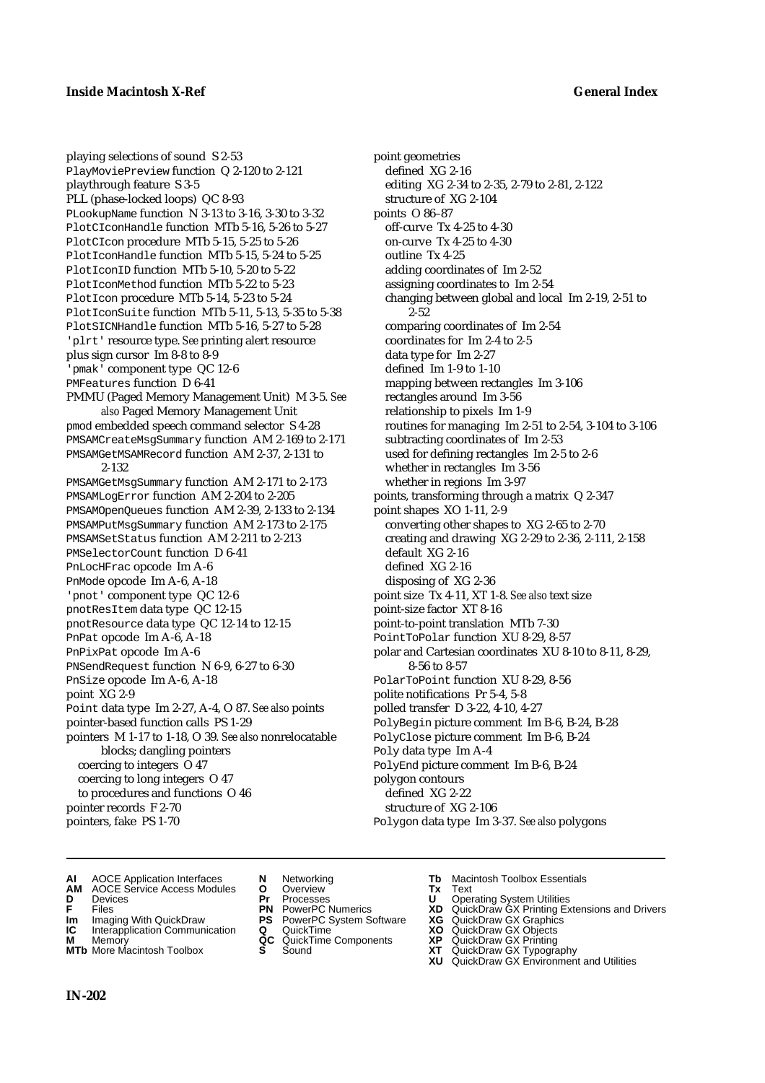playing selections of sound S 2-53 PlayMoviePreview function Q 2-120 to 2-121 playthrough feature S 3-5 PLL (phase-locked loops) QC 8-93 PLookupName function N 3-13 to 3-16, 3-30 to 3-32 PlotCIconHandle function MTb 5-16, 5-26 to 5-27 PlotCIcon procedure MTb 5-15, 5-25 to 5-26 PlotIconHandle function MTb 5-15, 5-24 to 5-25 PlotIconID function MTb 5-10, 5-20 to 5-22 PlotIconMethod function MTb 5-22 to 5-23 PlotIcon procedure MTb 5-14, 5-23 to 5-24 PlotIconSuite function MTb 5-11, 5-13, 5-35 to 5-38 PlotSICNHandle function MTb 5-16, 5-27 to 5-28 'plrt' resource type. *See* printing alert resource plus sign cursor Im 8-8 to 8-9 'pmak' component type QC 12-6 PMFeatures function D 6-41 PMMU (Paged Memory Management Unit) M 3-5. *See also* Paged Memory Management Unit pmod embedded speech command selector S 4-28 PMSAMCreateMsgSummary function AM 2-169 to 2-171 PMSAMGetMSAMRecord function AM 2-37, 2-131 to 2-132 PMSAMGetMsgSummary function AM 2-171 to 2-173 PMSAMLogError function AM 2-204 to 2-205 PMSAMOpenQueues function AM 2-39, 2-133 to 2-134 PMSAMPutMsgSummary function AM 2-173 to 2-175 PMSAMSetStatus function AM 2-211 to 2-213 PMSelectorCount function D 6-41 PnLocHFrac opcode Im A-6 PnMode opcode Im A-6, A-18 'pnot' component type QC 12-6 pnotResItem data type QC 12-15 pnotResource data type QC 12-14 to 12-15 PnPat opcode Im A-6, A-18 PnPixPat opcode Im A-6 PNSendRequest function N 6-9, 6-27 to 6-30 PnSize opcode Im A-6, A-18 point XG 2-9 Point data type Im 2-27, A-4, O 87. *See also* points pointer-based function calls PS 1-29 pointers M 1-17 to 1-18, O 39. *See also* nonrelocatable blocks; dangling pointers coercing to integers O 47 coercing to long integers O 47 to procedures and functions O 46 pointer records F 2-70 pointers, fake PS 1-70

point geometries defined XG 2-16 editing XG 2-34 to 2-35, 2-79 to 2-81, 2-122 structure of XG 2-104 points O 86–87 off-curve Tx 4-25 to 4-30 on-curve Tx 4-25 to 4-30 outline Tx 4-25 adding coordinates of Im 2-52 assigning coordinates to Im 2-54 changing between global and local Im 2-19, 2-51 to 2-52 comparing coordinates of Im 2-54 coordinates for Im 2-4 to 2-5 data type for Im 2-27 defined Im 1-9 to 1-10 mapping between rectangles Im 3-106 rectangles around Im 3-56 relationship to pixels Im 1-9 routines for managing Im 2-51 to 2-54, 3-104 to 3-106 subtracting coordinates of Im 2-53 used for defining rectangles Im 2-5 to 2-6 whether in rectangles Im 3-56 whether in regions Im 3-97 points, transforming through a matrix Q 2-347 point shapes XO 1-11, 2-9 converting other shapes to XG 2-65 to 2-70 creating and drawing XG 2-29 to 2-36, 2-111, 2-158 default XG 2-16 defined XG 2-16 disposing of XG 2-36 point size Tx 4-11, XT 1-8. *See also* text size point-size factor XT 8-16 point-to-point translation MTb 7-30 PointToPolar function XU 8-29, 8-57 polar and Cartesian coordinates XU 8-10 to 8-11, 8-29, 8-56 to 8-57 PolarToPoint function XU 8-29, 8-56 polite notifications Pr 5-4, 5-8 polled transfer D 3-22, 4-10, 4-27 PolyBegin picture comment Im B-6, B-24, B-28 PolyClose picture comment Im B-6, B-24 Poly data type Im A-4 PolyEnd picture comment Im B-6, B-24 polygon contours defined XG 2-22 structure of XG 2-106 Polygon data type Im 3-37. *See also* polygons

- **AI** AOCE Application Interfaces **N** Networking **Tb** Macintosh Toolbox Essentials<br> **AM** AOCE Service Access Modules **O** Overview **Tx** Text<br> **D** Devices **Pr** Processes **U** Operating System Utilities
- **AM** AOCE Service Access Modules **O** Overview **Tx** Text
- 
- 
- **IM** Files<br> **Im** Imaging With QuickDraw **PS** PowerPC System Software **XG**<br> **IC** Interapplication Communication **Q** QuickTime **XO XO**
- **IC** Interapplication Communication **Q** QuickTime **XO M** Memory **XP C** QuickTime Components **XP**
- **M** Memory **Discussed AC** QuickTime Components **XP**<br> **MTb** More Macintosh Toolbox **S** Sound **XT MTb** More Macintosh Toolbox **S** Sound **XT** QuickDraw GX Typography
- 
- **D** Devices **Pr** Processes **U** Operating System Utilities
	-
	-
	-
	- -
- 
- 
- **F** Files **PN** PowerPC Numerics **XD** QuickDraw GX Printing Extensions and Drivers
	-
	-
	-
	-
	- **XU** QuickDraw GX Environment and Utilities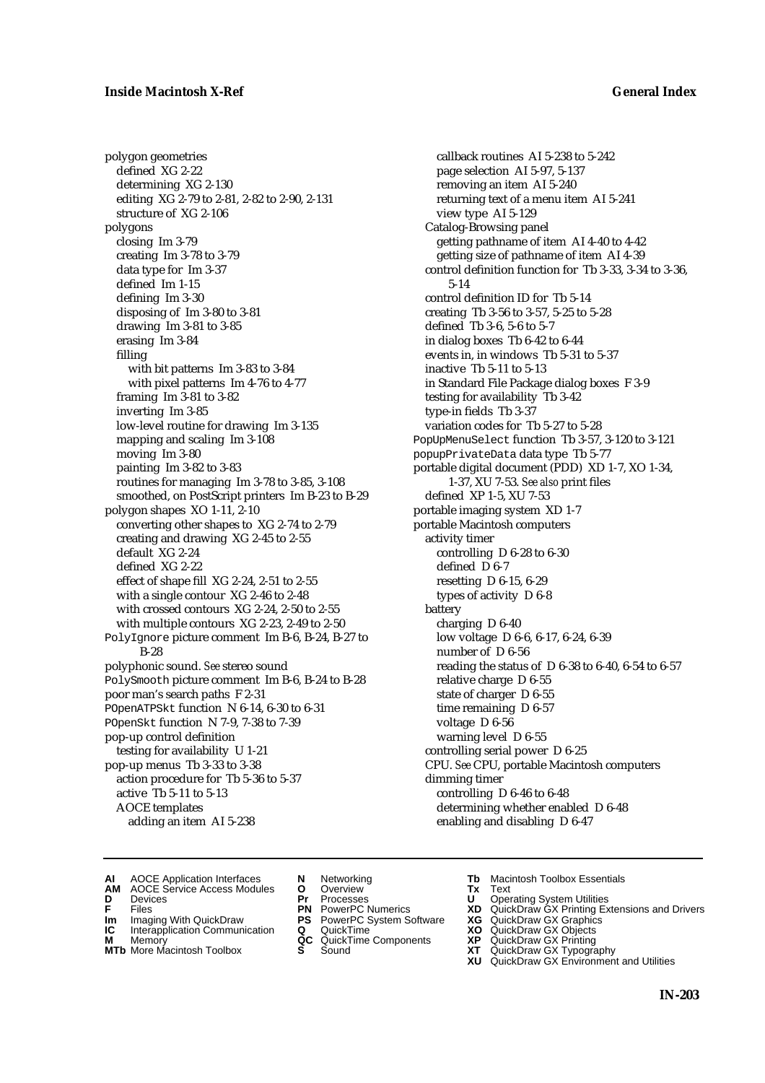polygon geometries defined XG 2-22 determining XG 2-130 editing XG 2-79 to 2-81, 2-82 to 2-90, 2-131 structure of XG 2-106 polygons closing Im 3-79 creating Im 3-78 to 3-79 data type for Im 3-37 defined Im 1-15 defining Im 3-30 disposing of Im 3-80 to 3-81 drawing Im 3-81 to 3-85 erasing Im 3-84 filling with bit patterns Im 3-83 to 3-84 with pixel patterns Im 4-76 to 4-77 framing Im 3-81 to 3-82 inverting Im 3-85 low-level routine for drawing Im 3-135 mapping and scaling Im 3-108 moving Im 3-80 painting Im 3-82 to 3-83 routines for managing Im 3-78 to 3-85, 3-108 smoothed, on PostScript printers Im B-23 to B-29 polygon shapes XO 1-11, 2-10 converting other shapes to XG 2-74 to 2-79 creating and drawing XG 2-45 to 2-55 default XG 2-24 defined XG 2-22 effect of shape fill XG 2-24, 2-51 to 2-55 with a single contour XG 2-46 to 2-48 with crossed contours XG 2-24, 2-50 to 2-55 with multiple contours XG 2-23, 2-49 to 2-50 PolyIgnore picture comment Im B-6, B-24, B-27 to B-28 polyphonic sound. *See* stereo sound PolySmooth picture comment Im B-6, B-24 to B-28 poor man's search paths F 2-31 POpenATPSkt function N 6-14, 6-30 to 6-31 POpenSkt function N 7-9, 7-38 to 7-39 pop-up control definition testing for availability U 1-21 pop-up menus Tb 3-33 to 3-38 action procedure for Tb 5-36 to 5-37 active Tb 5-11 to 5-13 AOCE templates adding an item AI 5-238

callback routines AI 5-238 to 5-242 page selection AI 5-97, 5-137 removing an item AI 5-240 returning text of a menu item AI 5-241 view type AI 5-129 Catalog-Browsing panel getting pathname of item AI 4-40 to 4-42 getting size of pathname of item AI 4-39 control definition function for Tb 3-33, 3-34 to 3-36, 5-14 control definition ID for Tb 5-14 creating Tb 3-56 to 3-57, 5-25 to 5-28 defined Tb 3-6, 5-6 to 5-7 in dialog boxes Tb 6-42 to 6-44 events in, in windows Tb 5-31 to 5-37 inactive Tb 5-11 to 5-13 in Standard File Package dialog boxes F 3-9 testing for availability Tb 3-42 type-in fields Tb 3-37 variation codes for Tb 5-27 to 5-28 PopUpMenuSelect function Tb 3-57, 3-120 to 3-121 popupPrivateData data type Tb 5-77 portable digital document (PDD) XD 1-7, XO 1-34, 1-37, XU 7-53. *See also* print files defined XP 1-5, XU 7-53 portable imaging system XD 1-7 portable Macintosh computers activity timer controlling D 6-28 to 6-30 defined D 6-7 resetting D 6-15, 6-29 types of activity D 6-8 battery charging D 6-40 low voltage D 6-6, 6-17, 6-24, 6-39 number of D 6-56 reading the status of D 6-38 to 6-40, 6-54 to 6-57 relative charge D 6-55 state of charger D 6-55 time remaining D 6-57 voltage D 6-56 warning level D 6-55 controlling serial power D 6-25 CPU. *See* CPU, portable Macintosh computers dimming timer controlling D 6-46 to 6-48 determining whether enabled D 6-48 enabling and disabling D 6-47

- **AI** AOCE Application Interfaces **N** Networking **The Macintosh Toolbox Essentials**<br> **AM** AOCE Service Access Modules **O** Overview **Tx** Text<br> **D** Devices **Pr** Processes **U** Operating System Utilities
- **AOCE Service Access Modules <b>O** Overview **Tx** Text<br> **Devices Devices Devices D** Oper
- 
- **Im** Files<br> **Im** Imaging With QuickDraw **PS** PowerPC System Software **XG**<br> **IC** Interapplication Communication **Q** QuickTime **XO**
- **IC** Interapplication Communication **Q** QuickTime **XO M** Memory **XP QC** QuickTime Components **XP**
- **M** Memory **CONSISTENT CONSISTENT QC** QuickTime Components **XP**<br> **MTb** More Macintosh Toolbox **S** Sound **XT**
- **MTb** More Macintosh Toolbox **S** Sound **XT** QuickDraw GX Typography
- 
- **D** Devices **Pr** Processes **U** Operating System Utilities
	-
	-
	-
	-
- 
- 
- **F** Files **PN** PowerPC Numerics **XD** QuickDraw GX Printing Extensions and Drivers
	-
	-
	-
	- **XU** QuickDraw GX Environment and Utilities
		- **IN-203**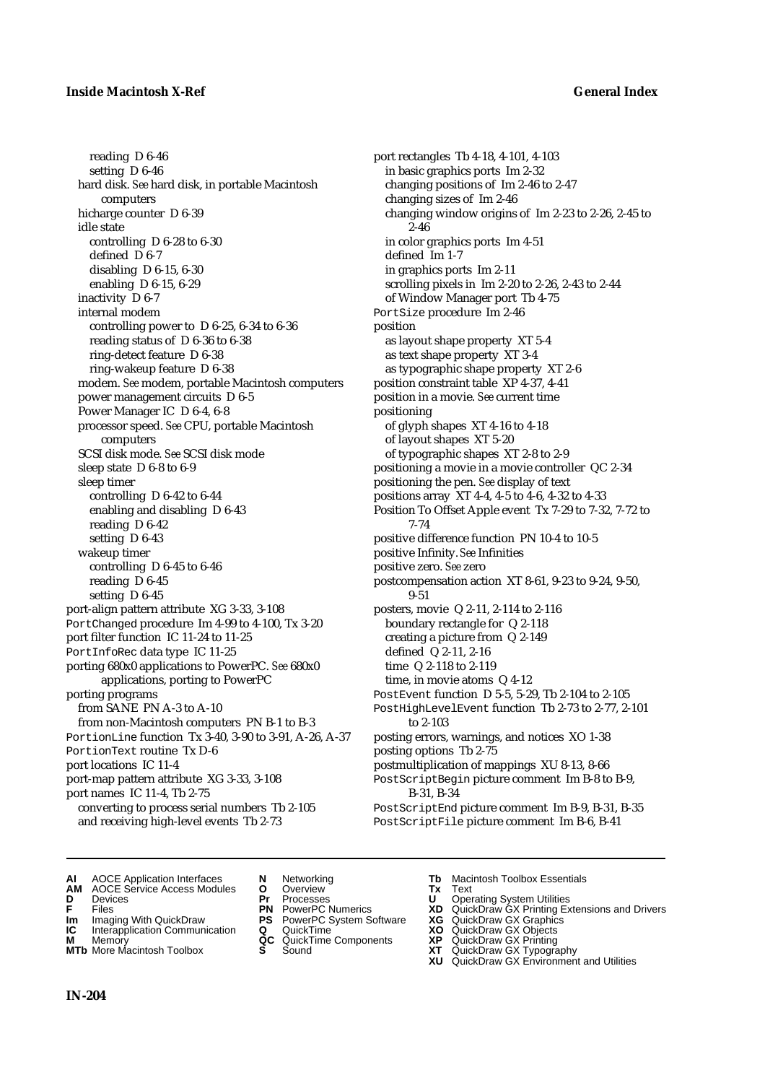## **Inside Macintosh X-Ref General Index**

reading D 6-46 setting D 6-46 hard disk. *See* hard disk, in portable Macintosh computers hicharge counter D 6-39 idle state controlling D 6-28 to 6-30 defined D 6-7 disabling D 6-15, 6-30 enabling D 6-15, 6-29 inactivity D 6-7 internal modem controlling power to D 6-25, 6-34 to 6-36 reading status of D 6-36 to 6-38 ring-detect feature D 6-38 ring-wakeup feature D 6-38 modem. *See* modem, portable Macintosh computers power management circuits D 6-5 Power Manager IC D 6-4, 6-8 processor speed. *See* CPU, portable Macintosh computers SCSI disk mode. *See* SCSI disk mode sleep state D 6-8 to 6-9 sleep timer controlling D 6-42 to 6-44 enabling and disabling D 6-43 reading D 6-42 setting D 6-43 wakeup timer controlling D 6-45 to 6-46 reading D 6-45 setting D 6-45 port-align pattern attribute XG 3-33, 3-108 PortChanged procedure Im 4-99 to 4-100, Tx 3-20 port filter function IC 11-24 to 11-25 PortInfoRec data type IC 11-25 porting 680x0 applications to PowerPC. *See* 680x0 applications, porting to PowerPC porting programs from SANE PN A-3 to A-10 from non-Macintosh computers PN B-1 to B-3 PortionLine function Tx 3-40, 3-90 to 3-91, A-26, A-37 PortionText routine Tx D-6 port locations IC 11-4 port-map pattern attribute XG 3-33, 3-108 port names IC 11-4, Tb 2-75 converting to process serial numbers Tb 2-105 and receiving high-level events Tb 2-73

port rectangles Tb 4-18, 4-101, 4-103 in basic graphics ports Im 2-32 changing positions of Im 2-46 to 2-47 changing sizes of Im 2-46 changing window origins of Im 2-23 to 2-26, 2-45 to 2-46 in color graphics ports Im 4-51 defined Im 1-7 in graphics ports Im 2-11 scrolling pixels in Im 2-20 to 2-26, 2-43 to 2-44 of Window Manager port Tb 4-75 PortSize procedure Im 2-46 position as layout shape property XT 5-4 as text shape property XT 3-4 as typographic shape property XT 2-6 position constraint table XP 4-37, 4-41 position in a movie. *See* current time positioning of glyph shapes XT 4-16 to 4-18 of layout shapes XT 5-20 of typographic shapes XT 2-8 to 2-9 positioning a movie in a movie controller QC 2-34 positioning the pen. *See* display of text positions array XT 4-4, 4-5 to 4-6, 4-32 to 4-33 Position To Offset Apple event Tx 7-29 to 7-32, 7-72 to 7-74 positive difference function PN 10-4 to 10-5 positive Infinity. *See* Infinities positive zero. *See* zero postcompensation action XT 8-61, 9-23 to 9-24, 9-50, 9-51 posters, movie Q 2-11, 2-114 to 2-116 boundary rectangle for Q 2-118 creating a picture from Q 2-149 defined Q 2-11, 2-16 time Q 2-118 to 2-119 time, in movie atoms Q 4-12 PostEvent function D 5-5, 5-29, Tb 2-104 to 2-105 PostHighLevelEvent function Tb 2-73 to 2-77, 2-101 to 2-103 posting errors, warnings, and notices XO 1-38 posting options Tb 2-75 postmultiplication of mappings XU 8-13, 8-66 PostScriptBegin picture comment Im B-8 to B-9, B-31, B-34 PostScriptEnd picture comment Im B-9, B-31, B-35 PostScriptFile picture comment Im B-6, B-41

- **AI** AOCE Application Interfaces **N** Networking **Tb** Macintosh Toolbox Essentials<br> **AM** AOCE Service Access Modules **O** Overview **Tx** Text<br> **D** Devices **Pr** Processes **U** Operating System Utilities
- **AM** AOCE Service Access Modules **O** Overview **Tx** Text
- 
- 
- **IM** Files<br> **Im** Imaging With QuickDraw **PS** PowerPC System Software **XG**<br> **IC** Interapplication Communication **Q** QuickTime **XO**
- **Interapplication Communication <b>Q** QuickTime **XO** Memory **XO** Objects **XP** OC QuickTime Components **XP**
- **M** Memory **Discussed AC** QuickTime Components **XP**<br> **MTb** More Macintosh Toolbox **S** Sound **XT MTb** More Macintosh Toolbox **S** Sound **XT** QuickDraw GX Typography
- 
- **D** Devices **Pr** Processes **U** Operating System Utilities
- **F** Files **PN** PowerPC Numerics **XD** QuickDraw GX Printing Extensions and Drivers
	-
	-
	-
- -
	-
	-
	- **XU** QuickDraw GX Environment and Utilities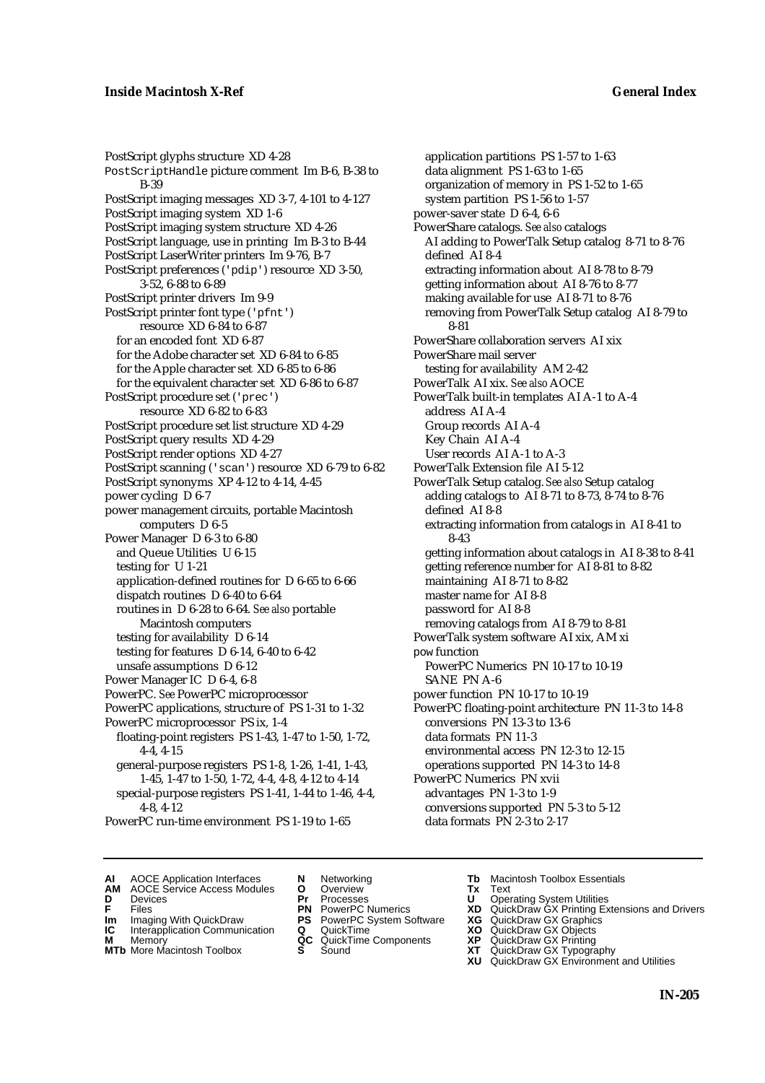PostScript glyphs structure XD 4-28 PostScriptHandle picture comment Im B-6, B-38 to B-39 PostScript imaging messages XD 3-7, 4-101 to 4-127 PostScript imaging system XD 1-6 PostScript imaging system structure XD 4-26 PostScript language, use in printing Im B-3 to B-44 PostScript LaserWriter printers Im 9-76, B-7 PostScript preferences ('pdip') resource XD 3-50, 3-52, 6-88 to 6-89 PostScript printer drivers Im 9-9 PostScript printer font type ('pfnt') resource XD 6-84 to 6-87 for an encoded font XD 6-87 for the Adobe character set XD 6-84 to 6-85 for the Apple character set XD 6-85 to 6-86 for the equivalent character set XD 6-86 to 6-87 PostScript procedure set ('prec') resource XD 6-82 to 6-83 PostScript procedure set list structure XD 4-29 PostScript query results XD 4-29 PostScript render options XD 4-27 PostScript scanning ('scan') resource XD 6-79 to 6-82 PostScript synonyms XP 4-12 to 4-14, 4-45 power cycling D 6-7 power management circuits, portable Macintosh computers D 6-5 Power Manager D 6-3 to 6-80 and Queue Utilities U 6-15 testing for U 1-21 application-defined routines for D 6-65 to 6-66 dispatch routines D 6-40 to 6-64 routines in D 6-28 to 6-64. *See also* portable Macintosh computers testing for availability D 6-14 testing for features D 6-14, 6-40 to 6-42 unsafe assumptions D 6-12 Power Manager IC D 6-4, 6-8 PowerPC. *See* PowerPC microprocessor PowerPC applications, structure of PS 1-31 to 1-32 PowerPC microprocessor PS ix, 1-4 floating-point registers PS 1-43, 1-47 to 1-50, 1-72, 4-4, 4-15 general-purpose registers PS 1-8, 1-26, 1-41, 1-43, 1-45, 1-47 to 1-50, 1-72, 4-4, 4-8, 4-12 to 4-14 special-purpose registers PS 1-41, 1-44 to 1-46, 4-4, 4-8, 4-12

PowerPC run-time environment PS 1-19 to 1-65

- application partitions PS 1-57 to 1-63 data alignment PS 1-63 to 1-65 organization of memory in PS 1-52 to 1-65 system partition PS 1-56 to 1-57 power-saver state D 6-4, 6-6 PowerShare catalogs. *See also* catalogs AI adding to PowerTalk Setup catalog 8-71 to 8-76 defined AI 8-4 extracting information about AI 8-78 to 8-79 getting information about AI 8-76 to 8-77 making available for use AI 8-71 to 8-76 removing from PowerTalk Setup catalog AI 8-79 to 8-81 PowerShare collaboration servers AI xix PowerShare mail server testing for availability AM 2-42 PowerTalk AI xix. *See also* AOCE PowerTalk built-in templates AI A-1 to A-4 address AI A-4 Group records AI A-4 Key Chain AI A-4 User records AI A-1 to A-3 PowerTalk Extension file AI 5-12 PowerTalk Setup catalog. *See also* Setup catalog adding catalogs to AI 8-71 to 8-73, 8-74 to 8-76 defined AI 8-8 extracting information from catalogs in AI 8-41 to 8-43 getting information about catalogs in AI 8-38 to 8-41 getting reference number for AI 8-81 to 8-82 maintaining AI 8-71 to 8-82 master name for AI 8-8 password for AI 8-8 removing catalogs from AI 8-79 to 8-81 PowerTalk system software AI xix, AM xi pow function PowerPC Numerics PN 10-17 to 10-19 SANE PN A-6 power function PN 10-17 to 10-19 PowerPC floating-point architecture PN 11-3 to 14-8 conversions PN 13-3 to 13-6 data formats PN 11-3 environmental access PN 12-3 to 12-15 operations supported PN 14-3 to 14-8 PowerPC Numerics PN xvii advantages PN 1-3 to 1-9 conversions supported PN 5-3 to 5-12 data formats PN 2-3 to 2-17
- **AI** AOCE Application Interfaces **N** Networking **Tb** Macintosh Toolbox Essentials
- **AM** AOCE Service Access Modules **O** Overview **Tx** Text
- -
- **IM** FILES<br> **Im** Imaging With QuickDraw **PS** PowerPC System Software **XG**<br> **IC** Interapplication Communication **Q** QuickTime **XO**
- **IC** Interapplication Communication **Q** QuickTime **XO M** Memory **XO QC** QuickTime Components **XP M** Memory **QC** QuickTime Components **XP**<br>**MTb** More Macintosh Toolbox **S** Sound **XT**
- **MTb** More Macintosh Toolbox **S** Sound **XT** QuickDraw GX Typography
- 
- **D** Devices **Pr** Processes **U** Operating System Utilities
	-
	-
	-
	-
- 
- 
- **F** Files **PN** PowerPC Numerics **XD** QuickDraw GX Printing Extensions and Drivers
	-
	-
	-
	- **XU** QuickDraw GX Environment and Utilities
		- **IN-205**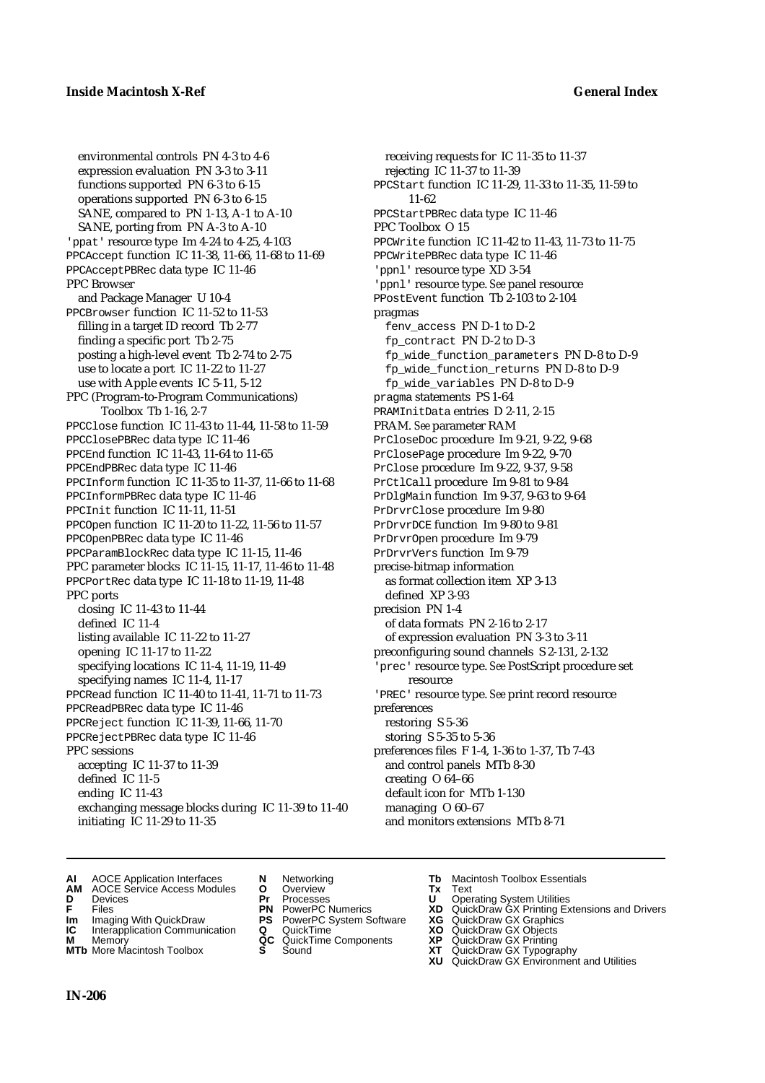environmental controls PN 4-3 to 4-6 expression evaluation PN 3-3 to 3-11 functions supported PN 6-3 to 6-15 operations supported PN 6-3 to 6-15 SANE, compared to PN 1-13, A-1 to A-10 SANE, porting from PN A-3 to A-10 'ppat' resource type Im 4-24 to 4-25, 4-103 PPCAccept function IC 11-38, 11-66, 11-68 to 11-69 PPCAcceptPBRec data type IC 11-46 PPC Browser and Package Manager U 10-4 PPCBrowser function IC 11-52 to 11-53 filling in a target ID record Tb 2-77 finding a specific port Tb 2-75 posting a high-level event Tb 2-74 to 2-75 use to locate a port IC 11-22 to 11-27 use with Apple events IC 5-11, 5-12 PPC (Program-to-Program Communications) Toolbox Tb 1-16, 2-7 PPCClose function IC 11-43 to 11-44, 11-58 to 11-59 PPCClosePBRec data type IC 11-46 PPCEnd function IC 11-43, 11-64 to 11-65 PPCEndPBRec data type IC 11-46 PPCInform function IC 11-35 to 11-37, 11-66 to 11-68 PPCInformPBRec data type IC 11-46 PPCInit function IC 11-11, 11-51 PPCOpen function IC 11-20 to 11-22, 11-56 to 11-57 PPCOpenPBRec data type IC 11-46 PPCParamBlockRec data type IC 11-15, 11-46 PPC parameter blocks IC 11-15, 11-17, 11-46 to 11-48 PPCPortRec data type IC 11-18 to 11-19, 11-48 PPC ports closing IC 11-43 to 11-44 defined IC 11-4 listing available IC 11-22 to 11-27 opening IC 11-17 to 11-22 specifying locations IC 11-4, 11-19, 11-49 specifying names IC 11-4, 11-17 PPCRead function IC 11-40 to 11-41, 11-71 to 11-73 PPCReadPBRec data type IC 11-46 PPCReject function IC 11-39, 11-66, 11-70 PPCRejectPBRec data type IC 11-46 PPC sessions accepting IC 11-37 to 11-39 defined IC 11-5 ending IC 11-43 exchanging message blocks during IC 11-39 to 11-40 initiating IC 11-29 to 11-35

receiving requests for IC 11-35 to 11-37 rejecting IC 11-37 to 11-39 PPCStart function IC 11-29, 11-33 to 11-35, 11-59 to 11-62 PPCStartPBRec data type IC 11-46 PPC Toolbox O 15 PPCWrite function IC 11-42 to 11-43, 11-73 to 11-75 PPCWritePBRec data type IC 11-46 'ppnl' resource type XD 3-54 'ppnl' resource type. *See* panel resource PPostEvent function Tb 2-103 to 2-104 pragmas fenv\_access PN D-1 to D-2 fp\_contract PN D-2 to D-3 fp\_wide\_function\_parameters PN D-8 to D-9 fp\_wide\_function\_returns PN D-8 to D-9 fp\_wide\_variables PN D-8 to D-9 pragma statements PS 1-64 PRAMInitData entries D 2-11, 2-15 PRAM. *See* parameter RAM PrCloseDoc procedure Im 9-21, 9-22, 9-68 PrClosePage procedure Im 9-22, 9-70 PrClose procedure Im 9-22, 9-37, 9-58 PrCtlCall procedure Im 9-81 to 9-84 PrDlgMain function Im 9-37, 9-63 to 9-64 PrDrvrClose procedure Im 9-80 PrDrvrDCE function Im 9-80 to 9-81 PrDrvrOpen procedure Im 9-79 PrDrvrVers function Im 9-79 precise-bitmap information as format collection item XP 3-13 defined XP 3-93 precision PN 1-4 of data formats PN 2-16 to 2-17 of expression evaluation PN 3-3 to 3-11 preconfiguring sound channels S 2-131, 2-132 'prec' resource type. *See* PostScript procedure set resource 'PREC' resource type. *See* print record resource preferences restoring S 5-36 storing S 5-35 to 5-36 preferences files F 1-4, 1-36 to 1-37, Tb 7-43 and control panels MTb 8-30 creating O 64–66 default icon for MTb 1-130 managing O 60–67 and monitors extensions MTb 8-71

- **AI** AOCE Application Interfaces **N** Networking **Tb** Macintosh Toolbox Essentials
- **AM** AOCE Service Access Modules **O** Overview **Tx** Text
- 
- 
- **IM** Files<br> **Im** Imaging With QuickDraw **PS** PowerPC System Software **XG**<br> **IC** Interapplication Communication **Q** QuickTime **XO**
- **Interapplication Communication <b>Q** QuickTime **XO** Memory **XO** Memory **XP QC** QuickTime Components **XP**
- **M** Memory **District Acc** QuickTime Components **XP**<br> **MTb** More Macintosh Toolbox **S** Sound **XT MTb** More Macintosh Toolbox **S** Sound **XT** QuickDraw GX Typography
- 
- 
- 
- 
- -
	-
- 
- **D** Devices **Pr** Processes **U** Operating System Utilities
- **F** Files **PN** PowerPC Numerics **XD** QuickDraw GX Printing Extensions and Drivers
	-
	-
	-
	-
	- **XU** QuickDraw GX Environment and Utilities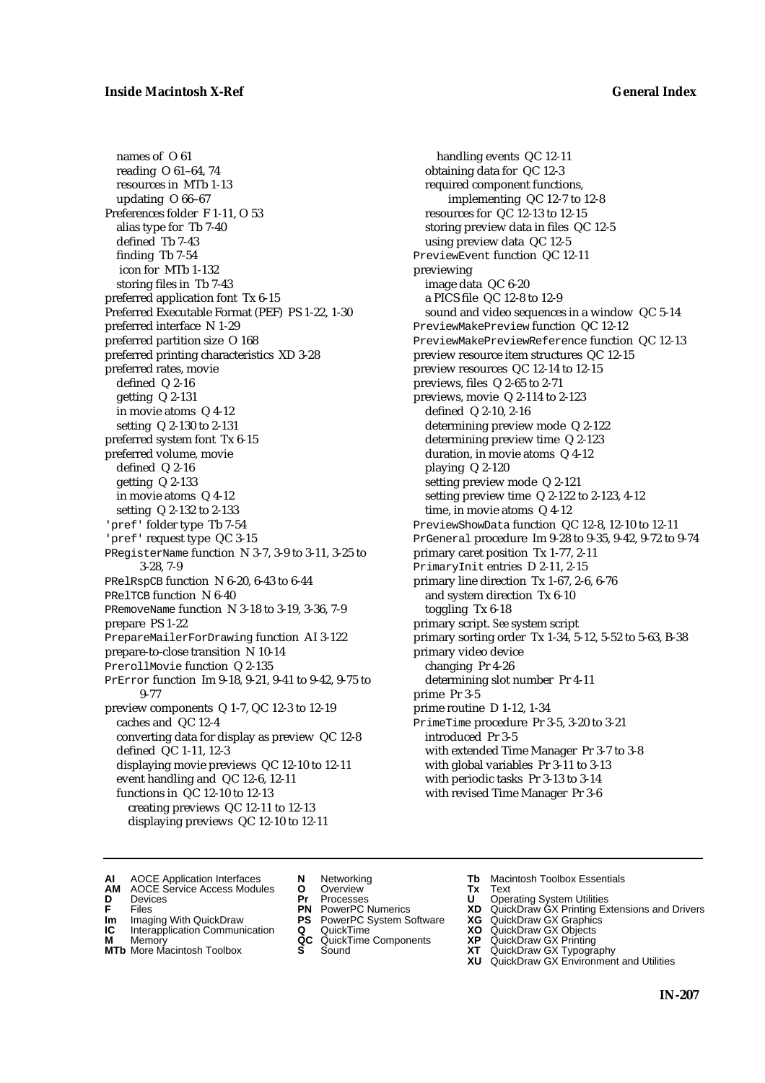names of O 61 reading O 61–64, 74 resources in MTb 1-13 updating O 66–67 Preferences folder F 1-11, O 53 alias type for Tb 7-40 defined Tb 7-43 finding Tb 7-54 icon for MTb 1-132 storing files in Tb 7-43 preferred application font Tx 6-15 Preferred Executable Format (PEF) PS 1-22, 1-30 preferred interface N 1-29 preferred partition size O 168 preferred printing characteristics XD 3-28 preferred rates, movie defined Q 2-16 getting Q 2-131 in movie atoms Q 4-12 setting Q 2-130 to 2-131 preferred system font Tx 6-15 preferred volume, movie defined Q 2-16 getting Q 2-133 in movie atoms Q 4-12 setting Q 2-132 to 2-133 'pref' folder type Tb 7-54 'pref' request type QC 3-15 PRegisterName function N 3-7, 3-9 to 3-11, 3-25 to 3-28, 7-9 PRelRspCB function N 6-20, 6-43 to 6-44 PRelTCB function N 6-40 PRemoveName function N 3-18 to 3-19, 3-36, 7-9 prepare PS 1-22 PrepareMailerForDrawing function AI 3-122 prepare-to-close transition N 10-14 PrerollMovie function Q 2-135 PrError function Im 9-18, 9-21, 9-41 to 9-42, 9-75 to 9-77 preview components Q 1-7, QC 12-3 to 12-19 caches and QC 12-4 converting data for display as preview QC 12-8 defined QC 1-11, 12-3 displaying movie previews QC 12-10 to 12-11 event handling and QC 12-6, 12-11 functions in QC 12-10 to 12-13 creating previews QC 12-11 to 12-13 displaying previews QC 12-10 to 12-11

handling events QC 12-11 obtaining data for QC 12-3 required component functions, implementing QC 12-7 to 12-8 resources for QC 12-13 to 12-15 storing preview data in files QC 12-5 using preview data QC 12-5 PreviewEvent function QC 12-11 previewing image data QC 6-20 a PICS file QC 12-8 to 12-9 sound and video sequences in a window QC 5-14 PreviewMakePreview function QC 12-12 PreviewMakePreviewReference function QC 12-13 preview resource item structures QC 12-15 preview resources QC 12-14 to 12-15 previews, files Q 2-65 to 2-71 previews, movie Q 2-114 to 2-123 defined Q 2-10, 2-16 determining preview mode Q 2-122 determining preview time Q 2-123 duration, in movie atoms Q 4-12 playing Q 2-120 setting preview mode Q 2-121 setting preview time Q 2-122 to 2-123, 4-12 time, in movie atoms Q 4-12 PreviewShowData function QC 12-8, 12-10 to 12-11 PrGeneral procedure Im 9-28 to 9-35, 9-42, 9-72 to 9-74 primary caret position Tx 1-77, 2-11 PrimaryInit entries D 2-11, 2-15 primary line direction Tx 1-67, 2-6, 6-76 and system direction Tx 6-10 toggling Tx 6-18 primary script. *See* system script primary sorting order Tx 1-34, 5-12, 5-52 to 5-63, B-38 primary video device changing Pr 4-26 determining slot number Pr 4-11 prime Pr 3-5 prime routine D 1-12, 1-34 PrimeTime procedure Pr 3-5, 3-20 to 3-21 introduced Pr 3-5 with extended Time Manager Pr 3-7 to 3-8 with global variables Pr 3-11 to 3-13 with periodic tasks Pr 3-13 to 3-14 with revised Time Manager Pr 3-6

- **AI** AOCE Application Interfaces **N** Networking **Tb** Macintosh Toolbox Essentials
- **AM** AOCE Service Access Modules **O** Overview **Tx** Text
- 
- **IM** FILES<br> **Im** Imaging With QuickDraw **PS** PowerPC System Software **XG**<br> **IC** Interapplication Communication **Q** QuickTime **XO**
- **IC** Interapplication Communication **Q** QuickTime **XO M** Memory **XO QC** QuickTime Components **XP**
- 
- **M** Memory **District Acc** QuickTime Components **XP**<br> **MTb** More Macintosh Toolbox **S** Sound **XT**
- 
- **D** Devices **Pr** Processes **U** Operating System Utilities
	-
	-
	-
	-
- 
- 
- **F** Files **PN** PowerPC Numerics **XD** QuickDraw GX Printing Extensions and Drivers
	-
	-
	-
- **MTb** More Macintosh Toolbox **S** Sound **XT** QuickDraw GX Typography
	- **XU** QuickDraw GX Environment and Utilities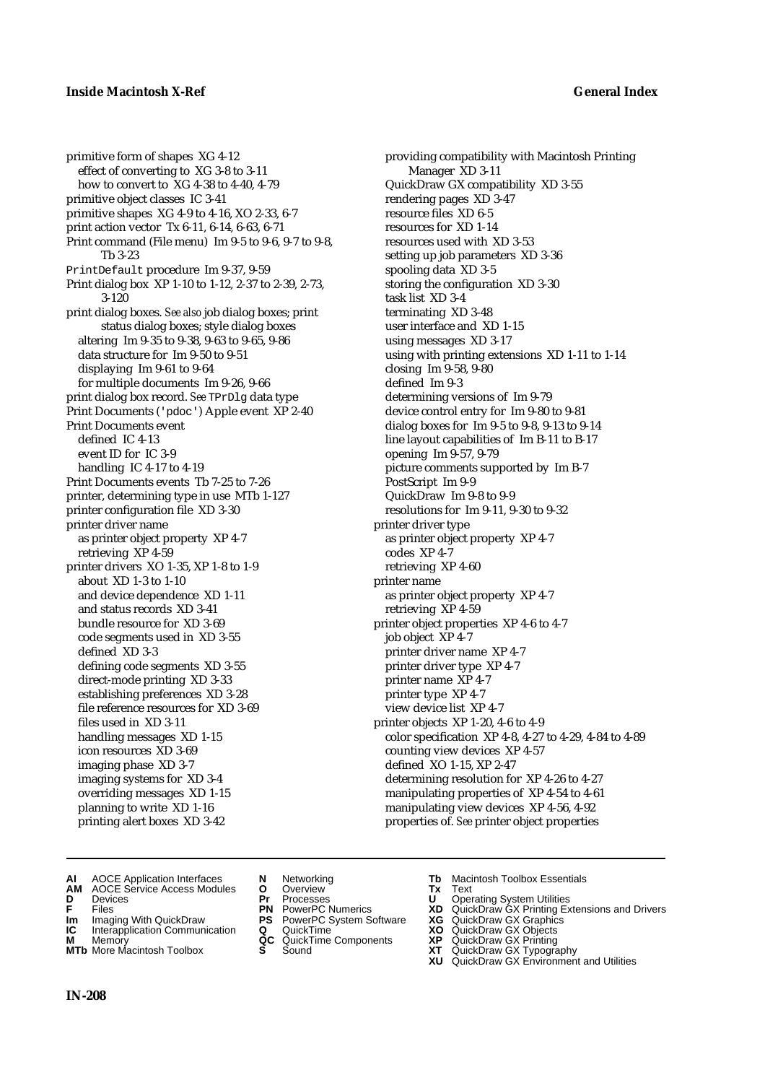primitive form of shapes XG 4-12 effect of converting to XG 3-8 to 3-11 how to convert to XG 4-38 to 4-40, 4-79 primitive object classes IC 3-41 primitive shapes XG 4-9 to 4-16, XO 2-33, 6-7 print action vector Tx 6-11, 6-14, 6-63, 6-71 Print command (File menu) Im 9-5 to 9-6, 9-7 to 9-8, Tb 3-23 PrintDefault procedure Im 9-37, 9-59 Print dialog box XP 1-10 to 1-12, 2-37 to 2-39, 2-73, 3-120 print dialog boxes. *See also* job dialog boxes; print status dialog boxes; style dialog boxes altering Im 9-35 to 9-38, 9-63 to 9-65, 9-86 data structure for Im 9-50 to 9-51 displaying Im 9-61 to 9-64 for multiple documents Im 9-26, 9-66 print dialog box record. *See* TPrDlg data type Print Documents ('pdoc') Apple event XP 2-40 Print Documents event defined IC 4-13 event ID for IC 3-9 handling IC 4-17 to 4-19 Print Documents events Tb 7-25 to 7-26 printer, determining type in use MTb 1-127 printer configuration file XD 3-30 printer driver name as printer object property XP 4-7 retrieving XP 4-59 printer drivers XO 1-35, XP 1-8 to 1-9 about XD 1-3 to 1-10 and device dependence XD 1-11 and status records XD 3-41 bundle resource for XD 3-69 code segments used in XD 3-55 defined XD 3-3 defining code segments XD 3-55 direct-mode printing XD 3-33 establishing preferences XD 3-28 file reference resources for XD 3-69 files used in XD 3-11 handling messages XD 1-15 icon resources XD 3-69 imaging phase XD 3-7 imaging systems for XD 3-4 overriding messages XD 1-15 planning to write XD 1-16 printing alert boxes XD 3-42

providing compatibility with Macintosh Printing Manager XD 3-11 QuickDraw GX compatibility XD 3-55 rendering pages XD 3-47 resource files XD 6-5 resources for XD 1-14 resources used with XD 3-53 setting up job parameters XD 3-36 spooling data XD 3-5 storing the configuration XD 3-30 task list XD 3-4 terminating XD 3-48 user interface and XD 1-15 using messages XD 3-17 using with printing extensions XD 1-11 to 1-14 closing Im 9-58, 9-80 defined Im 9-3 determining versions of Im 9-79 device control entry for Im 9-80 to 9-81 dialog boxes for Im 9-5 to 9-8, 9-13 to 9-14 line layout capabilities of Im B-11 to B-17 opening Im 9-57, 9-79 picture comments supported by Im B-7 PostScript Im 9-9 QuickDraw Im 9-8 to 9-9 resolutions for Im 9-11, 9-30 to 9-32 printer driver type as printer object property XP 4-7 codes XP 4-7 retrieving XP 4-60 printer name as printer object property XP 4-7 retrieving XP 4-59 printer object properties XP 4-6 to 4-7 job object XP 4-7 printer driver name XP 4-7 printer driver type XP 4-7 printer name XP 4-7 printer type XP 4-7 view device list XP 4-7 printer objects XP 1-20, 4-6 to 4-9 color specification XP 4-8, 4-27 to 4-29, 4-84 to 4-89 counting view devices XP 4-57 defined XO 1-15, XP 2-47 determining resolution for XP 4-26 to 4-27 manipulating properties of XP 4-54 to 4-61 manipulating view devices XP 4-56, 4-92 properties of. *See* printer object properties

- **AI** AOCE Application Interfaces **N** Networking **Tb** Macintosh Toolbox Essentials<br> **AM** AOCE Service Access Modules **O** Overview **Tx** Text<br> **D** Devices **Pr** Processes **U** Operating System Utilities
- **AM** AOCE Service Access Modules **O** Overview **Tx** Text
- 
- 
- **Im** Imaging With QuickDraw **PS** PowerPC System Software **XG IC** Interapplication Communication **Q** QuickTime **COVIC**
- **Interapplication Communication <b>Q** QuickTime **XO** Memory **XO** Objects **XP QC** QuickTime Components **XP**
- **MTb** More Macintosh Toolbox **S** Sound **XT** QuickDraw GX Typography
- 
- **D** Devices **Pr** Processes **U** Operating System Utilities
	-
	-
	-
	-
- 
- 
- **FRICAG CONSISTS IN THE PROCESSES CONSISTS AND CONSIST CONSISTENT CONSISTS CONSISTS PRINTIPLE PROCESSES CONSISTS CON<br>
<b>F**FRICES **PN** POWERPC Numerics **XD** QuickDraw GX Printing Extensions and Drivers<br> **Im** Imaging With Qui
	-
	-
- **M** Memory **QC** QuickTime Components **XP** QuickDraw GX Printing
	-
- **XG** QuickDraw GX Graphics<br> **XG** QuickDraw GX Objects<br> **XD** QuickDraw GX Objects<br> **XP** QuickDraw GX Printing<br> **XT** QuickDraw GX Typography<br> **XU** QuickDraw GX Environment and Utilities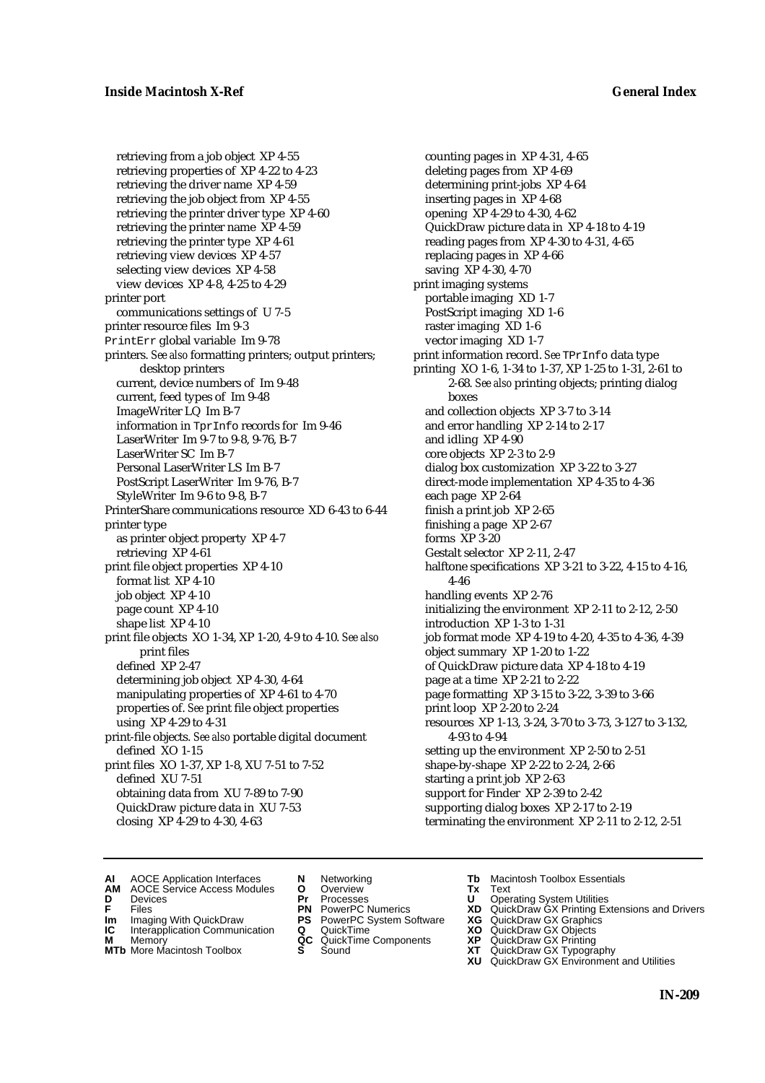retrieving from a job object XP 4-55 retrieving properties of XP 4-22 to 4-23 retrieving the driver name XP 4-59 retrieving the job object from XP 4-55 retrieving the printer driver type XP 4-60 retrieving the printer name XP 4-59 retrieving the printer type XP 4-61 retrieving view devices XP 4-57 selecting view devices XP 4-58 view devices XP 4-8, 4-25 to 4-29 printer port communications settings of U 7-5 printer resource files Im 9-3 PrintErr global variable Im 9-78 printers. *See also* formatting printers; output printers; desktop printers current, device numbers of Im 9-48 current, feed types of Im 9-48 ImageWriter LQ Im B-7 information in TprInfo records for Im 9-46 LaserWriter Im 9-7 to 9-8, 9-76, B-7 LaserWriter SC Im B-7 Personal LaserWriter LS Im B-7 PostScript LaserWriter Im 9-76, B-7 StyleWriter Im 9-6 to 9-8, B-7 PrinterShare communications resource XD 6-43 to 6-44 printer type as printer object property XP 4-7 retrieving XP 4-61 print file object properties XP 4-10 format list XP 4-10 job object XP 4-10 page count XP 4-10 shape list XP 4-10 print file objects XO 1-34, XP 1-20, 4-9 to 4-10. *See also* print files defined XP 2-47 determining job object XP 4-30, 4-64 manipulating properties of XP 4-61 to 4-70 properties of. *See* print file object properties using XP 4-29 to 4-31 print-file objects. *See also* portable digital document defined XO 1-15 print files XO 1-37, XP 1-8, XU 7-51 to 7-52 defined XU 7-51 obtaining data from XU 7-89 to 7-90 QuickDraw picture data in XU 7-53 closing XP 4-29 to 4-30, 4-63

counting pages in XP 4-31, 4-65 deleting pages from XP 4-69 determining print-jobs XP 4-64 inserting pages in XP 4-68 opening XP 4-29 to 4-30, 4-62 QuickDraw picture data in XP 4-18 to 4-19 reading pages from XP 4-30 to 4-31, 4-65 replacing pages in XP 4-66 saving XP 4-30, 4-70 print imaging systems portable imaging XD 1-7 PostScript imaging XD 1-6 raster imaging XD 1-6 vector imaging XD 1-7 print information record. *See* TPrInfo data type printing XO 1-6, 1-34 to 1-37, XP 1-25 to 1-31, 2-61 to 2-68. *See also* printing objects; printing dialog boxes and collection objects XP 3-7 to 3-14 and error handling XP 2-14 to 2-17 and idling XP 4-90 core objects XP 2-3 to 2-9 dialog box customization XP 3-22 to 3-27 direct-mode implementation XP 4-35 to 4-36 each page XP 2-64 finish a print job XP 2-65 finishing a page XP 2-67 forms XP 3-20 Gestalt selector XP 2-11, 2-47 halftone specifications XP 3-21 to 3-22, 4-15 to 4-16, 4-46 handling events XP 2-76 initializing the environment XP 2-11 to 2-12, 2-50 introduction XP 1-3 to 1-31 job format mode XP 4-19 to 4-20, 4-35 to 4-36, 4-39 object summary XP 1-20 to 1-22 of QuickDraw picture data XP 4-18 to 4-19 page at a time XP 2-21 to 2-22 page formatting XP 3-15 to 3-22, 3-39 to 3-66 print loop XP 2-20 to 2-24 resources XP 1-13, 3-24, 3-70 to 3-73, 3-127 to 3-132, 4-93 to 4-94 setting up the environment XP 2-50 to 2-51 shape-by-shape XP 2-22 to 2-24, 2-66 starting a print job XP 2-63 support for Finder XP 2-39 to 2-42 supporting dialog boxes XP 2-17 to 2-19 terminating the environment XP 2-11 to 2-12, 2-51

- **AI** AOCE Application Interfaces **N** Networking **Tb** Macintosh Toolbox Essentials<br> **AM** AOCE Service Access Modules **O** Overview **Tx** Text<br> **D** Devices **Pr** Processes **U** Operating System Utilities
- AOCE Service Access Modules **O** Overview **Tx** Text<br>Devices **Devices Devices Devices**
- 
- **IM** FILES<br> **Im** Imaging With QuickDraw **PS** PowerPC System Software **XG**<br> **IC** Interapplication Communication **Q** QuickTime **XO**
- **IC** Interapplication Communication **Q** QuickTime **XO M** Memory **XO QC** QuickTime Components **XP**
- **M** Memory **District Acc** QuickTime Components **XP**<br> **MTb** More Macintosh Toolbox **S** Sound **XT**
- 
- 
- **D** Devices **Pr** Processes **U** Operating System Utilities
	-
	-
	-
	-
	-
- 
- 
- **F** Files **PN** PowerPC Numerics **XD** QuickDraw GX Printing Extensions and Drivers
	-
	-
	-
- **MTb** More Macintosh Toolbox **S** Sound **XT** QuickDraw GX Typography
	- **XU** QuickDraw GX Environment and Utilities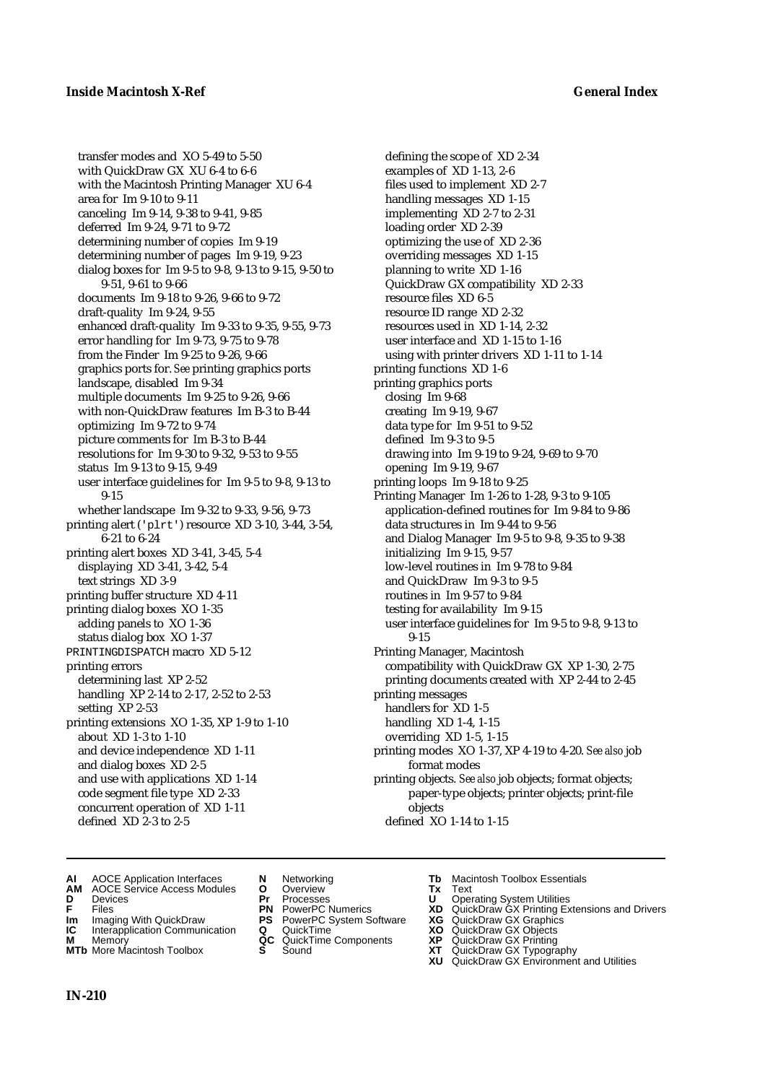transfer modes and XO 5-49 to 5-50 with QuickDraw GX XU 6-4 to 6-6 with the Macintosh Printing Manager XU 6-4 area for Im 9-10 to 9-11 canceling Im 9-14, 9-38 to 9-41, 9-85 deferred Im 9-24, 9-71 to 9-72 determining number of copies Im 9-19 determining number of pages Im 9-19, 9-23 dialog boxes for Im 9-5 to 9-8, 9-13 to 9-15, 9-50 to 9-51, 9-61 to 9-66 documents Im 9-18 to 9-26, 9-66 to 9-72 draft-quality Im 9-24, 9-55 enhanced draft-quality Im 9-33 to 9-35, 9-55, 9-73 error handling for Im 9-73, 9-75 to 9-78 from the Finder Im 9-25 to 9-26, 9-66 graphics ports for. *See* printing graphics ports landscape, disabled Im 9-34 multiple documents Im 9-25 to 9-26, 9-66 with non-QuickDraw features Im B-3 to B-44 optimizing Im 9-72 to 9-74 picture comments for Im B-3 to B-44 resolutions for Im 9-30 to 9-32, 9-53 to 9-55 status Im 9-13 to 9-15, 9-49 user interface guidelines for Im 9-5 to 9-8, 9-13 to 9-15 whether landscape Im 9-32 to 9-33, 9-56, 9-73 printing alert ('plrt') resource XD 3-10, 3-44, 3-54, 6-21 to 6-24 printing alert boxes XD 3-41, 3-45, 5-4 displaying XD 3-41, 3-42, 5-4 text strings XD 3-9 printing buffer structure XD 4-11 printing dialog boxes XO 1-35 adding panels to XO 1-36 status dialog box XO 1-37 PRINTINGDISPATCH macro XD 5-12 printing errors determining last XP 2-52 handling XP 2-14 to 2-17, 2-52 to 2-53 setting XP 2-53 printing extensions XO 1-35, XP 1-9 to 1-10 about XD 1-3 to 1-10 and device independence XD 1-11 and dialog boxes XD 2-5 and use with applications XD 1-14 code segment file type XD 2-33 concurrent operation of XD 1-11 defined XD 2-3 to 2-5

defining the scope of XD 2-34 examples of XD 1-13, 2-6 files used to implement XD 2-7 handling messages XD 1-15 implementing XD 2-7 to 2-31 loading order XD 2-39 optimizing the use of XD 2-36 overriding messages XD 1-15 planning to write XD 1-16 QuickDraw GX compatibility XD 2-33 resource files XD 6-5 resource ID range XD 2-32 resources used in XD 1-14, 2-32 user interface and XD 1-15 to 1-16 using with printer drivers XD 1-11 to 1-14 printing functions XD 1-6 printing graphics ports closing Im 9-68 creating Im 9-19, 9-67 data type for Im 9-51 to 9-52 defined Im 9-3 to 9-5 drawing into Im 9-19 to 9-24, 9-69 to 9-70 opening Im 9-19, 9-67 printing loops Im 9-18 to 9-25 Printing Manager Im 1-26 to 1-28, 9-3 to 9-105 application-defined routines for Im 9-84 to 9-86 data structures in Im 9-44 to 9-56 and Dialog Manager Im 9-5 to 9-8, 9-35 to 9-38 initializing Im 9-15, 9-57 low-level routines in Im 9-78 to 9-84 and QuickDraw Im 9-3 to 9-5 routines in Im 9-57 to 9-84 testing for availability Im 9-15 user interface guidelines for Im 9-5 to 9-8, 9-13 to 9-15 Printing Manager, Macintosh compatibility with QuickDraw GX XP 1-30, 2-75 printing documents created with XP 2-44 to 2-45 printing messages handlers for XD 1-5 handling XD 1-4, 1-15 overriding XD 1-5, 1-15 printing modes XO 1-37, XP 4-19 to 4-20. *See also* job format modes printing objects. *See also* job objects; format objects; paper-type objects; printer objects; print-file objects defined XO 1-14 to 1-15

- **AI** AOCE Application Interfaces **N** Networking **Tb** Macintosh Toolbox Essentials<br> **AM** AOCE Service Access Modules **O** Overview **Tx** Text<br> **D** Devices **Pr** Processes **U** Operating System Utilities
- **AM** AOCE Service Access Modules **O** Overview **Tx** Text
- 
- 
- 
- **Interapplication Communication <b>Q** QuickTime **XO** Memory **XO** Memory **XP QC** QuickTime Components **XP**
- **M** Memory **District Acc** QuickTime Components **XP**<br> **MTb** More Macintosh Toolbox **S** Sound **XT**
- 
- 
- 
- **Im** Imaging With QuickDraw **PS** PowerPC System Software **XG IC** Interapplication Communication **Q** QuickTime **COVIC** 
	-
	- -
- 
- **D** Devices **Pr** Processes **U** Operating System Utilities
- **FRICAG CONSISTS IN THE PROCESSES CONSISTS AND CONSIST CONSISTENT CONSISTS CONSISTS PRINTIPLE PROCESSES CONSISTS CON<br>
<b>F**FRICES **PN** POWERPC Numerics **XD** QuickDraw GX Printing Extensions and Drivers<br> **Im** Imaging With Qui
	-
	-
	-
- **MTb** More Macintosh Toolbox **S** Sound **XT** QuickDraw GX Typography
	- **XU** QuickDraw GX Environment and Utilities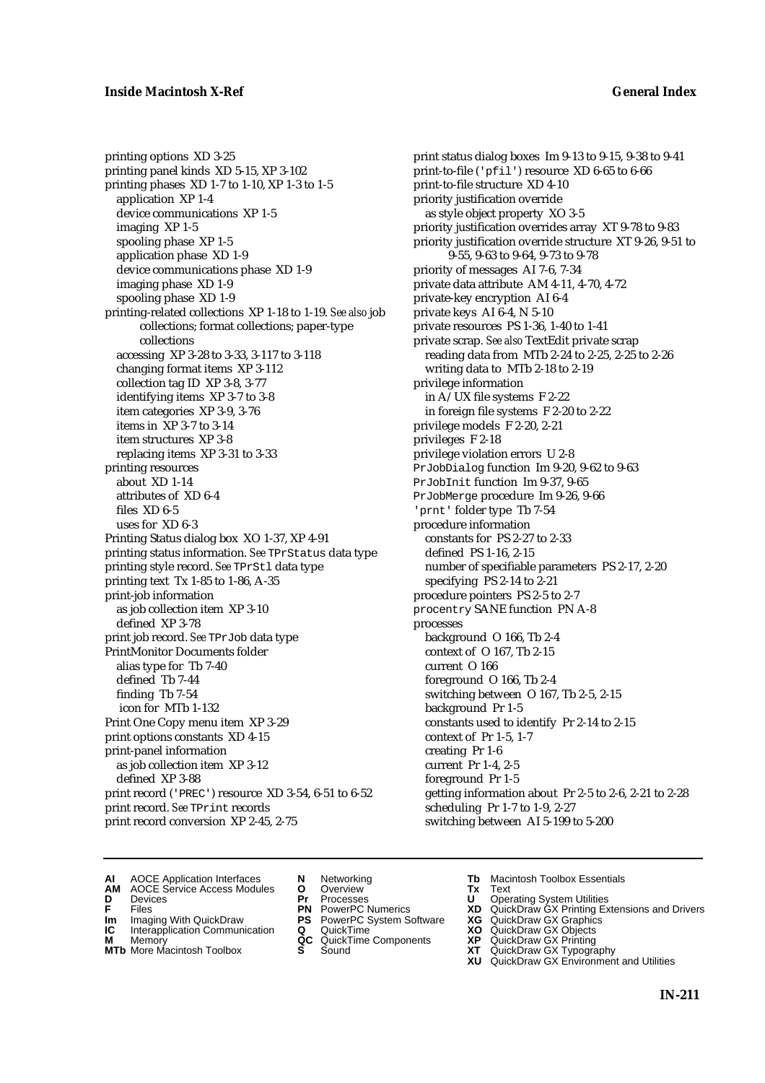printing options XD 3-25 printing panel kinds XD 5-15, XP 3-102 printing phases XD 1-7 to 1-10, XP 1-3 to 1-5 application XP 1-4 device communications XP 1-5 imaging XP 1-5 spooling phase XP 1-5 application phase XD 1-9 device communications phase XD 1-9 imaging phase XD 1-9 spooling phase XD 1-9 printing-related collections XP 1-18 to 1-19. *See also* job collections; format collections; paper-type collections accessing XP 3-28 to 3-33, 3-117 to 3-118 changing format items XP 3-112 collection tag ID XP 3-8, 3-77 identifying items XP 3-7 to 3-8 item categories XP 3-9, 3-76 items in XP 3-7 to 3-14 item structures XP 3-8 replacing items XP 3-31 to 3-33 printing resources about XD 1-14 attributes of XD 6-4 files XD 6-5 uses for XD 6-3 Printing Status dialog box XO 1-37, XP 4-91 printing status information. *See* TPrStatus data type printing style record. *See* TPrStl data type printing text Tx 1-85 to 1-86, A-35 print-job information as job collection item XP 3-10 defined XP 3-78 print job record. *See* TPrJob data type PrintMonitor Documents folder alias type for Tb 7-40 defined Tb 7-44 finding Tb 7-54 icon for MTb 1-132 Print One Copy menu item XP 3-29 print options constants XD 4-15 print-panel information as job collection item XP 3-12 defined XP 3-88 print record ('PREC') resource XD 3-54, 6-51 to 6-52 print record. *See* TPrint records print record conversion XP 2-45, 2-75

print status dialog boxes Im 9-13 to 9-15, 9-38 to 9-41 print-to-file ('pfil') resource XD 6-65 to 6-66 print-to-file structure XD 4-10 priority justification override as style object property XO 3-5 priority justification overrides array XT 9-78 to 9-83 priority justification override structure XT 9-26, 9-51 to 9-55, 9-63 to 9-64, 9-73 to 9-78 priority of messages AI 7-6, 7-34 private data attribute AM 4-11, 4-70, 4-72 private-key encryption AI 6-4 private keys AI 6-4, N 5-10 private resources PS 1-36, 1-40 to 1-41 private scrap. *See also* TextEdit private scrap reading data from MTb 2-24 to 2-25, 2-25 to 2-26 writing data to MTb 2-18 to 2-19 privilege information in A/UX file systems F 2-22 in foreign file systems F 2-20 to 2-22 privilege models F 2-20, 2-21 privileges F 2-18 privilege violation errors U 2-8 PrJobDialog function Im 9-20, 9-62 to 9-63 PrJobInit function Im 9-37, 9-65 PrJobMerge procedure Im 9-26, 9-66 'prnt' folder type Tb 7-54 procedure information constants for PS 2-27 to 2-33 defined PS 1-16, 2-15 number of specifiable parameters PS 2-17, 2-20 specifying PS 2-14 to 2-21 procedure pointers PS 2-5 to 2-7 procentry SANE function PN A-8 processes background O 166, Tb 2-4 context of O 167, Tb 2-15 current O 166 foreground O 166, Tb 2-4 switching between O 167, Tb 2-5, 2-15 background Pr 1-5 constants used to identify Pr 2-14 to 2-15 context of Pr 1-5, 1-7 creating Pr 1-6 current Pr 1-4, 2-5 foreground Pr 1-5 getting information about Pr 2-5 to 2-6, 2-21 to 2-28 scheduling Pr 1-7 to 1-9, 2-27 switching between AI 5-199 to 5-200

- **AI** AOCE Application Interfaces **N** Networking **Tb** Macintosh Toolbox Essentials<br> **AM** AOCE Service Access Modules **O** Overview **Tx** Text<br> **D** Devices **Pr** Processes **U** Operating System Utilities
	- AOCE Service Access Modules **O** Overview **Tx** Text<br>Devices **Devices Devices Devices**
- -
- **Im** Files<br> **Im** Imaging With QuickDraw **PS** PowerPC System Software **XG**<br> **IC** Interapplication Communication **Q** QuickTime **XO IC** Interapplication Communication **Q** QuickTime **XO M** Memory **XO QC** QuickTime Components **XP**
- **M** Memory **District Acc** QuickTime Components **XP**<br> **MTb** More Macintosh Toolbox **S** Sound **XT**
- 
- 
- **D** Devices **Pr** Processes **U** Operating System Utilities
	-
	-
	-
	-
- 
- 
- **F** Files **PN** PowerPC Numerics **XD** QuickDraw GX Printing Extensions and Drivers
	-
	-
	-
- **MTb** More Macintosh Toolbox **S** Sound **XT** QuickDraw GX Typography
	- **XU** QuickDraw GX Environment and Utilities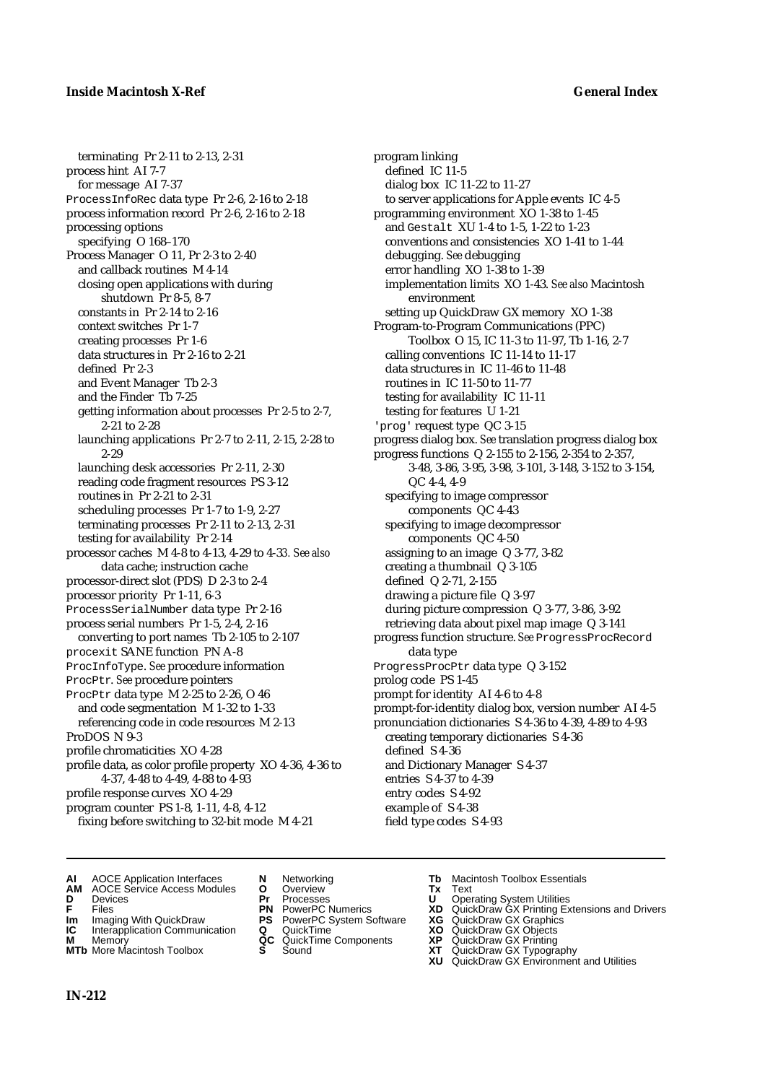terminating Pr 2-11 to 2-13, 2-31 process hint AI 7-7 for message AI 7-37 ProcessInfoRec data type Pr 2-6, 2-16 to 2-18 process information record Pr 2-6, 2-16 to 2-18 processing options specifying O 168–170 Process Manager O 11, Pr 2-3 to 2-40 and callback routines M 4-14 closing open applications with during shutdown Pr 8-5, 8-7 constants in Pr 2-14 to 2-16 context switches Pr 1-7 creating processes Pr 1-6 data structures in Pr 2-16 to 2-21 defined Pr 2-3 and Event Manager Tb 2-3 and the Finder Tb 7-25 getting information about processes Pr 2-5 to 2-7, 2-21 to 2-28 launching applications Pr 2-7 to 2-11, 2-15, 2-28 to 2-29 launching desk accessories Pr 2-11, 2-30 reading code fragment resources PS 3-12 routines in Pr 2-21 to 2-31 scheduling processes Pr 1-7 to 1-9, 2-27 terminating processes Pr 2-11 to 2-13, 2-31 testing for availability Pr 2-14 processor caches M 4-8 to 4-13, 4-29 to 4-3*3. See also* data cache; instruction cache processor-direct slot (PDS) D 2-3 to 2-4 processor priority Pr 1-11, 6-3 ProcessSerialNumber data type Pr 2-16 process serial numbers Pr 1-5, 2-4, 2-16 converting to port names Tb 2-105 to 2-107 procexit SANE function PN A-8 ProcInfoType. *See* procedure information ProcPtr. *See* procedure pointers ProcPtr data type M 2-25 to 2-26, O 46 and code segmentation M 1-32 to 1-33 referencing code in code resources M 2-13 ProDOS N 9-3 profile chromaticities XO 4-28 profile data, as color profile property XO 4-36, 4-36 to 4-37, 4-48 to 4-49, 4-88 to 4-93 profile response curves XO 4-29 program counter PS 1-8, 1-11, 4-8, 4-12 fixing before switching to 32-bit mode M 4-21

program linking defined IC 11-5 dialog box IC 11-22 to 11-27 to server applications for Apple events IC 4-5 programming environment XO 1-38 to 1-45 and Gestalt XU 1-4 to 1-5, 1-22 to 1-23 conventions and consistencies XO 1-41 to 1-44 debugging. *See* debugging error handling XO 1-38 to 1-39 implementation limits XO 1-43. *See also* Macintosh environment setting up QuickDraw GX memory XO 1-38 Program-to-Program Communications (PPC) Toolbox O 15, IC 11-3 to 11-97, Tb 1-16, 2-7 calling conventions IC 11-14 to 11-17 data structures in IC 11-46 to 11-48 routines in IC 11-50 to 11-77 testing for availability IC 11-11 testing for features U 1-21 'prog' request type QC 3-15 progress dialog box. *See* translation progress dialog box progress functions Q 2-155 to 2-156, 2-354 to 2-357, 3-48, 3-86, 3-95, 3-98, 3-101, 3-148, 3-152 to 3-154, QC 4-4, 4-9 specifying to image compressor components QC 4-43 specifying to image decompressor components QC 4-50 assigning to an image Q 3-77, 3-82 creating a thumbnail Q 3-105 defined Q 2-71, 2-155 drawing a picture file Q 3-97 during picture compression Q 3-77, 3-86, 3-92 retrieving data about pixel map image Q 3-141 progress function structure. *See* ProgressProcRecord data type ProgressProcPtr data type Q 3-152 prolog code PS 1-45 prompt for identity AI 4-6 to 4-8 prompt-for-identity dialog box, version number AI 4-5 pronunciation dictionaries S 4-36 to 4-39, 4-89 to 4-93 creating temporary dictionaries S 4-36 defined S 4-36 and Dictionary Manager S 4-37 entries S 4-37 to 4-39 entry codes S 4-92 example of S 4-38 field type codes S 4-93

- **AI** AOCE Application Interfaces **N** Networking **Tb** Macintosh Toolbox Essentials
- **AM** AOCE Service Access Modules **O** Overview **Tx** Text
- 
- 
- **Im** Imaging With QuickDraw **PS** PowerPC System Software **XG IC** Interapplication Communication **Q** QuickTime **COVIC**
- **Interapplication Communication <b>Q** QuickTime **XO** Memory **XO** Memory **XP QC** QuickTime Components **XP M** Memory **District Acc** QuickTime Components **XP**<br> **MTb** More Macintosh Toolbox **S** Sound **XT**
- **MTb** More Macintosh Toolbox **S** Sound **XT** QuickDraw GX Typography
- 
- 
- 
- 
- 
- 
- 
- **D** Devices **Pr** Processes **U** Operating System Utilities
- **FRICAG CONSISTS IN THE PROCESSES CONSISTS AND CONSIST CONSISTENT CONSISTS CONSISTS PRINTIPLE PROCESSES CONSISTS CON<br>
<b>F**FRICES **PN** POWERPC Numerics **XD** QuickDraw GX Printing Extensions and Drivers<br> **Im** Imaging With Qui
	-
	-
	-
	-
	- **XU** QuickDraw GX Environment and Utilities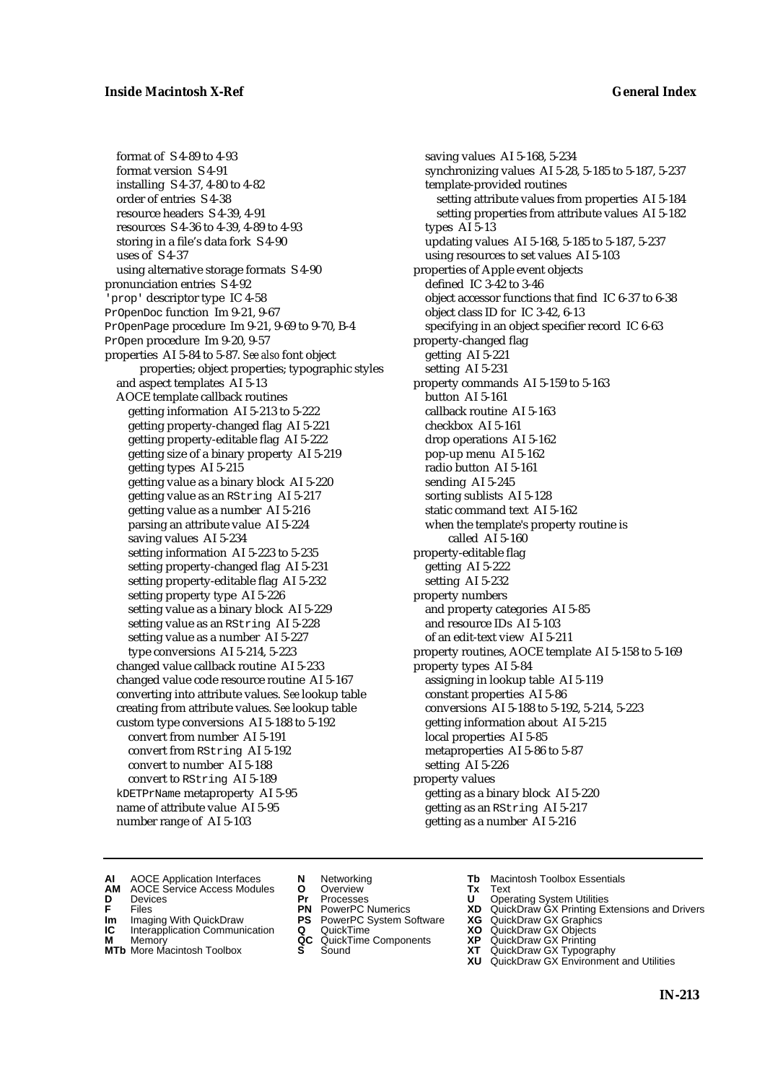format of S 4-89 to 4-93 format version S 4-91 installing S 4-37, 4-80 to 4-82 order of entries S 4-38 resource headers S 4-39, 4-91 resources S 4-36 to 4-39, 4-89 to 4-93 storing in a file's data fork S 4-90 uses of S 4-37 using alternative storage formats S 4-90 pronunciation entries S 4-92 'prop' descriptor type IC 4-58 PrOpenDoc function Im 9-21, 9-67 PrOpenPage procedure Im 9-21, 9-69 to 9-70, B-4 PrOpen procedure Im 9-20, 9-57 properties AI 5-84 to 5-87. *See also* font object properties; object properties; typographic styles and aspect templates AI 5-13 AOCE template callback routines getting information AI 5-213 to 5-222 getting property-changed flag AI 5-221 getting property-editable flag AI 5-222 getting size of a binary property AI 5-219 getting types AI 5-215 getting value as a binary block AI 5-220 getting value as an RString AI 5-217 getting value as a number AI 5-216 parsing an attribute value AI 5-224 saving values AI 5-234 setting information AI 5-223 to 5-235 setting property-changed flag AI 5-231 setting property-editable flag AI 5-232 setting property type AI 5-226 setting value as a binary block AI 5-229 setting value as an RString AI 5-228 setting value as a number AI 5-227 type conversions AI 5-214, 5-223 changed value callback routine AI 5-233 changed value code resource routine AI 5-167 converting into attribute values. *See* lookup table creating from attribute values. *See* lookup table custom type conversions AI 5-188 to 5-192 convert from number AI 5-191 convert from RString AI 5-192 convert to number AI 5-188 convert to RString AI 5-189 kDETPrName metaproperty AI 5-95 name of attribute value AI 5-95 number range of AI 5-103

saving values AI 5-168, 5-234 synchronizing values AI 5-28, 5-185 to 5-187, 5-237 template-provided routines setting attribute values from properties AI 5-184 setting properties from attribute values AI 5-182 types AI 5-13 updating values AI 5-168, 5-185 to 5-187, 5-237 using resources to set values AI 5-103 properties of Apple event objects defined IC 3-42 to 3-46 object accessor functions that find IC 6-37 to 6-38 object class ID for IC 3-42, 6-13 specifying in an object specifier record IC 6-63 property-changed flag getting AI 5-221 setting AI 5-231 property commands AI 5-159 to 5-163 button AI 5-161 callback routine AI 5-163 checkbox AI 5-161 drop operations AI 5-162 pop-up menu AI 5-162 radio button AI 5-161 sending AI 5-245 sorting sublists AI 5-128 static command text AI 5-162 when the template's property routine is called AI 5-160 property-editable flag getting AI 5-222 setting AI 5-232 property numbers and property categories AI 5-85 and resource IDs AI 5-103 of an edit-text view AI 5-211 property routines, AOCE template AI 5-158 to 5-169 property types AI 5-84 assigning in lookup table AI 5-119 constant properties AI 5-86 conversions AI 5-188 to 5-192, 5-214, 5-223 getting information about AI 5-215 local properties AI 5-85 metaproperties AI 5-86 to 5-87 setting AI 5-226 property values getting as a binary block AI 5-220 getting as an RString AI 5-217 getting as a number AI 5-216

- 
- **AI** AOCE Application Interfaces **N** Networking **Tb** Macintosh Toolbox Essentials
- **AM** AOCE Service Access Modules **O** Overview **Tx** Text
- 
- 
- **IM** FILES<br> **Im** Imaging With QuickDraw **PS** PowerPC System Software **XG**<br> **IC** Interapplication Communication **Q** QuickTime **XO IC** Interapplication Communication **Q** QuickTime **XO M** Memory **XO QC** QuickTime Components **XP**
- **M** Memory **CONSISTENT MEMORY AND MEMORY MEMORY AND MEMORY AND MEMORY AND <b>CONSISTENT CONSISTENT** WAS A VIOLENCE CONSISTENT OF A VIOLENCE CONSISTENT OF A VIOLENCE CONSISTENT OF A VIOLENCE CONSISTENT OF A VIOLENCE CONSISTEN
- 
- 
- **D** Devices **Pr** Processes **U** Operating System Utilities
	-
	-
	-
	-
- 
- 
- **F** Files **PN** PowerPC Numerics **XD** QuickDraw GX Printing Extensions and Drivers
	-
	-
	-
- **MTb** More Macintosh Toolbox **S** Sound **XT** QuickDraw GX Typography
	- **XU** QuickDraw GX Environment and Utilities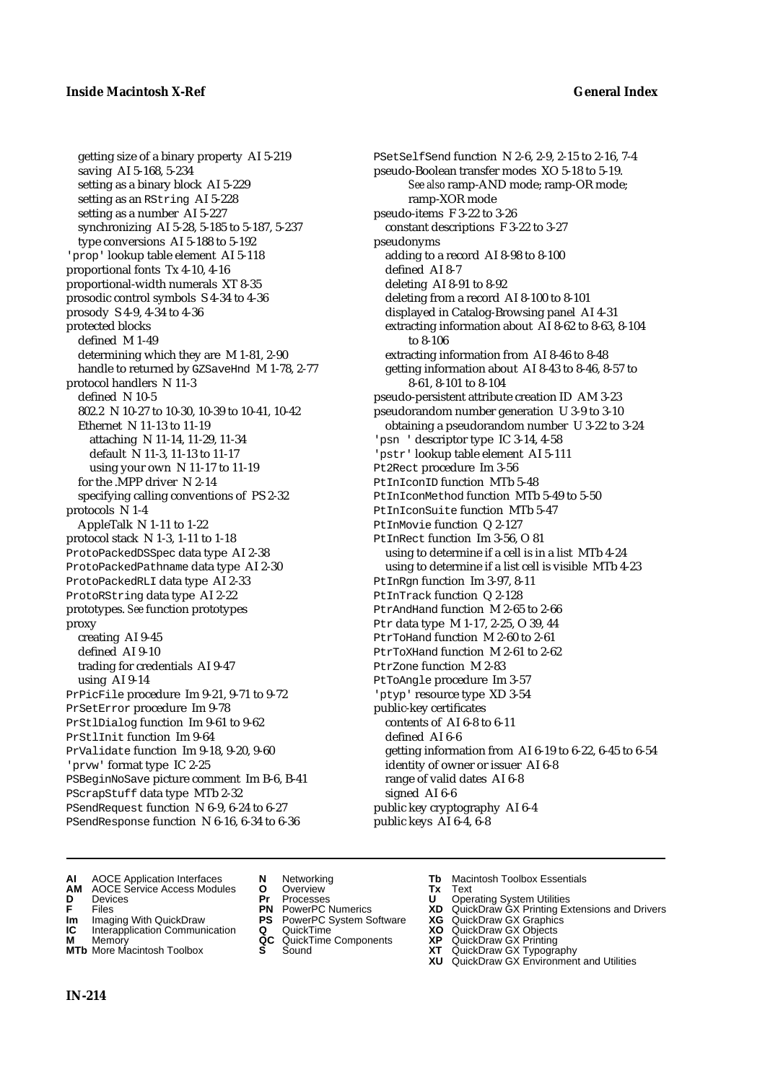getting size of a binary property AI 5-219 saving AI 5-168, 5-234 setting as a binary block AI 5-229 setting as an RString AI 5-228 setting as a number AI 5-227 synchronizing AI 5-28, 5-185 to 5-187, 5-237 type conversions AI 5-188 to 5-192 'prop' lookup table element AI 5-118 proportional fonts Tx 4-10, 4-16 proportional-width numerals XT 8-35 prosodic control symbols S 4-34 to 4-36 prosody S 4-9, 4-34 to 4-36 protected blocks defined M 1-49 determining which they are M 1-81, 2-90 handle to returned by GZSaveHnd M 1-78, 2-77 protocol handlers N 11-3 defined N 10-5 802.2 N 10-27 to 10-30, 10-39 to 10-41, 10-42 Ethernet N 11-13 to 11-19 attaching N 11-14, 11-29, 11-34 default N 11-3, 11-13 to 11-17 using your own N 11-17 to 11-19 for the .MPP driver N 2-14 specifying calling conventions of PS 2-32 protocols N 1-4 AppleTalk N 1-11 to 1-22 protocol stack N 1-3, 1-11 to 1-18 ProtoPackedDSSpec data type AI 2-38 ProtoPackedPathname data type AI 2-30 ProtoPackedRLI data type AI 2-33 ProtoRString data type AI 2-22 prototypes. *See* function prototypes proxy creating AI 9-45 defined AI 9-10 trading for credentials AI 9-47 using AI 9-14 PrPicFile procedure Im 9-21, 9-71 to 9-72 PrSetError procedure Im 9-78 PrStlDialog function Im 9-61 to 9-62 PrStlInit function Im 9-64 PrValidate function Im 9-18, 9-20, 9-60 'prvw' format type IC 2-25 PSBeginNoSave picture comment Im B-6, B-41 PScrapStuff data type MTb 2-32 PSendRequest function N 6-9, 6-24 to 6-27 PSendResponse function N 6-16, 6-34 to 6-36

PSetSelfSend function N 2-6, 2-9, 2-15 to 2-16, 7-4 pseudo-Boolean transfer modes XO 5-18 to 5-19. *See also* ramp-AND mode; ramp-OR mode; ramp-XOR mode pseudo-items F 3-22 to 3-26 constant descriptions F 3-22 to 3-27 pseudonyms adding to a record AI 8-98 to 8-100 defined AI 8-7 deleting AI 8-91 to 8-92 deleting from a record AI 8-100 to 8-101 displayed in Catalog-Browsing panel AI 4-31 extracting information about AI 8-62 to 8-63, 8-104 to 8-106 extracting information from AI 8-46 to 8-48 getting information about AI 8-43 to 8-46, 8-57 to 8-61, 8-101 to 8-104 pseudo-persistent attribute creation ID AM 3-23 pseudorandom number generation U 3-9 to 3-10 obtaining a pseudorandom number U 3-22 to 3-24 'psn ' descriptor type IC 3-14, 4-58 'pstr' lookup table element AI 5-111 Pt2Rect procedure Im 3-56 PtInIconID function MTb 5-48 PtInIconMethod function MTb 5-49 to 5-50 PtInIconSuite function MTb 5-47 PtInMovie function Q 2-127 PtInRect function Im 3-56, O 81 using to determine if a cell is in a list MTb 4-24 using to determine if a list cell is visible MTb 4-23 PtInRgn function Im 3-97, 8-11 PtInTrack function Q 2-128 PtrAndHand function M 2-65 to 2-66 Ptr data type M 1-17, 2-25, O 39, 44 PtrToHand function M 2-60 to 2-61 PtrToXHand function M 2-61 to 2-62 PtrZone function M 2-83 PtToAngle procedure Im 3-57 'ptyp' resource type XD 3-54 public-key certificates contents of AI 6-8 to 6-11 defined AI 6-6 getting information from AI 6-19 to 6-22, 6-45 to 6-54 identity of owner or issuer AI 6-8 range of valid dates AI 6-8 signed AI 6-6 public key cryptography AI 6-4 public keys AI 6-4, 6-8

- **AI** AOCE Application Interfaces **N** Networking **Tb** Macintosh Toolbox Essentials
- **AM** AOCE Service Access Modules **O** Overview **Tx** Text
- 
- 
- **Im** Imaging With QuickDraw **PS** PowerPC System Software **XG IC** Interapplication Communication **Q** QuickTime **COVIC**
- **Interapplication Communication <b>Q** QuickTime **XO** Memory **XO** Memory **XP QC** QuickTime Components **XP M** Memory **CONSISTENT CONSIDER**<br> **MTb** More Macintosh Toolbox **S** Sound **S S** State **XP**
- **MTb** More Macintosh Toolbox **S** Sound **XT** QuickDraw GX Typography
- 
- **D** Devices **Pr** Processes **U** Operating System Utilities
	-
	-
	-
	-
- 
- 
- **F** Files **PN** PowerPC Numerics **XD** QuickDraw GX Printing Extensions and Drivers
	-
	-
	-
	-
	- **XU** QuickDraw GX Environment and Utilities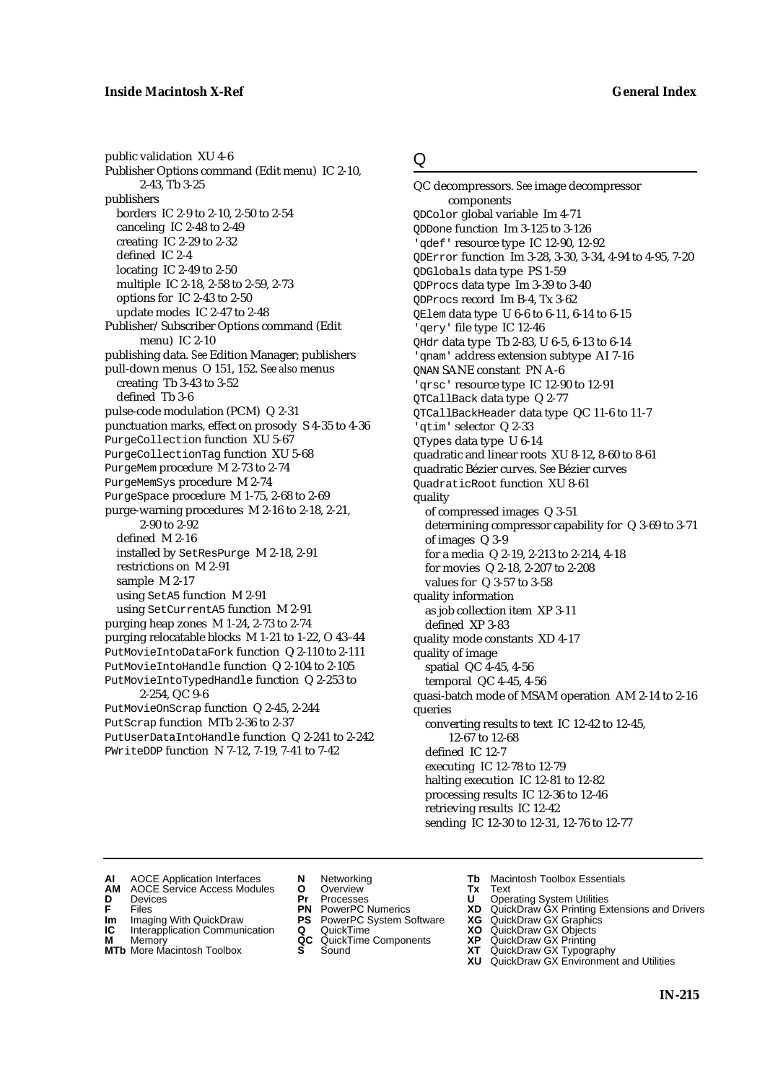public validation XU 4-6 Publisher Options command (Edit menu) IC 2-10, 2-43, Tb 3-25 publishers borders IC 2-9 to 2-10, 2-50 to 2-54 canceling IC 2-48 to 2-49 creating IC 2-29 to 2-32 defined IC 2-4 locating IC 2-49 to 2-50 multiple IC 2-18, 2-58 to 2-59, 2-73 options for IC 2-43 to 2-50 update modes IC 2-47 to 2-48 Publisher/Subscriber Options command (Edit menu) IC 2-10 publishing data. *See* Edition Manager; publishers pull-down menus O 151, 152. *See also* menus creating Tb 3-43 to 3-52 defined Tb 3-6 pulse-code modulation (PCM) Q 2-31 punctuation marks, effect on prosody S 4-35 to 4-36 PurgeCollection function XU 5-67 PurgeCollectionTag function XU 5-68 PurgeMem procedure M 2-73 to 2-74 PurgeMemSys procedure M 2-74 PurgeSpace procedure M 1-75, 2-68 to 2-69 purge-warning procedures M 2-16 to 2-18, 2-21, 2-90 to 2-92 defined M 2-16 installed by SetResPurge M 2-18, 2-91 restrictions on M 2-91 sample M 2-17 using SetA5 function M 2-91 using SetCurrentA5 function M 2-91 purging heap zones M 1-24, 2-73 to 2-74 purging relocatable blocks M 1-21 to 1-22, O 43–44 PutMovieIntoDataFork function Q 2-110 to 2-111 PutMovieIntoHandle function Q 2-104 to 2-105 PutMovieIntoTypedHandle function Q 2-253 to 2-254, QC 9-6 PutMovieOnScrap function Q 2-45, 2-244 PutScrap function MTb 2-36 to 2-37 PutUserDataIntoHandle function Q 2-241 to 2-242 PWriteDDP function N 7-12, 7-19, 7-41 to 7-42

# Q

QC decompressors. *See* image decompressor components QDColor global variable Im 4-71 QDDone function Im 3-125 to 3-126 'qdef' resource type IC 12-90, 12-92 QDError function Im 3-28, 3-30, 3-34, 4-94 to 4-95, 7-20 QDGlobals data type PS 1-59 QDProcs data type Im 3-39 to 3-40 QDProcs record Im B-4, Tx 3-62 QElem data type U 6-6 to 6-11, 6-14 to 6-15 'qery' file type IC 12-46 QHdr data type Tb 2-83, U 6-5, 6-13 to 6-14 'qnam' address extension subtype AI 7-16 QNAN SANE constant PN A-6 'qrsc' resource type IC 12-90 to 12-91 QTCallBack data type Q 2-77 QTCallBackHeader data type QC 11-6 to 11-7 'qtim' selector Q 2-33 QTypes data type U 6-14 quadratic and linear roots XU 8-12, 8-60 to 8-61 quadratic Bézier curves. *See* Bézier curves QuadraticRoot function XU 8-61 quality of compressed images Q 3-51 determining compressor capability for Q 3-69 to 3-71 of images Q 3-9 for a media Q 2-19, 2-213 to 2-214, 4-18 for movies Q 2-18, 2-207 to 2-208 values for Q 3-57 to 3-58 quality information as job collection item XP 3-11 defined XP 3-83 quality mode constants XD 4-17 quality of image spatial QC 4-45, 4-56 temporal QC 4-45, 4-56 quasi-batch mode of MSAM operation AM 2-14 to 2-16 queries converting results to text IC 12-42 to 12-45, 12-67 to 12-68 defined IC 12-7 executing IC 12-78 to 12-79 halting execution IC 12-81 to 12-82 processing results IC 12-36 to 12-46 retrieving results IC 12-42 sending IC 12-30 to 12-31, 12-76 to 12-77

- **AI** AOCE Application Interfaces **N** Networking **Tb** Macintosh Toolbox Essentials<br> **AM** AOCE Service Access Modules **O** Overview **Tx** Text<br> **D** Devices **Pr** Processes **U** Operating System Utilities
- AOCE Service Access Modules **O** Overview **Tx** Text<br>Devices **Devices Devices Devices**
- 
- 
- **IM** FILES<br> **Im** Imaging With QuickDraw **PS** PowerPC System Software **XG**<br> **IC** Interapplication Communication **Q** QuickTime **XO IC** Interapplication Communication **Q** QuickTime **XO M** Memory **XO QC** QuickTime Components **XP**
- 
- **M** Memory **QC** QuickTime Components **XP**<br>**MTb** More Macintosh Toolbox **S** Sound **XT MTb** More Macintosh Toolbox **S** Sound **XT** QuickDraw GX Typography
- 
- **D** Devices **Pr** Processes **U** Operating System Utilities
	-
	-
	-
	-
- 
- 
- **F** Files **PN** PowerPC Numerics **XD** QuickDraw GX Printing Extensions and Drivers
	-
	-
	-
	-
	- **XU** QuickDraw GX Environment and Utilities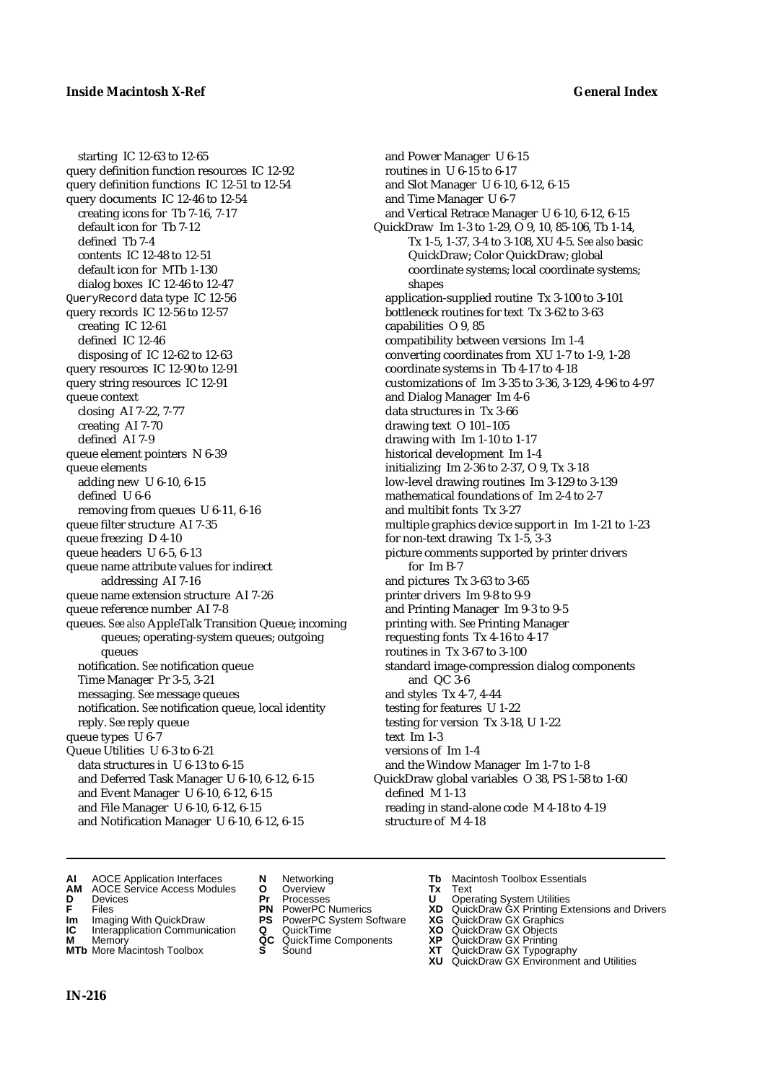starting IC 12-63 to 12-65 query definition function resources IC 12-92 query definition functions IC 12-51 to 12-54 query documents IC 12-46 to 12-54 creating icons for Tb 7-16, 7-17 default icon for Tb 7-12 defined Tb 7-4 contents IC 12-48 to 12-51 default icon for MTb 1-130 dialog boxes IC 12-46 to 12-47 QueryRecord data type IC 12-56 query records IC 12-56 to 12-57 creating IC 12-61 defined IC 12-46 disposing of IC 12-62 to 12-63 query resources IC 12-90 to 12-91 query string resources IC 12-91 queue context closing AI 7-22, 7-77 creating AI 7-70 defined AI 7-9 queue element pointers N 6-39 queue elements adding new U 6-10, 6-15 defined U 6-6 removing from queues U 6-11, 6-16 queue filter structure AI 7-35 queue freezing D 4-10 queue headers U 6-5, 6-13 queue name attribute values for indirect addressing AI 7-16 queue name extension structure AI 7-26 queue reference number AI 7-8 queues. *See also* AppleTalk Transition Queue; incoming queues; operating-system queues; outgoing queues notification. *See* notification queue Time Manager Pr 3-5, 3-21 messaging. *See* message queues notification. *See* notification queue, local identity reply. *See* reply queue queue types U 6-7 Queue Utilities U 6-3 to 6-21 data structures in U 6-13 to 6-15 and Deferred Task Manager U 6-10, 6-12, 6-15 and Event Manager U 6-10, 6-12, 6-15 and File Manager U 6-10, 6-12, 6-15 and Notification Manager U 6-10, 6-12, 6-15

and Power Manager U 6-15 routines in U 6-15 to 6-17 and Slot Manager U 6-10, 6-12, 6-15 and Time Manager U 6-7 and Vertical Retrace Manager U 6-10, 6-12, 6-15 QuickDraw Im 1-3 to 1-29, O 9, 10, 85-106, Tb 1-14, Tx 1-5, 1-37, 3-4 to 3-108, XU 4-5. *See also* basic QuickDraw; Color QuickDraw; global coordinate systems; local coordinate systems; shapes application-supplied routine Tx 3-100 to 3-101 bottleneck routines for text Tx 3-62 to 3-63 capabilities O 9, 85 compatibility between versions Im 1-4 converting coordinates from XU 1-7 to 1-9, 1-28 coordinate systems in Tb 4-17 to 4-18 customizations of Im 3-35 to 3-36, 3-129, 4-96 to 4-97 and Dialog Manager Im 4-6 data structures in Tx 3-66 drawing text O 101–105 drawing with Im 1-10 to 1-17 historical development Im 1-4 initializing Im 2-36 to 2-37, O 9, Tx 3-18 low-level drawing routines Im 3-129 to 3-139 mathematical foundations of Im 2-4 to 2-7 and multibit fonts Tx 3-27 multiple graphics device support in Im 1-21 to 1-23 for non-text drawing Tx 1-5, 3-3 picture comments supported by printer drivers for Im B-7 and pictures Tx 3-63 to 3-65 printer drivers Im 9-8 to 9-9 and Printing Manager Im 9-3 to 9-5 printing with. *See* Printing Manager requesting fonts Tx 4-16 to 4-17 routines in Tx 3-67 to 3-100 standard image-compression dialog components and QC 3-6 and styles Tx 4-7, 4-44 testing for features U 1-22 testing for version Tx 3-18, U 1-22 text Im 1-3 versions of Im 1-4 and the Window Manager Im 1-7 to 1-8 QuickDraw global variables O 38, PS 1-58 to 1-60 defined M 1-13 reading in stand-alone code M 4-18 to 4-19 structure of M 4-18

- **AI** AOCE Application Interfaces **N** Networking **Tb** Macintosh Toolbox Essentials<br> **AM** AOCE Service Access Modules **O** Overview **Tx** Text<br> **D** Devices **Pr** Processes **U** Operating System Utilities
- **AM** AOCE Service Access Modules **O** Overview **Tx** Text
- 
- 
- **Im** Imaging With QuickDraw **PS** PowerPC System Software **XG IC** Interapplication Communication **Q** QuickTime **COVIC**
- **Interapplication Communication <b>Q** QuickTime **XO** Memory **XO** Objects **XP QC** QuickTime Components **XP**
- **MTb** More Macintosh Toolbox **S** Sound **XT** QuickDraw GX Typography
- 
- **D** Devices **Pr** Processes **U** Operating System Utilities
	-
	-
	-
	-
	-
- 
- 
- **F** Files **PN** PowerPC Numerics **XD** QuickDraw GX Printing Extensions and Drivers
	-
	-
- **M** Memory **QC** QuickTime Components **XP** QuickDraw GX Printing
	-
	- **XU** QuickDraw GX Environment and Utilities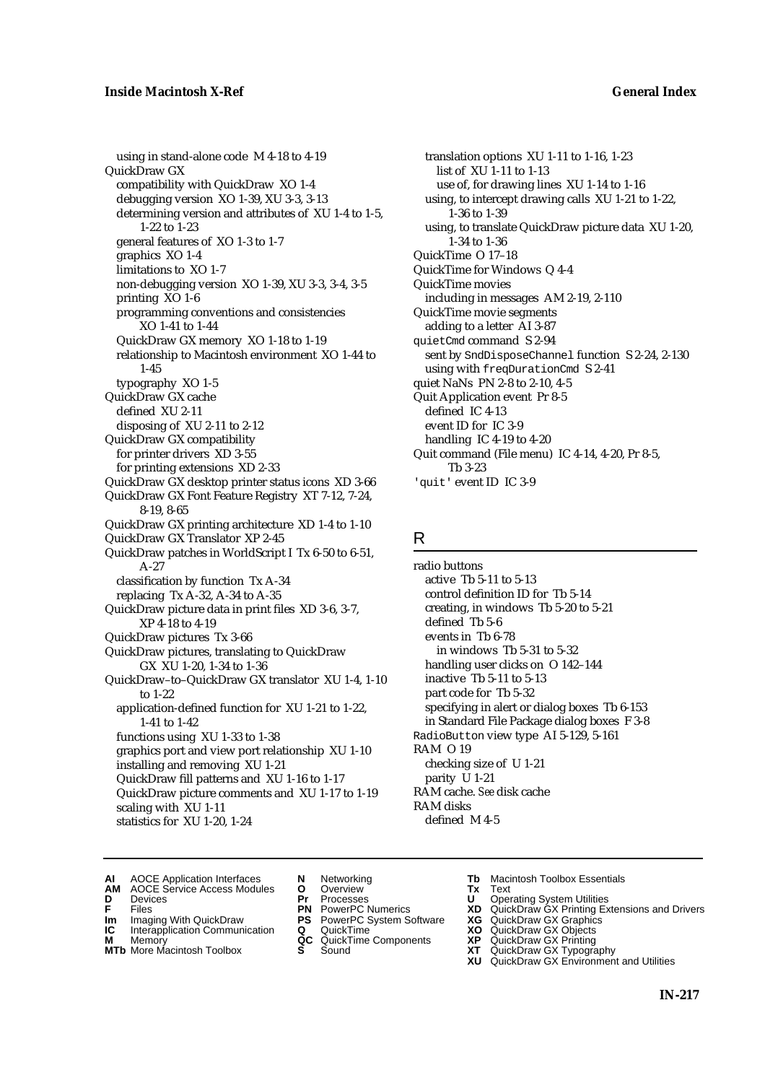using in stand-alone code M 4-18 to 4-19 QuickDraw GX compatibility with QuickDraw XO 1-4 debugging version XO 1-39, XU 3-3, 3-13 determining version and attributes of XU 1-4 to 1-5, 1-22 to 1-23 general features of XO 1-3 to 1-7 graphics XO 1-4 limitations to XO 1-7 non-debugging version XO 1-39, XU 3-3, 3-4, 3-5 printing XO 1-6 programming conventions and consistencies XO 1-41 to 1-44 QuickDraw GX memory XO 1-18 to 1-19 relationship to Macintosh environment XO 1-44 to 1-45 typography XO 1-5 QuickDraw GX cache defined XU 2-11 disposing of XU 2-11 to 2-12 QuickDraw GX compatibility for printer drivers XD 3-55 for printing extensions XD 2-33 QuickDraw GX desktop printer status icons XD 3-66 QuickDraw GX Font Feature Registry XT 7-12, 7-24, 8-19, 8-65 QuickDraw GX printing architecture XD 1-4 to 1-10 QuickDraw GX Translator XP 2-45 QuickDraw patches in WorldScript I Tx 6-50 to 6-51, A-27 classification by function Tx A-34 replacing Tx A-32, A-34 to A-35 QuickDraw picture data in print files XD 3-6, 3-7, XP 4-18 to 4-19 QuickDraw pictures Tx 3-66 QuickDraw pictures, translating to QuickDraw GX XU 1-20, 1-34 to 1-36 QuickDraw–to–QuickDraw GX translator XU 1-4, 1-10 to 1-22 application-defined function for XU 1-21 to 1-22, 1-41 to 1-42 functions using XU 1-33 to 1-38 graphics port and view port relationship XU 1-10 installing and removing XU 1-21 QuickDraw fill patterns and XU 1-16 to 1-17 QuickDraw picture comments and XU 1-17 to 1-19 scaling with XU 1-11 statistics for XU 1-20, 1-24

translation options XU 1-11 to 1-16, 1-23 list of XU 1-11 to 1-13 use of, for drawing lines XU 1-14 to 1-16 using, to intercept drawing calls XU 1-21 to 1-22, 1-36 to 1-39 using, to translate QuickDraw picture data XU 1-20, 1-34 to 1-36 QuickTime O 17–18 QuickTime for Windows Q 4-4 QuickTime movies including in messages AM 2-19, 2-110 QuickTime movie segments adding to a letter AI 3-87 quietCmd command S 2-94 sent by SndDisposeChannel function S 2-24, 2-130 using with freqDurationCmd S 2-41 quiet NaNs PN 2-8 to 2-10, 4-5 Quit Application event Pr 8-5 defined IC 4-13 event ID for IC 3-9 handling IC 4-19 to 4-20 Quit command (File menu) IC 4-14, 4-20, Pr 8-5, Tb 3-23 'quit' event ID IC 3-9

# R

radio buttons active Tb 5-11 to 5-13 control definition ID for Tb 5-14 creating, in windows Tb 5-20 to 5-21 defined Tb 5-6 events in Tb 6-78 in windows Tb 5-31 to 5-32 handling user clicks on O 142–144 inactive Tb 5-11 to 5-13 part code for Tb 5-32 specifying in alert or dialog boxes Tb 6-153 in Standard File Package dialog boxes F 3-8 RadioButton view type AI 5-129, 5-161 RAM O 19 checking size of U 1-21 parity U 1-21 RAM cache. *See* disk cache RAM disks defined M 4-5

- **AI** AOCE Application Interfaces **N** Networking **Tb** Macintosh Toolbox Essentials<br> **AM** AOCE Service Access Modules **O** Overview **Tx** Text<br> **D** Devices **Pr** Processes **U** Operating System Utilities
- AOCE Service Access Modules **O** Overview **Tx** Text<br>Devices **Devices Devices Devices**
- 
- **Im** Imaging With QuickDraw **PS** PowerPC System Software **XG IC** Interapplication Communication **Q** QuickTime **XO**
- **IC** Interapplication Communication **Q** QuickTime **XO M** Memory **XO QC** QuickTime Components **XP**
- **M** Memory **Discussed Manufold AC** QuickTime Components **XP XT MTb** More Macintosh Toolbox **S** Sound
- 
- 
- 
- 
- -
- 
- 
- **D** Devices **Pr** Processes **U** Operating System Utilities<br> **PR** PowerPC Numerics **XD** QuickDraw GX Printing Ex<br> **PR** PowerPC Numerics **XD** QuickDraw GX Printing Ex **F** Files **PN** PowerPC Numerics **XD** QuickDraw GX Printing Extensions and Drivers
	-
	-
	-
- **MTb** More Macintosh Toolbox **S** Sound **XT** QuickDraw GX Typography
	- **XU** QuickDraw GX Environment and Utilities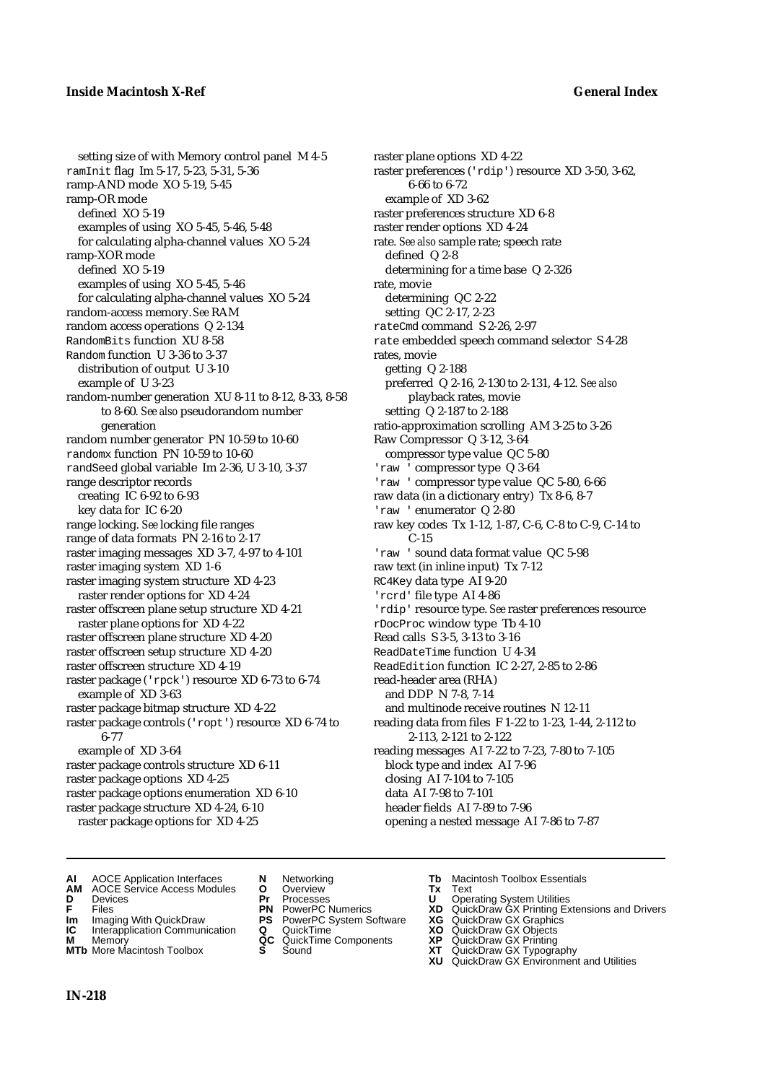setting size of with Memory control panel M 4-5 ramInit flag Im 5-17, 5-23, 5-31, 5-36 ramp-AND mode XO 5-19, 5-45 ramp-OR mode defined XO 5-19 examples of using XO 5-45, 5-46, 5-48 for calculating alpha-channel values XO 5-24 ramp-XOR mode defined XO 5-19 examples of using XO 5-45, 5-46 for calculating alpha-channel values XO 5-24 random-access memory. *See* RAM random access operations Q 2-134 RandomBits function XU 8-58 Random function U 3-36 to 3-37 distribution of output U 3-10 example of U 3-23 random-number generation XU 8-11 to 8-12, 8-33, 8-58 to 8-60. *See also* pseudorandom number generation random number generator PN 10-59 to 10-60 randomx function PN 10-59 to 10-60 randSeed global variable Im 2-36, U 3-10, 3-37 range descriptor records creating IC 6-92 to 6-93 key data for IC 6-20 range locking. *See* locking file ranges range of data formats PN 2-16 to 2-17 raster imaging messages XD 3-7, 4-97 to 4-101 raster imaging system XD 1-6 raster imaging system structure XD 4-23 raster render options for XD 4-24 raster offscreen plane setup structure XD 4-21 raster plane options for XD 4-22 raster offscreen plane structure XD 4-20 raster offscreen setup structure XD 4-20 raster offscreen structure XD 4-19 raster package ('rpck') resource XD 6-73 to 6-74 example of XD 3-63 raster package bitmap structure XD 4-22 raster package controls ('ropt') resource XD 6-74 to 6-77 example of XD 3-64 raster package controls structure XD 6-11 raster package options XD 4-25 raster package options enumeration XD 6-10 raster package structure XD 4-24, 6-10 raster package options for XD 4-25

raster plane options XD 4-22 raster preferences ('rdip') resource XD 3-50, 3-62, 6-66 to 6-72 example of XD 3-62 raster preferences structure XD 6-8 raster render options XD 4-24 rate. *See also* sample rate; speech rate defined Q 2-8 determining for a time base Q 2-326 rate, movie determining QC 2-22 setting QC 2-17, 2-23 rateCmd command S 2-26, 2-97 rate embedded speech command selector S 4-28 rates, movie getting Q 2-188 preferred Q 2-16, 2-130 to 2-131, 4-12. *See also* playback rates, movie setting Q 2-187 to 2-188 ratio-approximation scrolling AM 3-25 to 3-26 Raw Compressor Q 3-12, 3-64 compressor type value QC 5-80 'raw ' compressor type Q 3-64 'raw ' compressor type value QC 5-80, 6-66 raw data (in a dictionary entry) Tx 8-6, 8-7 'raw ' enumerator Q 2-80 raw key codes Tx 1-12, 1-87, C-6, C-8 to C-9, C-14 to C-15 'raw ' sound data format value QC 5-98 raw text (in inline input) Tx 7-12 RC4Key data type AI 9-20 'rcrd' file type AI 4-86 'rdip' resource type. *See* raster preferences resource rDocProc window type Tb 4-10 Read calls S 3-5, 3-13 to 3-16 ReadDateTime function U 4-34 ReadEdition function IC 2-27, 2-85 to 2-86 read-header area (RHA) and DDP N 7-8, 7-14 and multinode receive routines N 12-11 reading data from files F 1-22 to 1-23, 1-44, 2-112 to 2-113, 2-121 to 2-122 reading messages AI 7-22 to 7-23, 7-80 to 7-105 block type and index AI 7-96 closing AI 7-104 to 7-105 data AI 7-98 to 7-101 header fields AI 7-89 to 7-96 opening a nested message AI 7-86 to 7-87

- **AI** AOCE Application Interfaces **N** Networking **Tb** Macintosh Toolbox Essentials
- **AM** AOCE Service Access Modules **O** Overview **Tx** Text
- 
- 
- **IM** Files<br> **Im** Imaging With QuickDraw **PS** PowerPC System Software **XG**<br> **IC** Interapplication Communication **Q** QuickTime **XO**
- **Interapplication Communication <b>Q** QuickTime **XO** Memory **XO** Memory **XP QC** QuickTime Components **XP**
- **M** Memory **District Acc** QuickTime Components **XP**<br> **MTb** More Macintosh Toolbox **S** Sound **XT MTb** More Macintosh Toolbox **S** Sound **XT** QuickDraw GX Typography
- 
- 
- 
- 
- -
- 
- **D** Devices **Pr** Processes **U** Operating System Utilities
- **F** Files **PN** PowerPC Numerics **XD** QuickDraw GX Printing Extensions and Drivers
	-
	-
	-
	-
	- **XU** QuickDraw GX Environment and Utilities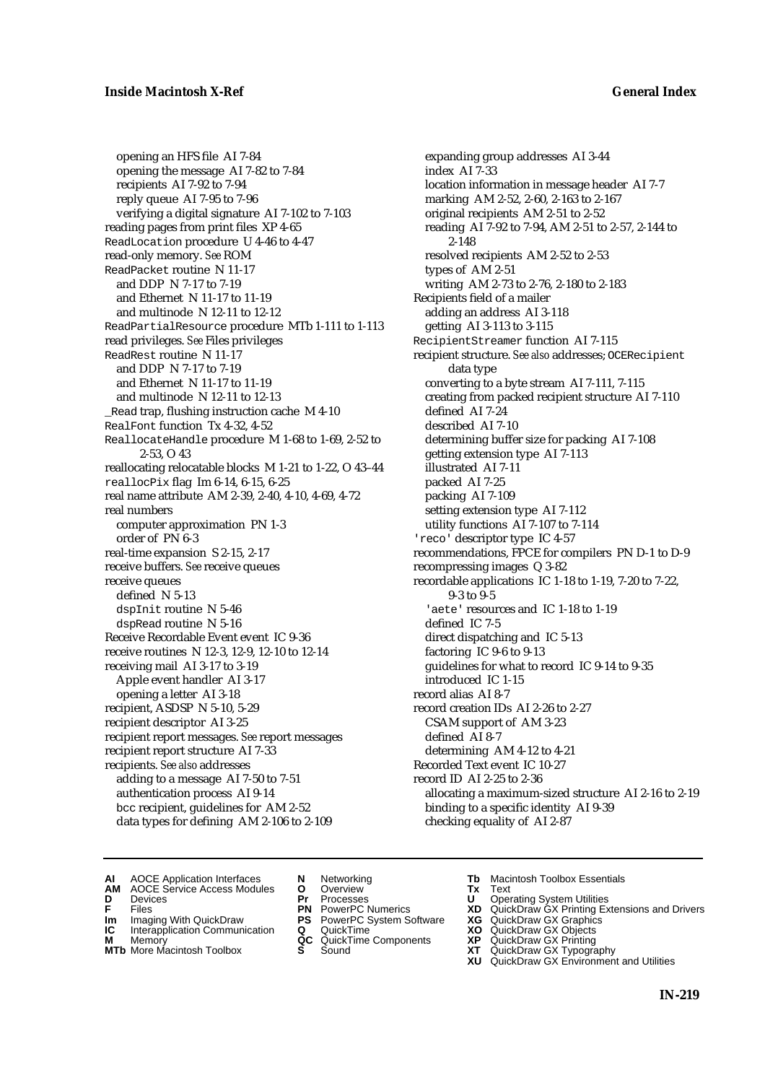opening an HFS file AI 7-84 opening the message AI 7-82 to 7-84 recipients AI 7-92 to 7-94 reply queue AI 7-95 to 7-96 verifying a digital signature AI 7-102 to 7-103 reading pages from print files XP 4-65 ReadLocation procedure U 4-46 to 4-47 read-only memory. *See* ROM ReadPacket routine N 11-17 and DDP N 7-17 to 7-19 and Ethernet N 11-17 to 11-19 and multinode N 12-11 to 12-12 ReadPartialResource procedure MTb 1-111 to 1-113 read privileges. *See* Files privileges ReadRest routine N 11-17 and DDP N 7-17 to 7-19 and Ethernet N 11-17 to 11-19 and multinode N 12-11 to 12-13 \_Read trap, flushing instruction cache M 4-10 RealFont function Tx 4-32, 4-52 ReallocateHandle procedure M 1-68 to 1-69, 2-52 to 2-53, O 43 reallocating relocatable blocks M 1-21 to 1-22, O 43–44 reallocPix flag Im 6-14, 6-15, 6-25 real name attribute AM 2-39, 2-40, 4-10, 4-69, 4-72 real numbers computer approximation PN 1-3 order of PN 6-3 real-time expansion S 2-15, 2-17 receive buffers. *See* receive queues receive queues defined N 5-13 dspInit routine N 5-46 dspRead routine N 5-16 Receive Recordable Event event IC 9-36 receive routines N 12-3, 12-9, 12-10 to 12-14 receiving mail AI 3-17 to 3-19 Apple event handler AI 3-17 opening a letter AI 3-18 recipient, ASDSP N 5-10, 5-29 recipient descriptor AI 3-25 recipient report messages. *See* report messages recipient report structure AI 7-33 recipients. *See also* addresses adding to a message AI 7-50 to 7-51 authentication process AI 9-14 bcc recipient, guidelines for AM 2-52 data types for defining AM 2-106 to 2-109

expanding group addresses AI 3-44 index AI 7-33 location information in message header AI 7-7 marking AM 2-52, 2-60, 2-163 to 2-167 original recipients AM 2-51 to 2-52 reading AI 7-92 to 7-94, AM 2-51 to 2-57, 2-144 to 2-148 resolved recipients AM 2-52 to 2-53 types of AM 2-51 writing AM 2-73 to 2-76, 2-180 to 2-183 Recipients field of a mailer adding an address AI 3-118 getting AI 3-113 to 3-115 RecipientStreamer function AI 7-115 recipient structure. *See also* addresses; OCERecipient data type converting to a byte stream AI 7-111, 7-115 creating from packed recipient structure AI 7-110 defined AI 7-24 described AI 7-10 determining buffer size for packing AI 7-108 getting extension type AI 7-113 illustrated AI 7-11 packed AI 7-25 packing AI 7-109 setting extension type AI 7-112 utility functions AI 7-107 to 7-114 'reco' descriptor type IC 4-57 recommendations, FPCE for compilers PN D-1 to D-9 recompressing images Q 3-82 recordable applications IC 1-18 to 1-19, 7-20 to 7-22, 9-3 to 9-5 'aete' resources and IC 1-18 to 1-19 defined IC 7-5 direct dispatching and IC 5-13 factoring IC 9-6 to 9-13 guidelines for what to record IC 9-14 to 9-35 introduced IC 1-15 record alias AI 8-7 record creation IDs AI 2-26 to 2-27 CSAM support of AM 3-23 defined AI 8-7 determining AM 4-12 to 4-21 Recorded Text event IC 10-27 record ID AI 2-25 to 2-36 allocating a maximum-sized structure AI 2-16 to 2-19 binding to a specific identity AI 9-39 checking equality of AI 2-87

- **AI** AOCE Application Interfaces **N** Networking **Tb** Macintosh Toolbox Essentials
- **AM** AOCE Service Access Modules **O** Overview **Tx** Text
- 
- **D** Devices **Pr** Processes **U** Operating System Utilities
	-
- **IM** FILES<br> **Im** Imaging With QuickDraw **PS** PowerPC System Software **XG**<br> **IC** Interapplication Communication **Q** QuickTime **XO**
- **IC** Interapplication Communication **Q** QuickTime **XO M** Memory **XP QC** QuickTime Components **XP**
- **M** Memory **CONSISTENT CONSISTENT QC** QuickTime Components **XP**<br> **MTb** More Macintosh Toolbox **S** Sound **XT**
- 
- 
- **F** Files **PN** PowerPC Numerics **XD** QuickDraw GX Printing Extensions and Drivers
	-
	-
	-
- **MTb** More Macintosh Toolbox **S** Sound **XT** QuickDraw GX Typography **XU** QuickDraw GX Environment and Utilities
	- **IN-219**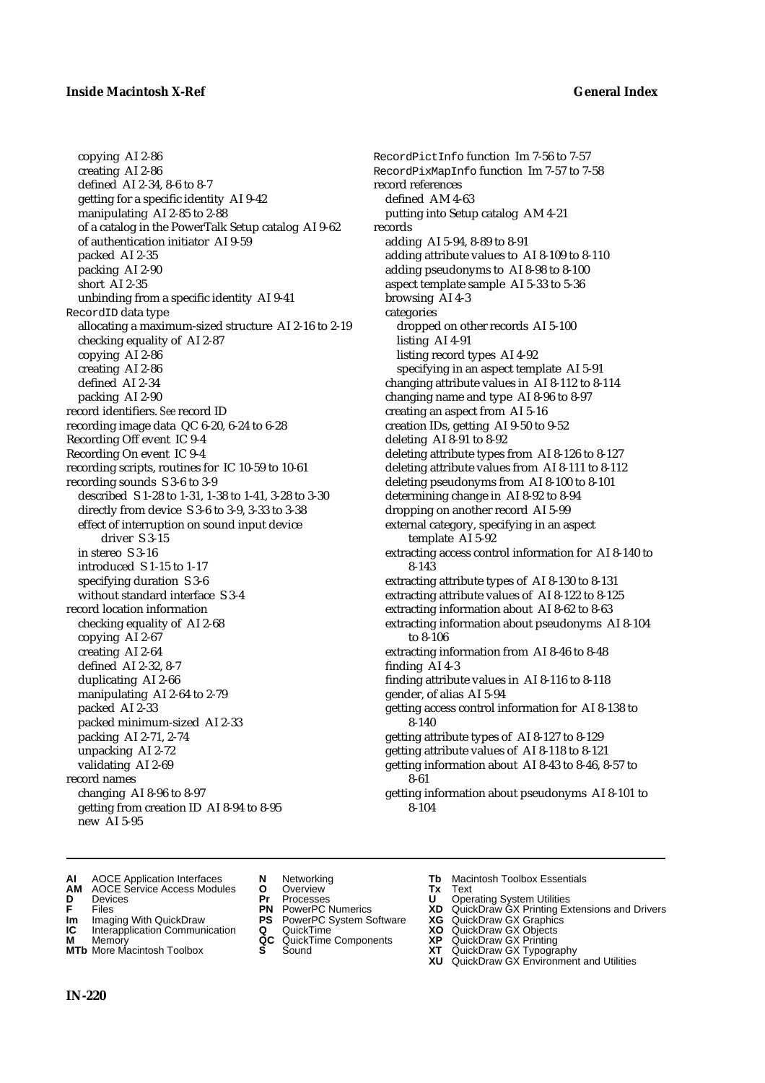### **Inside Macintosh X-Ref General Index**

copying AI 2-86 creating AI 2-86 defined AI 2-34, 8-6 to 8-7 getting for a specific identity AI 9-42 manipulating AI 2-85 to 2-88 of a catalog in the PowerTalk Setup catalog AI 9-62 of authentication initiator AI 9-59 packed AI 2-35 packing AI 2-90 short AI 2-35 unbinding from a specific identity AI 9-41 RecordID data type allocating a maximum-sized structure AI 2-16 to 2-19 checking equality of AI 2-87 copying AI 2-86 creating AI 2-86 defined AI 2-34 packing AI 2-90 record identifiers. *See* record ID recording image data QC 6-20, 6-24 to 6-28 Recording Off event IC 9-4 Recording On event IC 9-4 recording scripts, routines for IC 10-59 to 10-61 recording sounds S 3-6 to 3-9 described S 1-28 to 1-31, 1-38 to 1-41, 3-28 to 3-30 directly from device S 3-6 to 3-9, 3-33 to 3-38 effect of interruption on sound input device driver S 3-15 in stereo S 3-16 introduced S 1-15 to 1-17 specifying duration S 3-6 without standard interface S 3-4 record location information checking equality of AI 2-68 copying AI 2-67 creating AI 2-64 defined AI 2-32, 8-7 duplicating AI 2-66 manipulating AI 2-64 to 2-79 packed AI 2-33 packed minimum-sized AI 2-33 packing AI 2-71, 2-74 unpacking AI 2-72 validating AI 2-69 record names changing AI 8-96 to 8-97 getting from creation ID AI 8-94 to 8-95 new AI 5-95

RecordPictInfo function Im 7-56 to 7-57 RecordPixMapInfo function Im 7-57 to 7-58 record references defined AM 4-63 putting into Setup catalog AM 4-21 records adding AI 5-94, 8-89 to 8-91 adding attribute values to AI 8-109 to 8-110 adding pseudonyms to AI 8-98 to 8-100 aspect template sample AI 5-33 to 5-36 browsing AI 4-3 categories dropped on other records AI 5-100 listing AI 4-91 listing record types AI 4-92 specifying in an aspect template AI 5-91 changing attribute values in AI 8-112 to 8-114 changing name and type AI 8-96 to 8-97 creating an aspect from AI 5-16 creation IDs, getting AI 9-50 to 9-52 deleting AI 8-91 to 8-92 deleting attribute types from AI 8-126 to 8-127 deleting attribute values from AI 8-111 to 8-112 deleting pseudonyms from AI 8-100 to 8-101 determining change in AI 8-92 to 8-94 dropping on another record AI 5-99 external category, specifying in an aspect template AI 5-92 extracting access control information for AI 8-140 to 8-143 extracting attribute types of AI 8-130 to 8-131 extracting attribute values of AI 8-122 to 8-125 extracting information about AI 8-62 to 8-63 extracting information about pseudonyms AI 8-104 to 8-106 extracting information from AI 8-46 to 8-48 finding AI 4-3 finding attribute values in AI 8-116 to 8-118 gender, of alias AI 5-94 getting access control information for AI 8-138 to 8-140 getting attribute types of AI 8-127 to 8-129 getting attribute values of AI 8-118 to 8-121 getting information about AI 8-43 to 8-46, 8-57 to 8-61 getting information about pseudonyms AI 8-101 to

8-104

- 
- **AI** AOCE Application Interfaces **N** Networking **Tb** Macintosh Toolbox Essentials<br> **AM** AOCE Service Access Modules **O** Overview **Tx** Text<br> **D** Devices **Pr** Processes **U** Operating System Utilities **AM** AOCE Service Access Modules **O** Overview **Tx** Text
- 
- 
- **IM** Files<br> **Im** Imaging With QuickDraw **PS** PowerPC System Software **XG**<br> **IC** Interapplication Communication **Q** QuickTime **XO**
- **Interapplication Communication <b>Q** QuickTime **XO** Memory **XO** Memory **XP QC** QuickTime Components **XP M** Memory **District Acc** QuickTime Components **XP**<br> **MTb** More Macintosh Toolbox **S** Sound **XT**
- **MTb** More Macintosh Toolbox **S** Sound **XT** QuickDraw GX Typography
- 
- 
- 
- 
- 
- 
- 
- **D** Devices **Pr** Processes **U** Operating System Utilities
- **F** Files **PN** PowerPC Numerics **XD** QuickDraw GX Printing Extensions and Drivers
	-
	-
	-
	-
	- **XU** QuickDraw GX Environment and Utilities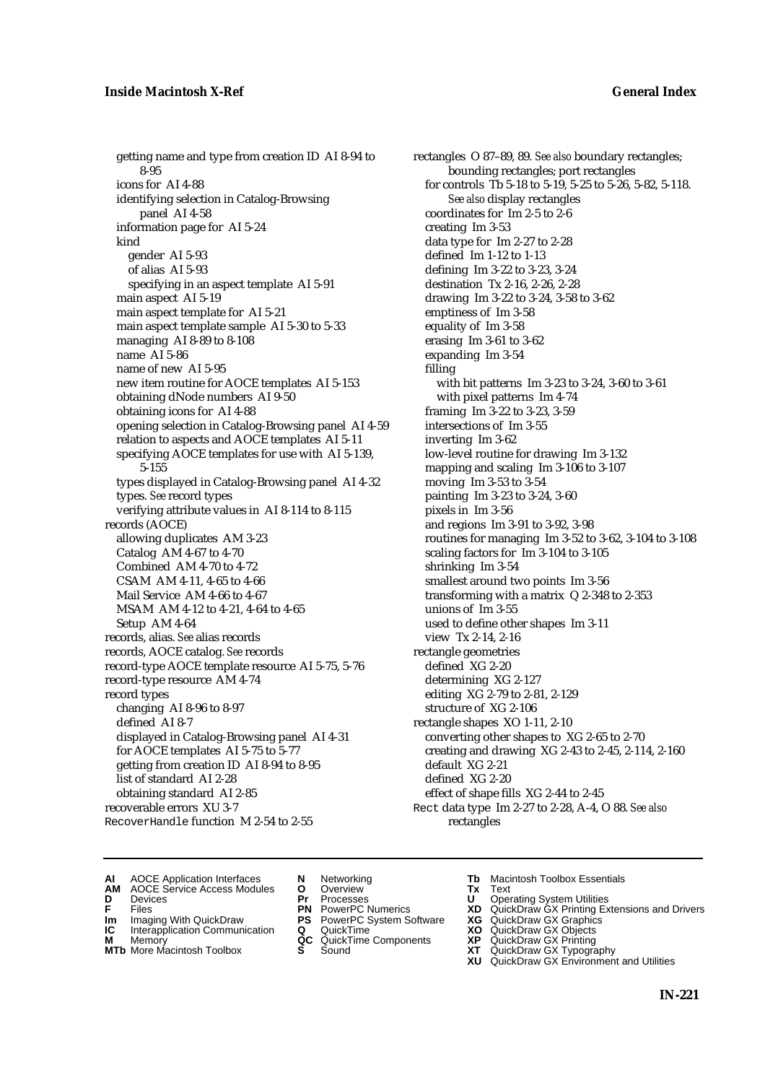getting name and type from creation ID AI 8-94 to 8-95 icons for AI 4-88 identifying selection in Catalog-Browsing panel AI 4-58 information page for AI 5-24 kind gender AI 5-93 of alias AI 5-93 specifying in an aspect template AI 5-91 main aspect AI 5-19 main aspect template for AI 5-21 main aspect template sample AI 5-30 to 5-33 managing AI 8-89 to 8-108 name AI 5-86 name of new AI 5-95 new item routine for AOCE templates AI 5-153 obtaining dNode numbers AI 9-50 obtaining icons for AI 4-88 opening selection in Catalog-Browsing panel AI 4-59 relation to aspects and AOCE templates AI 5-11 specifying AOCE templates for use with AI 5-139, 5-155 types displayed in Catalog-Browsing panel AI 4-32 types. *See* record types verifying attribute values in AI 8-114 to 8-115 records (AOCE) allowing duplicates AM 3-23 Catalog AM 4-67 to 4-70 Combined AM 4-70 to 4-72 CSAM AM 4-11, 4-65 to 4-66 Mail Service AM 4-66 to 4-67 MSAM AM 4-12 to 4-21, 4-64 to 4-65 Setup AM 4-64 records, alias. *See* alias records records, AOCE catalog. *See* records record-type AOCE template resource AI 5-75, 5-76 record-type resource AM 4-74 record types changing AI 8-96 to 8-97 defined AI 8-7 displayed in Catalog-Browsing panel AI 4-31 for AOCE templates AI 5-75 to 5-77 getting from creation ID AI 8-94 to 8-95 list of standard AI 2-28 obtaining standard AI 2-85 recoverable errors XU 3-7 RecoverHandle function M 2-54 to 2-55

rectangles O 87–89, 89. *See also* boundary rectangles; bounding rectangles; port rectangles for controls Tb 5-18 to 5-19, 5-25 to 5-26, 5-82, 5-118. *See also* display rectangles coordinates for Im 2-5 to 2-6 creating Im 3-53 data type for Im 2-27 to 2-28 defined Im 1-12 to 1-13 defining Im 3-22 to 3-23, 3-24 destination Tx 2-16, 2-26, 2-28 drawing Im 3-22 to 3-24, 3-58 to 3-62 emptiness of Im 3-58 equality of Im 3-58 erasing Im 3-61 to 3-62 expanding Im 3-54 filling with bit patterns Im 3-23 to 3-24, 3-60 to 3-61 with pixel patterns Im 4-74 framing Im 3-22 to 3-23, 3-59 intersections of Im 3-55 inverting Im 3-62 low-level routine for drawing Im 3-132 mapping and scaling Im 3-106 to 3-107 moving Im 3-53 to 3-54 painting Im 3-23 to 3-24, 3-60 pixels in Im 3-56 and regions Im 3-91 to 3-92, 3-98 routines for managing Im 3-52 to 3-62, 3-104 to 3-108 scaling factors for Im 3-104 to 3-105 shrinking Im 3-54 smallest around two points Im 3-56 transforming with a matrix Q 2-348 to 2-353 unions of Im 3-55 used to define other shapes Im 3-11 view Tx 2-14, 2-16 rectangle geometries defined XG 2-20 determining XG 2-127 editing XG 2-79 to 2-81, 2-129 structure of XG 2-106 rectangle shapes XO 1-11, 2-10 converting other shapes to XG 2-65 to 2-70 creating and drawing XG 2-43 to 2-45, 2-114, 2-160 default XG 2-21 defined XG 2-20 effect of shape fills XG 2-44 to 2-45 Rect data type Im 2-27 to 2-28, A-4, O 88. *See also* rectangles

**AI** AOCE Application Interfaces **N** Networking **Tb** Macintosh Toolbox Essentials<br> **AM** AOCE Service Access Modules **O** Overview **Tx** Text<br> **D** Devices **Pr** Processes **U** Operating System Utilities

AOCE Service Access Modules **O** Overview **Tx** Text<br>Devices **Devices Devices Devices** 

- **IM** FILES<br> **Im** Imaging With QuickDraw **PS** PowerPC System Software **XG**<br> **IC** Interapplication Communication **Q** QuickTime **XO**
- **IC** Interapplication Communication **Q** QuickTime **XO M** Memory **XO QC** QuickTime Components **XP**
- **M** Memory **District Acc** QuickTime Components **XP**<br> **MTb** More Macintosh Toolbox **S** Sound **XT MTb** More Macintosh Toolbox **S** Sound **XT** QuickDraw GX Typography
- 
- **D** Devices **Pr** Processes **U** Operating System Utilities
	-
	-
	-
	-
- 
- 
- **F** Files **PN** PowerPC Numerics **XD** QuickDraw GX Printing Extensions and Drivers
	-
	-
	-
	- **XU** QuickDraw GX Environment and Utilities
		- **IN-221**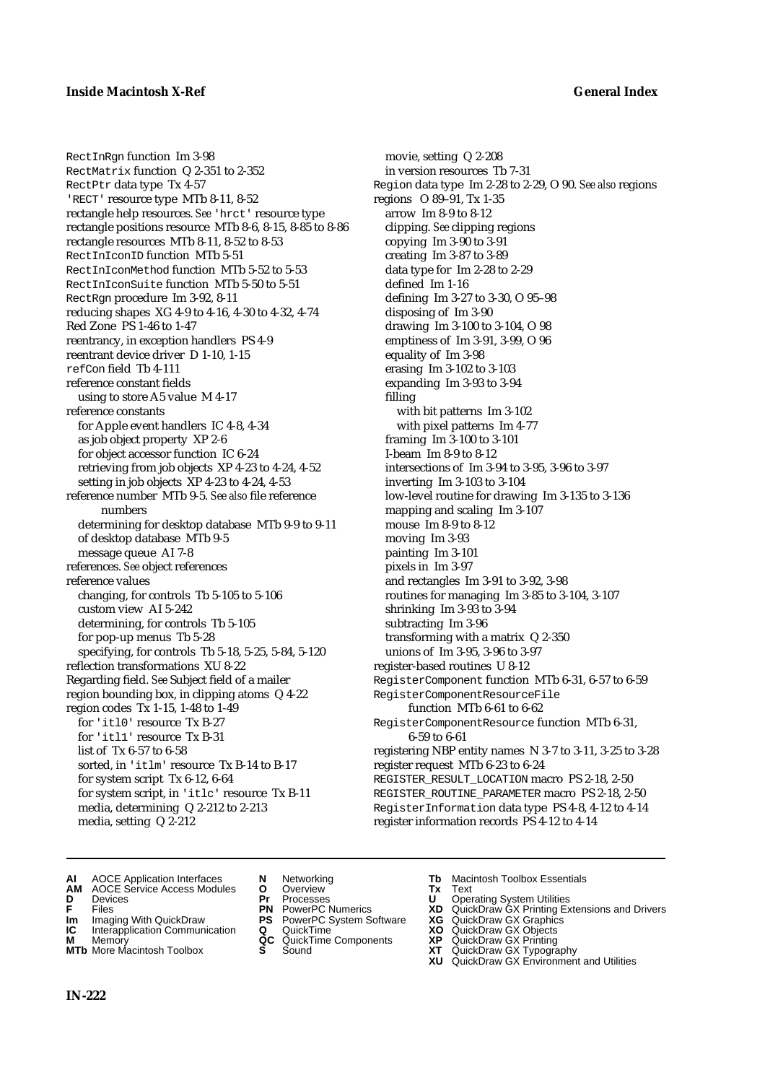RectInRgn function Im 3-98 RectMatrix function Q 2-351 to 2-352 RectPtr data type Tx 4-57 'RECT' resource type MTb 8-11, 8-52 rectangle help resources. *See* 'hrct' resource type rectangle positions resource MTb 8-6, 8-15, 8-85 to 8-86 rectangle resources MTb 8-11, 8-52 to 8-53 RectInIconID function MTb 5-51 RectInIconMethod function MTb 5-52 to 5-53 RectInIconSuite function MTb 5-50 to 5-51 RectRgn procedure Im 3-92, 8-11 reducing shapes XG 4-9 to 4-16, 4-30 to 4-32, 4-74 Red Zone PS 1-46 to 1-47 reentrancy, in exception handlers PS 4-9 reentrant device driver D 1-10, 1-15 refCon field Tb 4-111 reference constant fields using to store A5 value M 4-17 reference constants for Apple event handlers IC 4-8, 4-34 as job object property XP 2-6 for object accessor function IC 6-24 retrieving from job objects XP 4-23 to 4-24, 4-52 setting in job objects XP 4-23 to 4-24, 4-53 reference number MTb 9-5. *See also* file reference numbers determining for desktop database MTb 9-9 to 9-11 of desktop database MTb 9-5 message queue AI 7-8 references. *See* object references reference values changing, for controls Tb 5-105 to 5-106 custom view AI 5-242 determining, for controls Tb 5-105 for pop-up menus Tb 5-28 specifying, for controls Tb 5-18, 5-25, 5-84, 5-120 reflection transformations XU 8-22 Regarding field. *See* Subject field of a mailer region bounding box, in clipping atoms Q 4-22 region codes Tx 1-15, 1-48 to 1-49 for 'itl0' resource Tx B-27 for 'itl1' resource Tx B-31 list of Tx 6-57 to 6-58 sorted, in 'itlm' resource Tx B-14 to B-17 for system script Tx 6-12, 6-64 for system script, in 'itlc' resource Tx B-11 media, determining Q 2-212 to 2-213 media, setting Q 2-212

movie, setting Q 2-208 in version resources Tb 7-31 Region data type Im 2-28 to 2-29, O 90. *See also* regions regions O 89–91, Tx 1-35 arrow Im 8-9 to 8-12 clipping. *See* clipping regions copying Im 3-90 to 3-91 creating Im 3-87 to 3-89 data type for Im 2-28 to 2-29 defined Im 1-16 defining Im 3-27 to 3-30, O 95–98 disposing of Im 3-90 drawing Im 3-100 to 3-104, O 98 emptiness of Im 3-91, 3-99, O 96 equality of Im 3-98 erasing Im 3-102 to 3-103 expanding Im 3-93 to 3-94 filling with bit patterns Im 3-102 with pixel patterns Im 4-77 framing Im 3-100 to 3-101 I-beam Im 8-9 to 8-12 intersections of Im 3-94 to 3-95, 3-96 to 3-97 inverting Im 3-103 to 3-104 low-level routine for drawing Im 3-135 to 3-136 mapping and scaling Im 3-107 mouse Im 8-9 to 8-12 moving Im 3-93 painting Im 3-101 pixels in Im 3-97 and rectangles Im 3-91 to 3-92, 3-98 routines for managing Im 3-85 to 3-104, 3-107 shrinking Im 3-93 to 3-94 subtracting Im 3-96 transforming with a matrix Q 2-350 unions of Im 3-95, 3-96 to 3-97 register-based routines U 8-12 RegisterComponent function MTb 6-31, 6-57 to 6-59 RegisterComponentResourceFile function MTb 6-61 to 6-62 RegisterComponentResource function MTb 6-31, 6-59 to 6-61 registering NBP entity names N 3-7 to 3-11, 3-25 to 3-28 register request MTb 6-23 to 6-24 REGISTER\_RESULT\_LOCATION macro PS 2-18, 2-50 REGISTER\_ROUTINE\_PARAMETER macro PS 2-18, 2-50 RegisterInformation data type PS 4-8, 4-12 to 4-14 register information records PS 4-12 to 4-14

- **AI** AOCE Application Interfaces **N** Networking **Tb** Macintosh Toolbox Essentials
- **AM** AOCE Service Access Modules **O** Overview **Tx** Text
- 
- 
- **Im** Imaging With QuickDraw **PS** PowerPC System Software **XG IC** Interapplication Communication **Q** QuickTime **COVIC**
- **Interapplication Communication <b>Q** QuickTime **XO** Memory **XO** Objects **XP QC** QuickTime Components **XP**
- 
- 
- **D** Devices **Pr** Processes **U** Operating System Utilities
	-
	-
	-
	-
- 
- 
- **F** Files **PN** PowerPC Numerics **XD** QuickDraw GX Printing Extensions and Drivers
	-
	-
- **M** Memory **QC** QuickTime Components **XP** QuickDraw GX Printing
- **MTb** More Macintosh Toolbox **S** Sound **XT** QuickDraw GX Typography
	- **XU** QuickDraw GX Environment and Utilities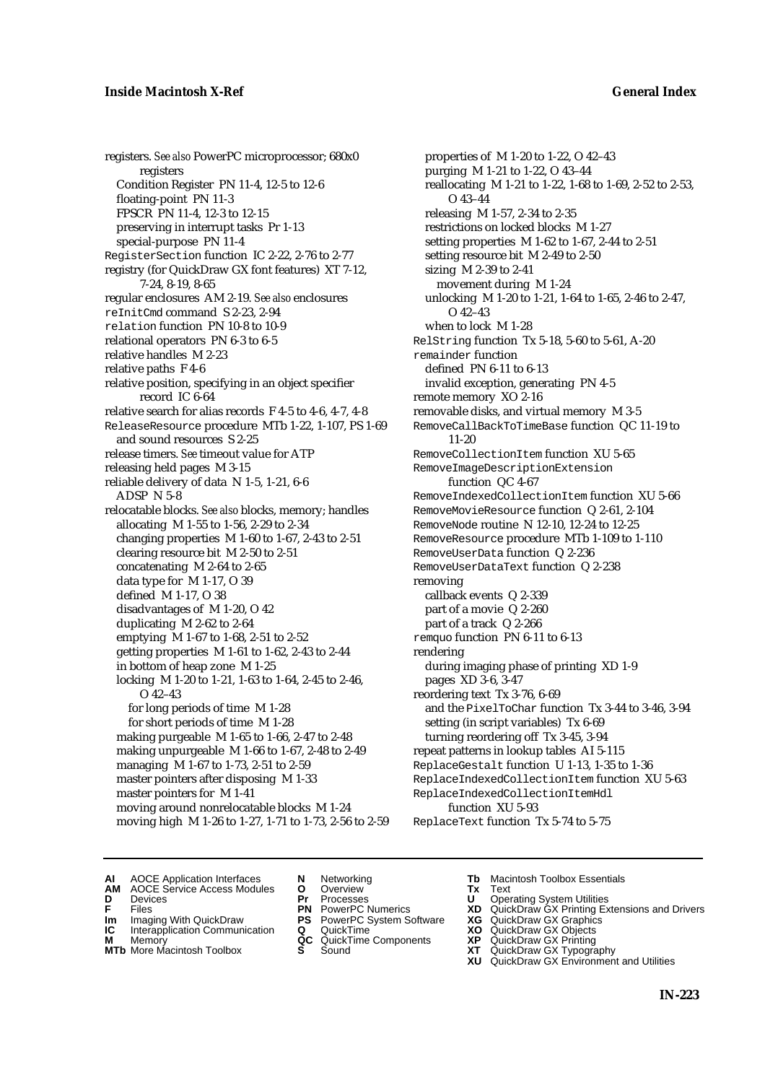registers. *See also* PowerPC microprocessor; 680x0 registers Condition Register PN 11-4, 12-5 to 12-6 floating-point PN 11-3 FPSCR PN 11-4, 12-3 to 12-15 preserving in interrupt tasks Pr 1-13 special-purpose PN 11-4 RegisterSection function IC 2-22, 2-76 to 2-77 registry (for QuickDraw GX font features) XT 7-12, 7-24, 8-19, 8-65 regular enclosures AM 2-19. *See also* enclosures reInitCmd command S 2-23, 2-94 relation function PN 10-8 to 10-9 relational operators PN 6-3 to 6-5 relative handles M 2-23 relative paths F 4-6 relative position, specifying in an object specifier record IC 6-64 relative search for alias records F 4-5 to 4-6, 4-7, 4-8 ReleaseResource procedure MTb 1-22, 1-107, PS 1-69 and sound resources S 2-25 release timers. *See* timeout value for ATP releasing held pages M 3-15 reliable delivery of data N 1-5, 1-21, 6-6 ADSP N 5-8 relocatable blocks. *See also* blocks, memory; handles allocating M 1-55 to 1-56, 2-29 to 2-34 changing properties M 1-60 to 1-67, 2-43 to 2-51 clearing resource bit M 2-50 to 2-51 concatenating M 2-64 to 2-65 data type for M 1-17, O 39 defined M 1-17, O 38 disadvantages of M 1-20, O 42 duplicating M 2-62 to 2-64 emptying M 1-67 to 1-68, 2-51 to 2-52 getting properties M 1-61 to 1-62, 2-43 to 2-44 in bottom of heap zone M 1-25 locking M 1-20 to 1-21, 1-63 to 1-64, 2-45 to 2-46,  $O$  42–43 for long periods of time M 1-28 for short periods of time M 1-28 making purgeable M 1-65 to 1-66, 2-47 to 2-48 making unpurgeable M 1-66 to 1-67, 2-48 to 2-49 managing M 1-67 to 1-73, 2-51 to 2-59 master pointers after disposing M 1-33 master pointers for M 1-41 moving around nonrelocatable blocks M 1-24 moving high M 1-26 to 1-27, 1-71 to 1-73, 2-56 to 2-59

properties of M 1-20 to 1-22, O 42–43 purging M 1-21 to 1-22, O 43–44 reallocating M 1-21 to 1-22, 1-68 to 1-69, 2-52 to 2-53, O 43–44 releasing M 1-57, 2-34 to 2-35 restrictions on locked blocks M 1-27 setting properties M 1-62 to 1-67, 2-44 to 2-51 setting resource bit M 2-49 to 2-50 sizing M 2-39 to 2-41 movement during M 1-24 unlocking M 1-20 to 1-21, 1-64 to 1-65, 2-46 to 2-47,  $O$  42–43 when to lock M 1-28 RelString function Tx 5-18, 5-60 to 5-61, A-20 remainder function defined PN 6-11 to 6-13 invalid exception, generating PN 4-5 remote memory XO 2-16 removable disks, and virtual memory M 3-5 RemoveCallBackToTimeBase function QC 11-19 to 11-20 RemoveCollectionItem function XU 5-65 RemoveImageDescriptionExtension function QC 4-67 RemoveIndexedCollectionItem function XU 5-66 RemoveMovieResource function Q 2-61, 2-104 RemoveNode routine N 12-10, 12-24 to 12-25 RemoveResource procedure MTb 1-109 to 1-110 RemoveUserData function Q 2-236 RemoveUserDataText function Q 2-238 removing callback events Q 2-339 part of a movie Q 2-260 part of a track Q 2-266 remquo function PN 6-11 to 6-13 rendering during imaging phase of printing XD 1-9 pages XD 3-6, 3-47 reordering text Tx 3-76, 6-69 and the PixelToChar function Tx 3-44 to 3-46, 3-94 setting (in script variables) Tx 6-69 turning reordering off Tx 3-45, 3-94 repeat patterns in lookup tables AI 5-115 ReplaceGestalt function U 1-13, 1-35 to 1-36 ReplaceIndexedCollectionItem function XU 5-63 ReplaceIndexedCollectionItemHdl function XU 5-93 ReplaceText function Tx 5-74 to 5-75

- **AI** AOCE Application Interfaces **N** Networking **The Macintosh Toolbox Essentials**<br> **AM** AOCE Service Access Modules **O** Overview **Tx** Text<br> **D** Devices **Pr** Processes **U** Operating System Utilities
- AOCE Service Access Modules **O** Overview **Tx** Text<br>Devices **Devices Devices Devices**
- 
- 
- 
- 
- **IM** FILES<br> **Im** Imaging With QuickDraw **PS** PowerPC System Software **XG**<br> **IC** Interapplication Communication **Q** QuickTime **XO IC** Interapplication Communication **Q** QuickTime **XO M** Memory **XO QC** QuickTime Components **XP**
- **M** Memory **District Acc** QuickTime Components **XP**<br> **MTb** More Macintosh Toolbox **S** Sound **XT**
- **MTb** More Macintosh Toolbox **S** Sound **XT** QuickDraw GX Typography
- 
- **D** Devices **Pr** Processes **U** Operating System Utilities
	-
	-
	-
	-
- 
- 
- **F** Files **PN** PowerPC Numerics **XD** QuickDraw GX Printing Extensions and Drivers
	-
	-
	-
	-
	- **XU** QuickDraw GX Environment and Utilities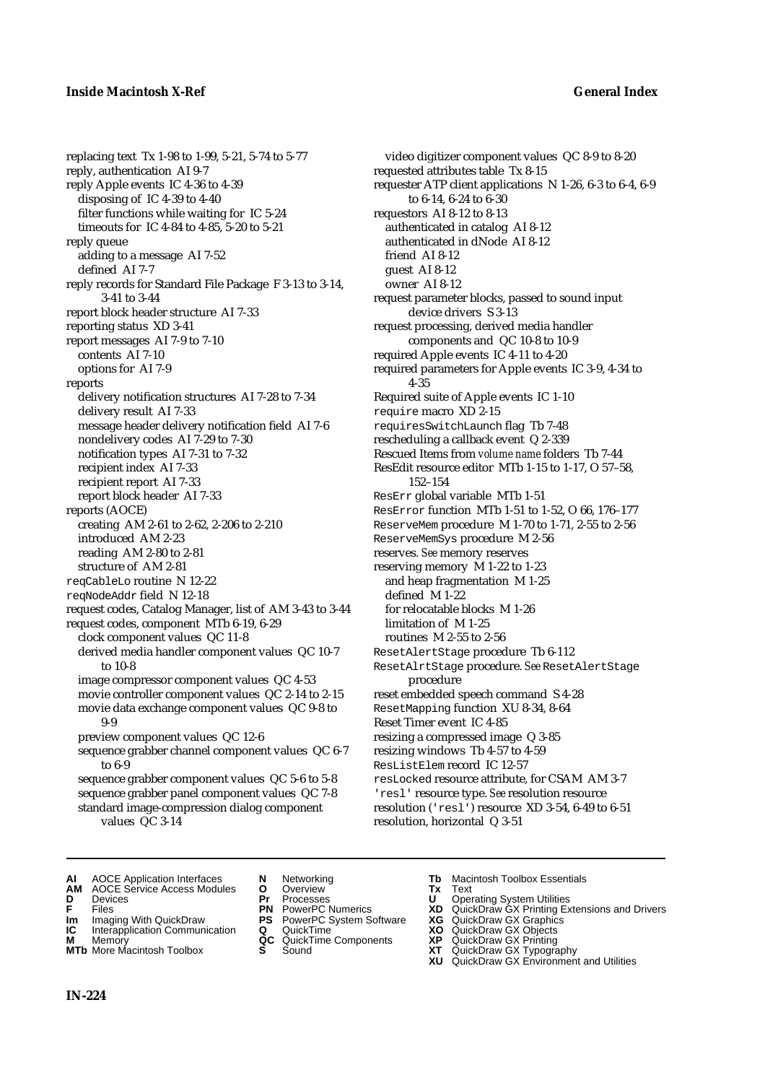### **Inside Macintosh X-Ref General Index**

replacing text Tx 1-98 to 1-99, 5-21, 5-74 to 5-77 reply, authentication AI 9-7 reply Apple events IC 4-36 to 4-39 disposing of IC 4-39 to 4-40 filter functions while waiting for IC 5-24 timeouts for IC 4-84 to 4-85, 5-20 to 5-21 reply queue adding to a message AI 7-52 defined AI 7-7 reply records for Standard File Package F 3-13 to 3-14, 3-41 to 3-44 report block header structure AI 7-33 reporting status XD 3-41 report messages AI 7-9 to 7-10 contents AI 7-10 options for AI 7-9 reports delivery notification structures AI 7-28 to 7-34 delivery result AI 7-33 message header delivery notification field AI 7-6 nondelivery codes AI 7-29 to 7-30 notification types AI 7-31 to 7-32 recipient index AI 7-33 recipient report AI 7-33 report block header AI 7-33 reports (AOCE) creating AM 2-61 to 2-62, 2-206 to 2-210 introduced AM 2-23 reading AM 2-80 to 2-81 structure of AM 2-81 reqCableLo routine N 12-22 reqNodeAddr field N 12-18 request codes, Catalog Manager, list of AM 3-43 to 3-44 request codes, component MTb 6-19, 6-29 clock component values QC 11-8 derived media handler component values QC 10-7 to 10-8 image compressor component values QC 4-53 movie controller component values QC 2-14 to 2-15 movie data exchange component values QC 9-8 to 9-9 preview component values QC 12-6 sequence grabber channel component values QC 6-7 to 6-9 sequence grabber component values QC 5-6 to 5-8 sequence grabber panel component values QC 7-8 standard image-compression dialog component

values QC 3-14

video digitizer component values QC 8-9 to 8-20 requested attributes table Tx 8-15 requester ATP client applications N 1-26, 6-3 to 6-4, 6-9 to 6-14, 6-24 to 6-30 requestors AI 8-12 to 8-13 authenticated in catalog AI 8-12 authenticated in dNode AI 8-12 friend AI 8-12 guest AI 8-12 owner AI 8-12 request parameter blocks, passed to sound input device drivers S 3-13 request processing, derived media handler components and QC 10-8 to 10-9 required Apple events IC 4-11 to 4-20 required parameters for Apple events IC 3-9, 4-34 to 4-35 Required suite of Apple events IC 1-10 require macro XD 2-15 requiresSwitchLaunch flag Tb 7-48 rescheduling a callback event Q 2-339 Rescued Items from *volume name* folders Tb 7-44 ResEdit resource editor MTb 1-15 to 1-17, O 57–58, 152–154 ResErr global variable MTb 1-51 ResError function MTb 1-51 to 1-52, O 66, 176–177 ReserveMem procedure M 1-70 to 1-71, 2-55 to 2-56 ReserveMemSys procedure M 2-56 reserves. *See* memory reserves reserving memory M 1-22 to 1-23 and heap fragmentation M 1-25 defined M 1-22 for relocatable blocks M 1-26 limitation of M 1-25 routines M 2-55 to 2-56 ResetAlertStage procedure Tb 6-112 ResetAlrtStage procedure. *See* ResetAlertStage procedure reset embedded speech command S 4-28 ResetMapping function XU 8-34, 8-64 Reset Timer event IC 4-85 resizing a compressed image Q 3-85 resizing windows Tb 4-57 to 4-59

ResListElem record IC 12-57 resLocked resource attribute, for CSAM AM 3-7 'resl' resource type. *See* resolution resource resolution ('resl') resource XD 3-54, 6-49 to 6-51 resolution, horizontal Q 3-51

- **AI** AOCE Application Interfaces **N** Networking **Tb** Macintosh Toolbox Essentials<br> **AM** AOCE Service Access Modules **O** Overview **Tx** Text<br> **D** Devices **Pr** Processes **U** Operating System Utilities
- **AM** AOCE Service Access Modules **O** Overview **Tx** Text
- 
- 
- **Im** Imaging With QuickDraw **PS** PowerPC System Software **XG IC** Interapplication Communication **Q** QuickTime **COVIC**
- **Interapplication Communication <b>Q** QuickTime **XO** Memory **XO** Memory **XP QC** QuickTime Components **XP**
- **M** Memory **District Acc** QuickTime Components **XP**<br> **MTb** More Macintosh Toolbox **S** Sound **XT**
- 
- **D** Devices **Pr** Processes **U** Operating System Utilities
- **F** Files **PN** PowerPC Numerics **XD** QuickDraw GX Printing Extensions and Drivers
	-
	-
	-
- - -
		-
- **MTb** More Macintosh Toolbox **S** Sound **XT** QuickDraw GX Typography
	- **XU** QuickDraw GX Environment and Utilities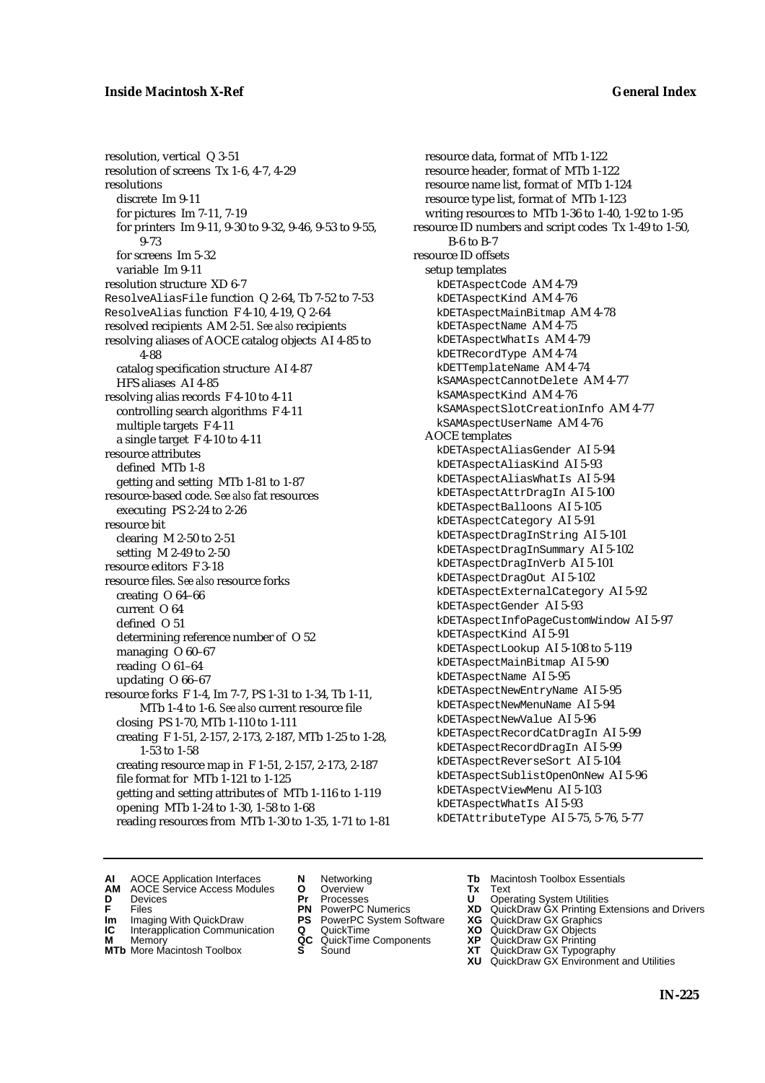resolution, vertical Q 3-51 resolution of screens Tx 1-6, 4-7, 4-29 resolutions discrete Im 9-11 for pictures Im 7-11, 7-19 for printers Im 9-11, 9-30 to 9-32, 9-46, 9-53 to 9-55, 9-73 for screens Im 5-32 variable Im 9-11 resolution structure XD 6-7 ResolveAliasFile function Q 2-64, Tb 7-52 to 7-53 ResolveAlias function F 4-10, 4-19, Q 2-64 resolved recipients AM 2-51. *See also* recipients resolving aliases of AOCE catalog objects AI 4-85 to 4-88 catalog specification structure AI 4-87 HFS aliases AI 4-85 resolving alias records F 4-10 to 4-11 controlling search algorithms F 4-11 multiple targets F 4-11 a single target F 4-10 to 4-11 resource attributes defined MTb 1-8 getting and setting MTb 1-81 to 1-87 resource-based code. *See also* fat resources executing PS 2-24 to 2-26 resource bit clearing M 2-50 to 2-51 setting M 2-49 to 2-50 resource editors F 3-18 resource files. *See also* resource forks creating O 64–66 current O 64 defined O 51 determining reference number of O 52 managing O 60–67 reading O 61–64 updating O 66–67 resource forks F 1-4, Im 7-7, PS 1-31 to 1-34, Tb 1-11, MTb 1-4 to 1-6. *See also* current resource file closing PS 1-70, MTb 1-110 to 1-111 creating F 1-51, 2-157, 2-173, 2-187, MTb 1-25 to 1-28, 1-53 to 1-58 creating resource map in F 1-51, 2-157, 2-173, 2-187 file format for MTb 1-121 to 1-125 getting and setting attributes of MTb 1-116 to 1-119 opening MTb 1-24 to 1-30, 1-58 to 1-68 reading resources from MTb 1-30 to 1-35, 1-71 to 1-81

resource data, format of MTb 1-122 resource header, format of MTb 1-122 resource name list, format of MTb 1-124 resource type list, format of MTb 1-123 writing resources to MTb 1-36 to 1-40, 1-92 to 1-95 resource ID numbers and script codes Tx 1-49 to 1-50, B-6 to B-7 resource ID offsets setup templates kDETAspectCode AM 4-79 kDETAspectKind AM 4-76 kDETAspectMainBitmap AM 4-78 kDETAspectName AM 4-75 kDETAspectWhatIs AM 4-79 kDETRecordType AM 4-74 kDETTemplateName AM 4-74 kSAMAspectCannotDelete AM 4-77 kSAMAspectKind AM 4-76 kSAMAspectSlotCreationInfo AM 4-77 kSAMAspectUserName AM 4-76 AOCE templates kDETAspectAliasGender AI 5-94 kDETAspectAliasKind AI 5-93 kDETAspectAliasWhatIs AI 5-94 kDETAspectAttrDragIn AI 5-100 kDETAspectBalloons AI 5-105 kDETAspectCategory AI 5-91 kDETAspectDragInString AI 5-101 kDETAspectDragInSummary AI 5-102 kDETAspectDragInVerb AI 5-101 kDETAspectDragOut AI 5-102 kDETAspectExternalCategory AI 5-92 kDETAspectGender AI 5-93 kDETAspectInfoPageCustomWindow AI 5-97 kDETAspectKind AI 5-91 kDETAspectLookup AI 5-108 to 5-119 kDETAspectMainBitmap AI 5-90 kDETAspectName AI 5-95 kDETAspectNewEntryName AI 5-95 kDETAspectNewMenuName AI 5-94 kDETAspectNewValue AI 5-96 kDETAspectRecordCatDragIn AI 5-99 kDETAspectRecordDragIn AI 5-99 kDETAspectReverseSort AI 5-104 kDETAspectSublistOpenOnNew AI 5-96 kDETAspectViewMenu AI 5-103 kDETAspectWhatIs AI 5-93 kDETAttributeType AI 5-75, 5-76, 5-77

- **AI** AOCE Application Interfaces **N** Networking **Tb** Macintosh Toolbox Essentials
- **AM** AOCE Service Access Modules **O** Overview **Tx** Text
- 
- 
- **Im** Files<br> **Im** Imaging With QuickDraw **PS** PowerPC System Software **XG**<br> **IC** Interapplication Communication **Q** QuickTime **XO IC** Interapplication Communication **Q** QuickTime **XO M** Memory **XP QC** QuickTime Components **XP**
- **M** Memory **CONSISTENT MEMORY AND MEMORY MEMORY AND MEMORY AND MEMORY AND <b>CONSISTENT CONSISTENT** WAS A VIOLENCE CONSISTENT OF A VIOLENCE CONSISTENT OF A VIOLENCE CONSISTENT OF A VIOLENCE CONSISTENT OF A VIOLENCE CONSISTEN
- **MTb** More Macintosh Toolbox **S** Sound **XT** QuickDraw GX Typography
- 
- **D** Devices **Pr** Processes **U** Operating System Utilities
	-
	-
	-
	-
- 
- 
- **F** Files **PN** PowerPC Numerics **XD** QuickDraw GX Printing Extensions and Drivers
	-
	-
	-
	- **XU** QuickDraw GX Environment and Utilities
		- **IN-225**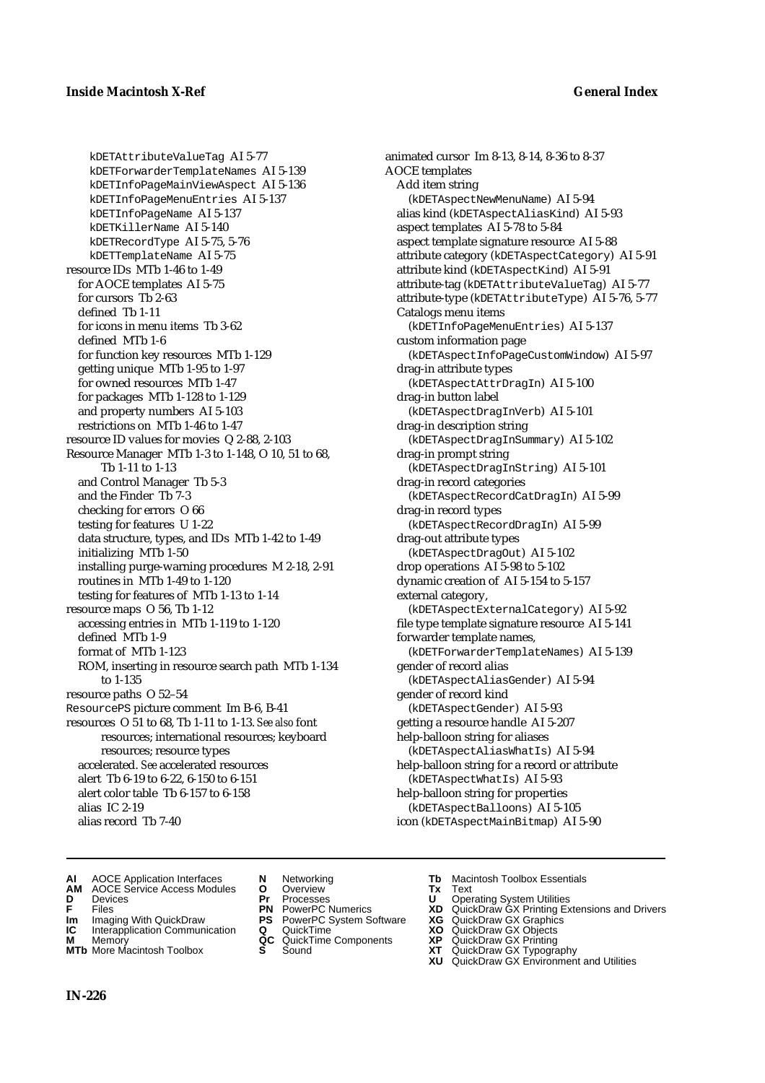kDETAttributeValueTag AI 5-77 kDETForwarderTemplateNames AI 5-139 kDETInfoPageMainViewAspect AI 5-136 kDETInfoPageMenuEntries AI 5-137 kDETInfoPageName AI 5-137 kDETKillerName AI 5-140 kDETRecordType AI 5-75, 5-76 kDETTemplateName AI 5-75 resource IDs MTb 1-46 to 1-49 for AOCE templates AI 5-75 for cursors Tb 2-63 defined Tb 1-11 for icons in menu items Tb 3-62 defined MTb 1-6 for function key resources MTb 1-129 getting unique MTb 1-95 to 1-97 for owned resources MTb 1-47 for packages MTb 1-128 to 1-129 and property numbers AI 5-103 restrictions on MTb 1-46 to 1-47 resource ID values for movies Q 2-88, 2-103 Resource Manager MTb 1-3 to 1-148, O 10, 51 to 68, Tb 1-11 to 1-13 and Control Manager Tb 5-3 and the Finder Tb 7-3 checking for errors O 66 testing for features U 1-22 data structure, types, and IDs MTb 1-42 to 1-49 initializing MTb 1-50 installing purge-warning procedures M 2-18, 2-91 routines in MTb 1-49 to 1-120 testing for features of MTb 1-13 to 1-14 resource maps O 56, Tb 1-12 accessing entries in MTb 1-119 to 1-120 defined MTb 1-9 format of MTb 1-123 ROM, inserting in resource search path MTb 1-134 to 1-135 resource paths O 52–54 ResourcePS picture comment Im B-6, B-41 resources O 51 to 68, Tb 1-11 to 1-13. *See also* font resources; international resources; keyboard resources; resource types accelerated. *See* accelerated resources alert Tb 6-19 to 6-22, 6-150 to 6-151 alert color table Tb 6-157 to 6-158 alias IC 2-19 alias record Tb 7-40

animated cursor Im 8-13, 8-14, 8-36 to 8-37 AOCE templates Add item string (kDETAspectNewMenuName) AI 5-94 alias kind (kDETAspectAliasKind) AI 5-93 aspect templates AI 5-78 to 5-84 aspect template signature resource AI 5-88 attribute category (kDETAspectCategory) AI 5-91 attribute kind (kDETAspectKind) AI 5-91 attribute-tag (kDETAttributeValueTag) AI 5-77 attribute-type (kDETAttributeType) AI 5-76, 5-77 Catalogs menu items (kDETInfoPageMenuEntries) AI 5-137 custom information page (kDETAspectInfoPageCustomWindow) AI 5-97 drag-in attribute types (kDETAspectAttrDragIn) AI 5-100 drag-in button label (kDETAspectDragInVerb) AI 5-101 drag-in description string (kDETAspectDragInSummary) AI 5-102 drag-in prompt string (kDETAspectDragInString) AI 5-101 drag-in record categories (kDETAspectRecordCatDragIn) AI 5-99 drag-in record types (kDETAspectRecordDragIn) AI 5-99 drag-out attribute types (kDETAspectDragOut) AI 5-102 drop operations AI 5-98 to 5-102 dynamic creation of AI 5-154 to 5-157 external category, (kDETAspectExternalCategory) AI 5-92 file type template signature resource AI 5-141 forwarder template names, (kDETForwarderTemplateNames) AI 5-139 gender of record alias (kDETAspectAliasGender) AI 5-94 gender of record kind (kDETAspectGender) AI 5-93 getting a resource handle AI 5-207 help-balloon string for aliases (kDETAspectAliasWhatIs) AI 5-94 help-balloon string for a record or attribute (kDETAspectWhatIs) AI 5-93 help-balloon string for properties (kDETAspectBalloons) AI 5-105 icon (kDETAspectMainBitmap) AI 5-90

- **AI** AOCE Application Interfaces **N** Networking **Tb** Macintosh Toolbox Essentials<br> **AM** AOCE Service Access Modules **O** Overview **Tx** Text<br> **D** Devices **Pr** Processes **U** Operating System Utilities
- **AM** AOCE Service Access Modules **O** Overview **Tx** Text
- 
- 
- **Im** Imaging With QuickDraw **PS** PowerPC System Software **XG IC** Interapplication Communication **Q** QuickTime **COVIC**
- **Interapplication Communication <b>Q** QuickTime **XO XO** Memory **XO XP XP QC** QuickTime Components **XP**
- **M** Memory **CC** QuickTime Components **XP**<br> **MTb** More Macintosh Toolbox **S** Sound **XT MTb** More Macintosh Toolbox **S** Sound **XT** QuickDraw GX Typography
- 
- **D** Devices **Pr** Processes **U** Operating System Utilities
	-
	-
	-
	-
- 
- 
- **FRICAG CONSISTS IN THE PROCESSES CONSISTS AND CONSIST CONSISTENT CONSISTS CONSISTS PRINTIPLE PROCESSES CONSISTS CON<br>
<b>F**FRICES **PN** POWERPC Numerics **XD** QuickDraw GX Printing Extensions and Drivers<br> **Im** Imaging With Qui
	-
	-
	-
	-
	- **XU** QuickDraw GX Environment and Utilities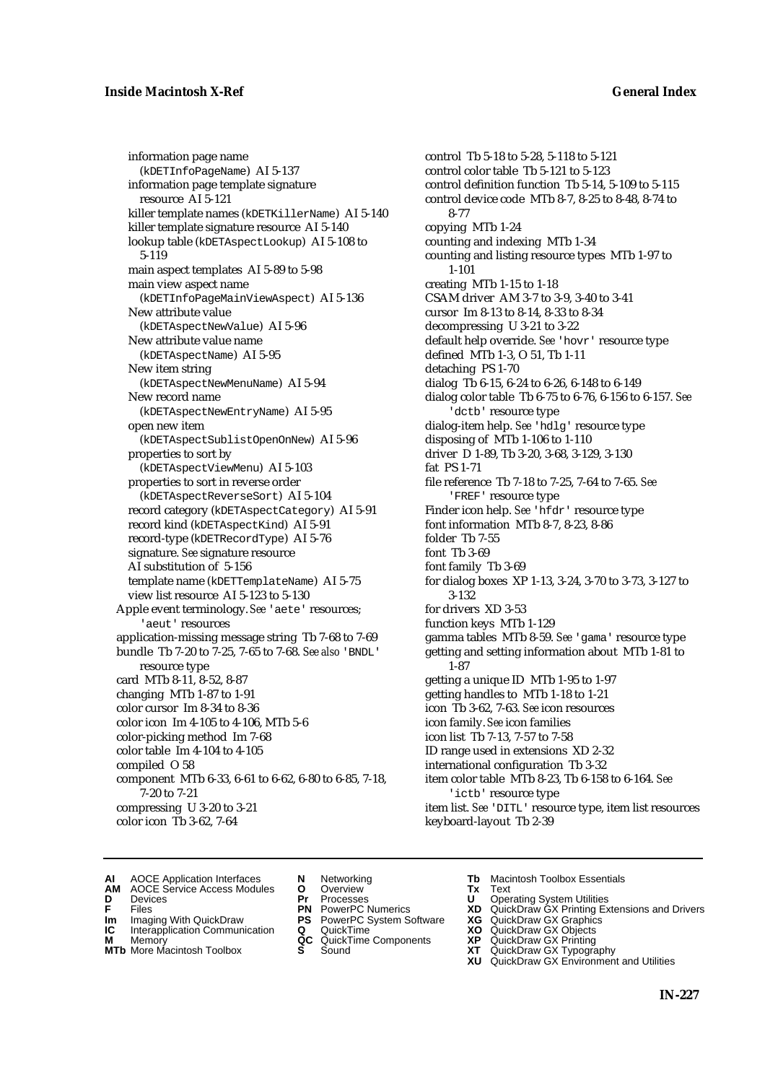# **Inside Macintosh X-Ref General Index**

information page name (kDETInfoPageName) AI 5-137 information page template signature resource AI 5-121 killer template names (kDETKillerName) AI 5-140 killer template signature resource AI 5-140 lookup table (kDETAspectLookup) AI 5-108 to 5-119 main aspect templates AI 5-89 to 5-98 main view aspect name (kDETInfoPageMainViewAspect) AI 5-136 New attribute value (kDETAspectNewValue) AI 5-96 New attribute value name (kDETAspectName) AI 5-95 New item string (kDETAspectNewMenuName) AI 5-94 New record name (kDETAspectNewEntryName) AI 5-95 open new item (kDETAspectSublistOpenOnNew) AI 5-96 properties to sort by (kDETAspectViewMenu) AI 5-103 properties to sort in reverse order (kDETAspectReverseSort) AI 5-104 record category (kDETAspectCategory) AI 5-91 record kind (kDETAspectKind) AI 5-91 record-type (kDETRecordType) AI 5-76 signature. *See* signature resource AI substitution of 5-156 template name (kDETTemplateName) AI 5-75 view list resource AI 5-123 to 5-130 Apple event terminology. *See* 'aete' resources; 'aeut' resources application-missing message string Tb 7-68 to 7-69 bundle Tb 7-20 to 7-25, 7-65 to 7-68. *See also* 'BNDL' resource type card MTb 8-11, 8-52, 8-87 changing MTb 1-87 to 1-91 color cursor Im 8-34 to 8-36 color icon Im 4-105 to 4-106, MTb 5-6 color-picking method Im 7-68 color table Im 4-104 to 4-105 compiled O 58 component MTb 6-33, 6-61 to 6-62, 6-80 to 6-85, 7-18, 7-20 to 7-21 compressing U 3-20 to 3-21

color icon Tb 3-62, 7-64

control color table Tb 5-121 to 5-123 control definition function Tb 5-14, 5-109 to 5-115 control device code MTb 8-7, 8-25 to 8-48, 8-74 to 8-77 copying MTb 1-24 counting and indexing MTb 1-34 counting and listing resource types MTb 1-97 to 1-101 creating MTb 1-15 to 1-18 CSAM driver AM 3-7 to 3-9, 3-40 to 3-41 cursor Im 8-13 to 8-14, 8-33 to 8-34 decompressing U 3-21 to 3-22 default help override. *See* 'hovr' resource type defined MTb 1-3, O 51, Tb 1-11 detaching PS 1-70 dialog Tb 6-15, 6-24 to 6-26, 6-148 to 6-149 dialog color table Tb 6-75 to 6-76, 6-156 to 6-157. *See* 'dctb' resource type dialog-item help. *See* 'hdlg' resource type disposing of MTb 1-106 to 1-110 driver D 1-89, Tb 3-20, 3-68, 3-129, 3-130 fat PS 1-71 file reference Tb 7-18 to 7-25, 7-64 to 7-65. *See* 'FREF' resource type Finder icon help. *See* 'hfdr' resource type font information MTb 8-7, 8-23, 8-86 folder Tb 7-55 font Tb 3-69 font family Tb 3-69 for dialog boxes XP 1-13, 3-24, 3-70 to 3-73, 3-127 to 3-132 for drivers XD 3-53 function keys MTb 1-129 gamma tables MTb 8-59. *See* 'gama' resource type getting and setting information about MTb 1-81 to 1-87 getting a unique ID MTb 1-95 to 1-97 getting handles to MTb 1-18 to 1-21 icon Tb 3-62, 7-63. *See* icon resources icon family. *See* icon families icon list Tb 7-13, 7-57 to 7-58 ID range used in extensions XD 2-32 international configuration Tb 3-32 item color table MTb 8-23, Tb 6-158 to 6-164. *See* 'ictb' resource type item list. *See* 'DITL' resource type, item list resources

control Tb 5-18 to 5-28, 5-118 to 5-121

- **AI** AOCE Application Interfaces **N** Networking **Tb** Macintosh Toolbox Essentials<br> **AM** AOCE Service Access Modules **O** Overview **Tx** Text<br> **D** Devices **Pr** Processes **U** Operating System Utilities
	- AOCE Service Access Modules **O** Overview **Tx** Text<br>Devices **Devices Devices Devices**
- -
- **IM** FILES<br> **Im** Imaging With QuickDraw **PS** PowerPC System Software **XG**<br> **IC** Interapplication Communication **Q** QuickTime **XO**
- **IC** Interapplication Communication **Q** QuickTime **XO M** Memory **XO QC** QuickTime Components **XP M** Memory **QC** QuickTime Components **XP**<br>**MTb** More Macintosh Toolbox **S** Sound **XT**
- **MTb** More Macintosh Toolbox **S** Sound **XT** QuickDraw GX Typography
- 
- **D** Devices **Pr** Processes **U** Operating System Utilities
	-
	-
	-
	-
- 
- 

keyboard-layout Tb 2-39

- **F** Files **PN** PowerPC Numerics **XD** QuickDraw GX Printing Extensions and Drivers
	-
	-
	-
	- **XU** QuickDraw GX Environment and Utilities
		-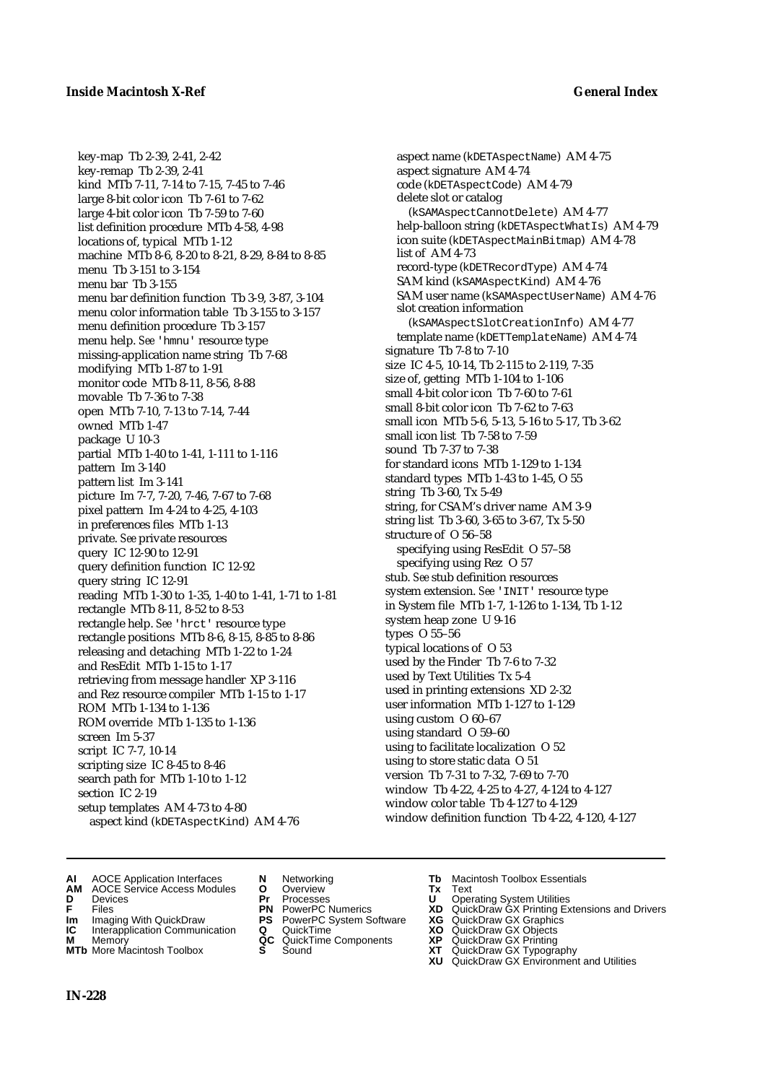key-map Tb 2-39, 2-41, 2-42 key-remap Tb 2-39, 2-41 kind MTb 7-11, 7-14 to 7-15, 7-45 to 7-46 large 8-bit color icon Tb 7-61 to 7-62 large 4-bit color icon Tb 7-59 to 7-60 list definition procedure MTb 4-58, 4-98 locations of, typical MTb 1-12 machine MTb 8-6, 8-20 to 8-21, 8-29, 8-84 to 8-85 menu Tb 3-151 to 3-154 menu bar Tb 3-155 menu bar definition function Tb 3-9, 3-87, 3-104 menu color information table Tb 3-155 to 3-157 menu definition procedure Tb 3-157 menu help. *See* 'hmnu' resource type missing-application name string Tb 7-68 modifying MTb 1-87 to 1-91 monitor code MTb 8-11, 8-56, 8-88 movable Tb 7-36 to 7-38 open MTb 7-10, 7-13 to 7-14, 7-44 owned MTb 1-47 package U 10-3 partial MTb 1-40 to 1-41, 1-111 to 1-116 pattern Im 3-140 pattern list Im 3-141 picture Im 7-7, 7-20, 7-46, 7-67 to 7-68 pixel pattern Im 4-24 to 4-25, 4-103 in preferences files MTb 1-13 private. *See* private resources query IC 12-90 to 12-91 query definition function IC 12-92 query string IC 12-91 reading MTb 1-30 to 1-35, 1-40 to 1-41, 1-71 to 1-81 rectangle MTb 8-11, 8-52 to 8-53 rectangle help. *See* 'hrct' resource type rectangle positions MTb 8-6, 8-15, 8-85 to 8-86 releasing and detaching MTb 1-22 to 1-24 and ResEdit MTb 1-15 to 1-17 retrieving from message handler XP 3-116 and Rez resource compiler MTb 1-15 to 1-17 ROM MTb 1-134 to 1-136 ROM override MTb 1-135 to 1-136 screen Im 5-37 script IC 7-7, 10-14 scripting size IC 8-45 to 8-46 search path for MTb 1-10 to 1-12 section IC 2-19 setup templates AM 4-73 to 4-80 aspect kind (kDETAspectKind) AM 4-76

aspect name (kDETAspectName) AM 4-75 aspect signature AM 4-74 code (kDETAspectCode) AM 4-79 delete slot or catalog (kSAMAspectCannotDelete) AM 4-77 help-balloon string (kDETAspectWhatIs) AM 4-79 icon suite (kDETAspectMainBitmap) AM 4-78 list of AM 4-73 record-type (kDETRecordType) AM 4-74 SAM kind (kSAMAspectKind) AM 4-76 SAM user name (kSAMAspectUserName) AM 4-76 slot creation information (kSAMAspectSlotCreationInfo) AM 4-77 template name (kDETTemplateName) AM 4-74 signature Tb 7-8 to 7-10 size IC 4-5, 10-14, Tb 2-115 to 2-119, 7-35 size of, getting MTb 1-104 to 1-106 small 4-bit color icon Tb 7-60 to 7-61 small 8-bit color icon Tb 7-62 to 7-63 small icon MTb 5-6, 5-13, 5-16 to 5-17, Tb 3-62 small icon list Tb 7-58 to 7-59 sound Tb 7-37 to 7-38 for standard icons MTb 1-129 to 1-134 standard types MTb 1-43 to 1-45, O 55 string Tb 3-60, Tx 5-49 string, for CSAM's driver name AM 3-9 string list Tb 3-60, 3-65 to 3-67, Tx 5-50 structure of O 56–58 specifying using ResEdit O 57–58 specifying using Rez O 57 stub. *See* stub definition resources system extension. *See* 'INIT' resource type in System file MTb 1-7, 1-126 to 1-134, Tb 1-12 system heap zone U 9-16 types O 55–56 typical locations of O 53 used by the Finder Tb 7-6 to 7-32 used by Text Utilities Tx 5-4 used in printing extensions XD 2-32 user information MTb 1-127 to 1-129 using custom O 60–67 using standard O 59–60 using to facilitate localization O 52 using to store static data O 51 version Tb 7-31 to 7-32, 7-69 to 7-70 window Tb 4-22, 4-25 to 4-27, 4-124 to 4-127 window color table Tb 4-127 to 4-129 window definition function Tb 4-22, 4-120, 4-127

- **AI** AOCE Application Interfaces **N** Networking **Tb** Macintosh Toolbox Essentials
- **AM** AOCE Service Access Modules **O** Overview **Tx** Text
- 
- 
- **Im** Imaging With QuickDraw **PS** PowerPC System Software **XG IC** Interapplication Communication **Q** QuickTime **COVIC**
- **Interapplication Communication <b>Q** QuickTime **XO** Memory **XO** Objects **XP QC** QuickTime Components **XP**
- **MTb** More Macintosh Toolbox **S** Sound **XT** QuickDraw GX Typography
- 
- **D** Devices **Pr** Processes **U** Operating System Utilities
	-
	-
	-
	-
	-
- 
- 
- **F** Files **PN** PowerPC Numerics **XD** QuickDraw GX Printing Extensions and Drivers
	-
	-
- **M** Memory **QC** QuickTime Components **XP** QuickDraw GX Printing
	-
	- **XU** QuickDraw GX Environment and Utilities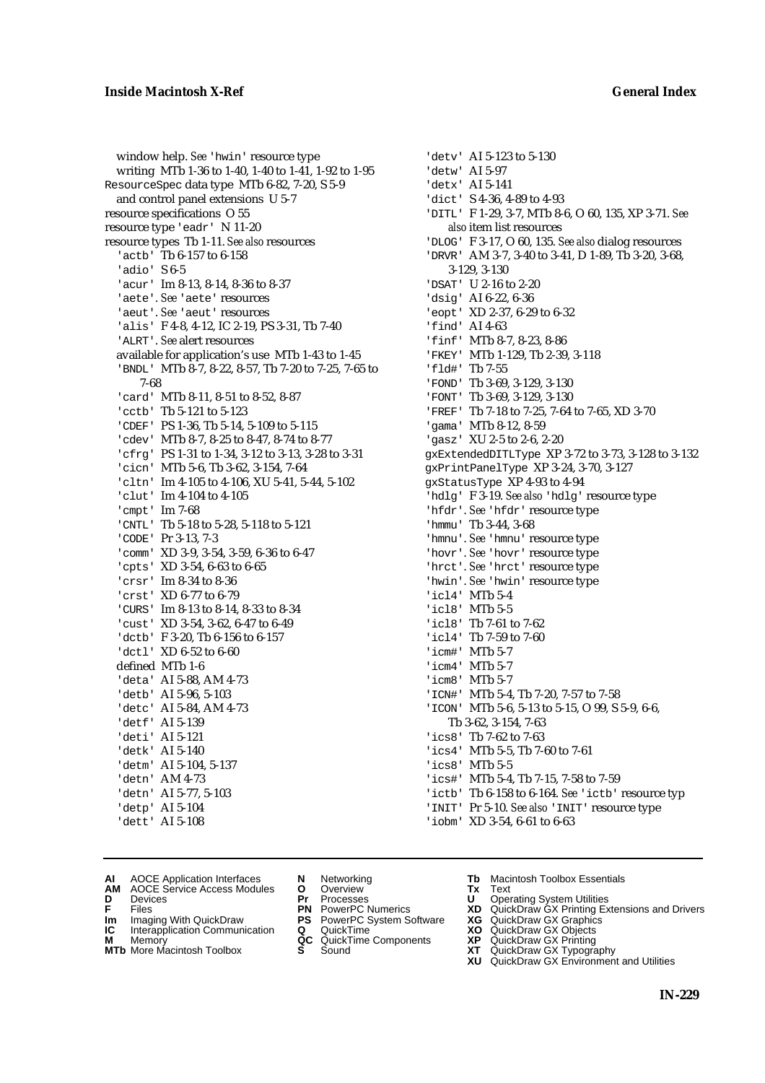window help. *See* 'hwin' resource type writing MTb 1-36 to 1-40, 1-40 to 1-41, 1-92 to 1-95 ResourceSpec data type MTb 6-82, 7-20, S 5-9 and control panel extensions U 5-7 resource specifications O 55 resource type 'eadr' N 11-20 resource types Tb 1-11. *See also* resources 'actb' Tb 6-157 to 6-158 'adio' S 6-5 'acur' Im 8-13, 8-14, 8-36 to 8-37 'aete'. *See* 'aete' resources 'aeut'. *See* 'aeut' resources 'alis' F 4-8, 4-12, IC 2-19, PS 3-31, Tb 7-40 'ALRT'. *See* alert resources available for application's use MTb 1-43 to 1-45 'BNDL' MTb 8-7, 8-22, 8-57, Tb 7-20 to 7-25, 7-65 to 7-68 'card' MTb 8-11, 8-51 to 8-52, 8-87 'cctb' Tb 5-121 to 5-123 'CDEF' PS 1-36, Tb 5-14, 5-109 to 5-115 'cdev' MTb 8-7, 8-25 to 8-47, 8-74 to 8-77 'cfrg' PS 1-31 to 1-34, 3-12 to 3-13, 3-28 to 3-31 'cicn' MTb 5-6, Tb 3-62, 3-154, 7-64 'cltn' Im 4-105 to 4-106, XU 5-41, 5-44, 5-102 'clut' Im 4-104 to 4-105 'cmpt' Im 7-68 'CNTL' Tb 5-18 to 5-28, 5-118 to 5-121 'CODE' Pr 3-13, 7-3 'comm' XD 3-9, 3-54, 3-59, 6-36 to 6-47 'cpts' XD 3-54, 6-63 to 6-65 'crsr' Im 8-34 to 8-36 'crst' XD 6-77 to 6-79 'CURS' Im 8-13 to 8-14, 8-33 to 8-34 'cust' XD 3-54, 3-62, 6-47 to 6-49 'dctb' F 3-20, Tb 6-156 to 6-157 'dctl' XD 6-52 to 6-60 defined MTb 1-6 'deta' AI 5-88, AM 4-73 'detb' AI 5-96, 5-103 'detc' AI 5-84, AM 4-73 'detf' AI 5-139 'deti' AI 5-121 'detk' AI 5-140 'detm' AI 5-104, 5-137 'detn' AM 4-73 'detn' AI 5-77, 5-103 'detp' AI 5-104 'dett' AI 5-108

'detv' AI 5-123 to 5-130 'detw' AI 5-97 'detx' AI 5-141 'dict' S 4-36, 4-89 to 4-93 'DITL' F 1-29, 3-7, MTb 8-6, O 60, 135, XP 3-71. *See also* item list resources 'DLOG' F 3-17, O 60, 135. *See also* dialog resources 'DRVR' AM 3-7, 3-40 to 3-41, D 1-89, Tb 3-20, 3-68, 3-129, 3-130 'DSAT' U 2-16 to 2-20 'dsig' AI 6-22, 6-36 'eopt' XD 2-37, 6-29 to 6-32 'find' AI 4-63 'finf' MTb 8-7, 8-23, 8-86 'FKEY' MTb 1-129, Tb 2-39, 3-118 'fld#' Tb 7-55 'FOND' Tb 3-69, 3-129, 3-130 'FONT' Tb 3-69, 3-129, 3-130 'FREF' Tb 7-18 to 7-25, 7-64 to 7-65, XD 3-70 'gama' MTb 8-12, 8-59 'gasz' XU 2-5 to 2-6, 2-20 gxExtendedDITLType XP 3-72 to 3-73, 3-128 to 3-132 gxPrintPanelType XP 3-24, 3-70, 3-127 gxStatusType XP 4-93 to 4-94 'hdlg' F 3-19. *See also* 'hdlg' resource type 'hfdr'. *See* 'hfdr' resource type 'hmmu' Tb 3-44, 3-68 'hmnu'. *See* 'hmnu' resource type 'hovr'. *See* 'hovr' resource type 'hrct'. *See* 'hrct' resource type 'hwin'. *See* 'hwin' resource type 'icl4' MTb 5-4 'icl8' MTb 5-5 'icl8' Tb 7-61 to 7-62 'icl4' Tb 7-59 to 7-60 'icm#' MTb 5-7 'icm4' MTb 5-7 'icm8' MTb 5-7 'ICN#' MTb 5-4, Tb 7-20, 7-57 to 7-58 'ICON' MTb 5-6, 5-13 to 5-15, O 99, S 5-9, 6-6, Tb 3-62, 3-154, 7-63 'ics8' Tb 7-62 to 7-63 'ics4' MTb 5-5, Tb 7-60 to 7-61 'ics8' MTb 5-5 'ics#' MTb 5-4, Tb 7-15, 7-58 to 7-59 'ictb' Tb 6-158 to 6-164. See 'ictb' resource typ 'INIT' Pr 5-10. *See also* 'INIT' resource type 'iobm' XD 3-54, 6-61 to 6-63

- **AI** AOCE Application Interfaces **N** Networking **Tb** Macintosh Toolbox Essentials<br> **AM** AOCE Service Access Modules **O** Overview **Tx** Text<br> **D** Devices **Pr** Processes **U** Operating System Utilities
	- AOCE Service Access Modules **O** Overview **Tx** Text<br>Devices **Devices Devices Devices**
- -
- **IC** Interapplication Communication **Q** QuickTime **XO M** Memory **XP QC** QuickTime Components **XP**
- **M** Memory **CONSISTENT COMPONENT MEMORY MEMORY MEMORY AND MEMORY OF A VIDEO MEMORY CONSISTENT CONSISTENT CONSISTENT OF A VIDEO CONSISTENT CONSISTENT CONSISTENT CONSISTENT CONSISTENT CONSISTENT CONSISTENT CONSISTENT CONSIST**
- **MTb** More Macintosh Toolbox **S** Sound **XT** QuickDraw GX Typography
- 
- **D** Devices **Pr** Processes **U** Operating System Utilities
	-
- **IM** FILES<br> **Im** Imaging With QuickDraw **PS** PowerPC System Software **XG**<br> **IC** Interapplication Communication **Q** QuickTime **XG** 
	-
	-
- 
- 
- **F** Files **PN** PowerPC Numerics **XD** QuickDraw GX Printing Extensions and Drivers
	-
	-
	-
	-
	- **XU** QuickDraw GX Environment and Utilities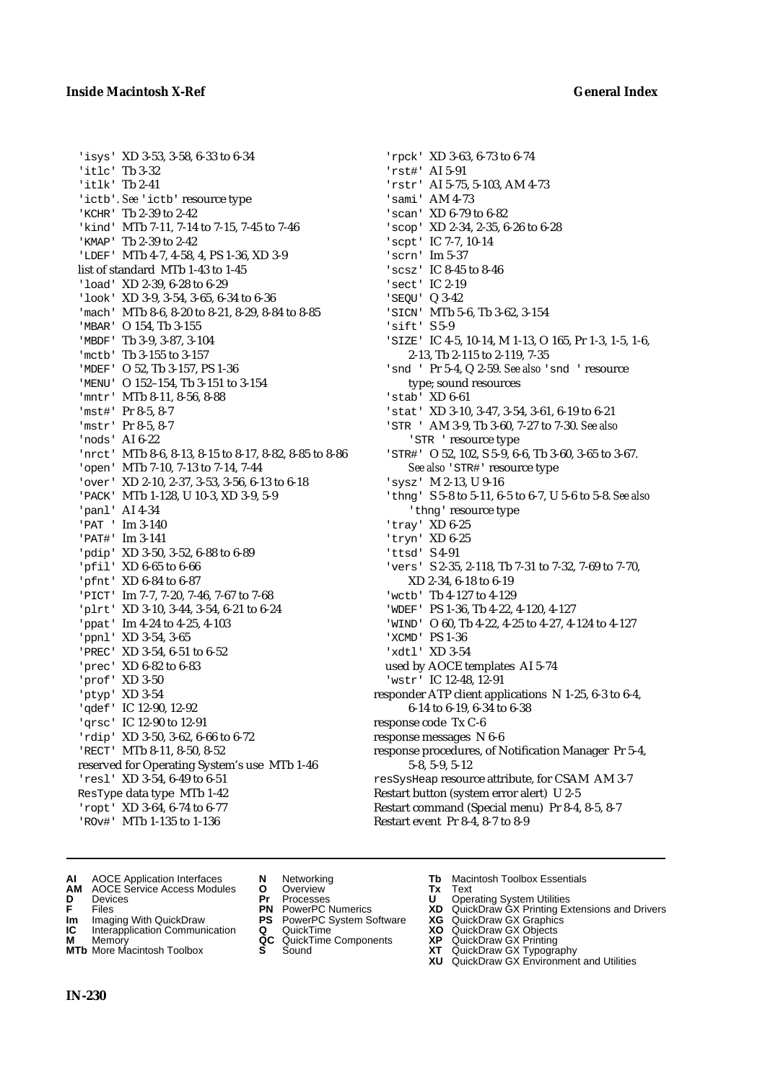'isys' XD 3-53, 3-58, 6-33 to 6-34 'itlc' Tb 3-32 'itlk' Tb 2-41 'ictb'. See 'ictb' resource type 'KCHR' Tb 2-39 to 2-42 'kind' MTb 7-11, 7-14 to 7-15, 7-45 to 7-46 'KMAP' Tb 2-39 to 2-42 'LDEF' MTb 4-7, 4-58, 4, PS 1-36, XD 3-9 list of standard MTb 1-43 to 1-45 'load' XD 2-39, 6-28 to 6-29 'look' XD 3-9, 3-54, 3-65, 6-34 to 6-36 'mach' MTb 8-6, 8-20 to 8-21, 8-29, 8-84 to 8-85 'MBAR' O 154, Tb 3-155 'MBDF' Tb 3-9, 3-87, 3-104 'mctb' Tb 3-155 to 3-157 'MDEF' O 52, Tb 3-157, PS 1-36 'MENU' O 152–154, Tb 3-151 to 3-154 'mntr' MTb 8-11, 8-56, 8-88 'mst#' Pr 8-5, 8-7 'mstr' Pr 8-5, 8-7 'nods' AI 6-22 'nrct' MTb 8-6, 8-13, 8-15 to 8-17, 8-82, 8-85 to 8-86 'open' MTb 7-10, 7-13 to 7-14, 7-44 'over' XD 2-10, 2-37, 3-53, 3-56, 6-13 to 6-18 'PACK' MTb 1-128, U 10-3, XD 3-9, 5-9 'panl' AI 4-34 'PAT ' Im 3-140 'PAT#' Im 3-141 'pdip' XD 3-50, 3-52, 6-88 to 6-89 'pfil' XD 6-65 to 6-66 'pfnt' XD 6-84 to 6-87 'PICT' Im 7-7, 7-20, 7-46, 7-67 to 7-68 'plrt' XD 3-10, 3-44, 3-54, 6-21 to 6-24 'ppat' Im 4-24 to 4-25, 4-103 'ppnl' XD 3-54, 3-65 'PREC' XD 3-54, 6-51 to 6-52 'prec' XD 6-82 to 6-83 'prof' XD 3-50 'ptyp' XD 3-54 'qdef' IC 12-90, 12-92 'qrsc' IC 12-90 to 12-91 'rdip' XD 3-50, 3-62, 6-66 to 6-72 'RECT' MTb 8-11, 8-50, 8-52 reserved for Operating System's use MTb 1-46 'resl' XD 3-54, 6-49 to 6-51 ResType data type MTb 1-42 'ropt' XD 3-64, 6-74 to 6-77 'ROv#' MTb 1-135 to 1-136

- 'rpck' XD 3-63, 6-73 to 6-74 'rst#' AI 5-91 'rstr' AI 5-75, 5-103, AM 4-73 'sami' AM 4-73 'scan' XD 6-79 to 6-82 'scop' XD 2-34, 2-35, 6-26 to 6-28 'scpt' IC 7-7, 10-14 'scrn' Im 5-37 'scsz' IC 8-45 to 8-46 'sect' IC 2-19 'SEQU' Q 3-42 'SICN' MTb 5-6, Tb 3-62, 3-154 'sift' S 5-9 'SIZE' IC 4-5, 10-14, M 1-13, O 165, Pr 1-3, 1-5, 1-6, 2-13, Tb 2-115 to 2-119, 7-35 'snd ' Pr 5-4, Q 2-59. *See also* 'snd ' resource type; sound resources 'stab' XD 6-61 'stat' XD 3-10, 3-47, 3-54, 3-61, 6-19 to 6-21 'STR ' AM 3-9, Tb 3-60, 7-27 to 7-30. *See also* 'STR ' resource type 'STR#' O 52, 102, S 5-9, 6-6, Tb 3-60, 3-65 to 3-67. *See also* 'STR#' resource type 'sysz' M 2-13, U 9-16 'thng' S 5-8 to 5-11, 6-5 to 6-7, U 5-6 to 5-8. *See also* 'thng' resource type 'tray' XD 6-25 'tryn' XD 6-25 'ttsd' S 4-91 'vers' S 2-35, 2-118, Tb 7-31 to 7-32, 7-69 to 7-70, XD 2-34, 6-18 to 6-19 'wctb' Tb 4-127 to 4-129 'WDEF' PS 1-36, Tb 4-22, 4-120, 4-127 'WIND' O 60, Tb 4-22, 4-25 to 4-27, 4-124 to 4-127 'XCMD' PS 1-36 'xdtl' XD 3-54 used by AOCE templates AI 5-74 'wstr' IC 12-48, 12-91 responder ATP client applications N 1-25, 6-3 to 6-4, 6-14 to 6-19, 6-34 to 6-38 response code Tx C-6 response messages N 6-6 response procedures, of Notification Manager Pr 5-4, 5-8, 5-9, 5-12 resSysHeap resource attribute, for CSAM AM 3-7 Restart button (system error alert) U 2-5
- **AI** AOCE Application Interfaces **N** Networking **Tb** Macintosh Toolbox Essentials
- **AM** AOCE Service Access Modules **O** Overview **Tx** Text
- 
- 
- **Im** Imaging With QuickDraw **PS** PowerPC System Software **XG** QuickDraw GX Graphics **Im** Imaging With QuickDraw **PS** PowerPC System Software<br> **IC** Interapplication Communication **Q** QuickTime<br> **M** Memorv **GC** QuickTime Components
- 
- **M** Memory **Manual Components**<br>**MTb** More Macintosh Toolbox **S** Sound **MTb** More Macintosh Toolbox **S** Sound **XT** QuickDraw GX Typography
- 
- **D** Devices **Pr** Processes **U** Operating System Utilities
	-
	-
	-
	-

Restart command (Special menu) Pr 8-4, 8-5, 8-7

Restart event Pr 8-4, 8-7 to 8-9

- **F** Files **PN** PowerPC Numerics **XD** QuickDraw GX Printing Extensions and Drivers
	-
	-
	-
	-
	- **XU** QuickDraw GX Environment and Utilities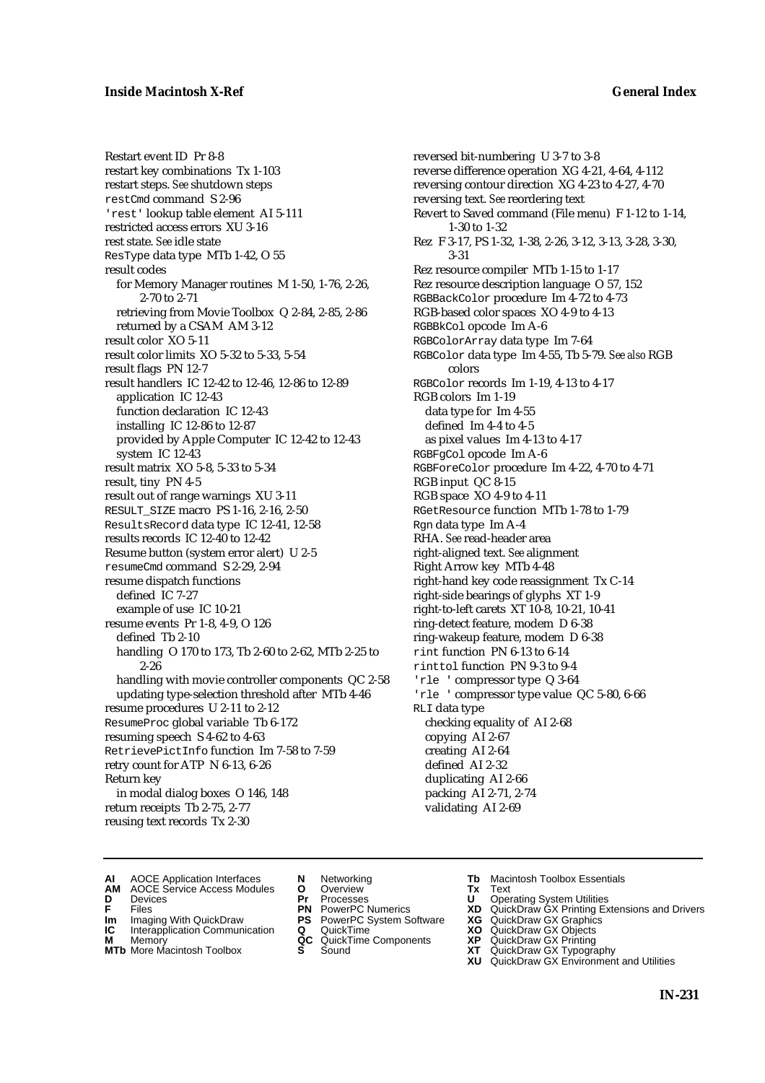Restart event ID Pr 8-8 restart key combinations Tx 1-103 restart steps. *See* shutdown steps restCmd command S 2-96 'rest' lookup table element AI 5-111 restricted access errors XU 3-16 rest state. *See* idle state ResType data type MTb 1-42, O 55 result codes for Memory Manager routines M 1-50, 1-76, 2-26, 2-70 to 2-71 retrieving from Movie Toolbox Q 2-84, 2-85, 2-86 returned by a CSAM AM 3-12 result color XO 5-11 result color limits XO 5-32 to 5-33, 5-54 result flags PN 12-7 result handlers IC 12-42 to 12-46, 12-86 to 12-89 application IC 12-43 function declaration IC 12-43 installing IC 12-86 to 12-87 provided by Apple Computer IC 12-42 to 12-43 system IC 12-43 result matrix XO 5-8, 5-33 to 5-34 result, tiny PN 4-5 result out of range warnings XU 3-11 RESULT\_SIZE macro PS 1-16, 2-16, 2-50 ResultsRecord data type IC 12-41, 12-58 results records IC 12-40 to 12-42 Resume button (system error alert) U 2-5 resumeCmd command S 2-29, 2-94 resume dispatch functions defined IC 7-27 example of use IC 10-21 resume events Pr 1-8, 4-9, O 126 defined Tb 2-10 handling O 170 to 173, Tb 2-60 to 2-62, MTb 2-25 to 2-26 handling with movie controller components QC 2-58 updating type-selection threshold after MTb 4-46 resume procedures U 2-11 to 2-12 ResumeProc global variable Tb 6-172 resuming speech S 4-62 to 4-63 RetrievePictInfo function Im 7-58 to 7-59 retry count for ATP N 6-13, 6-26 Return key in modal dialog boxes O 146, 148 return receipts Tb 2-75, 2-77 reusing text records Tx 2-30

reversed bit-numbering U 3-7 to 3-8 reverse difference operation XG 4-21, 4-64, 4-112 reversing contour direction XG 4-23 to 4-27, 4-70 reversing text. *See* reordering text Revert to Saved command (File menu) F 1-12 to 1-14, 1-30 to 1-32 Rez F 3-17, PS 1-32, 1-38, 2-26, 3-12, 3-13, 3-28, 3-30, 3-31 Rez resource compiler MTb 1-15 to 1-17 Rez resource description language O 57, 152 RGBBackColor procedure Im 4-72 to 4-73 RGB-based color spaces XO 4-9 to 4-13 RGBBkCol opcode Im A-6 RGBColorArray data type Im 7-64 RGBColor data type Im 4-55, Tb 5-79. *See also* RGB colors RGBColor records Im 1-19, 4-13 to 4-17 RGB colors Im 1-19 data type for Im 4-55 defined Im 4-4 to 4-5 as pixel values Im 4-13 to 4-17 RGBFgCol opcode Im A-6 RGBForeColor procedure Im 4-22, 4-70 to 4-71 RGB input QC 8-15 RGB space XO 4-9 to 4-11 RGetResource function MTb 1-78 to 1-79 Rgn data type Im A-4 RHA. *See* read-header area right-aligned text. *See* alignment Right Arrow key MTb 4-48 right-hand key code reassignment Tx C-14 right-side bearings of glyphs XT 1-9 right-to-left carets XT 10-8, 10-21, 10-41 ring-detect feature, modem D 6-38 ring-wakeup feature, modem D 6-38 rint function PN 6-13 to 6-14 rinttol function PN 9-3 to 9-4 'rle ' compressor type Q 3-64 'rle ' compressor type value QC 5-80, 6-66 RLI data type checking equality of AI 2-68 copying AI 2-67 creating AI 2-64 defined AI 2-32 duplicating AI 2-66 packing AI 2-71, 2-74 validating AI 2-69

- **AI** AOCE Application Interfaces **N** Networking **Tb** Macintosh Toolbox Essentials<br> **AM** AOCE Service Access Modules **O** Overview **Tx** Text<br> **D** Devices **Pr** Processes **U** Operating System Utilities
- AOCE Service Access Modules **O** Overview **Tx** Text<br>Devices **Devices Devices Devices**
- 
- **IM** FILES<br> **Im** Imaging With QuickDraw **PS** PowerPC System Software **XG**<br> **IC** Interapplication Communication **Q** QuickTime **XO**
- **IC** Interapplication Communication **Q** QuickTime **XO M** Memory **XP QC** QuickTime Components **XP**
- **M** Memory **District Acc** QuickTime Components **XP**<br> **MTb** More Macintosh Toolbox **S** Sound **XT**
- **MTb** More Macintosh Toolbox **S** Sound **XT** QuickDraw GX Typography
- 
- **D** Devices **Pr** Processes **U** Operating System Utilities
	-
	-
	-
	-
- 
- 
- **F** Files **PN** PowerPC Numerics **XD** QuickDraw GX Printing Extensions and Drivers
	-
	-
	-
	-
	- **XU** QuickDraw GX Environment and Utilities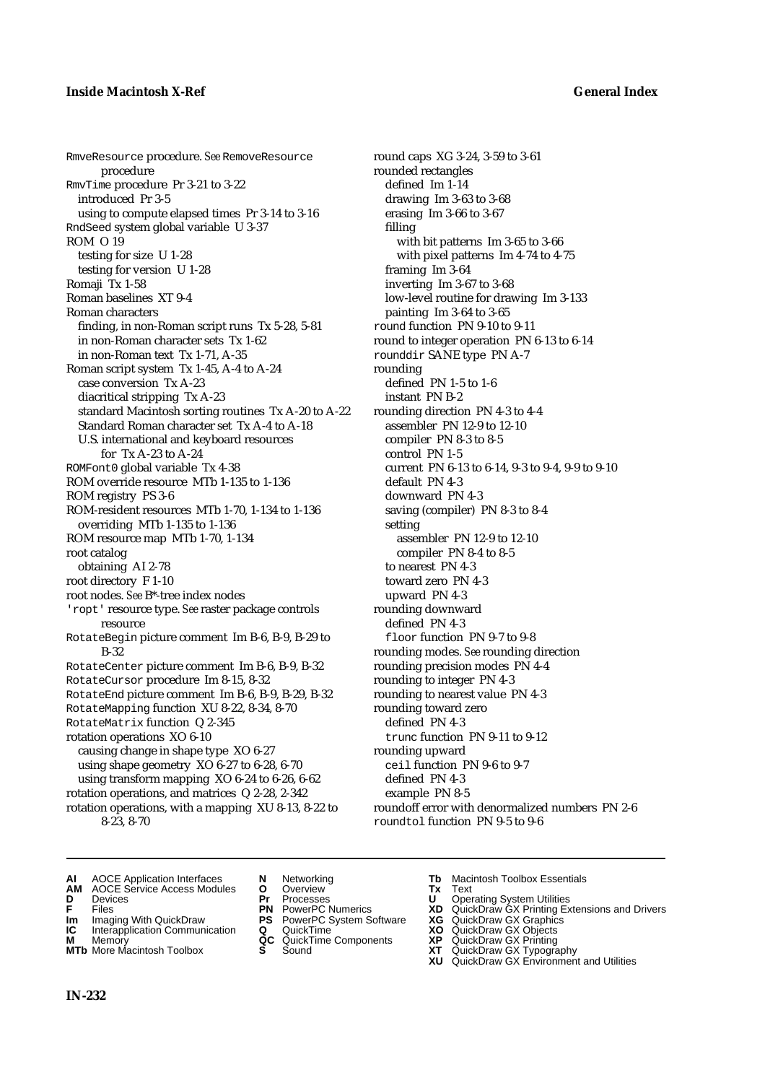RmveResource procedure. *See* RemoveResource procedure RmvTime procedure Pr 3-21 to 3-22 introduced Pr 3-5 using to compute elapsed times Pr 3-14 to 3-16 RndSeed system global variable U 3-37 ROM O 19 testing for size U 1-28 testing for version U 1-28 Romaji Tx 1-58 Roman baselines XT 9-4 Roman characters finding, in non-Roman script runs Tx 5-28, 5-81 in non-Roman character sets Tx 1-62 in non-Roman text Tx 1-71, A-35 Roman script system Tx 1-45, A-4 to A-24 case conversion Tx A-23 diacritical stripping Tx A-23 standard Macintosh sorting routines Tx A-20 to A-22 Standard Roman character set Tx A-4 to A-18 U.S. international and keyboard resources for Tx A-23 to A-24 ROMFont0 global variable Tx 4-38 ROM override resource MTb 1-135 to 1-136 ROM registry PS 3-6 ROM-resident resources MTb 1-70, 1-134 to 1-136 overriding MTb 1-135 to 1-136 ROM resource map MTb 1-70, 1-134 root catalog obtaining AI 2-78 root directory F 1-10 root nodes. *See* B\*-tree index nodes 'ropt' resource type. *See* raster package controls resource RotateBegin picture comment Im B-6, B-9, B-29 to B-32 RotateCenter picture comment Im B-6, B-9, B-32 RotateCursor procedure Im 8-15, 8-32 RotateEnd picture comment Im B-6, B-9, B-29, B-32 RotateMapping function XU 8-22, 8-34, 8-70 RotateMatrix function Q 2-345 rotation operations XO 6-10 causing change in shape type XO 6-27 using shape geometry XO 6-27 to 6-28, 6-70 using transform mapping XO 6-24 to 6-26, 6-62 rotation operations, and matrices Q 2-28, 2-342 rotation operations, with a mapping XU 8-13, 8-22 to

8-23, 8-70

- **AM** AOCE Service Access Modules **O** Overview **Tx** Text
	-
- 
- **Im** Imaging With QuickDraw **PS** PowerPC System Software **XG IC** Interapplication Communication **Q** QuickTime **COVIC**
- **Interapplication Communication <b>Q** QuickTime **X XO** Memory **XO XP XP QC** QuickTime Components **XP**
- 
- 
- **D** Devices **Pr** Processes **U** Operating System Utilities
	-
	-
	-
	-
- **AI** AOCE Application Interfaces **N** Networking **Tb** Macintosh Toolbox Essentials<br> **AM** AOCE Service Access Modules **O** Overview **Tx** Text<br> **D** Devices **Pr** Processes **U** Operating System Utilities

roundoff error with denormalized numbers PN 2-6

round caps XG 3-24, 3-59 to 3-61

with bit patterns Im 3-65 to 3-66 with pixel patterns Im 4-74 to 4-75

low-level routine for drawing Im 3-133

round to integer operation PN 6-13 to 6-14

current PN 6-13 to 6-14, 9-3 to 9-4, 9-9 to 9-10

drawing Im 3-63 to 3-68 erasing Im 3-66 to 3-67

inverting Im 3-67 to 3-68

painting Im 3-64 to 3-65 round function PN 9-10 to 9-11

rounddir SANE type PN A-7

rounding direction PN 4-3 to 4-4 assembler PN 12-9 to 12-10 compiler PN 8-3 to 8-5 control PN 1-5

saving (compiler) PN 8-3 to 8-4

assembler PN 12-9 to 12-10 compiler PN 8-4 to 8-5

floor function PN 9-7 to 9-8 rounding modes. *See* rounding direction rounding precision modes PN 4-4 rounding to integer PN 4-3 rounding to nearest value PN 4-3

trunc function PN 9-11 to 9-12

ceil function PN 9-6 to 9-7

roundtol function PN 9-5 to 9-6

defined PN 1-5 to 1-6 instant PN B-2

default PN 4-3 downward PN 4-3

to nearest PN 4-3 toward zero PN 4-3 upward PN 4-3 rounding downward defined PN 4-3

rounding toward zero defined PN 4-3

rounding upward

defined PN 4-3 example PN 8-5

setting

rounded rectangles defined Im 1-14

framing Im 3-64

filling

rounding

- **F** Files **PN** PowerPC Numerics **XD** QuickDraw GX Printing Extensions and Drivers
	-
	-
- **M** Memory **QC** QuickTime Components **XP** QuickDraw GX Printing
- **MTb** More Macintosh Toolbox **S** Sound **XT** QuickDraw GX Typography
	- **XU** QuickDraw GX Environment and Utilities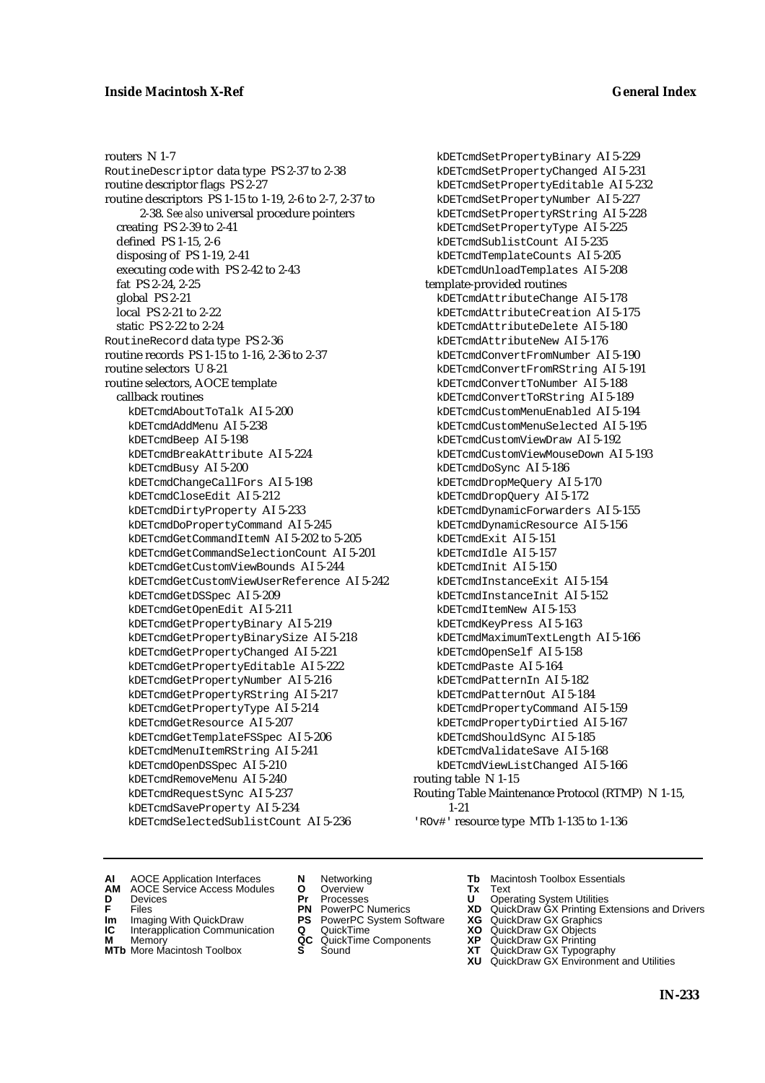## **Inside Macintosh X-Ref General Index**

routers N 1-7 RoutineDescriptor data type PS 2-37 to 2-38 routine descriptor flags PS 2-27 routine descriptors PS 1-15 to 1-19, 2-6 to 2-7, 2-37 to 2-38. *See also* universal procedure pointers creating PS 2-39 to 2-41 defined PS 1-15, 2-6 disposing of PS 1-19, 2-41 executing code with PS 2-42 to 2-43 fat PS 2-24, 2-25 global PS 2-21 local PS 2-21 to 2-22 static PS 2-22 to 2-24 RoutineRecord data type PS 2-36 routine records PS 1-15 to 1-16, 2-36 to 2-37 routine selectors U 8-21 routine selectors, AOCE template callback routines kDETcmdAboutToTalk AI 5-200 kDETcmdAddMenu AI 5-238 kDETcmdBeep AI 5-198 kDETcmdBreakAttribute AI 5-224 kDETcmdBusy AI 5-200 kDETcmdChangeCallFors AI 5-198 kDETcmdCloseEdit AI 5-212 kDETcmdDirtyProperty AI 5-233 kDETcmdDoPropertyCommand AI 5-245 kDETcmdGetCommandItemN AI 5-202 to 5-205 kDETcmdGetCommandSelectionCount AI 5-201 kDETcmdGetCustomViewBounds AI 5-244 kDETcmdGetCustomViewUserReference AI 5-242 kDETcmdGetDSSpec AI 5-209 kDETcmdGetOpenEdit AI 5-211 kDETcmdGetPropertyBinary AI 5-219 kDETcmdGetPropertyBinarySize AI 5-218 kDETcmdGetPropertyChanged AI 5-221 kDETcmdGetPropertyEditable AI 5-222 kDETcmdGetPropertyNumber AI 5-216 kDETcmdGetPropertyRString AI 5-217 kDETcmdGetPropertyType AI 5-214 kDETcmdGetResource AI 5-207 kDETcmdGetTemplateFSSpec AI 5-206 kDETcmdMenuItemRString AI 5-241 kDETcmdOpenDSSpec AI 5-210 kDETcmdRemoveMenu AI 5-240 kDETcmdRequestSync AI 5-237 kDETcmdSaveProperty AI 5-234 kDETcmdSelectedSublistCount AI 5-236

kDETcmdSetPropertyBinary AI 5-229 kDETcmdSetPropertyChanged AI 5-231 kDETcmdSetPropertyEditable AI 5-232 kDETcmdSetPropertyNumber AI 5-227 kDETcmdSetPropertyRString AI 5-228 kDETcmdSetPropertyType AI 5-225 kDETcmdSublistCount AI 5-235 kDETcmdTemplateCounts AI 5-205 kDETcmdUnloadTemplates AI 5-208 template-provided routines kDETcmdAttributeChange AI 5-178 kDETcmdAttributeCreation AI 5-175 kDETcmdAttributeDelete AI 5-180 kDETcmdAttributeNew AI 5-176 kDETcmdConvertFromNumber AI 5-190 kDETcmdConvertFromRString AI 5-191 kDETcmdConvertToNumber AI 5-188 kDETcmdConvertToRString AI 5-189 kDETcmdCustomMenuEnabled AI 5-194 kDETcmdCustomMenuSelected AI 5-195 kDETcmdCustomViewDraw AI 5-192 kDETcmdCustomViewMouseDown AI 5-193 kDETcmdDoSync AI 5-186 kDETcmdDropMeQuery AI 5-170 kDETcmdDropQuery AI 5-172 kDETcmdDynamicForwarders AI 5-155 kDETcmdDynamicResource AI 5-156 kDETcmdExit AI 5-151 kDETcmdIdle AI 5-157 kDETcmdInit AI 5-150 kDETcmdInstanceExit AI 5-154 kDETcmdInstanceInit AI 5-152 kDETcmdItemNew AI 5-153 kDETcmdKeyPress AI 5-163 kDETcmdMaximumTextLength AI 5-166 kDETcmdOpenSelf AI 5-158 kDETcmdPaste AI 5-164 kDETcmdPatternIn AI 5-182 kDETcmdPatternOut AI 5-184 kDETcmdPropertyCommand AI 5-159 kDETcmdPropertyDirtied AI 5-167 kDETcmdShouldSync AI 5-185 kDETcmdValidateSave AI 5-168 kDETcmdViewListChanged AI 5-166 routing table N 1-15 Routing Table Maintenance Protocol (RTMP) N 1-15, 1-21

'ROv#' resource type MTb 1-135 to 1-136

- **AI** AOCE Application Interfaces **N** Networking **Tb** Macintosh Toolbox Essentials
- **AM** AOCE Service Access Modules **O** Overview **Tx** Text
- 
- **Im** Files<br> **Im** Imaging With QuickDraw **PS** PowerPC System Software **XG**<br> **IC** Interapplication Communication **Q** QuickTime **XQ**
- **IC** Interapplication Communication **Q** QuickTime **XO M** Memory **XP QC** QuickTime Components **XP**
- 
- **M** Memory **CONSISTENT COMPONENT MEMORY MEMORY MEMORY AND MEMORY OF A VIDEO MEMORY CONSISTENT CONSISTENT CONSISTENT OF A VIDEO CONSISTENT CONSISTENT CONSISTENT CONSISTENT CONSISTENT CONSISTENT CONSISTENT CONSISTENT CONSIST MTb** More Macintosh Toolbox **S** Sound **XT** QuickDraw GX Typography
- 
- **D** Devices **Pr** Processes **U** Operating System Utilities
	-
	-
	-
	-
- 
- 
- **F** Files **PN** PowerPC Numerics **XD** QuickDraw GX Printing Extensions and Drivers
	-
	-
	-
	-
	- **XU** QuickDraw GX Environment and Utilities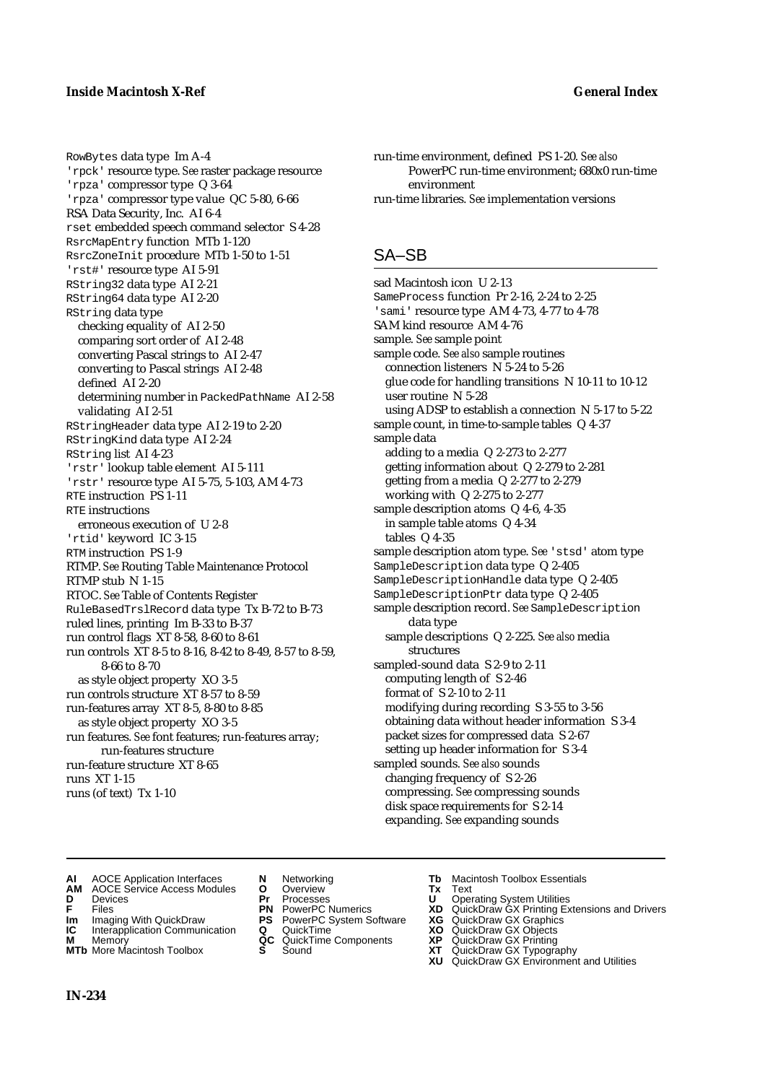RowBytes data type Im A-4 'rpck' resource type. *See* raster package resource 'rpza' compressor type Q 3-64 'rpza' compressor type value QC 5-80, 6-66 RSA Data Security, Inc. AI 6-4 rset embedded speech command selector S 4-28 RsrcMapEntry function MTb 1-120 RsrcZoneInit procedure MTb 1-50 to 1-51 'rst#' resource type AI 5-91 RString32 data type AI 2-21 RString64 data type AI 2-20 RString data type checking equality of AI 2-50 comparing sort order of AI 2-48 converting Pascal strings to AI 2-47 converting to Pascal strings AI 2-48 defined AI 2-20 determining number in PackedPathName AI 2-58 validating AI 2-51 RStringHeader data type AI 2-19 to 2-20 RStringKind data type AI 2-24 RString list AI 4-23 'rstr' lookup table element AI 5-111 'rstr' resource type AI 5-75, 5-103, AM 4-73 RTE instruction PS 1-11 RTE instructions erroneous execution of U 2-8 'rtid' keyword IC 3-15 RTM instruction PS 1-9 RTMP. *See* Routing Table Maintenance Protocol RTMP stub N 1-15 RTOC. *See* Table of Contents Register RuleBasedTrslRecord data type Tx B-72 to B-73 ruled lines, printing Im B-33 to B-37 run control flags XT 8-58, 8-60 to 8-61 run controls XT 8-5 to 8-16, 8-42 to 8-49, 8-57 to 8-59, 8-66 to 8-70 as style object property XO 3-5 run controls structure XT 8-57 to 8-59 run-features array XT 8-5, 8-80 to 8-85 as style object property XO 3-5 run features. *See* font features; run-features array; run-features structure run-feature structure XT 8-65 runs XT 1-15 runs (of text) Tx 1-10

```
run-time environment, defined PS 1-20. See also
      PowerPC run-time environment; 680x0 run-time 
      environment
run-time libraries. See implementation versions
```
# SA–SB

sad Macintosh icon U 2-13 SameProcess function Pr 2-16, 2-24 to 2-25 'sami' resource type AM 4-73, 4-77 to 4-78 SAM kind resource AM 4-76 sample. *See* sample point sample code. *See also* sample routines connection listeners N 5-24 to 5-26 glue code for handling transitions N 10-11 to 10-12 user routine N 5-28 using ADSP to establish a connection N 5-17 to 5-22 sample count, in time-to-sample tables Q 4-37 sample data adding to a media Q 2-273 to 2-277 getting information about Q 2-279 to 2-281 getting from a media Q 2-277 to 2-279 working with Q 2-275 to 2-277 sample description atoms Q 4-6, 4-35 in sample table atoms Q 4-34 tables Q 4-35 sample description atom type. *See* 'stsd' atom type SampleDescription data type Q 2-405 SampleDescriptionHandle data type Q 2-405 SampleDescriptionPtr data type Q 2-405 sample description record. *See* SampleDescription data type sample descriptions Q 2-225. *See also* media structures sampled-sound data S 2-9 to 2-11 computing length of S 2-46 format of S 2-10 to 2-11 modifying during recording S 3-55 to 3-56 obtaining data without header information S 3-4 packet sizes for compressed data S 2-67 setting up header information for S 3-4 sampled sounds. *See also* sounds changing frequency of S 2-26 compressing. *See* compressing sounds disk space requirements for S 2-14 expanding. *See* expanding sounds

- 
- **AM** AOCE Service Access Modules **O** Overview **Tx** Text
- 
- 
- 
- **Interapplication Communication <b>Q** QuickTime **XO** Memory **XO** Memory **XP QC** QuickTime Components **XP**
- **M** Memory **CONTAGONAL CONSTRUCTER CONSTRUCTION**<br> **M** Memory **XP QC** QuickTime Components **XP**<br> **MTb** More Macintosh Toolbox **S** Sound
- 
- **D** Devices **Pr** Processes **U** Operating System Utilities
	-
- **Im** Imaging With QuickDraw **PS** PowerPC System Software **XG IC** Interapplication Communication **Q** QuickTime **COVIC** 
	-
	-
- **AI** AOCE Application Interfaces **N** Networking **Tb** Macintosh Toolbox Essentials<br> **AM** AOCE Service Access Modules **O** Overview **Tx** Text<br> **D** Devices **Pr** Processes **U** Operating System Utilities
	-
- **F** Files **PN** PowerPC Numerics **XD** QuickDraw GX Printing Extensions and Drivers
	-
	-
	-
- **MTb** More Macintosh Toolbox **S** Sound **XT** QuickDraw GX Typography
	- **XU** QuickDraw GX Environment and Utilities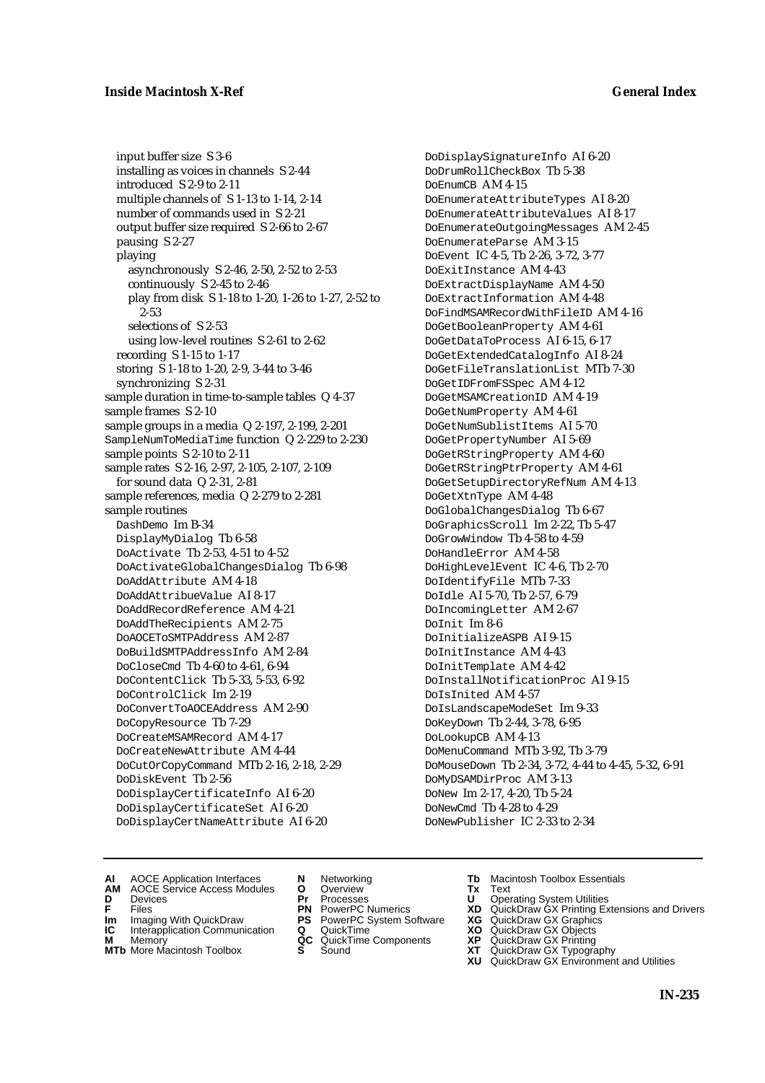input buffer size S 3-6 installing as voices in channels S 2-44 introduced S 2-9 to 2-11 multiple channels of S 1-13 to 1-14, 2-14 number of commands used in S 2-21 output buffer size required S 2-66 to 2-67 pausing S 2-27 playing asynchronously S 2-46, 2-50, 2-52 to 2-53 continuously S 2-45 to 2-46 play from disk S 1-18 to 1-20, 1-26 to 1-27, 2-52 to 2-53 selections of S 2-53 using low-level routines S 2-61 to 2-62 recording S 1-15 to 1-17 storing S 1-18 to 1-20, 2-9, 3-44 to 3-46 synchronizing S 2-31 sample duration in time-to-sample tables Q 4-37 sample frames S 2-10 sample groups in a media Q 2-197, 2-199, 2-201 SampleNumToMediaTime function Q 2-229 to 2-230 sample points S 2-10 to 2-11 sample rates S 2-16, 2-97, 2-105, 2-107, 2-109 for sound data Q 2-31, 2-81 sample references, media Q 2-279 to 2-281 sample routines DashDemo Im B-34 DisplayMyDialog Tb 6-58 DoActivate Tb 2-53, 4-51 to 4-52 DoActivateGlobalChangesDialog Tb 6-98 DoAddAttribute AM 4-18 DoAddAttribueValue AI 8-17 DoAddRecordReference AM 4-21 DoAddTheRecipients AM 2-75 DoAOCEToSMTPAddress AM 2-87 DoBuildSMTPAddressInfo AM 2-84 DoCloseCmd Tb 4-60 to 4-61, 6-94 DoContentClick Tb 5-33, 5-53, 6-92 DoControlClick Im 2-19 DoConvertToAOCEAddress AM 2-90 DoCopyResource Tb 7-29 DoCreateMSAMRecord AM 4-17 DoCreateNewAttribute AM 4-44 DoCutOrCopyCommand MTb 2-16, 2-18, 2-29 DoDiskEvent Tb 2-56 DoDisplayCertificateInfo AI 6-20 DoDisplayCertificateSet AI 6-20 DoDisplayCertNameAttribute AI 6-20

DoDisplaySignatureInfo AI 6-20 DoDrumRollCheckBox Tb 5-38 DoEnumCB AM 4-15 DoEnumerateAttributeTypes AI 8-20 DoEnumerateAttributeValues AI 8-17 DoEnumerateOutgoingMessages AM 2-45 DoEnumerateParse AM 3-15 DoEvent IC 4-5, Tb 2-26, 3-72, 3-77 DoExitInstance AM 4-43 DoExtractDisplayName AM 4-50 DoExtractInformation AM 4-48 DoFindMSAMRecordWithFileID AM 4-16 DoGetBooleanProperty AM 4-61 DoGetDataToProcess AI 6-15, 6-17 DoGetExtendedCatalogInfo AI 8-24 DoGetFileTranslationList MTb 7-30 DoGetIDFromFSSpec AM 4-12 DoGetMSAMCreationID AM 4-19 DoGetNumProperty AM 4-61 DoGetNumSublistItems AI 5-70 DoGetPropertyNumber AI 5-69 DoGetRStringProperty AM 4-60 DoGetRStringPtrProperty AM 4-61 DoGetSetupDirectoryRefNum AM 4-13 DoGetXtnType AM 4-48 DoGlobalChangesDialog Tb 6-67 DoGraphicsScroll Im 2-22, Tb 5-47 DoGrowWindow Tb 4-58 to 4-59 DoHandleError AM 4-58 DoHighLevelEvent IC 4-6, Tb 2-70 DoIdentifyFile MTb 7-33 DoIdle AI 5-70, Tb 2-57, 6-79 DoIncomingLetter AM 2-67 DoInit Im 8-6 DoInitializeASPB AI 9-15 DoInitInstance AM 4-43 DoInitTemplate AM 4-42 DoInstallNotificationProc AI 9-15 DoIsInited AM 4-57 DoIsLandscapeModeSet Im 9-33 DoKeyDown Tb 2-44, 3-78, 6-95 DoLookupCB AM 4-13 DoMenuCommand MTb 3-92, Tb 3-79 DoMouseDown Tb 2-34, 3-72, 4-44 to 4-45, 5-32, 6-91 DoMyDSAMDirProc AM 3-13 DoNew Im 2-17, 4-20, Tb 5-24 DoNewCmd Tb 4-28 to 4-29 DoNewPublisher IC 2-33 to 2-34

- **AI** AOCE Application Interfaces **N** Networking **Tb** Macintosh Toolbox Essentials
- **AM** AOCE Service Access Modules **O** Overview **Tx** Text
- 
- **Im** Imaging With QuickDraw **PS** PowerPC System Software **XG IC** Interapplication Communication **Q** QuickTime **XO**
- **IC** Interapplication Communication **Q** QuickTime **XO M** Memory **XP QC** QuickTime Components **XP**
- **M** Memory **CONSISTENT COMPONENT MEMORY MEMORY MEMORY AND MEMORY OF A VIDEO MEMORY CONSISTENT CONSISTENT CONSISTENT OF A VIDEO CONSISTENT CONSISTENT CONSISTENT CONSISTENT CONSISTENT CONSISTENT CONSISTENT CONSISTENT CONSIST**
- 
- **D** Devices **Pr** Processes **U** Operating System Utilities
	-
	-
	-
	-
- 
- 
- **F** Files **PN** PowerPC Numerics **XD** QuickDraw GX Printing Extensions and Drivers
	-
	-
	-
- **MTb** More Macintosh Toolbox **S** Sound **XT** QuickDraw GX Typography
	- **XU** QuickDraw GX Environment and Utilities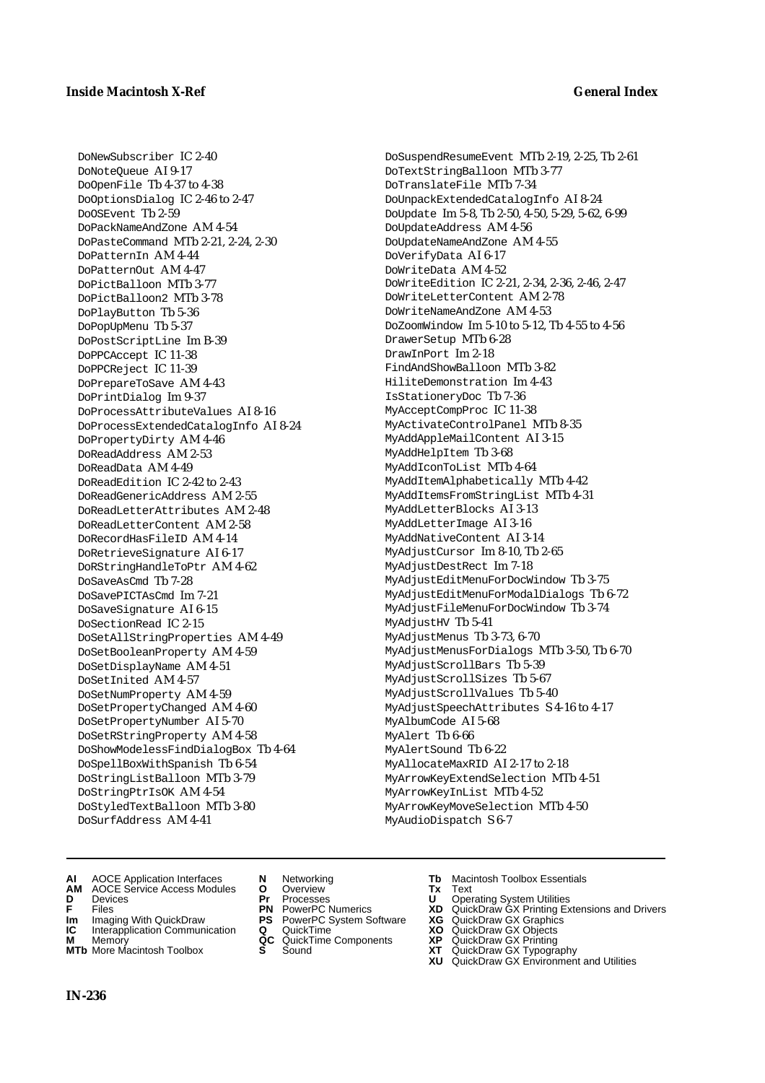DoNewSubscriber IC 2-40 DoNoteQueue AI 9-17 DoOpenFile Tb 4-37 to 4-38 DoOptionsDialog IC 2-46 to 2-47 DoOSEvent Tb 2-59 DoPackNameAndZone AM 4-54 DoPasteCommand MTb 2-21, 2-24, 2-30 DoPatternIn AM 4-44 DoPatternOut AM 4-47 DoPictBalloon MTb 3-77 DoPictBalloon2 MTb 3-78 DoPlayButton Tb 5-36 DoPopUpMenu Tb 5-37 DoPostScriptLine Im B-39 DoPPCAccept IC 11-38 DoPPCReject IC 11-39 DoPrepareToSave AM 4-43 DoPrintDialog Im 9-37 DoProcessAttributeValues AI 8-16 DoProcessExtendedCatalogInfo AI 8-24 DoPropertyDirty AM 4-46 DoReadAddress AM 2-53 DoReadData AM 4-49 DoReadEdition IC 2-42 to 2-43 DoReadGenericAddress AM 2-55 DoReadLetterAttributes AM 2-48 DoReadLetterContent AM 2-58 DoRecordHasFileID AM 4-14 DoRetrieveSignature AI 6-17 DoRStringHandleToPtr AM 4-62 DoSaveAsCmd Tb 7-28 DoSavePICTAsCmd Im 7-21 DoSaveSignature AI 6-15 DoSectionRead IC 2-15 DoSetAllStringProperties AM 4-49 DoSetBooleanProperty AM 4-59 DoSetDisplayName AM 4-51 DoSetInited AM 4-57 DoSetNumProperty AM 4-59 DoSetPropertyChanged AM 4-60 DoSetPropertyNumber AI 5-70 DoSetRStringProperty AM 4-58 DoShowModelessFindDialogBox Tb 4-64 DoSpellBoxWithSpanish Tb 6-54 DoStringListBalloon MTb 3-79 DoStringPtrIsOK AM 4-54 DoStyledTextBalloon MTb 3-80 DoSurfAddress AM 4-41

DoSuspendResumeEvent MTb 2-19, 2-25, Tb 2-61 DoTextStringBalloon MTb 3-77 DoTranslateFile MTb 7-34 DoUnpackExtendedCatalogInfo AI 8-24 DoUpdate Im 5-8, Tb 2-50, 4-50, 5-29, 5-62, 6-99 DoUpdateAddress AM 4-56 DoUpdateNameAndZone AM 4-55 DoVerifyData AI 6-17 DoWriteData AM 4-52 DoWriteEdition IC 2-21, 2-34, 2-36, 2-46, 2-47 DoWriteLetterContent AM 2-78 DoWriteNameAndZone AM 4-53 DoZoomWindow Im 5-10 to 5-12, Tb 4-55 to 4-56 DrawerSetup MTb 6-28 DrawInPort Im 2-18 FindAndShowBalloon MTb 3-82 HiliteDemonstration Im 4-43 IsStationeryDoc Tb 7-36 MyAcceptCompProc IC 11-38 MyActivateControlPanel MTb 8-35 MyAddAppleMailContent AI 3-15 MyAddHelpItem Tb 3-68 MyAddIconToList MTb 4-64 MyAddItemAlphabetically MTb 4-42 MyAddItemsFromStringList MTb 4-31 MyAddLetterBlocks AI 3-13 MyAddLetterImage AI 3-16 MyAddNativeContent AI 3-14 MyAdjustCursor Im 8-10, Tb 2-65 MyAdjustDestRect Im 7-18 MyAdjustEditMenuForDocWindow Tb 3-75 MyAdjustEditMenuForModalDialogs Tb 6-72 MyAdjustFileMenuForDocWindow Tb 3-74 MyAdjustHV Tb 5-41 MyAdjustMenus Tb 3-73, 6-70 MyAdjustMenusForDialogs MTb 3-50, Tb 6-70 MyAdjustScrollBars Tb 5-39 MyAdjustScrollSizes Tb 5-67 MyAdjustScrollValues Tb 5-40 MyAdjustSpeechAttributes S 4-16 to 4-17 MyAlbumCode AI 5-68 MyAlert Tb 6-66 MyAlertSound Tb 6-22 MyAllocateMaxRID AI 2-17 to 2-18 MyArrowKeyExtendSelection MTb 4-51 MyArrowKeyInList MTb 4-52 MyArrowKeyMoveSelection MTb 4-50 MyAudioDispatch S 6-7

- **AI** AOCE Application Interfaces **N** Networking **Tb** Macintosh Toolbox Essentials
- **AM** AOCE Service Access Modules **O** Overview **Tx** Text
- 
- 
- **Im** Imaging With QuickDraw **PS** PowerPC System Software **XG IC** Interapplication Communication **Q** QuickTime **COVIC**
- **Interapplication Communication <b>Q** QuickTime **XO** Memory **XO** Objects **XP QC** QuickTime Components **XP**
- **MTb** More Macintosh Toolbox **S** Sound **XT** QuickDraw GX Typography
- 
- **D** Devices **Pr** Processes **U** Operating System Utilities
	-
	-
	-
	-
- 
- 
- **FRICAG CONSISTS IN THE PROCESSES CONSISTS AND CONSIST CONSISTENT CONSISTS CONSISTS PRINTIPLE PROCESSES CONSISTS CON<br>
<b>F**FRICES **PN** POWERPC Numerics **XD** QuickDraw GX Printing Extensions and Drivers<br> **Im** Imaging With Qui
	-
	-
- **M** Memory **QC** QuickTime Components **XP** QuickDraw GX Printing
	-
- **XU QuickDraw GX Graphics**<br> **XG QuickDraw GX Objects**<br> **XD QuickDraw GX Objects**<br> **XP** QuickDraw GX Printing<br> **XT** QuickDraw GX Environment and Utilities<br> **XU** QuickDraw GX Environment and Utilities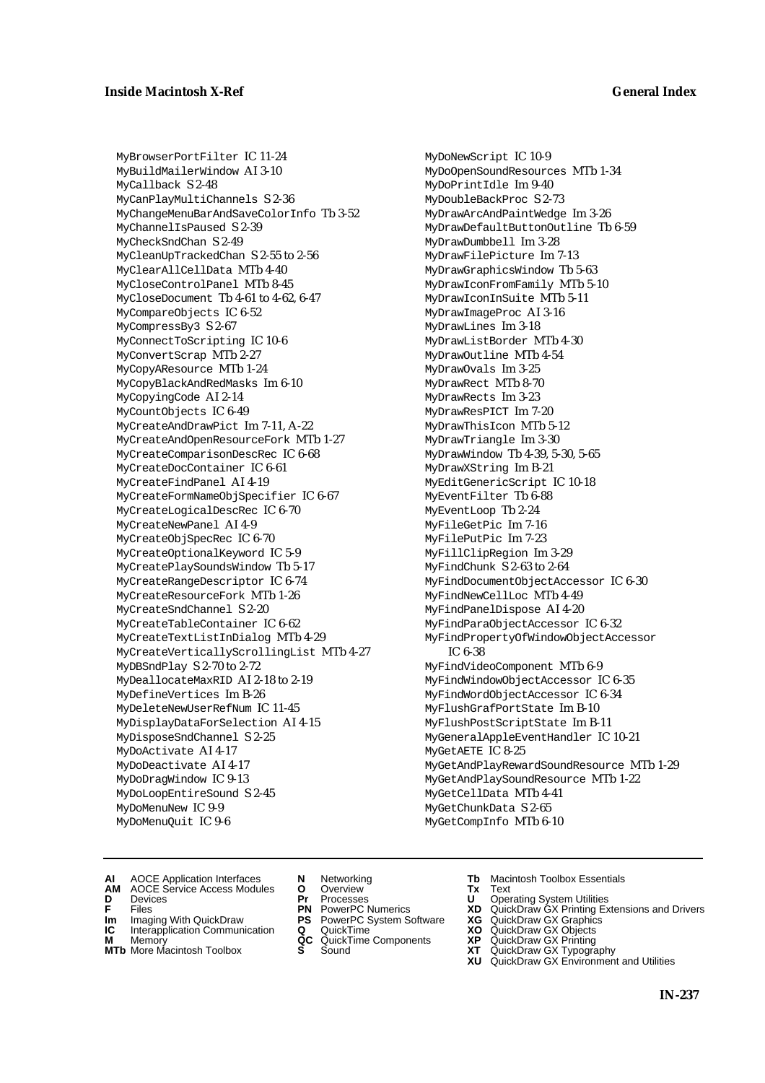MyBrowserPortFilter IC 11-24 MyBuildMailerWindow AI 3-10 MyCallback S 2-48 MyCanPlayMultiChannels S 2-36 MyChangeMenuBarAndSaveColorInfo Tb 3-52 MyChannelIsPaused S 2-39 MyCheckSndChan S 2-49 MyCleanUpTrackedChan S 2-55 to 2-56 MyClearAllCellData MTb 4-40 MyCloseControlPanel MTb 8-45 MyCloseDocument Tb 4-61 to 4-62, 6-47 MyCompareObjects IC 6-52 MyCompressBy3 S 2-67 MyConnectToScripting IC 10-6 MyConvertScrap MTb 2-27 MyCopyAResource MTb 1-24 MyCopyBlackAndRedMasks Im 6-10 MyCopyingCode AI 2-14 MyCountObjects IC 6-49 MyCreateAndDrawPict Im 7-11, A-22 MyCreateAndOpenResourceFork MTb 1-27 MyCreateComparisonDescRec IC 6-68 MyCreateDocContainer IC 6-61 MyCreateFindPanel AI 4-19 MyCreateFormNameObjSpecifier IC 6-67 MyCreateLogicalDescRec IC 6-70 MyCreateNewPanel AI 4-9 MyCreateObjSpecRec IC 6-70 MyCreateOptionalKeyword IC 5-9 MyCreatePlaySoundsWindow Tb 5-17 MyCreateRangeDescriptor IC 6-74 MyCreateResourceFork MTb 1-26 MyCreateSndChannel S 2-20 MyCreateTableContainer IC 6-62 MyCreateTextListInDialog MTb 4-29 MyCreateVerticallyScrollingList MTb 4-27 MyDBSndPlay S 2-70 to 2-72 MyDeallocateMaxRID AI 2-18 to 2-19 MyDefineVertices Im B-26 MyDeleteNewUserRefNum IC 11-45 MyDisplayDataForSelection AI 4-15 MyDisposeSndChannel S 2-25 MyDoActivate AI 4-17 MyDoDeactivate AI 4-17 MyDoDragWindow IC 9-13 MyDoLoopEntireSound S 2-45 MyDoMenuNew IC 9-9 MyDoMenuQuit IC 9-6

MyDoNewScript IC 10-9 MyDoOpenSoundResources MTb 1-34 MyDoPrintIdle Im 9-40 MyDoubleBackProc S 2-73 MyDrawArcAndPaintWedge Im 3-26 MyDrawDefaultButtonOutline Tb 6-59 MyDrawDumbbell Im 3-28 MyDrawFilePicture Im 7-13 MyDrawGraphicsWindow Tb 5-63 MyDrawIconFromFamily MTb 5-10 MyDrawIconInSuite MTb 5-11 MyDrawImageProc AI 3-16 MyDrawLines Im 3-18 MyDrawListBorder MTb 4-30 MyDrawOutline MTb 4-54 MyDrawOvals Im 3-25 MyDrawRect MTb 8-70 MyDrawRects Im 3-23 MyDrawResPICT Im 7-20 MyDrawThisIcon MTb 5-12 MyDrawTriangle Im 3-30 MyDrawWindow Tb 4-39, 5-30, 5-65 MyDrawXString Im B-21 MyEditGenericScript IC 10-18 MyEventFilter Tb 6-88 MyEventLoop Tb 2-24 MyFileGetPic Im 7-16 MyFilePutPic Im 7-23 MyFillClipRegion Im 3-29 MyFindChunk S 2-63 to 2-64 MyFindDocumentObjectAccessor IC 6-30 MyFindNewCellLoc MTb 4-49 MyFindPanelDispose AI 4-20 MyFindParaObjectAccessor IC 6-32 MyFindPropertyOfWindowObjectAccessor IC 6-38 MyFindVideoComponent MTb 6-9 MyFindWindowObjectAccessor IC 6-35 MyFindWordObjectAccessor IC 6-34 MyFlushGrafPortState Im B-10 MyFlushPostScriptState Im B-11 MyGeneralAppleEventHandler IC 10-21 MyGetAETE IC 8-25 MyGetAndPlayRewardSoundResource MTb 1-29 MyGetAndPlaySoundResource MTb 1-22 MyGetCellData MTb 4-41 MyGetChunkData S 2-65 MyGetCompInfo MTb 6-10

- **AI** AOCE Application Interfaces **N** Networking **Tb** Macintosh Toolbox Essentials
- **AM** AOCE Service Access Modules **O** Overview **Tx** Text
- 
- **Im** Imaging With QuickDraw **PS** PowerPC System Software **XG IC** Interapplication Communication **Q** QuickTime **XO**
- **IC** Interapplication Communication **Q** QuickTime **XO M** Memory **XP QC** QuickTime Components **XP**
- **M** Memory **QC** QuickTime Components **XP**<br> **MTb** More Macintosh Toolbox **S** Sound **XT**<br> **XI** XU
- 
- **D** Devices **Pr** Processes **U** Operating System Utilities
	-
	-
	-
	-
- 
- 
- **F** Files **PN** PowerPC Numerics **XD** QuickDraw GX Printing Extensions and Drivers
	-
	-
	-
- **MTb** More Macintosh Toolbox **S** Sound **XT** QuickDraw GX Typography **XU** QuickDraw GX Environment and Utilities
	-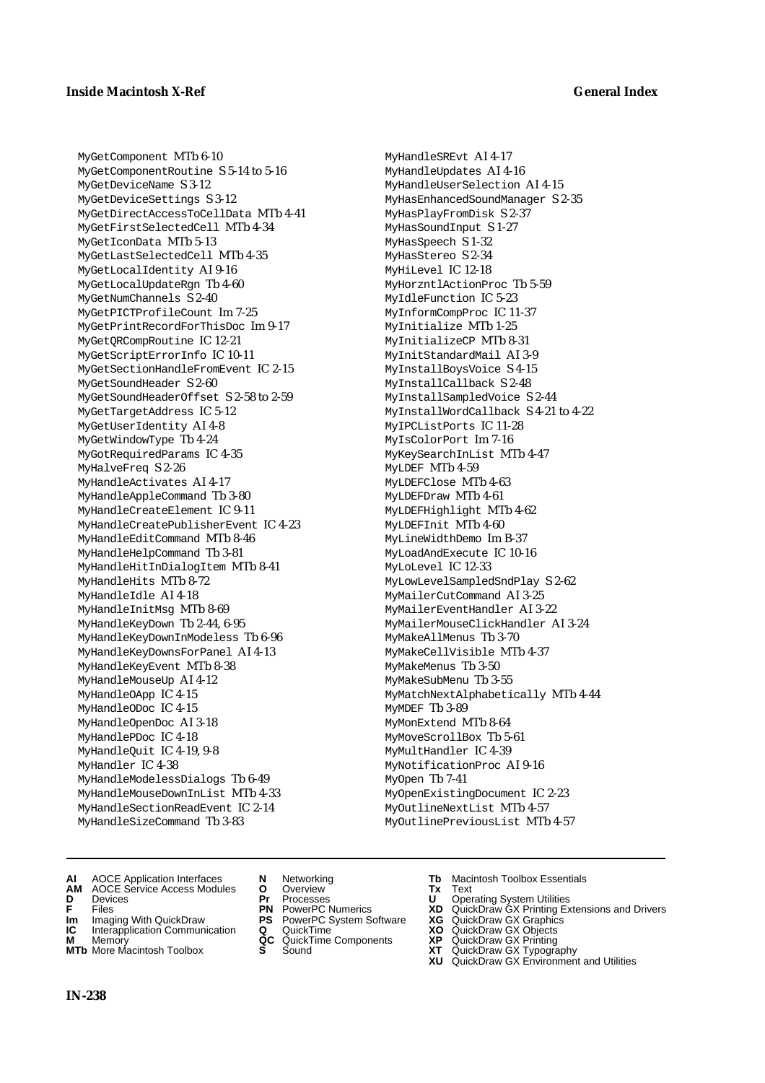MyGetComponent MTb 6-10 MyGetComponentRoutine S 5-14 to 5-16 MyGetDeviceName S 3-12 MyGetDeviceSettings S 3-12 MyGetDirectAccessToCellData MTb 4-41 MyGetFirstSelectedCell MTb 4-34 MyGetIconData MTb 5-13 MyGetLastSelectedCell MTb 4-35 MyGetLocalIdentity AI 9-16 MyGetLocalUpdateRgn Tb 4-60 MyGetNumChannels S 2-40 MyGetPICTProfileCount Im 7-25 MyGetPrintRecordForThisDoc Im 9-17 MyGetQRCompRoutine IC 12-21 MyGetScriptErrorInfo IC 10-11 MyGetSectionHandleFromEvent IC 2-15 MyGetSoundHeader S 2-60 MyGetSoundHeaderOffset S 2-58 to 2-59 MyGetTargetAddress IC 5-12 MyGetUserIdentity AI 4-8 MyGetWindowType Tb 4-24 MyGotRequiredParams IC 4-35 MyHalveFreq S 2-26 MyHandleActivates AI 4-17 MyHandleAppleCommand Tb 3-80 MyHandleCreateElement IC 9-11 MyHandleCreatePublisherEvent IC 4-23 MyHandleEditCommand MTb 8-46 MyHandleHelpCommand Tb 3-81 MyHandleHitInDialogItem MTb 8-41 MyHandleHits MTb 8-72 MyHandleIdle AI 4-18 MyHandleInitMsg MTb 8-69 MyHandleKeyDown Tb 2-44, 6-95 MyHandleKeyDownInModeless Tb 6-96 MyHandleKeyDownsForPanel AI 4-13 MyHandleKeyEvent MTb 8-38 MyHandleMouseUp AI 4-12 MyHandleOApp IC 4-15 MyHandleODoc IC 4-15 MyHandleOpenDoc AI 3-18 MyHandlePDoc IC 4-18 MyHandleQuit IC 4-19, 9-8 MyHandler IC 4-38 MyHandleModelessDialogs Tb 6-49 MyHandleMouseDownInList MTb 4-33 MyHandleSectionReadEvent IC 2-14 MyHandleSizeCommand Tb 3-83

MyHandleSREvt AI 4-17 MyHandleUpdates AI 4-16 MyHandleUserSelection AI 4-15 MyHasEnhancedSoundManager S 2-35 MyHasPlayFromDisk S 2-37 MyHasSoundInput S 1-27 MyHasSpeech S 1-32 MyHasStereo S 2-34 MyHiLevel IC 12-18 MyHorzntlActionProc Tb 5-59 MyIdleFunction IC 5-23 MyInformCompProc IC 11-37 MyInitialize MTb 1-25 MyInitializeCP MTb 8-31 MyInitStandardMail AI 3-9 MyInstallBoysVoice S 4-15 MyInstallCallback S 2-48 MyInstallSampledVoice S 2-44 MyInstallWordCallback S 4-21 to 4-22 MyIPCListPorts IC 11-28 MyIsColorPort Im 7-16 MyKeySearchInList MTb 4-47 MyLDEF MTb 4-59 MyLDEFClose MTb 4-63 MyLDEFDraw MTb 4-61 MyLDEFHighlight MTb 4-62 MyLDEFInit MTb 4-60 MyLineWidthDemo Im B-37 MyLoadAndExecute IC 10-16 MyLoLevel IC 12-33 MyLowLevelSampledSndPlay S 2-62 MyMailerCutCommand AI 3-25 MyMailerEventHandler AI 3-22 MyMailerMouseClickHandler AI 3-24 MyMakeAllMenus Tb 3-70 MyMakeCellVisible MTb 4-37 MyMakeMenus Tb 3-50 MyMakeSubMenu Tb 3-55 MyMatchNextAlphabetically MTb 4-44 MyMDEF Tb 3-89 MyMonExtend MTb 8-64 MyMoveScrollBox Tb 5-61 MyMultHandler IC 4-39 MyNotificationProc AI 9-16 MyOpen Tb 7-41 MyOpenExistingDocument IC 2-23 MyOutlineNextList MTb 4-57 MyOutlinePreviousList MTb 4-57

- **AI** AOCE Application Interfaces **N** Networking **Tb** Macintosh Toolbox Essentials
- **AM** AOCE Service Access Modules **O** Overview **Tx** Text
- 
- 
- **Im** Imaging With QuickDraw **PS** PowerPC System Software<br> **IC** Interapplication Communication **Q** QuickTime<br> **M** Memory **GC** QuickTime Components
- 
- **M** Memory **COMPONENTS COMPONENTS COMPONENTS NEWSLA**<br> **M** More Macintosh Toolbox **S** Sound **MTb** More Macintosh Toolbox **S** Sound **XT** QuickDraw GX Typography
- 
- **D** Devices **Pr** Processes **U** Operating System Utilities
	-
	-
	-
	-
- 
- 
- **F** Files **PN** PowerPC Numerics **XD** QuickDraw GX Printing Extensions and Drivers
- **Im** Imaging With QuickDraw **PS** PowerPC System Software **XG** QuickDraw GX Graphics
	-
	-
	-
	- **XU** QuickDraw GX Environment and Utilities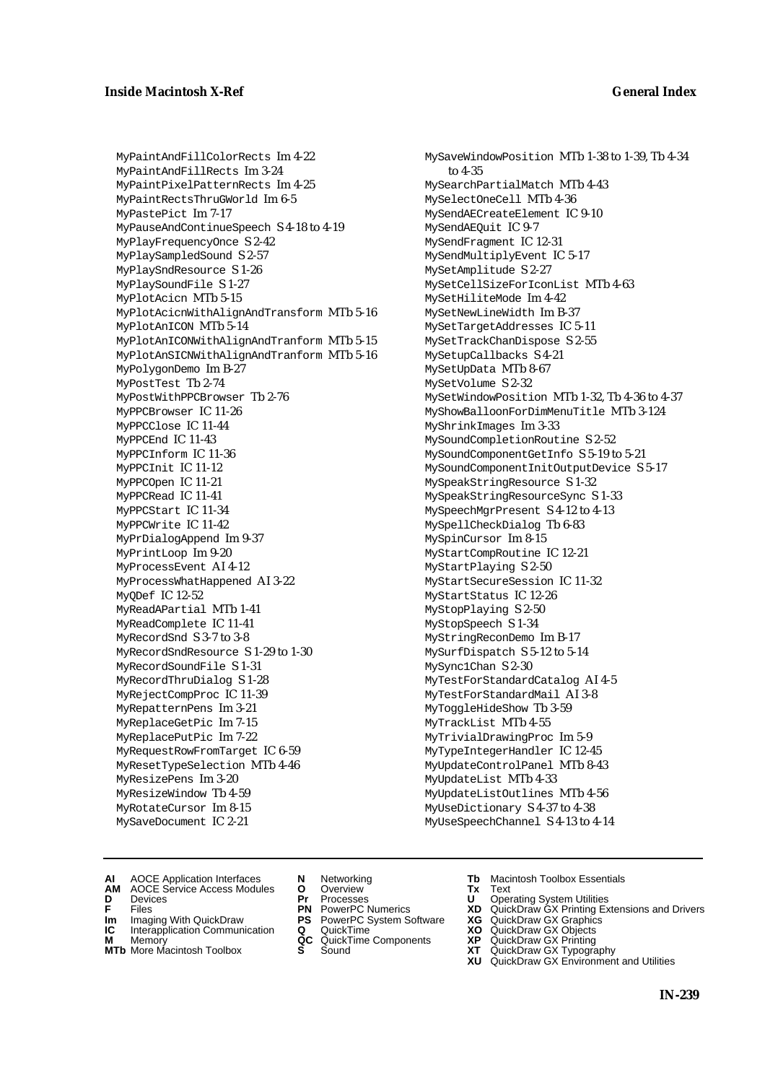MyPaintAndFillColorRects Im 4-22 MyPaintAndFillRects Im 3-24 MyPaintPixelPatternRects Im 4-25 MyPaintRectsThruGWorld Im 6-5 MyPastePict Im 7-17 MyPauseAndContinueSpeech S 4-18 to 4-19 MyPlayFrequencyOnce S 2-42 MyPlaySampledSound S 2-57 MyPlaySndResource S 1-26 MyPlaySoundFile S 1-27 MyPlotAcicn MTb 5-15 MyPlotAcicnWithAlignAndTransform MTb 5-16 MyPlotAnICON MTb 5-14 MyPlotAnICONWithAlignAndTranform MTb 5-15 MyPlotAnSICNWithAlignAndTranform MTb 5-16 MyPolygonDemo Im B-27 MyPostTest Tb 2-74 MyPostWithPPCBrowser Tb 2-76 MyPPCBrowser IC 11-26 MyPPCClose IC 11-44 MyPPCEnd IC 11-43 MyPPCInform IC 11-36 MyPPCInit IC 11-12 MyPPCOpen IC 11-21 MyPPCRead IC 11-41 MyPPCStart IC 11-34 MyPPCWrite IC 11-42 MyPrDialogAppend Im 9-37 MyPrintLoop Im 9-20 MyProcessEvent AI 4-12 MyProcessWhatHappened AI 3-22 MyQDef IC 12-52 MyReadAPartial MTb 1-41 MyReadComplete IC 11-41 MyRecordSnd S 3-7 to 3-8 MyRecordSndResource S 1-29 to 1-30 MyRecordSoundFile S 1-31 MyRecordThruDialog S 1-28 MyRejectCompProc IC 11-39 MyRepatternPens Im 3-21 MyReplaceGetPic Im 7-15 MyReplacePutPic Im 7-22 MyRequestRowFromTarget IC 6-59 MyResetTypeSelection MTb 4-46 MyResizePens Im 3-20 MyResizeWindow Tb 4-59 MyRotateCursor Im 8-15 MySaveDocument IC 2-21

MySaveWindowPosition MTb 1-38 to 1-39, Tb 4-34 to 4-35 MySearchPartialMatch MTb 4-43 MySelectOneCell MTb 4-36 MySendAECreateElement IC 9-10 MySendAEQuit IC 9-7 MySendFragment IC 12-31 MySendMultiplyEvent IC 5-17 MySetAmplitude S 2-27 MySetCellSizeForIconList MTb 4-63 MySetHiliteMode Im 4-42 MySetNewLineWidth Im B-37 MySetTargetAddresses IC 5-11 MySetTrackChanDispose S 2-55 MySetupCallbacks S 4-21 MySetUpData MTb 8-67 MySetVolume S 2-32 MySetWindowPosition MTb 1-32, Tb 4-36 to 4-37 MyShowBalloonForDimMenuTitle MTb 3-124 MyShrinkImages Im 3-33 MySoundCompletionRoutine S 2-52 MySoundComponentGetInfo S 5-19 to 5-21 MySoundComponentInitOutputDevice S 5-17 MySpeakStringResource S 1-32 MySpeakStringResourceSync S 1-33 MySpeechMgrPresent S 4-12 to 4-13 MySpellCheckDialog Tb 6-83 MySpinCursor Im 8-15 MyStartCompRoutine IC 12-21 MyStartPlaying S 2-50 MyStartSecureSession IC 11-32 MyStartStatus IC 12-26 MyStopPlaying S 2-50 MyStopSpeech S 1-34 MyStringReconDemo Im B-17 MySurfDispatch S 5-12 to 5-14 MySync1Chan S 2-30 MyTestForStandardCatalog AI 4-5 MyTestForStandardMail AI 3-8 MyToggleHideShow Tb 3-59 MyTrackList MTb 4-55 MyTrivialDrawingProc Im 5-9 MyTypeIntegerHandler IC 12-45 MyUpdateControlPanel MTb 8-43 MyUpdateList MTb 4-33 MyUpdateListOutlines MTb 4-56 MyUseDictionary S 4-37 to 4-38

MyUseSpeechChannel S 4-13 to 4-14

- **AI** AOCE Application Interfaces **N** Networking **Tb** Macintosh Toolbox Essentials
- **AM** AOCE Service Access Modules **O** Overview **Tx** Text
- 
- **Im** Imaging With QuickDraw **PS** PowerPC System Software **XG IC** Interapplication Communication **Q** QuickTime **XO**
- **IC** Interapplication Communication **Q** QuickTime **XO M** Memory **XP QC** QuickTime Components **XP**
- **M** Memory **QC** QuickTime Components **XP**<br> **MTb** More Macintosh Toolbox **S** Sound **XT**<br> **XI** XU
- 
- **D** Devices **Pr** Processes **U** Operating System Utilities
	-
	-
	-
- **MTb** More Macintosh Toolbox **S** Sound **XT** QuickDraw GX Typography
- 
- 
- **F** Files **PN** PowerPC Numerics **XD** QuickDraw GX Printing Extensions and Drivers
	-
	-
	-
	- **XU** QuickDraw GX Environment and Utilities
		- **IN-239**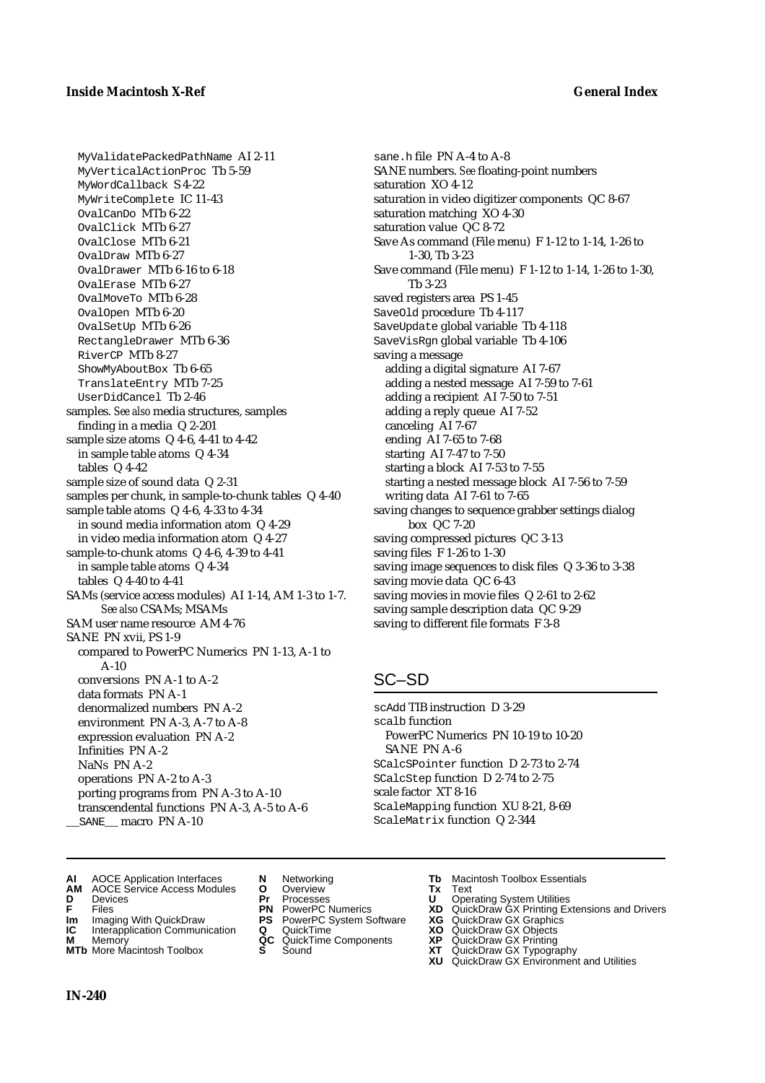MyValidatePackedPathName AI 2-11 MyVerticalActionProc Tb 5-59 MyWordCallback S 4-22 MyWriteComplete IC 11-43 OvalCanDo MTb 6-22 OvalClick MTb 6-27 OvalClose MTb 6-21 OvalDraw MTb 6-27 OvalDrawer MTb 6-16 to 6-18 OvalErase MTb 6-27 OvalMoveTo MTb 6-28 OvalOpen MTb 6-20 OvalSetUp MTb 6-26 RectangleDrawer MTb 6-36 RiverCP MTb 8-27 ShowMyAboutBox Tb 6-65 TranslateEntry MTb 7-25 UserDidCancel Tb 2-46 samples. *See also* media structures, samples finding in a media Q 2-201 sample size atoms Q 4-6, 4-41 to 4-42 in sample table atoms Q 4-34 tables Q 4-42 sample size of sound data Q 2-31 samples per chunk, in sample-to-chunk tables Q 4-40 sample table atoms Q 4-6, 4-33 to 4-34 in sound media information atom Q 4-29 in video media information atom Q 4-27 sample-to-chunk atoms Q 4-6, 4-39 to 4-41 in sample table atoms Q 4-34 tables Q 4-40 to 4-41 SAMs (service access modules) AI 1-14, AM 1-3 to 1-7. *See also* CSAMs; MSAMs SAM user name resource AM 4-76 SANE PN xvii, PS 1-9 compared to PowerPC Numerics PN 1-13, A-1 to A-10 conversions PN A-1 to A-2 data formats PN A-1 denormalized numbers PN A-2 environment PN A-3, A-7 to A-8 expression evaluation PN A-2 Infinities PN A-2 NaNs PN A-2 operations PN A-2 to A-3 porting programs from PN A-3 to A-10 transcendental functions PN A-3, A-5 to A-6 SANE macro PN A-10

sane.h file PN A-4 to A-8 SANE numbers. *See* floating-point numbers saturation XO 4-12 saturation in video digitizer components QC 8-67 saturation matching XO 4-30 saturation value QC 8-72 Save As command (File menu) F 1-12 to 1-14, 1-26 to 1-30, Tb 3-23 Save command (File menu) F 1-12 to 1-14, 1-26 to 1-30, Tb 3-23 saved registers area PS 1-45 SaveOld procedure Tb 4-117 SaveUpdate global variable Tb 4-118 SaveVisRgn global variable Tb 4-106 saving a message adding a digital signature AI 7-67 adding a nested message AI 7-59 to 7-61 adding a recipient AI 7-50 to 7-51 adding a reply queue AI 7-52 canceling AI 7-67 ending AI 7-65 to 7-68 starting AI 7-47 to 7-50 starting a block AI 7-53 to 7-55 starting a nested message block AI 7-56 to 7-59 writing data AI 7-61 to 7-65 saving changes to sequence grabber settings dialog box QC 7-20 saving compressed pictures QC 3-13 saving files F 1-26 to 1-30 saving image sequences to disk files Q 3-36 to 3-38 saving movie data QC 6-43 saving movies in movie files Q 2-61 to 2-62 saving sample description data QC 9-29 saving to different file formats F 3-8

# SC–SD

scAdd TIB instruction D 3-29 scalb function PowerPC Numerics PN 10-19 to 10-20 SANE PN A-6 SCalcSPointer function D 2-73 to 2-74 SCalcStep function D 2-74 to 2-75 scale factor XT 8-16 ScaleMapping function XU 8-21, 8-69 ScaleMatrix function Q 2-344

- **AI** AOCE Application Interfaces **N** Networking **Tb** Macintosh Toolbox Essentials
- **AM** AOCE Service Access Modules **O** Overview **Tx** Text
- 
- 
- **Im** Imaging With QuickDraw **PS** PowerPC System Software **XG IC** Interapplication Communication **Q** QuickTime **COVIC**
- **Interapplication Communication <b>Q** QuickTime **XO** Memory **XO** Memory **XP QC** QuickTime Components **XP**
- **M** Memory **Discussed AC** QuickTime Components **XP**<br> **MTb** More Macintosh Toolbox **S** Sound **XT MTb** More Macintosh Toolbox **S** Sound **XT** QuickDraw GX Typography
- 
- **D** Devices **Pr** Processes **U** Operating System Utilities
	-
	-
	-
	-
- 
- 
- **FRICAG CONSISTS IN THE PROCESSES CONSISTS AND CONSIST CONSISTENT CONSISTS CONSISTS PRINTIPLE PROCESSES CONSISTS CON<br>
<b>F**FRICES **PN** POWERPC Numerics **XD** QuickDraw GX Printing Extensions and Drivers<br> **Im** Imaging With Qui
	-
	-
	-
	- **XU** QuickDraw GX Environment and Utilities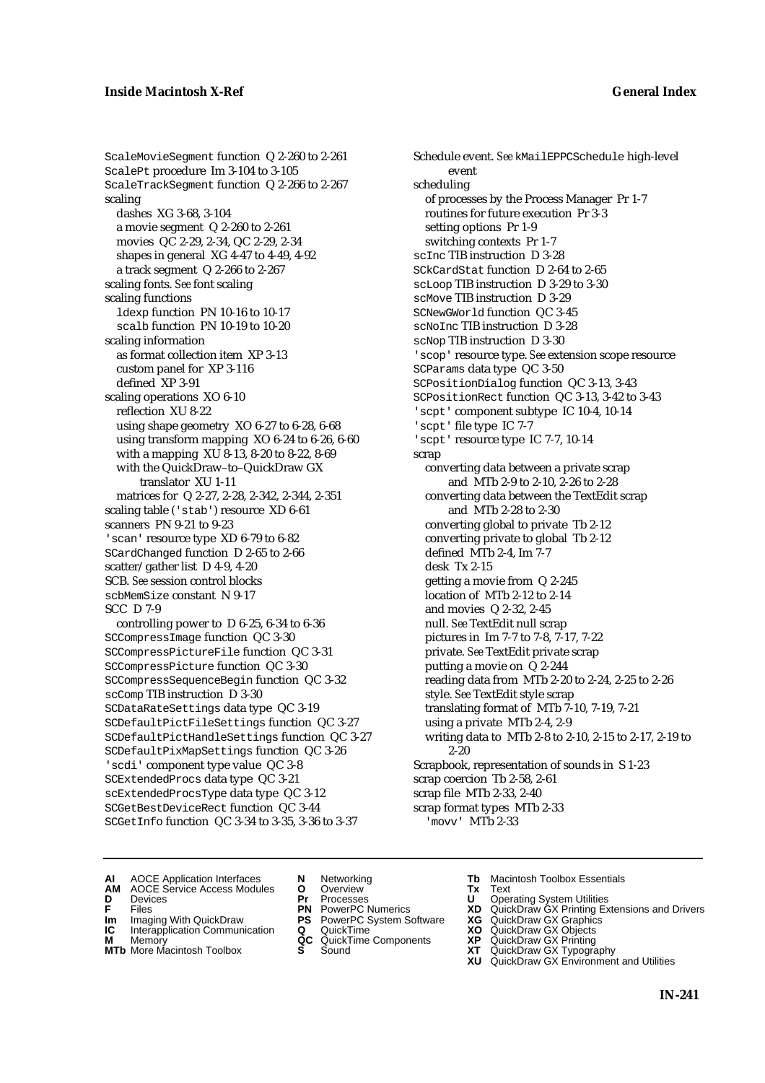ScaleMovieSegment function Q 2-260 to 2-261 ScalePt procedure Im 3-104 to 3-105 ScaleTrackSegment function Q 2-266 to 2-267 scaling dashes XG 3-68, 3-104 a movie segment Q 2-260 to 2-261 movies QC 2-29, 2-34, QC 2-29, 2-34 shapes in general XG 4-47 to 4-49, 4-92 a track segment Q 2-266 to 2-267 scaling fonts. *See* font scaling scaling functions ldexp function PN 10-16 to 10-17 scalb function PN 10-19 to 10-20 scaling information as format collection item XP 3-13 custom panel for XP 3-116 defined XP 3-91 scaling operations XO 6-10 reflection XU 8-22 using shape geometry XO 6-27 to 6-28, 6-68 using transform mapping XO 6-24 to 6-26, 6-60 with a mapping XU 8-13, 8-20 to 8-22, 8-69 with the QuickDraw–to–QuickDraw GX translator XU 1-11 matrices for Q 2-27, 2-28, 2-342, 2-344, 2-351 scaling table ('stab') resource XD 6-61 scanners PN 9-21 to 9-23 'scan' resource type XD 6-79 to 6-82 SCardChanged function D 2-65 to 2-66 scatter/gather list D 4-9, 4-20 SCB. *See* session control blocks scbMemSize constant N 9-17 SCC D 7-9 controlling power to D 6-25, 6-34 to 6-36 SCCompressImage function QC 3-30 SCCompressPictureFile function QC 3-31 SCCompressPicture function QC 3-30 SCCompressSequenceBegin function QC 3-32 scComp TIB instruction D 3-30

SCDataRateSettings data type QC 3-19 SCDefaultPictFileSettings function QC 3-27 SCDefaultPictHandleSettings function QC 3-27 SCDefaultPixMapSettings function QC 3-26 'scdi' component type value QC 3-8 SCExtendedProcs data type QC 3-21 scExtendedProcsType data type QC 3-12 SCGetBestDeviceRect function QC 3-44 SCGetInfo function QC 3-34 to 3-35, 3-36 to 3-37

Schedule event. *See* kMailEPPCSchedule high-level event scheduling of processes by the Process Manager Pr 1-7 routines for future execution Pr 3-3 setting options Pr 1-9 switching contexts Pr 1-7 scInc TIB instruction D 3-28 SCkCardStat function D 2-64 to 2-65 scLoop TIB instruction D 3-29 to 3-30 scMove TIB instruction D 3-29 SCNewGWorld function QC 3-45 scNoInc TIB instruction D 3-28 scNop TIB instruction D 3-30 'scop' resource type. *See* extension scope resource SCParams data type QC 3-50 SCPositionDialog function QC 3-13, 3-43 SCPositionRect function QC 3-13, 3-42 to 3-43 'scpt' component subtype IC 10-4, 10-14 'scpt' file type IC 7-7 'scpt' resource type IC 7-7, 10-14 scrap converting data between a private scrap and MTb 2-9 to 2-10, 2-26 to 2-28 converting data between the TextEdit scrap and MTb 2-28 to 2-30 converting global to private Tb 2-12 converting private to global Tb 2-12 defined MTb 2-4, Im 7-7 desk Tx 2-15 getting a movie from Q 2-245 location of MTb 2-12 to 2-14 and movies Q 2-32, 2-45 null. *See* TextEdit null scrap pictures in Im 7-7 to 7-8, 7-17, 7-22 private. *See* TextEdit private scrap putting a movie on Q 2-244 reading data from MTb 2-20 to 2-24, 2-25 to 2-26 style. *See* TextEdit style scrap translating format of MTb 7-10, 7-19, 7-21 using a private MTb 2-4, 2-9 writing data to MTb 2-8 to 2-10, 2-15 to 2-17, 2-19 to 2-20 Scrapbook, representation of sounds in S 1-23 scrap coercion Tb 2-58, 2-61 scrap file MTb 2-33, 2-40 scrap format types MTb 2-33 'movv' MTb 2-33

- **AI** AOCE Application Interfaces **N** Networking **Tb** Macintosh Toolbox Essentials
- **AM** AOCE Service Access Modules **O** Overview **Tx** Text **D** Devices **Pr** Processes **U** Operating System Utilities
- 
- -
- **IM** FILES<br> **Im** Imaging With QuickDraw **PS** PowerPC System Software **XG**<br> **IC** Interapplication Communication **Q** QuickTime **XO IC** Interapplication Communication **Q** QuickTime **XO M** Memory **XO QC** QuickTime Components **XP**
- **M** Memory **CONSISTENT MEMORY AND MEMORY MEMORY AND MEMORY AND MEMORY AND <b>CONSISTENT CONSISTENT** WAS A VIOLENCE CONSISTENT ON A VIOLENCE CONSISTENT OF A VIOLENCE CONSISTENT OF A VIOLENCE CONSISTENT OF A VIOLENCE CONSISTEN
	-
- 
- 
- **F** Files **PN** PowerPC Numerics **XD** QuickDraw GX Printing Extensions and Drivers
	-
	-
	-
- **MTb** More Macintosh Toolbox **S** Sound **XT** QuickDraw GX Typography
	- **XU** QuickDraw GX Environment and Utilities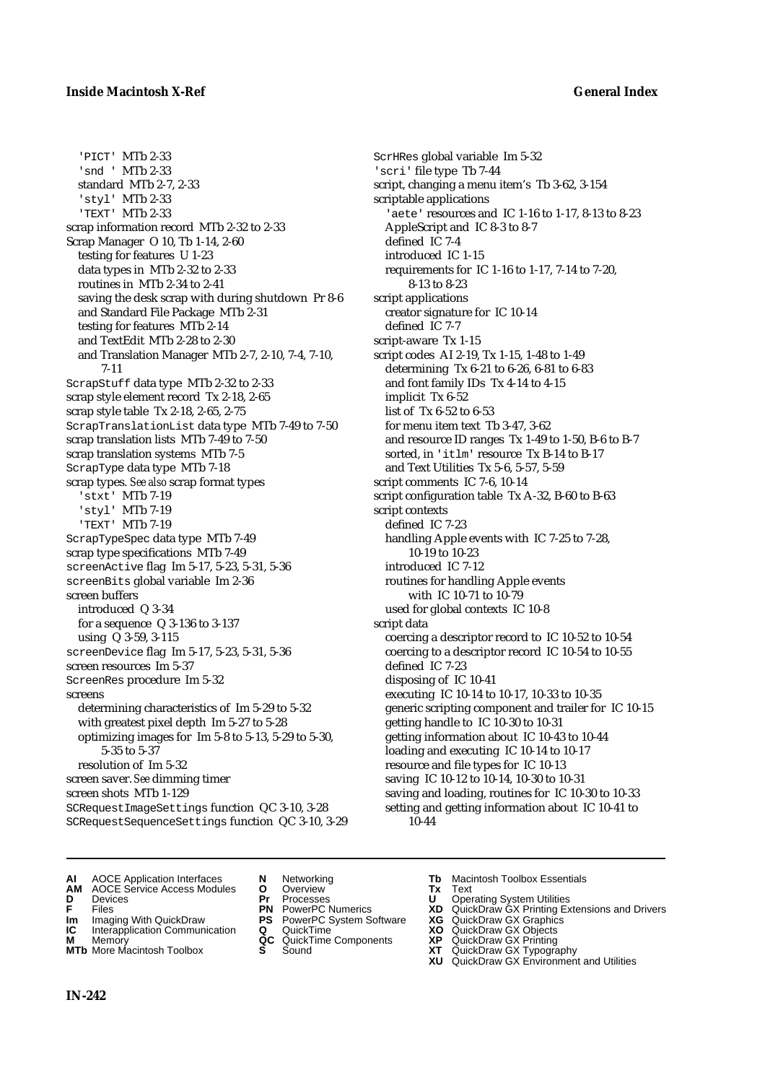'PICT' MTb 2-33 'snd ' MTb 2-33 standard MTb 2-7, 2-33 'styl' MTb 2-33 'TEXT' MTb 2-33 scrap information record MTb 2-32 to 2-33 Scrap Manager O 10, Tb 1-14, 2-60 testing for features U 1-23 data types in MTb 2-32 to 2-33 routines in MTb 2-34 to 2-41 saving the desk scrap with during shutdown Pr 8-6 and Standard File Package MTb 2-31 testing for features MTb 2-14 and TextEdit MTb 2-28 to 2-30 and Translation Manager MTb 2-7, 2-10, 7-4, 7-10, 7-11 ScrapStuff data type MTb 2-32 to 2-33 scrap style element record Tx 2-18, 2-65 scrap style table Tx 2-18, 2-65, 2-75 ScrapTranslationList data type MTb 7-49 to 7-50 scrap translation lists MTb 7-49 to 7-50 scrap translation systems MTb 7-5 ScrapType data type MTb 7-18 scrap types. *See also* scrap format types 'stxt' MTb 7-19 'styl' MTb 7-19 'TEXT' MTb 7-19 ScrapTypeSpec data type MTb 7-49 scrap type specifications MTb 7-49 screenActive flag Im 5-17, 5-23, 5-31, 5-36 screenBits global variable Im 2-36 screen buffers introduced Q 3-34 for a sequence Q 3-136 to 3-137 using Q 3-59, 3-115 screenDevice flag Im 5-17, 5-23, 5-31, 5-36 screen resources Im 5-37 ScreenRes procedure Im 5-32 screens determining characteristics of Im 5-29 to 5-32 with greatest pixel depth Im 5-27 to 5-28 optimizing images for Im 5-8 to 5-13, 5-29 to 5-30, 5-35 to 5-37 resolution of Im 5-32 screen saver. *See* dimming timer screen shots MTb 1-129 SCRequestImageSettings function QC 3-10, 3-28 SCRequestSequenceSettings function QC 3-10, 3-29

ScrHRes global variable Im 5-32 'scri' file type Tb 7-44 script, changing a menu item's Tb 3-62, 3-154 scriptable applications 'aete' resources and IC 1-16 to 1-17, 8-13 to 8-23 AppleScript and IC 8-3 to 8-7 defined IC 7-4 introduced IC 1-15 requirements for IC 1-16 to 1-17, 7-14 to 7-20, 8-13 to 8-23 script applications creator signature for IC 10-14 defined IC 7-7 script-aware Tx 1-15 script codes AI 2-19, Tx 1-15, 1-48 to 1-49 determining Tx 6-21 to 6-26, 6-81 to 6-83 and font family IDs Tx 4-14 to 4-15 implicit Tx 6-52 list of Tx 6-52 to 6-53 for menu item text Tb 3-47, 3-62 and resource ID ranges Tx 1-49 to 1-50, B-6 to B-7 sorted, in 'itlm' resource Tx B-14 to B-17 and Text Utilities Tx 5-6, 5-57, 5-59 script comments IC 7-6, 10-14 script configuration table Tx A-32, B-60 to B-63 script contexts defined IC 7-23 handling Apple events with IC 7-25 to 7-28, 10-19 to 10-23 introduced IC 7-12 routines for handling Apple events with IC 10-71 to 10-79 used for global contexts IC 10-8 script data coercing a descriptor record to IC 10-52 to 10-54 coercing to a descriptor record IC 10-54 to 10-55 defined IC 7-23 disposing of IC 10-41 executing IC 10-14 to 10-17, 10-33 to 10-35 generic scripting component and trailer for IC 10-15 getting handle to IC 10-30 to 10-31 getting information about IC 10-43 to 10-44 loading and executing IC 10-14 to 10-17 resource and file types for IC 10-13 saving IC 10-12 to 10-14, 10-30 to 10-31 saving and loading, routines for IC 10-30 to 10-33 setting and getting information about IC 10-41 to 10-44

- 
- **AI** AOCE Application Interfaces **N** Networking **Tb** Macintosh Toolbox Essentials
- **AM** AOCE Service Access Modules **O** Overview **Tx** Text
- 
- 
- **IM** Files<br> **Im** Imaging With QuickDraw **PS** PowerPC System Software **XG**<br> **IC** Interapplication Communication **Q** QuickTime **XO**
- **Interapplication Communication <b>Q** QuickTime **X XO** Memory **XO XP XP QC** QuickTime Components **XP**
- 
- 
- 
- 
- 
- 
- 
- 
- 
- **D** Devices **Pr** Processes **U** Operating System Utilities
- **F** Files **PN** PowerPC Numerics **XD** QuickDraw GX Printing Extensions and Drivers
	-
	-
- **M** Memory **QC** QuickTime Components **XP** QuickDraw GX Printing
- **MTb** More Macintosh Toolbox **S** Sound **XT** QuickDraw GX Typography
	- **XU** QuickDraw GX Environment and Utilities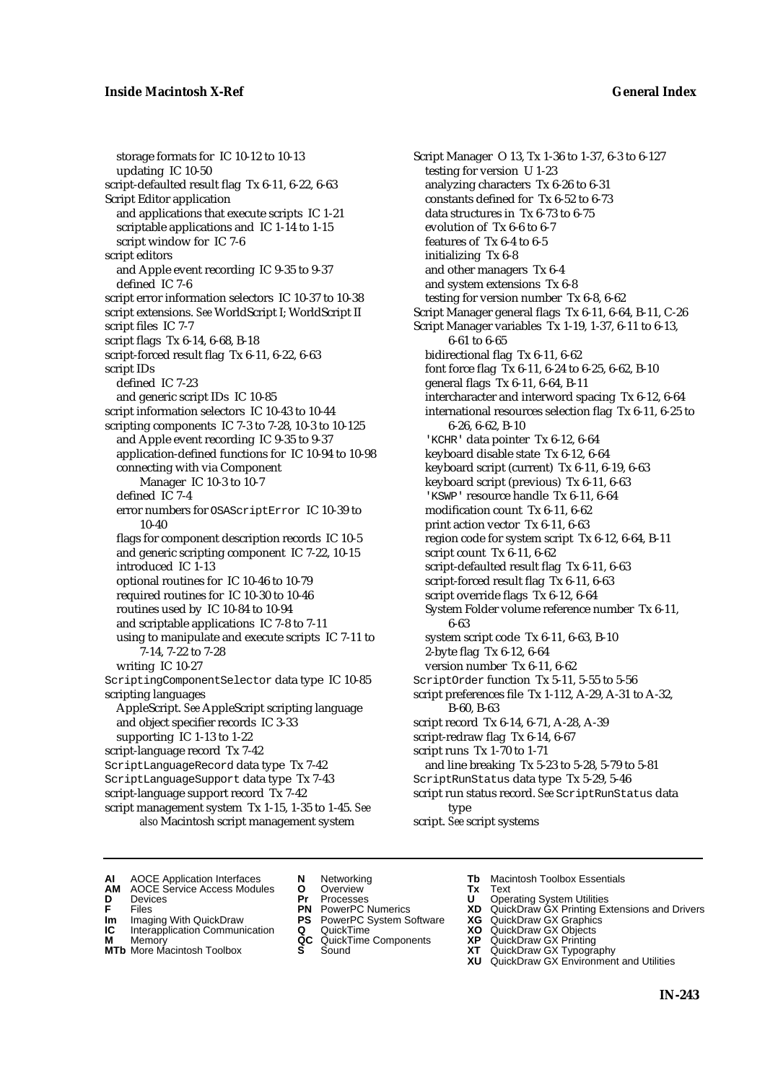### **Inside Macintosh X-Ref General Index**

storage formats for IC 10-12 to 10-13 updating IC 10-50 script-defaulted result flag Tx 6-11, 6-22, 6-63 Script Editor application and applications that execute scripts IC 1-21 scriptable applications and IC 1-14 to 1-15 script window for IC 7-6 script editors and Apple event recording IC 9-35 to 9-37 defined IC 7-6 script error information selectors IC 10-37 to 10-38 script extensions. *See* WorldScript I; WorldScript II script files IC 7-7 script flags Tx 6-14, 6-68, B-18 script-forced result flag Tx 6-11, 6-22, 6-63 script IDs defined IC 7-23 and generic script IDs IC 10-85 script information selectors IC 10-43 to 10-44 scripting components IC 7-3 to 7-28, 10-3 to 10-125 and Apple event recording IC 9-35 to 9-37 application-defined functions for IC 10-94 to 10-98 connecting with via Component Manager IC 10-3 to 10-7 defined IC 7-4 error numbers for OSAScriptError IC 10-39 to 10-40 flags for component description records IC 10-5 and generic scripting component IC 7-22, 10-15 introduced IC 1-13 optional routines for IC 10-46 to 10-79 required routines for IC 10-30 to 10-46 routines used by IC 10-84 to 10-94 and scriptable applications IC 7-8 to 7-11 using to manipulate and execute scripts IC 7-11 to 7-14, 7-22 to 7-28 writing IC 10-27 ScriptingComponentSelector data type IC 10-85 scripting languages AppleScript. *See* AppleScript scripting language and object specifier records IC 3-33 supporting IC 1-13 to 1-22 script-language record Tx 7-42 ScriptLanguageRecord data type Tx 7-42 ScriptLanguageSupport data type Tx 7-43 script-language support record Tx 7-42 script management system Tx 1-15, 1-35 to 1-45. *See* 

*also* Macintosh script management system

Script Manager O 13, Tx 1-36 to 1-37, 6-3 to 6-127 testing for version U 1-23 analyzing characters Tx 6-26 to 6-31 constants defined for Tx 6-52 to 6-73 data structures in Tx 6-73 to 6-75 evolution of Tx 6-6 to 6-7 features of Tx 6-4 to 6-5 initializing Tx 6-8 and other managers Tx 6-4 and system extensions Tx 6-8 testing for version number Tx 6-8, 6-62 Script Manager general flags Tx 6-11, 6-64, B-11, C-26 Script Manager variables Tx 1-19, 1-37, 6-11 to 6-13, 6-61 to 6-65 bidirectional flag Tx 6-11, 6-62 font force flag Tx 6-11, 6-24 to 6-25, 6-62, B-10 general flags Tx 6-11, 6-64, B-11 intercharacter and interword spacing Tx 6-12, 6-64 international resources selection flag Tx 6-11, 6-25 to 6-26, 6-62, B-10 'KCHR' data pointer Tx 6-12, 6-64 keyboard disable state Tx 6-12, 6-64 keyboard script (current) Tx 6-11, 6-19, 6-63 keyboard script (previous) Tx 6-11, 6-63 'KSWP' resource handle Tx 6-11, 6-64 modification count Tx 6-11, 6-62 print action vector Tx 6-11, 6-63 region code for system script Tx 6-12, 6-64, B-11 script count Tx 6-11, 6-62 script-defaulted result flag Tx 6-11, 6-63 script-forced result flag Tx 6-11, 6-63 script override flags Tx 6-12, 6-64 System Folder volume reference number Tx 6-11, 6-63 system script code Tx 6-11, 6-63, B-10 2-byte flag Tx 6-12, 6-64 version number Tx 6-11, 6-62 ScriptOrder function Tx 5-11, 5-55 to 5-56 script preferences file Tx 1-112, A-29, A-31 to A-32, B-60, B-63 script record Tx 6-14, 6-71, A-28, A-39 script-redraw flag Tx 6-14, 6-67 script runs Tx 1-70 to 1-71 and line breaking Tx 5-23 to 5-28, 5-79 to 5-81 ScriptRunStatus data type Tx 5-29, 5-46 script run status record. *See* ScriptRunStatus data type

script. *See* script systems

- **AI** AOCE Application Interfaces **N** Networking **Tb** Macintosh Toolbox Essentials<br> **AM** AOCE Service Access Modules **O** Overview **Tx** Text<br> **D** Devices **Pr** Processes **U** Operating System Utilities
	- AOCE Service Access Modules **O** Overview **Tx** Text<br>Devices **Devices Devices Devices**
- 
- **IM** FILES<br> **Im** Imaging With QuickDraw **PS** PowerPC System Software **XG**<br> **IC** Interapplication Communication **Q** QuickTime **XO**
- **IC** Interapplication Communication **Q** QuickTime **XO M** Memory **XO QC** QuickTime Components **XP**
- 
- **M** Memory **District Acc** QuickTime Components **XP**<br> **MTb** More Macintosh Toolbox **S** Sound **XT**
- 
- **D** Devices **Pr** Processes **U** Operating System Utilities
	-
	-
	-
	-
- 
- 
- **F** Files **PN** PowerPC Numerics **XD** QuickDraw GX Printing Extensions and Drivers
	-
	-
	-
- **MTb** More Macintosh Toolbox **S** Sound **XT** QuickDraw GX Typography
	- **XU** QuickDraw GX Environment and Utilities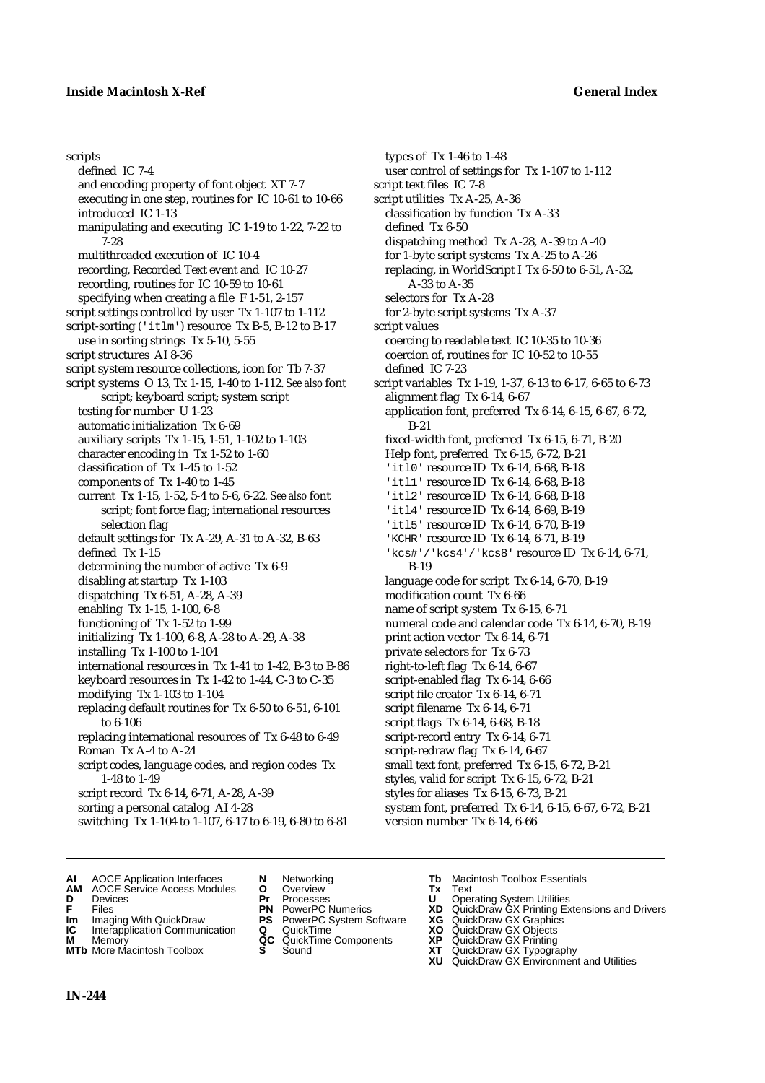scripts defined IC 7-4 and encoding property of font object XT 7-7 executing in one step, routines for IC 10-61 to 10-66 introduced IC 1-13 manipulating and executing IC 1-19 to 1-22, 7-22 to 7-28 multithreaded execution of IC 10-4 recording, Recorded Text event and IC 10-27 recording, routines for IC 10-59 to 10-61 specifying when creating a file F 1-51, 2-157 script settings controlled by user Tx 1-107 to 1-112 script-sorting ('itlm') resource Tx B-5, B-12 to B-17 use in sorting strings Tx 5-10, 5-55 script structures AI 8-36 script system resource collections, icon for Tb 7-37 script systems O 13, Tx 1-15, 1-40 to 1-112. *See also* font script; keyboard script; system script testing for number U 1-23 automatic initialization Tx 6-69 auxiliary scripts Tx 1-15, 1-51, 1-102 to 1-103 character encoding in Tx 1-52 to 1-60 classification of Tx 1-45 to 1-52 components of Tx 1-40 to 1-45 current Tx 1-15, 1-52, 5-4 to 5-6, 6-22. *See also* font script; font force flag; international resources selection flag default settings for Tx A-29, A-31 to A-32, B-63 defined Tx 1-15 determining the number of active Tx 6-9 disabling at startup Tx 1-103 dispatching Tx 6-51, A-28, A-39 enabling Tx 1-15, 1-100, 6-8 functioning of Tx 1-52 to 1-99 initializing Tx 1-100, 6-8, A-28 to A-29, A-38 installing Tx 1-100 to 1-104 international resources in Tx 1-41 to 1-42, B-3 to B-86 keyboard resources in Tx 1-42 to 1-44, C-3 to C-35 modifying Tx 1-103 to 1-104 replacing default routines for Tx 6-50 to 6-51, 6-101 to 6-106 replacing international resources of Tx 6-48 to 6-49 Roman Tx A-4 to A-24 script codes, language codes, and region codes Tx 1-48 to 1-49 script record Tx 6-14, 6-71, A-28, A-39 sorting a personal catalog AI 4-28 switching Tx 1-104 to 1-107, 6-17 to 6-19, 6-80 to 6-81

types of Tx 1-46 to 1-48 user control of settings for Tx 1-107 to 1-112 script text files IC 7-8 script utilities Tx A-25, A-36 classification by function Tx A-33 defined Tx 6-50 dispatching method Tx A-28, A-39 to A-40 for 1-byte script systems Tx A-25 to A-26 replacing, in WorldScript I Tx 6-50 to 6-51, A-32, A-33 to A-35 selectors for Tx A-28 for 2-byte script systems Tx A-37 script values coercing to readable text IC 10-35 to 10-36 coercion of, routines for IC 10-52 to 10-55 defined IC 7-23 script variables Tx 1-19, 1-37, 6-13 to 6-17, 6-65 to 6-73 alignment flag Tx 6-14, 6-67 application font, preferred Tx 6-14, 6-15, 6-67, 6-72, B-21 fixed-width font, preferred Tx 6-15, 6-71, B-20 Help font, preferred Tx 6-15, 6-72, B-21 'itl0' resource ID Tx 6-14, 6-68, B-18 'itl1' resource ID Tx 6-14, 6-68, B-18 'itl2' resource ID Tx 6-14, 6-68, B-18 'itl4' resource ID Tx 6-14, 6-69, B-19 'itl5' resource ID Tx 6-14, 6-70, B-19 'KCHR' resource ID Tx 6-14, 6-71, B-19 'kcs#'/'kcs4'/'kcs8' resource ID Tx 6-14, 6-71, B-19 language code for script Tx 6-14, 6-70, B-19 modification count Tx 6-66 name of script system Tx 6-15, 6-71 numeral code and calendar code Tx 6-14, 6-70, B-19 print action vector Tx 6-14, 6-71 private selectors for Tx 6-73 right-to-left flag Tx 6-14, 6-67 script-enabled flag Tx 6-14, 6-66 script file creator Tx 6-14, 6-71 script filename Tx 6-14, 6-71 script flags Tx 6-14, 6-68, B-18 script-record entry Tx 6-14, 6-71 script-redraw flag Tx 6-14, 6-67 small text font, preferred Tx 6-15, 6-72, B-21 styles, valid for script Tx 6-15, 6-72, B-21 styles for aliases Tx 6-15, 6-73, B-21 system font, preferred Tx 6-14, 6-15, 6-67, 6-72, B-21 version number Tx 6-14, 6-66

- 
- **AI** AOCE Application Interfaces **N** Networking **Tb** Macintosh Toolbox Essentials<br> **AM** AOCE Service Access Modules **O** Overview **Tx** Text<br> **D** Devices **Pr** Processes **U** Operating System Utilities **AM** AOCE Service Access Modules **O** Overview **Tx** Text
- **D** Devices **Pr** Processes **U** Operating System Utilities
- 
- 
- **Im** Imaging With QuickDraw **PS** PowerPC System Software **XG IC** Interapplication Communication **Q** QuickTime **COVIC Interapplication Communication <b>Q** QuickTime **XO** Memory **XO** Memory **XP QC** QuickTime Components **XP**
- **M** Memory **Discussed AC** QuickTime Components **XP**<br> **MTb** More Macintosh Toolbox **S** Sound **XT**
- **MTb** More Macintosh Toolbox **S** Sound **XT** QuickDraw GX Typography
- 
- 
- 
- 
- 
- -
- 
- 
- **FRICAG CONSISTS IN THE PROCESSES CONSISTS AND CONSIST CONSISTENT CONSISTS CONSISTS PRINTIPLE PROCESSES CONSISTS CON<br>
<b>F**FRICES **PN** POWERPC Numerics **XD** QuickDraw GX Printing Extensions and Drivers<br> **Im** Imaging With Qui
	-
	-
	-
	-
	- **XU** QuickDraw GX Environment and Utilities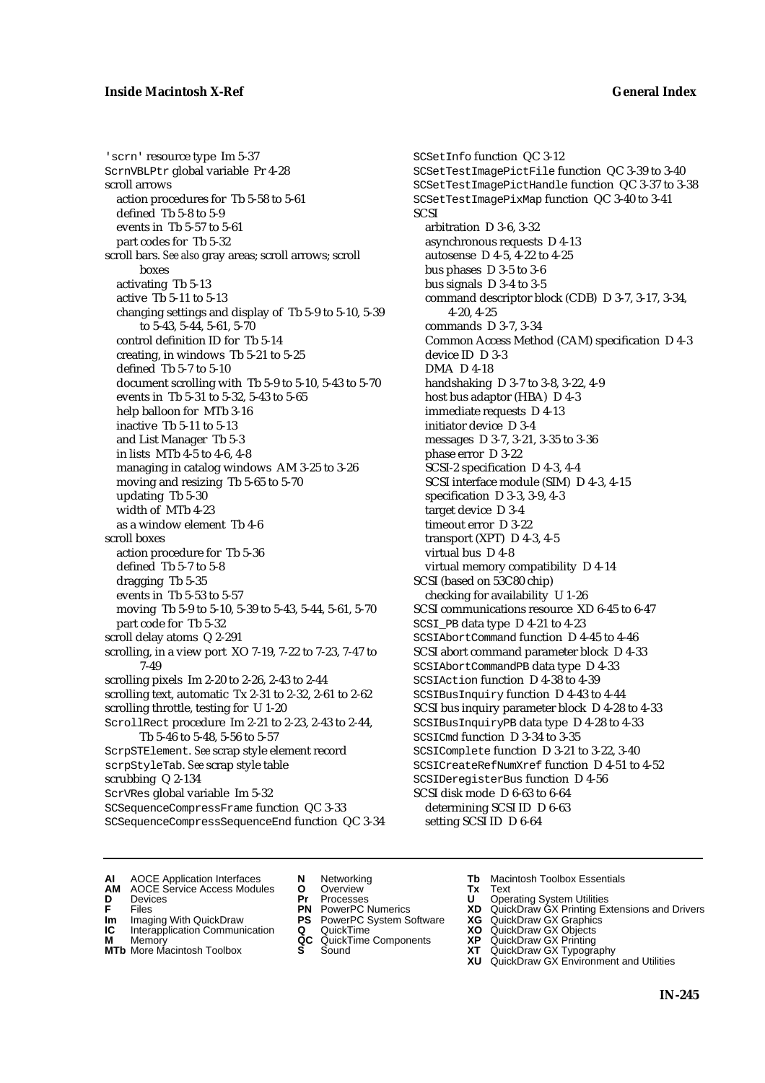'scrn' resource type Im 5-37 ScrnVBLPtr global variable Pr 4-28 scroll arrows action procedures for Tb 5-58 to 5-61 defined Tb 5-8 to 5-9 events in Tb 5-57 to 5-61 part codes for Tb 5-32 scroll bars. *See also* gray areas; scroll arrows; scroll boxes activating Tb 5-13 active Tb 5-11 to 5-13 changing settings and display of Tb 5-9 to 5-10, 5-39 to 5-43, 5-44, 5-61, 5-70 control definition ID for Tb 5-14 creating, in windows Tb 5-21 to 5-25 defined Tb 5-7 to 5-10 document scrolling with Tb 5-9 to 5-10, 5-43 to 5-70 events in Tb 5-31 to 5-32, 5-43 to 5-65 help balloon for MTb 3-16 inactive Tb 5-11 to 5-13 and List Manager Tb 5-3 in lists MTb 4-5 to 4-6, 4-8 managing in catalog windows AM 3-25 to 3-26 moving and resizing Tb 5-65 to 5-70 updating Tb 5-30 width of MTb 4-23 as a window element Tb 4-6 scroll boxes action procedure for Tb 5-36 defined Tb 5-7 to 5-8 dragging Tb 5-35 events in Tb 5-53 to 5-57 moving Tb 5-9 to 5-10, 5-39 to 5-43, 5-44, 5-61, 5-70 part code for Tb 5-32 scroll delay atoms Q 2-291 scrolling, in a view port XO 7-19, 7-22 to 7-23, 7-47 to 7-49 scrolling pixels Im 2-20 to 2-26, 2-43 to 2-44 scrolling text, automatic Tx 2-31 to 2-32, 2-61 to 2-62 scrolling throttle, testing for U 1-20 ScrollRect procedure Im 2-21 to 2-23, 2-43 to 2-44, Tb 5-46 to 5-48, 5-56 to 5-57 ScrpSTElement. *See* scrap style element record scrpStyleTab. *See* scrap style table scrubbing Q 2-134 ScrVRes global variable Im 5-32 SCSequenceCompressFrame function QC 3-33 SCSequenceCompressSequenceEnd function QC 3-34 SCSetInfo function QC 3-12 SCSetTestImagePictFile function QC 3-39 to 3-40 SCSetTestImagePictHandle function QC 3-37 to 3-38 SCSetTestImagePixMap function QC 3-40 to 3-41 **SCSI** arbitration D 3-6, 3-32 asynchronous requests D 4-13 autosense D 4-5, 4-22 to 4-25 bus phases D 3-5 to 3-6 bus signals D 3-4 to 3-5 command descriptor block (CDB) D 3-7, 3-17, 3-34, 4-20, 4-25 commands D 3-7, 3-34 Common Access Method (CAM) specification D 4-3 device ID D 3-3 DMA D 4-18 handshaking D 3-7 to 3-8, 3-22, 4-9 host bus adaptor (HBA) D 4-3 immediate requests D 4-13 initiator device D 3-4 messages D 3-7, 3-21, 3-35 to 3-36 phase error D 3-22 SCSI-2 specification D 4-3, 4-4 SCSI interface module (SIM) D 4-3, 4-15 specification D 3-3, 3-9, 4-3 target device D 3-4 timeout error D 3-22 transport (XPT) D 4-3, 4-5 virtual bus D 4-8 virtual memory compatibility D 4-14 SCSI (based on 53C80 chip) checking for availability U 1-26 SCSI communications resource XD 6-45 to 6-47 SCSI\_PB data type D 4-21 to 4-23 SCSIAbortCommand function D 4-45 to 4-46 SCSI abort command parameter block D 4-33 SCSIAbortCommandPB data type D 4-33 SCSIAction function D 4-38 to 4-39 SCSIBusInquiry function D 4-43 to 4-44 SCSI bus inquiry parameter block D 4-28 to 4-33 SCSIBusInquiryPB data type D 4-28 to 4-33 SCSICmd function D 3-34 to 3-35 SCSIComplete function D 3-21 to 3-22, 3-40 SCSICreateRefNumXref function D 4-51 to 4-52 SCSIDeregisterBus function D 4-56 SCSI disk mode D 6-63 to 6-64 determining SCSI ID D 6-63 setting SCSI ID D 6-64

- **AI** AOCE Application Interfaces **N** Networking **The Macintosh Toolbox Essentials**<br> **AM** AOCE Service Access Modules **O** Overview **Tx** Text<br> **D** Devices **Pr** Processes **U** Operating System Utilities
- AOCE Service Access Modules **O** Overview **Tx** Text<br>Devices **Devices Devices Devices**
- 
- 
- **IM** FILES<br> **Im** Imaging With QuickDraw **PS** PowerPC System Software **XG**<br> **IC** Interapplication Communication **Q** QuickTime **XO**
- **IC** Interapplication Communication **Q** QuickTime **XO M** Memory **XO QC** QuickTime Components **XP M** Memory **QC** QuickTime Components **XP**<br>**MTb** More Macintosh Toolbox **S** Sound **XT**
- **MTb** More Macintosh Toolbox **S** Sound **XT** QuickDraw GX Typography
- 
- **D** Devices **Pr** Processes **U** Operating System Utilities
	-
	-
	-
	-
- 
- 
- **F** Files **PN** PowerPC Numerics **XD** QuickDraw GX Printing Extensions and Drivers
	-
	-
	-
	-
	- **XU** QuickDraw GX Environment and Utilities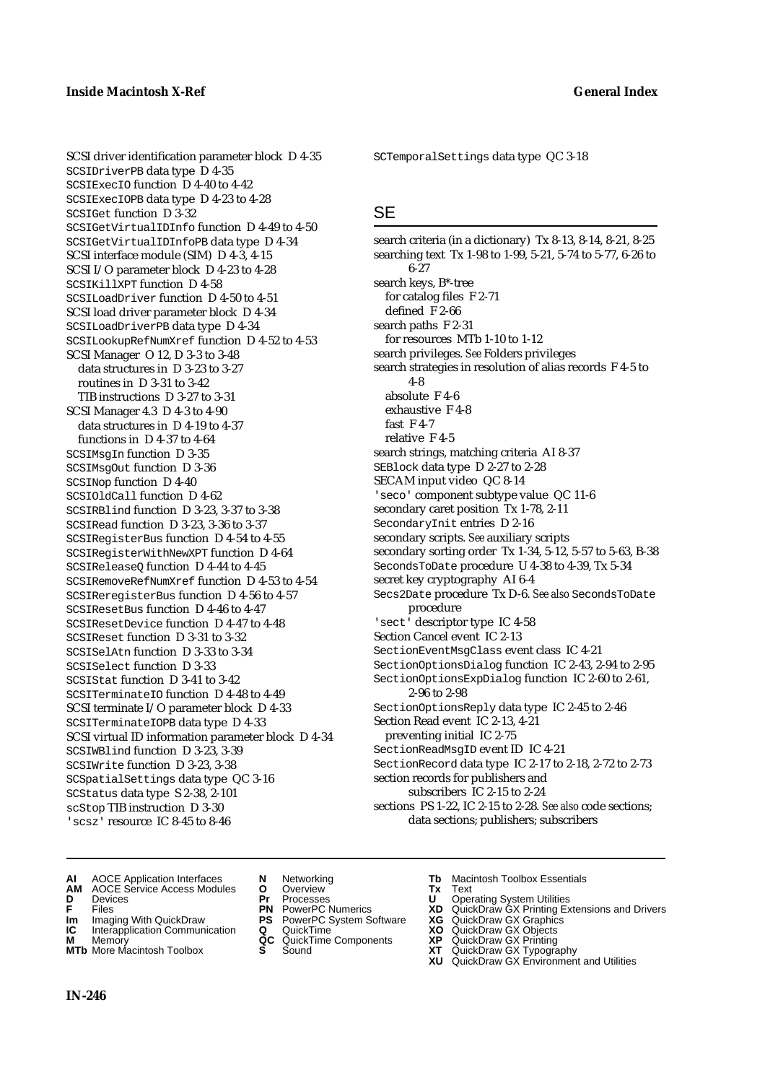SCSIDriverPB data type D 4-35 SCSIExecIO function D 4-40 to 4-42 SCSIExecIOPB data type D 4-23 to 4-28

SCSIGet function D 3-32

SCSIKillXPT function D 4-58

SCSI Manager O 12, D 3-3 to 3-48 data structures in D 3-23 to 3-27 routines in D 3-31 to 3-42 TIB instructions D 3-27 to 3-31 SCSI Manager 4.3 D 4-3 to 4-90 data structures in D 4-19 to 4-37 functions in D 4-37 to 4-64 SCSIMsgIn function D 3-35 SCSIMsgOut function D 3-36 SCSINop function D 4-40 SCSIOldCall function D 4-62

SCSILoadDriver function D 4-50 to 4-51 SCSI load driver parameter block D 4-34 SCSILoadDriverPB data type D 4-34

SCSIRBlind function D 3-23, 3-37 to 3-38 SCSIRead function D 3-23, 3-36 to 3-37 SCSIRegisterBus function D 4-54 to 4-55 SCSIRegisterWithNewXPT function D 4-64 SCSIReleaseQ function D 4-44 to 4-45

SCSIRemoveRefNumXref function D 4-53 to 4-54 SCSIReregisterBus function D 4-56 to 4-57 SCSIResetBus function D 4-46 to 4-47 SCSIResetDevice function D 4-47 to 4-48 SCSIReset function D 3-31 to 3-32 SCSISelAtn function D 3-33 to 3-34 SCSISelect function D 3-33 SCSIStat function D 3-41 to 3-42

SCSITerminateIO function D 4-48 to 4-49 SCSI terminate I/O parameter block D 4-33 SCSITerminateIOPB data type D 4-33

SCSI virtual ID information parameter block D 4-34

SCSI driver identification parameter block D 4-35

SCSIGetVirtualIDInfo function D 4-49 to 4-50 SCSIGetVirtualIDInfoPB data type D 4-34 SCSI interface module (SIM) D 4-3, 4-15 SCSI I/O parameter block D 4-23 to 4-28

SCSILookupRefNumXref function D 4-52 to 4-53

SCTemporalSettings data type QC 3-18

### **SE**

search criteria (in a dictionary) Tx 8-13, 8-14, 8-21, 8-25 searching text Tx 1-98 to 1-99, 5-21, 5-74 to 5-77, 6-26 to 6-27 search keys, B\*-tree for catalog files F 2-71 defined F 2-66 search paths F 2-31 for resources MTb 1-10 to 1-12 search privileges. *See* Folders privileges search strategies in resolution of alias records F 4-5 to 4-8 absolute F 4-6 exhaustive F 4-8 fast F 4-7 relative F 4-5 search strings, matching criteria AI 8-37 SEBlock data type D 2-27 to 2-28 SECAM input video QC 8-14 'seco' component subtype value QC 11-6 secondary caret position Tx 1-78, 2-11 SecondaryInit entries D 2-16 secondary scripts. *See* auxiliary scripts secondary sorting order Tx 1-34, 5-12, 5-57 to 5-63, B-38 SecondsToDate procedure U 4-38 to 4-39, Tx 5-34 secret key cryptography AI 6-4 Secs2Date procedure Tx D-6. *See also* SecondsToDate procedure 'sect' descriptor type IC 4-58 Section Cancel event IC 2-13 SectionEventMsgClass event class IC 4-21 SectionOptionsDialog function IC 2-43, 2-94 to 2-95 SectionOptionsExpDialog function IC 2-60 to 2-61, 2-96 to 2-98 SectionOptionsReply data type IC 2-45 to 2-46 Section Read event IC 2-13, 4-21 preventing initial IC 2-75 SectionReadMsgID event ID IC 4-21 SectionRecord data type IC 2-17 to 2-18, 2-72 to 2-73 section records for publishers and subscribers IC 2-15 to 2-24 sections PS 1-22, IC 2-15 to 2-28. *See also* code sections; data sections; publishers; subscribers

**AI** AOCE Application Interfaces **N** Networking **Tb** Macintosh Toolbox Essentials

SCSIWBlind function D 3-23, 3-39 SCSIWrite function D 3-23, 3-38 SCSpatialSettings data type QC 3-16 SCStatus data type S 2-38, 2-101 scStop TIB instruction D 3-30 'scsz' resource IC 8-45 to 8-46

- **AM** AOCE Service Access Modules **O** Overview **Tx** Text
- 
- 
- **Im** Imaging With QuickDraw **PS** PowerPC System Software **XG IC** Interapplication Communication **Q** QuickTime **COVIC**
- **Interapplication Communication <b>Q** QuickTime **XO** Memory **XO** Memory **XP QC** QuickTime Components **XP**
- **M** Memory **CC** QuickTime Components **XP**<br>**MTb** More Macintosh Toolbox **S** Sound **COX AT**
- 
- **D** Devices **Pr** Processes **U** Operating System Utilities
	-
	-
	-
	-
- 
- 
- **FRICAG CONSISTS IN THE PROCESSES CONSISTS AND CONSIST CONSISTENT CONSISTS CONSISTS PROCESSES**<br> **F** Files **PN** PowerPC Numerics **XD** QuickDraw GX Printing Extensions and Drivers<br> **Im** Imaging With QuickDraw **PS** PowerPC Sy
	-
	-
	-
- **MTb** More Macintosh Toolbox **S** Sound **XT** QuickDraw GX Typography
	- **XU** QuickDraw GX Environment and Utilities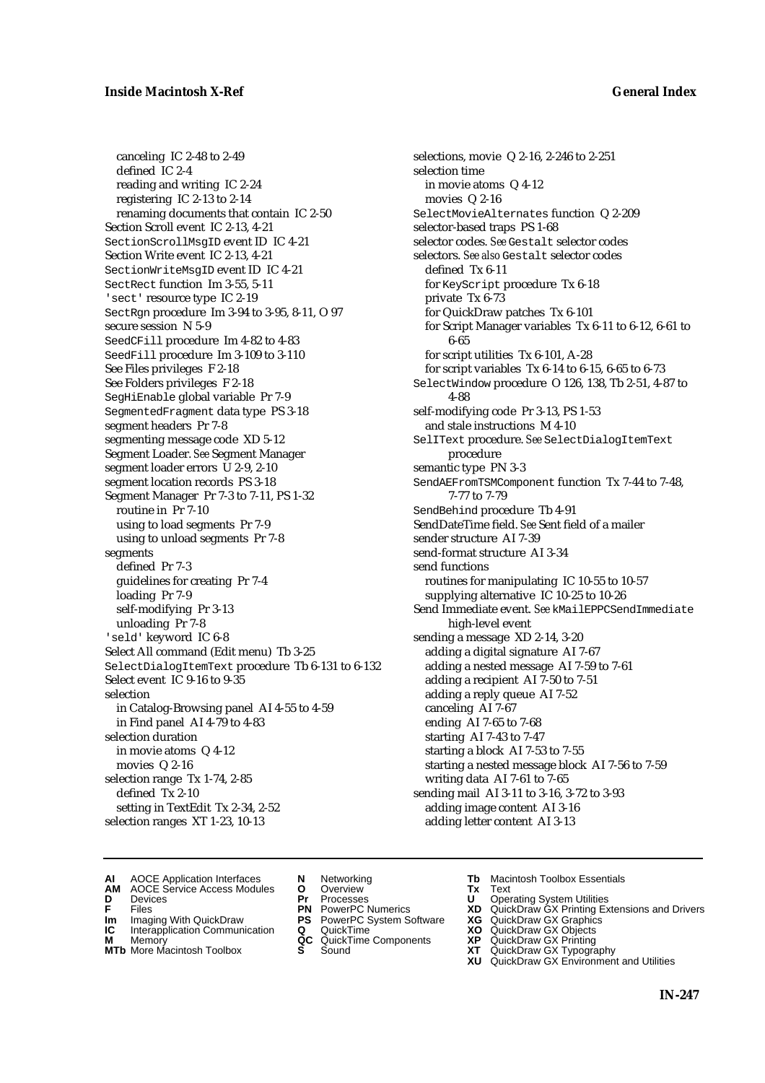canceling IC 2-48 to 2-49 defined IC 2-4 reading and writing IC 2-24 registering IC 2-13 to 2-14 renaming documents that contain IC 2-50 Section Scroll event IC 2-13, 4-21 SectionScrollMsgID event ID IC 4-21 Section Write event IC 2-13, 4-21 SectionWriteMsgID event ID IC 4-21 SectRect function Im 3-55, 5-11 'sect' resource type IC 2-19 SectRgn procedure Im 3-94 to 3-95, 8-11, O 97 secure session N 5-9 SeedCFill procedure Im 4-82 to 4-83 SeedFill procedure Im 3-109 to 3-110 See Files privileges F 2-18 See Folders privileges F 2-18 SegHiEnable global variable Pr 7-9 SegmentedFragment data type PS 3-18 segment headers Pr 7-8 segmenting message code XD 5-12 Segment Loader. *See* Segment Manager segment loader errors U 2-9, 2-10 segment location records PS 3-18 Segment Manager Pr 7-3 to 7-11, PS 1-32 routine in Pr 7-10 using to load segments Pr 7-9 using to unload segments Pr 7-8 segments defined Pr 7-3 guidelines for creating Pr 7-4 loading Pr 7-9 self-modifying Pr 3-13 unloading Pr 7-8 'seld' keyword IC 6-8 Select All command (Edit menu) Tb 3-25 SelectDialogItemText procedure Tb 6-131 to 6-132 Select event IC 9-16 to 9-35 selection in Catalog-Browsing panel AI 4-55 to 4-59 in Find panel AI 4-79 to 4-83 selection duration in movie atoms Q 4-12 movies Q 2-16 selection range Tx 1-74, 2-85 defined Tx 2-10 setting in TextEdit Tx 2-34, 2-52 selection ranges XT 1-23, 10-13

selections, movie Q 2-16, 2-246 to 2-251 selection time in movie atoms Q 4-12 movies Q 2-16 SelectMovieAlternates function Q 2-209 selector-based traps PS 1-68 selector codes. *See* Gestalt selector codes selectors. *See also* Gestalt selector codes defined Tx 6-11 for KeyScript procedure Tx 6-18 private Tx 6-73 for QuickDraw patches Tx 6-101 for Script Manager variables Tx 6-11 to 6-12, 6-61 to 6-65 for script utilities Tx 6-101, A-28 for script variables Tx 6-14 to 6-15, 6-65 to 6-73 SelectWindow procedure O 126, 138, Tb 2-51, 4-87 to 4-88 self-modifying code Pr 3-13, PS 1-53 and stale instructions M 4-10 SelIText procedure. *See* SelectDialogItemText procedure semantic type PN 3-3 SendAEFromTSMComponent function Tx 7-44 to 7-48, 7-77 to 7-79 SendBehind procedure Tb 4-91 SendDateTime field. *See* Sent field of a mailer sender structure AI 7-39 send-format structure AI 3-34 send functions routines for manipulating IC 10-55 to 10-57 supplying alternative IC 10-25 to 10-26 Send Immediate event. *See* kMailEPPCSendImmediate high-level event sending a message XD 2-14, 3-20 adding a digital signature AI 7-67 adding a nested message AI 7-59 to 7-61 adding a recipient AI 7-50 to 7-51 adding a reply queue AI 7-52 canceling AI 7-67 ending AI 7-65 to 7-68 starting AI 7-43 to 7-47 starting a block AI 7-53 to 7-55 starting a nested message block AI 7-56 to 7-59 writing data AI 7-61 to 7-65 sending mail AI 3-11 to 3-16, 3-72 to 3-93 adding image content AI 3-16 adding letter content AI 3-13

- **AI** AOCE Application Interfaces **N** Networking **Tb** Macintosh Toolbox Essentials
- **AM** AOCE Service Access Modules **O** Overview **Tx** Text
- 
- 
- **Im** Imaging With QuickDraw **PS** PowerPC System Software **XG IC** Interapplication Communication **Q** QuickTime **XO**
- **IC** Interapplication Communication **Q** QuickTime **XO M** Memory **XP QC** QuickTime Components **XP M** Memory **CONSISTENT CONSISTENT QC** QuickTime Components **XP**<br> **MTb** More Macintosh Toolbox **S** Sound **XT**
- **MTb** More Macintosh Toolbox **S** Sound **XT** QuickDraw GX Typography
- 
- **D** Devices **Pr** Processes **U** Operating System Utilities
	-
	-
	-
	-
- 
- 
- **F** Files **PN** PowerPC Numerics **XD** QuickDraw GX Printing Extensions and Drivers
	-
	-
	-
	-
	- **XU** QuickDraw GX Environment and Utilities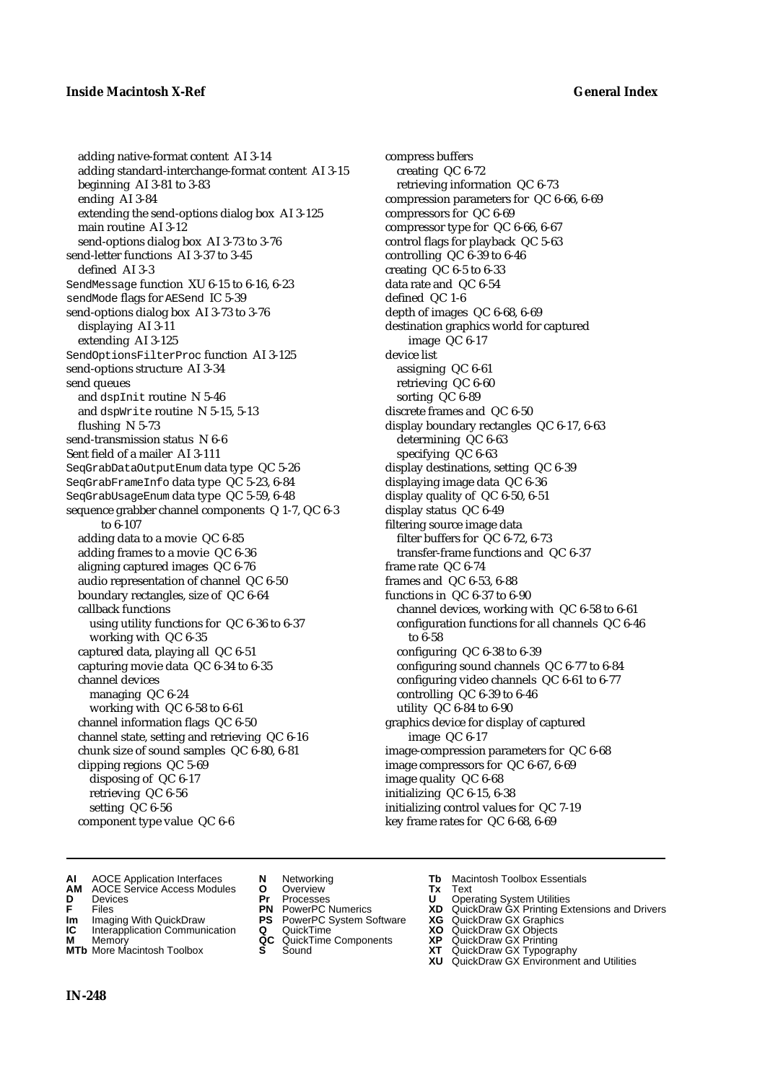adding native-format content AI 3-14 adding standard-interchange-format content AI 3-15 beginning AI 3-81 to 3-83 ending AI 3-84 extending the send-options dialog box AI 3-125 main routine AI 3-12 send-options dialog box AI 3-73 to 3-76 send-letter functions AI 3-37 to 3-45 defined AI 3-3 SendMessage function XU 6-15 to 6-16, 6-23 sendMode flags for AESend IC 5-39 send-options dialog box AI 3-73 to 3-76 displaying AI 3-11 extending AI 3-125 SendOptionsFilterProc function AI 3-125 send-options structure AI 3-34 send queues and dspInit routine N 5-46 and dspWrite routine N 5-15, 5-13 flushing N 5-73 send-transmission status N 6-6 Sent field of a mailer AI 3-111 SeqGrabDataOutputEnum data type QC 5-26 SeqGrabFrameInfo data type QC 5-23, 6-84 SeqGrabUsageEnum data type QC 5-59, 6-48 sequence grabber channel components Q 1-7, QC 6-3 to 6-107 adding data to a movie QC 6-85 adding frames to a movie QC 6-36 aligning captured images QC 6-76 audio representation of channel QC 6-50 boundary rectangles, size of QC 6-64 callback functions using utility functions for QC 6-36 to 6-37 working with QC 6-35 captured data, playing all QC 6-51 capturing movie data QC 6-34 to 6-35 channel devices managing QC 6-24 working with QC 6-58 to 6-61 channel information flags QC 6-50 channel state, setting and retrieving QC 6-16 chunk size of sound samples QC 6-80, 6-81 clipping regions QC 5-69 disposing of QC 6-17 retrieving QC 6-56 setting QC 6-56 component type value QC 6-6

compress buffers creating QC 6-72 retrieving information QC 6-73 compression parameters for QC 6-66, 6-69 compressors for QC 6-69 compressor type for QC 6-66, 6-67 control flags for playback QC 5-63 controlling QC 6-39 to 6-46 creating QC 6-5 to 6-33 data rate and QC 6-54 defined QC 1-6 depth of images QC 6-68, 6-69 destination graphics world for captured image QC 6-17 device list assigning QC 6-61 retrieving QC 6-60 sorting QC 6-89 discrete frames and QC 6-50 display boundary rectangles QC 6-17, 6-63 determining QC 6-63 specifying QC 6-63 display destinations, setting QC 6-39 displaying image data QC 6-36 display quality of QC 6-50, 6-51 display status QC 6-49 filtering source image data filter buffers for QC 6-72, 6-73 transfer-frame functions and QC 6-37 frame rate QC 6-74 frames and QC 6-53, 6-88 functions in QC 6-37 to 6-90 channel devices, working with QC 6-58 to 6-61 configuration functions for all channels QC 6-46 to 6-58 configuring QC 6-38 to 6-39 configuring sound channels QC 6-77 to 6-84 configuring video channels QC 6-61 to 6-77 controlling QC 6-39 to 6-46 utility QC 6-84 to 6-90 graphics device for display of captured image QC 6-17 image-compression parameters for QC 6-68 image compressors for QC 6-67, 6-69 image quality QC 6-68 initializing QC 6-15, 6-38 initializing control values for QC 7-19 key frame rates for QC 6-68, 6-69

- **AI** AOCE Application Interfaces **N** Networking **Tb** Macintosh Toolbox Essentials<br> **AM** AOCE Service Access Modules **O** Overview **Tx** Text<br> **D** Devices **Pr** Processes **U** Operating System Utilities
- **AM** AOCE Service Access Modules **O** Overview **Tx** Text
- 
- 
- **Im** Imaging With QuickDraw **PS** PowerPC System Software **XG IC** Interapplication Communication **Q** QuickTime **COVIC**
- **Interapplication Communication <b>Q** QuickTime **XO** Memory **XO** Memory **XP QC** QuickTime Components **XP**
- **M** Memory **Discussed AC** QuickTime Components **XP**<br> **MTb** More Macintosh Toolbox **S** Sound **XT MTb** More Macintosh Toolbox **S** Sound **XT** QuickDraw GX Typography
- 
- **D** Devices **Pr** Processes **U** Operating System Utilities
	-
	-
	-
	-
- 
- 
- **F** Files **PN** PowerPC Numerics **XD** QuickDraw GX Printing Extensions and Drivers
	-
	-
	-
	-
	- **XU** QuickDraw GX Environment and Utilities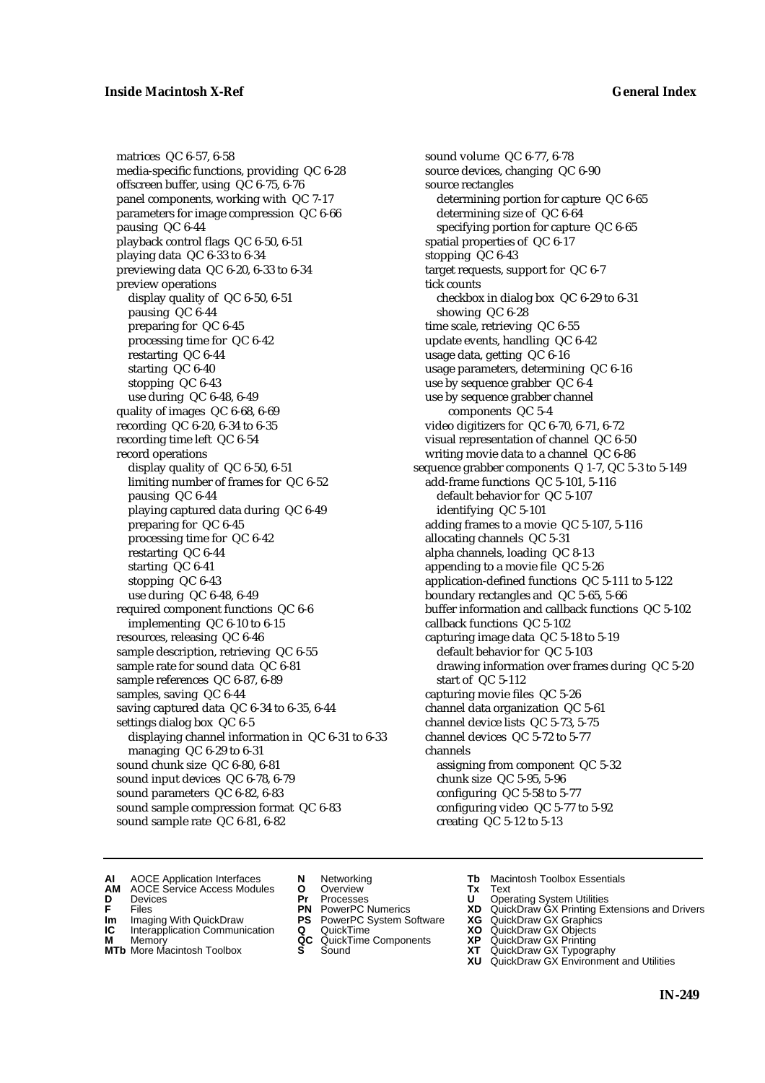matrices QC 6-57, 6-58 media-specific functions, providing QC 6-28 offscreen buffer, using QC 6-75, 6-76 panel components, working with QC 7-17 parameters for image compression QC 6-66 pausing QC 6-44 playback control flags QC 6-50, 6-51 playing data QC 6-33 to 6-34 previewing data QC 6-20, 6-33 to 6-34 preview operations display quality of QC 6-50, 6-51 pausing QC 6-44 preparing for QC 6-45 processing time for QC 6-42 restarting QC 6-44 starting QC 6-40 stopping QC 6-43 use during QC 6-48, 6-49 quality of images QC 6-68, 6-69 recording QC 6-20, 6-34 to 6-35 recording time left QC 6-54 record operations display quality of QC 6-50, 6-51 limiting number of frames for QC 6-52 pausing QC 6-44 playing captured data during QC 6-49 preparing for QC 6-45 processing time for QC 6-42 restarting QC 6-44 starting QC 6-41 stopping QC 6-43 use during QC 6-48, 6-49 required component functions QC 6-6 implementing QC 6-10 to 6-15 resources, releasing QC 6-46 sample description, retrieving QC 6-55 sample rate for sound data QC 6-81 sample references QC 6-87, 6-89 samples, saving QC 6-44 saving captured data QC 6-34 to 6-35, 6-44 settings dialog box QC 6-5 displaying channel information in QC 6-31 to 6-33 managing QC 6-29 to 6-31 sound chunk size QC 6-80, 6-81 sound input devices QC 6-78, 6-79 sound parameters QC 6-82, 6-83 sound sample compression format QC 6-83 sound sample rate QC 6-81, 6-82

sound volume QC 6-77, 6-78 source devices, changing QC 6-90 source rectangles determining portion for capture QC 6-65 determining size of QC 6-64 specifying portion for capture QC 6-65 spatial properties of QC 6-17 stopping QC 6-43 target requests, support for QC 6-7 tick counts checkbox in dialog box QC 6-29 to 6-31 showing QC 6-28 time scale, retrieving QC 6-55 update events, handling QC 6-42 usage data, getting QC 6-16 usage parameters, determining QC 6-16 use by sequence grabber QC 6-4 use by sequence grabber channel components QC 5-4 video digitizers for QC 6-70, 6-71, 6-72 visual representation of channel QC 6-50 writing movie data to a channel QC 6-86 sequence grabber components Q 1-7, QC 5-3 to 5-149 add-frame functions QC 5-101, 5-116 default behavior for QC 5-107 identifying QC 5-101 adding frames to a movie QC 5-107, 5-116 allocating channels QC 5-31 alpha channels, loading QC 8-13 appending to a movie file QC 5-26 application-defined functions QC 5-111 to 5-122 boundary rectangles and QC 5-65, 5-66 buffer information and callback functions QC 5-102 callback functions QC 5-102 capturing image data QC 5-18 to 5-19 default behavior for QC 5-103 drawing information over frames during QC 5-20 start of QC 5-112 capturing movie files QC 5-26 channel data organization QC 5-61 channel device lists QC 5-73, 5-75 channel devices QC 5-72 to 5-77 channels assigning from component QC 5-32 chunk size QC 5-95, 5-96 configuring QC 5-58 to 5-77 configuring video QC 5-77 to 5-92 creating QC 5-12 to 5-13

- **AI** AOCE Application Interfaces **N** Networking **Tb** Macintosh Toolbox Essentials<br> **AM** AOCE Service Access Modules **O** Overview **Tx** Text<br> **D** Devices **Pr** Processes **U** Operating System Utilities
- AOCE Service Access Modules **O** Overview **Tx** Text<br>Devices **Devices Devices Devices**
- 
- **D** Devices **Pr** Processes **U** Operating System Utilities
	-
- **Im** Files<br> **Im** Imaging With QuickDraw **PS** PowerPC System Software **XG**<br> **IC** Interapplication Communication **Q** QuickTime **XO**
- **IC** Interapplication Communication **Q** QuickTime **XO M** Memory **XO QC** QuickTime Components **XP M** Memory **District Acc** QuickTime Components **XP**<br> **MTb** More Macintosh Toolbox **S** Sound **XT**
- **MTb** More Macintosh Toolbox **S** Sound **XT** QuickDraw GX Typography
- 
- 
- 
- 
- 
- 
- 
- 
- **F** Files **PN** PowerPC Numerics **XD** QuickDraw GX Printing Extensions and Drivers
	-
	-
	-
	- **XU** QuickDraw GX Environment and Utilities
		- **IN-249**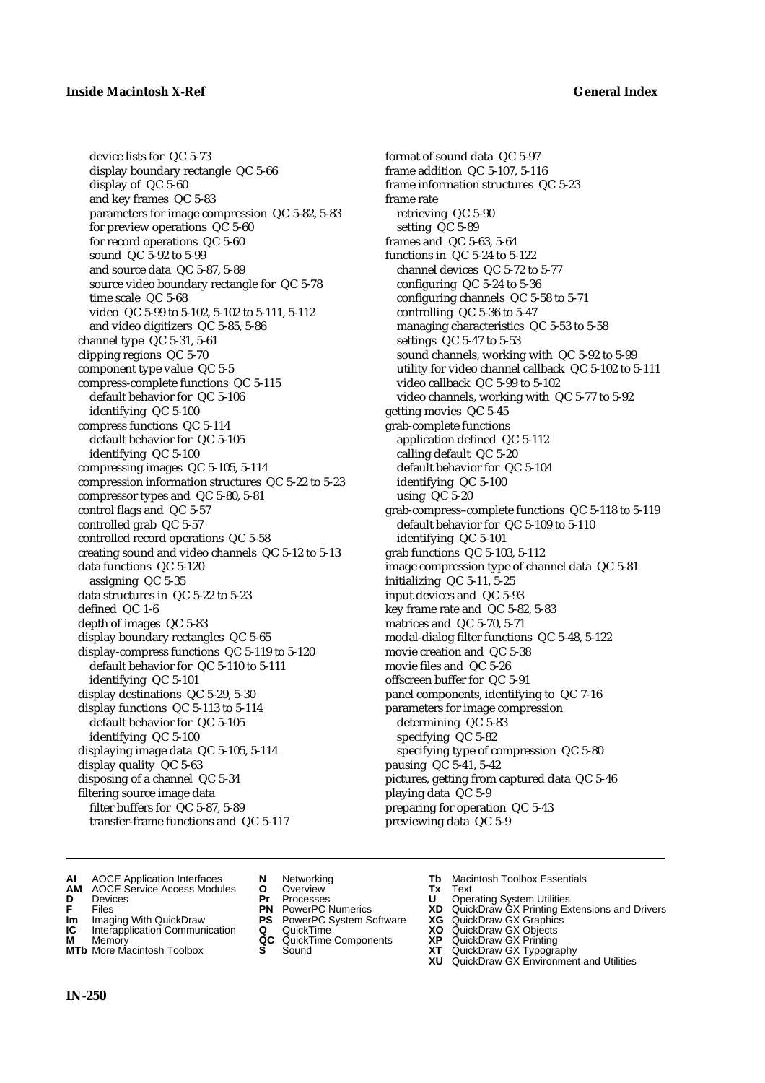device lists for QC 5-73 display boundary rectangle QC 5-66 display of QC 5-60 and key frames QC 5-83 parameters for image compression QC 5-82, 5-83 for preview operations QC 5-60 for record operations QC 5-60 sound QC 5-92 to 5-99 and source data QC 5-87, 5-89 source video boundary rectangle for QC 5-78 time scale QC 5-68 video QC 5-99 to 5-102, 5-102 to 5-111, 5-112 and video digitizers QC 5-85, 5-86 channel type QC 5-31, 5-61 clipping regions QC 5-70 component type value QC 5-5 compress-complete functions QC 5-115 default behavior for QC 5-106 identifying QC 5-100 compress functions QC 5-114 default behavior for QC 5-105 identifying QC 5-100 compressing images QC 5-105, 5-114 compression information structures QC 5-22 to 5-23 compressor types and QC 5-80, 5-81 control flags and QC 5-57 controlled grab QC 5-57 controlled record operations QC 5-58 creating sound and video channels QC 5-12 to 5-13 data functions QC 5-120 assigning QC 5-35 data structures in QC 5-22 to 5-23 defined QC 1-6 depth of images QC 5-83 display boundary rectangles QC 5-65 display-compress functions QC 5-119 to 5-120 default behavior for QC 5-110 to 5-111 identifying QC 5-101 display destinations QC 5-29, 5-30 display functions QC 5-113 to 5-114 default behavior for QC 5-105 identifying QC 5-100 displaying image data QC 5-105, 5-114 display quality QC 5-63 disposing of a channel QC 5-34 filtering source image data filter buffers for QC 5-87, 5-89 transfer-frame functions and QC 5-117

format of sound data QC 5-97 frame addition QC 5-107, 5-116 frame information structures QC 5-23 frame rate retrieving QC 5-90 setting QC 5-89 frames and QC 5-63, 5-64 functions in QC 5-24 to 5-122 channel devices QC 5-72 to 5-77 configuring QC 5-24 to 5-36 configuring channels QC 5-58 to 5-71 controlling QC 5-36 to 5-47 managing characteristics QC 5-53 to 5-58 settings QC 5-47 to 5-53 sound channels, working with QC 5-92 to 5-99 utility for video channel callback QC 5-102 to 5-111 video callback QC 5-99 to 5-102 video channels, working with QC 5-77 to 5-92 getting movies QC 5-45 grab-complete functions application defined QC 5-112 calling default QC 5-20 default behavior for QC 5-104 identifying QC 5-100 using QC 5-20 grab-compress–complete functions QC 5-118 to 5-119 default behavior for QC 5-109 to 5-110 identifying QC 5-101 grab functions QC 5-103, 5-112 image compression type of channel data QC 5-81 initializing QC 5-11, 5-25 input devices and QC 5-93 key frame rate and QC 5-82, 5-83 matrices and QC 5-70, 5-71 modal-dialog filter functions QC 5-48, 5-122 movie creation and QC 5-38 movie files and QC 5-26 offscreen buffer for QC 5-91 panel components, identifying to QC 7-16 parameters for image compression determining QC 5-83 specifying QC 5-82 specifying type of compression QC 5-80 pausing QC 5-41, 5-42 pictures, getting from captured data QC 5-46 playing data QC 5-9 preparing for operation QC 5-43 previewing data QC 5-9

- **AI** AOCE Application Interfaces **N** Networking **Tb** Macintosh Toolbox Essentials<br> **AM** AOCE Service Access Modules **O** Overview **Tx** Text<br> **D** Devices **Pr** Processes **U** Operating System Utilities
- **AM** AOCE Service Access Modules **O** Overview **Tx** Text
- 
- 
- **IM** Files<br> **Im** Imaging With QuickDraw **PS** PowerPC System Software **XG**<br> **IC** Interapplication Communication **Q** QuickTime **XO**
- **Interapplication Communication <b>Q** QuickTime **XO** Memory **XO** Memory **XP QC** QuickTime Components **XP**
- **M** Memory **Discussed AC** QuickTime Components **XP**<br> **MTb** More Macintosh Toolbox **S** Sound **XT**
- 
- 
- 
- 
- -
	-
- 
- **D** Devices **Pr** Processes **U** Operating System Utilities
- **F** Files **PN** PowerPC Numerics **XD** QuickDraw GX Printing Extensions and Drivers
	-
	-
	-
- **MTb** More Macintosh Toolbox **S** Sound **XT** QuickDraw GX Typography
	- **XU** QuickDraw GX Environment and Utilities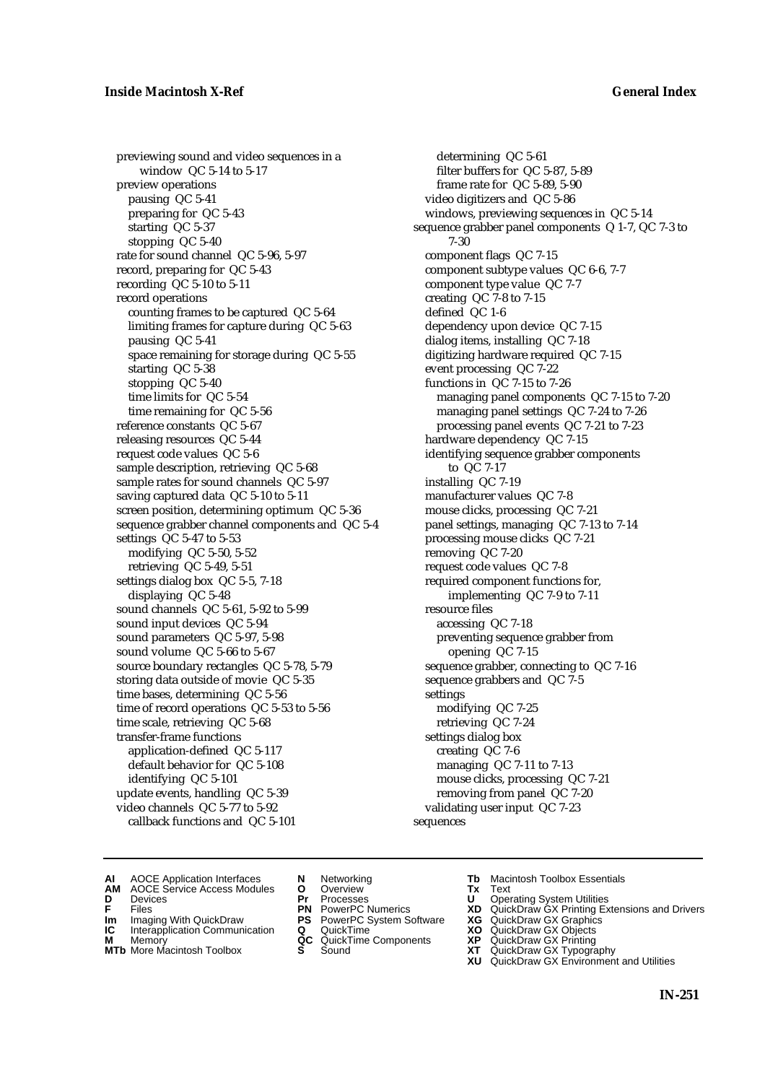previewing sound and video sequences in a window QC 5-14 to 5-17 preview operations pausing QC 5-41 preparing for QC 5-43 starting QC 5-37 stopping QC 5-40 rate for sound channel QC 5-96, 5-97 record, preparing for QC 5-43 recording QC 5-10 to 5-11 record operations counting frames to be captured QC 5-64 limiting frames for capture during QC 5-63 pausing QC 5-41 space remaining for storage during QC 5-55 starting QC 5-38 stopping QC 5-40 time limits for QC 5-54 time remaining for QC 5-56 reference constants QC 5-67 releasing resources QC 5-44 request code values QC 5-6 sample description, retrieving QC 5-68 sample rates for sound channels QC 5-97 saving captured data QC 5-10 to 5-11 screen position, determining optimum QC 5-36 sequence grabber channel components and QC 5-4 settings QC 5-47 to 5-53 modifying QC 5-50, 5-52 retrieving QC 5-49, 5-51 settings dialog box QC 5-5, 7-18 displaying QC 5-48 sound channels QC 5-61, 5-92 to 5-99 sound input devices QC 5-94 sound parameters QC 5-97, 5-98 sound volume QC 5-66 to 5-67 source boundary rectangles QC 5-78, 5-79 storing data outside of movie QC 5-35 time bases, determining QC 5-56 time of record operations QC 5-53 to 5-56 time scale, retrieving QC 5-68 transfer-frame functions application-defined QC 5-117 default behavior for QC 5-108 identifying QC 5-101 update events, handling QC 5-39 video channels QC 5-77 to 5-92 callback functions and QC 5-101

determining QC 5-61 filter buffers for QC 5-87, 5-89 frame rate for QC 5-89, 5-90 video digitizers and QC 5-86 windows, previewing sequences in QC 5-14 sequence grabber panel components Q 1-7, QC 7-3 to 7-30 component flags QC 7-15 component subtype values QC 6-6, 7-7 component type value QC 7-7 creating QC 7-8 to 7-15 defined QC 1-6 dependency upon device QC 7-15 dialog items, installing QC 7-18 digitizing hardware required QC 7-15 event processing QC 7-22 functions in QC 7-15 to 7-26 managing panel components QC 7-15 to 7-20 managing panel settings QC 7-24 to 7-26 processing panel events QC 7-21 to 7-23 hardware dependency QC 7-15 identifying sequence grabber components to QC 7-17 installing QC 7-19 manufacturer values QC 7-8 mouse clicks, processing QC 7-21 panel settings, managing QC 7-13 to 7-14 processing mouse clicks QC 7-21 removing QC 7-20 request code values QC 7-8 required component functions for, implementing QC 7-9 to 7-11 resource files accessing QC 7-18 preventing sequence grabber from opening QC 7-15 sequence grabber, connecting to QC 7-16 sequence grabbers and QC 7-5 settings modifying QC 7-25 retrieving QC 7-24 settings dialog box creating QC 7-6 managing QC 7-11 to 7-13 mouse clicks, processing QC 7-21 removing from panel QC 7-20 validating user input QC 7-23 sequences

- 
- **AI** AOCE Application Interfaces **N** Networking **Tb** Macintosh Toolbox Essentials<br> **AM** AOCE Service Access Modules **O** Overview **Tx** Text<br> **D** Devices **Pr** Processes **U** Operating System Utilities
- AOCE Service Access Modules **O** Overview **Tx** Text<br>Devices **Devices Devices Devices**
- 
- **Im** Imaging With QuickDraw **PS** PowerPC System Software **XG IC** Interapplication Communication **Q** QuickTime **XO**
- **IC** Interapplication Communication **Q** QuickTime **XO M** Memory **XO QC** QuickTime Components **XP**
- **M** Memory **District Acc** QuickTime Components **XP**<br> **MTb** More Macintosh Toolbox **S** Sound **XT**
- 
- 
- 
- 
- -
- 
- 
- **D** Devices **Pr** Processes **U** Operating System Utilities<br> **PR** PowerPC Numerics **XD** QuickDraw GX Printing Ex<br> **PR** PowerPC Numerics **XD** QuickDraw GX Printing Ex **F** Files **PN** PowerPC Numerics **XD** QuickDraw GX Printing Extensions and Drivers
	-
	-
	-
- **MTb** More Macintosh Toolbox **S** Sound **XT** QuickDraw GX Typography
	- **XU** QuickDraw GX Environment and Utilities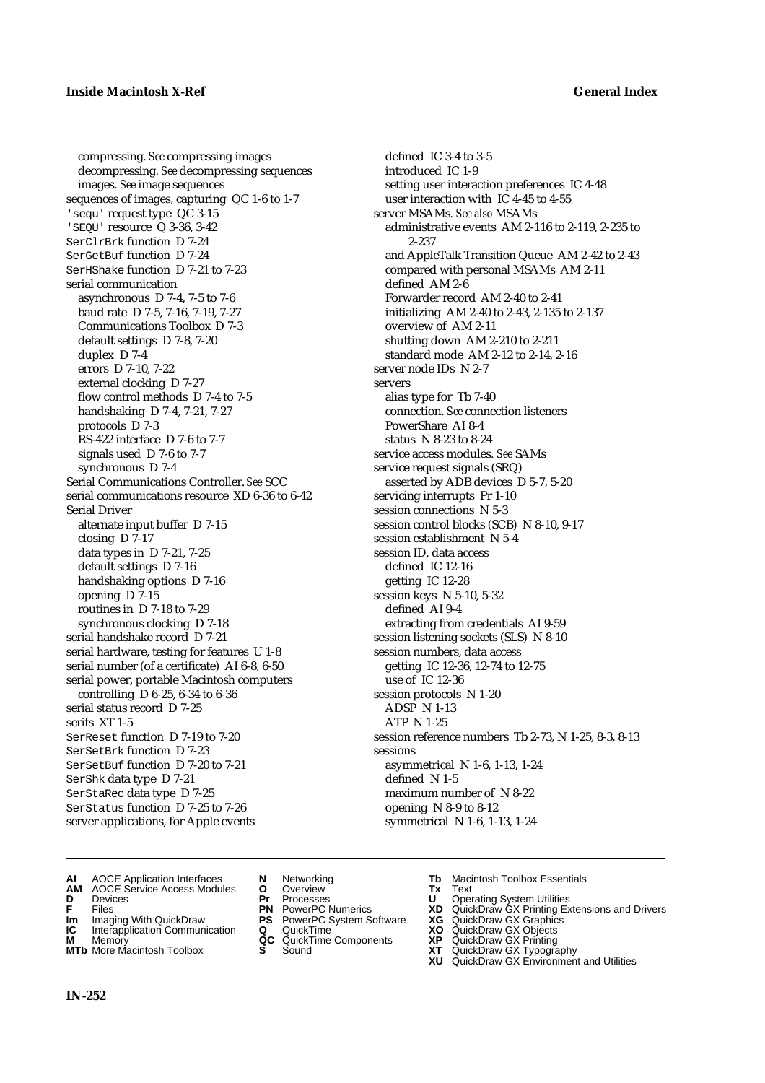compressing. *See* compressing images decompressing. *See* decompressing sequences images. *See* image sequences sequences of images, capturing QC 1-6 to 1-7 'sequ' request type QC 3-15 'SEQU' resource Q 3-36, 3-42 SerClrBrk function D 7-24 SerGetBuf function D 7-24 SerHShake function D 7-21 to 7-23 serial communication asynchronous D 7-4, 7-5 to 7-6 baud rate D 7-5, 7-16, 7-19, 7-27 Communications Toolbox D 7-3 default settings D 7-8, 7-20 duplex D 7-4 errors D 7-10, 7-22 external clocking D 7-27 flow control methods D 7-4 to 7-5 handshaking D 7-4, 7-21, 7-27 protocols D 7-3 RS-422 interface D 7-6 to 7-7 signals used D 7-6 to 7-7 synchronous D 7-4 Serial Communications Controller. *See* SCC serial communications resource XD 6-36 to 6-42 Serial Driver alternate input buffer D 7-15 closing D 7-17 data types in D 7-21, 7-25 default settings D 7-16 handshaking options D 7-16 opening D 7-15 routines in D 7-18 to 7-29 synchronous clocking D 7-18 serial handshake record D 7-21 serial hardware, testing for features U 1-8 serial number (of a certificate) AI 6-8, 6-50 serial power, portable Macintosh computers controlling D 6-25, 6-34 to 6-36 serial status record D 7-25 serifs XT 1-5 SerReset function D 7-19 to 7-20 SerSetBrk function D 7-23 SerSetBuf function D 7-20 to 7-21 SerShk data type D 7-21 SerStaRec data type D 7-25 SerStatus function D 7-25 to 7-26 server applications, for Apple events

defined IC 3-4 to 3-5 introduced IC 1-9 setting user interaction preferences IC 4-48 user interaction with IC 4-45 to 4-55 server MSAMs. *See also* MSAMs administrative events AM 2-116 to 2-119, 2-235 to 2-237 and AppleTalk Transition Queue AM 2-42 to 2-43 compared with personal MSAMs AM 2-11 defined AM 2-6 Forwarder record AM 2-40 to 2-41 initializing AM 2-40 to 2-43, 2-135 to 2-137 overview of AM 2-11 shutting down AM 2-210 to 2-211 standard mode AM 2-12 to 2-14, 2-16 server node IDs N 2-7 servers alias type for Tb 7-40 connection. *See* connection listeners PowerShare AI 8-4 status N 8-23 to 8-24 service access modules. *See* SAMs service request signals (SRQ) asserted by ADB devices D 5-7, 5-20 servicing interrupts Pr 1-10 session connections N 5-3 session control blocks (SCB) N 8-10, 9-17 session establishment N 5-4 session ID, data access defined IC 12-16 getting IC 12-28 session keys N 5-10, 5-32 defined AI 9-4 extracting from credentials AI 9-59 session listening sockets (SLS) N 8-10 session numbers, data access getting IC 12-36, 12-74 to 12-75 use of IC 12-36 session protocols N 1-20 ADSP N 1-13 ATP N 1-25 session reference numbers Tb 2-73, N 1-25, 8-3, 8-13 sessions asymmetrical N 1-6, 1-13, 1-24 defined N 1-5 maximum number of N 8-22 opening N 8-9 to 8-12 symmetrical N 1-6, 1-13, 1-24

- **AI** AOCE Application Interfaces **N** Networking **Tb** Macintosh Toolbox Essentials
- **AM** AOCE Service Access Modules **O** Overview **Tx** Text
- 
- 
- **Im** Imaging With QuickDraw **PS** PowerPC System Software **XG IC** Interapplication Communication **Q** QuickTime **COVIC**
- **Interapplication Communication <b>Q** QuickTime **XO XO** Memory **XO XP XP QC** QuickTime Components **XP**
- 
- 
- **D** Devices **Pr** Processes **U** Operating System Utilities
	-
	-
	-
	-
- 
- 
- **F** Files **PN** PowerPC Numerics **XD** QuickDraw GX Printing Extensions and Drivers
	-
	-
- **M** Memory **QC** QuickTime Components **XP** QuickDraw GX Printing
- **MTb** More Macintosh Toolbox **S** Sound **XT** QuickDraw GX Typography
	- **XU** QuickDraw GX Environment and Utilities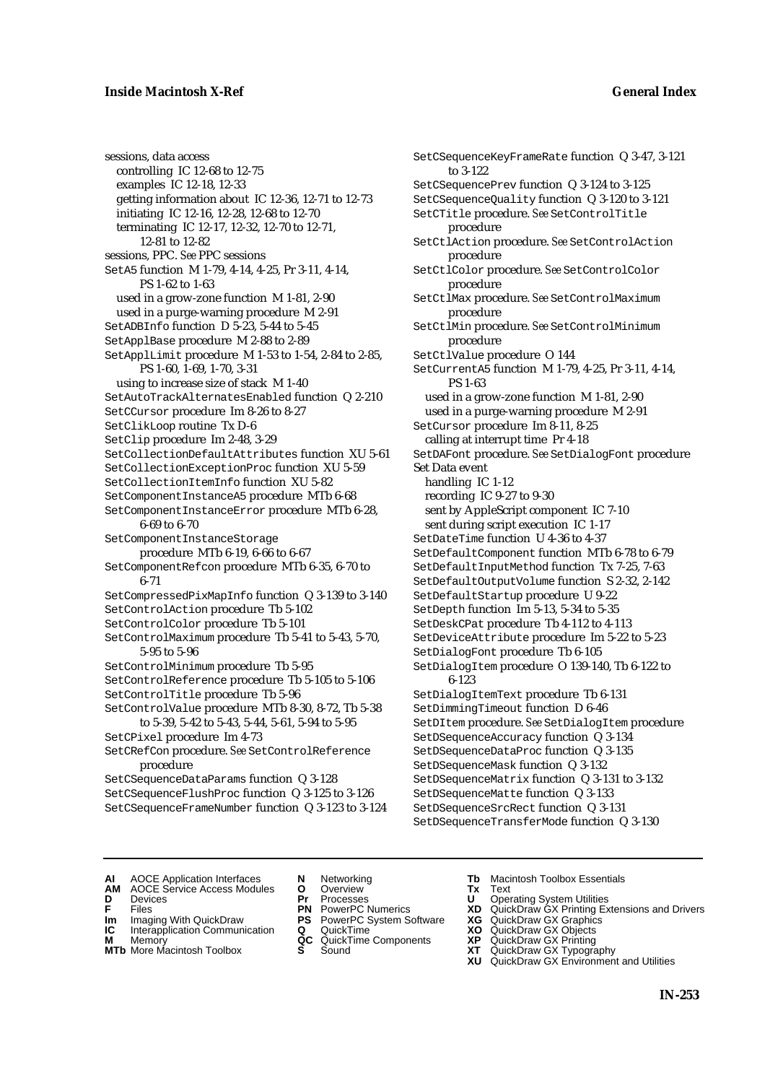sessions, data access controlling IC 12-68 to 12-75 examples IC 12-18, 12-33 getting information about IC 12-36, 12-71 to 12-73 initiating IC 12-16, 12-28, 12-68 to 12-70 terminating IC 12-17, 12-32, 12-70 to 12-71, 12-81 to 12-82 sessions, PPC. *See* PPC sessions SetA5 function M 1-79, 4-14, 4-25, Pr 3-11, 4-14, PS 1-62 to 1-63 used in a grow-zone function M 1-81, 2-90 used in a purge-warning procedure M 2-91 SetADBInfo function D 5-23, 5-44 to 5-45 SetApplBase procedure M 2-88 to 2-89 SetApplLimit procedure M 1-53 to 1-54, 2-84 to 2-85, PS 1-60, 1-69, 1-70, 3-31 using to increase size of stack M 1-40 SetAutoTrackAlternatesEnabled function Q 2-210 SetCCursor procedure Im 8-26 to 8-27 SetClikLoop routine Tx D-6 SetClip procedure Im 2-48, 3-29 SetCollectionDefaultAttributes function XU 5-61 SetCollectionExceptionProc function XU 5-59 SetCollectionItemInfo function XU 5-82 SetComponentInstanceA5 procedure MTb 6-68 SetComponentInstanceError procedure MTb 6-28, 6-69 to 6-70 SetComponentInstanceStorage procedure MTb 6-19, 6-66 to 6-67 SetComponentRefcon procedure MTb 6-35, 6-70 to 6-71 SetCompressedPixMapInfo function Q 3-139 to 3-140 SetControlAction procedure Tb 5-102 SetControlColor procedure Tb 5-101 SetControlMaximum procedure Tb 5-41 to 5-43, 5-70, 5-95 to 5-96 SetControlMinimum procedure Tb 5-95 SetControlReference procedure Tb 5-105 to 5-106 SetControlTitle procedure Tb 5-96 SetControlValue procedure MTb 8-30, 8-72, Tb 5-38 to 5-39, 5-42 to 5-43, 5-44, 5-61, 5-94 to 5-95 SetCPixel procedure Im 4-73 SetCRefCon procedure. *See* SetControlReference procedure SetCSequenceDataParams function Q 3-128 SetCSequenceFlushProc function Q 3-125 to 3-126 SetCSequenceFrameNumber function Q 3-123 to 3-124

SetCSequenceKeyFrameRate function Q 3-47, 3-121 to 3-122 SetCSequencePrev function Q 3-124 to 3-125 SetCSequenceQuality function Q 3-120 to 3-121 SetCTitle procedure. *See* SetControlTitle procedure SetCtlAction procedure. *See* SetControlAction procedure SetCtlColor procedure. *See* SetControlColor procedure SetCtlMax procedure. *See* SetControlMaximum procedure SetCtlMin procedure. *See* SetControlMinimum procedure SetCtlValue procedure O 144 SetCurrentA5 function M 1-79, 4-25, Pr 3-11, 4-14, PS 1-63 used in a grow-zone function M 1-81, 2-90 used in a purge-warning procedure M 2-91 SetCursor procedure Im 8-11, 8-25 calling at interrupt time Pr 4-18 SetDAFont procedure. *See* SetDialogFont procedure Set Data event handling IC 1-12 recording IC 9-27 to 9-30 sent by AppleScript component IC 7-10 sent during script execution IC 1-17 SetDateTime function U 4-36 to 4-37 SetDefaultComponent function MTb 6-78 to 6-79 SetDefaultInputMethod function Tx 7-25, 7-63 SetDefaultOutputVolume function S 2-32, 2-142 SetDefaultStartup procedure U 9-22 SetDepth function Im 5-13, 5-34 to 5-35 SetDeskCPat procedure Tb 4-112 to 4-113 SetDeviceAttribute procedure Im 5-22 to 5-23 SetDialogFont procedure Tb 6-105 SetDialogItem procedure O 139-140, Tb 6-122 to 6-123 SetDialogItemText procedure Tb 6-131 SetDimmingTimeout function D 6-46 SetDItem procedure. *See* SetDialogItem procedure SetDSequenceAccuracy function Q 3-134 SetDSequenceDataProc function Q 3-135 SetDSequenceMask function Q 3-132 SetDSequenceMatrix function Q 3-131 to 3-132 SetDSequenceMatte function Q 3-133 SetDSequenceSrcRect function Q 3-131 SetDSequenceTransferMode function Q 3-130

- **AI** AOCE Application Interfaces **N** Networking **Tb** Macintosh Toolbox Essentials
- **AM** AOCE Service Access Modules **O** Overview **Tx** Text
- -
- **IM** FILES<br> **Im** Imaging With QuickDraw **PS** PowerPC System Software **XG**<br> **IC** Interapplication Communication **Q** QuickTime **XO**
- **IC** Interapplication Communication **Q** QuickTime **XO M** Memory **XP QC** QuickTime Components **XP**
- **M** Memory **QC** QuickTime Components **XP**<br>**MTb** More Macintosh Toolbox **S** Sound **XT**
- 
- **D** Devices **Pr** Processes **U** Operating System Utilities
	-
	-
	-
	-
- 
- 
- **F** Files **PN** PowerPC Numerics **XD** QuickDraw GX Printing Extensions and Drivers
	-
	-
	-
- **MTb** More Macintosh Toolbox **S** Sound **XT** QuickDraw GX Typography
	- **XU** QuickDraw GX Environment and Utilities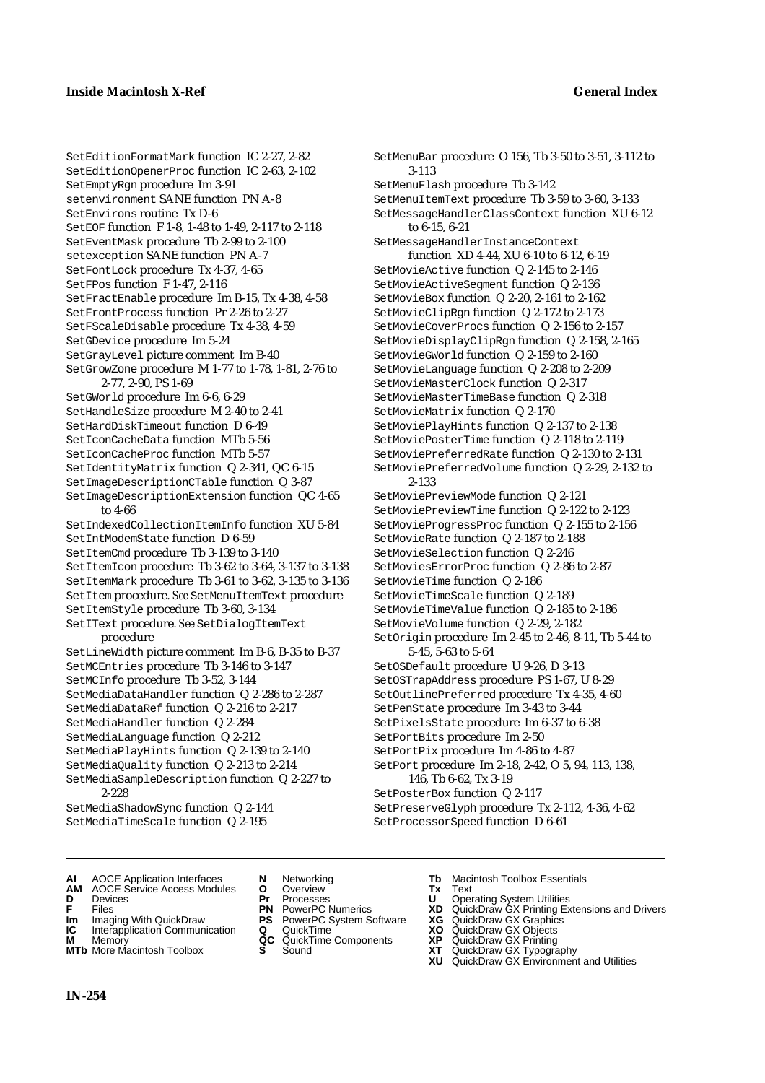SetEditionFormatMark function IC 2-27, 2-82 SetEditionOpenerProc function IC 2-63, 2-102 SetEmptyRgn procedure Im 3-91 setenvironment SANE function PN A-8 SetEnvirons routine Tx D-6 SetEOF function F 1-8, 1-48 to 1-49, 2-117 to 2-118 SetEventMask procedure Tb 2-99 to 2-100 setexception SANE function PN A-7 SetFontLock procedure Tx 4-37, 4-65 SetFPos function F 1-47, 2-116 SetFractEnable procedure Im B-15, Tx 4-38, 4-58 SetFrontProcess function Pr 2-26 to 2-27 SetFScaleDisable procedure Tx 4-38, 4-59 SetGDevice procedure Im 5-24 SetGrayLevel picture comment Im B-40 SetGrowZone procedure M 1-77 to 1-78, 1-81, 2-76 to 2-77, 2-90, PS 1-69 SetGWorld procedure Im 6-6, 6-29 SetHandleSize procedure M 2-40 to 2-41 SetHardDiskTimeout function D 6-49 SetIconCacheData function MTb 5-56 SetIconCacheProc function MTb 5-57 SetIdentityMatrix function Q 2-341, QC 6-15 SetImageDescriptionCTable function Q 3-87 SetImageDescriptionExtension function QC 4-65 to 4-66 SetIndexedCollectionItemInfo function XU 5-84 SetIntModemState function D 6-59 SetItemCmd procedure Tb 3-139 to 3-140 SetItemIcon procedure Tb 3-62 to 3-64, 3-137 to 3-138 SetItemMark procedure Tb 3-61 to 3-62, 3-135 to 3-136 SetItem procedure. *See* SetMenuItemText procedure SetItemStyle procedure Tb 3-60, 3-134 SetIText procedure. *See* SetDialogItemText procedure SetLineWidth picture comment Im B-6, B-35 to B-37 SetMCEntries procedure Tb 3-146 to 3-147 SetMCInfo procedure Tb 3-52, 3-144 SetMediaDataHandler function Q 2-286 to 2-287 SetMediaDataRef function Q 2-216 to 2-217 SetMediaHandler function Q 2-284 SetMediaLanguage function Q 2-212 SetMediaPlayHints function Q 2-139 to 2-140 SetMediaQuality function Q 2-213 to 2-214 SetMediaSampleDescription function Q 2-227 to 2-228 SetMediaShadowSync function Q 2-144 SetMediaTimeScale function Q 2-195

SetMenuBar procedure O 156, Tb 3-50 to 3-51, 3-112 to 3-113 SetMenuFlash procedure Tb 3-142 SetMenuItemText procedure Tb 3-59 to 3-60, 3-133 SetMessageHandlerClassContext function XU 6-12 to 6-15, 6-21 SetMessageHandlerInstanceContext function XD 4-44, XU 6-10 to 6-12, 6-19 SetMovieActive function Q 2-145 to 2-146 SetMovieActiveSegment function Q 2-136 SetMovieBox function Q 2-20, 2-161 to 2-162 SetMovieClipRgn function Q 2-172 to 2-173 SetMovieCoverProcs function Q 2-156 to 2-157 SetMovieDisplayClipRgn function Q 2-158, 2-165 SetMovieGWorld function Q 2-159 to 2-160 SetMovieLanguage function Q 2-208 to 2-209 SetMovieMasterClock function Q 2-317 SetMovieMasterTimeBase function Q 2-318 SetMovieMatrix function Q 2-170 SetMoviePlayHints function Q 2-137 to 2-138 SetMoviePosterTime function Q 2-118 to 2-119 SetMoviePreferredRate function Q 2-130 to 2-131 SetMoviePreferredVolume function Q 2-29, 2-132 to 2-133 SetMoviePreviewMode function Q 2-121 SetMoviePreviewTime function Q 2-122 to 2-123 SetMovieProgressProc function Q 2-155 to 2-156 SetMovieRate function Q 2-187 to 2-188 SetMovieSelection function Q 2-246 SetMoviesErrorProc function Q 2-86 to 2-87 SetMovieTime function Q 2-186 SetMovieTimeScale function Q 2-189 SetMovieTimeValue function Q 2-185 to 2-186 SetMovieVolume function Q 2-29, 2-182 SetOrigin procedure Im 2-45 to 2-46, 8-11, Tb 5-44 to 5-45, 5-63 to 5-64 SetOSDefault procedure U 9-26, D 3-13 SetOSTrapAddress procedure PS 1-67, U 8-29 SetOutlinePreferred procedure Tx 4-35, 4-60 SetPenState procedure Im 3-43 to 3-44 SetPixelsState procedure Im 6-37 to 6-38 SetPortBits procedure Im 2-50 SetPortPix procedure Im 4-86 to 4-87 SetPort procedure Im 2-18, 2-42, O 5, 94, 113, 138, 146, Tb 6-62, Tx 3-19 SetPosterBox function Q 2-117 SetPreserveGlyph procedure Tx 2-112, 4-36, 4-62 SetProcessorSpeed function D 6-61

- **AI** AOCE Application Interfaces **N** Networking **Tb** Macintosh Toolbox Essentials
- **AM** AOCE Service Access Modules **O** Overview **Tx** Text
- 
- 
- 
- **Interapplication Communication <b>Q** QuickTime **X XO** Memory **X X X C** QuickTime Components **XP**
- **M** Memory **DRITIC CONTENTIER MANUS AND MEMORY MEMORY AND MEMORY AREA CONTENTING MANUSICAL MEMORY AND MANUSICAL CONTENTING MANUSICAL MEMORY AND MANUSICAL MEMORY AND MANUSICAL MEMORY OF A PRINTING MANUSICAL MEMORY AND MANUS**
- 
- **D** Devices **Pr** Processes **U** Operating System Utilities
	-
- **Im** Imaging With QuickDraw **PS** PowerPC System Software **XG IC** Interapplication Communication **Q** QuickTime **COVIC** 
	-
	-
- 
- 
- **FRICAG CONSISTS IN THE PROCESSES CONSISTS AND CONSIST CONSISTENT CONSISTS CONSISTS PROCESSES**<br> **F** Files **PN** PowerPC Numerics **XD** QuickDraw GX Printing Extensions and Drivers<br> **Im** Imaging With QuickDraw **PS** PowerPC Sy
	-
	-
	-
- **MTb** More Macintosh Toolbox **S** Sound **XT** QuickDraw GX Typography
	- **XU** QuickDraw GX Environment and Utilities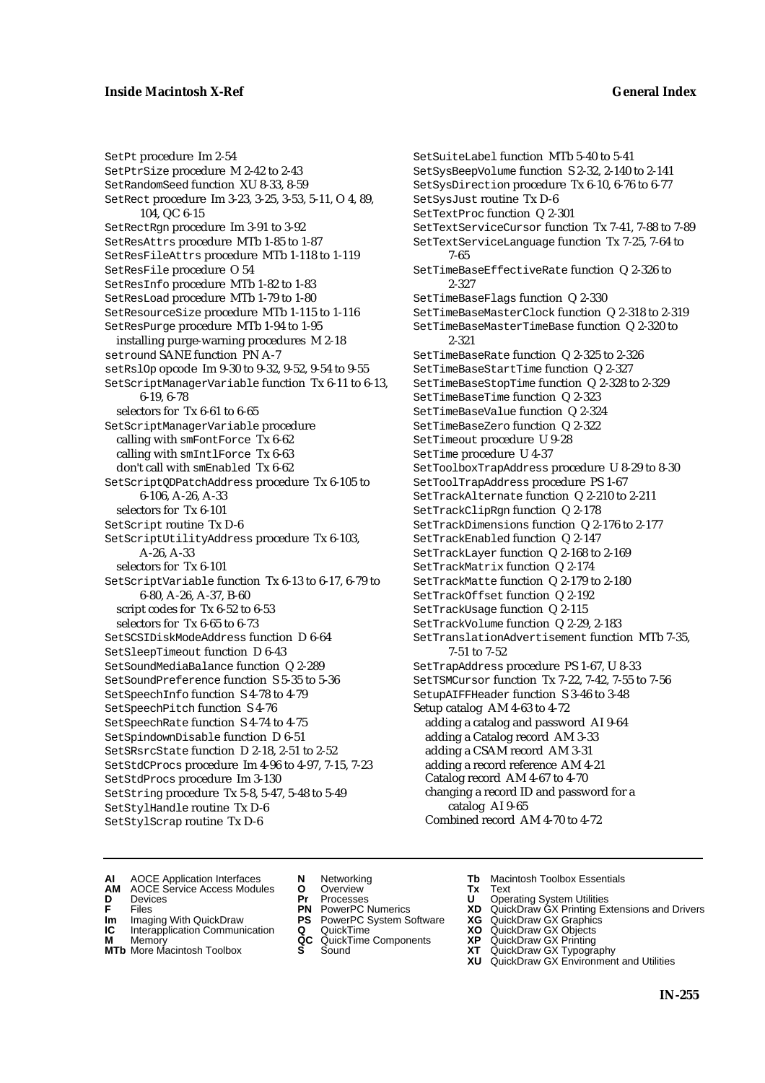SetPt procedure Im 2-54 SetPtrSize procedure M 2-42 to 2-43 SetRandomSeed function XU 8-33, 8-59 SetRect procedure Im 3-23, 3-25, 3-53, 5-11, O 4, 89, 104, QC 6-15 SetRectRgn procedure Im 3-91 to 3-92 SetResAttrs procedure MTb 1-85 to 1-87 SetResFileAttrs procedure MTb 1-118 to 1-119 SetResFile procedure O 54 SetResInfo procedure MTb 1-82 to 1-83 SetResLoad procedure MTb 1-79 to 1-80 SetResourceSize procedure MTb 1-115 to 1-116 SetResPurge procedure MTb 1-94 to 1-95 installing purge-warning procedures M 2-18 setround SANE function PN A-7 setRslOp opcode Im 9-30 to 9-32, 9-52, 9-54 to 9-55 SetScriptManagerVariable function Tx 6-11 to 6-13, 6-19, 6-78 selectors for Tx 6-61 to 6-65 SetScriptManagerVariable procedure calling with smFontForce Tx 6-62 calling with smIntlForce Tx 6-63 don't call with smEnabled Tx 6-62 SetScriptQDPatchAddress procedure Tx 6-105 to 6-106, A-26, A-33 selectors for Tx 6-101 SetScript routine Tx D-6 SetScriptUtilityAddress procedure Tx 6-103, A-26, A-33 selectors for Tx 6-101 SetScriptVariable function Tx 6-13 to 6-17, 6-79 to 6-80, A-26, A-37, B-60 script codes for Tx 6-52 to 6-53 selectors for Tx 6-65 to 6-73 SetSCSIDiskModeAddress function D 6-64 SetSleepTimeout function D 6-43 SetSoundMediaBalance function Q 2-289 SetSoundPreference function S 5-35 to 5-36 SetSpeechInfo function S 4-78 to 4-79 SetSpeechPitch function S 4-76 SetSpeechRate function S 4-74 to 4-75 SetSpindownDisable function D 6-51 SetSRsrcState function D 2-18, 2-51 to 2-52 SetStdCProcs procedure Im 4-96 to 4-97, 7-15, 7-23 SetStdProcs procedure Im 3-130 SetString procedure Tx 5-8, 5-47, 5-48 to 5-49 SetStylHandle routine Tx D-6 SetStylScrap routine Tx D-6

SetSuiteLabel function MTb 5-40 to 5-41 SetSysBeepVolume function S 2-32, 2-140 to 2-141 SetSysDirection procedure Tx 6-10, 6-76 to 6-77 SetSysJust routine Tx D-6 SetTextProc function Q 2-301 SetTextServiceCursor function Tx 7-41, 7-88 to 7-89 SetTextServiceLanguage function Tx 7-25, 7-64 to 7-65 SetTimeBaseEffectiveRate function Q 2-326 to 2-327 SetTimeBaseFlags function Q 2-330 SetTimeBaseMasterClock function Q 2-318 to 2-319 SetTimeBaseMasterTimeBase function Q 2-320 to 2-321 SetTimeBaseRate function Q 2-325 to 2-326 SetTimeBaseStartTime function Q 2-327 SetTimeBaseStopTime function Q 2-328 to 2-329 SetTimeBaseTime function Q 2-323 SetTimeBaseValue function Q 2-324 SetTimeBaseZero function Q 2-322 SetTimeout procedure U 9-28 SetTime procedure U 4-37 SetToolboxTrapAddress procedure U 8-29 to 8-30 SetToolTrapAddress procedure PS 1-67 SetTrackAlternate function Q 2-210 to 2-211 SetTrackClipRgn function Q 2-178 SetTrackDimensions function Q 2-176 to 2-177 SetTrackEnabled function Q 2-147 SetTrackLayer function Q 2-168 to 2-169 SetTrackMatrix function Q 2-174 SetTrackMatte function Q 2-179 to 2-180 SetTrackOffset function Q 2-192 SetTrackUsage function Q 2-115 SetTrackVolume function Q 2-29, 2-183 SetTranslationAdvertisement function MTb 7-35, 7-51 to 7-52 SetTrapAddress procedure PS 1-67, U 8-33 SetTSMCursor function Tx 7-22, 7-42, 7-55 to 7-56 SetupAIFFHeader function S 3-46 to 3-48 Setup catalog AM 4-63 to 4-72 adding a catalog and password AI 9-64 adding a Catalog record AM 3-33 adding a CSAM record AM 3-31 adding a record reference AM 4-21 Catalog record AM 4-67 to 4-70 changing a record ID and password for a catalog AI 9-65 Combined record AM 4-70 to 4-72

- **AI** AOCE Application Interfaces **N** Networking **Tb** Macintosh Toolbox Essentials
- **AM** AOCE Service Access Modules **O** Overview **Tx** Text
- 
- 
- **IM** FILES<br> **Im** Imaging With QuickDraw **PS** PowerPC System Software **XG**<br> **IC** Interapplication Communication **Q** QuickTime **XO IC** Interapplication Communication **Q** QuickTime **XO M** Memory **XO QC** QuickTime Components **XP**
- **M** Memory **QC** QuickTime Components **XP**<br>**MTb** More Macintosh Toolbox **S** Sound **XT**
- **MTb** More Macintosh Toolbox **S** Sound **XT** QuickDraw GX Typography
- 
- **D** Devices **Pr** Processes **U** Operating System Utilities
	-
	-
	-
	-
- 
- 
- **F** Files **PN** PowerPC Numerics **XD** QuickDraw GX Printing Extensions and Drivers
	-
	-
	-
	- **XU** QuickDraw GX Environment and Utilities
		- **IN-255**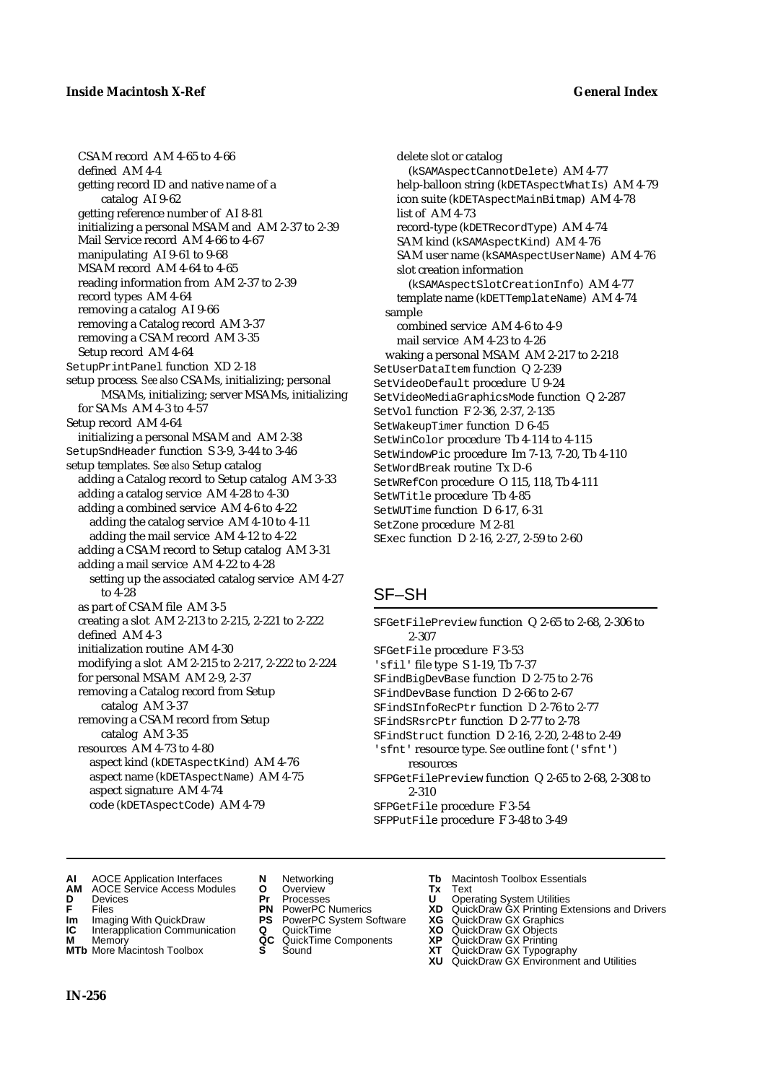CSAM record AM 4-65 to 4-66 defined AM 4-4 getting record ID and native name of a catalog AI 9-62 getting reference number of AI 8-81 initializing a personal MSAM and AM 2-37 to 2-39 Mail Service record AM 4-66 to 4-67 manipulating AI 9-61 to 9-68 MSAM record AM 4-64 to 4-65 reading information from AM 2-37 to 2-39 record types AM 4-64 removing a catalog AI 9-66 removing a Catalog record AM 3-37 removing a CSAM record AM 3-35 Setup record AM 4-64 SetupPrintPanel function XD 2-18 setup process*. See also* CSAMs, initializing; personal MSAMs, initializing; server MSAMs, initializing for SAMs AM 4-3 to 4-57 Setup record AM 4-64 initializing a personal MSAM and AM 2-38 SetupSndHeader function S 3-9, 3-44 to 3-46 setup templates. *See also* Setup catalog adding a Catalog record to Setup catalog AM 3-33 adding a catalog service AM 4-28 to 4-30 adding a combined service AM 4-6 to 4-22 adding the catalog service AM 4-10 to 4-11 adding the mail service AM 4-12 to 4-22 adding a CSAM record to Setup catalog AM 3-31 adding a mail service AM 4-22 to 4-28 setting up the associated catalog service AM 4-27 to 4-28 as part of CSAM file AM 3-5 creating a slot AM 2-213 to 2-215, 2-221 to 2-222 defined AM 4-3 initialization routine AM 4-30 modifying a slot AM 2-215 to 2-217, 2-222 to 2-224 for personal MSAM AM 2-9, 2-37 removing a Catalog record from Setup catalog AM 3-37 removing a CSAM record from Setup catalog AM 3-35 resources AM 4-73 to 4-80 aspect kind (kDETAspectKind) AM 4-76 aspect name (kDETAspectName) AM 4-75 aspect signature AM 4-74 code (kDETAspectCode) AM 4-79

delete slot or catalog (kSAMAspectCannotDelete) AM 4-77 help-balloon string (kDETAspectWhatIs) AM 4-79 icon suite (kDETAspectMainBitmap) AM 4-78 list of AM 4-73 record-type (kDETRecordType) AM 4-74 SAM kind (kSAMAspectKind) AM 4-76 SAM user name (kSAMAspectUserName) AM 4-76 slot creation information (kSAMAspectSlotCreationInfo) AM 4-77 template name (kDETTemplateName) AM 4-74 sample combined service AM 4-6 to 4-9 mail service AM 4-23 to 4-26 waking a personal MSAM AM 2-217 to 2-218 SetUserDataItem function Q 2-239 SetVideoDefault procedure U 9-24 SetVideoMediaGraphicsMode function Q 2-287 SetVol function F 2-36, 2-37, 2-135 SetWakeupTimer function D 6-45 SetWinColor procedure Tb 4-114 to 4-115 SetWindowPic procedure Im 7-13, 7-20, Tb 4-110 SetWordBreak routine Tx D-6 SetWRefCon procedure O 115, 118, Tb 4-111 SetWTitle procedure Tb 4-85 SetWUTime function D 6-17, 6-31 SetZone procedure M 2-81 SExec function D 2-16, 2-27, 2-59 to 2-60

### SF–SH

- SFGetFilePreview function Q 2-65 to 2-68, 2-306 to 2-307 SFGetFile procedure F 3-53 'sfil' file type S 1-19, Tb 7-37 SFindBigDevBase function D 2-75 to 2-76 SFindDevBase function D 2-66 to 2-67 SFindSInfoRecPtr function D 2-76 to 2-77 SFindSRsrcPtr function D 2-77 to 2-78 SFindStruct function D 2-16, 2-20, 2-48 to 2-49 'sfnt' resource type. *See* outline font ('sfnt') resources SFPGetFilePreview function Q 2-65 to 2-68, 2-308 to 2-310 SFPGetFile procedure F 3-54 SFPPutFile procedure F 3-48 to 3-49
- **AI** AOCE Application Interfaces **N** Networking **Tb** Macintosh Toolbox Essentials<br> **AM** AOCE Service Access Modules **O** Overview **Tx** Text<br> **D** Devices **Pr** Processes **U** Operating System Utilities
- **AM** AOCE Service Access Modules **O** Overview **Tx** Text
- 
- 
- **IM** Files<br> **Im** Imaging With QuickDraw **PS** PowerPC System Software **XG**<br> **IC** Interapplication Communication **Q** QuickTime **XO**
- **Interapplication Communication <b>Q** QuickTime **XO** Memory **XO** Memory **XP QC** QuickTime Components **XP M** Memory **CC** QuickTime Components **XP**<br> **MTb** More Macintosh Toolbox **S** Sound **XT**
- **MTb** More Macintosh Toolbox **S** Sound **XT** QuickDraw GX Typography
- 
- 
- 
- 
- 
- 
- 
- **D** Devices **Pr** Processes **U** Operating System Utilities
- **F** Files **PN** PowerPC Numerics **XD** QuickDraw GX Printing Extensions and Drivers
	-
	-
	-
	- **XU** QuickDraw GX Environment and Utilities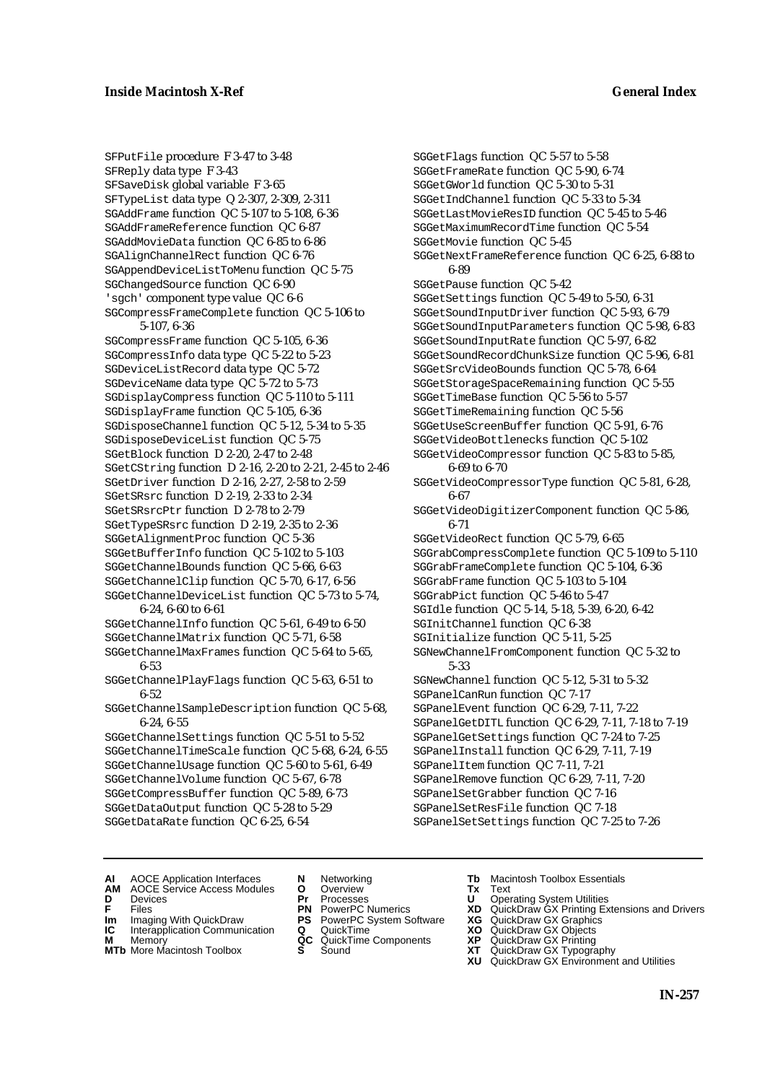SFPutFile procedure F 3-47 to 3-48 SFReply data type F 3-43 SFSaveDisk global variable F 3-65 SFTypeList data type Q 2-307, 2-309, 2-311 SGAddFrame function QC 5-107 to 5-108, 6-36 SGAddFrameReference function QC 6-87 SGAddMovieData function QC 6-85 to 6-86 SGAlignChannelRect function QC 6-76 SGAppendDeviceListToMenu function QC 5-75 SGChangedSource function QC 6-90 'sgch' component type value QC 6-6 SGCompressFrameComplete function QC 5-106 to 5-107, 6-36 SGCompressFrame function QC 5-105, 6-36 SGCompressInfo data type QC 5-22 to 5-23 SGDeviceListRecord data type QC 5-72 SGDeviceName data type QC 5-72 to 5-73 SGDisplayCompress function QC 5-110 to 5-111 SGDisplayFrame function QC 5-105, 6-36 SGDisposeChannel function QC 5-12, 5-34 to 5-35 SGDisposeDeviceList function QC 5-75 SGetBlock function D 2-20, 2-47 to 2-48 SGetCString function D 2-16, 2-20 to 2-21, 2-45 to 2-46 SGetDriver function D 2-16, 2-27, 2-58 to 2-59 SGetSRsrc function D 2-19, 2-33 to 2-34 SGetSRsrcPtr function D 2-78 to 2-79 SGetTypeSRsrc function D 2-19, 2-35 to 2-36 SGGetAlignmentProc function QC 5-36 SGGetBufferInfo function QC 5-102 to 5-103 SGGetChannelBounds function QC 5-66, 6-63 SGGetChannelClip function QC 5-70, 6-17, 6-56 SGGetChannelDeviceList function QC 5-73 to 5-74, 6-24, 6-60 to 6-61 SGGetChannelInfo function QC 5-61, 6-49 to 6-50 SGGetChannelMatrix function QC 5-71, 6-58 SGGetChannelMaxFrames function QC 5-64 to 5-65, 6-53 SGGetChannelPlayFlags function QC 5-63, 6-51 to 6-52 SGGetChannelSampleDescription function QC 5-68, 6-24, 6-55 SGGetChannelSettings function QC 5-51 to 5-52

SGGetChannelTimeScale function QC 5-68, 6-24, 6-55 SGGetChannelUsage function QC 5-60 to 5-61, 6-49 SGGetChannelVolume function QC 5-67, 6-78 SGGetCompressBuffer function QC 5-89, 6-73 SGGetDataOutput function QC 5-28 to 5-29 SGGetDataRate function QC 6-25, 6-54

SGGetFlags function QC 5-57 to 5-58 SGGetFrameRate function QC 5-90, 6-74 SGGetGWorld function QC 5-30 to 5-31 SGGetIndChannel function QC 5-33 to 5-34 SGGetLastMovieResID function QC 5-45 to 5-46 SGGetMaximumRecordTime function QC 5-54 SGGetMovie function QC 5-45 SGGetNextFrameReference function QC 6-25, 6-88 to 6-89 SGGetPause function QC 5-42 SGGetSettings function QC 5-49 to 5-50, 6-31 SGGetSoundInputDriver function QC 5-93, 6-79 SGGetSoundInputParameters function QC 5-98, 6-83 SGGetSoundInputRate function QC 5-97, 6-82 SGGetSoundRecordChunkSize function QC 5-96, 6-81 SGGetSrcVideoBounds function QC 5-78, 6-64 SGGetStorageSpaceRemaining function QC 5-55 SGGetTimeBase function QC 5-56 to 5-57 SGGetTimeRemaining function QC 5-56 SGGetUseScreenBuffer function QC 5-91, 6-76 SGGetVideoBottlenecks function QC 5-102 SGGetVideoCompressor function QC 5-83 to 5-85, 6-69 to 6-70 SGGetVideoCompressorType function QC 5-81, 6-28, 6-67 SGGetVideoDigitizerComponent function QC 5-86, 6-71 SGGetVideoRect function QC 5-79, 6-65 SGGrabCompressComplete function QC 5-109 to 5-110 SGGrabFrameComplete function QC 5-104, 6-36 SGGrabFrame function QC 5-103 to 5-104 SGGrabPict function QC 5-46 to 5-47 SGIdle function QC 5-14, 5-18, 5-39, 6-20, 6-42 SGInitChannel function QC 6-38 SGInitialize function QC 5-11, 5-25 SGNewChannelFromComponent function QC 5-32 to 5-33 SGNewChannel function QC 5-12, 5-31 to 5-32 SGPanelCanRun function QC 7-17 SGPanelEvent function QC 6-29, 7-11, 7-22 SGPanelGetDITL function QC 6-29, 7-11, 7-18 to 7-19 SGPanelGetSettings function QC 7-24 to 7-25 SGPanelInstall function QC 6-29, 7-11, 7-19 SGPanelItem function QC 7-11, 7-21 SGPanelRemove function QC 6-29, 7-11, 7-20 SGPanelSetGrabber function QC 7-16 SGPanelSetResFile function QC 7-18 SGPanelSetSettings function QC 7-25 to 7-26

- **AI** AOCE Application Interfaces **N** Networking **Tb** Macintosh Toolbox Essentials<br> **AM** AOCE Service Access Modules **O** Overview **Tx** Text<br> **D** Devices **Pr** Processes **U** Operating System Utilities
- AOCE Service Access Modules **O** Overview **Tx** Text<br>Devices **Devices Devices Devices**
- 
- 
- **Im** Imaging With QuickDraw **PS** PowerPC System Software **XG IC** Interapplication Communication **Q** QuickTime **XO IC** Interapplication Communication **Q** QuickTime **XO** QuickDraw GX Objects<br>**M** Memory **C** QuickTime Components **XP** QuickDraw GX Printing
- 
- **MTb** More Macintosh Toolbox **S** Sound **XT** QuickDraw GX Typography
- 
- 
- 
- 
- **M** Memory **QC** QuickTime Components **XP**<br> **MTb** More Macintosh Toolbox **S** Sound **XT** 
	-
- 
- 
- **D** Devices **Pr** Processes **U** Operating System Utilities<br> **PR** PowerPC Numerics **XD** QuickDraw GX Printing Ex<br> **PR** PowerPC Numerics **XD** QuickDraw GX Printing Ex **F** Files **PN** PowerPC Numerics **XD** QuickDraw GX Printing Extensions and Drivers<br> **IM** Imaging With QuickDraw **PS** PowerPC System Software **XG** QuickDraw GX Graphics<br> **IC** Interapplication Communication **Q** QuickTime **XO** 
	-
	-
	-
	- **XU** QuickDraw GX Environment and Utilities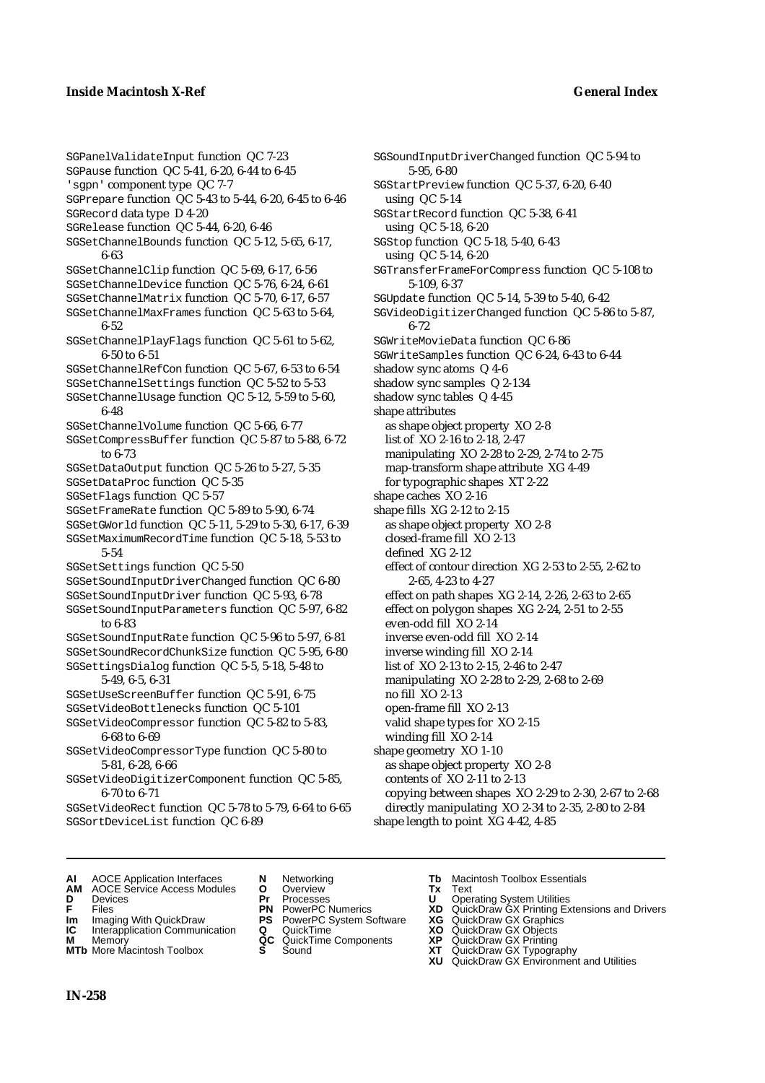### **Inside Macintosh X-Ref General Index**

SGPanelValidateInput function QC 7-23 SGPause function QC 5-41, 6-20, 6-44 to 6-45 'sgpn' component type QC 7-7 SGPrepare function QC 5-43 to 5-44, 6-20, 6-45 to 6-46 SGRecord data type D 4-20 SGRelease function QC 5-44, 6-20, 6-46 SGSetChannelBounds function QC 5-12, 5-65, 6-17, 6-63 SGSetChannelClip function QC 5-69, 6-17, 6-56 SGSetChannelDevice function QC 5-76, 6-24, 6-61 SGSetChannelMatrix function QC 5-70, 6-17, 6-57 SGSetChannelMaxFrames function QC 5-63 to 5-64, 6-52 SGSetChannelPlayFlags function QC 5-61 to 5-62, 6-50 to 6-51 SGSetChannelRefCon function QC 5-67, 6-53 to 6-54 SGSetChannelSettings function QC 5-52 to 5-53 SGSetChannelUsage function QC 5-12, 5-59 to 5-60, 6-48 SGSetChannelVolume function QC 5-66, 6-77 SGSetCompressBuffer function QC 5-87 to 5-88, 6-72 to 6-73 SGSetDataOutput function QC 5-26 to 5-27, 5-35 SGSetDataProc function QC 5-35 SGSetFlags function QC 5-57 SGSetFrameRate function QC 5-89 to 5-90, 6-74 SGSetGWorld function QC 5-11, 5-29 to 5-30, 6-17, 6-39 SGSetMaximumRecordTime function QC 5-18, 5-53 to 5-54 SGSetSettings function QC 5-50 SGSetSoundInputDriverChanged function QC 6-80 SGSetSoundInputDriver function QC 5-93, 6-78 SGSetSoundInputParameters function QC 5-97, 6-82 to 6-83 SGSetSoundInputRate function QC 5-96 to 5-97, 6-81 SGSetSoundRecordChunkSize function QC 5-95, 6-80 SGSettingsDialog function QC 5-5, 5-18, 5-48 to 5-49, 6-5, 6-31 SGSetUseScreenBuffer function QC 5-91, 6-75 SGSetVideoBottlenecks function QC 5-101 SGSetVideoCompressor function QC 5-82 to 5-83, 6-68 to 6-69 SGSetVideoCompressorType function QC 5-80 to 5-81, 6-28, 6-66 SGSetVideoDigitizerComponent function QC 5-85, 6-70 to 6-71 SGSetVideoRect function QC 5-78 to 5-79, 6-64 to 6-65 SGSortDeviceList function QC 6-89

SGSoundInputDriverChanged function QC 5-94 to 5-95, 6-80 SGStartPreview function QC 5-37, 6-20, 6-40 using QC 5-14 SGStartRecord function QC 5-38, 6-41 using QC 5-18, 6-20 SGStop function QC 5-18, 5-40, 6-43 using QC 5-14, 6-20 SGTransferFrameForCompress function QC 5-108 to 5-109, 6-37 SGUpdate function QC 5-14, 5-39 to 5-40, 6-42 SGVideoDigitizerChanged function QC 5-86 to 5-87, 6-72 SGWriteMovieData function QC 6-86 SGWriteSamples function QC 6-24, 6-43 to 6-44 shadow sync atoms Q 4-6 shadow sync samples Q 2-134 shadow sync tables Q 4-45 shape attributes as shape object property XO 2-8 list of XO 2-16 to 2-18, 2-47 manipulating XO 2-28 to 2-29, 2-74 to 2-75 map-transform shape attribute XG 4-49 for typographic shapes XT 2-22 shape caches XO 2-16 shape fills XG 2-12 to 2-15 as shape object property XO 2-8 closed-frame fill XO 2-13 defined XG 2-12 effect of contour direction XG 2-53 to 2-55, 2-62 to 2-65, 4-23 to 4-27 effect on path shapes XG 2-14, 2-26, 2-63 to 2-65 effect on polygon shapes XG 2-24, 2-51 to 2-55 even-odd fill XO 2-14 inverse even-odd fill XO 2-14 inverse winding fill XO 2-14 list of XO 2-13 to 2-15, 2-46 to 2-47 manipulating XO 2-28 to 2-29, 2-68 to 2-69 no fill XO 2-13 open-frame fill XO 2-13 valid shape types for XO 2-15 winding fill XO 2-14 shape geometry XO 1-10 as shape object property XO 2-8 contents of XO 2-11 to 2-13 copying between shapes XO 2-29 to 2-30, 2-67 to 2-68

- directly manipulating XO 2-34 to 2-35, 2-80 to 2-84
- shape length to point XG 4-42, 4-85
- **AI** AOCE Application Interfaces **N** Networking **Tb** Macintosh Toolbox Essentials
- **AM** AOCE Service Access Modules **O** Overview **Tx** Text
- 
- 
- **IM** FIGURE **IMPLE PRIME PRIME PRIME PRIME PRIME PRIME PRIME PRIME PRIME PRIME PRIME PRIME PRIME PRIME PRIME PRIME PRIME PRIME PRIME PRIME PRIME PRIME PRIME PRIME PRIME PRIME PRIME PRIME PRIME PRIME PRIME PRIME PRIME PRIME**
- **Interapplication Communication <b>Q** QuickTime **X XO** Memory **X X X C** QuickTime Components **XP**
- **M** Memory **CC** QuickTime Components **XP**<br>**MTb** More Macintosh Toolbox **S** Sound **COX AT MTb** More Macintosh Toolbox **S** Sound **XT** QuickDraw GX Typography
- 
- 
- 
- 
- -
- **D** Devices **Pr** Processes **U** Operating System Utilities
- **F** Files **PN** PowerPC Numerics **XD** QuickDraw GX Printing Extensions and Drivers
	-
	-
	-
	-
	- **XU** QuickDraw GX Environment and Utilities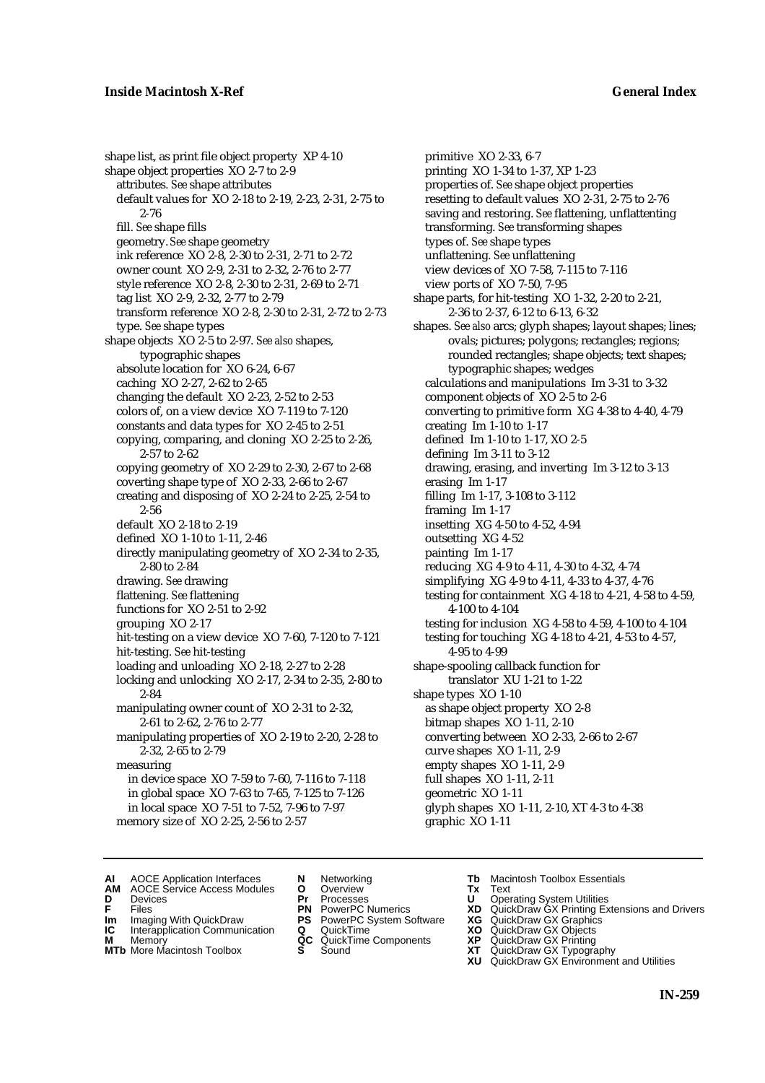shape list, as print file object property XP 4-10 shape object properties XO 2-7 to 2-9 attributes. *See* shape attributes default values for XO 2-18 to 2-19, 2-23, 2-31, 2-75 to 2-76 fill. *See* shape fills geometry. *See* shape geometry ink reference XO 2-8, 2-30 to 2-31, 2-71 to 2-72 owner count XO 2-9, 2-31 to 2-32, 2-76 to 2-77 style reference XO 2-8, 2-30 to 2-31, 2-69 to 2-71 tag list XO 2-9, 2-32, 2-77 to 2-79 transform reference XO 2-8, 2-30 to 2-31, 2-72 to 2-73 type. *See* shape types shape objects XO 2-5 to 2-97. *See also* shapes, typographic shapes absolute location for XO 6-24, 6-67 caching XO 2-27, 2-62 to 2-65 changing the default XO 2-23, 2-52 to 2-53 colors of, on a view device XO 7-119 to 7-120 constants and data types for XO 2-45 to 2-51 copying, comparing, and cloning XO 2-25 to 2-26, 2-57 to 2-62 copying geometry of XO 2-29 to 2-30, 2-67 to 2-68 coverting shape type of XO 2-33, 2-66 to 2-67 creating and disposing of XO 2-24 to 2-25, 2-54 to 2-56 default XO 2-18 to 2-19 defined XO 1-10 to 1-11, 2-46 directly manipulating geometry of XO 2-34 to 2-35, 2-80 to 2-84 drawing. *See* drawing flattening. *See* flattening functions for XO 2-51 to 2-92 grouping XO 2-17 hit-testing on a view device XO 7-60, 7-120 to 7-121 hit-testing. *See* hit-testing loading and unloading XO 2-18, 2-27 to 2-28 locking and unlocking XO 2-17, 2-34 to 2-35, 2-80 to 2-84 manipulating owner count of XO 2-31 to 2-32, 2-61 to 2-62, 2-76 to 2-77 manipulating properties of XO 2-19 to 2-20, 2-28 to 2-32, 2-65 to 2-79 measuring in device space XO 7-59 to 7-60, 7-116 to 7-118 in global space XO 7-63 to 7-65, 7-125 to 7-126 in local space XO 7-51 to 7-52, 7-96 to 7-97 memory size of XO 2-25, 2-56 to 2-57

primitive XO 2-33, 6-7 printing XO 1-34 to 1-37, XP 1-23 properties of. *See* shape object properties resetting to default values XO 2-31, 2-75 to 2-76 saving and restoring. *See* flattening, unflattenting transforming. *See* transforming shapes types of. *See* shape types unflattening. *See* unflattening view devices of XO 7-58, 7-115 to 7-116 view ports of XO 7-50, 7-95 shape parts, for hit-testing XO 1-32, 2-20 to 2-21, 2-36 to 2-37, 6-12 to 6-13, 6-32 shapes. *See also* arcs; glyph shapes; layout shapes; lines; ovals; pictures; polygons; rectangles; regions; rounded rectangles; shape objects; text shapes; typographic shapes; wedges calculations and manipulations Im 3-31 to 3-32 component objects of XO 2-5 to 2-6 converting to primitive form XG 4-38 to 4-40, 4-79 creating Im 1-10 to 1-17 defined Im 1-10 to 1-17, XO 2-5 defining Im 3-11 to 3-12 drawing, erasing, and inverting Im 3-12 to 3-13 erasing Im 1-17 filling Im 1-17, 3-108 to 3-112 framing Im 1-17 insetting XG 4-50 to 4-52, 4-94 outsetting XG 4-52 painting Im 1-17 reducing XG 4-9 to 4-11, 4-30 to 4-32, 4-74 simplifying XG 4-9 to 4-11, 4-33 to 4-37, 4-76 testing for containment XG 4-18 to 4-21, 4-58 to 4-59, 4-100 to 4-104 testing for inclusion XG 4-58 to 4-59, 4-100 to 4-104 testing for touching XG 4-18 to 4-21, 4-53 to 4-57, 4-95 to 4-99 shape-spooling callback function for translator XU 1-21 to 1-22 shape types XO 1-10 as shape object property XO 2-8 bitmap shapes XO 1-11, 2-10 converting between XO 2-33, 2-66 to 2-67 curve shapes XO 1-11, 2-9 empty shapes XO 1-11, 2-9 full shapes XO 1-11, 2-11 geometric XO 1-11 glyph shapes XO 1-11, 2-10, XT 4-3 to 4-38 graphic XO 1-11

- **AI** AOCE Application Interfaces **N** Networking **Tb** Macintosh Toolbox Essentials<br> **AM** AOCE Service Access Modules **O** Overview **Tx** Text<br> **D** Devices **Pr** Processes **U** Operating System Utilities
- AOCE Service Access Modules **O** Overview **Tx** Text<br>Devices **Devices Devices Devices**
- 
- 
- 
- **Im** Imaging With QuickDraw **PS** PowerPC System Software **XG IC** Interapplication Communication **Q** QuickTime **XO**
- **IC** Interapplication Communication **Q** QuickTime **XO M** Memory **XO QC** QuickTime Components **XP M** Memory **QC** QuickTime Components **XP**<br>**MTb** More Macintosh Toolbox **S** Sound **XT**
- **MTb** More Macintosh Toolbox **S** Sound **XT** QuickDraw GX Typography
- 
- 
- 
- 
- 
- 
- 
- 
- **D** Devices **Pr** Processes **U** Operating System Utilities<br> **PR** PowerPC Numerics **XD** QuickDraw GX Printing Ex<br> **PR** PowerPC Numerics **XD** QuickDraw GX Printing Ex **F** Files **PN** PowerPC Numerics **XD** QuickDraw GX Printing Extensions and Drivers<br> **PIPIC POWERPC System Software <b>XG** QuickDraw GX Graphics **COM** Imaging With QuickDraw
	-
	-
	-
	- **XU** QuickDraw GX Environment and Utilities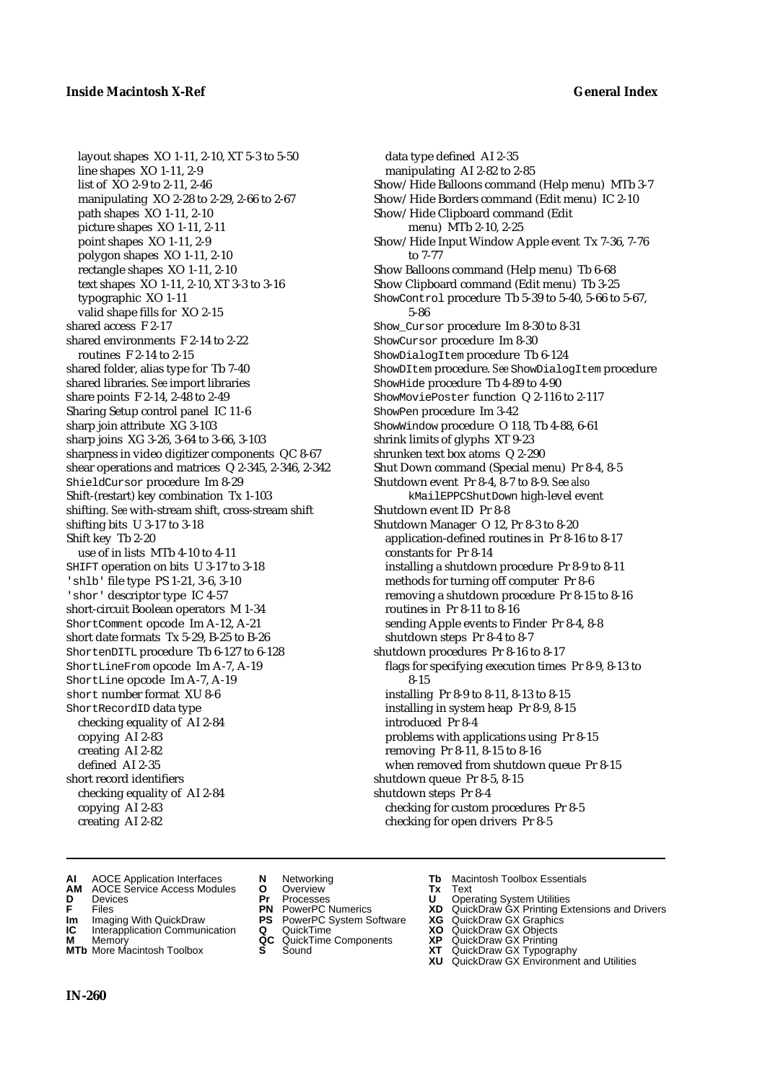layout shapes XO 1-11, 2-10, XT 5-3 to 5-50 line shapes XO 1-11, 2-9 list of XO 2-9 to 2-11, 2-46 manipulating XO 2-28 to 2-29, 2-66 to 2-67 path shapes XO 1-11, 2-10 picture shapes XO 1-11, 2-11 point shapes XO 1-11, 2-9 polygon shapes XO 1-11, 2-10 rectangle shapes XO 1-11, 2-10 text shapes XO 1-11, 2-10, XT 3-3 to 3-16 typographic XO 1-11 valid shape fills for XO 2-15 shared access F 2-17 shared environments F 2-14 to 2-22 routines F 2-14 to 2-15 shared folder, alias type for Tb 7-40 shared libraries. *See* import libraries share points F 2-14, 2-48 to 2-49 Sharing Setup control panel IC 11-6 sharp join attribute XG 3-103 sharp joins XG 3-26, 3-64 to 3-66, 3-103 sharpness in video digitizer components QC 8-67 shear operations and matrices Q 2-345, 2-346, 2-342 ShieldCursor procedure Im 8-29 Shift-(restart) key combination Tx 1-103 shifting. *See* with-stream shift, cross-stream shift shifting bits U 3-17 to 3-18 Shift key Tb 2-20 use of in lists MTb 4-10 to 4-11 SHIFT operation on bits U 3-17 to 3-18 'shlb' file type PS 1-21, 3-6, 3-10 'shor' descriptor type IC 4-57 short-circuit Boolean operators M 1-34 ShortComment opcode Im A-12, A-21 short date formats Tx 5-29, B-25 to B-26 ShortenDITL procedure Tb 6-127 to 6-128 ShortLineFrom opcode Im A-7, A-19 ShortLine opcode Im A-7, A-19 short number format XU 8-6 ShortRecordID data type checking equality of AI 2-84 copying AI 2-83 creating AI 2-82 defined AI 2-35 short record identifiers checking equality of AI 2-84 copying AI 2-83 creating AI 2-82

data type defined AI 2-35 manipulating AI 2-82 to 2-85 Show/Hide Balloons command (Help menu) MTb 3-7 Show/Hide Borders command (Edit menu) IC 2-10 Show/Hide Clipboard command (Edit menu) MTb 2-10, 2-25 Show/Hide Input Window Apple event Tx 7-36, 7-76 to 7-77 Show Balloons command (Help menu) Tb 6-68 Show Clipboard command (Edit menu) Tb 3-25 ShowControl procedure Tb 5-39 to 5-40, 5-66 to 5-67, 5-86 Show\_Cursor procedure Im 8-30 to 8-31 ShowCursor procedure Im 8-30 ShowDialogItem procedure Tb 6-124 ShowDItem procedure. *See* ShowDialogItem procedure ShowHide procedure Tb 4-89 to 4-90 ShowMoviePoster function Q 2-116 to 2-117 ShowPen procedure Im 3-42 ShowWindow procedure O 118, Tb 4-88, 6-61 shrink limits of glyphs XT 9-23 shrunken text box atoms Q 2-290 Shut Down command (Special menu) Pr 8-4, 8-5 Shutdown event Pr 8-4, 8-7 to 8-9. *Se*e *also* kMailEPPCShutDown high-level event Shutdown event ID Pr 8-8 Shutdown Manager O 12, Pr 8-3 to 8-20 application-defined routines in Pr 8-16 to 8-17 constants for Pr 8-14 installing a shutdown procedure Pr 8-9 to 8-11 methods for turning off computer Pr 8-6 removing a shutdown procedure Pr 8-15 to 8-16 routines in Pr 8-11 to 8-16 sending Apple events to Finder Pr 8-4, 8-8 shutdown steps Pr 8-4 to 8-7 shutdown procedures Pr 8-16 to 8-17 flags for specifying execution times Pr 8-9, 8-13 to 8-15 installing Pr 8-9 to 8-11, 8-13 to 8-15 installing in system heap Pr 8-9, 8-15 introduced Pr 8-4 problems with applications using Pr 8-15 removing Pr 8-11, 8-15 to 8-16 when removed from shutdown queue Pr 8-15 shutdown queue Pr 8-5, 8-15 shutdown steps Pr 8-4 checking for custom procedures Pr 8-5 checking for open drivers Pr 8-5

- **AI** AOCE Application Interfaces **N** Networking **Tb** Macintosh Toolbox Essentials<br> **AM** AOCE Service Access Modules **O** Overview **Tx** Text<br> **D** Devices **Pr** Processes **U** Operating System Utilities
- **AM** AOCE Service Access Modules **O** Overview **Tx** Text
- 
- 
- **IM** Files<br> **Im** Imaging With QuickDraw **PS** PowerPC System Software **XG**<br> **IC** Interapplication Communication **Q** QuickTime **XO XO**
- **Interapplication Communication <b>Q** QuickTime **XO** Memory **XO** Memory **XP QC** QuickTime Components **XP M** Memory **CONSISTENT CONSIDER**<br> **MTb** More Macintosh Toolbox **S** Sound **S S** State **XP**
- **MTb** More Macintosh Toolbox **S** Sound **XT** QuickDraw GX Typography
- 
- **D** Devices **Pr** Processes **U** Operating System Utilities
	-
	-
	-
	-
	-
- 
- 
- **F** Files **PN** PowerPC Numerics **XD** QuickDraw GX Printing Extensions and Drivers
	-
	-
	-
	-
	- **XU** QuickDraw GX Environment and Utilities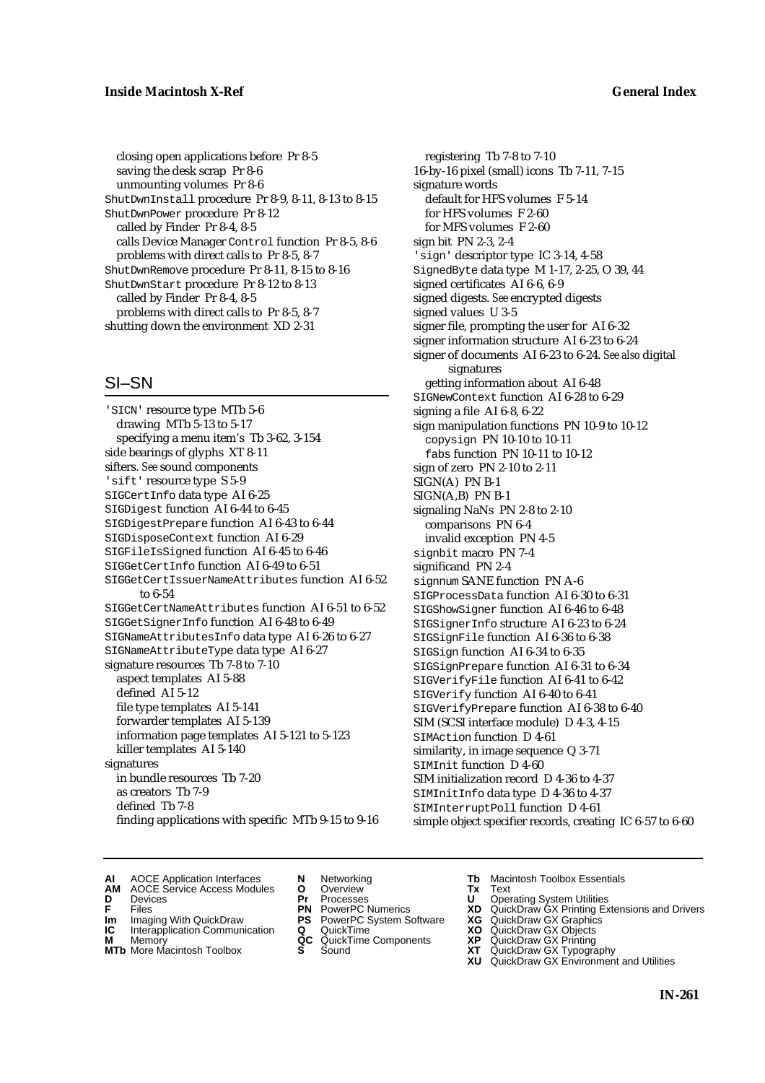closing open applications before Pr 8-5 saving the desk scrap Pr 8-6 unmounting volumes Pr 8-6 ShutDwnInstall procedure Pr 8-9, 8-11, 8-13 to 8-15 ShutDwnPower procedure Pr 8-12 called by Finder Pr 8-4, 8-5 calls Device Manager Control function Pr 8-5, 8-6 problems with direct calls to Pr 8-5, 8-7 ShutDwnRemove procedure Pr 8-11, 8-15 to 8-16 ShutDwnStart procedure Pr 8-12 to 8-13 called by Finder Pr 8-4, 8-5 problems with direct calls to Pr 8-5, 8-7 shutting down the environment XD 2-31

# SI–SN

'SICN' resource type MTb 5-6 drawing MTb 5-13 to 5-17 specifying a menu item's Tb 3-62, 3-154 side bearings of glyphs XT 8-11 sifters. *See* sound components 'sift' resource type S 5-9 SIGCertInfo data type AI 6-25 SIGDigest function AI 6-44 to 6-45 SIGDigestPrepare function AI 6-43 to 6-44 SIGDisposeContext function AI 6-29 SIGFileIsSigned function AI 6-45 to 6-46 SIGGetCertInfo function AI 6-49 to 6-51 SIGGetCertIssuerNameAttributes function AI 6-52 to 6-54 SIGGetCertNameAttributes function AI 6-51 to 6-52 SIGGetSignerInfo function AI 6-48 to 6-49 SIGNameAttributesInfo data type AI 6-26 to 6-27 SIGNameAttributeType data type AI 6-27 signature resources Tb 7-8 to 7-10 aspect templates AI 5-88 defined AI 5-12 file type templates AI 5-141 forwarder templates AI 5-139 information page templates AI 5-121 to 5-123 killer templates AI 5-140 signatures in bundle resources Tb 7-20 as creators Tb 7-9 defined Tb 7-8 finding applications with specific MTb 9-15 to 9-16

registering Tb 7-8 to 7-10 16-by-16 pixel (small) icons Tb 7-11, 7-15 signature words default for HFS volumes F 5-14 for HFS volumes F 2-60 for MFS volumes F 2-60 sign bit PN 2-3, 2-4 'sign' descriptor type IC 3-14, 4-58 SignedByte data type M 1-17, 2-25, O 39, 44 signed certificates AI 6-6, 6-9 signed digests. *See* encrypted digests signed values U 3-5 signer file, prompting the user for AI 6-32 signer information structure AI 6-23 to 6-24 signer of documents AI 6-23 to 6-24. *See also* digital signatures getting information about AI 6-48 SIGNewContext function AI 6-28 to 6-29 signing a file AI 6-8, 6-22 sign manipulation functions PN 10-9 to 10-12 copysign PN 10-10 to 10-11 fabs function PN 10-11 to 10-12 sign of zero PN 2-10 to 2-11 SIGN(A) PN B-1  $SIGN(A,B)$  PN  $B-1$ signaling NaNs PN 2-8 to 2-10 comparisons PN 6-4 invalid exception PN 4-5 signbit macro PN 7-4 significand PN 2-4 signnum SANE function PN A-6 SIGProcessData function AI 6-30 to 6-31 SIGShowSigner function AI 6-46 to 6-48 SIGSignerInfo structure AI 6-23 to 6-24 SIGSignFile function AI 6-36 to 6-38 SIGSign function AI 6-34 to 6-35 SIGSignPrepare function AI 6-31 to 6-34 SIGVerifyFile function AI 6-41 to 6-42 SIGVerify function AI 6-40 to 6-41 SIGVerifyPrepare function AI 6-38 to 6-40 SIM (SCSI interface module) D 4-3, 4-15 SIMAction function D 4-61 similarity, in image sequence Q 3-71 SIMInit function D 4-60 SIM initialization record D 4-36 to 4-37 SIMInitInfo data type D 4-36 to 4-37 SIMInterruptPoll function D 4-61 simple object specifier records, creating IC 6-57 to 6-60

- **AI** AOCE Application Interfaces **N** Networking **The Macintosh Toolbox Essentials**<br> **AM** AOCE Service Access Modules **O** Overview **Tx** Text<br> **D** Devices **Pr** Processes **U** Operating System Utilities
	- AOCE Service Access Modules **O** Overview **Tx** Text<br>Devices **Devices Devices Devices**
- 
- 
- **IM** FILES<br> **Im** Imaging With QuickDraw **PS** PowerPC System Software **XG**<br> **IC** Interapplication Communication **Q** QuickTime **XO**
- **IC** Interapplication Communication **Q** QuickTime **XO M** Memory **XO QC** QuickTime Components **XP M** Memory **District Acc** QuickTime Components **XP**<br> **MTb** More Macintosh Toolbox **S** Sound **XT**
- **MTb** More Macintosh Toolbox **S** Sound **XT** QuickDraw GX Typography
- 
- **D** Devices **Pr** Processes **U** Operating System Utilities
	-
	-
	-
	-
- 
- 
- **F** Files **PN** PowerPC Numerics **XD** QuickDraw GX Printing Extensions and Drivers
	-
	-
	-
	- **XU** QuickDraw GX Environment and Utilities
		- **IN-261**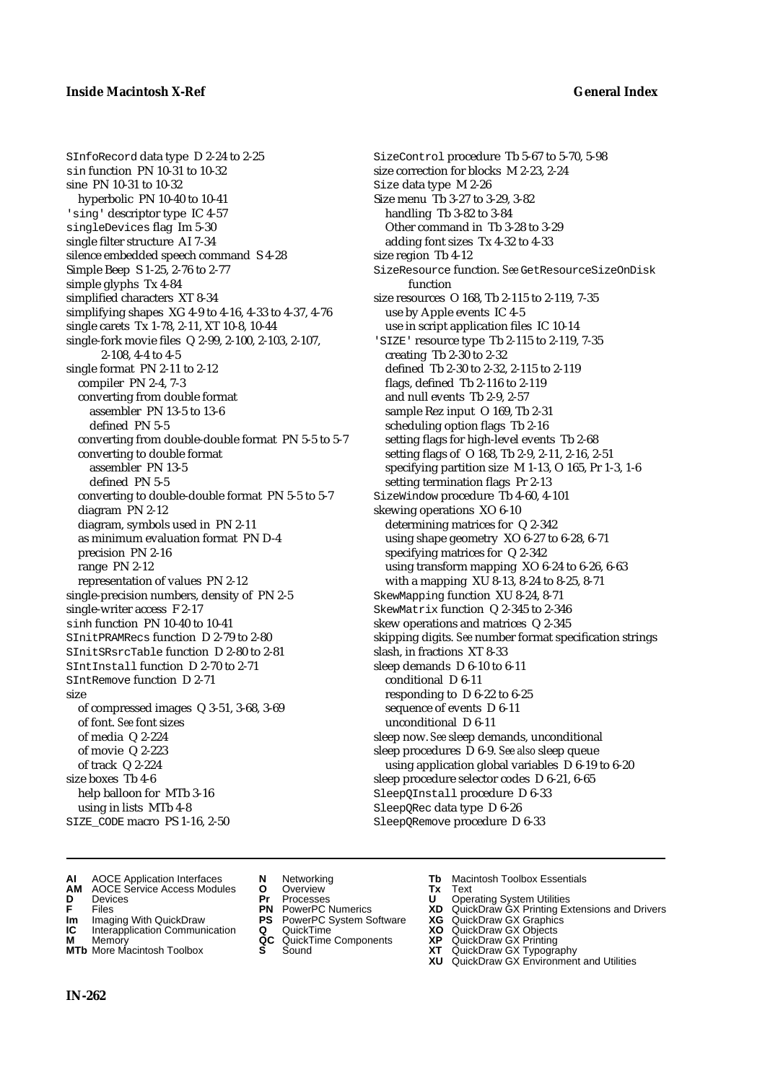SInfoRecord data type D 2-24 to 2-25 sin function PN 10-31 to 10-32 sine PN 10-31 to 10-32 hyperbolic PN 10-40 to 10-41 'sing' descriptor type IC 4-57 singleDevices flag Im 5-30 single filter structure AI 7-34 silence embedded speech command S 4-28 Simple Beep S 1-25, 2-76 to 2-77 simple glyphs Tx 4-84 simplified characters XT 8-34 simplifying shapes XG 4-9 to 4-16, 4-33 to 4-37, 4-76 single carets Tx 1-78, 2-11, XT 10-8, 10-44 single-fork movie files Q 2-99, 2-100, 2-103, 2-107, 2-108, 4-4 to 4-5 single format PN 2-11 to 2-12 compiler PN 2-4, 7-3 converting from double format assembler PN 13-5 to 13-6 defined PN 5-5 converting from double-double format PN 5-5 to 5-7 converting to double format assembler PN 13-5 defined PN 5-5 converting to double-double format PN 5-5 to 5-7 diagram PN 2-12 diagram, symbols used in PN 2-11 as minimum evaluation format PN D-4 precision PN 2-16 range PN 2-12 representation of values PN 2-12 single-precision numbers, density of PN 2-5 single-writer access F 2-17 sinh function PN 10-40 to 10-41 SInitPRAMRecs function D 2-79 to 2-80 SInitSRsrcTable function D 2-80 to 2-81 SIntInstall function D 2-70 to 2-71 SIntRemove function D 2-71 size of compressed images Q 3-51, 3-68, 3-69 of font. *See* font sizes of media Q 2-224 of movie Q 2-223 of track Q 2-224 size boxes Tb 4-6 help balloon for MTb 3-16 using in lists MTb 4-8 SIZE\_CODE macro PS 1-16, 2-50

SizeControl procedure Tb 5-67 to 5-70, 5-98 size correction for blocks M 2-23, 2-24 Size data type M 2-26 Size menu Tb 3-27 to 3-29, 3-82 handling Tb 3-82 to 3-84 Other command in Tb 3-28 to 3-29 adding font sizes Tx 4-32 to 4-33 size region Tb 4-12 SizeResource function. *See* GetResourceSizeOnDisk function size resources O 168, Tb 2-115 to 2-119, 7-35 use by Apple events IC 4-5 use in script application files IC 10-14 'SIZE' resource type Tb 2-115 to 2-119, 7-35 creating Tb 2-30 to 2-32 defined Tb 2-30 to 2-32, 2-115 to 2-119 flags, defined Tb 2-116 to 2-119 and null events Tb 2-9, 2-57 sample Rez input O 169, Tb 2-31 scheduling option flags Tb 2-16 setting flags for high-level events Tb 2-68 setting flags of O 168, Tb 2-9, 2-11, 2-16, 2-51 specifying partition size M 1-13, O 165, Pr 1-3, 1-6 setting termination flags Pr 2-13 SizeWindow procedure Tb 4-60, 4-101 skewing operations XO 6-10 determining matrices for Q 2-342 using shape geometry XO 6-27 to 6-28, 6-71 specifying matrices for Q 2-342 using transform mapping XO 6-24 to 6-26, 6-63 with a mapping XU 8-13, 8-24 to 8-25, 8-71 SkewMapping function XU 8-24, 8-71 SkewMatrix function Q 2-345 to 2-346 skew operations and matrices Q 2-345 skipping digits. *See* number format specification strings slash, in fractions XT 8-33 sleep demands D 6-10 to 6-11 conditional D 6-11 responding to D 6-22 to 6-25 sequence of events D 6-11 unconditional D 6-11 sleep now. *See* sleep demands, unconditional sleep procedures D 6-9. *See also* sleep queue using application global variables D 6-19 to 6-20 sleep procedure selector codes D 6-21, 6-65 SleepQInstall procedure D 6-33 SleepQRec data type D 6-26 SleepQRemove procedure D 6-33

- **AI** AOCE Application Interfaces **N** Networking **Tb** Macintosh Toolbox Essentials
- **AM** AOCE Service Access Modules **O** Overview **Tx** Text
- 
- 
- **Im** Imaging With QuickDraw **PS** PowerPC System Software **XG IC** Interapplication Communication **Q** QuickTime **COVIC**
- **Interapplication Communication <b>Q** QuickTime **XO** Memory **XO** Memory **XP QC** QuickTime Components **XP M** Memory **CONSISTENT CONSIDER**<br> **MTb** More Macintosh Toolbox **S** Sound **S S** State **XP**
- **MTb** More Macintosh Toolbox **S** Sound **XT** QuickDraw GX Typography
- 
- **D** Devices **Pr** Processes **U** Operating System Utilities
	-
	-
	-
	-
- 
- 
- **F** Files **PN** PowerPC Numerics **XD** QuickDraw GX Printing Extensions and Drivers
	-
	-
	-
	-
	- **XU** QuickDraw GX Environment and Utilities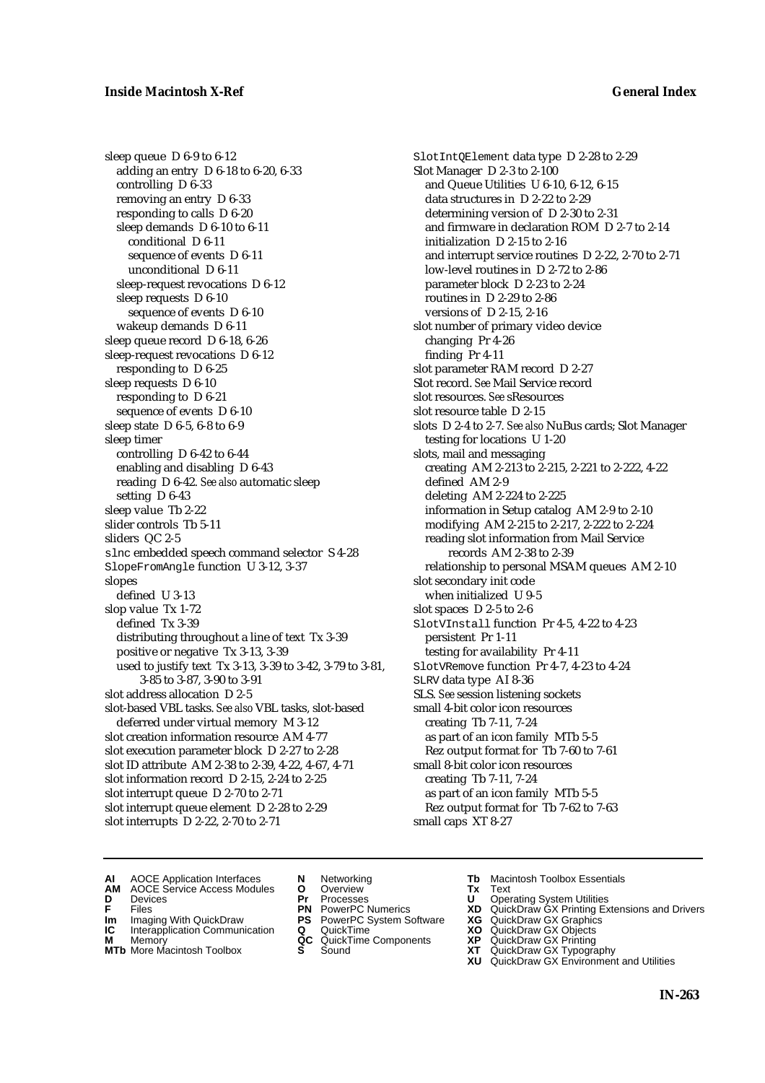sleep queue D 6-9 to 6-12 adding an entry D 6-18 to 6-20, 6-33 controlling D 6-33 removing an entry D 6-33 responding to calls D 6-20 sleep demands D 6-10 to 6-11 conditional D 6-11 sequence of events D 6-11 unconditional D 6-11 sleep-request revocations D 6-12 sleep requests D 6-10 sequence of events D 6-10 wakeup demands D 6-11 sleep queue record D 6-18, 6-26 sleep-request revocations D 6-12 responding to D 6-25 sleep requests D 6-10 responding to D 6-21 sequence of events D 6-10 sleep state D 6-5, 6-8 to 6-9 sleep timer controlling D 6-42 to 6-44 enabling and disabling D 6-43 reading D 6-42. *See also* automatic sleep setting D 6-43 sleep value Tb 2-22 slider controls Tb 5-11 sliders QC 2-5 slnc embedded speech command selector S 4-28 SlopeFromAngle function U 3-12, 3-37 slopes defined U 3-13 slop value Tx 1-72 defined Tx 3-39 distributing throughout a line of text Tx 3-39 positive or negative Tx 3-13, 3-39 used to justify text Tx 3-13, 3-39 to 3-42, 3-79 to 3-81, 3-85 to 3-87, 3-90 to 3-91 slot address allocation D 2-5 slot-based VBL tasks. *See also* VBL tasks, slot-based deferred under virtual memory M 3-12 slot creation information resource AM 4-77 slot execution parameter block D 2-27 to 2-28 slot ID attribute AM 2-38 to 2-39, 4-22, 4-67, 4-71 slot information record D 2-15, 2-24 to 2-25 slot interrupt queue D 2-70 to 2-71 slot interrupt queue element D 2-28 to 2-29 slot interrupts D 2-22, 2-70 to 2-71

SlotIntQElement data type D 2-28 to 2-29 Slot Manager D 2-3 to 2-100 and Queue Utilities U 6-10, 6-12, 6-15 data structures in D 2-22 to 2-29 determining version of D 2-30 to 2-31 and firmware in declaration ROM D 2-7 to 2-14 initialization D 2-15 to 2-16 and interrupt service routines D 2-22, 2-70 to 2-71 low-level routines in D 2-72 to 2-86 parameter block D 2-23 to 2-24 routines in D 2-29 to 2-86 versions of D 2-15, 2-16 slot number of primary video device changing Pr 4-26 finding Pr 4-11 slot parameter RAM record D 2-27 Slot record. *See* Mail Service record slot resources. *See* sResources slot resource table D 2-15 slots D 2-4 to 2-7. *See also* NuBus cards; Slot Manager testing for locations U 1-20 slots, mail and messaging creating AM 2-213 to 2-215, 2-221 to 2-222, 4-22 defined AM 2-9 deleting AM 2-224 to 2-225 information in Setup catalog AM 2-9 to 2-10 modifying AM 2-215 to 2-217, 2-222 to 2-224 reading slot information from Mail Service records AM 2-38 to 2-39 relationship to personal MSAM queues AM 2-10 slot secondary init code when initialized U 9-5 slot spaces D 2-5 to 2-6 SlotVInstall function Pr 4-5, 4-22 to 4-23 persistent Pr 1-11 testing for availability Pr 4-11 SlotVRemove function Pr 4-7, 4-23 to 4-24 SLRV data type AI 8-36 SLS. *See* session listening sockets small 4-bit color icon resources creating Tb 7-11, 7-24 as part of an icon family MTb 5-5 Rez output format for Tb 7-60 to 7-61 small 8-bit color icon resources creating Tb 7-11, 7-24 as part of an icon family MTb 5-5 Rez output format for Tb 7-62 to 7-63 small caps XT 8-27

- **AI** AOCE Application Interfaces **N** Networking **The Macintosh Toolbox Essentials**<br> **AM** AOCE Service Access Modules **O** Overview **Tx** Text<br> **D** Devices **Pr** Processes **U** Operating System Utilities
	- AOCE Service Access Modules **O** Overview **Tx** Text<br>Devices **Devices Devices Devices**
- **D** Devices **Pr** Processes **U** Operating System Utilities
	-
- **Im** Imaging With QuickDraw **PS** PowerPC System Software **XG IC** Interapplication Communication **Q** QuickTime **XO**
- **IC** Interapplication Communication **Q** QuickTime **XO M** Memory **XP QC** QuickTime Components **XP**
- **M** Memory **CONSISTENT CONSISTENT QC** QuickTime Components **XP**<br> **MTb** More Macintosh Toolbox **S** Sound **XT**
- 
- 
- **F** Files **PN** PowerPC Numerics **XD** QuickDraw GX Printing Extensions and Drivers
	-
	-
	-
- **MTb** More Macintosh Toolbox **S** Sound **XT** QuickDraw GX Typography
	- **XU** QuickDraw GX Environment and Utilities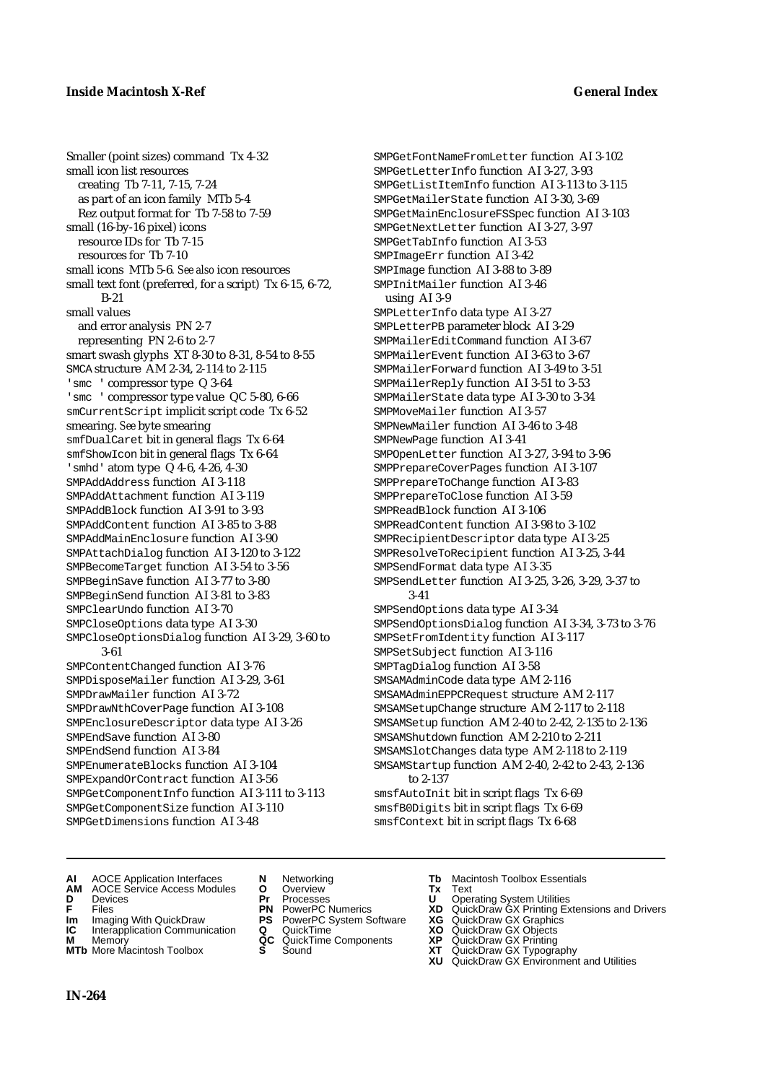Smaller (point sizes) command Tx 4-32 small icon list resources creating Tb 7-11, 7-15, 7-24 as part of an icon family MTb 5-4 Rez output format for Tb 7-58 to 7-59 small (16-by-16 pixel) icons resource IDs for Tb 7-15 resources for Tb 7-10 small icons MTb 5-6*. See also* icon resources small text font (preferred, for a script) Tx 6-15, 6-72, B-21 small values and error analysis PN 2-7 representing PN 2-6 to 2-7 smart swash glyphs XT 8-30 to 8-31, 8-54 to 8-55 SMCA structure AM 2-34, 2-114 to 2-115 'smc ' compressor type Q 3-64 'smc ' compressor type value QC 5-80, 6-66 smCurrentScript implicit script code Tx 6-52 smearing. *See* byte smearing smfDualCaret bit in general flags Tx 6-64 smfShowIcon bit in general flags Tx 6-64 'smhd' atom type Q 4-6, 4-26, 4-30 SMPAddAddress function AI 3-118 SMPAddAttachment function AI 3-119 SMPAddBlock function AI 3-91 to 3-93 SMPAddContent function AI 3-85 to 3-88 SMPAddMainEnclosure function AI 3-90 SMPAttachDialog function AI 3-120 to 3-122 SMPBecomeTarget function AI 3-54 to 3-56 SMPBeginSave function AI 3-77 to 3-80 SMPBeginSend function AI 3-81 to 3-83 SMPClearUndo function AI 3-70 SMPCloseOptions data type AI 3-30 SMPCloseOptionsDialog function AI 3-29, 3-60 to 3-61 SMPContentChanged function AI 3-76 SMPDisposeMailer function AI 3-29, 3-61 SMPDrawMailer function AI 3-72 SMPDrawNthCoverPage function AI 3-108 SMPEnclosureDescriptor data type AI 3-26 SMPEndSave function AI 3-80 SMPEndSend function AI 3-84 SMPEnumerateBlocks function AI 3-104 SMPExpandOrContract function AI 3-56 SMPGetComponentInfo function AI 3-111 to 3-113 SMPGetComponentSize function AI 3-110 SMPGetDimensions function AI 3-48

SMPGetFontNameFromLetter function AI 3-102 SMPGetLetterInfo function AI 3-27, 3-93 SMPGetListItemInfo function AI 3-113 to 3-115 SMPGetMailerState function AI 3-30, 3-69 SMPGetMainEnclosureFSSpec function AI 3-103 SMPGetNextLetter function AI 3-27, 3-97 SMPGetTabInfo function AI 3-53 SMPImageErr function AI 3-42 SMPImage function AI 3-88 to 3-89 SMPInitMailer function AI 3-46 using AI 3-9 SMPLetterInfo data type AI 3-27 SMPLetterPB parameter block AI 3-29 SMPMailerEditCommand function AI 3-67 SMPMailerEvent function AI 3-63 to 3-67 SMPMailerForward function AI 3-49 to 3-51 SMPMailerReply function AI 3-51 to 3-53 SMPMailerState data type AI 3-30 to 3-34 SMPMoveMailer function AI 3-57 SMPNewMailer function AI 3-46 to 3-48 SMPNewPage function AI 3-41 SMPOpenLetter function AI 3-27, 3-94 to 3-96 SMPPrepareCoverPages function AI 3-107 SMPPrepareToChange function AI 3-83 SMPPrepareToClose function AI 3-59 SMPReadBlock function AI 3-106 SMPReadContent function AI 3-98 to 3-102 SMPRecipientDescriptor data type AI 3-25 SMPResolveToRecipient function AI 3-25, 3-44 SMPSendFormat data type AI 3-35 SMPSendLetter function AI 3-25, 3-26, 3-29, 3-37 to 3-41 SMPSendOptions data type AI 3-34 SMPSendOptionsDialog function AI 3-34, 3-73 to 3-76 SMPSetFromIdentity function AI 3-117 SMPSetSubject function AI 3-116 SMPTagDialog function AI 3-58 SMSAMAdminCode data type AM 2-116 SMSAMAdminEPPCRequest structure AM 2-117 SMSAMSetupChange structure AM 2-117 to 2-118 SMSAMSetup function AM 2-40 to 2-42, 2-135 to 2-136 SMSAMShutdown function AM 2-210 to 2-211 SMSAMSlotChanges data type AM 2-118 to 2-119 SMSAMStartup function AM 2-40, 2-42 to 2-43, 2-136 to 2-137 smsfAutoInit bit in script flags Tx 6-69 smsfB0Digits bit in script flags Tx 6-69 smsfContext bit in script flags Tx 6-68

- **AI** AOCE Application Interfaces **N** Networking **Tb** Macintosh Toolbox Essentials
- **AM** AOCE Service Access Modules **O** Overview **Tx** Text
- 
- 
- 
- **IC** Interapplication Communication **Q** QuickTime MOD **XO M** Memory **XP XP**
- **MTb** More Macintosh Toolbox **S** Sound **XT** QuickDraw GX Typography
- 
- **D** Devices **Pr** Processes **U** Operating System Utilities
- **IM** Files<br> **Im** Imaging With QuickDraw **PS** PowerPC System Software **XG**<br> **IC** Interapplication Communication **Q** QuickTime **XO** 
	-
	-
	-
- 
- 
- **F** Files **PN** PowerPC Numerics **XD** QuickDraw GX Printing Extensions and Drivers
	-
	-
- **M** Memory **QC** QuickTime Components **XP** QuickDraw GX Printing
	-
	- **XU** QuickDraw GX Environment and Utilities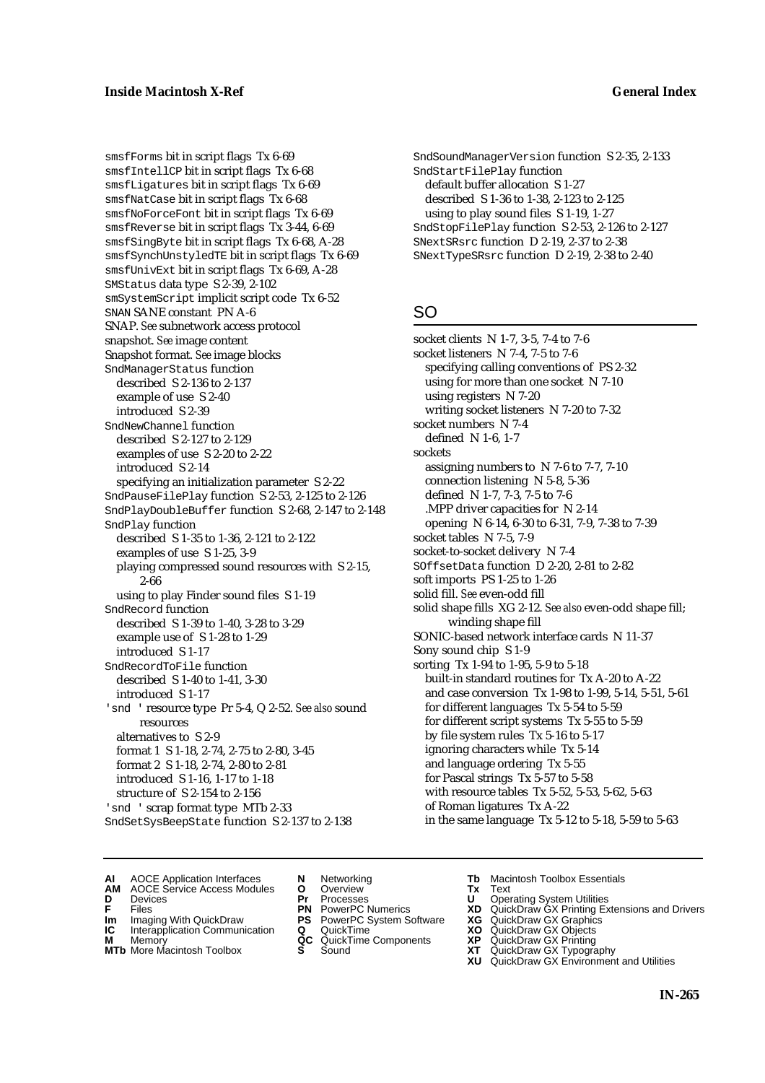smsfForms bit in script flags Tx 6-69 smsfIntellCP bit in script flags Tx 6-68 smsfLigatures bit in script flags Tx 6-69 smsfNatCase bit in script flags Tx 6-68 smsfNoForceFont bit in script flags Tx 6-69 smsfReverse bit in script flags Tx 3-44, 6-69 smsfSingByte bit in script flags Tx 6-68, A-28 smsfSynchUnstyledTE bit in script flags Tx 6-69 smsfUnivExt bit in script flags Tx 6-69, A-28 SMStatus data type S 2-39, 2-102 smSystemScript implicit script code Tx 6-52 SNAN SANE constant PN A-6 SNAP. *See* subnetwork access protocol snapshot. *See* image content Snapshot format. *See* image blocks SndManagerStatus function described S 2-136 to 2-137 example of use S 2-40 introduced S 2-39 SndNewChannel function described S 2-127 to 2-129 examples of use S 2-20 to 2-22 introduced S 2-14 specifying an initialization parameter S 2-22 SndPauseFilePlay function S 2-53, 2-125 to 2-126 SndPlayDoubleBuffer function S 2-68, 2-147 to 2-148 SndPlay function described S 1-35 to 1-36, 2-121 to 2-122 examples of use S 1-25, 3-9 playing compressed sound resources with S 2-15, 2-66 using to play Finder sound files S 1-19 SndRecord function described S 1-39 to 1-40, 3-28 to 3-29 example use of S 1-28 to 1-29 introduced S 1-17 SndRecordToFile function described S 1-40 to 1-41, 3-30 introduced S 1-17 'snd ' resource type Pr 5-4, Q 2-52. See also sound resources alternatives to S 2-9 format 1 S 1-18, 2-74, 2-75 to 2-80, 3-45 format 2 S 1-18, 2-74, 2-80 to 2-81 introduced S 1-16, 1-17 to 1-18 structure of S 2-154 to 2-156 'snd ' scrap format type MTb 2-33 SndSetSysBeepState function S 2-137 to 2-138

SndSoundManagerVersion function S 2-35, 2-133 SndStartFilePlay function default buffer allocation S 1-27 described S 1-36 to 1-38, 2-123 to 2-125 using to play sound files S 1-19, 1-27 SndStopFilePlay function S 2-53, 2-126 to 2-127 SNextSRsrc function D 2-19, 2-37 to 2-38 SNextTypeSRsrc function D 2-19, 2-38 to 2-40

# SO

socket clients N 1-7, 3-5, 7-4 to 7-6 socket listeners N 7-4, 7-5 to 7-6 specifying calling conventions of PS 2-32 using for more than one socket N 7-10 using registers N 7-20 writing socket listeners N 7-20 to 7-32 socket numbers N 7-4 defined N 1-6, 1-7 sockets assigning numbers to N 7-6 to 7-7, 7-10 connection listening N 5-8, 5-36 defined N 1-7, 7-3, 7-5 to 7-6 .MPP driver capacities for N 2-14 opening N 6-14, 6-30 to 6-31, 7-9, 7-38 to 7-39 socket tables N 7-5, 7-9 socket-to-socket delivery N 7-4 SOffsetData function D 2-20, 2-81 to 2-82 soft imports PS 1-25 to 1-26 solid fill. *See* even-odd fill solid shape fills XG 2-12. *See also* even-odd shape fill; winding shape fill SONIC-based network interface cards N 11-37 Sony sound chip S 1-9 sorting Tx 1-94 to 1-95, 5-9 to 5-18 built-in standard routines for Tx A-20 to A-22 and case conversion Tx 1-98 to 1-99, 5-14, 5-51, 5-61 for different languages Tx 5-54 to 5-59 for different script systems Tx 5-55 to 5-59 by file system rules Tx 5-16 to 5-17 ignoring characters while Tx 5-14 and language ordering Tx 5-55 for Pascal strings Tx 5-57 to 5-58 with resource tables Tx 5-52, 5-53, 5-62, 5-63 of Roman ligatures Tx A-22 in the same language Tx 5-12 to 5-18, 5-59 to 5-63

- **AI** AOCE Application Interfaces **N** Networking **The Macintosh Toolbox Essentials**<br> **AM** AOCE Service Access Modules **O** Overview **Tx** Text<br> **D** Devices **Pr** Processes **U** Operating System Utilities
	- AOCE Service Access Modules **O** Overview **Tx** Text<br>Devices **Devices Devices Devices**
- 
- 
- **IM** FILES<br> **Im** Imaging With QuickDraw **PS** PowerPC System Software **XG**<br> **IC** Interapplication Communication **Q** QuickTime **XO**
- **IC** Interapplication Communication **Q** QuickTime **XO M** Memory **XO QC** QuickTime Components **XP M** Memory **QC** QuickTime Components **XP**<br>**MTb** More Macintosh Toolbox **S** Sound **XT**
- **MTb** More Macintosh Toolbox **S** Sound **XT** QuickDraw GX Typography
- 
- **D** Devices **Pr** Processes **U** Operating System Utilities
	-
	-
	-
	-
- 
- 
- **F** Files **PN** PowerPC Numerics **XD** QuickDraw GX Printing Extensions and Drivers
	-
	-
	-
	-
	- **XU** QuickDraw GX Environment and Utilities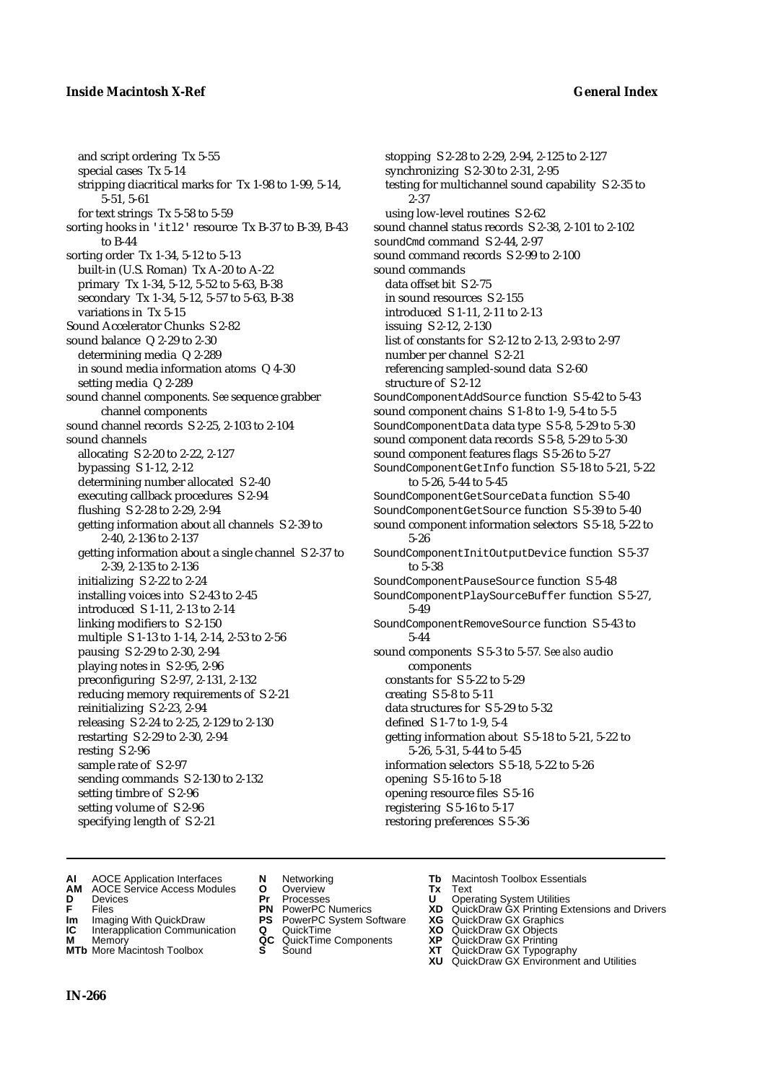## **Inside Macintosh X-Ref General Index**

and script ordering Tx 5-55 special cases Tx 5-14 stripping diacritical marks for Tx 1-98 to 1-99, 5-14, 5-51, 5-61 for text strings Tx 5-58 to 5-59 sorting hooks in 'itl2' resource Tx B-37 to B-39, B-43 to B-44 sorting order Tx 1-34, 5-12 to 5-13 built-in (U.S. Roman) Tx A-20 to A-22 primary Tx 1-34, 5-12, 5-52 to 5-63, B-38 secondary Tx 1-34, 5-12, 5-57 to 5-63, B-38 variations in Tx 5-15 Sound Accelerator Chunks S 2-82 sound balance Q 2-29 to 2-30 determining media Q 2-289 in sound media information atoms Q 4-30 setting media Q 2-289 sound channel components. *See* sequence grabber channel components sound channel records S 2-25, 2-103 to 2-104 sound channels allocating S 2-20 to 2-22, 2-127 bypassing S 1-12, 2-12 determining number allocated S 2-40 executing callback procedures S 2-94 flushing S 2-28 to 2-29, 2-94 getting information about all channels S 2-39 to 2-40, 2-136 to 2-137 getting information about a single channel S 2-37 to 2-39, 2-135 to 2-136 initializing S 2-22 to 2-24 installing voices into S 2-43 to 2-45 introduced S 1-11, 2-13 to 2-14 linking modifiers to S 2-150 multiple S 1-13 to 1-14, 2-14, 2-53 to 2-56 pausing S 2-29 to 2-30, 2-94 playing notes in S 2-95, 2-96 preconfiguring S 2-97, 2-131, 2-132 reducing memory requirements of S 2-21 reinitializing S 2-23, 2-94 releasing S 2-24 to 2-25, 2-129 to 2-130 restarting S 2-29 to 2-30, 2-94 resting S 2-96 sample rate of S 2-97 sending commands S 2-130 to 2-132 setting timbre of S 2-96 setting volume of S 2-96 specifying length of S 2-21

stopping S 2-28 to 2-29, 2-94, 2-125 to 2-127 synchronizing S 2-30 to 2-31, 2-95 testing for multichannel sound capability S 2-35 to 2-37 using low-level routines S 2-62 sound channel status records S 2-38, 2-101 to 2-102 soundCmd command S 2-44, 2-97 sound command records S 2-99 to 2-100 sound commands data offset bit S 2-75 in sound resources S 2-155 introduced S 1-11, 2-11 to 2-13 issuing S 2-12, 2-130 list of constants for S 2-12 to 2-13, 2-93 to 2-97 number per channel S 2-21 referencing sampled-sound data S 2-60 structure of S 2-12 SoundComponentAddSource function S 5-42 to 5-43 sound component chains S 1-8 to 1-9, 5-4 to 5-5 SoundComponentData data type S 5-8, 5-29 to 5-30 sound component data records S 5-8, 5-29 to 5-30 sound component features flags S 5-26 to 5-27 SoundComponentGetInfo function S 5-18 to 5-21, 5-22 to 5-26, 5-44 to 5-45 SoundComponentGetSourceData function S 5-40 SoundComponentGetSource function S 5-39 to 5-40 sound component information selectors S 5-18, 5-22 to 5-26 SoundComponentInitOutputDevice function S 5-37 to 5-38 SoundComponentPauseSource function S 5-48 SoundComponentPlaySourceBuffer function S 5-27, 5-49 SoundComponentRemoveSource function S 5-43 to 5-44 sound components S 5-3 to 5-57*. See also* audio components constants for S 5-22 to 5-29 creating S 5-8 to 5-11 data structures for S 5-29 to 5-32 defined S 1-7 to 1-9, 5-4 getting information about S 5-18 to 5-21, 5-22 to 5-26, 5-31, 5-44 to 5-45 information selectors S 5-18, 5-22 to 5-26 opening S 5-16 to 5-18 opening resource files S 5-16 registering S 5-16 to 5-17

- **AI** AOCE Application Interfaces **N** Networking **Tb** Macintosh Toolbox Essentials<br> **AM** AOCE Service Access Modules **O** Overview **Tx** Text<br> **D** Devices **Pr** Processes **U** Operating System Utilities
- **AM** AOCE Service Access Modules **O** Overview **Tx** Text
- 
- 
- **Im** Imaging With QuickDraw **PS** PowerPC System Software **XG IC** Interapplication Communication **Q** QuickTime **COVIC**
- **Interapplication Communication <b>Q** QuickTime **XO** Memory **XO C** QuickTime Components **XP**
- **MTb** More Macintosh Toolbox **S** Sound **XT** QuickDraw GX Typography
- 
- **D** Devices **Pr** Processes **U** Operating System Utilities
	-
	-
	-
	-
- 
- 

restoring preferences S 5-36

- **F** Files **PN** PowerPC Numerics **XD** QuickDraw GX Printing Extensions and Drivers
	-
	-
- **M** Memory **QC** QuickTime Components **XP** QuickDraw GX Printing
	-
	- **XU** QuickDraw GX Environment and Utilities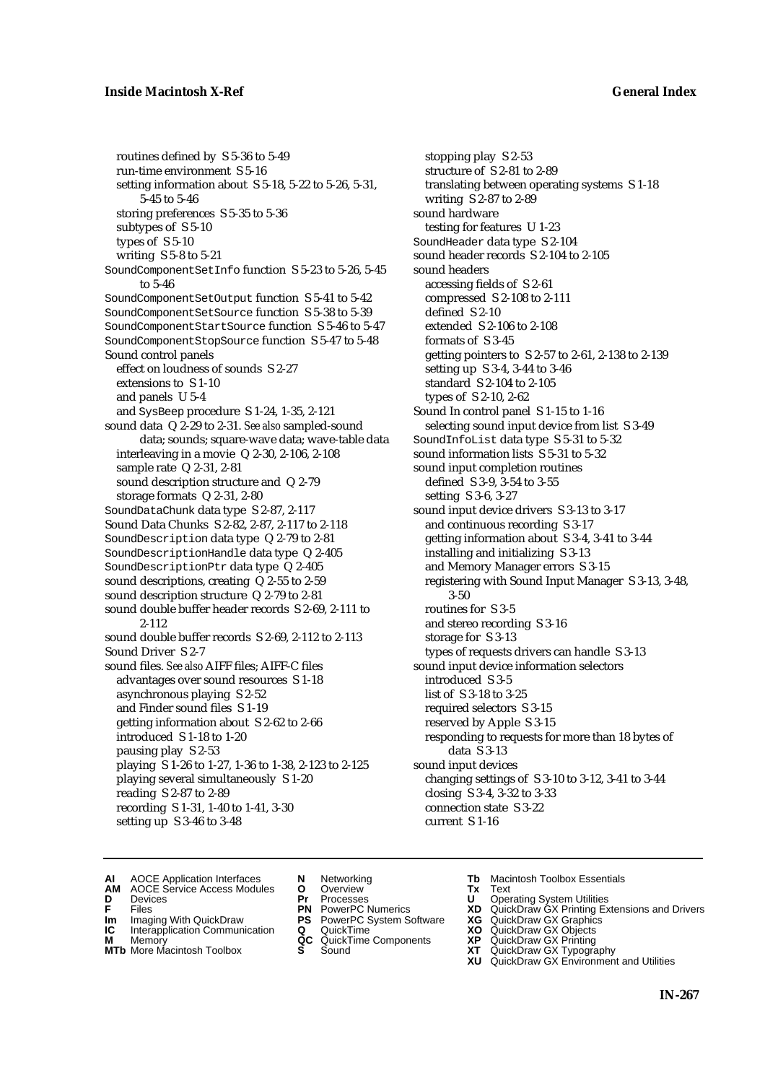routines defined by S 5-36 to 5-49 run-time environment S 5-16 setting information about S 5-18, 5-22 to 5-26, 5-31, 5-45 to 5-46 storing preferences S 5-35 to 5-36 subtypes of S 5-10 types of S 5-10 writing S 5-8 to 5-21 SoundComponentSetInfo function S 5-23 to 5-26, 5-45 to 5-46 SoundComponentSetOutput function S 5-41 to 5-42 SoundComponentSetSource function S 5-38 to 5-39 SoundComponentStartSource function S 5-46 to 5-47 SoundComponentStopSource function S 5-47 to 5-48 Sound control panels effect on loudness of sounds S 2-27 extensions to S 1-10 and panels U 5-4 and SysBeep procedure S 1-24, 1-35, 2-121 sound data Q 2-29 to 2-31. *See also* sampled-sound data; sounds; square-wave data; wave-table data interleaving in a movie Q 2-30, 2-106, 2-108 sample rate Q 2-31, 2-81 sound description structure and Q 2-79 storage formats Q 2-31, 2-80 SoundDataChunk data type S 2-87, 2-117 Sound Data Chunks S 2-82, 2-87, 2-117 to 2-118 SoundDescription data type Q 2-79 to 2-81 SoundDescriptionHandle data type Q 2-405 SoundDescriptionPtr data type Q 2-405 sound descriptions, creating Q 2-55 to 2-59 sound description structure Q 2-79 to 2-81 sound double buffer header records S 2-69, 2-111 to 2-112 sound double buffer records S 2-69, 2-112 to 2-113 Sound Driver S 2-7 sound files. *See also* AIFF files; AIFF-C files advantages over sound resources S 1-18 asynchronous playing S 2-52 and Finder sound files S 1-19 getting information about S 2-62 to 2-66 introduced S 1-18 to 1-20 pausing play S 2-53 playing S 1-26 to 1-27, 1-36 to 1-38, 2-123 to 2-125 playing several simultaneously S 1-20 reading S 2-87 to 2-89 recording S 1-31, 1-40 to 1-41, 3-30 setting up S 3-46 to 3-48

stopping play S 2-53 structure of S 2-81 to 2-89 translating between operating systems S 1-18 writing S 2-87 to 2-89 sound hardware testing for features U 1-23 SoundHeader data type S 2-104 sound header records S 2-104 to 2-105 sound headers accessing fields of S 2-61 compressed S 2-108 to 2-111 defined S 2-10 extended S 2-106 to 2-108 formats of S 3-45 getting pointers to S 2-57 to 2-61, 2-138 to 2-139 setting up S 3-4, 3-44 to 3-46 standard S 2-104 to 2-105 types of S 2-10, 2-62 Sound In control panel S 1-15 to 1-16 selecting sound input device from list S 3-49 SoundInfoList data type S 5-31 to 5-32 sound information lists S 5-31 to 5-32 sound input completion routines defined S 3-9, 3-54 to 3-55 setting S 3-6, 3-27 sound input device drivers S 3-13 to 3-17 and continuous recording S 3-17 getting information about S 3-4, 3-41 to 3-44 installing and initializing S 3-13 and Memory Manager errors S 3-15 registering with Sound Input Manager S 3-13, 3-48, 3-50 routines for S 3-5 and stereo recording S 3-16 storage for S 3-13 types of requests drivers can handle S 3-13 sound input device information selectors introduced S 3-5 list of S 3-18 to 3-25 required selectors S 3-15 reserved by Apple S 3-15 responding to requests for more than 18 bytes of data S 3-13 sound input devices changing settings of S 3-10 to 3-12, 3-41 to 3-44 closing S 3-4, 3-32 to 3-33 connection state S 3-22 current S 1-16

- **AI** AOCE Application Interfaces **N** Networking **The Macintosh Toolbox Essentials**<br> **AM** AOCE Service Access Modules **O** Overview **Tx** Text<br> **D** Devices **Pr** Processes **U** Operating System Utilities
- AOCE Service Access Modules **O** Overview **Tx** Text<br>Devices **Devices Devices Devices**
- -
- **Im** Files<br> **Im** Imaging With QuickDraw **PS** PowerPC System Software **XG**<br> **IC** Interapplication Communication **Q** QuickTime **XO IC** Interapplication Communication **Q** QuickTime **XO M** Memory **XP QC** QuickTime Components **XP**
- **M** Memory **CONSISTENT MEMORY AND MEMORY MEMORY AND MEMORY AND MEMORY AND <b>CONSISTENT CONSISTENT** WAS A VIOLENCE CONSISTENT OF A VIOLENCE CONSISTENT OF A VIOLENCE CONSISTENT OF A VIOLENCE CONSISTENT OF A VIOLENCE CONSISTEN
- 
- 
- **D** Devices **Pr** Processes **U** Operating System Utilities
	-
	-
	-
	-
- 
- 
- **F** Files **PN** PowerPC Numerics **XD** QuickDraw GX Printing Extensions and Drivers
	-
	-
	-
- **MTb** More Macintosh Toolbox **S** Sound **XT** QuickDraw GX Typography
	- **XU** QuickDraw GX Environment and Utilities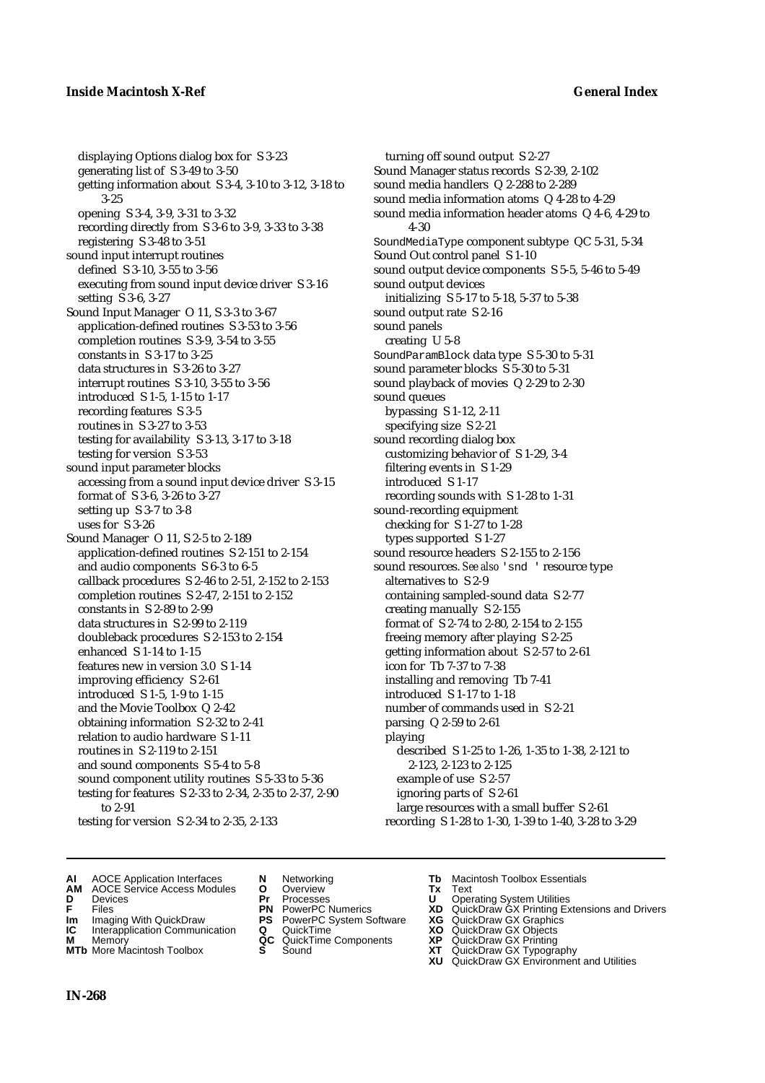displaying Options dialog box for S 3-23 generating list of S 3-49 to 3-50 getting information about S 3-4, 3-10 to 3-12, 3-18 to 3-25 opening S 3-4, 3-9, 3-31 to 3-32 recording directly from S 3-6 to 3-9, 3-33 to 3-38 registering S 3-48 to 3-51 sound input interrupt routines defined S 3-10, 3-55 to 3-56 executing from sound input device driver S 3-16 setting S 3-6, 3-27 Sound Input Manager O 11, S 3-3 to 3-67 application-defined routines S 3-53 to 3-56 completion routines S 3-9, 3-54 to 3-55 constants in S 3-17 to 3-25 data structures in S 3-26 to 3-27 interrupt routines S 3-10, 3-55 to 3-56 introduced S 1-5, 1-15 to 1-17 recording features S 3-5 routines in S 3-27 to 3-53 testing for availability S 3-13, 3-17 to 3-18 testing for version S 3-53 sound input parameter blocks accessing from a sound input device driver S 3-15 format of S 3-6, 3-26 to 3-27 setting up S 3-7 to 3-8 uses for S 3-26 Sound Manager O 11, S 2-5 to 2-189 application-defined routines S 2-151 to 2-154 and audio components S 6-3 to 6-5 callback procedures S 2-46 to 2-51, 2-152 to 2-153 completion routines S 2-47, 2-151 to 2-152 constants in S 2-89 to 2-99 data structures in S 2-99 to 2-119 doubleback procedures S 2-153 to 2-154 enhanced S 1-14 to 1-15 features new in version 3.0 S 1-14 improving efficiency S 2-61 introduced S 1-5, 1-9 to 1-15 and the Movie Toolbox Q 2-42 obtaining information S 2-32 to 2-41 relation to audio hardware S 1-11 routines in S 2-119 to 2-151 and sound components S 5-4 to 5-8 sound component utility routines S 5-33 to 5-36 testing for features S 2-33 to 2-34, 2-35 to 2-37, 2-90 to 2-91 testing for version S 2-34 to 2-35, 2-133

turning off sound output S 2-27 Sound Manager status records S 2-39, 2-102 sound media handlers Q 2-288 to 2-289 sound media information atoms Q 4-28 to 4-29 sound media information header atoms Q 4-6, 4-29 to 4-30 SoundMediaType component subtype QC 5-31, 5-34 Sound Out control panel S 1-10 sound output device components S 5-5, 5-46 to 5-49 sound output devices initializing S 5-17 to 5-18, 5-37 to 5-38 sound output rate S 2-16 sound panels creating U 5-8 SoundParamBlock data type S 5-30 to 5-31 sound parameter blocks S 5-30 to 5-31 sound playback of movies Q 2-29 to 2-30 sound queues bypassing S 1-12, 2-11 specifying size S 2-21 sound recording dialog box customizing behavior of S 1-29, 3-4 filtering events in S 1-29 introduced S 1-17 recording sounds with S 1-28 to 1-31 sound-recording equipment checking for S 1-27 to 1-28 types supported S 1-27 sound resource headers S 2-155 to 2-156 sound resources. See also 'snd ' resource type alternatives to S 2-9 containing sampled-sound data S 2-77 creating manually S 2-155 format of S 2-74 to 2-80, 2-154 to 2-155 freeing memory after playing S 2-25 getting information about S 2-57 to 2-61 icon for Tb 7-37 to 7-38 installing and removing Tb 7-41 introduced S 1-17 to 1-18 number of commands used in S 2-21 parsing Q 2-59 to 2-61 playing described S 1-25 to 1-26, 1-35 to 1-38, 2-121 to 2-123, 2-123 to 2-125 example of use S 2-57 ignoring parts of S 2-61 large resources with a small buffer S 2-61 recording S 1-28 to 1-30, 1-39 to 1-40, 3-28 to 3-29

- **AI** AOCE Application Interfaces **N** Networking **Tb** Macintosh Toolbox Essentials<br> **AM** AOCE Service Access Modules **O** Overview **Tx** Text<br> **D** Devices **Pr** Processes **U** Operating System Utilities
- **AM** AOCE Service Access Modules **O** Overview **Tx** Text
- 
- 
- 
- **Interapplication Communication <b>Q** QuickTime **XO** Memory **XO** Memory **XP QC** QuickTime Components **XP**
- **M** Memory **District Acc** QuickTime Components **XP**<br> **MTb** More Macintosh Toolbox **S** Sound **XT**
- 
- **D** Devices **Pr** Processes **U** Operating System Utilities
- **IM** Files<br> **Im** Imaging With QuickDraw **PS** PowerPC System Software **XG**<br> **IC** Interapplication Communication **Q** QuickTime **XO** 
	-
	-
	-
	-
- 
- 
- **F** Files **PN** PowerPC Numerics **XD** QuickDraw GX Printing Extensions and Drivers
	-
	-
	-
- **MTb** More Macintosh Toolbox **S** Sound **XT** QuickDraw GX Typography
	- **XU** QuickDraw GX Environment and Utilities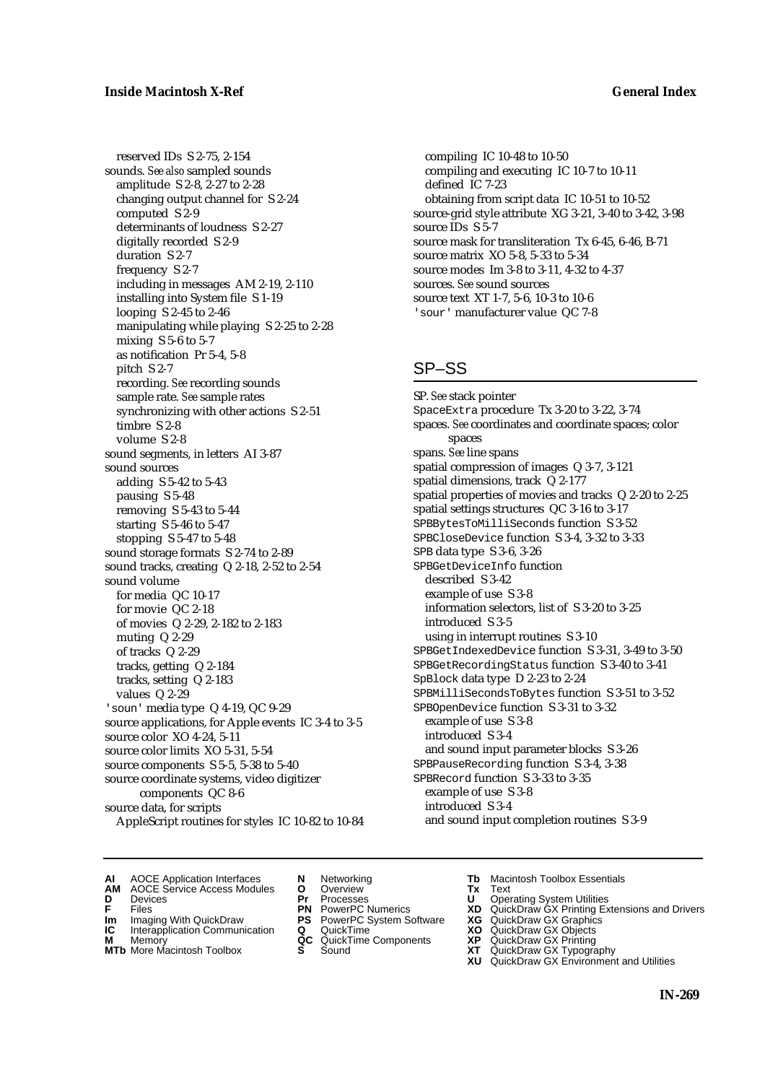reserved IDs S 2-75, 2-154 sounds. *See also* sampled sounds amplitude S 2-8, 2-27 to 2-28 changing output channel for S 2-24 computed S 2-9 determinants of loudness S 2-27 digitally recorded S 2-9 duration S 2-7 frequency S 2-7 including in messages AM 2-19, 2-110 installing into System file S 1-19 looping S 2-45 to 2-46 manipulating while playing S 2-25 to 2-28 mixing S 5-6 to 5-7 as notification Pr 5-4, 5-8 pitch S 2-7 recording. *See* recording sounds sample rate. *See* sample rates synchronizing with other actions S 2-51 timbre S 2-8 volume S 2-8 sound segments, in letters AI 3-87 sound sources adding S 5-42 to 5-43 pausing S 5-48 removing S 5-43 to 5-44 starting S 5-46 to 5-47 stopping S 5-47 to 5-48 sound storage formats S 2-74 to 2-89 sound tracks, creating Q 2-18, 2-52 to 2-54 sound volume for media QC 10-17 for movie QC 2-18 of movies Q 2-29, 2-182 to 2-183 muting Q 2-29 of tracks Q 2-29 tracks, getting Q 2-184 tracks, setting Q 2-183 values Q 2-29 'soun' media type Q 4-19, QC 9-29 source applications, for Apple events IC 3-4 to 3-5 source color XO 4-24, 5-11 source color limits XO 5-31, 5-54 source components S 5-5, 5-38 to 5-40 source coordinate systems, video digitizer components QC 8-6 source data, for scripts AppleScript routines for styles IC 10-82 to 10-84

compiling IC 10-48 to 10-50 compiling and executing IC 10-7 to 10-11 defined IC 7-23 obtaining from script data IC 10-51 to 10-52 source-grid style attribute XG 3-21, 3-40 to 3-42, 3-98 source IDs S 5-7 source mask for transliteration Tx 6-45, 6-46, B-71 source matrix XO 5-8, 5-33 to 5-34 source modes Im 3-8 to 3-11, 4-32 to 4-37 sources. *See* sound sources source text XT 1-7, 5-6, 10-3 to 10-6 'sour' manufacturer value QC 7-8

# SP–SS

SP. *See* stack pointer SpaceExtra procedure Tx 3-20 to 3-22, 3-74 spaces. *See* coordinates and coordinate spaces; color spaces spans. *See* line spans spatial compression of images Q 3-7, 3-121 spatial dimensions, track Q 2-177 spatial properties of movies and tracks Q 2-20 to 2-25 spatial settings structures QC 3-16 to 3-17 SPBBytesToMilliSeconds function S 3-52 SPBCloseDevice function S 3-4, 3-32 to 3-33 SPB data type S 3-6, 3-26 SPBGetDeviceInfo function described S 3-42 example of use S 3-8 information selectors, list of S 3-20 to 3-25 introduced S 3-5 using in interrupt routines S 3-10 SPBGetIndexedDevice function S 3-31, 3-49 to 3-50 SPBGetRecordingStatus function S 3-40 to 3-41 SpBlock data type D 2-23 to 2-24 SPBMilliSecondsToBytes function S 3-51 to 3-52 SPBOpenDevice function S 3-31 to 3-32 example of use S 3-8 introduced S 3-4 and sound input parameter blocks S 3-26 SPBPauseRecording function S 3-4, 3-38 SPBRecord function S 3-33 to 3-35 example of use S 3-8 introduced S 3-4 and sound input completion routines S 3-9

- **AI** AOCE Application Interfaces **N** Networking **Tb** Macintosh Toolbox Essentials
- **AM** AOCE Service Access Modules **O** Overview **Tx** Text
- 
- 
- **Im** Imaging With QuickDraw **PS** PowerPC System Software **XG IC** Interapplication Communication **Q** QuickTime **XO**
- **IC** Interapplication Communication **Q** QuickTime **XO M** Memory **XP QC** QuickTime Components **XP M** Memory **CONSISTENT CONSISTENT CONSISTENT** MEMORY **CONSISTENT** Components **XP XP CONSISTENT CONSISTENT CONSISTENT**
- 
- 
- **D** Devices **Pr** Processes **U** Operating System Utilities
	-
	-
	-
	-
- 
- 
- **F** Files **PN** PowerPC Numerics **XD** QuickDraw GX Printing Extensions and Drivers
	-
	-
	-
- **MTb** More Macintosh Toolbox **S** Sound **XT** QuickDraw GX Typography
	- **XU** QuickDraw GX Environment and Utilities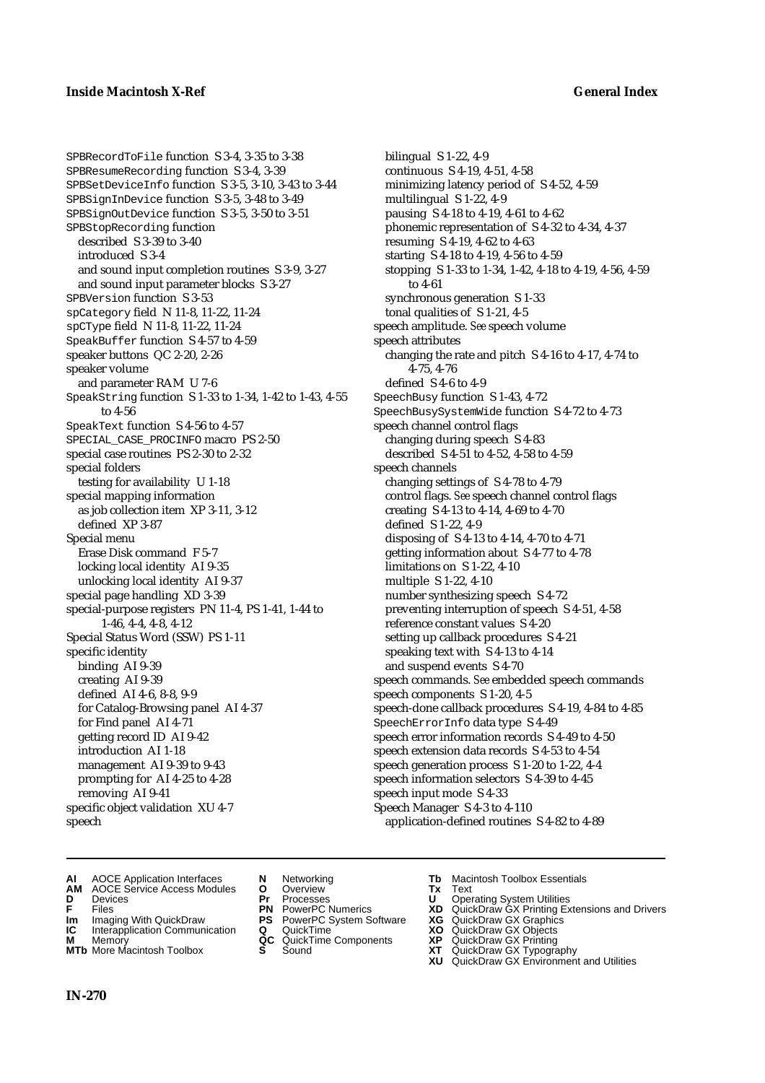SPBRecordToFile function S 3-4, 3-35 to 3-38 SPBResumeRecording function S 3-4, 3-39 SPBSetDeviceInfo function S 3-5, 3-10, 3-43 to 3-44 SPBSignInDevice function S 3-5, 3-48 to 3-49 SPBSignOutDevice function S 3-5, 3-50 to 3-51 SPBStopRecording function described S 3-39 to 3-40 introduced S 3-4 and sound input completion routines S 3-9, 3-27 and sound input parameter blocks S 3-27 SPBVersion function S 3-53 spCategory field N 11-8, 11-22, 11-24 spCType field N 11-8, 11-22, 11-24 SpeakBuffer function S 4-57 to 4-59 speaker buttons QC 2-20, 2-26 speaker volume and parameter RAM U 7-6 SpeakString function S 1-33 to 1-34, 1-42 to 1-43, 4-55 to 4-56 SpeakText function S 4-56 to 4-57 SPECIAL\_CASE\_PROCINFO macro PS 2-50 special case routines PS 2-30 to 2-32 special folders testing for availability U 1-18 special mapping information as job collection item XP 3-11, 3-12 defined XP 3-87 Special menu Erase Disk command F 5-7 locking local identity AI 9-35 unlocking local identity AI 9-37 special page handling XD 3-39 special-purpose registers PN 11-4, PS 1-41, 1-44 to 1-46, 4-4, 4-8, 4-12 Special Status Word (SSW) PS 1-11 specific identity binding AI 9-39 creating AI 9-39 defined AI 4-6, 8-8, 9-9 for Catalog-Browsing panel AI 4-37 for Find panel AI 4-71 getting record ID AI 9-42 introduction AI 1-18 management AI 9-39 to 9-43 prompting for AI 4-25 to 4-28 removing AI 9-41 specific object validation XU 4-7 speech

- bilingual S 1-22, 4-9 continuous S 4-19, 4-51, 4-58 minimizing latency period of S 4-52, 4-59 multilingual S 1-22, 4-9 pausing S 4-18 to 4-19, 4-61 to 4-62 phonemic representation of S 4-32 to 4-34, 4-37 resuming S 4-19, 4-62 to 4-63 starting S 4-18 to 4-19, 4-56 to 4-59 stopping S 1-33 to 1-34, 1-42, 4-18 to 4-19, 4-56, 4-59 to 4-61 synchronous generation S 1-33 tonal qualities of S 1-21, 4-5 speech amplitude. *See* speech volume speech attributes changing the rate and pitch S 4-16 to 4-17, 4-74 to 4-75, 4-76 defined S 4-6 to 4-9 SpeechBusy function S 1-43, 4-72 SpeechBusySystemWide function S 4-72 to 4-73 speech channel control flags changing during speech S 4-83 described S 4-51 to 4-52, 4-58 to 4-59 speech channels changing settings of S 4-78 to 4-79 control flags. *See* speech channel control flags creating S 4-13 to 4-14, 4-69 to 4-70 defined S 1-22, 4-9 disposing of S 4-13 to 4-14, 4-70 to 4-71 getting information about S 4-77 to 4-78 limitations on S 1-22, 4-10 multiple S 1-22, 4-10 number synthesizing speech S 4-72 preventing interruption of speech S 4-51, 4-58 reference constant values S 4-20 setting up callback procedures S 4-21 speaking text with S 4-13 to 4-14 and suspend events S 4-70 speech commands. *See* embedded speech commands speech components S 1-20, 4-5 speech-done callback procedures S 4-19, 4-84 to 4-85 SpeechErrorInfo data type S 4-49 speech error information records S 4-49 to 4-50 speech extension data records S 4-53 to 4-54 speech generation process S 1-20 to 1-22, 4-4 speech information selectors S 4-39 to 4-45 speech input mode S 4-33 Speech Manager S 4-3 to 4-110 application-defined routines S 4-82 to 4-89
- **AI** AOCE Application Interfaces **N** Networking **Tb** Macintosh Toolbox Essentials<br> **AM** AOCE Service Access Modules **O** Overview **Tx** Text<br> **D** Devices **Pr** Processes **U** Operating System Utilities
- **AM** AOCE Service Access Modules **O** Overview **Tx** Text
- 
- 
- **Im** Imaging With QuickDraw **PS** PowerPC System Software **XG IC** Interapplication Communication **Q** QuickTime **COVIC**
- **Interapplication Communication <b>Q** QuickTime **XO** Memory **XO** Memory **XP QC** QuickTime Components **XP**
- **M** Memory **District Acc** QuickTime Components **XP**<br> **MTb** More Macintosh Toolbox **S** Sound **XT MTb** More Macintosh Toolbox **S** Sound **XT** QuickDraw GX Typography
- 
- 
- 
- 
- -
- 
- **D** Devices **Pr** Processes **U** Operating System Utilities
- **F** Files **PN** PowerPC Numerics **XD** QuickDraw GX Printing Extensions and Drivers
	-
	-
	-
	- **XU** QuickDraw GX Environment and Utilities

**IN-270**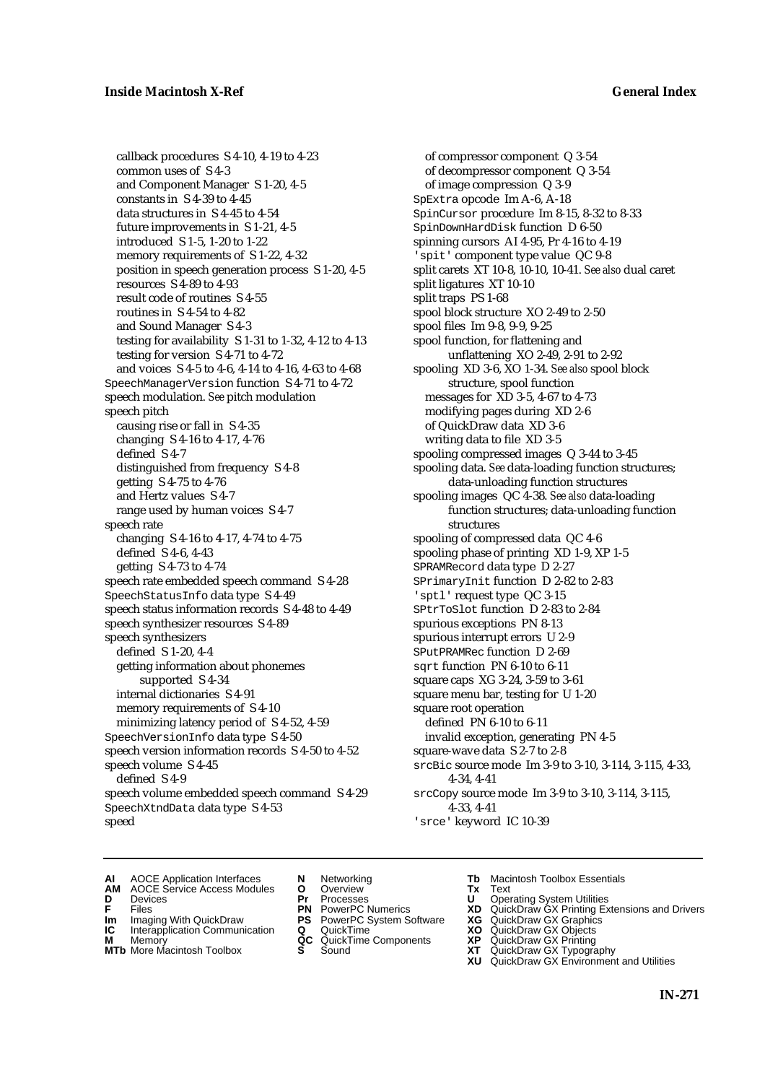callback procedures S 4-10, 4-19 to 4-23 common uses of S 4-3 and Component Manager S 1-20, 4-5 constants in S 4-39 to 4-45 data structures in S 4-45 to 4-54 future improvements in S 1-21, 4-5 introduced S 1-5, 1-20 to 1-22 memory requirements of S 1-22, 4-32 position in speech generation process S 1-20, 4-5 resources S 4-89 to 4-93 result code of routines S 4-55 routines in S 4-54 to 4-82 and Sound Manager S 4-3 testing for availability S 1-31 to 1-32, 4-12 to 4-13 testing for version S 4-71 to 4-72 and voices S 4-5 to 4-6, 4-14 to 4-16, 4-63 to 4-68 SpeechManagerVersion function S 4-71 to 4-72 speech modulation. *See* pitch modulation speech pitch causing rise or fall in S 4-35 changing S 4-16 to 4-17, 4-76 defined S 4-7 distinguished from frequency S 4-8 getting S 4-75 to 4-76 and Hertz values S 4-7 range used by human voices S 4-7 speech rate changing S 4-16 to 4-17, 4-74 to 4-75 defined S 4-6, 4-43 getting S 4-73 to 4-74 speech rate embedded speech command S 4-28 SpeechStatusInfo data type S 4-49 speech status information records S 4-48 to 4-49 speech synthesizer resources S 4-89 speech synthesizers defined S 1-20, 4-4 getting information about phonemes supported S 4-34 internal dictionaries S 4-91 memory requirements of S 4-10 minimizing latency period of S 4-52, 4-59 SpeechVersionInfo data type S 4-50 speech version information records S 4-50 to 4-52 speech volume S 4-45 defined S 4-9 speech volume embedded speech command S 4-29 SpeechXtndData data type S 4-53 speed

of compressor component Q 3-54 of decompressor component Q 3-54 of image compression Q 3-9 SpExtra opcode Im A-6, A-18 SpinCursor procedure Im 8-15, 8-32 to 8-33 SpinDownHardDisk function D 6-50 spinning cursors AI 4-95, Pr 4-16 to 4-19 'spit' component type value QC 9-8 split carets XT 10-8, 10-10, 10-41. *See also* dual caret split ligatures XT 10-10 split traps PS 1-68 spool block structure XO 2-49 to 2-50 spool files Im 9-8, 9-9, 9-25 spool function, for flattening and unflattening XO 2-49, 2-91 to 2-92 spooling XD 3-6, XO 1-34. *See also* spool block structure, spool function messages for XD 3-5, 4-67 to 4-73 modifying pages during XD 2-6 of QuickDraw data XD 3-6 writing data to file XD 3-5 spooling compressed images Q 3-44 to 3-45 spooling data. *See* data-loading function structures; data-unloading function structures spooling images QC 4-38. *See also* data-loading function structures; data-unloading function structures spooling of compressed data QC 4-6 spooling phase of printing XD 1-9, XP 1-5 SPRAMRecord data type D 2-27 SPrimaryInit function D 2-82 to 2-83 'sptl' request type QC 3-15 SPtrToSlot function D 2-83 to 2-84 spurious exceptions PN 8-13 spurious interrupt errors U 2-9 SPutPRAMRec function D 2-69 sqrt function PN 6-10 to 6-11 square caps XG 3-24, 3-59 to 3-61 square menu bar, testing for U 1-20 square root operation defined PN 6-10 to 6-11 invalid exception, generating PN 4-5 square-wave data S 2-7 to 2-8 srcBic source mode Im 3-9 to 3-10, 3-114, 3-115, 4-33, 4-34, 4-41 srcCopy source mode Im 3-9 to 3-10, 3-114, 3-115, 4-33, 4-41 'srce' keyword IC 10-39

- 
- **AI** AOCE Application Interfaces **N** Networking **The Macintosh Toolbox Essentials**<br> **AM** AOCE Service Access Modules **O** Overview **Tx** Text<br> **D** Devices **Pr** Processes **U** Operating System Utilities
- AOCE Service Access Modules **O** Overview **Tx** Text<br>Devices **Devices Devices Devices D** Devices **Pr** Processes **U** Operating System Utilities
- 
- **IM** FILES<br> **Im** Imaging With QuickDraw **PS** PowerPC System Software **XG**<br> **IC** Interapplication Communication **Q** QuickTime **XO**
- **IC** Interapplication Communication **Q** QuickTime **XO M** Memory **XO QC** QuickTime Components **XP**
- **M** Memory **QC** QuickTime Components **XP**<br>**MTb** More Macintosh Toolbox **S** Sound **XT**
- -
	-
	-
	-
- 
- 
- **F** Files **PN** PowerPC Numerics **XD** QuickDraw GX Printing Extensions and Drivers
	-
	-
	-
- **MTb** More Macintosh Toolbox **S** Sound **XT** QuickDraw GX Typography
	- **XU** QuickDraw GX Environment and Utilities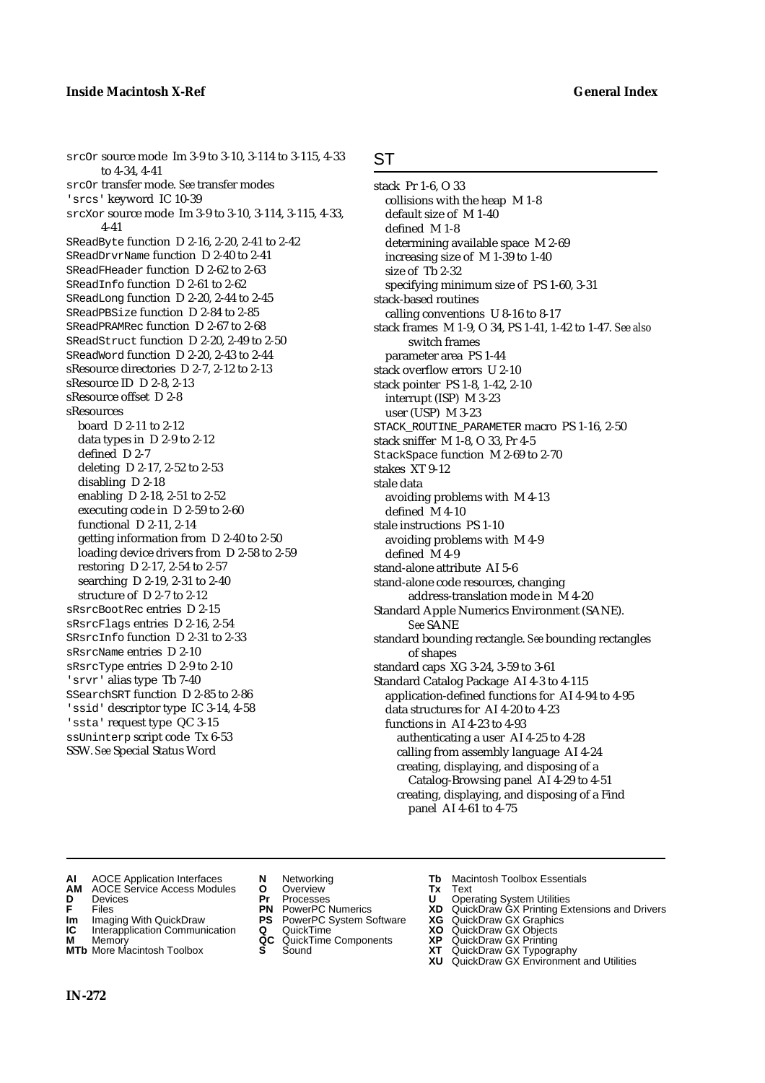srcOr source mode Im 3-9 to 3-10, 3-114 to 3-115, 4-33 to 4-34, 4-41 srcOr transfer mode. *See* transfer modes 'srcs' keyword IC 10-39 srcXor source mode Im 3-9 to 3-10, 3-114, 3-115, 4-33, 4-41 SReadByte function D 2-16, 2-20, 2-41 to 2-42 SReadDrvrName function D 2-40 to 2-41 SReadFHeader function D 2-62 to 2-63 SReadInfo function D 2-61 to 2-62 SReadLong function D 2-20, 2-44 to 2-45 SReadPBSize function D 2-84 to 2-85 SReadPRAMRec function D 2-67 to 2-68 SReadStruct function D 2-20, 2-49 to 2-50 SReadWord function D 2-20, 2-43 to 2-44 sResource directories D 2-7, 2-12 to 2-13 sResource ID D 2-8, 2-13 sResource offset D 2-8 sResources board D 2-11 to 2-12 data types in D 2-9 to 2-12 defined D 2-7 deleting D 2-17, 2-52 to 2-53 disabling D 2-18 enabling D 2-18, 2-51 to 2-52 executing code in D 2-59 to 2-60 functional D 2-11, 2-14 getting information from D 2-40 to 2-50 loading device drivers from D 2-58 to 2-59 restoring D 2-17, 2-54 to 2-57 searching D 2-19, 2-31 to 2-40 structure of D 2-7 to 2-12 sRsrcBootRec entries D 2-15 sRsrcFlags entries D 2-16, 2-54 SRsrcInfo function D 2-31 to 2-33 sRsrcName entries D 2-10 sRsrcType entries D 2-9 to 2-10 'srvr' alias type Tb 7-40 SSearchSRT function D 2-85 to 2-86 'ssid' descriptor type IC 3-14, 4-58 'ssta' request type QC 3-15 ssUninterp script code Tx 6-53 SSW. *See* Special Status Word

### ST

stack Pr 1-6, O 33 collisions with the heap M 1-8 default size of M 1-40 defined M 1-8 determining available space M 2-69 increasing size of M 1-39 to 1-40 size of Tb 2-32 specifying minimum size of PS 1-60, 3-31 stack-based routines calling conventions U 8-16 to 8-17 stack frames M 1-9, O 34, PS 1-41, 1-42 to 1-47. *See also* switch frames parameter area PS 1-44 stack overflow errors U 2-10 stack pointer PS 1-8, 1-42, 2-10 interrupt (ISP) M 3-23 user (USP) M 3-23 STACK ROUTINE PARAMETER macro PS 1-16, 2-50 stack sniffer M 1-8, O 33, Pr 4-5 StackSpace function M 2-69 to 2-70 stakes XT 9-12 stale data avoiding problems with M 4-13 defined M 4-10 stale instructions PS 1-10 avoiding problems with M 4-9 defined M 4-9 stand-alone attribute AI 5-6 stand-alone code resources, changing address-translation mode in M 4-20 Standard Apple Numerics Environment (SANE). *See* SANE standard bounding rectangle. *See* bounding rectangles of shapes standard caps XG 3-24, 3-59 to 3-61 Standard Catalog Package AI 4-3 to 4-115 application-defined functions for AI 4-94 to 4-95 data structures for AI 4-20 to 4-23 functions in AI 4-23 to 4-93 authenticating a user AI 4-25 to 4-28 calling from assembly language AI 4-24 creating, displaying, and disposing of a Catalog-Browsing panel AI 4-29 to 4-51 creating, displaying, and disposing of a Find panel AI 4-61 to 4-75

- AOCE Service Access Modules **O** Overview **Tx** Text<br> **Devices Devices Devices Dividends Pr** Processes **Dividends**
- 
- 
- **IM** FIGURE **IMPLE PRIME PRIME PRIME PRIME PRIME PRIME PRIME PRIME PRIME PRIME PRIME PRIME PRIME PRIME PRIME PRIME PRIME PRIME PRIME PRIME PRIME PRIME PRIME PRIME PRIME PRIME PRIME PRIME PRIME PRIME PRIME PRIME PRIME PRIME**
- **IC** Interapplication Communication **Q** QuickTime **XO M** Memory **XO QC** QuickTime Components **XP**
- **M** Memory **CC** QuickTime Components **XP**<br>**MTb** More Macintosh Toolbox **S** Sound **COX AT**
- 
- 
- **D** Devices **Pr** Processes **U** Operating System Utilities
	-
	-
	-
	-
- **AI** AOCE Application Interfaces **N** Networking **Tb** Macintosh Toolbox Essentials<br> **AM** AOCE Service Access Modules **O** Overview **Tx** Text<br> **D** Devices **Pr** Processes **U** Operating System Utilities
	-
- **F** Files **PN** PowerPC Numerics **XD** QuickDraw GX Printing Extensions and Drivers
	-
	-
	-
- **MTb** More Macintosh Toolbox **S** Sound **XT** QuickDraw GX Typography
	- **XU** QuickDraw GX Environment and Utilities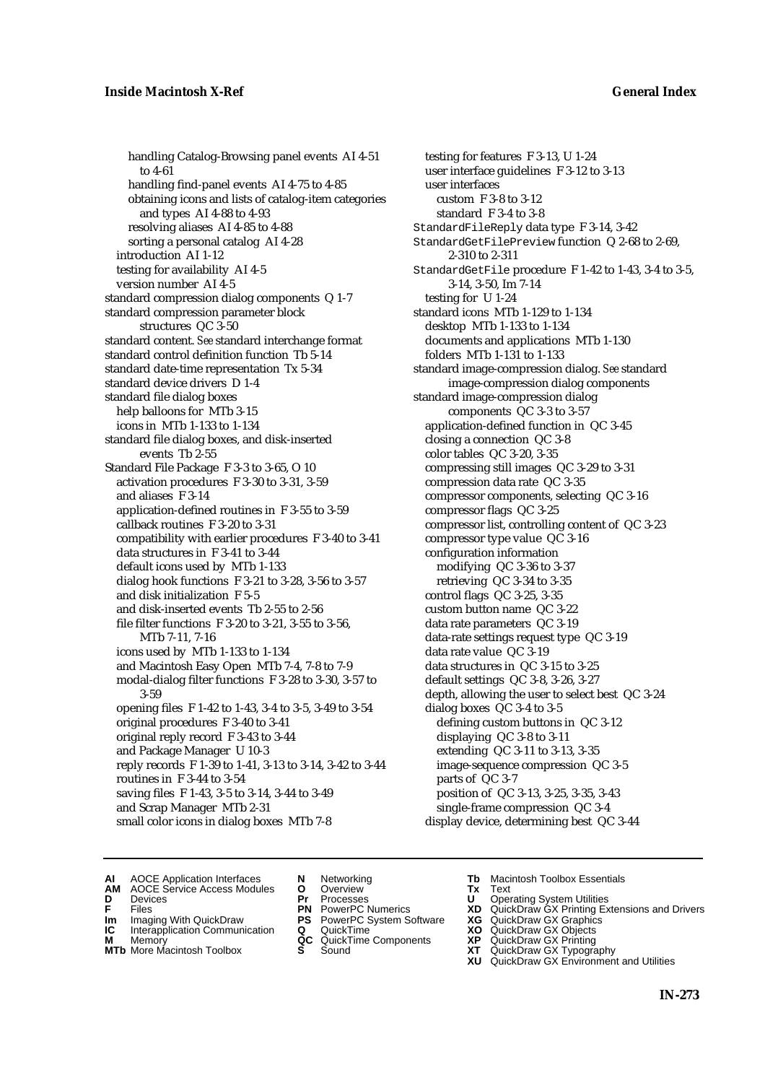handling Catalog-Browsing panel events AI 4-51 to 4-61 handling find-panel events AI 4-75 to 4-85 obtaining icons and lists of catalog-item categories and types AI 4-88 to 4-93 resolving aliases AI 4-85 to 4-88 sorting a personal catalog AI 4-28 introduction AI 1-12 testing for availability AI 4-5 version number AI 4-5 standard compression dialog components Q 1-7 standard compression parameter block structures QC 3-50 standard content. *See* standard interchange format standard control definition function Tb 5-14 standard date-time representation Tx 5-34 standard device drivers D 1-4 standard file dialog boxes help balloons for MTb 3-15 icons in MTb 1-133 to 1-134 standard file dialog boxes, and disk-inserted events Tb 2-55 Standard File Package F 3-3 to 3-65, O 10 activation procedures F 3-30 to 3-31, 3-59 and aliases F 3-14 application-defined routines in F 3-55 to 3-59 callback routines F 3-20 to 3-31 compatibility with earlier procedures F 3-40 to 3-41 data structures in F 3-41 to 3-44 default icons used by MTb 1-133 dialog hook functions F 3-21 to 3-28, 3-56 to 3-57 and disk initialization F 5-5 and disk-inserted events Tb 2-55 to 2-56 file filter functions F 3-20 to 3-21, 3-55 to 3-56, MTb 7-11, 7-16 icons used by MTb 1-133 to 1-134 and Macintosh Easy Open MTb 7-4, 7-8 to 7-9 modal-dialog filter functions F 3-28 to 3-30, 3-57 to 3-59 opening files F 1-42 to 1-43, 3-4 to 3-5, 3-49 to 3-54 original procedures F 3-40 to 3-41 original reply record F 3-43 to 3-44 and Package Manager U 10-3 reply records F 1-39 to 1-41, 3-13 to 3-14, 3-42 to 3-44 routines in F 3-44 to 3-54 saving files F 1-43, 3-5 to 3-14, 3-44 to 3-49 and Scrap Manager MTb 2-31 small color icons in dialog boxes MTb 7-8

testing for features F 3-13, U 1-24 user interface guidelines F 3-12 to 3-13 user interfaces custom F 3-8 to 3-12 standard F 3-4 to 3-8 StandardFileReply data type F 3-14, 3-42 StandardGetFilePreview function Q 2-68 to 2-69, 2-310 to 2-311 StandardGetFile procedure F 1-42 to 1-43, 3-4 to 3-5, 3-14, 3-50, Im 7-14 testing for U 1-24 standard icons MTb 1-129 to 1-134 desktop MTb 1-133 to 1-134 documents and applications MTb 1-130 folders MTb 1-131 to 1-133 standard image-compression dialog. *See* standard image-compression dialog components standard image-compression dialog components QC 3-3 to 3-57 application-defined function in QC 3-45 closing a connection QC 3-8 color tables QC 3-20, 3-35 compressing still images QC 3-29 to 3-31 compression data rate QC 3-35 compressor components, selecting QC 3-16 compressor flags QC 3-25 compressor list, controlling content of QC 3-23 compressor type value QC 3-16 configuration information modifying QC 3-36 to 3-37 retrieving QC 3-34 to 3-35 control flags QC 3-25, 3-35 custom button name QC 3-22 data rate parameters QC 3-19 data-rate settings request type QC 3-19 data rate value QC 3-19 data structures in QC 3-15 to 3-25 default settings QC 3-8, 3-26, 3-27 depth, allowing the user to select best QC 3-24 dialog boxes QC 3-4 to 3-5 defining custom buttons in QC 3-12 displaying QC 3-8 to 3-11 extending QC 3-11 to 3-13, 3-35 image-sequence compression QC 3-5 parts of QC 3-7 position of QC 3-13, 3-25, 3-35, 3-43 single-frame compression QC 3-4 display device, determining best QC 3-44

- **AI** AOCE Application Interfaces **N** Networking **Tb** Macintosh Toolbox Essentials<br> **AM** AOCE Service Access Modules **O** Overview **Tx** Text<br> **D** Devices **Pr** Processes **U** Operating System Utilities
- AOCE Service Access Modules **O** Overview **Tx** Text<br>Devices **Devices Devices Devices**
- 
- 
- **IM** FILES<br> **Im** Imaging With QuickDraw **PS** PowerPC System Software **XG**<br> **IC** Interapplication Communication **Q** QuickTime **XO IC** Interapplication Communication **Q** QuickTime **XO M** Memory **XO QC** QuickTime Components **XP**
- **M** Memory **Discussed Manufold AC** QuickTime Components **XP XT MTb** More Macintosh Toolbox **S** Sound
- 
- **D** Devices **Pr** Processes **U** Operating System Utilities
	-
	-
	-
	-
- 
- 
- **F** Files **PN** PowerPC Numerics **XD** QuickDraw GX Printing Extensions and Drivers
	-
	-
	-
- **MTb** More Macintosh Toolbox **S** Sound **XT** QuickDraw GX Typography **XU** QuickDraw GX Environment and Utilities
	- **IN-273**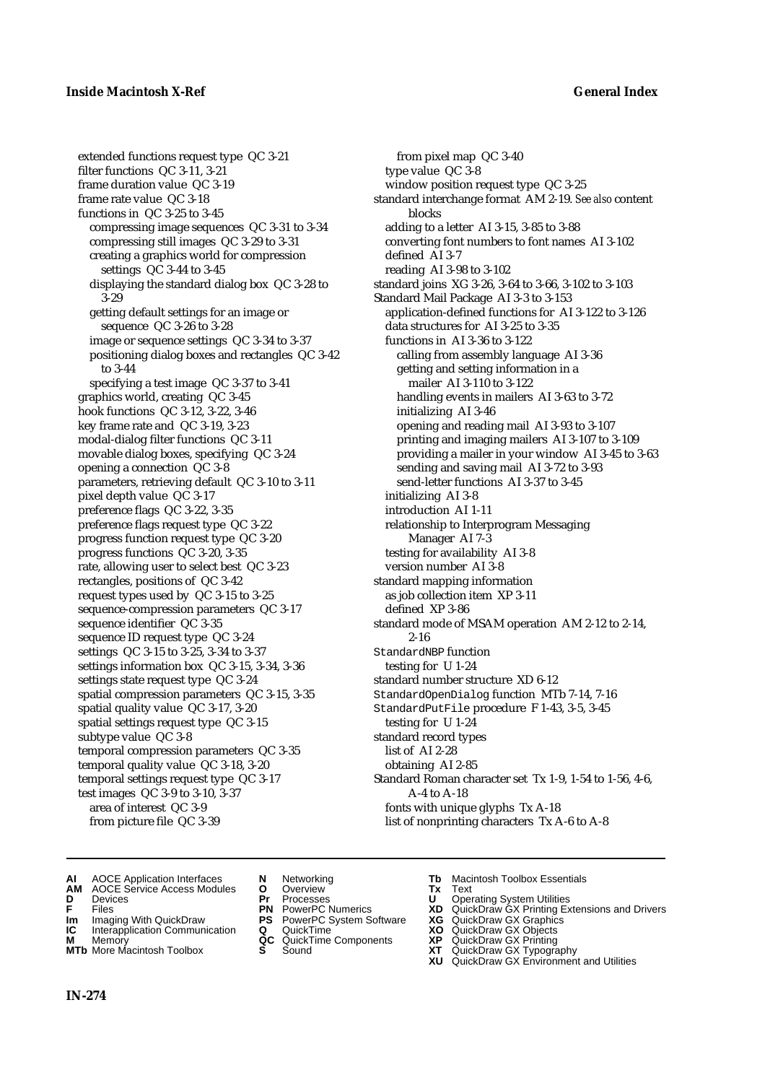extended functions request type QC 3-21 filter functions QC 3-11, 3-21 frame duration value QC 3-19 frame rate value QC 3-18 functions in QC 3-25 to 3-45 compressing image sequences QC 3-31 to 3-34 compressing still images QC 3-29 to 3-31 creating a graphics world for compression settings QC 3-44 to 3-45 displaying the standard dialog box QC 3-28 to 3-29 getting default settings for an image or sequence QC 3-26 to 3-28 image or sequence settings QC 3-34 to 3-37 positioning dialog boxes and rectangles QC 3-42 to 3-44 specifying a test image QC 3-37 to 3-41 graphics world, creating QC 3-45 hook functions QC 3-12, 3-22, 3-46 key frame rate and QC 3-19, 3-23 modal-dialog filter functions QC 3-11 movable dialog boxes, specifying QC 3-24 opening a connection QC 3-8 parameters, retrieving default QC 3-10 to 3-11 pixel depth value QC 3-17 preference flags QC 3-22, 3-35 preference flags request type QC 3-22 progress function request type QC 3-20 progress functions QC 3-20, 3-35 rate, allowing user to select best QC 3-23 rectangles, positions of QC 3-42 request types used by QC 3-15 to 3-25 sequence-compression parameters QC 3-17 sequence identifier QC 3-35 sequence ID request type QC 3-24 settings QC 3-15 to 3-25, 3-34 to 3-37 settings information box QC 3-15, 3-34, 3-36 settings state request type QC 3-24 spatial compression parameters QC 3-15, 3-35 spatial quality value QC 3-17, 3-20 spatial settings request type QC 3-15 subtype value QC 3-8 temporal compression parameters QC 3-35 temporal quality value QC 3-18, 3-20 temporal settings request type QC 3-17 test images QC 3-9 to 3-10, 3-37 area of interest QC 3-9 from picture file QC 3-39

from pixel map QC 3-40 type value QC 3-8 window position request type QC 3-25 standard interchange format AM 2-19. *See also* content blocks adding to a letter AI 3-15, 3-85 to 3-88 converting font numbers to font names AI 3-102 defined AI 3-7 reading AI 3-98 to 3-102 standard joins XG 3-26, 3-64 to 3-66, 3-102 to 3-103 Standard Mail Package AI 3-3 to 3-153 application-defined functions for AI 3-122 to 3-126 data structures for AI 3-25 to 3-35 functions in AI 3-36 to 3-122 calling from assembly language AI 3-36 getting and setting information in a mailer AI 3-110 to 3-122 handling events in mailers AI 3-63 to 3-72 initializing AI 3-46 opening and reading mail AI 3-93 to 3-107 printing and imaging mailers AI 3-107 to 3-109 providing a mailer in your window AI 3-45 to 3-63 sending and saving mail AI 3-72 to 3-93 send-letter functions AI 3-37 to 3-45 initializing AI 3-8 introduction AI 1-11 relationship to Interprogram Messaging Manager AI 7-3 testing for availability AI 3-8 version number AI 3-8 standard mapping information as job collection item XP 3-11 defined XP 3-86 standard mode of MSAM operation AM 2-12 to 2-14, 2-16 StandardNBP function testing for U 1-24 standard number structure XD 6-12 StandardOpenDialog function MTb 7-14, 7-16 StandardPutFile procedure F 1-43, 3-5, 3-45 testing for U 1-24 standard record types list of AI 2-28 obtaining AI 2-85 Standard Roman character set Tx 1-9, 1-54 to 1-56, 4-6, A-4 to A-18 fonts with unique glyphs Tx A-18 list of nonprinting characters Tx A-6 to A-8

- **AI** AOCE Application Interfaces **N** Networking **Tb** Macintosh Toolbox Essentials
- **AM** AOCE Service Access Modules **O** Overview **Tx** Text
- 
- 
- **Im** Imaging With QuickDraw **PS** PowerPC System Software **XG IC** Interapplication Communication **Q** QuickTime **COVIC**
- **Interapplication Communication <b>Q** QuickTime **XO** Memory **XO** Memory **XP QC** QuickTime Components **XP**
- **M** Memory **District Acc** QuickTime Components **XP**<br> **MTb** More Macintosh Toolbox **S** Sound **XT MTb** More Macintosh Toolbox **S** Sound **XT** QuickDraw GX Typography
- 
- **D** Devices **Pr** Processes **U** Operating System Utilities
	-
	-
	-
	- -
- 
- 
- **F** Files **PN** PowerPC Numerics **XD** QuickDraw GX Printing Extensions and Drivers
	-
	-
	-
	-
	- **XU** QuickDraw GX Environment and Utilities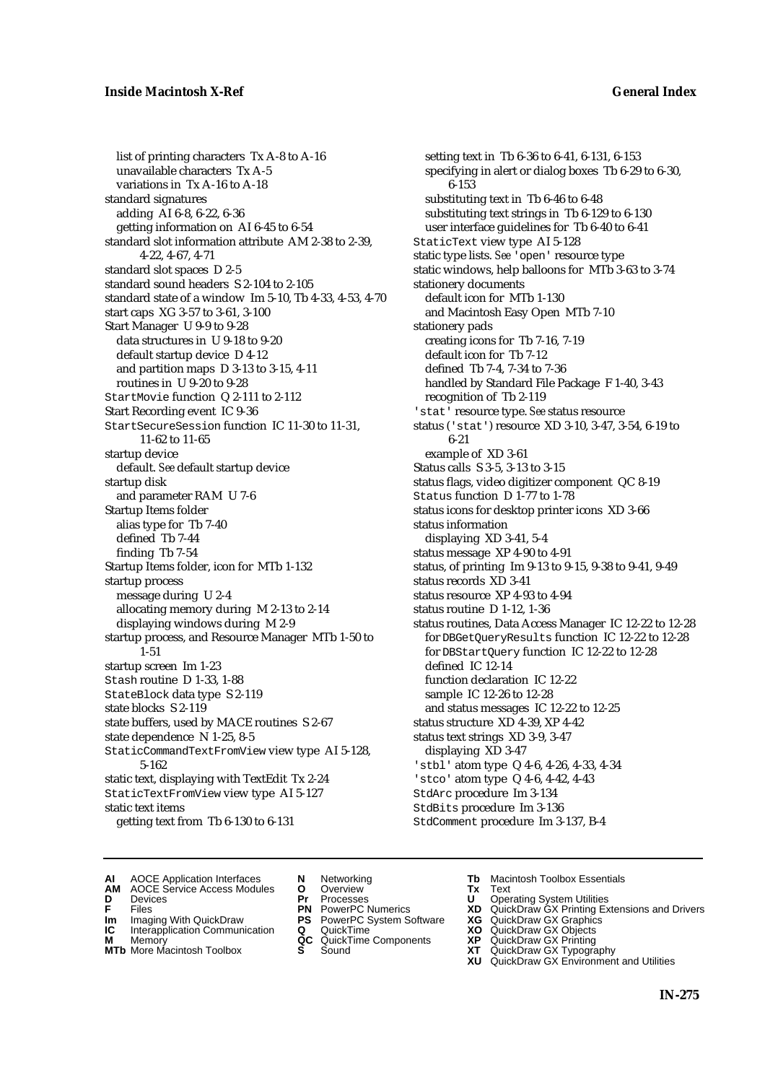list of printing characters Tx A-8 to A-16 unavailable characters Tx A-5 variations in Tx A-16 to A-18 standard signatures adding AI 6-8, 6-22, 6-36 getting information on AI 6-45 to 6-54 standard slot information attribute AM 2-38 to 2-39, 4-22, 4-67, 4-71 standard slot spaces D 2-5 standard sound headers S 2-104 to 2-105 standard state of a window Im 5-10, Tb 4-33, 4-53, 4-70 start caps XG 3-57 to 3-61, 3-100 Start Manager U 9-9 to 9-28 data structures in U 9-18 to 9-20 default startup device D 4-12 and partition maps D 3-13 to 3-15, 4-11 routines in U 9-20 to 9-28 StartMovie function Q 2-111 to 2-112 Start Recording event IC 9-36 StartSecureSession function IC 11-30 to 11-31, 11-62 to 11-65 startup device default. *See* default startup device startup disk and parameter RAM U 7-6 Startup Items folder alias type for Tb 7-40 defined Tb 7-44 finding Tb 7-54 Startup Items folder, icon for MTb 1-132 startup process message during U 2-4 allocating memory during M 2-13 to 2-14 displaying windows during M 2-9 startup process, and Resource Manager MTb 1-50 to 1-51 startup screen Im 1-23 Stash routine D 1-33, 1-88 StateBlock data type S 2-119 state blocks S 2-119 state buffers, used by MACE routines S 2-67 state dependence N 1-25, 8-5 StaticCommandTextFromView view type AI 5-128, 5-162 static text, displaying with TextEdit Tx 2-24 StaticTextFromView view type AI 5-127 static text items getting text from Tb 6-130 to 6-131

setting text in Tb 6-36 to 6-41, 6-131, 6-153 specifying in alert or dialog boxes Tb 6-29 to 6-30, 6-153 substituting text in Tb 6-46 to 6-48 substituting text strings in Tb 6-129 to 6-130 user interface guidelines for Tb 6-40 to 6-41 StaticText view type AI 5-128 static type lists. *See* 'open' resource type static windows, help balloons for MTb 3-63 to 3-74 stationery documents default icon for MTb 1-130 and Macintosh Easy Open MTb 7-10 stationery pads creating icons for Tb 7-16, 7-19 default icon for Tb 7-12 defined Tb 7-4, 7-34 to 7-36 handled by Standard File Package F 1-40, 3-43 recognition of Tb 2-119 'stat' resource type. *See* status resource status ('stat') resource XD 3-10, 3-47, 3-54, 6-19 to 6-21 example of XD 3-61 Status calls S 3-5, 3-13 to 3-15 status flags, video digitizer component QC 8-19 Status function D 1-77 to 1-78 status icons for desktop printer icons XD 3-66 status information displaying XD 3-41, 5-4 status message XP 4-90 to 4-91 status, of printing Im 9-13 to 9-15, 9-38 to 9-41, 9-49 status records XD 3-41 status resource XP 4-93 to 4-94 status routine D 1-12, 1-36 status routines, Data Access Manager IC 12-22 to 12-28 for DBGetQueryResults function IC 12-22 to 12-28 for DBStartQuery function IC 12-22 to 12-28 defined IC 12-14 function declaration IC 12-22 sample IC 12-26 to 12-28 and status messages IC 12-22 to 12-25 status structure XD 4-39, XP 4-42 status text strings XD 3-9, 3-47 displaying XD 3-47 'stbl' atom type Q 4-6, 4-26, 4-33, 4-34 'stco' atom type Q 4-6, 4-42, 4-43 StdArc procedure Im 3-134 StdBits procedure Im 3-136 StdComment procedure Im 3-137, B-4

- **AI** AOCE Application Interfaces **N** Networking **The Macintosh Toolbox Essentials**<br> **AM** AOCE Service Access Modules **O** Overview **Tx** Text<br> **D** Devices **Pr** Processes **U** Operating System Utilities
	- AOCE Service Access Modules **O** Overview **Tx** Text<br>Devices **Devices Devices Devices**
- 
- 
- **IM** FILES<br> **Im** Imaging With QuickDraw **PS** PowerPC System Software **XG**<br> **IC** Interapplication Communication **Q** QuickTime **XO**
- **IC** Interapplication Communication **Q** QuickTime **XO M** Memory **XP QC** QuickTime Components **XP M** Memory **QC** QuickTime Components **XP**<br>**MTb** More Macintosh Toolbox **S** Sound **XT**
- 
- 
- **D** Devices **Pr** Processes **U** Operating System Utilities
	-
	-
	-
	-
- 
- 
- **F** Files **PN** PowerPC Numerics **XD** QuickDraw GX Printing Extensions and Drivers
	-
	-
	-
- **MTb** More Macintosh Toolbox **S** Sound **XT** QuickDraw GX Typography
	- **XU** QuickDraw GX Environment and Utilities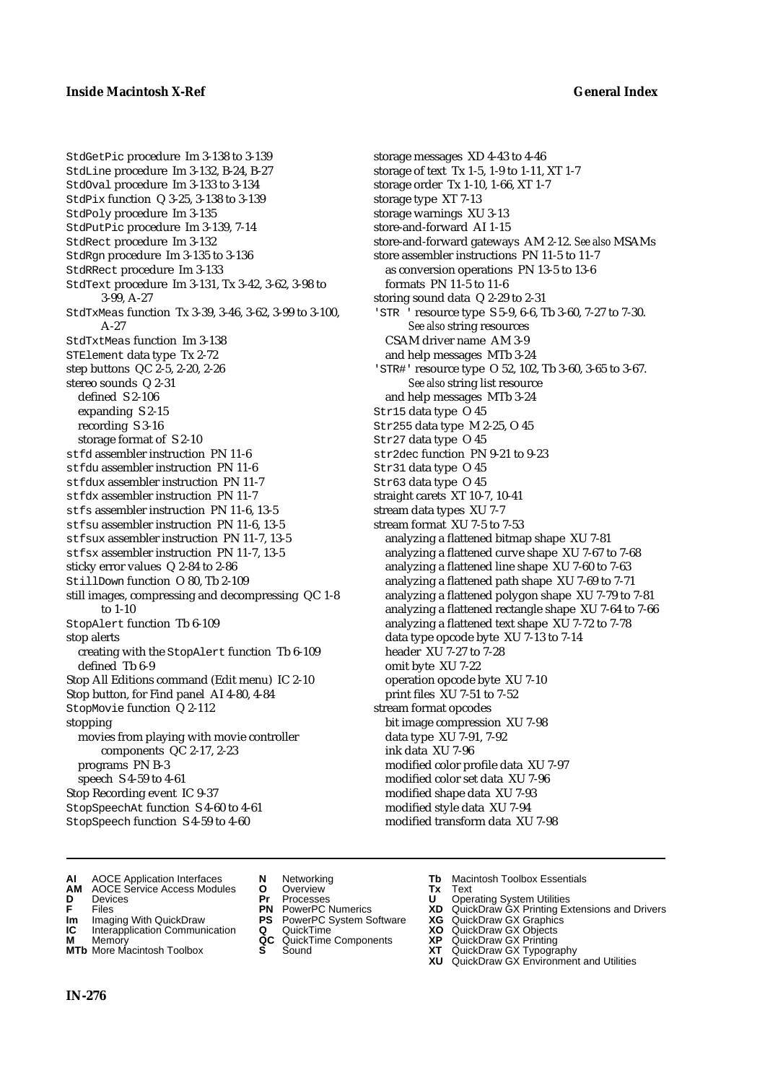StdGetPic procedure Im 3-138 to 3-139 StdLine procedure Im 3-132, B-24, B-27 StdOval procedure Im 3-133 to 3-134 StdPix function Q 3-25, 3-138 to 3-139 StdPoly procedure Im 3-135 StdPutPic procedure Im 3-139, 7-14 StdRect procedure Im 3-132 StdRgn procedure Im 3-135 to 3-136 StdRRect procedure Im 3-133 StdText procedure Im 3-131, Tx 3-42, 3-62, 3-98 to 3-99, A-27 StdTxMeas function Tx 3-39, 3-46, 3-62, 3-99 to 3-100, A-27 StdTxtMeas function Im 3-138 STElement data type Tx 2-72 step buttons QC 2-5, 2-20, 2-26 stereo sounds Q 2-31 defined S 2-106 expanding S 2-15 recording S 3-16 storage format of S 2-10 stfd assembler instruction PN 11-6 stfdu assembler instruction PN 11-6 stfdux assembler instruction PN 11-7 st fdx assembler instruction PN 11-7 stfs assembler instruction PN 11-6, 13-5 stfsu assembler instruction PN 11-6, 13-5 stfsux assembler instruction PN 11-7, 13-5 stfsx assembler instruction PN 11-7, 13-5 sticky error values Q 2-84 to 2-86 StillDown function O 80, Tb 2-109 still images, compressing and decompressing QC 1-8 to 1-10 StopAlert function Tb 6-109 stop alerts creating with the StopAlert function Tb 6-109 defined Tb 6-9 Stop All Editions command (Edit menu) IC 2-10 Stop button, for Find panel AI 4-80, 4-84 StopMovie function Q 2-112 stopping movies from playing with movie controller components QC 2-17, 2-23 programs PN B-3 speech S 4-59 to 4-61 Stop Recording event IC 9-37 StopSpeechAt function S 4-60 to 4-61 StopSpeech function S 4-59 to 4-60

storage messages XD 4-43 to 4-46 storage of text Tx 1-5, 1-9 to 1-11, XT 1-7 storage order Tx 1-10, 1-66, XT 1-7 storage type XT 7-13 storage warnings XU 3-13 store-and-forward AI 1-15 store-and-forward gateways AM 2-12. *See also* MSAMs store assembler instructions PN 11-5 to 11-7 as conversion operations PN 13-5 to 13-6 formats PN 11-5 to 11-6 storing sound data Q 2-29 to 2-31 'STR ' resource type S 5-9, 6-6, Tb 3-60, 7-27 to 7-30. *See also* string resources CSAM driver name AM 3-9 and help messages MTb 3-24 'STR#' resource type O 52, 102, Tb 3-60, 3-65 to 3-67. *See also* string list resource and help messages MTb 3-24 Str15 data type O 45 Str255 data type M 2-25, O 45 Str27 data type O 45 str2dec function PN 9-21 to 9-23 Str31 data type O 45 Str63 data type O 45 straight carets XT 10-7, 10-41 stream data types XU 7-7 stream format XU 7-5 to 7-53 analyzing a flattened bitmap shape XU 7-81 analyzing a flattened curve shape XU 7-67 to 7-68 analyzing a flattened line shape XU 7-60 to 7-63 analyzing a flattened path shape XU 7-69 to 7-71 analyzing a flattened polygon shape XU 7-79 to 7-81 analyzing a flattened rectangle shape XU 7-64 to 7-66 analyzing a flattened text shape XU 7-72 to 7-78 data type opcode byte XU 7-13 to 7-14 header XU 7-27 to 7-28 omit byte XU 7-22 operation opcode byte XU 7-10 print files XU 7-51 to 7-52 stream format opcodes bit image compression XU 7-98 data type XU 7-91, 7-92 ink data XU 7-96 modified color profile data XU 7-97 modified color set data XU 7-96 modified shape data XU 7-93 modified style data XU 7-94 modified transform data XU 7-98

- **AI** AOCE Application Interfaces **N** Networking **Tb** Macintosh Toolbox Essentials
- **AM** AOCE Service Access Modules **O** Overview **Tx** Text
- 
- 
- **Im** Imaging With QuickDraw **PS** PowerPC System Software **XG IC** Interapplication Communication **Q** QuickTime **COVIC**
- **Interapplication Communication <b>Q** QuickTime **XO** Memory **XO** Memory **XP QC** QuickTime Components **XP**
- **M** Memory **CONSISTENT CONSIDER**<br> **MTb** More Macintosh Toolbox **S** Sound **S S** State **XP**
- 
- **D** Devices **Pr** Processes **U** Operating System Utilities
	-
	-
	-
	- -
- 
- 
- **F** Files **PN** PowerPC Numerics **XD** QuickDraw GX Printing Extensions and Drivers
	-
	-
	-
- **MTb** More Macintosh Toolbox **S** Sound **XT** QuickDraw GX Typography
	- **XU** QuickDraw GX Environment and Utilities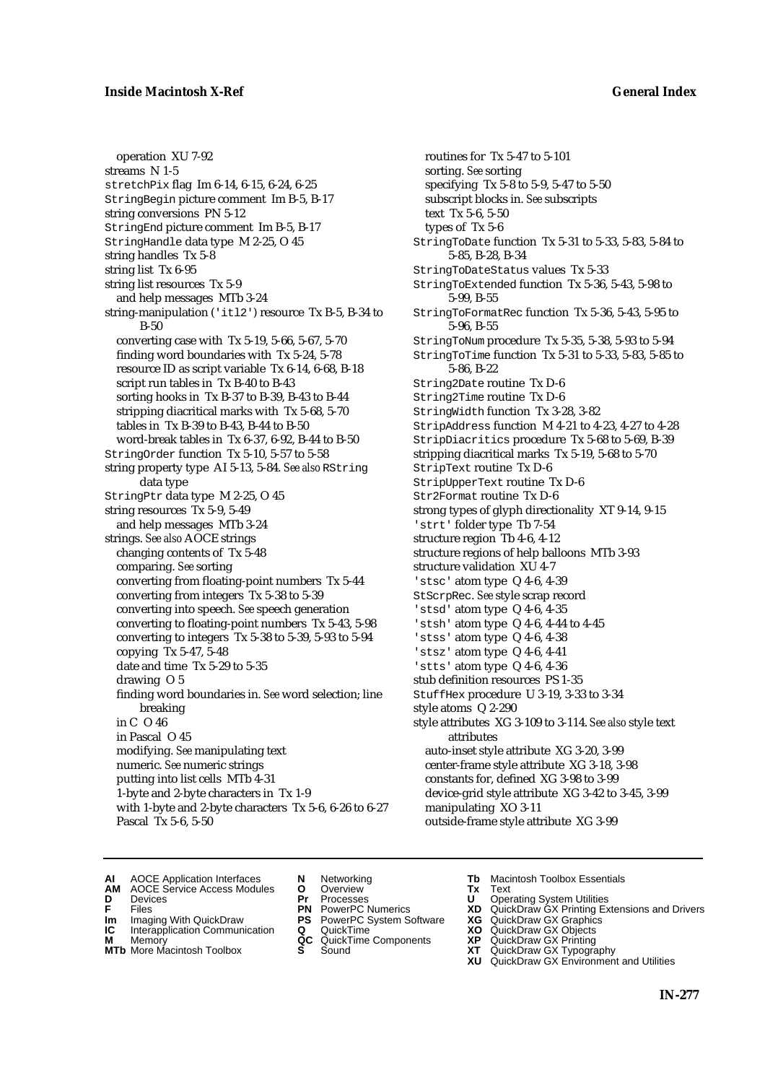operation XU 7-92 streams N 1-5 stretchPix flag Im 6-14, 6-15, 6-24, 6-25 StringBegin picture comment Im B-5, B-17 string conversions PN 5-12 StringEnd picture comment Im B-5, B-17 StringHandle data type M 2-25, O 45 string handles Tx 5-8 string list Tx 6-95 string list resources Tx 5-9 and help messages MTb 3-24 string-manipulation ('itl2') resource Tx B-5, B-34 to B-50 converting case with Tx 5-19, 5-66, 5-67, 5-70 finding word boundaries with Tx 5-24, 5-78 resource ID as script variable Tx 6-14, 6-68, B-18 script run tables in Tx B-40 to B-43 sorting hooks in Tx B-37 to B-39, B-43 to B-44 stripping diacritical marks with Tx 5-68, 5-70 tables in Tx B-39 to B-43, B-44 to B-50 word-break tables in Tx 6-37, 6-92, B-44 to B-50 StringOrder function Tx 5-10, 5-57 to 5-58 string property type AI 5-13, 5-84. *See also* RString data type StringPtr data type M 2-25, O 45 string resources Tx 5-9, 5-49 and help messages MTb 3-24 strings. *See also* AOCE strings changing contents of Tx 5-48 comparing. *See* sorting converting from floating-point numbers Tx 5-44 converting from integers Tx 5-38 to 5-39 converting into speech. *See* speech generation converting to floating-point numbers Tx 5-43, 5-98 converting to integers Tx 5-38 to 5-39, 5-93 to 5-94 copying Tx 5-47, 5-48 date and time Tx 5-29 to 5-35 drawing O 5 finding word boundaries in. *See* word selection; line breaking in C O 46 in Pascal O 45 modifying. *See* manipulating text numeric. *See* numeric strings putting into list cells MTb 4-31 1-byte and 2-byte characters in Tx 1-9 with 1-byte and 2-byte characters Tx 5-6, 6-26 to 6-27 Pascal Tx 5-6, 5-50

routines for Tx 5-47 to 5-101 sorting. *See* sorting specifying Tx 5-8 to 5-9, 5-47 to 5-50 subscript blocks in. *See* subscripts text Tx 5-6, 5-50 types of Tx 5-6 StringToDate function Tx 5-31 to 5-33, 5-83, 5-84 to 5-85, B-28, B-34 StringToDateStatus values Tx 5-33 StringToExtended function Tx 5-36, 5-43, 5-98 to 5-99, B-55 StringToFormatRec function Tx 5-36, 5-43, 5-95 to 5-96, B-55 StringToNum procedure Tx 5-35, 5-38, 5-93 to 5-94 StringToTime function Tx 5-31 to 5-33, 5-83, 5-85 to 5-86, B-22 String2Date routine Tx D-6 String2Time routine Tx D-6 StringWidth function Tx 3-28, 3-82 StripAddress function M 4-21 to 4-23, 4-27 to 4-28 StripDiacritics procedure Tx 5-68 to 5-69, B-39 stripping diacritical marks Tx 5-19, 5-68 to 5-70 StripText routine Tx D-6 StripUpperText routine Tx D-6 Str2Format routine Tx D-6 strong types of glyph directionality XT 9-14, 9-15 'strt' folder type Tb 7-54 structure region Tb 4-6, 4-12 structure regions of help balloons MTb 3-93 structure validation XU 4-7 'stsc' atom type Q 4-6, 4-39 StScrpRec. *See* style scrap record 'stsd' atom type Q 4-6, 4-35 'stsh' atom type Q 4-6, 4-44 to 4-45 'stss' atom type Q 4-6, 4-38 'stsz' atom type Q 4-6, 4-41 'stts' atom type Q 4-6, 4-36 stub definition resources PS 1-35 StuffHex procedure U 3-19, 3-33 to 3-34 style atoms Q 2-290 style attributes XG 3-109 to 3-114. *See also* style text attributes auto-inset style attribute XG 3-20, 3-99 center-frame style attribute XG 3-18, 3-98 constants for, defined XG 3-98 to 3-99 device-grid style attribute XG 3-42 to 3-45, 3-99 manipulating XO 3-11 outside-frame style attribute XG 3-99

- **AI** AOCE Application Interfaces **N** Networking **Tb** Macintosh Toolbox Essentials<br> **AM** AOCE Service Access Modules **O** Overview **Tx** Text<br> **D** Devices **Pr** Processes **U** Operating System Utilities
- AOCE Service Access Modules **O** Overview **Tx** Text<br>Devices **Devices Devices Devices**
- 
- 
- **IM** FILES<br> **Im** Imaging With QuickDraw **PS** PowerPC System Software **XG**<br> **IC** Interapplication Communication **Q** QuickTime **XO**
- **IC** Interapplication Communication **Q** QuickTime **XO M** Memory **XO QC** QuickTime Components **XP**
- **M** Memory **District Acc** QuickTime Components **XP**<br> **MTb** More Macintosh Toolbox **S** Sound **XT MTb** More Macintosh Toolbox **S** Sound **XT** QuickDraw GX Typography
- 
- **D** Devices **Pr** Processes **U** Operating System Utilities
	-
	-
	-
	-
- 
- 
- **F** Files **PN** PowerPC Numerics **XD** QuickDraw GX Printing Extensions and Drivers
	-
	-
	-
	- **XU** QuickDraw GX Environment and Utilities
		- **IN-277**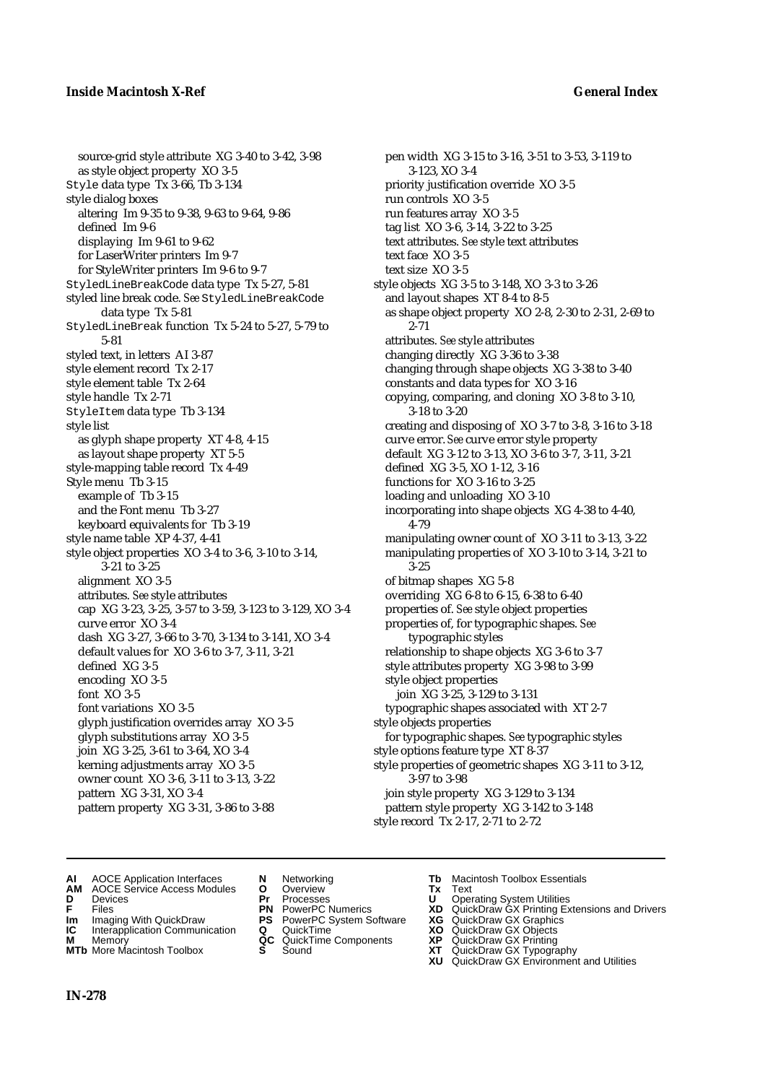source-grid style attribute XG 3-40 to 3-42, 3-98 as style object property XO 3-5 Style data type Tx 3-66, Tb 3-134 style dialog boxes altering Im 9-35 to 9-38, 9-63 to 9-64, 9-86 defined Im 9-6 displaying Im 9-61 to 9-62 for LaserWriter printers Im 9-7 for StyleWriter printers Im 9-6 to 9-7 StyledLineBreakCode data type Tx 5-27, 5-81 styled line break code. *See* StyledLineBreakCode data type Tx 5-81 StyledLineBreak function Tx 5-24 to 5-27, 5-79 to 5-81 styled text, in letters AI 3-87 style element record Tx 2-17 style element table Tx 2-64 style handle Tx 2-71 StyleItem data type Tb 3-134 style list as glyph shape property XT 4-8, 4-15 as layout shape property XT 5-5 style-mapping table record Tx 4-49 Style menu Tb 3-15 example of Tb 3-15 and the Font menu Tb 3-27 keyboard equivalents for Tb 3-19 style name table XP 4-37, 4-41 style object properties XO 3-4 to 3-6, 3-10 to 3-14, 3-21 to 3-25 alignment XO 3-5 attributes. *See* style attributes cap XG 3-23, 3-25, 3-57 to 3-59, 3-123 to 3-129, XO 3-4 curve error XO 3-4 dash XG 3-27, 3-66 to 3-70, 3-134 to 3-141, XO 3-4 default values for XO 3-6 to 3-7, 3-11, 3-21 defined XG 3-5 encoding XO 3-5 font XO 3-5 font variations XO 3-5 glyph justification overrides array XO 3-5 glyph substitutions array XO 3-5 join XG 3-25, 3-61 to 3-64, XO 3-4 kerning adjustments array XO 3-5 owner count XO 3-6, 3-11 to 3-13, 3-22 pattern XG 3-31, XO 3-4 pattern property XG 3-31, 3-86 to 3-88

pen width XG 3-15 to 3-16, 3-51 to 3-53, 3-119 to 3-123, XO 3-4 priority justification override XO 3-5 run controls XO 3-5 run features array XO 3-5 tag list XO 3-6, 3-14, 3-22 to 3-25 text attributes. *See* style text attributes text face XO 3-5 text size XO 3-5 style objects XG 3-5 to 3-148, XO 3-3 to 3-26 and layout shapes XT 8-4 to 8-5 as shape object property XO 2-8, 2-30 to 2-31, 2-69 to 2-71 attributes. *See* style attributes changing directly XG 3-36 to 3-38 changing through shape objects XG 3-38 to 3-40 constants and data types for XO 3-16 copying, comparing, and cloning XO 3-8 to 3-10, 3-18 to 3-20 creating and disposing of XO 3-7 to 3-8, 3-16 to 3-18 curve error. *See* curve error style property default XG 3-12 to 3-13, XO 3-6 to 3-7, 3-11, 3-21 defined XG 3-5, XO 1-12, 3-16 functions for XO 3-16 to 3-25 loading and unloading XO 3-10 incorporating into shape objects XG 4-38 to 4-40, 4-79 manipulating owner count of XO 3-11 to 3-13, 3-22 manipulating properties of XO 3-10 to 3-14, 3-21 to 3-25 of bitmap shapes XG 5-8 overriding XG 6-8 to 6-15, 6-38 to 6-40 properties of. *See* style object properties properties of, for typographic shapes. *See*  typographic styles relationship to shape objects XG 3-6 to 3-7 style attributes property XG 3-98 to 3-99 style object properties join XG 3-25, 3-129 to 3-131 typographic shapes associated with XT 2-7 style objects properties for typographic shapes. *See* typographic styles style options feature type XT 8-37 style properties of geometric shapes XG 3-11 to 3-12, 3-97 to 3-98 join style property XG 3-129 to 3-134 pattern style property XG 3-142 to 3-148

style record Tx 2-17, 2-71 to 2-72

- 
- **AI** AOCE Application Interfaces **N** Networking **Tb** Macintosh Toolbox Essentials<br> **AM** AOCE Service Access Modules **O** Overview **Tx** Text<br> **D** Devices **Pr** Processes **U** Operating System Utilities **AM** AOCE Service Access Modules **O** Overview **Tx** Text
- 
- 
- **Im** Imaging With QuickDraw **PS** PowerPC System Software **XG IC** Interapplication Communication **Q** QuickTime **COVIC**
- **Interapplication Communication <b>Q** QuickTime **XO** Memory **XO** Memory **XP QC** QuickTime Components **XP**
- **M** Memory **District Acc** QuickTime Components **XP**<br> **MTb** More Macintosh Toolbox **S** Sound **XT MTb** More Macintosh Toolbox **S** Sound **XT** QuickDraw GX Typography
- 
- **D** Devices **Pr** Processes **U** Operating System Utilities
	-
	-
	-
	-
- 
- 
- **FRICAG CONSISTS IN THE PROCESSES CONSISTS AND CONSIST CONSISTENT CONSISTS CONSISTS PRINTIPLE PROCESSES CONSISTS CON<br>
<b>F**FRICES **PN** POWERPC Numerics **XD** QuickDraw GX Printing Extensions and Drivers<br> **Im** Imaging With Qui
	-
	-
	-
	-
	- **XU** QuickDraw GX Environment and Utilities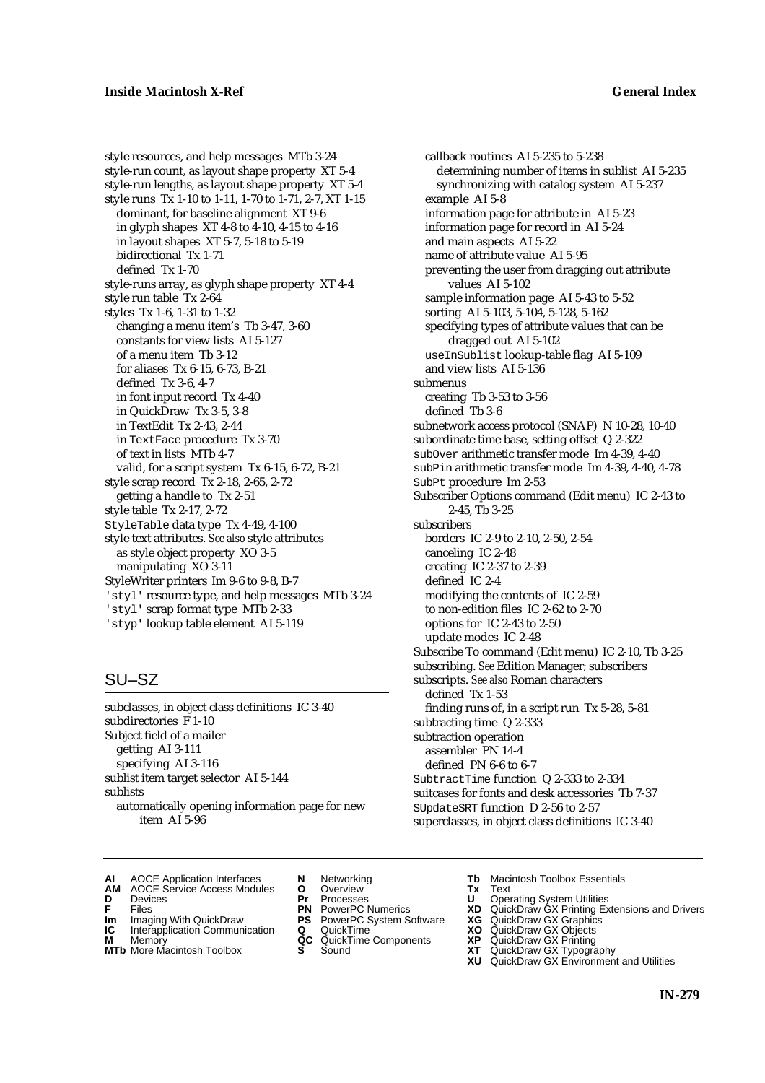style resources, and help messages MTb 3-24 style-run count, as layout shape property XT 5-4 style-run lengths, as layout shape property XT 5-4 style runs Tx 1-10 to 1-11, 1-70 to 1-71, 2-7, XT 1-15 dominant, for baseline alignment XT 9-6 in glyph shapes XT 4-8 to 4-10, 4-15 to 4-16 in layout shapes XT 5-7, 5-18 to 5-19 bidirectional Tx 1-71 defined Tx 1-70 style-runs array, as glyph shape property XT 4-4 style run table Tx 2-64 styles Tx 1-6, 1-31 to 1-32 changing a menu item's Tb 3-47, 3-60 constants for view lists AI 5-127 of a menu item Tb 3-12 for aliases Tx 6-15, 6-73, B-21 defined Tx 3-6, 4-7 in font input record Tx 4-40 in QuickDraw Tx 3-5, 3-8 in TextEdit Tx 2-43, 2-44 in TextFace procedure Tx 3-70 of text in lists MTb 4-7 valid, for a script system Tx 6-15, 6-72, B-21 style scrap record Tx 2-18, 2-65, 2-72 getting a handle to Tx 2-51 style table Tx 2-17, 2-72 StyleTable data type Tx 4-49, 4-100 style text attributes. *See also* style attributes as style object property XO 3-5 manipulating XO 3-11 StyleWriter printers Im 9-6 to 9-8, B-7 'styl' resource type, and help messages MTb 3-24 'styl' scrap format type MTb 2-33 'styp' lookup table element AI 5-119

# SU–SZ

subclasses, in object class definitions IC 3-40 subdirectories F 1-10 Subject field of a mailer getting AI 3-111 specifying AI 3-116 sublist item target selector AI 5-144 sublists automatically opening information page for new item AI 5-96

callback routines AI 5-235 to 5-238 determining number of items in sublist AI 5-235 synchronizing with catalog system AI 5-237 example AI 5-8 information page for attribute in AI 5-23 information page for record in AI 5-24 and main aspects AI 5-22 name of attribute value AI 5-95 preventing the user from dragging out attribute values AI 5-102 sample information page AI 5-43 to 5-52 sorting AI 5-103, 5-104, 5-128, 5-162 specifying types of attribute values that can be dragged out AI 5-102 useInSublist lookup-table flag AI 5-109 and view lists AI 5-136 submenus creating Tb 3-53 to 3-56 defined Tb 3-6 subnetwork access protocol (SNAP) N 10-28, 10-40 subordinate time base, setting offset Q 2-322 subOver arithmetic transfer mode Im 4-39, 4-40 subPin arithmetic transfer mode Im 4-39, 4-40, 4-78 SubPt procedure Im 2-53 Subscriber Options command (Edit menu) IC 2-43 to 2-45, Tb 3-25 subscribers borders IC 2-9 to 2-10, 2-50, 2-54 canceling IC 2-48 creating IC 2-37 to 2-39 defined IC 2-4 modifying the contents of IC 2-59 to non-edition files IC 2-62 to 2-70 options for IC 2-43 to 2-50 update modes IC 2-48 Subscribe To command (Edit menu) IC 2-10, Tb 3-25 subscribing. *See* Edition Manager; subscribers subscripts. *See also* Roman characters defined Tx 1-53 finding runs of, in a script run Tx 5-28, 5-81 subtracting time Q 2-333 subtraction operation assembler PN 14-4 defined PN 6-6 to 6-7 SubtractTime function Q 2-333 to 2-334 suitcases for fonts and desk accessories Tb 7-37 SUpdateSRT function D 2-56 to 2-57 superclasses, in object class definitions IC 3-40

- **AI** AOCE Application Interfaces **N** Networking **Tb** Macintosh Toolbox Essentials<br> **AM** AOCE Service Access Modules **O** Overview **Tx** Text<br> **D** Devices **Pr** Processes **U** Operating System Utilities
- AOCE Service Access Modules **O** Overview **Tx** Text<br>Devices **Devices Devices Devices**
- 
- **IM** FILES<br> **Im** Imaging With QuickDraw **PS** PowerPC System Software **XG**<br> **IC** Interapplication Communication **Q** QuickTime **XO**
- **IC** Interapplication Communication **Q** QuickTime **XO M** Memory **XO QC** QuickTime Components **XP**
- **M** Memory **CONSISTENT MEMORY AND MEMORY MEMORY AND MEMORY AND MEMORY AND <b>CONSISTENT CONSISTENT** WAS A VIOLENCE CONSISTENT OF A VIOLENCE CONSISTENT OF A VIOLENCE CONSISTENT OF A VIOLENCE CONSISTENT OF A VIOLENCE CONSISTEN
- 
- 
- **D** Devices **Pr** Processes **U** Operating System Utilities
	-
	-
	-
	-
- 
- 
- **F** Files **PN** PowerPC Numerics **XD** QuickDraw GX Printing Extensions and Drivers
	-
	-
	-
- **MTb** More Macintosh Toolbox **S** Sound **XT** QuickDraw GX Typography
	- **XU** QuickDraw GX Environment and Utilities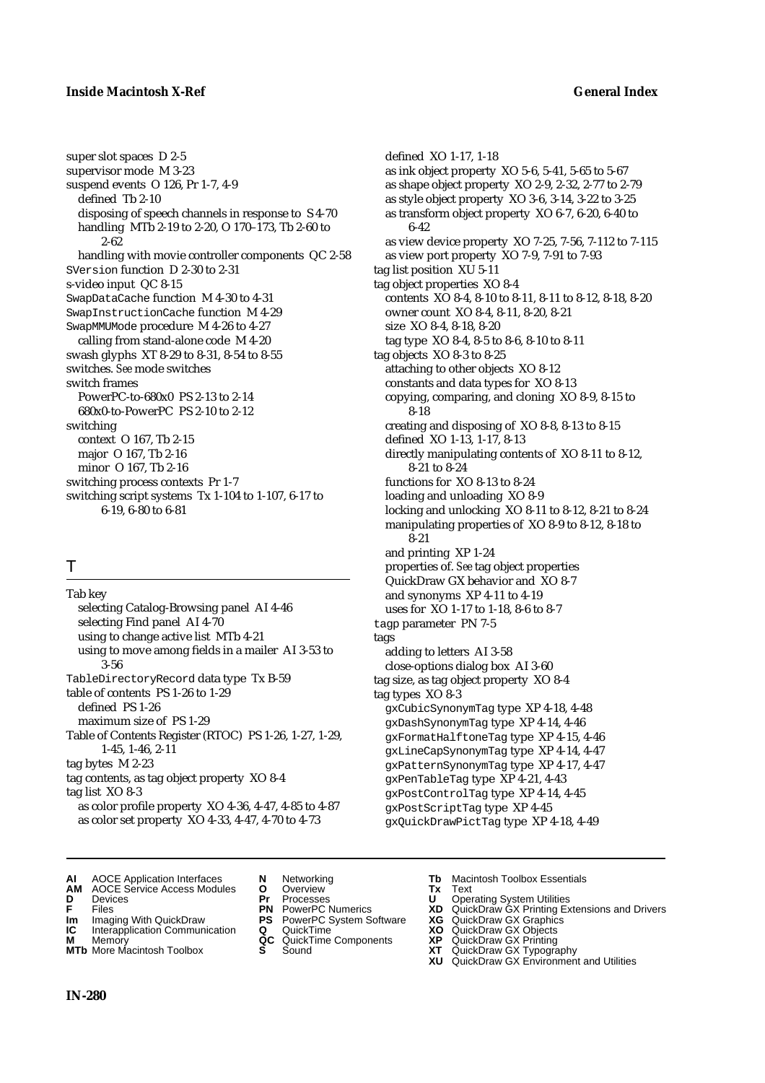### **Inside Macintosh X-Ref General Index**

super slot spaces D 2-5 supervisor mode M 3-23 suspend events O 126, Pr 1-7, 4-9 defined Tb 2-10 disposing of speech channels in response to S 4-70 handling MTb 2-19 to 2-20, O 170–173, Tb 2-60 to 2-62 handling with movie controller components QC 2-58 SVersion function D 2-30 to 2-31 s-video input QC 8-15 SwapDataCache function M 4-30 to 4-31 SwapInstructionCache function M 4-29 SwapMMUMode procedure M 4-26 to 4-27 calling from stand-alone code M 4-20 swash glyphs XT 8-29 to 8-31, 8-54 to 8-55 switches. *See* mode switches switch frames PowerPC-to-680x0 PS 2-13 to 2-14 680x0-to-PowerPC PS 2-10 to 2-12 switching context O 167, Tb 2-15 major O 167, Tb 2-16 minor O 167, Tb 2-16 switching process contexts Pr 1-7 switching script systems Tx 1-104 to 1-107, 6-17 to 6-19, 6-80 to 6-81

# T

Tab key selecting Catalog-Browsing panel AI 4-46 selecting Find panel AI 4-70 using to change active list MTb 4-21 using to move among fields in a mailer AI 3-53 to 3-56 TableDirectoryRecord data type Tx B-59 table of contents PS 1-26 to 1-29 defined PS 1-26 maximum size of PS 1-29 Table of Contents Register (RTOC) PS 1-26, 1-27, 1-29, 1-45, 1-46, 2-11 tag bytes M 2-23 tag contents, as tag object property XO 8-4 tag list XO 8-3 as color profile property XO 4-36, 4-47, 4-85 to 4-87 as color set property XO 4-33, 4-47, 4-70 to 4-73

defined XO 1-17, 1-18 as ink object property XO 5-6, 5-41, 5-65 to 5-67 as shape object property XO 2-9, 2-32, 2-77 to 2-79 as style object property XO 3-6, 3-14, 3-22 to 3-25 as transform object property XO 6-7, 6-20, 6-40 to 6-42 as view device property XO 7-25, 7-56, 7-112 to 7-115 as view port property XO 7-9, 7-91 to 7-93 tag list position XU 5-11 tag object properties XO 8-4 contents XO 8-4, 8-10 to 8-11, 8-11 to 8-12, 8-18, 8-20 owner count XO 8-4, 8-11, 8-20, 8-21 size XO 8-4, 8-18, 8-20 tag type XO 8-4, 8-5 to 8-6, 8-10 to 8-11 tag objects XO 8-3 to 8-25 attaching to other objects XO 8-12 constants and data types for XO 8-13 copying, comparing, and cloning XO 8-9, 8-15 to 8-18 creating and disposing of XO 8-8, 8-13 to 8-15 defined XO 1-13, 1-17, 8-13 directly manipulating contents of XO 8-11 to 8-12, 8-21 to 8-24 functions for XO 8-13 to 8-24 loading and unloading XO 8-9 locking and unlocking XO 8-11 to 8-12, 8-21 to 8-24 manipulating properties of XO 8-9 to 8-12, 8-18 to 8-21 and printing XP 1-24 properties of. *See* tag object properties QuickDraw GX behavior and XO 8-7 and synonyms XP 4-11 to 4-19 uses for XO 1-17 to 1-18, 8-6 to 8-7 tagp parameter PN 7-5 tags adding to letters AI 3-58 close-options dialog box AI 3-60 tag size, as tag object property XO 8-4 tag types XO 8-3 gxCubicSynonymTag type XP 4-18, 4-48 gxDashSynonymTag type XP 4-14, 4-46 gxFormatHalftoneTag type XP 4-15, 4-46 gxLineCapSynonymTag type XP 4-14, 4-47 gxPatternSynonymTag type XP 4-17, 4-47 gxPenTableTag type XP 4-21, 4-43 gxPostControlTag type XP 4-14, 4-45 gxPostScriptTag type XP 4-45

gxQuickDrawPictTag type XP 4-18, 4-49

- **AI** AOCE Application Interfaces **N** Networking **Tb** Macintosh Toolbox Essentials
- **AM** AOCE Service Access Modules **O** Overview **Tx** Text
- 
- 
- **Im** Imaging With QuickDraw **PS** PowerPC System Software **XG IC** Interapplication Communication **Q** QuickTime **COVIC**
- **Interapplication Communication <b>Q** QuickTime **XO** Memory **XO C** QuickTime Components **XP**
- 
- 
- **D** Devices **Pr** Processes **U** Operating System Utilities
	-
	-
	-
	-
- 
- 
- 
- **F** Files **PN** PowerPC Numerics **XD** QuickDraw GX Printing Extensions and Drivers
	-
	-
- **M** Memory **QC** QuickTime Components **XP** QuickDraw GX Printing
- **MTb** More Macintosh Toolbox **S** Sound **XT** QuickDraw GX Typography
	- **XU** QuickDraw GX Environment and Utilities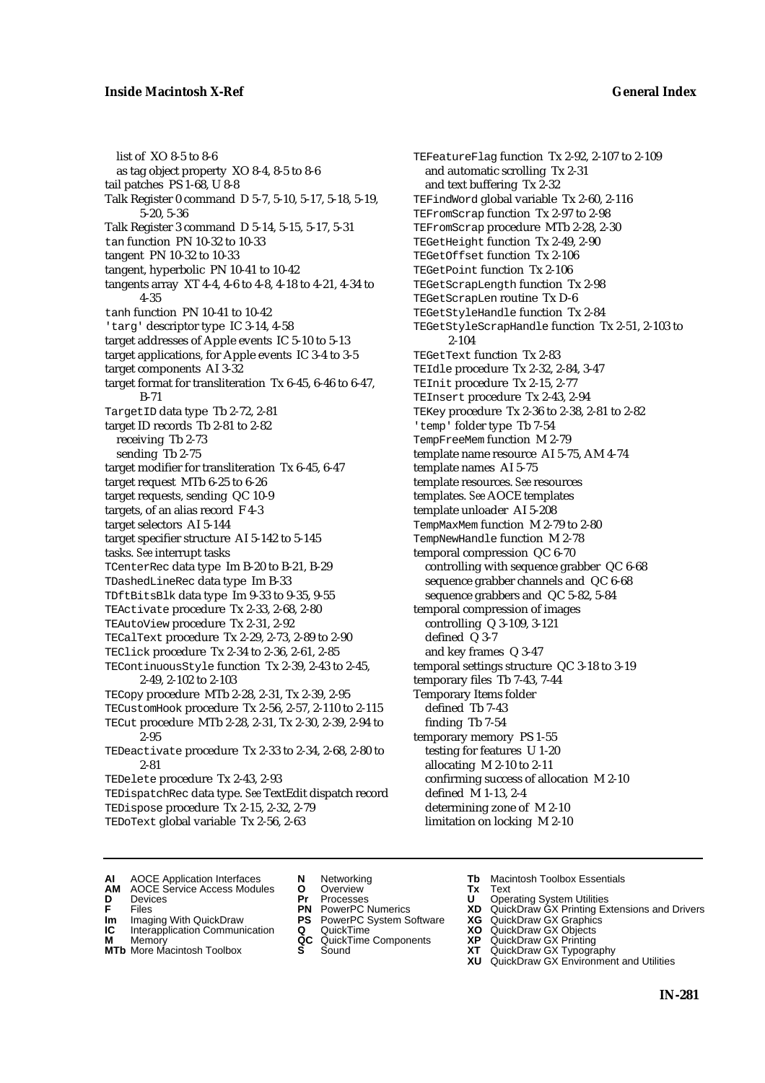## **Inside Macintosh X-Ref General Index**

list of XO 8-5 to 8-6 as tag object property XO 8-4, 8-5 to 8-6 tail patches PS 1-68, U 8-8 Talk Register 0 command D 5-7, 5-10, 5-17, 5-18, 5-19, 5-20, 5-36 Talk Register 3 command D 5-14, 5-15, 5-17, 5-31 tan function PN 10-32 to 10-33 tangent PN 10-32 to 10-33 tangent, hyperbolic PN 10-41 to 10-42 tangents array XT 4-4, 4-6 to 4-8, 4-18 to 4-21, 4-34 to 4-35 tanh function PN 10-41 to 10-42 'targ' descriptor type IC 3-14, 4-58 target addresses of Apple events IC 5-10 to 5-13 target applications, for Apple events IC 3-4 to 3-5 target components AI 3-32 target format for transliteration Tx 6-45, 6-46 to 6-47, B-71 TargetID data type Tb 2-72, 2-81 target ID records Tb 2-81 to 2-82 receiving Tb 2-73 sending Tb 2-75 target modifier for transliteration Tx 6-45, 6-47 target request MTb 6-25 to 6-26 target requests, sending QC 10-9 targets, of an alias record F 4-3 target selectors AI 5-144 target specifier structure AI 5-142 to 5-145 tasks. *See* interrupt tasks TCenterRec data type Im B-20 to B-21, B-29 TDashedLineRec data type Im B-33 TDftBitsBlk data type Im 9-33 to 9-35, 9-55 TEActivate procedure Tx 2-33, 2-68, 2-80 TEAutoView procedure Tx 2-31, 2-92 TECalText procedure Tx 2-29, 2-73, 2-89 to 2-90 TEClick procedure Tx 2-34 to 2-36, 2-61, 2-85 TEContinuousStyle function Tx 2-39, 2-43 to 2-45, 2-49, 2-102 to 2-103 TECopy procedure MTb 2-28, 2-31, Tx 2-39, 2-95 TECustomHook procedure Tx 2-56, 2-57, 2-110 to 2-115 TECut procedure MTb 2-28, 2-31, Tx 2-30, 2-39, 2-94 to 2-95 TEDeactivate procedure Tx 2-33 to 2-34, 2-68, 2-80 to 2-81 TEDelete procedure Tx 2-43, 2-93 TEDispatchRec data type. *See* TextEdit dispatch record TEDispose procedure Tx 2-15, 2-32, 2-79

TEDoText global variable Tx 2-56, 2-63

TEFeatureFlag function Tx 2-92, 2-107 to 2-109 and automatic scrolling Tx 2-31 and text buffering Tx 2-32 TEFindWord global variable Tx 2-60, 2-116 TEFromScrap function Tx 2-97 to 2-98 TEFromScrap procedure MTb 2-28, 2-30 TEGetHeight function Tx 2-49, 2-90 TEGetOffset function Tx 2-106 TEGetPoint function Tx 2-106 TEGetScrapLength function Tx 2-98 TEGetScrapLen routine Tx D-6 TEGetStyleHandle function Tx 2-84 TEGetStyleScrapHandle function Tx 2-51, 2-103 to 2-104 TEGetText function Tx 2-83 TEIdle procedure Tx 2-32, 2-84, 3-47 TEInit procedure Tx 2-15, 2-77 TEInsert procedure Tx 2-43, 2-94 TEKey procedure Tx 2-36 to 2-38, 2-81 to 2-82 'temp' folder type Tb 7-54 TempFreeMem function M 2-79 template name resource AI 5-75, AM 4-74 template names AI 5-75 template resources. *See* resources templates. *See* AOCE templates template unloader AI 5-208 TempMaxMem function M 2-79 to 2-80 TempNewHandle function M 2-78 temporal compression QC 6-70 controlling with sequence grabber QC 6-68 sequence grabber channels and QC 6-68 sequence grabbers and QC 5-82, 5-84 temporal compression of images controlling Q 3-109, 3-121 defined Q 3-7 and key frames Q 3-47 temporal settings structure QC 3-18 to 3-19 temporary files Tb 7-43, 7-44 Temporary Items folder defined Tb 7-43 finding Tb 7-54 temporary memory PS 1-55 testing for features U 1-20 allocating M 2-10 to 2-11 confirming success of allocation M 2-10 defined M 1-13, 2-4 determining zone of M 2-10 limitation on locking M 2-10

- **AI** AOCE Application Interfaces **N** Networking **Tb** Macintosh Toolbox Essentials
- **AM** AOCE Service Access Modules **O** Overview **Tx** Text
- -
- **IM** FILES<br> **Im** Imaging With QuickDraw **PS** PowerPC System Software **XG**<br> **IC** Interapplication Communication **Q** QuickTime **XO**
- **IC** Interapplication Communication **Q** QuickTime **XO M** Memory **XP QC** QuickTime Components **XP M** Memory **CC** QuickTime Components **XP**<br> **MTb** More Macintosh Toolbox **S** Sound **XT**
- **MTb** More Macintosh Toolbox **S** Sound **XT** QuickDraw GX Typography
- 
- **D** Devices **Pr** Processes **U** Operating System Utilities
	-
	-
	-
	-
- 
- 
- **F** Files **PN** PowerPC Numerics **XD** QuickDraw GX Printing Extensions and Drivers
	-
	-
	-
	-
	- **XU** QuickDraw GX Environment and Utilities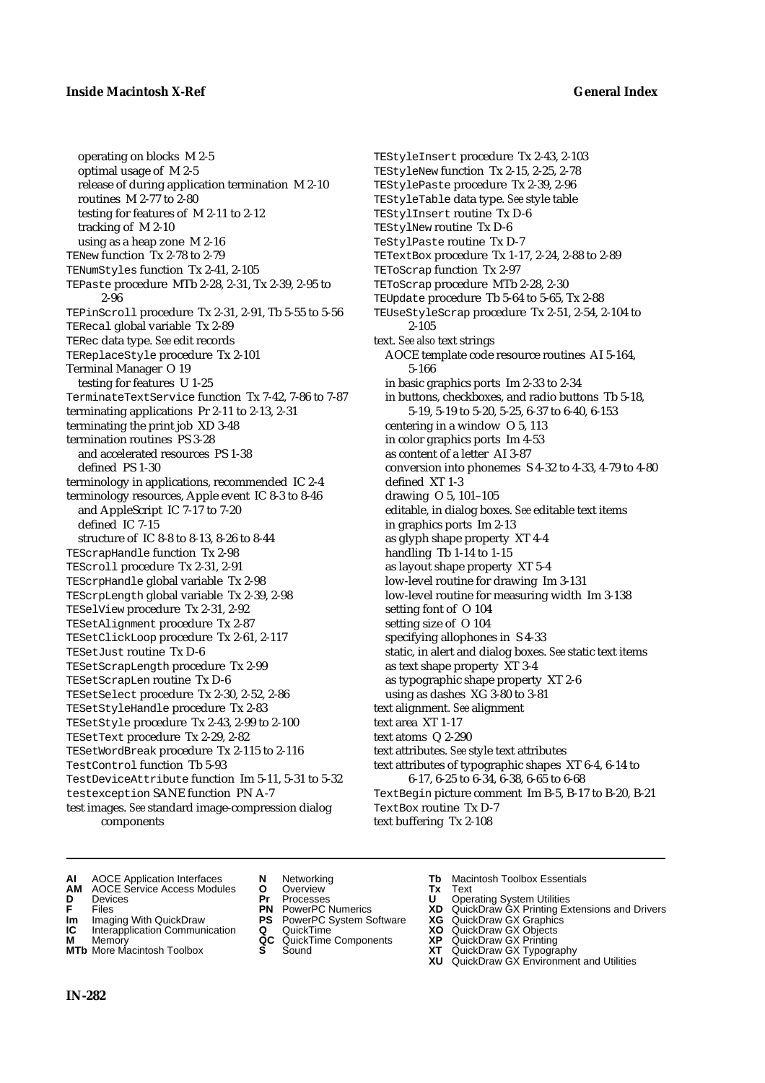operating on blocks M 2-5 optimal usage of M 2-5 release of during application termination M 2-10 routines M 2-77 to 2-80 testing for features of M 2-11 to 2-12 tracking of M 2-10 using as a heap zone M 2-16 TENew function Tx 2-78 to 2-79 TENumStyles function Tx 2-41, 2-105 TEPaste procedure MTb 2-28, 2-31, Tx 2-39, 2-95 to 2-96 TEPinScroll procedure Tx 2-31, 2-91, Tb 5-55 to 5-56 TERecal global variable Tx 2-89 TERec data type. *See* edit records TEReplaceStyle procedure Tx 2-101 Terminal Manager O 19 testing for features U 1-25 TerminateTextService function Tx 7-42, 7-86 to 7-87 terminating applications Pr 2-11 to 2-13, 2-31 terminating the print job XD 3-48 termination routines PS 3-28 and accelerated resources PS 1-38 defined PS 1-30 terminology in applications, recommended IC 2-4 terminology resources, Apple event IC 8-3 to 8-46 and AppleScript IC 7-17 to 7-20 defined IC 7-15 structure of IC 8-8 to 8-13, 8-26 to 8-44 TEScrapHandle function Tx 2-98 TEScroll procedure Tx 2-31, 2-91 TEScrpHandle global variable Tx 2-98 TEScrpLength global variable Tx 2-39, 2-98 TESelView procedure Tx 2-31, 2-92 TESetAlignment procedure Tx 2-87 TESetClickLoop procedure Tx 2-61, 2-117 TESetJust routine Tx D-6 TESetScrapLength procedure Tx 2-99 TESetScrapLen routine Tx D-6 TESetSelect procedure Tx 2-30, 2-52, 2-86 TESetStyleHandle procedure Tx 2-83 TESetStyle procedure Tx 2-43, 2-99 to 2-100 TESetText procedure Tx 2-29, 2-82 TESetWordBreak procedure Tx 2-115 to 2-116 TestControl function Tb 5-93 TestDeviceAttribute function Im 5-11, 5-31 to 5-32 testexception SANE function PN A-7 test images. *See* standard image-compression dialog components

TEStyleInsert procedure Tx 2-43, 2-103 TEStyleNew function Tx 2-15, 2-25, 2-78 TEStylePaste procedure Tx 2-39, 2-96 TEStyleTable data type. *See* style table TEStylInsert routine Tx D-6 TEStylNew routine Tx D-6 TeStylPaste routine Tx D-7 TETextBox procedure Tx 1-17, 2-24, 2-88 to 2-89 TEToScrap function Tx 2-97 TEToScrap procedure MTb 2-28, 2-30 TEUpdate procedure Tb 5-64 to 5-65, Tx 2-88 TEUseStyleScrap procedure Tx 2-51, 2-54, 2-104 to 2-105 text. *See also* text strings AOCE template code resource routines AI 5-164, 5-166 in basic graphics ports Im 2-33 to 2-34 in buttons, checkboxes, and radio buttons Tb 5-18, 5-19, 5-19 to 5-20, 5-25, 6-37 to 6-40, 6-153 centering in a window O 5, 113 in color graphics ports Im 4-53 as content of a letter AI 3-87 conversion into phonemes S 4-32 to 4-33, 4-79 to 4-80 defined XT 1-3 drawing O 5, 101–105 editable, in dialog boxes. *See* editable text items in graphics ports Im 2-13 as glyph shape property XT 4-4 handling Tb 1-14 to 1-15 as layout shape property XT 5-4 low-level routine for drawing Im 3-131 low-level routine for measuring width Im 3-138 setting font of O 104 setting size of O 104 specifying allophones in S 4-33 static, in alert and dialog boxes. *See* static text items as text shape property XT 3-4 as typographic shape property XT 2-6 using as dashes XG 3-80 to 3-81 text alignment. *See* alignment text area XT 1-17 text atoms Q 2-290 text attributes. *See* style text attributes text attributes of typographic shapes XT 6-4, 6-14 to 6-17, 6-25 to 6-34, 6-38, 6-65 to 6-68 TextBegin picture comment Im B-5, B-17 to B-20, B-21 TextBox routine Tx D-7 text buffering Tx 2-108

- **AI** AOCE Application Interfaces **N** Networking **Tb** Macintosh Toolbox Essentials<br> **AM** AOCE Service Access Modules **O** Overview **Tx** Text<br> **D** Devices **Pr** Processes **U** Operating System Utilities
- **AM** AOCE Service Access Modules **O** Overview **Tx** Text
- 
- 
- **Im** Imaging With QuickDraw **PS** PowerPC System Software **XG IC** Interapplication Communication **Q** QuickTime **COVIC**
- **Interapplication Communication <b>Q** QuickTime **XO** Memory **XO** Objects **XP QC** QuickTime Components **XP**
- **MTb** More Macintosh Toolbox **S** Sound **XT** QuickDraw GX Typography
- 
- **D** Devices **Pr** Processes **U** Operating System Utilities
	-
	-
	-
	-
	-
- 
- 
- **F** Files **PN** PowerPC Numerics **XD** QuickDraw GX Printing Extensions and Drivers
	-
	-
- **M** Memory **QC** QuickTime Components **XP** QuickDraw GX Printing
	-
	- **XU** QuickDraw GX Environment and Utilities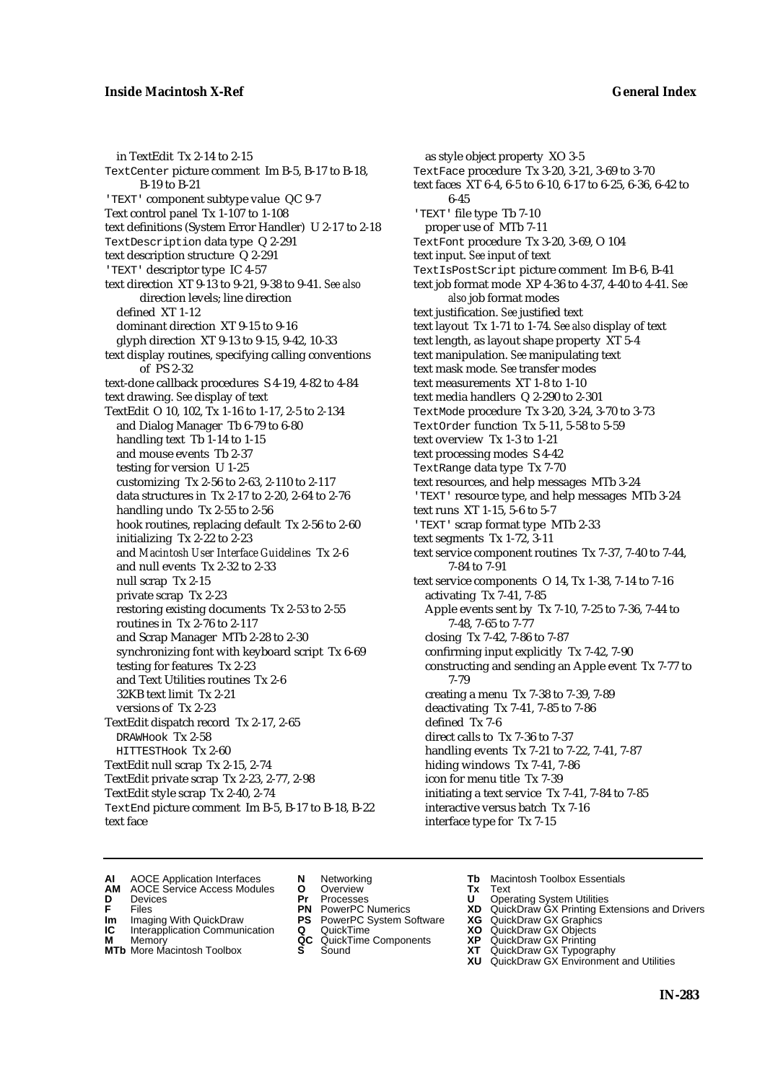in TextEdit Tx 2-14 to 2-15 TextCenter picture comment Im B-5, B-17 to B-18, B-19 to B-21 'TEXT' component subtype value QC 9-7 Text control panel Tx 1-107 to 1-108 text definitions (System Error Handler) U 2-17 to 2-18 TextDescription data type Q 2-291 text description structure Q 2-291 'TEXT' descriptor type IC 4-57 text direction XT 9-13 to 9-21, 9-38 to 9-41. *See also* direction levels; line direction defined XT 1-12 dominant direction XT 9-15 to 9-16 glyph direction XT 9-13 to 9-15, 9-42, 10-33 text display routines, specifying calling conventions of PS 2-32 text-done callback procedures S 4-19, 4-82 to 4-84 text drawing. *See* display of text TextEdit O 10, 102, Tx 1-16 to 1-17, 2-5 to 2-134 and Dialog Manager Tb 6-79 to 6-80 handling text Tb 1-14 to 1-15 and mouse events Tb 2-37 testing for version U 1-25 customizing Tx 2-56 to 2-63, 2-110 to 2-117 data structures in Tx 2-17 to 2-20, 2-64 to 2-76 handling undo Tx 2-55 to 2-56 hook routines, replacing default Tx 2-56 to 2-60 initializing Tx 2-22 to 2-23 and *Macintosh User Interface Guidelines* Tx 2-6 and null events Tx 2-32 to 2-33 null scrap Tx 2-15 private scrap Tx 2-23 restoring existing documents Tx 2-53 to 2-55 routines in Tx 2-76 to 2-117 and Scrap Manager MTb 2-28 to 2-30 synchronizing font with keyboard script Tx 6-69 testing for features Tx 2-23 and Text Utilities routines Tx 2-6 32KB text limit Tx 2-21 versions of Tx 2-23 TextEdit dispatch record Tx 2-17, 2-65 DRAWHook Tx 2-58 HITTESTHook Tx 2-60 TextEdit null scrap Tx 2-15, 2-74 TextEdit private scrap Tx 2-23, 2-77, 2-98 TextEdit style scrap Tx 2-40, 2-74 TextEnd picture comment Im B-5, B-17 to B-18, B-22 text face

as style object property XO 3-5 TextFace procedure Tx 3-20, 3-21, 3-69 to 3-70 text faces XT 6-4, 6-5 to 6-10, 6-17 to 6-25, 6-36, 6-42 to 6-45 'TEXT' file type Tb 7-10 proper use of MTb 7-11 TextFont procedure Tx 3-20, 3-69, O 104 text input. *See* input of text TextIsPostScript picture comment Im B-6, B-41 text job format mode XP 4-36 to 4-37, 4-40 to 4-41. *See also* job format modes text justification. *See* justified text text layout Tx 1-71 to 1-74. *See also* display of text text length, as layout shape property XT 5-4 text manipulation. *See* manipulating text text mask mode. *See* transfer modes text measurements XT 1-8 to 1-10 text media handlers Q 2-290 to 2-301 TextMode procedure Tx 3-20, 3-24, 3-70 to 3-73 TextOrder function Tx 5-11, 5-58 to 5-59 text overview Tx 1-3 to 1-21 text processing modes S 4-42 TextRange data type Tx 7-70 text resources, and help messages MTb 3-24 'TEXT' resource type, and help messages MTb 3-24 text runs XT 1-15, 5-6 to 5-7 'TEXT' scrap format type MTb 2-33 text segments Tx 1-72, 3-11 text service component routines Tx 7-37, 7-40 to 7-44, 7-84 to 7-91 text service components O 14, Tx 1-38, 7-14 to 7-16 activating Tx 7-41, 7-85 Apple events sent by Tx 7-10, 7-25 to 7-36, 7-44 to 7-48, 7-65 to 7-77 closing Tx 7-42, 7-86 to 7-87 confirming input explicitly Tx 7-42, 7-90 constructing and sending an Apple event Tx 7-77 to 7-79 creating a menu Tx 7-38 to 7-39, 7-89 deactivating Tx 7-41, 7-85 to 7-86 defined Tx 7-6 direct calls to Tx 7-36 to 7-37 handling events Tx 7-21 to 7-22, 7-41, 7-87 hiding windows Tx 7-41, 7-86 icon for menu title Tx 7-39 initiating a text service Tx 7-41, 7-84 to 7-85 interactive versus batch Tx 7-16 interface type for Tx 7-15

- **AI** AOCE Application Interfaces **N** Networking **Tb** Macintosh Toolbox Essentials<br> **AM** AOCE Service Access Modules **O** Overview **Tx** Text<br> **D** Devices **Pr** Processes **U** Operating System Utilities
- AOCE Service Access Modules **O** Overview **Tx** Text<br>Devices **Devices Devices Devices**
- -
- **IM** FILES<br> **Im** Imaging With QuickDraw **PS** PowerPC System Software **XG**<br> **IC** Interapplication Communication **Q** QuickTime **XO**
- **IC** Interapplication Communication **Q** QuickTime **XO M** Memory **XO QC** QuickTime Components **XP M** Memory **CONSISTENT CONSISTENT QC** QuickTime Components **XP**<br> **MTb** More Macintosh Toolbox **S** Sound **XT**
- **MTb** More Macintosh Toolbox **S** Sound **XT** QuickDraw GX Typography
- 
- **D** Devices **Pr** Processes **U** Operating System Utilities
	-
	-
	-
	-
- 
- 
- **F** Files **PN** PowerPC Numerics **XD** QuickDraw GX Printing Extensions and Drivers
	-
	-
	-
	- **XU** QuickDraw GX Environment and Utilities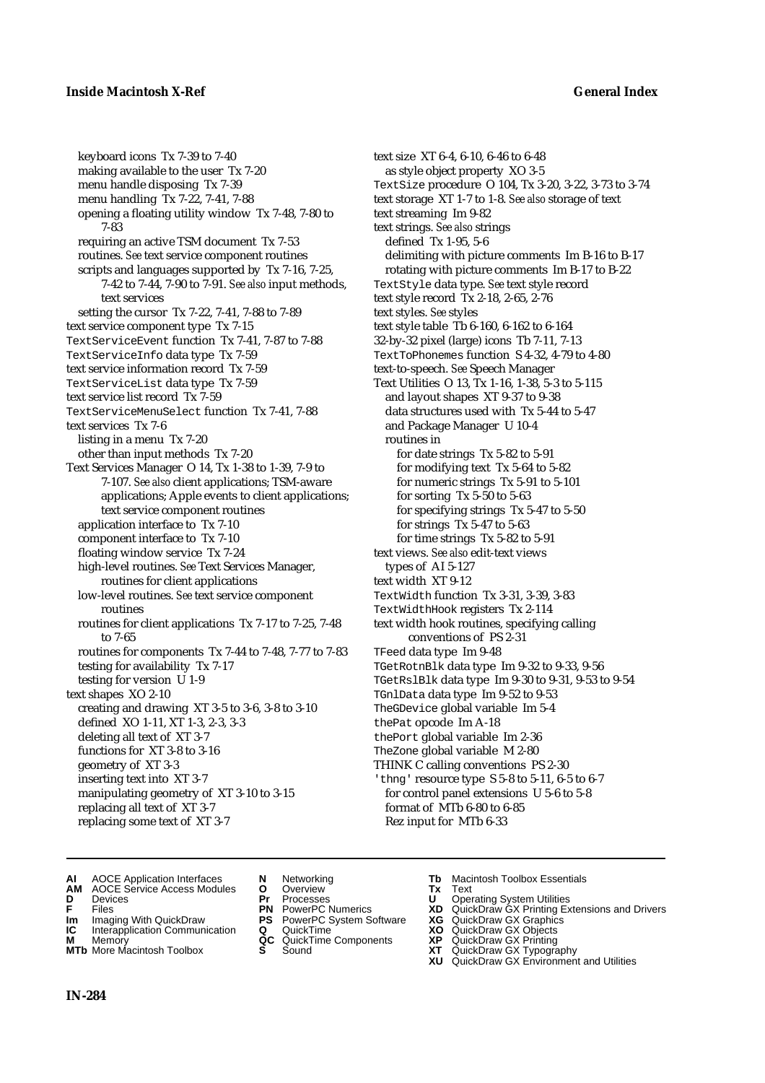### **Inside Macintosh X-Ref General Index**

keyboard icons Tx 7-39 to 7-40 making available to the user Tx 7-20 menu handle disposing Tx 7-39 menu handling Tx 7-22, 7-41, 7-88 opening a floating utility window Tx 7-48, 7-80 to 7-83 requiring an active TSM document Tx 7-53 routines. *See* text service component routines scripts and languages supported by Tx 7-16, 7-25, 7-42 to 7-44, 7-90 to 7-91. *See also* input methods, text services setting the cursor Tx 7-22, 7-41, 7-88 to 7-89 text service component type Tx 7-15 TextServiceEvent function Tx 7-41, 7-87 to 7-88 TextServiceInfo data type Tx 7-59 text service information record Tx 7-59 TextServiceList data type Tx 7-59 text service list record Tx 7-59 TextServiceMenuSelect function Tx 7-41, 7-88 text services Tx 7-6 listing in a menu Tx 7-20 other than input methods Tx 7-20 Text Services Manager O 14, Tx 1-38 to 1-39, 7-9 to 7-107. *See also* client applications; TSM-aware applications; Apple events to client applications; text service component routines application interface to Tx 7-10 component interface to Tx 7-10 floating window service Tx 7-24 high-level routines. *See* Text Services Manager, routines for client applications low-level routines. *See* text service component routines routines for client applications Tx 7-17 to 7-25, 7-48 to 7-65 routines for components Tx 7-44 to 7-48, 7-77 to 7-83 testing for availability Tx 7-17 testing for version U 1-9 text shapes XO 2-10 creating and drawing XT 3-5 to 3-6, 3-8 to 3-10 defined XO 1-11, XT 1-3, 2-3, 3-3 deleting all text of XT 3-7 functions for XT 3-8 to 3-16 geometry of XT 3-3 inserting text into XT 3-7 manipulating geometry of XT 3-10 to 3-15 replacing all text of XT 3-7 replacing some text of XT 3-7

text size XT 6-4, 6-10, 6-46 to 6-48 as style object property XO 3-5 TextSize procedure O 104, Tx 3-20, 3-22, 3-73 to 3-74 text storage XT 1-7 to 1-8. *See also* storage of text text streaming Im 9-82 text strings. *See also* strings defined Tx 1-95, 5-6 delimiting with picture comments Im B-16 to B-17 rotating with picture comments Im B-17 to B-22 TextStyle data type. *See* text style record text style record Tx 2-18, 2-65, 2-76 text styles. *See* styles text style table Tb 6-160, 6-162 to 6-164 32-by-32 pixel (large) icons Tb 7-11, 7-13 TextToPhonemes function S 4-32, 4-79 to 4-80 text-to-speech. *See* Speech Manager Text Utilities O 13, Tx 1-16, 1-38, 5-3 to 5-115 and layout shapes XT 9-37 to 9-38 data structures used with Tx 5-44 to 5-47 and Package Manager U 10-4 routines in for date strings Tx 5-82 to 5-91 for modifying text Tx 5-64 to 5-82 for numeric strings Tx 5-91 to 5-101 for sorting Tx 5-50 to 5-63 for specifying strings Tx 5-47 to 5-50 for strings Tx 5-47 to 5-63 for time strings Tx 5-82 to 5-91 text views. *See also* edit-text views types of AI 5-127 text width XT 9-12 TextWidth function Tx 3-31, 3-39, 3-83 TextWidthHook registers Tx 2-114 text width hook routines, specifying calling conventions of PS 2-31 TFeed data type Im 9-48 TGetRotnBlk data type Im 9-32 to 9-33, 9-56 TGetRslBlk data type Im 9-30 to 9-31, 9-53 to 9-54 TGnlData data type Im 9-52 to 9-53 TheGDevice global variable Im 5-4 thePat opcode Im A-18 thePort global variable Im 2-36 TheZone global variable M 2-80 THINK C calling conventions PS 2-30 'thng' resource type S 5-8 to 5-11, 6-5 to 6-7 for control panel extensions U 5-6 to 5-8 format of MTb 6-80 to 6-85 Rez input for MTb 6-33

- **AI** AOCE Application Interfaces **N** Networking **Tb** Macintosh Toolbox Essentials<br> **AM** AOCE Service Access Modules **O** Overview **Tx** Text<br> **D** Devices **Pr** Processes **U** Operating System Utilities
- **AM** AOCE Service Access Modules **O** Overview **Tx** Text
- 
- 
- **Im** Imaging With QuickDraw **PS** PowerPC System Software **XG IC** Interapplication Communication **Q** QuickTime **COVIC**
- **Interapplication Communication <b>Q** QuickTime **XO** Memory **XO** Memory **XP QC** QuickTime Components **XP**
- **M** Memory **District Acc** QuickTime Components **XP**<br> **MTb** More Macintosh Toolbox **S** Sound **XT**
- 
- **D** Devices **Pr** Processes **U** Operating System Utilities
	-
	-
	-
	-
- 
- 
- **FRICAG CONSISTS IN THE PROCESSES CONSISTS AND CONSIST CONSISTENT CONSISTS CONSISTS PRINTIPLE PROCESSES CONSISTS CON<br>
<b>F**FRICES **PN** POWERPC Numerics **XD** QuickDraw GX Printing Extensions and Drivers<br> **Im** Imaging With Qui
	-
	-
	-
- **MTb** More Macintosh Toolbox **S** Sound **XT** QuickDraw GX Typography
	- **XU** QuickDraw GX Environment and Utilities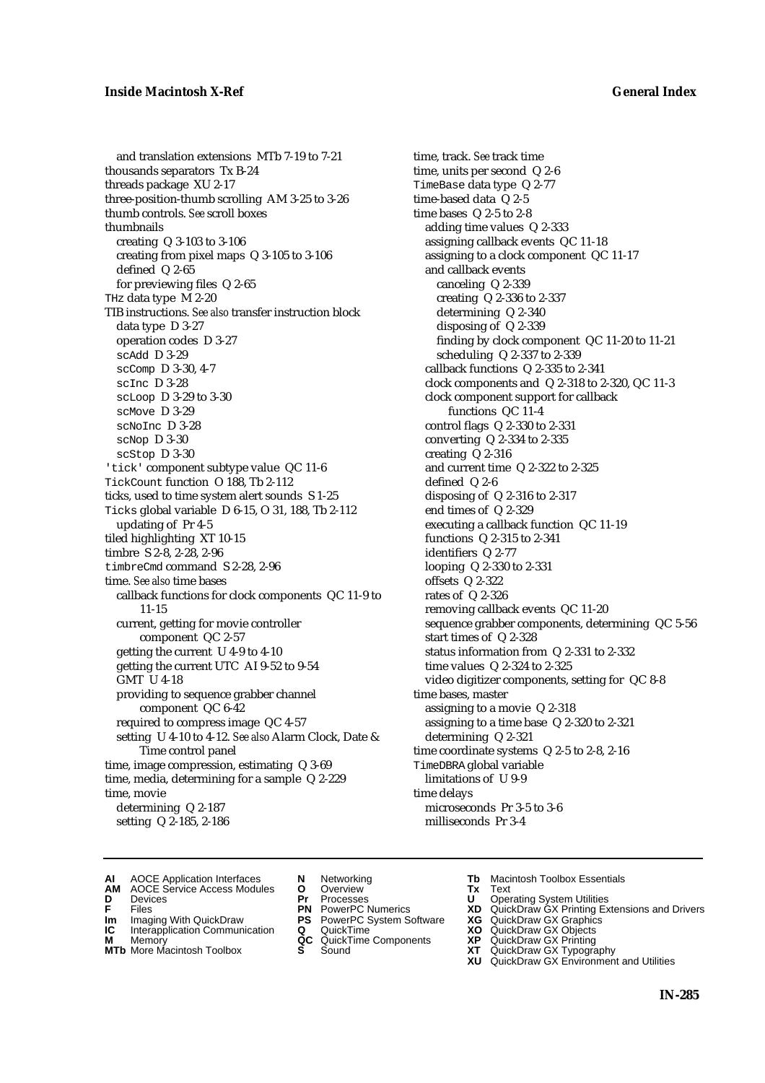## **Inside Macintosh X-Ref General Index**

and translation extensions MTb 7-19 to 7-21 thousands separators Tx B-24 threads package XU 2-17 three-position-thumb scrolling AM 3-25 to 3-26 thumb controls. *See* scroll boxes thumbnails creating Q 3-103 to 3-106 creating from pixel maps Q 3-105 to 3-106 defined Q 2-65 for previewing files Q 2-65 THz data type M 2-20 TIB instructions. *See also* transfer instruction block data type D 3-27 operation codes D 3-27 scAdd D 3-29 scComp D 3-30, 4-7 scInc D 3-28 scLoop D 3-29 to 3-30 scMove D 3-29 scNoInc D 3-28 scNop D 3-30 scStop D 3-30 'tick' component subtype value QC 11-6 TickCount function O 188, Tb 2-112 ticks, used to time system alert sounds S 1-25 Ticks global variable D 6-15, O 31, 188, Tb 2-112 updating of Pr 4-5 tiled highlighting XT 10-15 timbre S 2-8, 2-28, 2-96 timbreCmd command S 2-28, 2-96 time. *See also* time bases callback functions for clock components QC 11-9 to 11-15 current, getting for movie controller component QC 2-57 getting the current U 4-9 to 4-10 getting the current UTC AI 9-52 to 9-54 GMT U 4-18 providing to sequence grabber channel component QC 6-42 required to compress image QC 4-57 setting U 4-10 to 4-12. *See also* Alarm Clock, Date & Time control panel time, image compression, estimating Q 3-69 time, media, determining for a sample Q 2-229 time, movie determining Q 2-187 setting Q 2-185, 2-186

time, track. *See* track time time, units per second Q 2-6 TimeBase data type Q 2-77 time-based data Q 2-5 time bases Q 2-5 to 2-8 adding time values Q 2-333 assigning callback events QC 11-18 assigning to a clock component QC 11-17 and callback events canceling Q 2-339 creating Q 2-336 to 2-337 determining Q 2-340 disposing of Q 2-339 finding by clock component QC 11-20 to 11-21 scheduling Q 2-337 to 2-339 callback functions Q 2-335 to 2-341 clock components and Q 2-318 to 2-320, QC 11-3 clock component support for callback functions QC 11-4 control flags Q 2-330 to 2-331 converting Q 2-334 to 2-335 creating Q 2-316 and current time Q 2-322 to 2-325 defined Q 2-6 disposing of Q 2-316 to 2-317 end times of Q 2-329 executing a callback function QC 11-19 functions Q 2-315 to 2-341 identifiers Q 2-77 looping Q 2-330 to 2-331 offsets Q 2-322 rates of Q 2-326 removing callback events QC 11-20 sequence grabber components, determining QC 5-56 start times of Q 2-328 status information from Q 2-331 to 2-332 time values Q 2-324 to 2-325 video digitizer components, setting for QC 8-8 time bases, master assigning to a movie Q 2-318 assigning to a time base Q 2-320 to 2-321 determining Q 2-321 time coordinate systems Q 2-5 to 2-8, 2-16 TimeDBRA global variable limitations of U 9-9 time delays microseconds Pr 3-5 to 3-6 milliseconds Pr 3-4

- **AI** AOCE Application Interfaces **N** Networking **Tb** Macintosh Toolbox Essentials<br> **AM** AOCE Service Access Modules **O** Overview **Tx** Text<br> **D** Devices **Pr** Processes **U** Operating System Utilities
- AOCE Service Access Modules **O** Overview **Tx** Text<br>Devices **Devices Devices Devices**
- 
- **Im** Files<br> **Im** Imaging With QuickDraw **PS** PowerPC System Software **XG**<br> **IC** Interapplication Communication **Q** QuickTime **XO**
- **IC** Interapplication Communication **Q** QuickTime **XO M** Memory **XO QC** QuickTime Components **XP**
- **M** Memory **District Acc** QuickTime Components **XP**<br> **MTb** More Macintosh Toolbox **S** Sound **XT**
- 
- 
- **D** Devices **Pr** Processes **U** Operating System Utilities
	-
	-
	-
	-
- 
- 
- **F** Files **PN** PowerPC Numerics **XD** QuickDraw GX Printing Extensions and Drivers
	-
	-
	-
- **MTb** More Macintosh Toolbox **S** Sound **XT** QuickDraw GX Typography
	- **XU** QuickDraw GX Environment and Utilities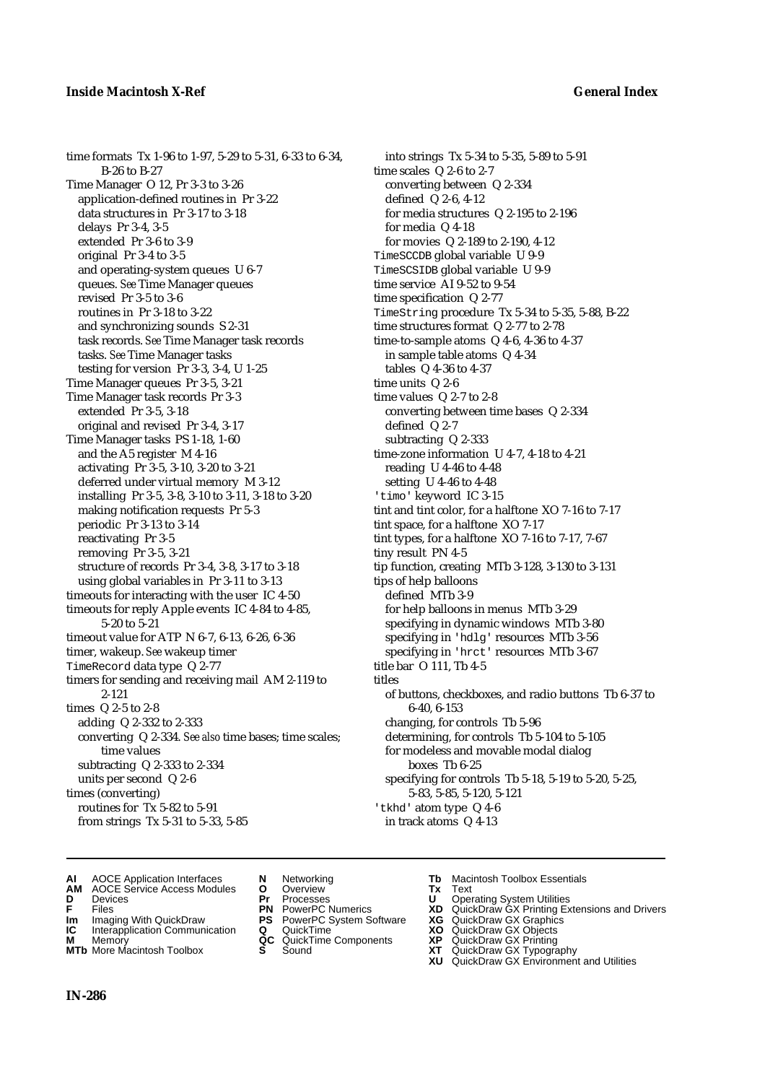time formats Tx 1-96 to 1-97, 5-29 to 5-31, 6-33 to 6-34, B-26 to B-27 Time Manager O 12, Pr 3-3 to 3-26 application-defined routines in Pr 3-22 data structures in Pr 3-17 to 3-18 delays Pr 3-4, 3-5 extended Pr 3-6 to 3-9 original Pr 3-4 to 3-5 and operating-system queues U 6-7 queues. *See* Time Manager queues revised Pr 3-5 to 3-6 routines in Pr 3-18 to 3-22 and synchronizing sounds S 2-31 task records. *See* Time Manager task records tasks. *See* Time Manager tasks testing for version Pr 3-3, 3-4, U 1-25 Time Manager queues Pr 3-5, 3-21 Time Manager task records Pr 3-3 extended Pr 3-5, 3-18 original and revised Pr 3-4, 3-17 Time Manager tasks PS 1-18, 1-60 and the A5 register M 4-16 activating Pr 3-5, 3-10, 3-20 to 3-21 deferred under virtual memory M 3-12 installing Pr 3-5, 3-8, 3-10 to 3-11, 3-18 to 3-20 making notification requests Pr 5-3 periodic Pr 3-13 to 3-14 reactivating Pr 3-5 removing Pr 3-5, 3-21 structure of records Pr 3-4, 3-8, 3-17 to 3-18 using global variables in Pr 3-11 to 3-13 timeouts for interacting with the user IC 4-50 timeouts for reply Apple events IC 4-84 to 4-85, 5-20 to 5-21 timeout value for ATP N 6-7, 6-13, 6-26, 6-36 timer, wakeup. *See* wakeup timer TimeRecord data type Q 2-77 timers for sending and receiving mail AM 2-119 to 2-121 times Q 2-5 to 2-8 adding Q 2-332 to 2-333 converting Q 2-334. *See also* time bases; time scales; time values subtracting Q 2-333 to 2-334 units per second Q 2-6 times (converting) routines for Tx 5-82 to 5-91 from strings Tx 5-31 to 5-33, 5-85

into strings Tx 5-34 to 5-35, 5-89 to 5-91 time scales Q 2-6 to 2-7 converting between Q 2-334 defined Q 2-6, 4-12 for media structures Q 2-195 to 2-196 for media Q 4-18 for movies Q 2-189 to 2-190, 4-12 TimeSCCDB global variable U 9-9 TimeSCSIDB global variable U 9-9 time service AI 9-52 to 9-54 time specification Q 2-77 TimeString procedure Tx 5-34 to 5-35, 5-88, B-22 time structures format Q 2-77 to 2-78 time-to-sample atoms Q 4-6, 4-36 to 4-37 in sample table atoms Q 4-34 tables Q 4-36 to 4-37 time units Q 2-6 time values Q 2-7 to 2-8 converting between time bases Q 2-334 defined Q 2-7 subtracting Q 2-333 time-zone information U 4-7, 4-18 to 4-21 reading U 4-46 to 4-48 setting U 4-46 to 4-48 'timo' keyword IC 3-15 tint and tint color, for a halftone XO 7-16 to 7-17 tint space, for a halftone XO 7-17 tint types, for a halftone XO 7-16 to 7-17, 7-67 tiny result PN 4-5 tip function, creating MTb 3-128, 3-130 to 3-131 tips of help balloons defined MTb 3-9 for help balloons in menus MTb 3-29 specifying in dynamic windows MTb 3-80 specifying in 'hdlg' resources MTb 3-56 specifying in 'hrct' resources MTb 3-67 title bar O 111, Tb 4-5 titles of buttons, checkboxes, and radio buttons Tb 6-37 to 6-40, 6-153 changing, for controls Tb 5-96 determining, for controls Tb 5-104 to 5-105 for modeless and movable modal dialog boxes Tb 6-25 specifying for controls Tb 5-18, 5-19 to 5-20, 5-25, 5-83, 5-85, 5-120, 5-121 'tkhd' atom type Q 4-6 in track atoms Q 4-13

- **AI** AOCE Application Interfaces **N** Networking **Tb** Macintosh Toolbox Essentials<br> **AM** AOCE Service Access Modules **O** Overview **Tx** Text<br> **D** Devices **Pr** Processes **U** Operating System Utilities
- **AM** AOCE Service Access Modules **O** Overview **Tx** Text
- 
- 
- **Im** Imaging With QuickDraw **PS** PowerPC System Software **XG IC** Interapplication Communication **Q** QuickTime **COVIC**
- **Interapplication Communication <b>Q** QuickTime **XO** Memory **XO** Memory **XP QC** QuickTime Components **XP**
- **M** Memory **District Acc** QuickTime Components **XP**<br> **MTb** More Macintosh Toolbox **S** Sound **XT MTb** More Macintosh Toolbox **S** Sound **XT** QuickDraw GX Typography
- 
- **D** Devices **Pr** Processes **U** Operating System Utilities
	-
	-
	-
	- -
- 
- 
- **FRICAG CONSISTS IN THE PROCESSES CONSISTS AND CONSIST CONSISTENT CONSISTS CONSISTS PRINTIPLE PROCESSES CONSISTS CON<br>
<b>F**FRICES **PN** POWERPC Numerics **XD** QuickDraw GX Printing Extensions and Drivers<br> **Im** Imaging With Qui
	-
	-
	-
	-
	- **XU** QuickDraw GX Environment and Utilities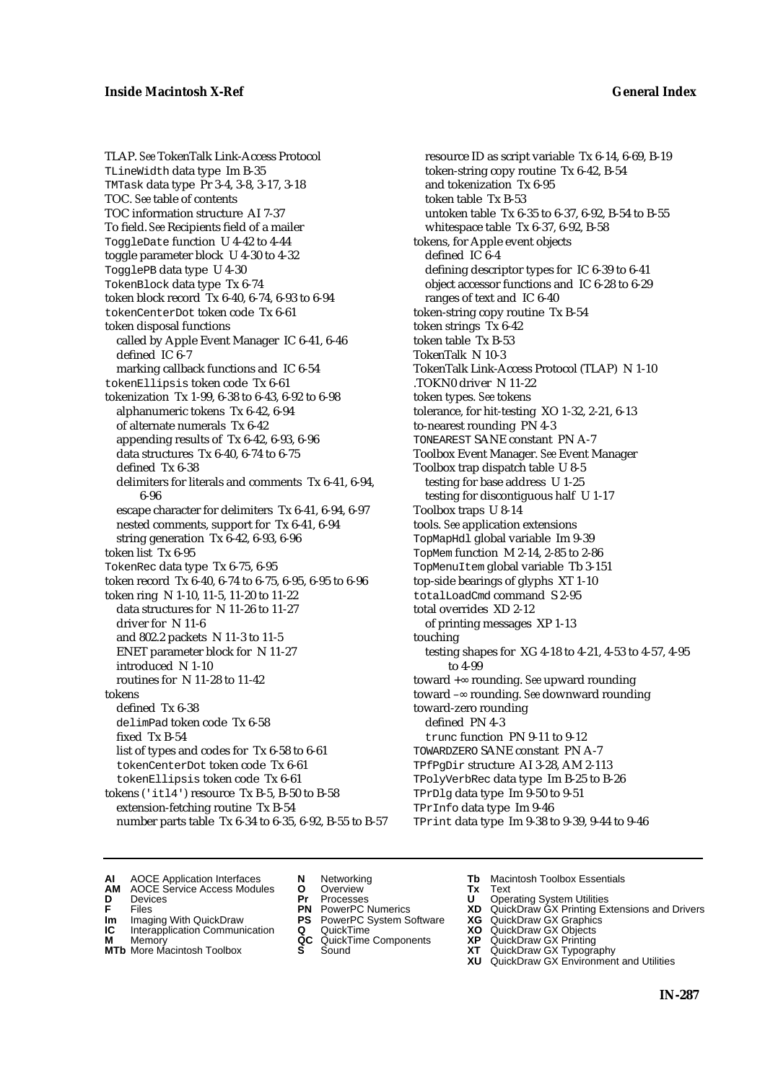TLAP. *See* TokenTalk Link-Access Protocol TLineWidth data type Im B-35 TMTask data type Pr 3-4, 3-8, 3-17, 3-18 TOC. *See* table of contents TOC information structure AI 7-37 To field. *See* Recipients field of a mailer ToggleDate function U 4-42 to 4-44 toggle parameter block U 4-30 to 4-32 TogglePB data type U 4-30 TokenBlock data type Tx 6-74 token block record Tx 6-40, 6-74, 6-93 to 6-94 tokenCenterDot token code Tx 6-61 token disposal functions called by Apple Event Manager IC 6-41, 6-46 defined IC 6-7 marking callback functions and IC 6-54 tokenEllipsis token code Tx 6-61 tokenization Tx 1-99, 6-38 to 6-43, 6-92 to 6-98 alphanumeric tokens Tx 6-42, 6-94 of alternate numerals Tx 6-42 appending results of Tx 6-42, 6-93, 6-96 data structures Tx 6-40, 6-74 to 6-75 defined Tx 6-38 delimiters for literals and comments Tx 6-41, 6-94, 6-96 escape character for delimiters Tx 6-41, 6-94, 6-97 nested comments, support for Tx 6-41, 6-94 string generation Tx 6-42, 6-93, 6-96 token list Tx 6-95 TokenRec data type Tx 6-75, 6-95 token record Tx 6-40, 6-74 to 6-75, 6-95, 6-95 to 6-96 token ring N 1-10, 11-5, 11-20 to 11-22 data structures for N 11-26 to 11-27 driver for N 11-6 and 802.2 packets N 11-3 to 11-5 ENET parameter block for N 11-27 introduced N 1-10 routines for N 11-28 to 11-42 tokens defined Tx 6-38 delimPad token code Tx 6-58 fixed Tx B-54 list of types and codes for Tx 6-58 to 6-61 tokenCenterDot token code Tx 6-61 tokenEllipsis token code Tx 6-61 tokens ('itl4') resource Tx B-5, B-50 to B-58 extension-fetching routine Tx B-54 number parts table Tx 6-34 to 6-35, 6-92, B-55 to B-57

resource ID as script variable Tx 6-14, 6-69, B-19 token-string copy routine Tx 6-42, B-54 and tokenization Tx 6-95 token table Tx B-53 untoken table Tx 6-35 to 6-37, 6-92, B-54 to B-55 whitespace table Tx 6-37, 6-92, B-58 tokens, for Apple event objects defined IC 6-4 defining descriptor types for IC 6-39 to 6-41 object accessor functions and IC 6-28 to 6-29 ranges of text and IC 6-40 token-string copy routine Tx B-54 token strings Tx 6-42 token table Tx B-53 TokenTalk N 10-3 TokenTalk Link-Access Protocol (TLAP) N 1-10 .TOKN0 driver N 11-22 token types. *See* tokens tolerance, for hit-testing XO 1-32, 2-21, 6-13 to-nearest rounding PN 4-3 TONEAREST SANE constant PN A-7 Toolbox Event Manager. *See* Event Manager Toolbox trap dispatch table U 8-5 testing for base address U 1-25 testing for discontiguous half U 1-17 Toolbox traps U 8-14 tools. *See* application extensions TopMapHdl global variable Im 9-39 TopMem function M 2-14, 2-85 to 2-86 TopMenuItem global variable Tb 3-151 top-side bearings of glyphs XT 1-10 totalLoadCmd command S 2-95 total overrides XD 2-12 of printing messages XP 1-13 touching testing shapes for XG 4-18 to 4-21, 4-53 to 4-57, 4-95 to 4-99 toward + rounding. *See* upward rounding toward – rounding. *See* downward rounding toward-zero rounding defined PN 4-3 trunc function PN 9-11 to 9-12 TOWARDZERO SANE constant PN A-7 TPfPgDir structure AI 3-28, AM 2-113 TPolyVerbRec data type Im B-25 to B-26 TPrDlg data type Im 9-50 to 9-51 TPrInfo data type Im 9-46 TPrint data type Im 9-38 to 9-39, 9-44 to 9-46

- **AI** AOCE Application Interfaces **N** Networking **Tb** Macintosh Toolbox Essentials
- **AM** AOCE Service Access Modules **O** Overview **Tx** Text
- **D** Devices **Pr** Processes **U** Operating System Utilities
	-
- **IM** FILES<br> **Im** Imaging With QuickDraw **PS** PowerPC System Software **XG**<br> **IC** Interapplication Communication **Q** QuickTime **XO**
- **IC** Interapplication Communication **Q** QuickTime **XO M** Memory **XP QC** QuickTime Components **XP**
- **M** Memory **CONSISTENT MEMORY AND MEMORY MEMORY AND MEMORY AND MEMORY AND <b>CONSISTENT CONSISTENT** WAS A VIOLENCE CONSISTENT OF A VIOLENCE CONSISTENT OF A VIOLENCE CONSISTENT OF A VIOLENCE CONSISTENT OF A VIOLENCE CONSISTEN
- 
- 
- **F** Files **PN** PowerPC Numerics **XD** QuickDraw GX Printing Extensions and Drivers
	-
	-
	-
- **MTb** More Macintosh Toolbox **S** Sound **XT** QuickDraw GX Typography
	- **XU** QuickDraw GX Environment and Utilities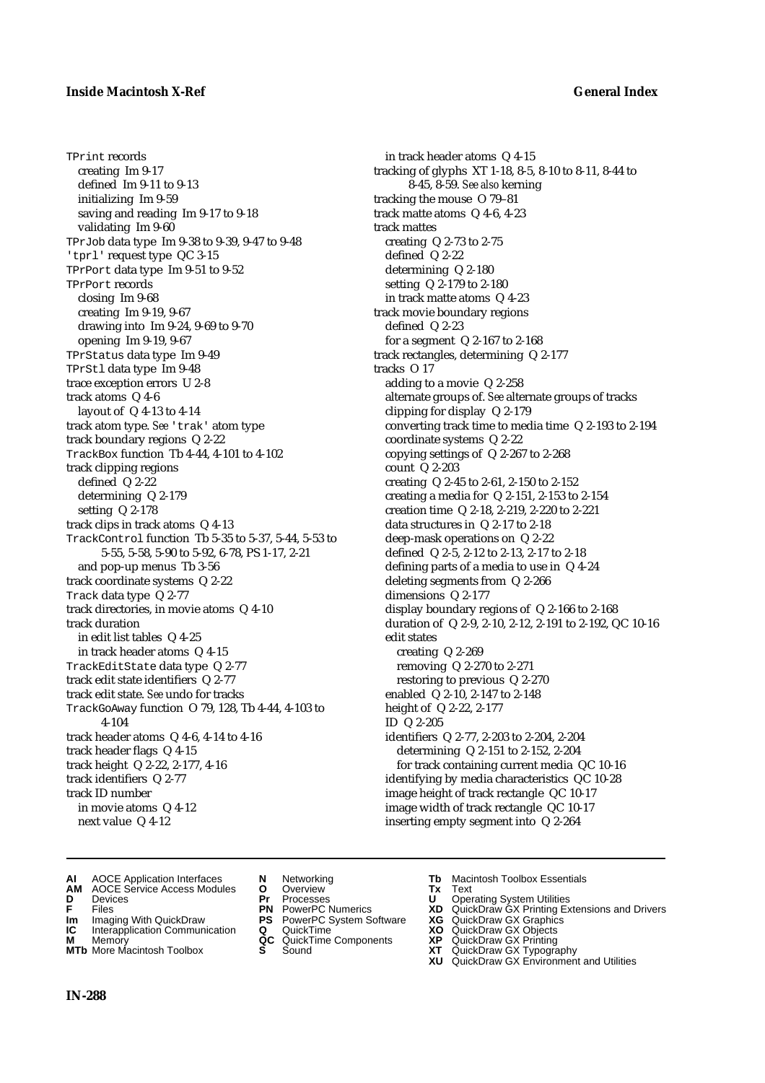### **Inside Macintosh X-Ref General Index**

TPrint records creating Im 9-17 defined Im 9-11 to 9-13 initializing Im 9-59 saving and reading Im 9-17 to 9-18 validating Im 9-60 TPrJob data type Im 9-38 to 9-39, 9-47 to 9-48 'tprl' request type QC 3-15 TPrPort data type Im 9-51 to 9-52 TPrPort records closing Im 9-68 creating Im 9-19, 9-67 drawing into Im 9-24, 9-69 to 9-70 opening Im 9-19, 9-67 TPrStatus data type Im 9-49 TPrStl data type Im 9-48 trace exception errors U 2-8 track atoms Q 4-6 layout of Q 4-13 to 4-14 track atom type. *See* 'trak' atom type track boundary regions Q 2-22 TrackBox function Tb 4-44, 4-101 to 4-102 track clipping regions defined Q 2-22 determining Q 2-179 setting Q 2-178 track clips in track atoms Q 4-13 TrackControl function Tb 5-35 to 5-37, 5-44, 5-53 to 5-55, 5-58, 5-90 to 5-92, 6-78, PS 1-17, 2-21 and pop-up menus Tb 3-56 track coordinate systems Q 2-22 Track data type Q 2-77 track directories, in movie atoms Q 4-10 track duration in edit list tables Q 4-25 in track header atoms Q 4-15 TrackEditState data type Q 2-77 track edit state identifiers Q 2-77 track edit state. *See* undo for tracks TrackGoAway function O 79, 128, Tb 4-44, 4-103 to 4-104 track header atoms Q 4-6, 4-14 to 4-16 track header flags Q 4-15 track height Q 2-22, 2-177, 4-16 track identifiers Q 2-77 track ID number in movie atoms Q 4-12 next value Q 4-12

in track header atoms Q 4-15 tracking of glyphs XT 1-18, 8-5, 8-10 to 8-11, 8-44 to 8-45, 8-59. *See also* kerning tracking the mouse O 79–81 track matte atoms Q 4-6, 4-23 track mattes creating Q 2-73 to 2-75 defined Q 2-22 determining Q 2-180 setting Q 2-179 to 2-180 in track matte atoms Q 4-23 track movie boundary regions defined Q 2-23 for a segment Q 2-167 to 2-168 track rectangles, determining Q 2-177 tracks O 17 adding to a movie Q 2-258 alternate groups of. *See* alternate groups of tracks clipping for display Q 2-179 converting track time to media time Q 2-193 to 2-194 coordinate systems Q 2-22 copying settings of Q 2-267 to 2-268 count Q 2-203 creating Q 2-45 to 2-61, 2-150 to 2-152 creating a media for Q 2-151, 2-153 to 2-154 creation time Q 2-18, 2-219, 2-220 to 2-221 data structures in Q 2-17 to 2-18 deep-mask operations on Q 2-22 defined Q 2-5, 2-12 to 2-13, 2-17 to 2-18 defining parts of a media to use in Q 4-24 deleting segments from Q 2-266 dimensions Q 2-177 display boundary regions of Q 2-166 to 2-168 duration of Q 2-9, 2-10, 2-12, 2-191 to 2-192, QC 10-16 edit states creating Q 2-269 removing Q 2-270 to 2-271 restoring to previous Q 2-270 enabled Q 2-10, 2-147 to 2-148 height of Q 2-22, 2-177 ID Q 2-205 identifiers Q 2-77, 2-203 to 2-204, 2-204 determining Q 2-151 to 2-152, 2-204 for track containing current media QC 10-16 identifying by media characteristics QC 10-28 image height of track rectangle QC 10-17 image width of track rectangle QC 10-17 inserting empty segment into Q 2-264

- **AI** AOCE Application Interfaces **N** Networking **Tb** Macintosh Toolbox Essentials<br> **AM** AOCE Service Access Modules **O** Overview **Tx** Text<br> **D** Devices **Pr** Processes **U** Operating System Utilities
- **AM** AOCE Service Access Modules **O** Overview **Tx** Text
- 
- 
- **Im** Imaging With QuickDraw **PS** PowerPC System Software **XG IC** Interapplication Communication **Q** QuickTime **COVIC**
- **Interapplication Communication <b>Q** QuickTime **XO** Memory **XO** Memory **XP QC** QuickTime Components **XP M** Memory **CONSISTENT CONSIDER**<br> **MTb** More Macintosh Toolbox **S** Sound **S S** State **XP**
- **MTb** More Macintosh Toolbox **S** Sound **XT** QuickDraw GX Typography
- 
- **D** Devices **Pr** Processes **U** Operating System Utilities
	-
	-
	-
	-
- 
- 
- **FRICAG CONSISTS IN THE PROCESSES CONSISTS AND CONSIST CONSISTENT CONSISTS CONSISTS PRINTIPLE PROCESSES CONSISTS CON<br>
<b>F**FRICES **PN** POWERPC Numerics **XD** QuickDraw GX Printing Extensions and Drivers<br> **Im** Imaging With Qui
	-
	-
	-
	-
	- **XU** QuickDraw GX Environment and Utilities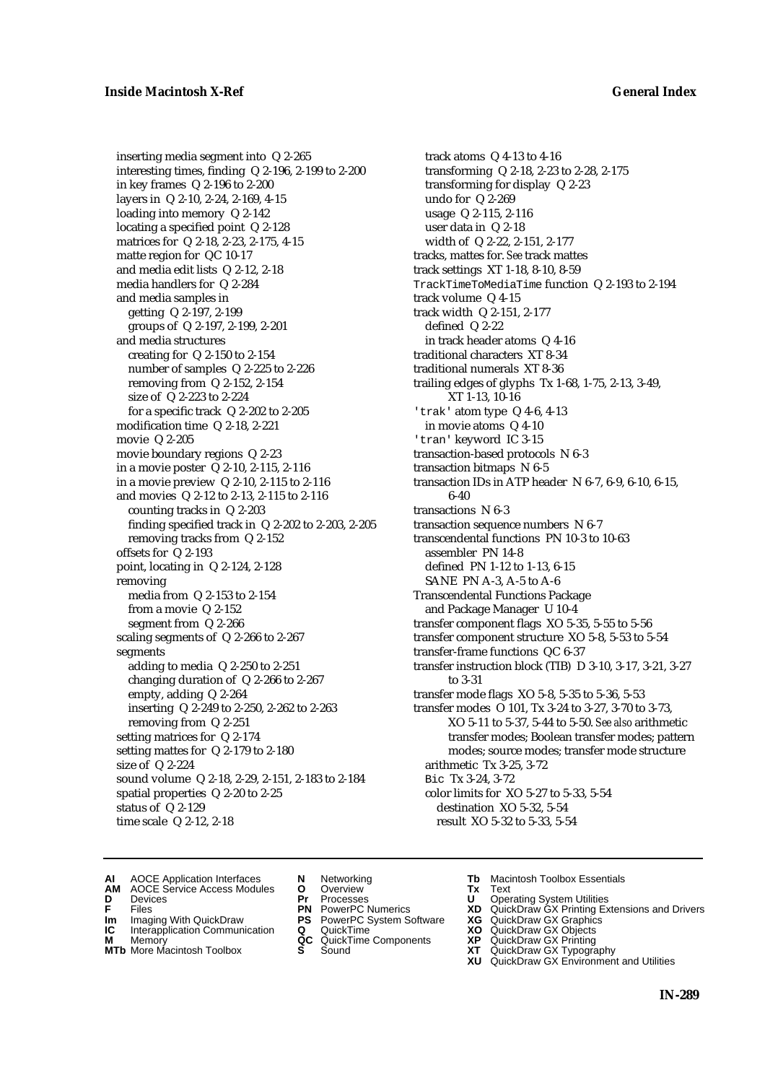inserting media segment into Q 2-265 interesting times, finding Q 2-196, 2-199 to 2-200 in key frames Q 2-196 to 2-200 layers in Q 2-10, 2-24, 2-169, 4-15 loading into memory Q 2-142 locating a specified point Q 2-128 matrices for Q 2-18, 2-23, 2-175, 4-15 matte region for QC 10-17 and media edit lists Q 2-12, 2-18 media handlers for Q 2-284 and media samples in getting Q 2-197, 2-199 groups of Q 2-197, 2-199, 2-201 and media structures creating for Q 2-150 to 2-154 number of samples Q 2-225 to 2-226 removing from Q 2-152, 2-154 size of Q 2-223 to 2-224 for a specific track Q 2-202 to 2-205 modification time Q 2-18, 2-221 movie Q 2-205 movie boundary regions Q 2-23 in a movie poster Q 2-10, 2-115, 2-116 in a movie preview Q 2-10, 2-115 to 2-116 and movies Q 2-12 to 2-13, 2-115 to 2-116 counting tracks in Q 2-203 finding specified track in Q 2-202 to 2-203, 2-205 removing tracks from Q 2-152 offsets for Q 2-193 point, locating in Q 2-124, 2-128 removing media from Q 2-153 to 2-154 from a movie Q 2-152 segment from Q 2-266 scaling segments of Q 2-266 to 2-267 segments adding to media Q 2-250 to 2-251 changing duration of Q 2-266 to 2-267 empty, adding Q 2-264 inserting Q 2-249 to 2-250, 2-262 to 2-263 removing from Q 2-251 setting matrices for Q 2-174 setting mattes for Q 2-179 to 2-180 size of Q 2-224 sound volume Q 2-18, 2-29, 2-151, 2-183 to 2-184 spatial properties Q 2-20 to 2-25 status of Q 2-129 time scale Q 2-12, 2-18

track atoms Q 4-13 to 4-16 transforming Q 2-18, 2-23 to 2-28, 2-175 transforming for display Q 2-23 undo for Q 2-269 usage Q 2-115, 2-116 user data in Q 2-18 width of Q 2-22, 2-151, 2-177 tracks, mattes for. *See* track mattes track settings XT 1-18, 8-10, 8-59 TrackTimeToMediaTime function Q 2-193 to 2-194 track volume Q 4-15 track width Q 2-151, 2-177 defined Q 2-22 in track header atoms Q 4-16 traditional characters XT 8-34 traditional numerals XT 8-36 trailing edges of glyphs Tx 1-68, 1-75, 2-13, 3-49, XT 1-13, 10-16 'trak' atom type Q 4-6, 4-13 in movie atoms Q 4-10 'tran' keyword IC 3-15 transaction-based protocols N 6-3 transaction bitmaps N 6-5 transaction IDs in ATP header N 6-7, 6-9, 6-10, 6-15, 6-40 transactions N 6-3 transaction sequence numbers N 6-7 transcendental functions PN 10-3 to 10-63 assembler PN 14-8 defined PN 1-12 to 1-13, 6-15 SANE PN A-3, A-5 to A-6 Transcendental Functions Package and Package Manager U 10-4 transfer component flags XO 5-35, 5-55 to 5-56 transfer component structure XO 5-8, 5-53 to 5-54 transfer-frame functions QC 6-37 transfer instruction block (TIB) D 3-10, 3-17, 3-21, 3-27 to 3-31 transfer mode flags XO 5-8, 5-35 to 5-36, 5-53 transfer modes O 101, Tx 3-24 to 3-27, 3-70 to 3-73, XO 5-11 to 5-37, 5-44 to 5-50. *See also* arithmetic transfer modes; Boolean transfer modes; pattern modes; source modes; transfer mode structure arithmetic Tx 3-25, 3-72 Bic Tx 3-24, 3-72 color limits for XO 5-27 to 5-33, 5-54 destination XO 5-32, 5-54 result XO 5-32 to 5-33, 5-54

- **AI** AOCE Application Interfaces **N** Networking **Tb** Macintosh Toolbox Essentials<br> **AM** AOCE Service Access Modules **O** Overview **Tx** Text<br> **D** Devices **Pr** Processes **U** Operating System Utilities
	- AOCE Service Access Modules **O** Overview **Tx** Text<br>Devices **Devices Devices Devices**
- 
- 
- 
- 
- **IM** FILES<br> **Im** Imaging With QuickDraw **PS** PowerPC System Software **XG**<br> **IC** Interapplication Communication **Q** QuickTime **XO**
- **IC** Interapplication Communication **Q** QuickTime **XO M** Memory **XO QC** QuickTime Components **XP M** Memory **District Acc** QuickTime Components **XP**<br> **MTb** More Macintosh Toolbox **S** Sound **XT**
- 
- 
- **D** Devices **Pr** Processes **U** Operating System Utilities
	-
	-
	-
	-
- 
- 
- **F** Files **PN** PowerPC Numerics **XD** QuickDraw GX Printing Extensions and Drivers
	-
	-
	-
- **MTb** More Macintosh Toolbox **S** Sound **XT** QuickDraw GX Typography
	- **XU** QuickDraw GX Environment and Utilities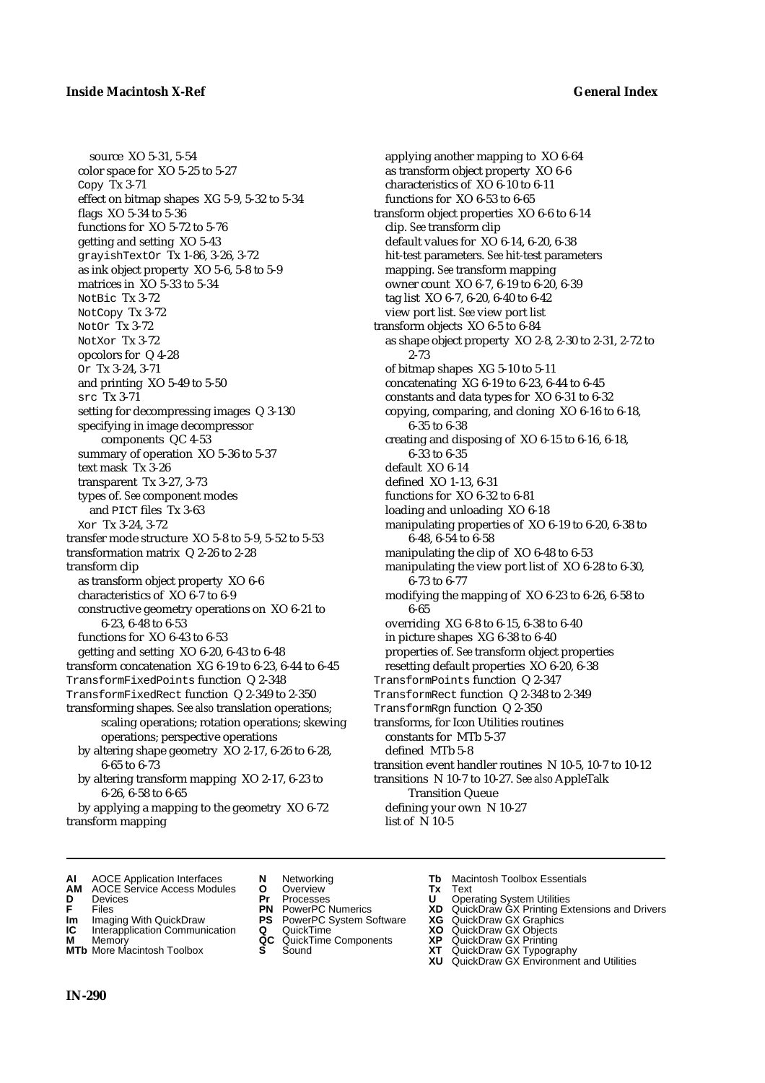source XO 5-31, 5-54 color space for XO 5-25 to 5-27 Copy Tx 3-71 effect on bitmap shapes XG 5-9, 5-32 to 5-34 flags XO 5-34 to 5-36 functions for XO 5-72 to 5-76 getting and setting XO 5-43 grayishTextOr Tx 1-86, 3-26, 3-72 as ink object property XO 5-6, 5-8 to 5-9 matrices in XO 5-33 to 5-34 NotBic Tx 3-72 NotCopy Tx 3-72 NotOr Tx 3-72 NotXor Tx 3-72 opcolors for Q 4-28 Or Tx 3-24, 3-71 and printing XO 5-49 to 5-50 src Tx 3-71 setting for decompressing images Q 3-130 specifying in image decompressor components QC 4-53 summary of operation XO 5-36 to 5-37 text mask Tx 3-26 transparent Tx 3-27, 3-73 types of. *See* component modes and PICT files Tx 3-63 Xor Tx 3-24, 3-72 transfer mode structure XO 5-8 to 5-9, 5-52 to 5-53 transformation matrix Q 2-26 to 2-28 transform clip as transform object property XO 6-6 characteristics of XO 6-7 to 6-9 constructive geometry operations on XO 6-21 to 6-23, 6-48 to 6-53 functions for XO 6-43 to 6-53 getting and setting XO 6-20, 6-43 to 6-48 transform concatenation XG 6-19 to 6-23, 6-44 to 6-45 TransformFixedPoints function Q 2-348 TransformFixedRect function Q 2-349 to 2-350 transforming shapes. *See also* translation operations; scaling operations; rotation operations; skewing operations; perspective operations by altering shape geometry XO 2-17, 6-26 to 6-28, 6-65 to 6-73 by altering transform mapping XO 2-17, 6-23 to 6-26, 6-58 to 6-65

by applying a mapping to the geometry XO 6-72 transform mapping

applying another mapping to XO 6-64 as transform object property XO 6-6 characteristics of XO 6-10 to 6-11 functions for XO 6-53 to 6-65 transform object properties XO 6-6 to 6-14 clip. *See* transform clip default values for XO 6-14, 6-20, 6-38 hit-test parameters. *See* hit-test parameters mapping. *See* transform mapping owner count XO 6-7, 6-19 to 6-20, 6-39 tag list XO 6-7, 6-20, 6-40 to 6-42 view port list. *See* view port list transform objects XO 6-5 to 6-84 as shape object property XO 2-8, 2-30 to 2-31, 2-72 to 2-73 of bitmap shapes XG 5-10 to 5-11 concatenating XG 6-19 to 6-23, 6-44 to 6-45 constants and data types for XO 6-31 to 6-32 copying, comparing, and cloning XO 6-16 to 6-18, 6-35 to 6-38 creating and disposing of XO 6-15 to 6-16, 6-18, 6-33 to 6-35 default XO 6-14 defined XO 1-13, 6-31 functions for XO 6-32 to 6-81 loading and unloading XO 6-18 manipulating properties of XO 6-19 to 6-20, 6-38 to 6-48, 6-54 to 6-58 manipulating the clip of XO 6-48 to 6-53 manipulating the view port list of XO 6-28 to 6-30, 6-73 to 6-77 modifying the mapping of XO 6-23 to 6-26, 6-58 to 6-65 overriding XG 6-8 to 6-15, 6-38 to 6-40 in picture shapes XG 6-38 to 6-40 properties of. *See* transform object properties resetting default properties XO 6-20, 6-38 TransformPoints function Q 2-347 TransformRect function Q 2-348 to 2-349 TransformRgn function Q 2-350 transforms, for Icon Utilities routines constants for MTb 5-37 defined MTb 5-8 transition event handler routines N 10-5, 10-7 to 10-12 transitions N 10-7 to 10-27. *See also* AppleTalk Transition Queue defining your own N 10-27

list of N 10-5

- 
- **AI** AOCE Application Interfaces **N** Networking **Tb** Macintosh Toolbox Essentials<br> **AM** AOCE Service Access Modules **O** Overview **Tx** Text<br> **D** Devices **Pr** Processes **U** Operating System Utilities **AM** AOCE Service Access Modules **O** Overview **Tx** Text
- 
- 
- **Im** Imaging With QuickDraw **PS** PowerPC System Software **XG IC** Interapplication Communication **Q** QuickTime **COVIC**
- **Interapplication Communication <b>Q** QuickTime **XO** Memory **XO** Memory **XP QC** QuickTime Components **XP**
- **M** Memory **District Acc** QuickTime Components **XP**<br> **MTb** More Macintosh Toolbox **S** Sound **XT MTb** More Macintosh Toolbox **S** Sound **XT** QuickDraw GX Typography
- 
- **D** Devices **Pr** Processes **U** Operating System Utilities
	-
	-
	-
	-
- 
- 
- **FRICAG CONSISTS IN THE PROCESSES CONSISTS AND CONSIST CONSISTENT CONSISTS CONSISTS PRINTIPLE PROCESSES CONSISTS CON<br>
<b>F**FRICES **PN** POWERPC Numerics **XD** QuickDraw GX Printing Extensions and Drivers<br> **Im** Imaging With Qui
	-
	-
	-
	-
	- **XU** QuickDraw GX Environment and Utilities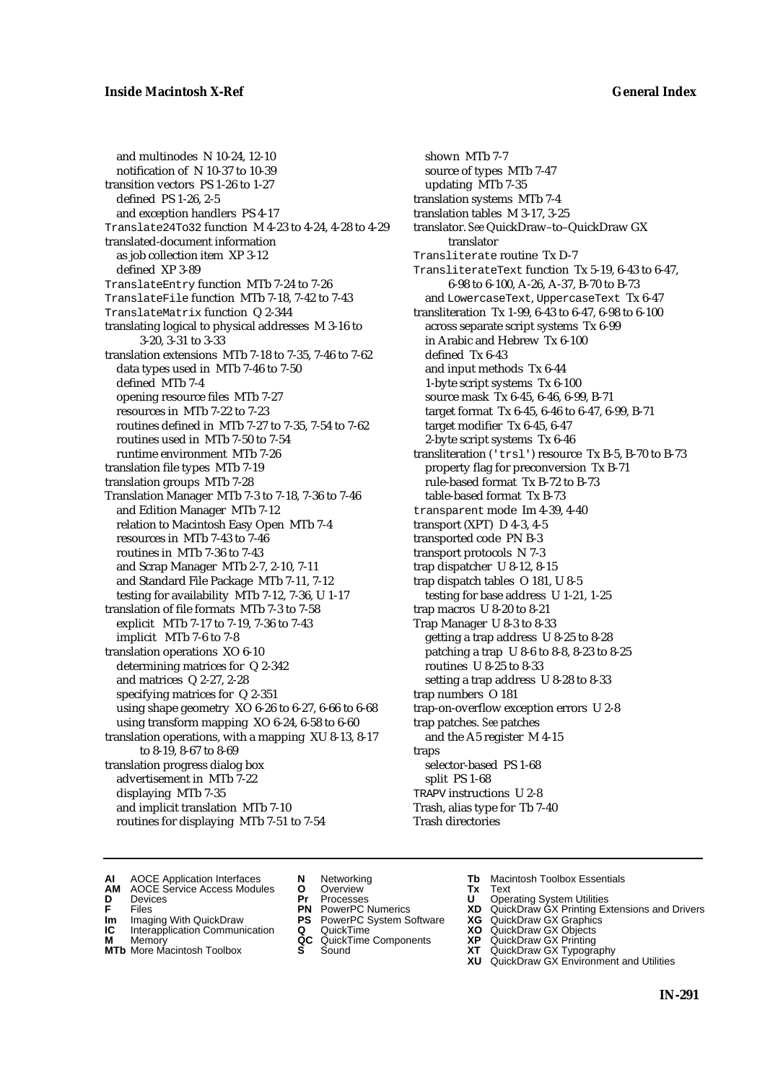and multinodes N 10-24, 12-10 notification of N 10-37 to 10-39 transition vectors PS 1-26 to 1-27 defined PS 1-26, 2-5 and exception handlers PS 4-17 Translate24To32 function M 4-23 to 4-24, 4-28 to 4-29 translated-document information as job collection item XP 3-12 defined XP 3-89 TranslateEntry function MTb 7-24 to 7-26 TranslateFile function MTb 7-18, 7-42 to 7-43 TranslateMatrix function Q 2-344 translating logical to physical addresses M 3-16 to 3-20, 3-31 to 3-33 translation extensions MTb 7-18 to 7-35, 7-46 to 7-62 data types used in MTb 7-46 to 7-50 defined MTb 7-4 opening resource files MTb 7-27 resources in MTb 7-22 to 7-23 routines defined in MTb 7-27 to 7-35, 7-54 to 7-62 routines used in MTb 7-50 to 7-54 runtime environment MTb 7-26 translation file types MTb 7-19 translation groups MTb 7-28 Translation Manager MTb 7-3 to 7-18, 7-36 to 7-46 and Edition Manager MTb 7-12 relation to Macintosh Easy Open MTb 7-4 resources in MTb 7-43 to 7-46 routines in MTb 7-36 to 7-43 and Scrap Manager MTb 2-7, 2-10, 7-11 and Standard File Package MTb 7-11, 7-12 testing for availability MTb 7-12, 7-36, U 1-17 translation of file formats MTb 7-3 to 7-58 explicit MTb 7-17 to 7-19, 7-36 to 7-43 implicit MTb 7-6 to 7-8 translation operations XO 6-10 determining matrices for Q 2-342 and matrices Q 2-27, 2-28 specifying matrices for Q 2-351 using shape geometry XO 6-26 to 6-27, 6-66 to 6-68 using transform mapping XO 6-24, 6-58 to 6-60 translation operations, with a mapping XU 8-13, 8-17 to 8-19, 8-67 to 8-69 translation progress dialog box advertisement in MTb 7-22 displaying MTb 7-35 and implicit translation MTb 7-10 routines for displaying MTb 7-51 to 7-54

shown MTb 7-7 source of types MTb 7-47 updating MTb 7-35 translation systems MTb 7-4 translation tables M 3-17, 3-25 translator. *See* QuickDraw–to–QuickDraw GX translator Transliterate routine Tx D-7 TransliterateText function Tx 5-19, 6-43 to 6-47, 6-98 to 6-100, A-26, A-37, B-70 to B-73 and LowercaseText, UppercaseText Tx 6-47 transliteration Tx 1-99, 6-43 to 6-47, 6-98 to 6-100 across separate script systems Tx 6-99 in Arabic and Hebrew Tx 6-100 defined Tx 6-43 and input methods Tx 6-44 1-byte script systems Tx 6-100 source mask Tx 6-45, 6-46, 6-99, B-71 target format Tx 6-45, 6-46 to 6-47, 6-99, B-71 target modifier Tx 6-45, 6-47 2-byte script systems Tx 6-46 transliteration ('trsl') resource Tx B-5, B-70 to B-73 property flag for preconversion Tx B-71 rule-based format Tx B-72 to B-73 table-based format Tx B-73 transparent mode Im 4-39, 4-40 transport (XPT) D 4-3, 4-5 transported code PN B-3 transport protocols N 7-3 trap dispatcher U 8-12, 8-15 trap dispatch tables O 181, U 8-5 testing for base address U 1-21, 1-25 trap macros U 8-20 to 8-21 Trap Manager U 8-3 to 8-33 getting a trap address U 8-25 to 8-28 patching a trap U 8-6 to 8-8, 8-23 to 8-25 routines U 8-25 to 8-33 setting a trap address U 8-28 to 8-33 trap numbers O 181 trap-on-overflow exception errors U 2-8 trap patches. *See* patches and the A5 register M 4-15 traps selector-based PS 1-68 split PS 1-68 TRAPV instructions U 2-8 Trash, alias type for Tb 7-40 Trash directories

- **AI** AOCE Application Interfaces **N** Networking **The Macintosh Toolbox Essentials**<br> **AM** AOCE Service Access Modules **O** Overview **Tx** Text<br> **D** Devices **Pr** Processes **U** Operating System Utilities
- AOCE Service Access Modules **O** Overview **Tx** Text<br>Devices **Devices Devices Devices D** Devices **Pr** Processes **U** Operating System Utilities

- **IM** FILES<br> **Im** Imaging With QuickDraw **PS** PowerPC System Software **XG**<br> **IC** Interapplication Communication **Q** QuickTime **XO IC** Interapplication Communication **Q** QuickTime **XO M** Memory **XO QC** QuickTime Components **XP**
- **M** Memory **QC** QuickTime Components **XP**<br>**MTb** More Macintosh Toolbox **S** Sound **XT**
- **MTb** More Macintosh Toolbox **S** Sound **XT** QuickDraw GX Typography
- 
- 
- **F** Files **PN** PowerPC Numerics **XD** QuickDraw GX Printing Extensions and Drivers
	-
	-
	-
	- **XU** QuickDraw GX Environment and Utilities
		- **IN-291**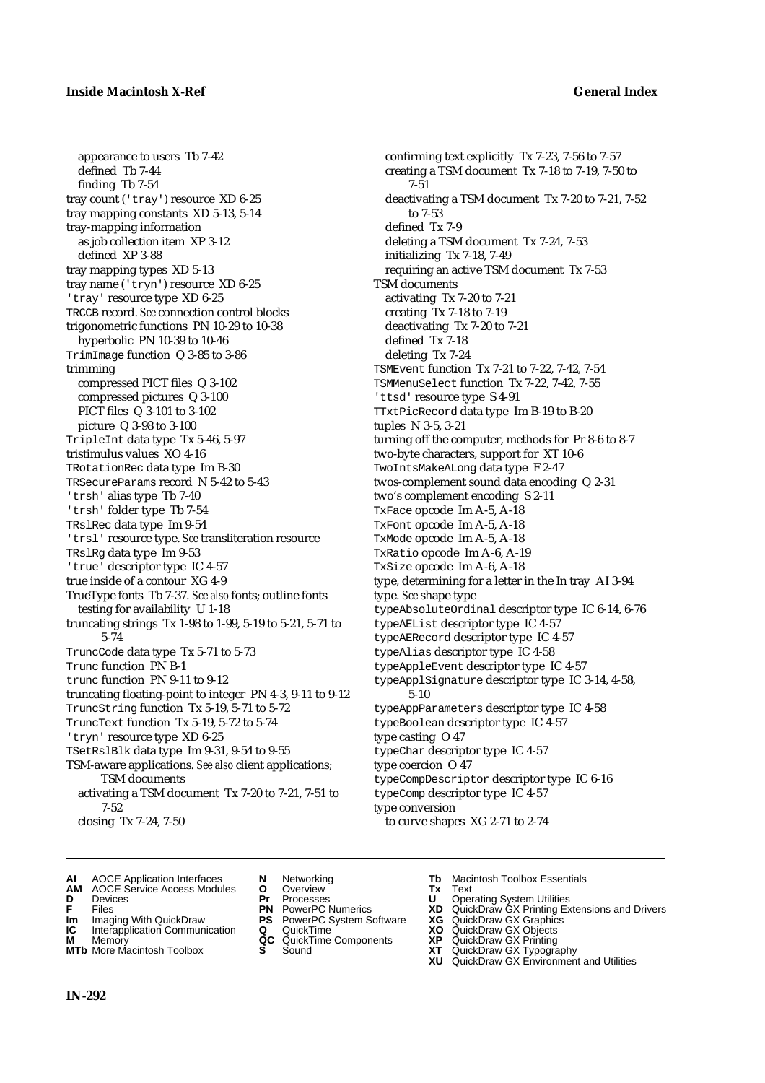appearance to users Tb 7-42 defined Tb 7-44 finding Tb 7-54 tray count ('tray') resource XD 6-25 tray mapping constants XD 5-13, 5-14 tray-mapping information as job collection item XP 3-12 defined XP 3-88 tray mapping types XD 5-13 tray name ('tryn') resource XD 6-25 'tray' resource type XD 6-25 TRCCB record. *See* connection control blocks trigonometric functions PN 10-29 to 10-38 hyperbolic PN 10-39 to 10-46 TrimImage function Q 3-85 to 3-86 trimming compressed PICT files Q 3-102 compressed pictures Q 3-100 PICT files Q 3-101 to 3-102 picture Q 3-98 to 3-100 TripleInt data type Tx 5-46, 5-97 tristimulus values XO 4-16 TRotationRec data type Im B-30 TRSecureParams record N 5-42 to 5-43 'trsh' alias type Tb 7-40 'trsh' folder type Tb 7-54 TRslRec data type Im 9-54 'trsl' resource type. *See* transliteration resource TRslRg data type Im 9-53 'true' descriptor type IC 4-57 true inside of a contour XG 4-9 TrueType fonts Tb 7-37. *See also* fonts; outline fonts testing for availability U 1-18 truncating strings Tx 1-98 to 1-99, 5-19 to 5-21, 5-71 to 5-74 TruncCode data type Tx 5-71 to 5-73 Trunc function PN B-1 trunc function PN 9-11 to 9-12 truncating floating-point to integer PN 4-3, 9-11 to 9-12 TruncString function Tx 5-19, 5-71 to 5-72 TruncText function Tx 5-19, 5-72 to 5-74 'tryn' resource type XD 6-25 TSetRslBlk data type Im 9-31, 9-54 to 9-55 TSM-aware applications. *See also* client applications; TSM documents activating a TSM document Tx 7-20 to 7-21, 7-51 to 7-52 closing Tx 7-24, 7-50

confirming text explicitly Tx 7-23, 7-56 to 7-57 creating a TSM document Tx 7-18 to 7-19, 7-50 to 7-51 deactivating a TSM document Tx 7-20 to 7-21, 7-52 to 7-53 defined Tx 7-9 deleting a TSM document Tx 7-24, 7-53 initializing Tx 7-18, 7-49 requiring an active TSM document Tx 7-53 TSM documents activating Tx 7-20 to 7-21 creating Tx 7-18 to 7-19 deactivating Tx 7-20 to 7-21 defined Tx 7-18 deleting Tx 7-24 TSMEvent function Tx 7-21 to 7-22, 7-42, 7-54 TSMMenuSelect function Tx 7-22, 7-42, 7-55 'ttsd' resource type S 4-91 TTxtPicRecord data type Im B-19 to B-20 tuples N 3-5, 3-21 turning off the computer, methods for Pr 8-6 to 8-7 two-byte characters, support for XT 10-6 TwoIntsMakeALong data type F 2-47 twos-complement sound data encoding Q 2-31 two's complement encoding S 2-11 TxFace opcode Im A-5, A-18 TxFont opcode Im A-5, A-18 TxMode opcode Im A-5, A-18 TxRatio opcode Im A-6, A-19 TxSize opcode Im A-6, A-18 type, determining for a letter in the In tray AI 3-94 type. *See* shape type typeAbsoluteOrdinal descriptor type IC 6-14, 6-76 typeAEList descriptor type IC 4-57 typeAERecord descriptor type IC 4-57 typeAlias descriptor type IC 4-58 typeAppleEvent descriptor type IC 4-57 typeApplSignature descriptor type IC 3-14, 4-58, 5-10 typeAppParameters descriptor type IC 4-58 typeBoolean descriptor type IC 4-57 type casting O 47 typeChar descriptor type IC 4-57 type coercion O 47 typeCompDescriptor descriptor type IC 6-16 typeComp descriptor type IC 4-57 type conversion to curve shapes XG 2-71 to 2-74

- **AI** AOCE Application Interfaces **N** Networking **Tb** Macintosh Toolbox Essentials
- **AM** AOCE Service Access Modules **O** Overview **Tx** Text
- 
- 
- **Im** Imaging With QuickDraw **PS** PowerPC System Software **XG** QuickDraw GX Graphics **Im** Imaging With QuickDraw **PS** PowerPC System Software<br> **IC** Interapplication Communication **Q** QuickTime<br> **M** Memory **GC** QuickTime Components
- 
- **M** Memory **COMPONENTS COMPONENTS COMPONENTS NEWSLA**<br> **M** More Macintosh Toolbox **S** Sound
- 
- 
- 
- 
- -
- -
- 
- **D** Devices **Pr** Processes **U** Operating System Utilities
- **F** Files **PN** PowerPC Numerics **XD** QuickDraw GX Printing Extensions and Drivers
	-
	-
	-
- **MTb** More Macintosh Toolbox **S** Sound **XT** QuickDraw GX Typography
	- **XU** QuickDraw GX Environment and Utilities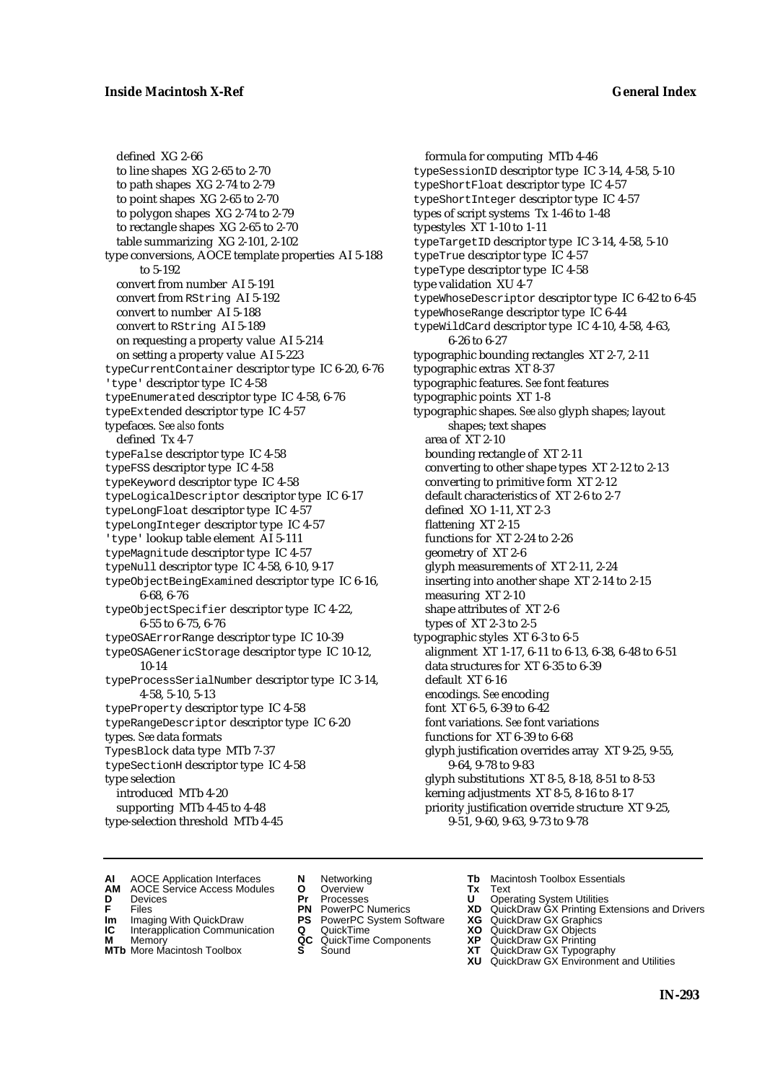defined XG 2-66 to line shapes XG 2-65 to 2-70 to path shapes XG 2-74 to 2-79 to point shapes XG 2-65 to 2-70 to polygon shapes XG 2-74 to 2-79 to rectangle shapes XG 2-65 to 2-70 table summarizing XG 2-101, 2-102 type conversions, AOCE template properties AI 5-188 to 5-192 convert from number AI 5-191 convert from RString AI 5-192 convert to number AI 5-188 convert to RString AI 5-189 on requesting a property value AI 5-214 on setting a property value AI 5-223 typeCurrentContainer descriptor type IC 6-20, 6-76 'type' descriptor type IC 4-58 typeEnumerated descriptor type IC 4-58, 6-76 typeExtended descriptor type IC 4-57 typefaces. *See also* fonts defined Tx 4-7 typeFalse descriptor type IC 4-58 typeFSS descriptor type IC 4-58 typeKeyword descriptor type IC 4-58 typeLogicalDescriptor descriptor type IC 6-17 typeLongFloat descriptor type IC 4-57 typeLongInteger descriptor type IC 4-57 'type' lookup table element AI 5-111 typeMagnitude descriptor type IC 4-57 typeNull descriptor type IC 4-58, 6-10, 9-17 typeObjectBeingExamined descriptor type IC 6-16, 6-68, 6-76 typeObjectSpecifier descriptor type IC 4-22, 6-55 to 6-75, 6-76 typeOSAErrorRange descriptor type IC 10-39 typeOSAGenericStorage descriptor type IC 10-12, 10-14 typeProcessSerialNumber descriptor type IC 3-14, 4-58, 5-10, 5-13 typeProperty descriptor type IC 4-58 typeRangeDescriptor descriptor type IC 6-20 types. *See* data formats TypesBlock data type MTb 7-37 typeSectionH descriptor type IC 4-58 type selection introduced MTb 4-20 supporting MTb 4-45 to 4-48 type-selection threshold MTb 4-45

formula for computing MTb 4-46 typeSessionID descriptor type IC 3-14, 4-58, 5-10 typeShortFloat descriptor type IC 4-57 typeShortInteger descriptor type IC 4-57 types of script systems Tx 1-46 to 1-48 typestyles XT 1-10 to 1-11 typeTargetID descriptor type IC 3-14, 4-58, 5-10 typeTrue descriptor type IC 4-57 typeType descriptor type IC 4-58 type validation XU 4-7 typeWhoseDescriptor descriptor type IC 6-42 to 6-45 typeWhoseRange descriptor type IC 6-44 typeWildCard descriptor type IC 4-10, 4-58, 4-63, 6-26 to 6-27 typographic bounding rectangles XT 2-7, 2-11 typographic extras XT 8-37 typographic features. *See* font features typographic points XT 1-8 typographic shapes. *See also* glyph shapes; layout shapes; text shapes area of XT 2-10 bounding rectangle of XT 2-11 converting to other shape types XT 2-12 to 2-13 converting to primitive form XT 2-12 default characteristics of XT 2-6 to 2-7 defined XO 1-11, XT 2-3 flattening XT 2-15 functions for XT 2-24 to 2-26 geometry of XT 2-6 glyph measurements of XT 2-11, 2-24 inserting into another shape XT 2-14 to 2-15 measuring XT 2-10 shape attributes of XT 2-6 types of XT 2-3 to 2-5 typographic styles XT 6-3 to 6-5 alignment XT 1-17, 6-11 to 6-13, 6-38, 6-48 to 6-51 data structures for XT 6-35 to 6-39 default XT 6-16 encodings. *See* encoding font XT 6-5, 6-39 to 6-42 font variations. *See* font variations functions for XT 6-39 to 6-68 glyph justification overrides array XT 9-25, 9-55, 9-64, 9-78 to 9-83 glyph substitutions XT 8-5, 8-18, 8-51 to 8-53 kerning adjustments XT 8-5, 8-16 to 8-17 priority justification override structure XT 9-25, 9-51, 9-60, 9-63, 9-73 to 9-78

- **AI** AOCE Application Interfaces **N** Networking **The Macintosh Toolbox Essentials**<br> **AM** AOCE Service Access Modules **O** Overview **Tx** Text<br> **D** Devices **Pr** Processes **U** Operating System Utilities
- AOCE Service Access Modules **O** Overview **Tx** Text<br>Devices **Devices Devices Devices**
- 
- 
- **IM** FILES<br> **Im** Imaging With QuickDraw **PS** PowerPC System Software **XG**<br> **IC** Interapplication Communication **Q** QuickTime **XO IC** Interapplication Communication **Q** QuickTime **XO M** Memory **XP QC** QuickTime Components **XP**
- **M** Memory **QC** QuickTime Components **XP**<br>**MTb** More Macintosh Toolbox **S** Sound **XT**
- **MTb** More Macintosh Toolbox **S** Sound **XT** QuickDraw GX Typography
- 
- **D** Devices **Pr** Processes **U** Operating System Utilities
	-
	-
	-
	-
- 
- 
- **F** Files **PN** PowerPC Numerics **XD** QuickDraw GX Printing Extensions and Drivers
	-
	-
	-
	-
	- **XU** QuickDraw GX Environment and Utilities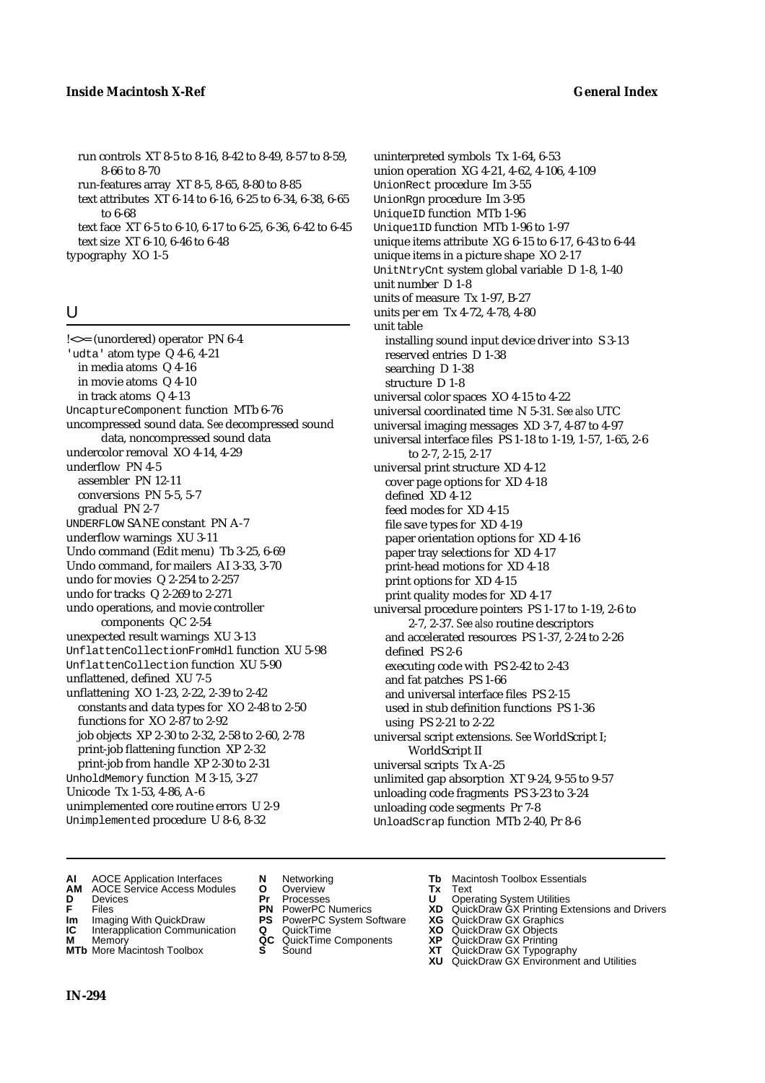run controls XT 8-5 to 8-16, 8-42 to 8-49, 8-57 to 8-59, 8-66 to 8-70 run-features array XT 8-5, 8-65, 8-80 to 8-85

text attributes XT 6-14 to 6-16, 6-25 to 6-34, 6-38, 6-65 to 6-68

text face XT 6-5 to 6-10, 6-17 to 6-25, 6-36, 6-42 to 6-45 text size XT 6-10, 6-46 to 6-48

typography XO 1-5

# U

!<>= (unordered) operator PN 6-4 'udta' atom type Q 4-6, 4-21 in media atoms Q 4-16 in movie atoms Q 4-10 in track atoms Q 4-13 UncaptureComponent function MTb 6-76 uncompressed sound data. *See* decompressed sound data, noncompressed sound data undercolor removal XO 4-14, 4-29 underflow PN 4-5 assembler PN 12-11 conversions PN 5-5, 5-7 gradual PN 2-7 UNDERFLOW SANE constant PN A-7 underflow warnings XU 3-11 Undo command (Edit menu) Tb 3-25, 6-69 Undo command, for mailers AI 3-33, 3-70 undo for movies Q 2-254 to 2-257 undo for tracks Q 2-269 to 2-271 undo operations, and movie controller components QC 2-54 unexpected result warnings XU 3-13 UnflattenCollectionFromHdl function XU 5-98 UnflattenCollection function XU 5-90 unflattened, defined XU 7-5 unflattening XO 1-23, 2-22, 2-39 to 2-42 constants and data types for XO 2-48 to 2-50 functions for XO 2-87 to 2-92 job objects XP 2-30 to 2-32, 2-58 to 2-60, 2-78 print-job flattening function XP 2-32 print-job from handle XP 2-30 to 2-31 UnholdMemory function M 3-15, 3-27 Unicode Tx 1-53, 4-86, A-6 unimplemented core routine errors U 2-9 Unimplemented procedure U 8-6, 8-32

uninterpreted symbols Tx 1-64, 6-53 union operation XG 4-21, 4-62, 4-106, 4-109 UnionRect procedure Im 3-55 UnionRgn procedure Im 3-95 UniqueID function MTb 1-96 Unique1ID function MTb 1-96 to 1-97 unique items attribute XG 6-15 to 6-17, 6-43 to 6-44 unique items in a picture shape XO 2-17 UnitNtryCnt system global variable D 1-8, 1-40 unit number D 1-8 units of measure Tx 1-97, B-27 units per em Tx 4-72, 4-78, 4-80 unit table installing sound input device driver into S 3-13 reserved entries D 1-38 searching D 1-38 structure D 1-8 universal color spaces XO 4-15 to 4-22 universal coordinated time N 5-31. *See also* UTC universal imaging messages XD 3-7, 4-87 to 4-97 universal interface files PS 1-18 to 1-19, 1-57, 1-65, 2-6 to 2-7, 2-15, 2-17 universal print structure XD 4-12 cover page options for XD 4-18 defined XD 4-12 feed modes for XD 4-15 file save types for XD 4-19 paper orientation options for XD 4-16 paper tray selections for XD 4-17 print-head motions for XD 4-18 print options for XD 4-15 print quality modes for XD 4-17 universal procedure pointers PS 1-17 to 1-19, 2-6 to 2-7, 2-37. *See also* routine descriptors and accelerated resources PS 1-37, 2-24 to 2-26 defined PS 2-6 executing code with PS 2-42 to 2-43 and fat patches PS 1-66 and universal interface files PS 2-15 used in stub definition functions PS 1-36 using PS 2-21 to 2-22 universal script extensions. *See* WorldScript I; WorldScript II universal scripts Tx A-25 unlimited gap absorption XT 9-24, 9-55 to 9-57 unloading code fragments PS 3-23 to 3-24 unloading code segments Pr 7-8 UnloadScrap function MTb 2-40, Pr 8-6

- **AI** AOCE Application Interfaces **N** Networking **Tb** Macintosh Toolbox Essentials<br> **AM** AOCE Service Access Modules **O** Overview **Tx** Text<br> **D** Devices **Pr** Processes **U** Operating System Utilities
- **AM** AOCE Service Access Modules **O** Overview **Tx** Text
- 
- 
- **IM** Files<br> **Im** Imaging With QuickDraw **PS** PowerPC System Software **XG**<br> **IC** Interapplication Communication **Q** QuickTime **XO**
- **Interapplication Communication <b>Q** QuickTime **XO** Memory **XO** Memory **XP QC** QuickTime Components **XP M** Memory **CONSISTENT CONSIDER**<br> **MTb** More Macintosh Toolbox **S** Sound **S S** State **XP**
- **MTb** More Macintosh Toolbox **S** Sound **XT** QuickDraw GX Typography
- 
- **D** Devices **Pr** Processes **U** Operating System Utilities
	-
	-
	-
	-
- 
- 
- **F** Files **PN** PowerPC Numerics **XD** QuickDraw GX Printing Extensions and Drivers
	-
	-
	-
	-
	- **XU** QuickDraw GX Environment and Utilities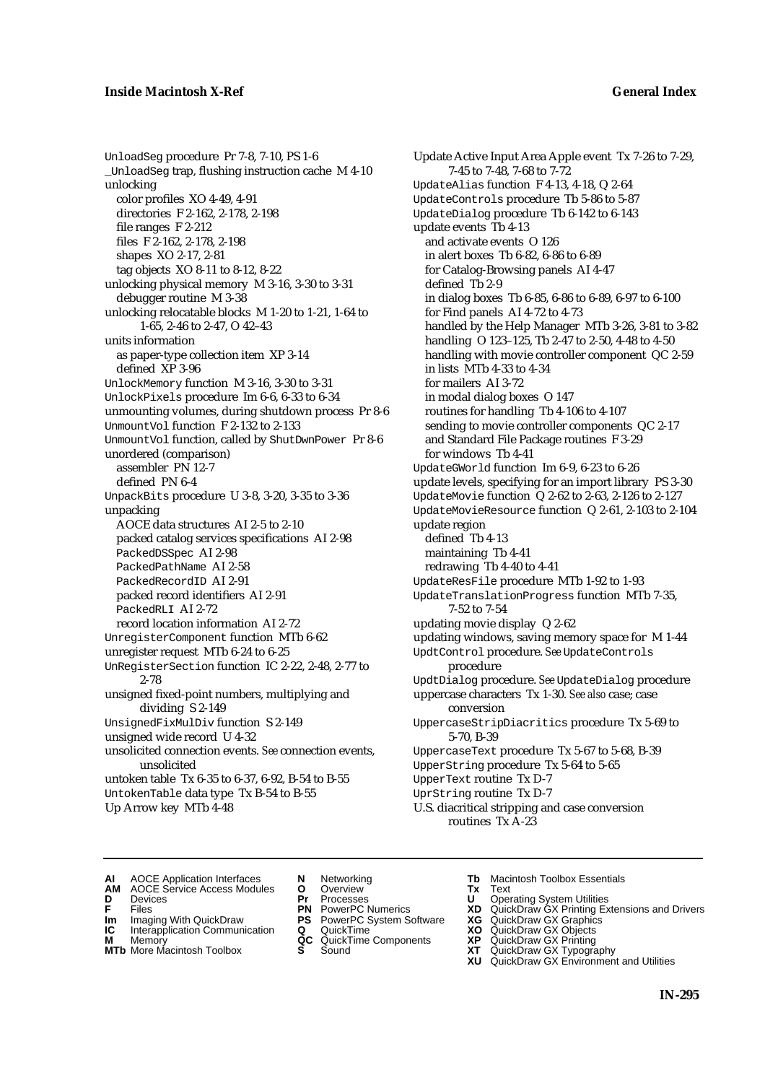UnloadSeg procedure Pr 7-8, 7-10, PS 1-6 \_UnloadSeg trap, flushing instruction cache M 4-10 unlocking color profiles XO 4-49, 4-91 directories F 2-162, 2-178, 2-198 file ranges F 2-212 files F 2-162, 2-178, 2-198 shapes XO 2-17, 2-81 tag objects XO 8-11 to 8-12, 8-22 unlocking physical memory M 3-16, 3-30 to 3-31 debugger routine M 3-38 unlocking relocatable blocks M 1-20 to 1-21, 1-64 to 1-65, 2-46 to 2-47, O 42–43 units information as paper-type collection item XP 3-14 defined XP 3-96 UnlockMemory function M 3-16, 3-30 to 3-31 UnlockPixels procedure Im 6-6, 6-33 to 6-34 unmounting volumes, during shutdown process Pr 8-6 UnmountVol function F 2-132 to 2-133 UnmountVol function, called by ShutDwnPower Pr 8-6 unordered (comparison) assembler PN 12-7 defined PN 6-4 UnpackBits procedure U 3-8, 3-20, 3-35 to 3-36 unpacking AOCE data structures AI 2-5 to 2-10 packed catalog services specifications AI 2-98 PackedDSSpec AI 2-98 PackedPathName AI 2-58 PackedRecordID AI 2-91 packed record identifiers AI 2-91 PackedRLI AI 2-72 record location information AI 2-72 UnregisterComponent function MTb 6-62 unregister request MTb 6-24 to 6-25 UnRegisterSection function IC 2-22, 2-48, 2-77 to 2-78 unsigned fixed-point numbers, multiplying and dividing S 2-149 UnsignedFixMulDiv function S 2-149 unsigned wide record U 4-32 unsolicited connection events. *See* connection events, unsolicited untoken table Tx 6-35 to 6-37, 6-92, B-54 to B-55 UntokenTable data type Tx B-54 to B-55 Up Arrow key MTb 4-48

Update Active Input Area Apple event Tx 7-26 to 7-29, 7-45 to 7-48, 7-68 to 7-72 UpdateAlias function F 4-13, 4-18, Q 2-64 UpdateControls procedure Tb 5-86 to 5-87 UpdateDialog procedure Tb 6-142 to 6-143 update events Tb 4-13 and activate events O 126 in alert boxes Tb 6-82, 6-86 to 6-89 for Catalog-Browsing panels AI 4-47 defined Tb 2-9 in dialog boxes Tb 6-85, 6-86 to 6-89, 6-97 to 6-100 for Find panels AI 4-72 to 4-73 handled by the Help Manager MTb 3-26, 3-81 to 3-82 handling O 123–125, Tb 2-47 to 2-50, 4-48 to 4-50 handling with movie controller component QC 2-59 in lists MTb 4-33 to 4-34 for mailers AI 3-72 in modal dialog boxes O 147 routines for handling Tb 4-106 to 4-107 sending to movie controller components QC 2-17 and Standard File Package routines F 3-29 for windows Tb 4-41 UpdateGWorld function Im 6-9, 6-23 to 6-26 update levels, specifying for an import library PS 3-30 UpdateMovie function Q 2-62 to 2-63, 2-126 to 2-127 UpdateMovieResource function Q 2-61, 2-103 to 2-104 update region defined Tb 4-13 maintaining Tb 4-41 redrawing Tb 4-40 to 4-41 UpdateResFile procedure MTb 1-92 to 1-93 UpdateTranslationProgress function MTb 7-35, 7-52 to 7-54 updating movie display Q 2-62 updating windows, saving memory space for M 1-44 UpdtControl procedure. *See* UpdateControls procedure UpdtDialog procedure. *See* UpdateDialog procedure uppercase characters Tx 1-30. *See also* case; case conversion UppercaseStripDiacritics procedure Tx 5-69 to 5-70, B-39 UppercaseText procedure Tx 5-67 to 5-68, B-39 UpperString procedure Tx 5-64 to 5-65 UpperText routine Tx D-7 UprString routine Tx D-7 U.S. diacritical stripping and case conversion routines Tx A-23

- **AI** AOCE Application Interfaces **N** Networking **Tb** Macintosh Toolbox Essentials<br> **AM** AOCE Service Access Modules **O** Overview **Tx** Text<br> **D** Devices **Pr** Processes **U** Operating System Utilities
- AOCE Service Access Modules **O** Overview **Tx** Text<br>Devices **Devices Devices Devices**
- -
- **IM** FILES<br> **Im** Imaging With QuickDraw **PS** PowerPC System Software **XG**<br> **IC** Interapplication Communication **Q** QuickTime **XO**
- **IC** Interapplication Communication **Q** QuickTime **XO M** Memory **XO QC** QuickTime Components **XP M** Memory **QC** QuickTime Components **XP**<br>**MTb** More Macintosh Toolbox **S** Sound **XT**
- 
- 
- **D** Devices **Pr** Processes **U** Operating System Utilities
	-
	-
	-
	-
- 
- 
- **F** Files **PN** PowerPC Numerics **XD** QuickDraw GX Printing Extensions and Drivers
	-
	-
	-
- **MTb** More Macintosh Toolbox **S** Sound **XT** QuickDraw GX Typography
	- **XU** QuickDraw GX Environment and Utilities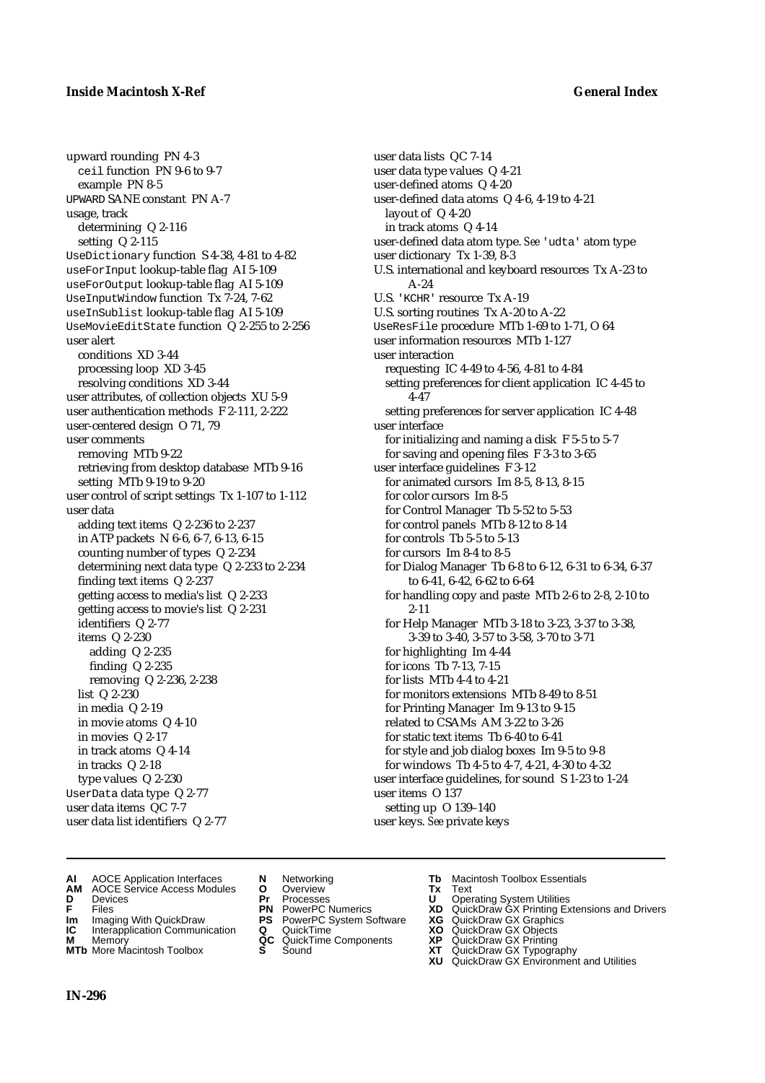upward rounding PN 4-3 ceil function PN 9-6 to 9-7 example PN 8-5 UPWARD SANE constant PN A-7 usage, track determining Q 2-116 setting Q 2-115 UseDictionary function S 4-38, 4-81 to 4-82 useForInput lookup-table flag AI 5-109 useForOutput lookup-table flag AI 5-109 UseInputWindow function Tx 7-24, 7-62 useInSublist lookup-table flag AI 5-109 UseMovieEditState function Q 2-255 to 2-256 user alert conditions XD 3-44 processing loop XD 3-45 resolving conditions XD 3-44 user attributes, of collection objects XU 5-9 user authentication methods F 2-111, 2-222 user-centered design O 71, 79 user comments removing MTb 9-22 retrieving from desktop database MTb 9-16 setting MTb 9-19 to 9-20 user control of script settings Tx 1-107 to 1-112 user data adding text items Q 2-236 to 2-237 in ATP packets N 6-6, 6-7, 6-13, 6-15 counting number of types Q 2-234 determining next data type Q 2-233 to 2-234 finding text items Q 2-237 getting access to media's list Q 2-233 getting access to movie's list Q 2-231 identifiers Q 2-77 items Q 2-230 adding Q 2-235 finding Q 2-235 removing Q 2-236, 2-238 list Q 2-230 in media Q 2-19 in movie atoms Q 4-10 in movies Q 2-17 in track atoms Q 4-14 in tracks Q 2-18 type values Q 2-230 UserData data type Q 2-77 user data items QC 7-7 user data list identifiers Q 2-77

user data lists QC 7-14 user data type values Q 4-21 user-defined atoms Q 4-20 user-defined data atoms Q 4-6, 4-19 to 4-21 layout of Q 4-20 in track atoms Q 4-14 user-defined data atom type. *See* 'udta' atom type user dictionary Tx 1-39, 8-3 U.S. international and keyboard resources Tx A-23 to A-24 U.S. 'KCHR' resource Tx A-19 U.S. sorting routines Tx A-20 to A-22 UseResFile procedure MTb 1-69 to 1-71, O 64 user information resources MTb 1-127 user interaction requesting IC 4-49 to 4-56, 4-81 to 4-84 setting preferences for client application IC 4-45 to 4-47 setting preferences for server application IC 4-48 user interface for initializing and naming a disk F 5-5 to 5-7 for saving and opening files F 3-3 to 3-65 user interface guidelines F 3-12 for animated cursors Im 8-5, 8-13, 8-15 for color cursors Im 8-5 for Control Manager Tb 5-52 to 5-53 for control panels MTb 8-12 to 8-14 for controls Tb 5-5 to 5-13 for cursors Im 8-4 to 8-5 for Dialog Manager Tb 6-8 to 6-12, 6-31 to 6-34, 6-37 to 6-41, 6-42, 6-62 to 6-64 for handling copy and paste MTb 2-6 to 2-8, 2-10 to 2-11 for Help Manager MTb 3-18 to 3-23, 3-37 to 3-38, 3-39 to 3-40, 3-57 to 3-58, 3-70 to 3-71 for highlighting Im 4-44 for icons Tb 7-13, 7-15 for lists MTb 4-4 to 4-21 for monitors extensions MTb 8-49 to 8-51 for Printing Manager Im 9-13 to 9-15 related to CSAMs AM 3-22 to 3-26 for static text items Tb 6-40 to 6-41 for style and job dialog boxes Im 9-5 to 9-8 for windows Tb 4-5 to 4-7, 4-21, 4-30 to 4-32 user interface guidelines, for sound S 1-23 to 1-24 user items O 137 setting up O 139–140 user keys. *See* private keys

- **AI** AOCE Application Interfaces **N** Networking **Tb** Macintosh Toolbox Essentials<br> **AM** AOCE Service Access Modules **O** Overview **Tx** Text<br> **D** Devices **Pr** Processes **U** Operating System Utilities
- **AM** AOCE Service Access Modules **O** Overview **Tx** Text
- 
- 
- **Im** Imaging With QuickDraw **PS** PowerPC System Software **XG IC** Interapplication Communication **Q** QuickTime **COVIC**
- **Interapplication Communication <b>Q** QuickTime **XO** Memory **XO** Memory **XP QC** QuickTime Components **XP**
- **M** Memory **CC** QuickTime Components **XP**<br> **MTb** More Macintosh Toolbox **S** Sound **XT**
- 
- 
- 
- 
- -
	-
- 
- **D** Devices **Pr** Processes **U** Operating System Utilities
- **FRICAG CONSISTS IN THE PROCESSES CONSISTS AND CONSIST CONSISTENT CONSISTS CONSISTS PRINTIPLE PROCESSES CONSISTS CON<br>
<b>F**FRICES **PN** POWERPC Numerics **XD** QuickDraw GX Printing Extensions and Drivers<br> **Im** Imaging With Qui
	-
	-
	-
- **MTb** More Macintosh Toolbox **S** Sound **XT** QuickDraw GX Typography
	- **XU** QuickDraw GX Environment and Utilities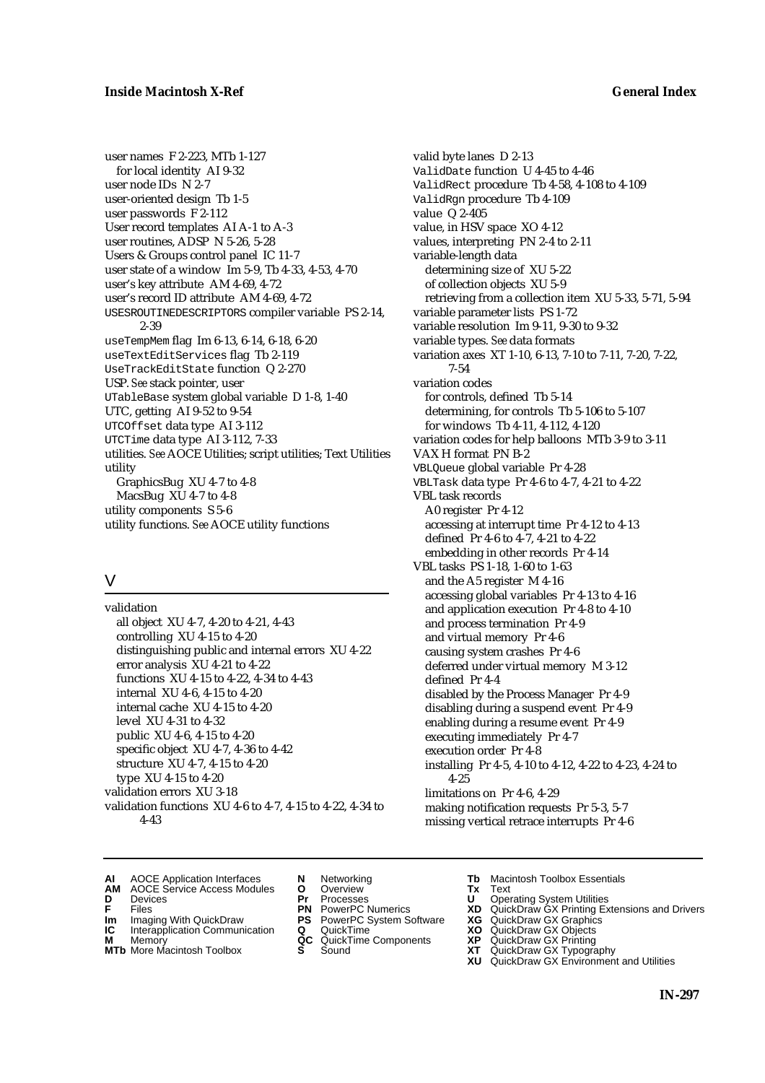user names F 2-223, MTb 1-127 for local identity AI 9-32 user node IDs N 2-7 user-oriented design Tb 1-5 user passwords F 2-112 User record templates AI A-1 to A-3 user routines, ADSP N 5-26, 5-28 Users & Groups control panel IC 11-7 user state of a window Im 5-9, Tb 4-33, 4-53, 4-70 user's key attribute AM 4-69, 4-72 user's record ID attribute AM 4-69, 4-72 USESROUTINEDESCRIPTORS compiler variable PS 2-14, 2-39 useTempMem flag Im 6-13, 6-14, 6-18, 6-20 useTextEditServices flag Tb 2-119 UseTrackEditState function Q 2-270 USP. *See* stack pointer, user UTableBase system global variable D 1-8, 1-40 UTC, getting AI 9-52 to 9-54 UTCOffset data type AI 3-112 UTCTime data type AI 3-112, 7-33 utilities. *See* AOCE Utilities; script utilities; Text Utilities utility GraphicsBug XU 4-7 to 4-8 MacsBug XU 4-7 to 4-8 utility components S 5-6 utility functions. *See* AOCE utility functions

### V

validation all object XU 4-7, 4-20 to 4-21, 4-43 controlling XU 4-15 to 4-20 distinguishing public and internal errors XU 4-22 error analysis XU 4-21 to 4-22 functions XU 4-15 to 4-22, 4-34 to 4-43 internal XU 4-6, 4-15 to 4-20 internal cache XU 4-15 to 4-20 level XU 4-31 to 4-32 public XU 4-6, 4-15 to 4-20 specific object XU 4-7, 4-36 to 4-42 structure XU 4-7, 4-15 to 4-20 type XU 4-15 to 4-20 validation errors XU 3-18 validation functions XU 4-6 to 4-7, 4-15 to 4-22, 4-34 to 4-43

valid byte lanes D 2-13 ValidDate function U 4-45 to 4-46 ValidRect procedure Tb 4-58, 4-108 to 4-109 ValidRgn procedure Tb 4-109 value Q 2-405 value, in HSV space XO 4-12 values, interpreting PN 2-4 to 2-11 variable-length data determining size of XU 5-22 of collection objects XU 5-9 retrieving from a collection item XU 5-33, 5-71, 5-94 variable parameter lists PS 1-72 variable resolution Im 9-11, 9-30 to 9-32 variable types. *See* data formats variation axes XT 1-10, 6-13, 7-10 to 7-11, 7-20, 7-22, 7-54 variation codes for controls, defined Tb 5-14 determining, for controls Tb 5-106 to 5-107 for windows Tb 4-11, 4-112, 4-120 variation codes for help balloons MTb 3-9 to 3-11 VAX H format PN B-2 VBLQueue global variable Pr 4-28 VBLTask data type Pr 4-6 to 4-7, 4-21 to 4-22 VBL task records A0 register Pr 4-12 accessing at interrupt time Pr 4-12 to 4-13 defined Pr 4-6 to 4-7, 4-21 to 4-22 embedding in other records Pr 4-14 VBL tasks PS 1-18, 1-60 to 1-63 and the A5 register M 4-16 accessing global variables Pr 4-13 to 4-16 and application execution Pr 4-8 to 4-10 and process termination Pr 4-9 and virtual memory Pr 4-6 causing system crashes Pr 4-6 deferred under virtual memory M 3-12 defined Pr 4-4 disabled by the Process Manager Pr 4-9 disabling during a suspend event Pr 4-9 enabling during a resume event Pr 4-9 executing immediately Pr 4-7 execution order Pr 4-8 installing Pr 4-5, 4-10 to 4-12, 4-22 to 4-23, 4-24 to 4-25 limitations on Pr 4-6, 4-29 making notification requests Pr 5-3, 5-7 missing vertical retrace interrupts Pr 4-6

- **AI** AOCE Application Interfaces **N** Networking **Tb** Macintosh Toolbox Essentials<br> **AM** AOCE Service Access Modules **O** Overview **Tx** Text<br> **D** Devices **Pr** Processes **U** Operating System Utilities
- AOCE Service Access Modules **O** Overview **Tx** Text<br>Devices **Devices Devices Devices**
- 
- 
- **IM** FILES<br> **Im** Imaging With QuickDraw **PS** PowerPC System Software **XG**<br> **IC** Interapplication Communication **Q** QuickTime **XO**
- **IC** Interapplication Communication **Q** QuickTime **XO M** Memory **XO QC** QuickTime Components **XP M** Memory **QC** QuickTime Components **XP**<br>**MTb** More Macintosh Toolbox **S** Sound **XT**
- **MTb** More Macintosh Toolbox **S** Sound **XT** QuickDraw GX Typography
- 
- **D** Devices **Pr** Processes **U** Operating System Utilities
	-
	-
	-
	-
- 
- 
- **F** Files **PN** PowerPC Numerics **XD** QuickDraw GX Printing Extensions and Drivers
	-
	-
	-
	-
	- **XU** QuickDraw GX Environment and Utilities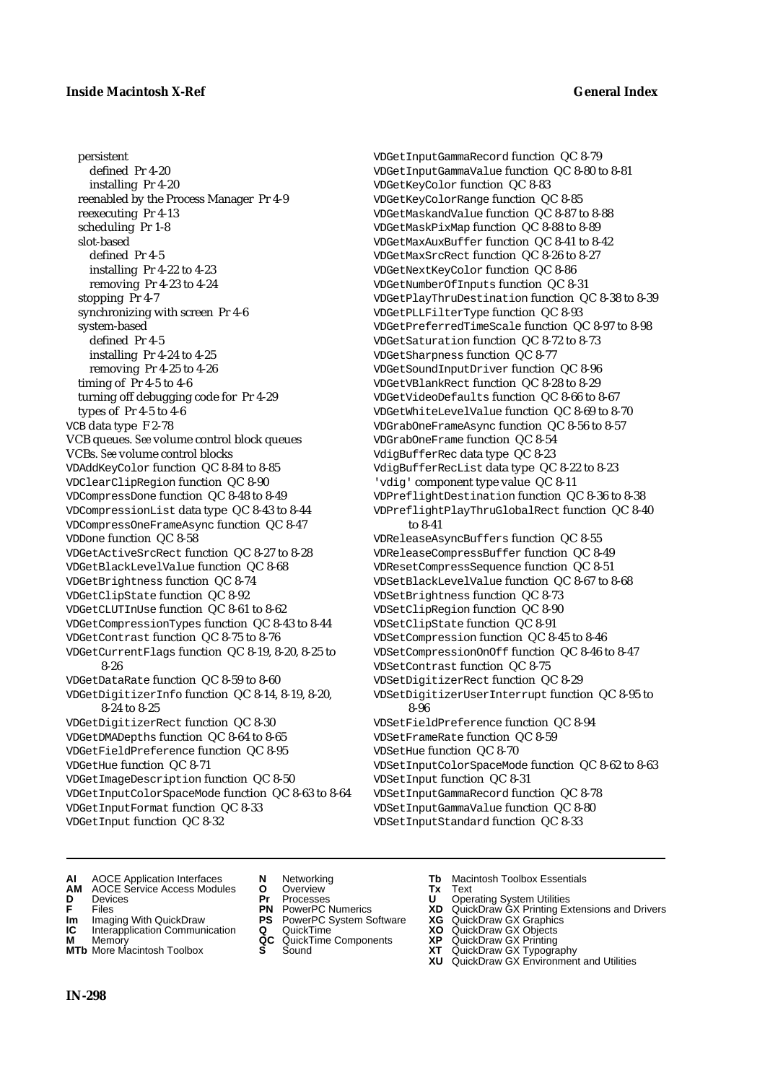persistent defined Pr 4-20 installing Pr 4-20 reenabled by the Process Manager Pr 4-9 reexecuting Pr 4-13 scheduling Pr 1-8 slot-based defined Pr 4-5 installing Pr 4-22 to 4-23 removing Pr 4-23 to 4-24 stopping Pr 4-7 synchronizing with screen Pr 4-6 system-based defined Pr 4-5 installing Pr 4-24 to 4-25 removing Pr 4-25 to 4-26 timing of Pr 4-5 to 4-6 turning off debugging code for Pr 4-29 types of Pr 4-5 to 4-6 VCB data type F 2-78 VCB queues. *See* volume control block queues VCBs. *See* volume control blocks VDAddKeyColor function QC 8-84 to 8-85 VDClearClipRegion function QC 8-90 VDCompressDone function QC 8-48 to 8-49 VDCompressionList data type QC 8-43 to 8-44 VDCompressOneFrameAsync function QC 8-47 VDDone function QC 8-58 VDGetActiveSrcRect function QC 8-27 to 8-28 VDGetBlackLevelValue function QC 8-68 VDGetBrightness function QC 8-74 VDGetClipState function QC 8-92 VDGetCLUTInUse function QC 8-61 to 8-62 VDGetCompressionTypes function QC 8-43 to 8-44 VDGetContrast function QC 8-75 to 8-76 VDGetCurrentFlags function QC 8-19, 8-20, 8-25 to 8-26 VDGetDataRate function QC 8-59 to 8-60 VDGetDigitizerInfo function QC 8-14, 8-19, 8-20, 8-24 to 8-25 VDGetDigitizerRect function QC 8-30 VDGetDMADepths function QC 8-64 to 8-65 VDGetFieldPreference function QC 8-95 VDGetHue function QC 8-71 VDGetImageDescription function QC 8-50 VDGetInputColorSpaceMode function QC 8-63 to 8-64 VDGetInputFormat function QC 8-33

VDGetInput function QC 8-32

VDGetInputGammaRecord function QC 8-79 VDGetInputGammaValue function QC 8-80 to 8-81 VDGetKeyColor function QC 8-83 VDGetKeyColorRange function QC 8-85 VDGetMaskandValue function QC 8-87 to 8-88 VDGetMaskPixMap function QC 8-88 to 8-89 VDGetMaxAuxBuffer function QC 8-41 to 8-42 VDGetMaxSrcRect function QC 8-26 to 8-27 VDGetNextKeyColor function QC 8-86 VDGetNumberOfInputs function QC 8-31 VDGetPlayThruDestination function QC 8-38 to 8-39 VDGetPLLFilterType function QC 8-93 VDGetPreferredTimeScale function QC 8-97 to 8-98 VDGetSaturation function QC 8-72 to 8-73 VDGetSharpness function QC 8-77 VDGetSoundInputDriver function QC 8-96 VDGetVBlankRect function QC 8-28 to 8-29 VDGetVideoDefaults function QC 8-66 to 8-67 VDGetWhiteLevelValue function QC 8-69 to 8-70 VDGrabOneFrameAsync function QC 8-56 to 8-57 VDGrabOneFrame function QC 8-54 VdigBufferRec data type QC 8-23 VdigBufferRecList data type QC 8-22 to 8-23 'vdig' component type value QC 8-11 VDPreflightDestination function QC 8-36 to 8-38 VDPreflightPlayThruGlobalRect function QC 8-40 to 8-41 VDReleaseAsyncBuffers function QC 8-55 VDReleaseCompressBuffer function QC 8-49 VDResetCompressSequence function QC 8-51 VDSetBlackLevelValue function QC 8-67 to 8-68 VDSetBrightness function QC 8-73 VDSetClipRegion function QC 8-90 VDSetClipState function QC 8-91 VDSetCompression function QC 8-45 to 8-46 VDSetCompressionOnOff function QC 8-46 to 8-47 VDSetContrast function QC 8-75 VDSetDigitizerRect function QC 8-29 VDSetDigitizerUserInterrupt function QC 8-95 to 8-96 VDSetFieldPreference function QC 8-94 VDSetFrameRate function QC 8-59 VDSetHue function QC 8-70 VDSetInputColorSpaceMode function QC 8-62 to 8-63 VDSetInput function QC 8-31 VDSetInputGammaRecord function QC 8-78

VDSetInputGammaValue function QC 8-80 VDSetInputStandard function QC 8-33

- **AI** AOCE Application Interfaces **N** Networking **Tb** Macintosh Toolbox Essentials
- **AM** AOCE Service Access Modules **O** Overview **Tx** Text
- 
- 
- **Im** Imaging With QuickDraw **PS** PowerPC System Software **XG IC** Interapplication Communication **Q** QuickTime **COVIC**
- **Interapplication Communication <b>Q** QuickTime **XO** Memory **XO** Memory **XP XP QC** QuickTime Components **XP**
- **M** Memory **DRITIC CONTENTIER MANUS AND MEMORY MEMORY AND MEMORY AREA CONTENTING MANUSICAL MEMORY AND MANUSICAL CONTENTING MANUSICAL MEMORY AND MANUSICAL MEMORY AND MANUSICAL MEMORY OF A PRINTING MANUSICAL MEMORY AND MANUS MTb** More Macintosh Toolbox **S** Sound **XT** QuickDraw GX Typography
- 
- **D** Devices **Pr** Processes **U** Operating System Utilities
	-
	-
	-
	-
- 
- 
- **FRICAG CONSISTS IN THE PROCESSES CONSISTS AND CONSIST CONSISTENT CONSISTS CONSISTS PROCESSES**<br> **F** Files **PN** PowerPC Numerics **XD** QuickDraw GX Printing Extensions and Drivers<br> **Im** Imaging With QuickDraw **PS** PowerPC Sy
	-
	-
	-
	- **XU** QuickDraw GX Environment and Utilities

**IN-298**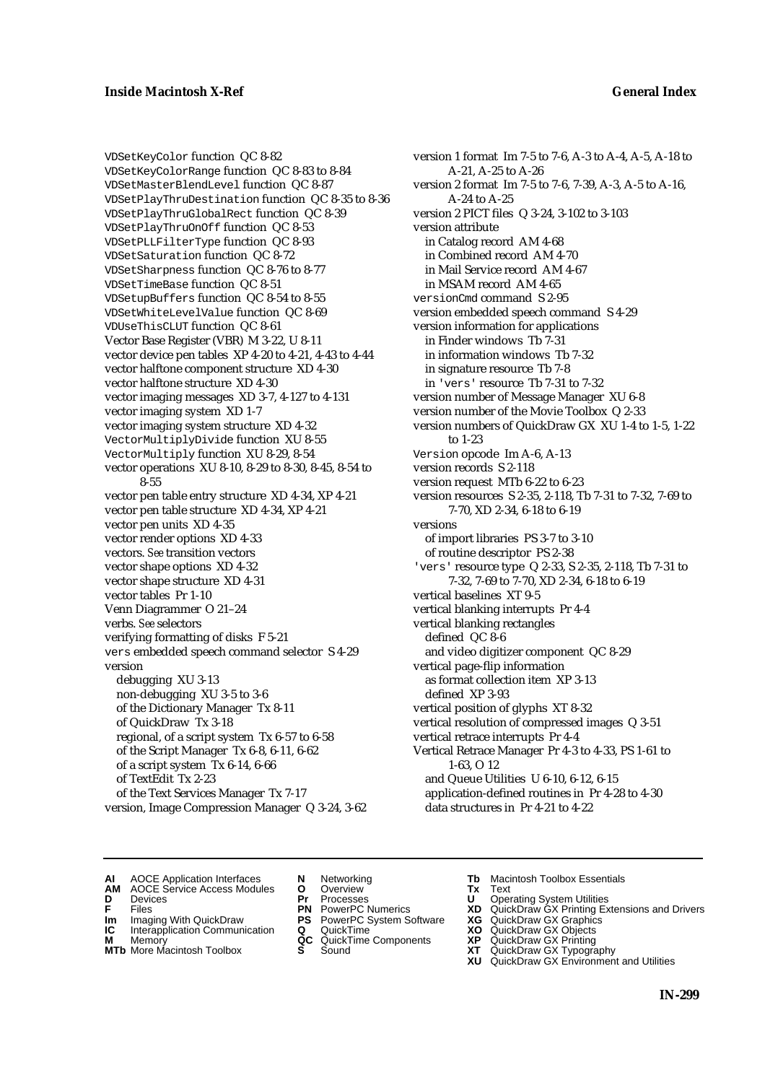VDSetKeyColor function QC 8-82 VDSetKeyColorRange function QC 8-83 to 8-84 VDSetMasterBlendLevel function QC 8-87 VDSetPlayThruDestination function QC 8-35 to 8-36 VDSetPlayThruGlobalRect function QC 8-39 VDSetPlayThruOnOff function QC 8-53 VDSetPLLFilterType function QC 8-93 VDSetSaturation function QC 8-72 VDSetSharpness function QC 8-76 to 8-77 VDSetTimeBase function QC 8-51 VDSetupBuffers function QC 8-54 to 8-55 VDSetWhiteLevelValue function QC 8-69 VDUseThisCLUT function QC 8-61 Vector Base Register (VBR) M 3-22, U 8-11 vector device pen tables XP 4-20 to 4-21, 4-43 to 4-44 vector halftone component structure XD 4-30 vector halftone structure XD 4-30 vector imaging messages XD 3-7, 4-127 to 4-131 vector imaging system XD 1-7 vector imaging system structure XD 4-32 VectorMultiplyDivide function XU 8-55 VectorMultiply function XU 8-29, 8-54 vector operations XU 8-10, 8-29 to 8-30, 8-45, 8-54 to 8-55 vector pen table entry structure XD 4-34, XP 4-21 vector pen table structure XD 4-34, XP 4-21 vector pen units XD 4-35 vector render options XD 4-33 vectors. *See* transition vectors vector shape options XD 4-32 vector shape structure XD 4-31 vector tables Pr 1-10 Venn Diagrammer O 21–24 verbs. *See* selectors verifying formatting of disks F 5-21 vers embedded speech command selector S 4-29 version debugging XU 3-13 non-debugging XU 3-5 to 3-6 of the Dictionary Manager Tx 8-11 of QuickDraw Tx 3-18 regional, of a script system Tx 6-57 to 6-58 of the Script Manager Tx 6-8, 6-11, 6-62 of a script system Tx 6-14, 6-66 of TextEdit Tx 2-23 of the Text Services Manager Tx 7-17 version, Image Compression Manager Q 3-24, 3-62

version 1 format Im 7-5 to 7-6, A-3 to A-4, A-5, A-18 to A-21, A-25 to A-26 version 2 format Im 7-5 to 7-6, 7-39, A-3, A-5 to A-16, A-24 to A-25 version 2 PICT files Q 3-24, 3-102 to 3-103 version attribute in Catalog record AM 4-68 in Combined record AM 4-70 in Mail Service record AM 4-67 in MSAM record AM 4-65 versionCmd command S 2-95 version embedded speech command S 4-29 version information for applications in Finder windows Tb 7-31 in information windows Tb 7-32 in signature resource Tb 7-8 in 'vers' resource Tb 7-31 to 7-32 version number of Message Manager XU 6-8 version number of the Movie Toolbox Q 2-33 version numbers of QuickDraw GX XU 1-4 to 1-5, 1-22 to 1-23 Version opcode Im A-6, A-13 version records S 2-118 version request MTb 6-22 to 6-23 version resources S 2-35, 2-118, Tb 7-31 to 7-32, 7-69 to 7-70, XD 2-34, 6-18 to 6-19 versions of import libraries PS 3-7 to 3-10 of routine descriptor PS 2-38 'vers' resource type Q 2-33, S 2-35, 2-118, Tb 7-31 to 7-32, 7-69 to 7-70, XD 2-34, 6-18 to 6-19 vertical baselines XT 9-5 vertical blanking interrupts Pr 4-4 vertical blanking rectangles defined QC 8-6 and video digitizer component QC 8-29 vertical page-flip information as format collection item XP 3-13 defined XP 3-93 vertical position of glyphs XT 8-32 vertical resolution of compressed images Q 3-51 vertical retrace interrupts Pr 4-4 Vertical Retrace Manager Pr 4-3 to 4-33, PS 1-61 to 1-63, O 12 and Queue Utilities U 6-10, 6-12, 6-15 application-defined routines in Pr 4-28 to 4-30 data structures in Pr 4-21 to 4-22

- **AI** AOCE Application Interfaces **N** Networking **Tb** Macintosh Toolbox Essentials<br> **AM** AOCE Service Access Modules **O** Overview **Tx** Text<br> **D** Devices **Pr** Processes **U** Operating System Utilities
	- AOCE Service Access Modules **O** Overview **Tx** Text<br>Devices **Devices Devices Devices**
- -
- **IM** FILES<br> **Im** Imaging With QuickDraw **PS** PowerPC System Software **XG**<br> **IC** Interapplication Communication **Q** QuickTime **XO IC** Interapplication Communication **Q** QuickTime **XO M** Memory **XO QC** QuickTime Components **XP**
- **M** Memory **QC** QuickTime Components **XP**<br>**MTb** More Macintosh Toolbox **S** Sound **XT**
- **MTb** More Macintosh Toolbox **S** Sound **XT** QuickDraw GX Typography
- 
- **D** Devices **Pr** Processes **U** Operating System Utilities
	-
	-
	-
	-
- 
- 
- **F** Files **PN** PowerPC Numerics **XD** QuickDraw GX Printing Extensions and Drivers
	-
	-
	-
	- **XU** QuickDraw GX Environment and Utilities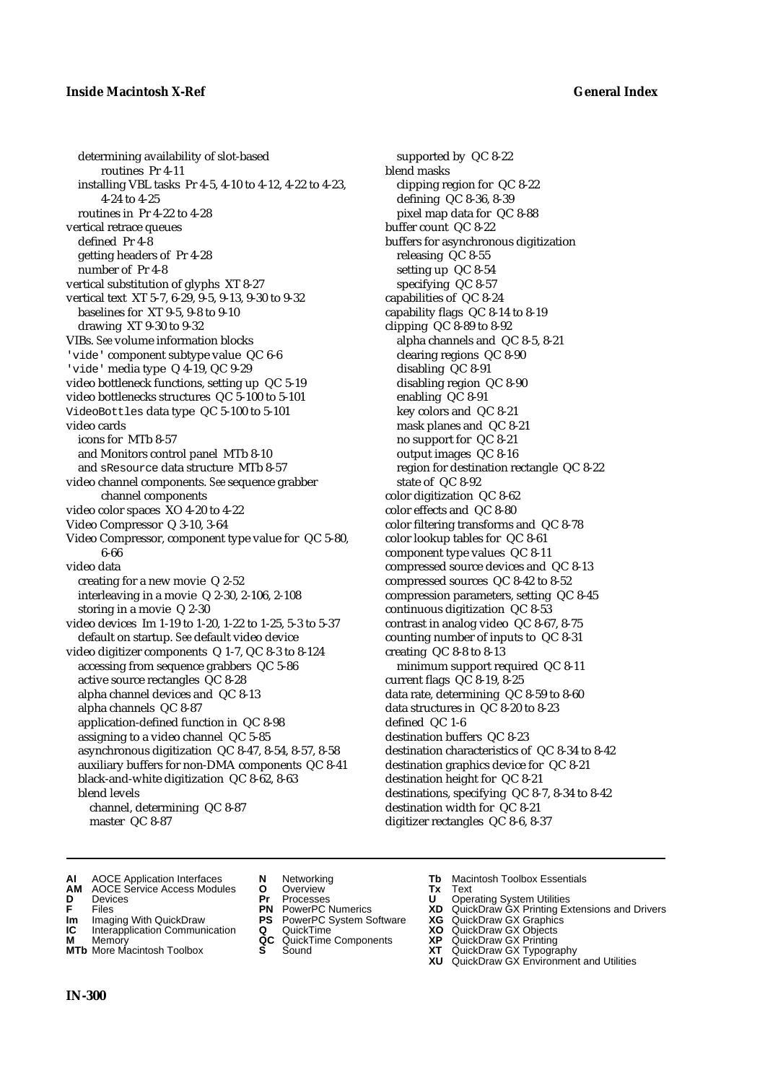determining availability of slot-based routines Pr 4-11 installing VBL tasks Pr 4-5, 4-10 to 4-12, 4-22 to 4-23, 4-24 to 4-25 routines in Pr 4-22 to 4-28 vertical retrace queues defined Pr 4-8 getting headers of Pr 4-28 number of Pr 4-8 vertical substitution of glyphs XT 8-27 vertical text XT 5-7, 6-29, 9-5, 9-13, 9-30 to 9-32 baselines for XT 9-5, 9-8 to 9-10 drawing XT 9-30 to 9-32 VIBs. *See* volume information blocks 'vide' component subtype value QC 6-6 'vide' media type Q 4-19, QC 9-29 video bottleneck functions, setting up QC 5-19 video bottlenecks structures QC 5-100 to 5-101 VideoBottles data type QC 5-100 to 5-101 video cards icons for MTb 8-57 and Monitors control panel MTb 8-10 and sResource data structure MTb 8-57 video channel components. *See* sequence grabber channel components video color spaces XO 4-20 to 4-22 Video Compressor Q 3-10, 3-64 Video Compressor, component type value for QC 5-80, 6-66 video data creating for a new movie Q 2-52 interleaving in a movie Q 2-30, 2-106, 2-108 storing in a movie Q 2-30 video devices Im 1-19 to 1-20, 1-22 to 1-25, 5-3 to 5-37 default on startup. *See* default video device video digitizer components Q 1-7, QC 8-3 to 8-124 accessing from sequence grabbers QC 5-86 active source rectangles QC 8-28 alpha channel devices and QC 8-13 alpha channels QC 8-87 application-defined function in QC 8-98 assigning to a video channel QC 5-85 asynchronous digitization QC 8-47, 8-54, 8-57, 8-58 auxiliary buffers for non-DMA components QC 8-41 black-and-white digitization QC 8-62, 8-63 blend levels channel, determining QC 8-87 master QC 8-87

supported by QC 8-22 blend masks clipping region for QC 8-22 defining QC 8-36, 8-39 pixel map data for QC 8-88 buffer count QC 8-22 buffers for asynchronous digitization releasing QC 8-55 setting up QC 8-54 specifying QC 8-57 capabilities of QC 8-24 capability flags QC 8-14 to 8-19 clipping QC 8-89 to 8-92 alpha channels and QC 8-5, 8-21 clearing regions QC 8-90 disabling QC 8-91 disabling region QC 8-90 enabling QC 8-91 key colors and QC 8-21 mask planes and QC 8-21 no support for QC 8-21 output images QC 8-16 region for destination rectangle QC 8-22 state of QC 8-92 color digitization QC 8-62 color effects and QC 8-80 color filtering transforms and QC 8-78 color lookup tables for QC 8-61 component type values QC 8-11 compressed source devices and QC 8-13 compressed sources QC 8-42 to 8-52 compression parameters, setting QC 8-45 continuous digitization QC 8-53 contrast in analog video QC 8-67, 8-75 counting number of inputs to QC 8-31 creating QC 8-8 to 8-13 minimum support required QC 8-11 current flags QC 8-19, 8-25 data rate, determining QC 8-59 to 8-60 data structures in QC 8-20 to 8-23 defined QC 1-6 destination buffers QC 8-23 destination characteristics of QC 8-34 to 8-42 destination graphics device for QC 8-21 destination height for QC 8-21 destinations, specifying QC 8-7, 8-34 to 8-42 destination width for QC 8-21 digitizer rectangles QC 8-6, 8-37

- **AI** AOCE Application Interfaces **N** Networking **Tb** Macintosh Toolbox Essentials<br> **AM** AOCE Service Access Modules **O** Overview **Tx** Text<br> **D** Devices **Pr** Processes **U** Operating System Utilities
- **AM** AOCE Service Access Modules **O** Overview **Tx** Text
- 
- 
- **Im** Imaging With QuickDraw **PS** PowerPC System Software **XG IC** Interapplication Communication **Q** QuickTime **COVIC**
- **Interapplication Communication <b>Q** QuickTime **XO** Memory **XO** Memory **XP QC** QuickTime Components **XP**
- **M** Memory **DRITIC CONTENTIER MANUS AND MEMORY MEMORY AND MEMORY AREA CONTENTING MANUSICAL MEMORY AND MANUSICAL CONTENTING MANUSICAL MEMORY AND MANUSICAL MEMORY AND MANUSICAL MEMORY OF A PRINTING MANUSICAL MEMORY AND MANUS MTb** More Macintosh Toolbox **S** Sound **XT** QuickDraw GX Typography
- 
- **D** Devices **Pr** Processes **U** Operating System Utilities
	-
	-
	-
	-
- 
- 
- **FRICAG CONSISTS IN THE PROCESSES CONSISTS AND CONSIST CONSISTENT CONSISTS CONSISTS PRINTIPLE PROCESSES CONSISTS CON<br>
<b>F**FRICES **PN** POWERPC Numerics **XD** QuickDraw GX Printing Extensions and Drivers<br> **Im** Imaging With Qui
	-
	-
	-
	-
	- **XU** QuickDraw GX Environment and Utilities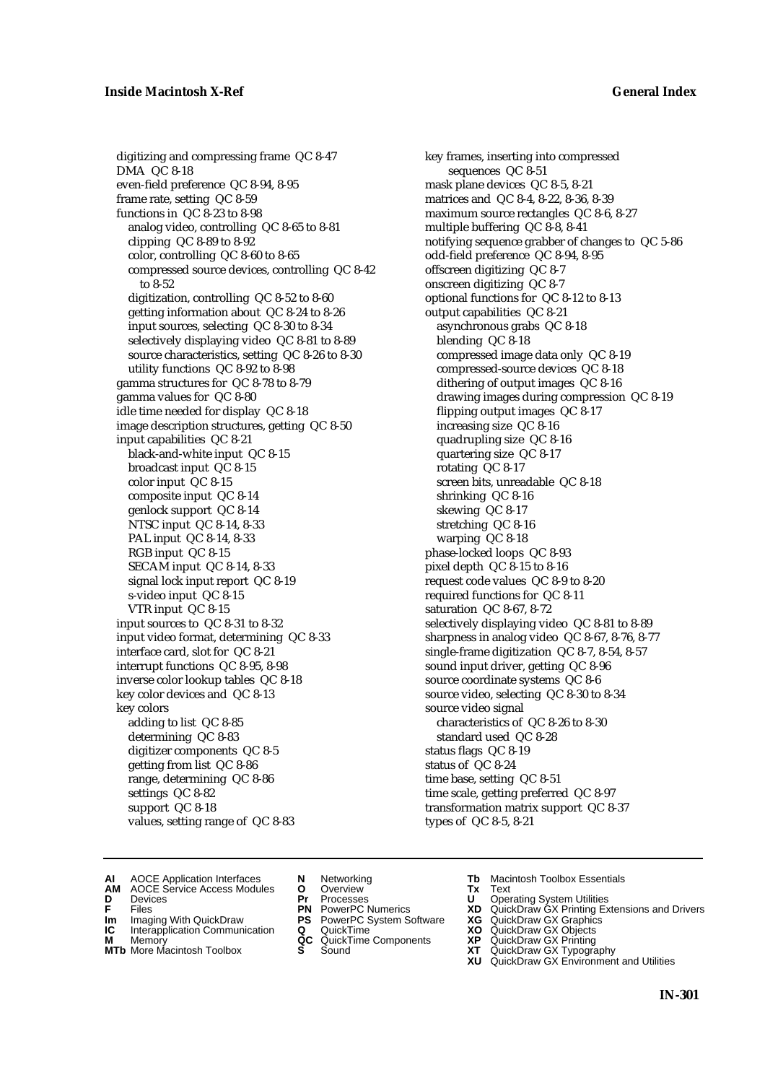digitizing and compressing frame QC 8-47 DMA QC 8-18 even-field preference QC 8-94, 8-95 frame rate, setting QC 8-59 functions in QC 8-23 to 8-98 analog video, controlling QC 8-65 to 8-81 clipping QC 8-89 to 8-92 color, controlling QC 8-60 to 8-65 compressed source devices, controlling QC 8-42 to 8-52 digitization, controlling QC 8-52 to 8-60 getting information about QC 8-24 to 8-26 input sources, selecting QC 8-30 to 8-34 selectively displaying video QC 8-81 to 8-89 source characteristics, setting QC 8-26 to 8-30 utility functions QC 8-92 to 8-98 gamma structures for QC 8-78 to 8-79 gamma values for QC 8-80 idle time needed for display QC 8-18 image description structures, getting QC 8-50 input capabilities QC 8-21 black-and-white input QC 8-15 broadcast input QC 8-15 color input QC 8-15 composite input QC 8-14 genlock support QC 8-14 NTSC input QC 8-14, 8-33 PAL input QC 8-14, 8-33 RGB input QC 8-15 SECAM input QC 8-14, 8-33 signal lock input report QC 8-19 s-video input QC 8-15 VTR input QC 8-15 input sources to QC 8-31 to 8-32 input video format, determining QC 8-33 interface card, slot for QC 8-21 interrupt functions QC 8-95, 8-98 inverse color lookup tables QC 8-18 key color devices and QC 8-13 key colors adding to list QC 8-85 determining QC 8-83 digitizer components QC 8-5 getting from list QC 8-86 range, determining QC 8-86 settings QC 8-82 support QC 8-18 values, setting range of QC 8-83

key frames, inserting into compressed sequences QC 8-51 mask plane devices QC 8-5, 8-21 matrices and QC 8-4, 8-22, 8-36, 8-39 maximum source rectangles QC 8-6, 8-27 multiple buffering QC 8-8, 8-41 notifying sequence grabber of changes to QC 5-86 odd-field preference QC 8-94, 8-95 offscreen digitizing QC 8-7 onscreen digitizing QC 8-7 optional functions for QC 8-12 to 8-13 output capabilities QC 8-21 asynchronous grabs QC 8-18 blending QC 8-18 compressed image data only QC 8-19 compressed-source devices QC 8-18 dithering of output images QC 8-16 drawing images during compression QC 8-19 flipping output images QC 8-17 increasing size QC 8-16 quadrupling size QC 8-16 quartering size QC 8-17 rotating QC 8-17 screen bits, unreadable QC 8-18 shrinking QC 8-16 skewing QC 8-17 stretching QC 8-16 warping QC 8-18 phase-locked loops QC 8-93 pixel depth QC 8-15 to 8-16 request code values QC 8-9 to 8-20 required functions for QC 8-11 saturation QC 8-67, 8-72 selectively displaying video QC 8-81 to 8-89 sharpness in analog video QC 8-67, 8-76, 8-77 single-frame digitization QC 8-7, 8-54, 8-57 sound input driver, getting QC 8-96 source coordinate systems QC 8-6 source video, selecting QC 8-30 to 8-34 source video signal characteristics of QC 8-26 to 8-30 standard used QC 8-28 status flags QC 8-19 status of QC 8-24 time base, setting QC 8-51 time scale, getting preferred QC 8-97 transformation matrix support QC 8-37 types of QC 8-5, 8-21

- **AI** AOCE Application Interfaces **N** Networking **Tb** Macintosh Toolbox Essentials<br> **AM** AOCE Service Access Modules **O** Overview **Tx** Text<br> **D** Devices **Pr** Processes **U** Operating System Utilities
	- AOCE Service Access Modules **O** Overview **Tx** Text<br>Devices **Devices Devices Devices**
- 
- 
- **Im** Imaging With QuickDraw **PS** PowerPC System Software **XG IC** Interapplication Communication **Q** QuickTime **XO IC** Interapplication Communication **Q** QuickTime **XO M** Memory **XO QC** QuickTime Components **XP**
- **M** Memory **QC** QuickTime Components **XP**<br>**MTb** More Macintosh Toolbox **S** Sound **XT**
- **MTb** More Macintosh Toolbox **S** Sound **XT** QuickDraw GX Typography
- 
- 
- 
- 
- 
- 
- 
- 
- **D** Devices **Pr** Processes **U** Operating System Utilities<br> **PR** PowerPC Numerics **XD** QuickDraw GX Printing Ex<br> **PR** PowerPC Numerics **XD** QuickDraw GX Printing Ex **F** Files **PN** PowerPC Numerics **XD** QuickDraw GX Printing Extensions and Drivers<br> **PIP** PowerPC System Software **XG** QuickDraw GX Graphics
	-
	-
	-
	-
	- **XU** QuickDraw GX Environment and Utilities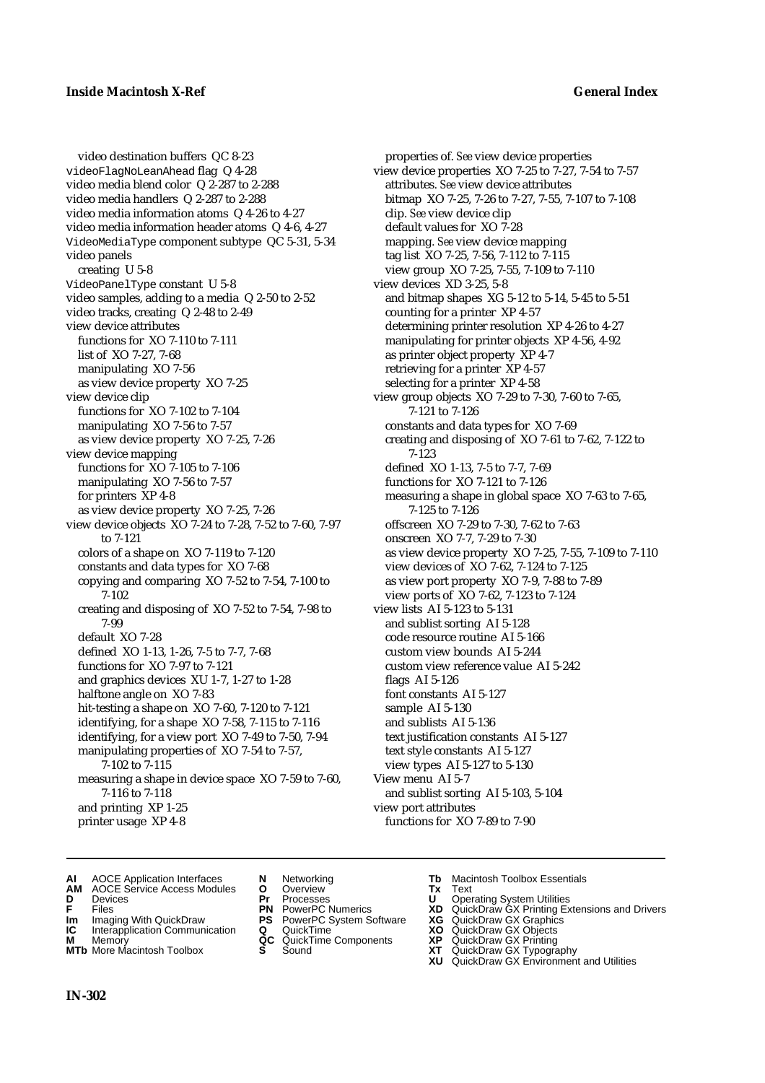video destination buffers QC 8-23 videoFlagNoLeanAhead flag Q 4-28 video media blend color Q 2-287 to 2-288 video media handlers Q 2-287 to 2-288 video media information atoms Q 4-26 to 4-27 video media information header atoms Q 4-6, 4-27 VideoMediaType component subtype QC 5-31, 5-34 video panels creating U 5-8 VideoPanelType constant U 5-8 video samples, adding to a media Q 2-50 to 2-52 video tracks, creating Q 2-48 to 2-49 view device attributes functions for XO 7-110 to 7-111 list of XO 7-27, 7-68 manipulating XO 7-56 as view device property XO 7-25 view device clip functions for XO 7-102 to 7-104 manipulating XO 7-56 to 7-57 as view device property XO 7-25, 7-26 view device mapping functions for XO 7-105 to 7-106 manipulating XO 7-56 to 7-57 for printers XP 4-8 as view device property XO 7-25, 7-26 view device objects XO 7-24 to 7-28, 7-52 to 7-60, 7-97 to 7-121 colors of a shape on XO 7-119 to 7-120 constants and data types for XO 7-68 copying and comparing XO 7-52 to 7-54, 7-100 to 7-102 creating and disposing of XO 7-52 to 7-54, 7-98 to 7-99 default XO 7-28 defined XO 1-13, 1-26, 7-5 to 7-7, 7-68 functions for XO 7-97 to 7-121 and graphics devices XU 1-7, 1-27 to 1-28 halftone angle on XO 7-83 hit-testing a shape on XO 7-60, 7-120 to 7-121 identifying, for a shape XO 7-58, 7-115 to 7-116 identifying, for a view port XO 7-49 to 7-50, 7-94 manipulating properties of XO 7-54 to 7-57, 7-102 to 7-115 measuring a shape in device space XO 7-59 to 7-60, 7-116 to 7-118 and printing XP 1-25 printer usage XP 4-8

properties of. *See* view device properties view device properties XO 7-25 to 7-27, 7-54 to 7-57 attributes. *See* view device attributes bitmap XO 7-25, 7-26 to 7-27, 7-55, 7-107 to 7-108 clip. *See* view device clip default values for XO 7-28 mapping. *See* view device mapping tag list XO 7-25, 7-56, 7-112 to 7-115 view group XO 7-25, 7-55, 7-109 to 7-110 view devices XD 3-25, 5-8 and bitmap shapes XG 5-12 to 5-14, 5-45 to 5-51 counting for a printer XP 4-57 determining printer resolution XP 4-26 to 4-27 manipulating for printer objects XP 4-56, 4-92 as printer object property XP 4-7 retrieving for a printer XP 4-57 selecting for a printer XP 4-58 view group objects XO 7-29 to 7-30, 7-60 to 7-65, 7-121 to 7-126 constants and data types for XO 7-69 creating and disposing of XO 7-61 to 7-62, 7-122 to 7-123 defined XO 1-13, 7-5 to 7-7, 7-69 functions for XO 7-121 to 7-126 measuring a shape in global space XO 7-63 to 7-65, 7-125 to 7-126 offscreen XO 7-29 to 7-30, 7-62 to 7-63 onscreen XO 7-7, 7-29 to 7-30 as view device property XO 7-25, 7-55, 7-109 to 7-110 view devices of XO 7-62, 7-124 to 7-125 as view port property XO 7-9, 7-88 to 7-89 view ports of XO 7-62, 7-123 to 7-124 view lists AI 5-123 to 5-131 and sublist sorting AI 5-128 code resource routine AI 5-166 custom view bounds AI 5-244 custom view reference value AI 5-242 flags AI 5-126 font constants AI 5-127 sample AI 5-130 and sublists AI 5-136 text justification constants AI 5-127 text style constants AI 5-127 view types AI 5-127 to 5-130 View menu AI 5-7 and sublist sorting AI 5-103, 5-104 view port attributes functions for XO 7-89 to 7-90

- **AI** AOCE Application Interfaces **N** Networking **Tb** Macintosh Toolbox Essentials
- **AM** AOCE Service Access Modules **O** Overview **Tx** Text
- 
- 
- **Im** Imaging With QuickDraw **PS** PowerPC System Software **XG IC** Interapplication Communication **Q** QuickTime **COVIC**
- **Interapplication Communication <b>Q** QuickTime **XO** Memory **XO** Memory **XP QC** QuickTime Components **XP M** Memory **Discussed AC** QuickTime Components **XP**<br> **MTb** More Macintosh Toolbox **S** Sound **XT**
- **MTb** More Macintosh Toolbox **S** Sound **XT** QuickDraw GX Typography
- 
- 
- 
- 
- 
- 
- 
- **D** Devices **Pr** Processes **U** Operating System Utilities
- **FRICAG CONSISTS IN THE PROCESSES CONSISTS AND CONSIST CONSISTENT CONSISTS CONSISTS PRINTIPLE PROCESSES CONSISTS CON<br>
<b>F**FRICES **PN** POWERPC Numerics **XD** QuickDraw GX Printing Extensions and Drivers<br> **Im** Imaging With Qui
	-
	-
	-
	-
	- **XU** QuickDraw GX Environment and Utilities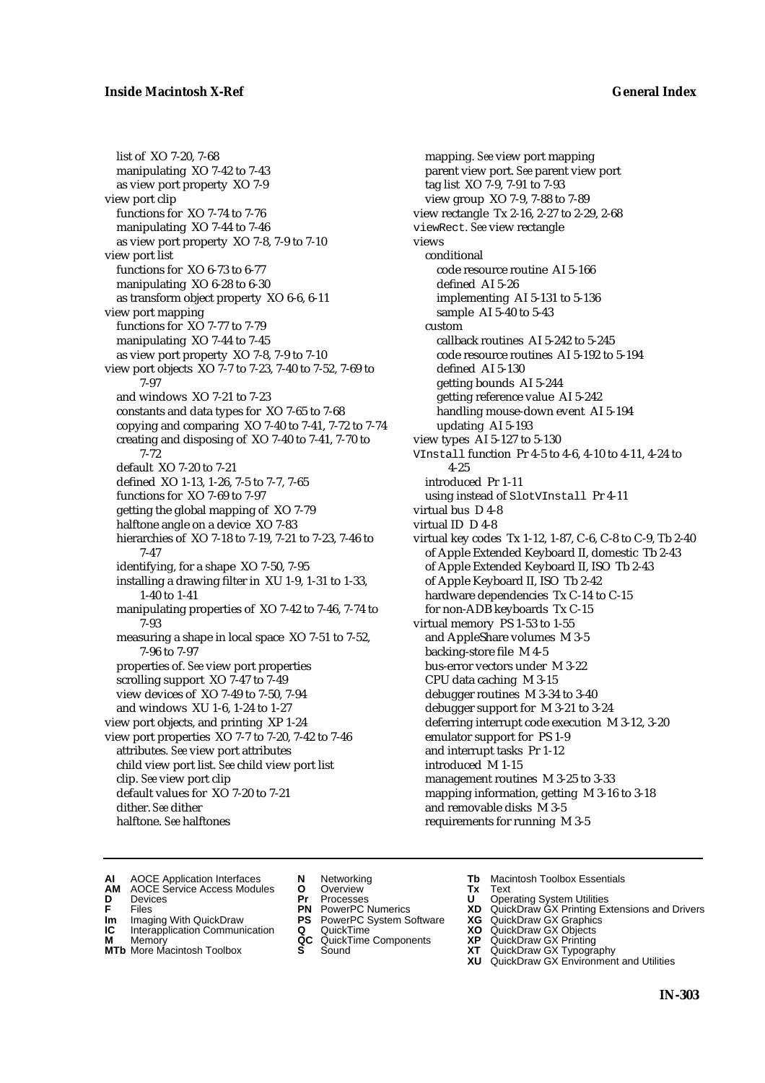### **Inside Macintosh X-Ref General Index**

list of XO 7-20, 7-68 manipulating XO 7-42 to 7-43 as view port property XO 7-9 view port clip functions for XO 7-74 to 7-76 manipulating XO 7-44 to 7-46 as view port property XO 7-8, 7-9 to 7-10 view port list functions for XO 6-73 to 6-77 manipulating XO 6-28 to 6-30 as transform object property XO 6-6, 6-11 view port mapping functions for XO 7-77 to 7-79 manipulating XO 7-44 to 7-45 as view port property XO 7-8, 7-9 to 7-10 view port objects XO 7-7 to 7-23, 7-40 to 7-52, 7-69 to 7-97 and windows XO 7-21 to 7-23 constants and data types for XO 7-65 to 7-68 copying and comparing XO 7-40 to 7-41, 7-72 to 7-74 creating and disposing of XO 7-40 to 7-41, 7-70 to 7-72 default XO 7-20 to 7-21 defined XO 1-13, 1-26, 7-5 to 7-7, 7-65 functions for XO 7-69 to 7-97 getting the global mapping of XO 7-79 halftone angle on a device XO 7-83 hierarchies of XO 7-18 to 7-19, 7-21 to 7-23, 7-46 to 7-47 identifying, for a shape XO 7-50, 7-95 installing a drawing filter in XU 1-9, 1-31 to 1-33, 1-40 to 1-41 manipulating properties of XO 7-42 to 7-46, 7-74 to 7-93 measuring a shape in local space XO 7-51 to 7-52, 7-96 to 7-97 properties of. *See* view port properties scrolling support XO 7-47 to 7-49 view devices of XO 7-49 to 7-50, 7-94 and windows XU 1-6, 1-24 to 1-27 view port objects, and printing XP 1-24 view port properties XO 7-7 to 7-20, 7-42 to 7-46 attributes. *See* view port attributes child view port list. *See* child view port list clip. *See* view port clip default values for XO 7-20 to 7-21 dither. *See* dither halftone. *See* halftones

mapping. *See* view port mapping parent view port. *See* parent view port tag list XO 7-9, 7-91 to 7-93 view group XO 7-9, 7-88 to 7-89 view rectangle Tx 2-16, 2-27 to 2-29, 2-68 viewRect. *See* view rectangle views conditional code resource routine AI 5-166 defined AI 5-26 implementing AI 5-131 to 5-136 sample AI 5-40 to 5-43 custom callback routines AI 5-242 to 5-245 code resource routines AI 5-192 to 5-194 defined AI 5-130 getting bounds AI 5-244 getting reference value AI 5-242 handling mouse-down event AI 5-194 updating AI 5-193 view types AI 5-127 to 5-130 VInstall function Pr 4-5 to 4-6, 4-10 to 4-11, 4-24 to 4-25 introduced Pr 1-11 using instead of SlotVInstall Pr 4-11 virtual bus D 4-8 virtual ID D 4-8 virtual key codes Tx 1-12, 1-87, C-6, C-8 to C-9, Tb 2-40 of Apple Extended Keyboard II, domestic Tb 2-43 of Apple Extended Keyboard II, ISO Tb 2-43 of Apple Keyboard II, ISO Tb 2-42 hardware dependencies Tx C-14 to C-15 for non-ADB keyboards Tx C-15 virtual memory PS 1-53 to 1-55 and AppleShare volumes M 3-5 backing-store file M 4-5 bus-error vectors under M 3-22 CPU data caching M 3-15 debugger routines M 3-34 to 3-40 debugger support for M 3-21 to 3-24 deferring interrupt code execution M 3-12, 3-20 emulator support for PS 1-9 and interrupt tasks Pr 1-12 introduced M 1-15 management routines M 3-25 to 3-33 mapping information, getting M 3-16 to 3-18 and removable disks M 3-5 requirements for running M 3-5

- 
- **AI** AOCE Application Interfaces **N** Networking **Tb** Macintosh Toolbox Essentials<br> **AM** AOCE Service Access Modules **O** Overview **Tx** Text<br> **D** Devices **Pr** Processes **U** Operating System Utilities
- AOCE Service Access Modules **O** Overview **Tx** Text<br>Devices **Devices Devices Devices D** Devices **Pr** Processes **U** Operating System Utilities
- 
- **IM** FILES<br> **Im** Imaging With QuickDraw **PS** PowerPC System Software **XG**<br> **IC** Interapplication Communication **Q** QuickTime **XO**
- **IC** Interapplication Communication **Q** QuickTime **XO M** Memory **XO QC** QuickTime Components **XP**
- **M** Memory **QC** QuickTime Components **XP**<br>**MTb** More Macintosh Toolbox **S** Sound **XT**
- 
- 
- 
- -
	-
- 
- 
- **F** Files **PN** PowerPC Numerics **XD** QuickDraw GX Printing Extensions and Drivers
	-
	-
	-
- **MTb** More Macintosh Toolbox **S** Sound **XT** QuickDraw GX Typography **XU** QuickDraw GX Environment and Utilities
	- **IN-303**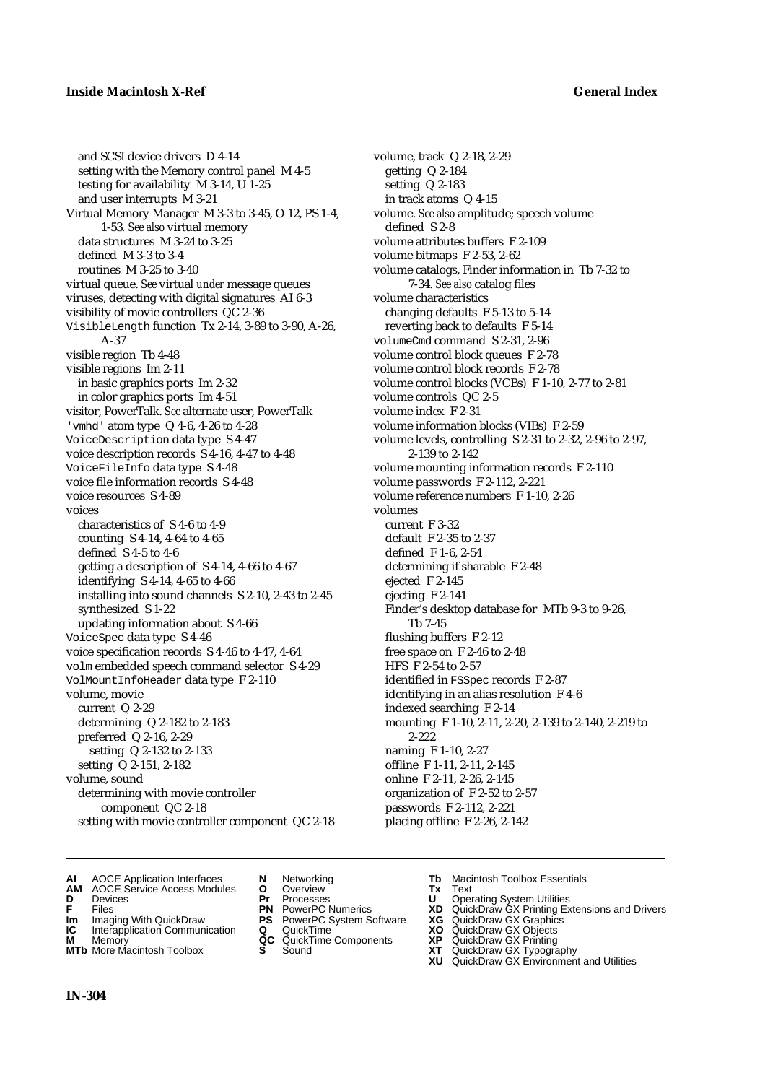and SCSI device drivers D 4-14 setting with the Memory control panel M 4-5 testing for availability M 3-14, U 1-25 and user interrupts M 3-21 Virtual Memory Manager M 3-3 to 3-45, O 12, PS 1-4, 1-53*. See also* virtual memory data structures M 3-24 to 3-25 defined M 3-3 to 3-4 routines M 3-25 to 3-40 virtual queue. *See* virtual *under* message queues viruses, detecting with digital signatures AI 6-3 visibility of movie controllers QC 2-36 VisibleLength function Tx 2-14, 3-89 to 3-90, A-26, A-37 visible region Tb 4-48 visible regions Im 2-11 in basic graphics ports Im 2-32 in color graphics ports Im 4-51 visitor, PowerTalk. *See* alternate user, PowerTalk 'vmhd' atom type Q 4-6, 4-26 to 4-28 VoiceDescription data type S 4-47 voice description records S 4-16, 4-47 to 4-48 VoiceFileInfo data type S 4-48 voice file information records S 4-48 voice resources S 4-89 voices characteristics of S 4-6 to 4-9 counting S 4-14, 4-64 to 4-65 defined S 4-5 to 4-6 getting a description of S 4-14, 4-66 to 4-67 identifying S 4-14, 4-65 to 4-66 installing into sound channels S 2-10, 2-43 to 2-45 synthesized S 1-22 updating information about S 4-66 VoiceSpec data type S 4-46 voice specification records S 4-46 to 4-47, 4-64 volm embedded speech command selector S 4-29 VolMountInfoHeader data type F 2-110 volume, movie current Q 2-29 determining Q 2-182 to 2-183 preferred Q 2-16, 2-29 setting Q 2-132 to 2-133 setting Q 2-151, 2-182 volume, sound determining with movie controller component QC 2-18 setting with movie controller component QC 2-18

volume, track Q 2-18, 2-29 getting Q 2-184 setting Q 2-183 in track atoms Q 4-15 volume. *See also* amplitude; speech volume defined S 2-8 volume attributes buffers F 2-109 volume bitmaps F 2-53, 2-62 volume catalogs, Finder information in Tb 7-32 to 7-34. *See also* catalog files volume characteristics changing defaults F 5-13 to 5-14 reverting back to defaults F 5-14 volumeCmd command S 2-31, 2-96 volume control block queues F 2-78 volume control block records F 2-78 volume control blocks (VCBs) F 1-10, 2-77 to 2-81 volume controls QC 2-5 volume index F 2-31 volume information blocks (VIBs) F 2-59 volume levels, controlling S 2-31 to 2-32, 2-96 to 2-97, 2-139 to 2-142 volume mounting information records F 2-110 volume passwords F 2-112, 2-221 volume reference numbers F 1-10, 2-26 volumes current F 3-32 default F 2-35 to 2-37 defined F 1-6, 2-54 determining if sharable F 2-48 ejected F 2-145 ejecting F 2-141 Finder's desktop database for MTb 9-3 to 9-26, Tb 7-45 flushing buffers F 2-12 free space on F 2-46 to 2-48 HFS F 2-54 to 2-57 identified in FSSpec records F 2-87 identifying in an alias resolution F 4-6 indexed searching F 2-14 mounting F 1-10, 2-11, 2-20, 2-139 to 2-140, 2-219 to 2-222 naming F 1-10, 2-27 offline F 1-11, 2-11, 2-145 online F 2-11, 2-26, 2-145 organization of F 2-52 to 2-57 passwords F 2-112, 2-221 placing offline F 2-26, 2-142

- **AI** AOCE Application Interfaces **N** Networking **Tb** Macintosh Toolbox Essentials
- **AM** AOCE Service Access Modules **O** Overview **Tx** Text
- 
- 
- **Im** Imaging With QuickDraw **PS** PowerPC System Software **XG IC** Interapplication Communication **Q** QuickTime **COVIC**
- **Interapplication Communication <b>Q** QuickTime **XO** Memory **XO** Memory **XP QC** QuickTime Components **XP**
- **M** Memory **Discussed AC** QuickTime Components **XP**<br> **MTb** More Macintosh Toolbox **S** Sound **XT**
- 
- **D** Devices **Pr** Processes **U** Operating System Utilities
	-
	-
	-
	-
	-
- 
- 
- **F** Files **PN** PowerPC Numerics **XD** QuickDraw GX Printing Extensions and Drivers
	-
	-
	-
- **MTb** More Macintosh Toolbox **S** Sound **XT** QuickDraw GX Typography
	- **XU** QuickDraw GX Environment and Utilities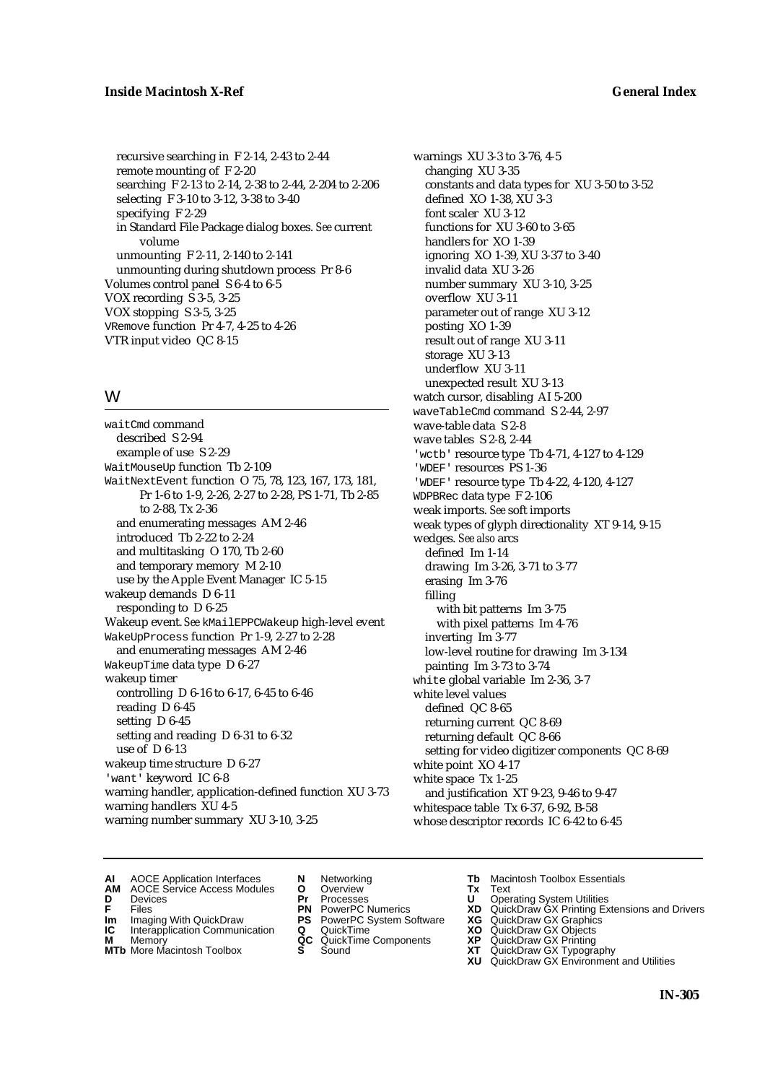recursive searching in F 2-14, 2-43 to 2-44 remote mounting of F 2-20 searching F 2-13 to 2-14, 2-38 to 2-44, 2-204 to 2-206 selecting F 3-10 to 3-12, 3-38 to 3-40 specifying F 2-29 in Standard File Package dialog boxes. *See* current volume unmounting F 2-11, 2-140 to 2-141 unmounting during shutdown process Pr 8-6 Volumes control panel S 6-4 to 6-5 VOX recording S 3-5, 3-25 VOX stopping S 3-5, 3-25 VRemove function Pr 4-7, 4-25 to 4-26 VTR input video QC 8-15

## W

waitCmd command described S 2-94 example of use S 2-29 WaitMouseUp function Tb 2-109 WaitNextEvent function O 75, 78, 123, 167, 173, 181, Pr 1-6 to 1-9, 2-26, 2-27 to 2-28, PS 1-71, Tb 2-85 to 2-88, Tx 2-36 and enumerating messages AM 2-46 introduced Tb 2-22 to 2-24 and multitasking O 170, Tb 2-60 and temporary memory M 2-10 use by the Apple Event Manager IC 5-15 wakeup demands D 6-11 responding to D 6-25 Wakeup event. *See* kMailEPPCWakeup high-level event WakeUpProcess function Pr 1-9, 2-27 to 2-28 and enumerating messages AM 2-46 WakeupTime data type D 6-27 wakeup timer controlling D 6-16 to 6-17, 6-45 to 6-46 reading D 6-45 setting D 6-45 setting and reading D 6-31 to 6-32 use of D 6-13 wakeup time structure D 6-27 'want' keyword IC 6-8 warning handler, application-defined function XU 3-73 warning handlers XU 4-5 warning number summary XU 3-10, 3-25

warnings XU 3-3 to 3-76, 4-5 changing XU 3-35 constants and data types for XU 3-50 to 3-52 defined XO 1-38, XU 3-3 font scaler XU 3-12 functions for XU 3-60 to 3-65 handlers for XO 1-39 ignoring XO 1-39, XU 3-37 to 3-40 invalid data XU 3-26 number summary XU 3-10, 3-25 overflow XU 3-11 parameter out of range XU 3-12 posting XO 1-39 result out of range XU 3-11 storage XU 3-13 underflow XU 3-11 unexpected result XU 3-13 watch cursor, disabling AI 5-200 waveTableCmd command S 2-44, 2-97 wave-table data S 2-8 wave tables S 2-8, 2-44 'wctb' resource type Tb 4-71, 4-127 to 4-129 'WDEF' resources PS 1-36 'WDEF' resource type Tb 4-22, 4-120, 4-127 WDPBRec data type F 2-106 weak imports. *See* soft imports weak types of glyph directionality XT 9-14, 9-15 wedges. *See also* arcs defined Im 1-14 drawing Im 3-26, 3-71 to 3-77 erasing Im 3-76 filling with bit patterns Im 3-75 with pixel patterns Im 4-76 inverting Im 3-77 low-level routine for drawing Im 3-134 painting Im 3-73 to 3-74 white global variable Im 2-36, 3-7 white level values defined QC 8-65 returning current QC 8-69 returning default QC 8-66 setting for video digitizer components QC 8-69 white point XO 4-17 white space Tx 1-25 and justification XT 9-23, 9-46 to 9-47 whitespace table Tx 6-37, 6-92, B-58 whose descriptor records IC 6-42 to 6-45

**AI** AOCE Application Interfaces **N** Networking **Tb** Macintosh Toolbox Essentials<br> **AM** AOCE Service Access Modules **O** Overview **Tx** Text<br> **D** Devices **Pr** Processes **U** Operating System Utilities

AOCE Service Access Modules **O** Overview **Tx** Text<br>Devices **Devices Devices Devices** 

- 
- 
- **IM** FILES<br> **Im** Imaging With QuickDraw **PS** PowerPC System Software **XG**<br> **IC** Interapplication Communication **Q** QuickTime **XO**
- **IC** Interapplication Communication **Q** QuickTime **XO M** Memory **XP QC** QuickTime Components **XP M** Memory **District Acc** QuickTime Components **XP**<br> **MTb** More Macintosh Toolbox **S** Sound **XT**
- **MTb** More Macintosh Toolbox **S** Sound **XT** QuickDraw GX Typography
- 
- **D** Devices **Pr** Processes **U** Operating System Utilities
	-
	-
	-
	-
- 
- 
- **F** Files **PN** PowerPC Numerics **XD** QuickDraw GX Printing Extensions and Drivers
	-
	-
	-
	-
	- **XU** QuickDraw GX Environment and Utilities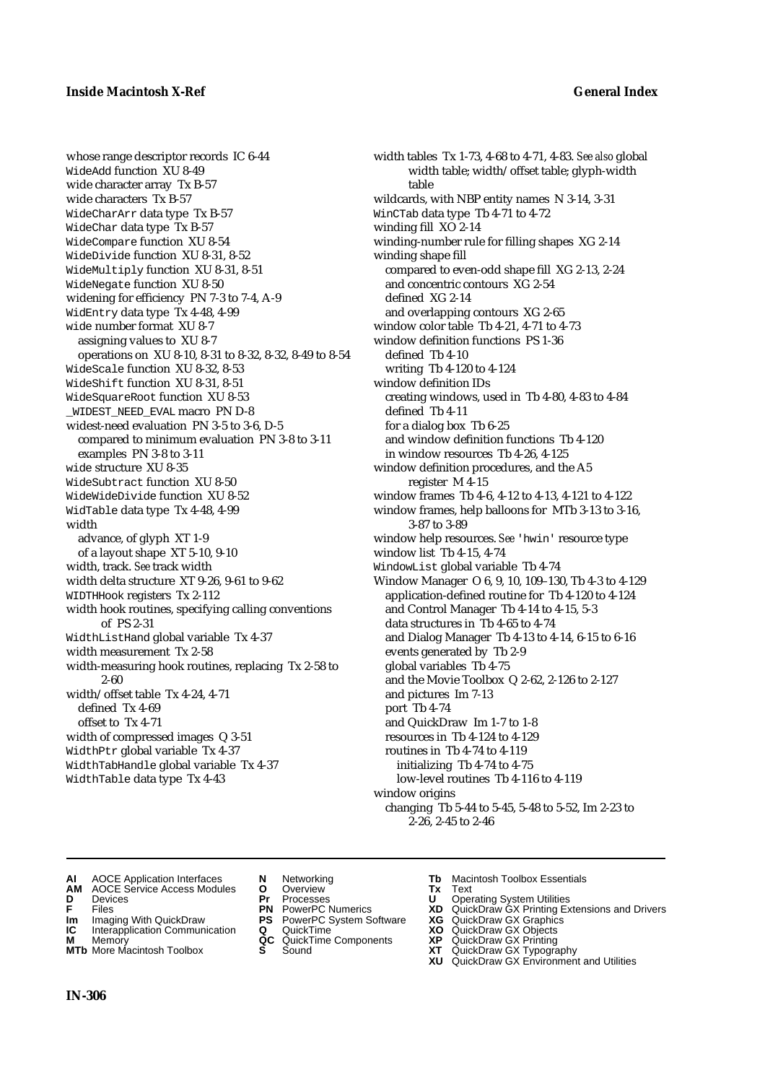whose range descriptor records IC 6-44 WideAdd function XU 8-49 wide character array Tx B-57 wide characters Tx B-57 WideCharArr data type Tx B-57 WideChar data type Tx B-57 WideCompare function XU 8-54 WideDivide function XU 8-31, 8-52 WideMultiply function XU 8-31, 8-51 WideNegate function XU 8-50 widening for efficiency PN 7-3 to 7-4, A-9 WidEntry data type Tx 4-48, 4-99 wide number format XU 8-7 assigning values to XU 8-7 operations on XU 8-10, 8-31 to 8-32, 8-32, 8-49 to 8-54 WideScale function XU 8-32, 8-53 WideShift function XU 8-31, 8-51 WideSquareRoot function XU 8-53 \_WIDEST\_NEED\_EVAL macro PN D-8 widest-need evaluation PN 3-5 to 3-6, D-5 compared to minimum evaluation PN 3-8 to 3-11 examples PN 3-8 to 3-11 wide structure XU 8-35 WideSubtract function XU 8-50 WideWideDivide function XU 8-52 WidTable data type Tx 4-48, 4-99 width advance, of glyph XT 1-9 of a layout shape XT 5-10, 9-10 width, track. *See* track width width delta structure XT 9-26, 9-61 to 9-62 WIDTHHook registers Tx 2-112 width hook routines, specifying calling conventions of PS 2-31 WidthListHand global variable Tx 4-37 width measurement Tx 2-58 width-measuring hook routines, replacing Tx 2-58 to 2-60 width/offset table Tx 4-24, 4-71 defined Tx 4-69 offset to Tx 4-71 width of compressed images Q 3-51 WidthPtr global variable Tx 4-37 WidthTabHandle global variable Tx 4-37 WidthTable data type Tx 4-43

width tables Tx 1-73, 4-68 to 4-71, 4-83. *See also* global width table; width/offset table; glyph-width table wildcards, with NBP entity names N 3-14, 3-31 WinCTab data type Tb 4-71 to 4-72 winding fill XO 2-14 winding-number rule for filling shapes XG 2-14 winding shape fill compared to even-odd shape fill XG 2-13, 2-24 and concentric contours XG 2-54 defined XG 2-14 and overlapping contours XG 2-65 window color table Tb 4-21, 4-71 to 4-73 window definition functions PS 1-36 defined Tb 4-10 writing Tb 4-120 to 4-124 window definition IDs creating windows, used in Tb 4-80, 4-83 to 4-84 defined Tb 4-11 for a dialog box Tb 6-25 and window definition functions Tb 4-120 in window resources Tb 4-26, 4-125 window definition procedures, and the A5 register M 4-15 window frames Tb 4-6, 4-12 to 4-13, 4-121 to 4-122 window frames, help balloons for MTb 3-13 to 3-16, 3-87 to 3-89 window help resources. *See* 'hwin' resource type window list Tb 4-15, 4-74 WindowList global variable Tb 4-74 Window Manager O 6, 9, 10, 109–130, Tb 4-3 to 4-129 application-defined routine for Tb 4-120 to 4-124 and Control Manager Tb 4-14 to 4-15, 5-3 data structures in Tb 4-65 to 4-74 and Dialog Manager Tb 4-13 to 4-14, 6-15 to 6-16 events generated by Tb 2-9 global variables Tb 4-75 and the Movie Toolbox Q 2-62, 2-126 to 2-127 and pictures Im 7-13 port Tb 4-74 and QuickDraw Im 1-7 to 1-8 resources in Tb 4-124 to 4-129 routines in Tb 4-74 to 4-119 initializing Tb 4-74 to 4-75 low-level routines Tb 4-116 to 4-119 window origins changing Tb 5-44 to 5-45, 5-48 to 5-52, Im 2-23 to 2-26, 2-45 to 2-46

- **AI** AOCE Application Interfaces **N** Networking **Tb** Macintosh Toolbox Essentials<br> **AM** AOCE Service Access Modules **O** Overview **Tx** Text<br> **D** Devices **Pr** Processes **U** Operating System Utilities
- **AM** AOCE Service Access Modules **O** Overview **Tx** Text
- 
- 
- **Im** Imaging With QuickDraw **PS** PowerPC System Software **XG IC** Interapplication Communication **Q** QuickTime **COVIC**
- **IC** Interapplication Communication **Q** QuickTime **XO M** Memory **XP C** QuickTime Components **XP M** Memory **CONSISTENT CONSIDER**<br> **MTb** More Macintosh Toolbox **S** Sound **S S** State **XP**
- **MTb** More Macintosh Toolbox **S** Sound **XT** QuickDraw GX Typography
- 
- 
- 
- 
- 
- -
- 
- **D** Devices **Pr** Processes **U** Operating System Utilities
- **FRICAG CONSISTS IN THE PROCESSES CONSISTS AND CONSIST CONSISTENT CONSISTS CONSISTS PROCESSES**<br> **F** Files **PN** PowerPC Numerics **XD** QuickDraw GX Printing Extensions and Drivers<br> **Im** Imaging With QuickDraw **PS** PowerPC Sy
	-
	-
	-
	-
	- **XU** QuickDraw GX Environment and Utilities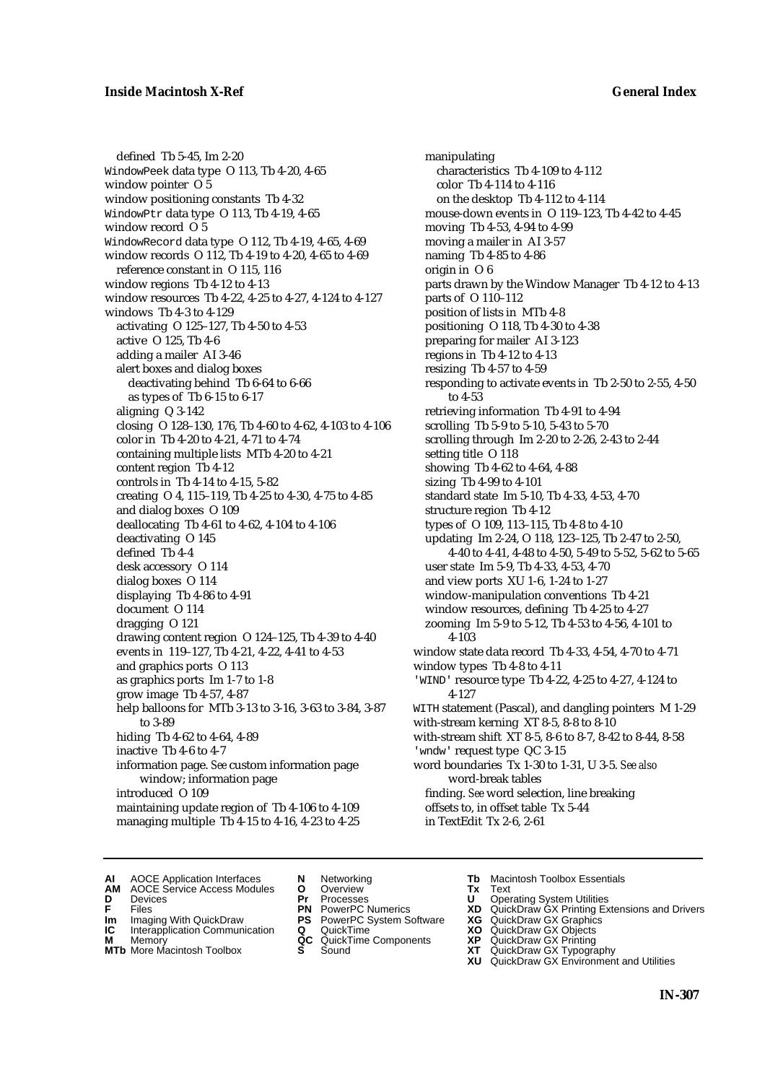defined Tb 5-45, Im 2-20 WindowPeek data type O 113, Tb 4-20, 4-65 window pointer O 5 window positioning constants Tb 4-32 WindowPtr data type O 113, Tb 4-19, 4-65 window record O 5 WindowRecord data type O 112, Tb 4-19, 4-65, 4-69 window records O 112, Tb 4-19 to 4-20, 4-65 to 4-69 reference constant in O 115, 116 window regions Tb 4-12 to 4-13 window resources Tb 4-22, 4-25 to 4-27, 4-124 to 4-127 windows Tb 4-3 to 4-129 activating O 125–127, Tb 4-50 to 4-53 active O 125, Tb 4-6 adding a mailer AI 3-46 alert boxes and dialog boxes deactivating behind Tb 6-64 to 6-66 as types of Tb 6-15 to 6-17 aligning Q 3-142 closing O 128–130, 176, Tb 4-60 to 4-62, 4-103 to 4-106 color in Tb 4-20 to 4-21, 4-71 to 4-74 containing multiple lists MTb 4-20 to 4-21 content region Tb 4-12 controls in Tb 4-14 to 4-15, 5-82 creating O 4, 115–119, Tb 4-25 to 4-30, 4-75 to 4-85 and dialog boxes O 109 deallocating Tb 4-61 to 4-62, 4-104 to 4-106 deactivating O 145 defined Tb 4-4 desk accessory O 114 dialog boxes O 114 displaying Tb 4-86 to 4-91 document O 114 dragging O 121 drawing content region O 124–125, Tb 4-39 to 4-40 events in 119–127, Tb 4-21, 4-22, 4-41 to 4-53 and graphics ports O 113 as graphics ports Im 1-7 to 1-8 grow image Tb 4-57, 4-87 help balloons for MTb 3-13 to 3-16, 3-63 to 3-84, 3-87 to 3-89 hiding Tb 4-62 to 4-64, 4-89 inactive Tb 4-6 to 4-7 information page. *See* custom information page window; information page introduced O 109 maintaining update region of Tb 4-106 to 4-109 managing multiple Tb 4-15 to 4-16, 4-23 to 4-25

manipulating characteristics Tb 4-109 to 4-112 color Tb 4-114 to 4-116 on the desktop Tb 4-112 to 4-114 mouse-down events in O 119–123, Tb 4-42 to 4-45 moving Tb 4-53, 4-94 to 4-99 moving a mailer in AI 3-57 naming Tb 4-85 to 4-86 origin in O 6 parts drawn by the Window Manager Tb 4-12 to 4-13 parts of O 110–112 position of lists in MTb 4-8 positioning O 118, Tb 4-30 to 4-38 preparing for mailer AI 3-123 regions in Tb 4-12 to 4-13 resizing Tb 4-57 to 4-59 responding to activate events in Tb 2-50 to 2-55, 4-50 to 4-53 retrieving information Tb 4-91 to 4-94 scrolling Tb 5-9 to 5-10, 5-43 to 5-70 scrolling through Im 2-20 to 2-26, 2-43 to 2-44 setting title O 118 showing Tb 4-62 to 4-64, 4-88 sizing Tb 4-99 to 4-101 standard state Im 5-10, Tb 4-33, 4-53, 4-70 structure region Tb 4-12 types of O 109, 113–115, Tb 4-8 to 4-10 updating Im 2-24, O 118, 123–125, Tb 2-47 to 2-50, 4-40 to 4-41, 4-48 to 4-50, 5-49 to 5-52, 5-62 to 5-65 user state Im 5-9, Tb 4-33, 4-53, 4-70 and view ports XU 1-6, 1-24 to 1-27 window-manipulation conventions Tb 4-21 window resources, defining Tb 4-25 to 4-27 zooming Im 5-9 to 5-12, Tb 4-53 to 4-56, 4-101 to 4-103 window state data record Tb 4-33, 4-54, 4-70 to 4-71 window types Tb 4-8 to 4-11 'WIND' resource type Tb 4-22, 4-25 to 4-27, 4-124 to 4-127 WITH statement (Pascal), and dangling pointers M 1-29 with-stream kerning XT 8-5, 8-8 to 8-10 with-stream shift XT 8-5, 8-6 to 8-7, 8-42 to 8-44, 8-58 'wndw' request type QC 3-15 word boundaries Tx 1-30 to 1-31, U 3-5. *See also* word-break tables finding. *See* word selection, line breaking offsets to, in offset table Tx 5-44 in TextEdit Tx 2-6, 2-61

- 
- **AI** AOCE Application Interfaces **N** Networking **The Macintosh Toolbox Essentials**<br> **AM** AOCE Service Access Modules **O** Overview **Tx** Text<br> **D** Devices **Pr** Processes **U** Operating System Utilities
	- AOCE Service Access Modules **O** Overview **Tx** Text<br>Devices **Devices Devices Devices**
- 
- 
- **IM** FILES<br> **Im** Imaging With QuickDraw **PS** PowerPC System Software **XG**<br> **IC** Interapplication Communication **Q** QuickTime **XO**
- **IC** Interapplication Communication **Q** QuickTime **XO M** Memory **XO QC** QuickTime Components **XP M** Memory **District Acc** QuickTime Components **XP**<br> **MTb** More Macintosh Toolbox **S** Sound **XT**
- **MTb** More Macintosh Toolbox **S** Sound **XT** QuickDraw GX Typography
- 
- **D** Devices **Pr** Processes **U** Operating System Utilities
	-
	-
	-
	-
- 
- 
- **F** Files **PN** PowerPC Numerics **XD** QuickDraw GX Printing Extensions and Drivers
	-
	-
	-
	-
	- **XU** QuickDraw GX Environment and Utilities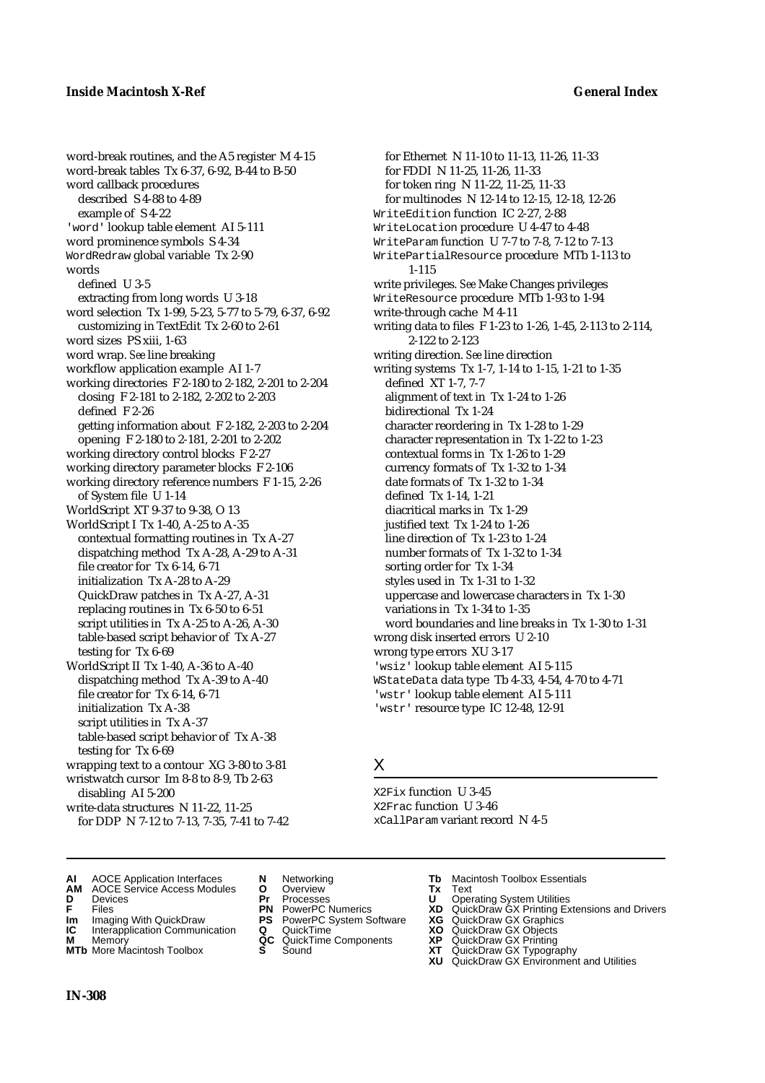word-break routines, and the A5 register M 4-15 word-break tables Tx 6-37, 6-92, B-44 to B-50 word callback procedures described S 4-88 to 4-89 example of S 4-22 'word' lookup table element AI 5-111 word prominence symbols S 4-34 WordRedraw global variable Tx 2-90 words defined U 3-5 extracting from long words U 3-18 word selection Tx 1-99, 5-23, 5-77 to 5-79, 6-37, 6-92 customizing in TextEdit Tx 2-60 to 2-61 word sizes PS xiii, 1-63 word wrap. *See* line breaking workflow application example AI 1-7 working directories F 2-180 to 2-182, 2-201 to 2-204 closing F 2-181 to 2-182, 2-202 to 2-203 defined F 2-26 getting information about F 2-182, 2-203 to 2-204 opening F 2-180 to 2-181, 2-201 to 2-202 working directory control blocks F 2-27 working directory parameter blocks F 2-106 working directory reference numbers F 1-15, 2-26 of System file U 1-14 WorldScript XT 9-37 to 9-38, O 13 WorldScript I Tx 1-40, A-25 to A-35 contextual formatting routines in Tx A-27 dispatching method Tx A-28, A-29 to A-31 file creator for Tx 6-14, 6-71 initialization Tx A-28 to A-29 QuickDraw patches in Tx A-27, A-31 replacing routines in Tx 6-50 to 6-51 script utilities in Tx A-25 to A-26, A-30 table-based script behavior of Tx A-27 testing for Tx 6-69 WorldScript II Tx 1-40, A-36 to A-40 dispatching method Tx A-39 to A-40 file creator for Tx 6-14, 6-71 initialization Tx A-38 script utilities in Tx A-37 table-based script behavior of Tx A-38

testing for Tx 6-69 wrapping text to a contour XG 3-80 to 3-81 wristwatch cursor Im 8-8 to 8-9, Tb 2-63 disabling AI 5-200

write-data structures N 11-22, 11-25 for DDP N 7-12 to 7-13, 7-35, 7-41 to 7-42

for Ethernet N 11-10 to 11-13, 11-26, 11-33 for FDDI N 11-25, 11-26, 11-33 for token ring N 11-22, 11-25, 11-33 for multinodes N 12-14 to 12-15, 12-18, 12-26 WriteEdition function IC 2-27, 2-88 WriteLocation procedure U 4-47 to 4-48 WriteParam function U 7-7 to 7-8, 7-12 to 7-13 WritePartialResource procedure MTb 1-113 to 1-115 write privileges. *See* Make Changes privileges WriteResource procedure MTb 1-93 to 1-94 write-through cache M 4-11 writing data to files F 1-23 to 1-26, 1-45, 2-113 to 2-114, 2-122 to 2-123 writing direction. *See* line direction writing systems Tx 1-7, 1-14 to 1-15, 1-21 to 1-35 defined XT 1-7, 7-7 alignment of text in Tx 1-24 to 1-26 bidirectional Tx 1-24 character reordering in Tx 1-28 to 1-29 character representation in Tx 1-22 to 1-23 contextual forms in Tx 1-26 to 1-29 currency formats of Tx 1-32 to 1-34 date formats of Tx 1-32 to 1-34 defined Tx 1-14, 1-21 diacritical marks in Tx 1-29 justified text Tx 1-24 to 1-26 line direction of Tx 1-23 to 1-24 number formats of Tx 1-32 to 1-34 sorting order for Tx 1-34 styles used in Tx 1-31 to 1-32 uppercase and lowercase characters in Tx 1-30 variations in Tx 1-34 to 1-35 word boundaries and line breaks in Tx 1-30 to 1-31 wrong disk inserted errors U 2-10 wrong type errors XU 3-17 'wsiz' lookup table element AI 5-115 WStateData data type Tb 4-33, 4-54, 4-70 to 4-71 'wstr' lookup table element AI 5-111 'wstr' resource type IC 12-48, 12-91

### X

X2Fix function U 3-45 X2Frac function U 3-46 xCallParam variant record N 4-5

- **AI** AOCE Application Interfaces **N** Networking **Tb** Macintosh Toolbox Essentials<br> **AM** AOCE Service Access Modules **O** Overview **Tx** Text<br> **D** Devices **Pr** Processes **U** Operating System Utilities
- **AM** AOCE Service Access Modules **O** Overview **Tx** Text
- 
- 
- **Im** Imaging With QuickDraw **PS** PowerPC System Software **XG IC** Interapplication Communication **Q** QuickTime **COVIC**
- **Interapplication Communication <b>Q** QuickTime **XO** Memory **XO** Memory **XP QC** QuickTime Components **XP M** Memory **CC** QuickTime Components **XP**<br>**MTb** More Macintosh Toolbox **S** Sound **COX AT**
- **MTb** More Macintosh Toolbox **S** Sound **XT** QuickDraw GX Typography
- 
- 
- 
- 
- 
- 
- 
- **D** Devices **Pr** Processes **U** Operating System Utilities
- **FRICAG CONSISTS IN THE PROCESSES CONSISTS AND CONSIST CONSISTENT CONSISTS CONSISTS PRINTIPLE PROCESSES CONSISTS CON<br>
<b>F**FRICES **PN** POWERPC Numerics **XD** QuickDraw GX Printing Extensions and Drivers<br> **Im** Imaging With Qui
	-
	-
	-
	- **XU** QuickDraw GX Environment and Utilities